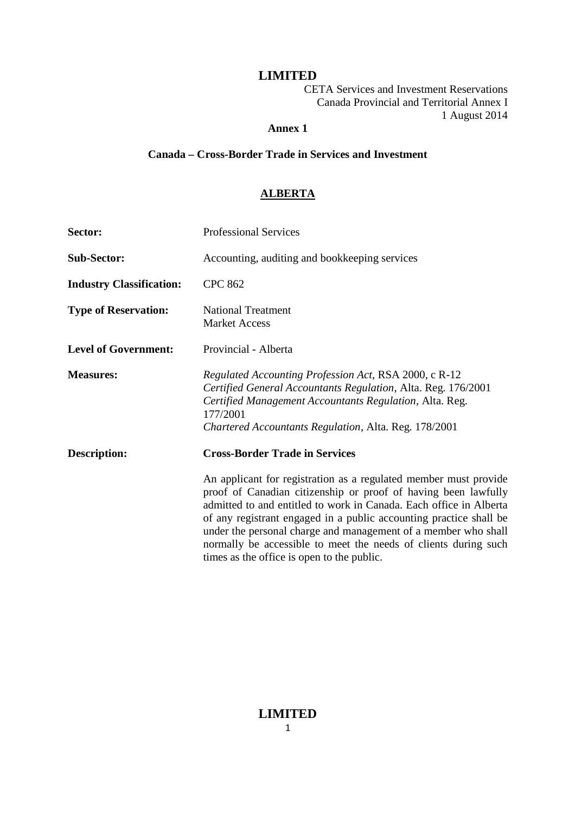CETA Services and Investment Reservations Canada Provincial and Territorial Annex I 1 August 2014

#### **Annex 1**

#### **Canada – Cross-Border Trade in Services and Investment**

#### **ALBERTA**

| Sector:                         | <b>Professional Services</b>                                                                                                                                                                                                                                                                                                                                                                                                                                                                               |
|---------------------------------|------------------------------------------------------------------------------------------------------------------------------------------------------------------------------------------------------------------------------------------------------------------------------------------------------------------------------------------------------------------------------------------------------------------------------------------------------------------------------------------------------------|
| <b>Sub-Sector:</b>              | Accounting, auditing and bookkeeping services                                                                                                                                                                                                                                                                                                                                                                                                                                                              |
| <b>Industry Classification:</b> | <b>CPC 862</b>                                                                                                                                                                                                                                                                                                                                                                                                                                                                                             |
| <b>Type of Reservation:</b>     | <b>National Treatment</b><br><b>Market Access</b>                                                                                                                                                                                                                                                                                                                                                                                                                                                          |
| <b>Level of Government:</b>     | Provincial - Alberta                                                                                                                                                                                                                                                                                                                                                                                                                                                                                       |
| <b>Measures:</b>                | Regulated Accounting Profession Act, RSA 2000, c R-12<br>Certified General Accountants Regulation, Alta. Reg. 176/2001<br>Certified Management Accountants Regulation, Alta. Reg.<br>177/2001<br>Chartered Accountants Regulation, Alta. Reg. 178/2001                                                                                                                                                                                                                                                     |
| <b>Description:</b>             | <b>Cross-Border Trade in Services</b><br>An applicant for registration as a regulated member must provide<br>proof of Canadian citizenship or proof of having been lawfully<br>admitted to and entitled to work in Canada. Each office in Alberta<br>of any registrant engaged in a public accounting practice shall be<br>under the personal charge and management of a member who shall<br>normally be accessible to meet the needs of clients during such<br>times as the office is open to the public. |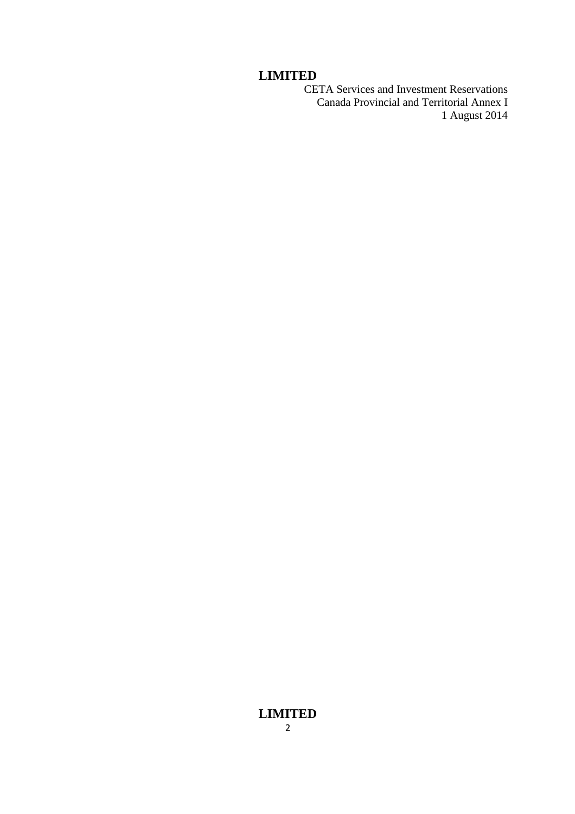CETA Services and Investment Reservations Canada Provincial and Territorial Annex I 1 August 2014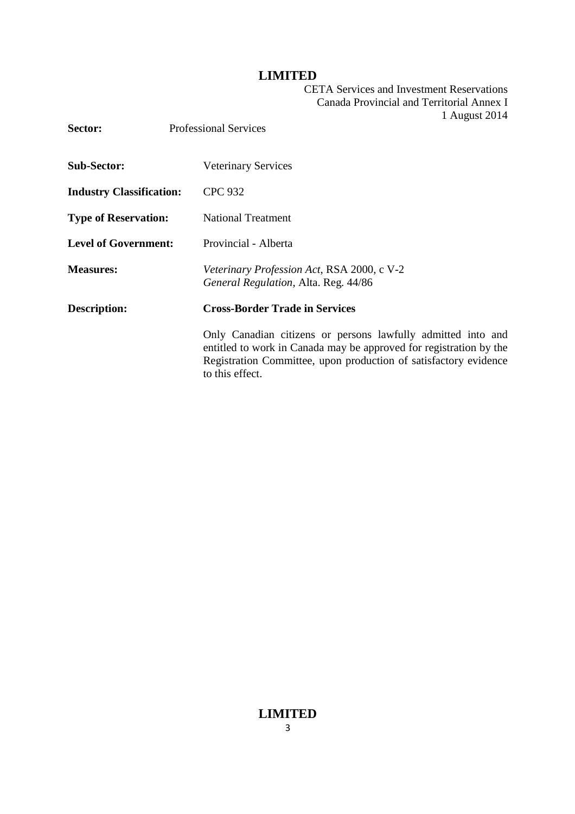CETA Services and Investment Reservations Canada Provincial and Territorial Annex I 1 August 2014

| Sector:                         | <b>Professional Services</b>                                                                                                                                                                                              |
|---------------------------------|---------------------------------------------------------------------------------------------------------------------------------------------------------------------------------------------------------------------------|
| <b>Sub-Sector:</b>              | <b>Veterinary Services</b>                                                                                                                                                                                                |
| <b>Industry Classification:</b> | <b>CPC 932</b>                                                                                                                                                                                                            |
| <b>Type of Reservation:</b>     | <b>National Treatment</b>                                                                                                                                                                                                 |
| <b>Level of Government:</b>     | Provincial - Alberta                                                                                                                                                                                                      |
| <b>Measures:</b>                | Veterinary Profession Act, RSA 2000, c V-2<br>General Regulation, Alta. Reg. 44/86                                                                                                                                        |
| Description:                    | <b>Cross-Border Trade in Services</b>                                                                                                                                                                                     |
|                                 | Only Canadian citizens or persons lawfully admitted into and<br>entitled to work in Canada may be approved for registration by the<br>Registration Committee, upon production of satisfactory evidence<br>to this effect. |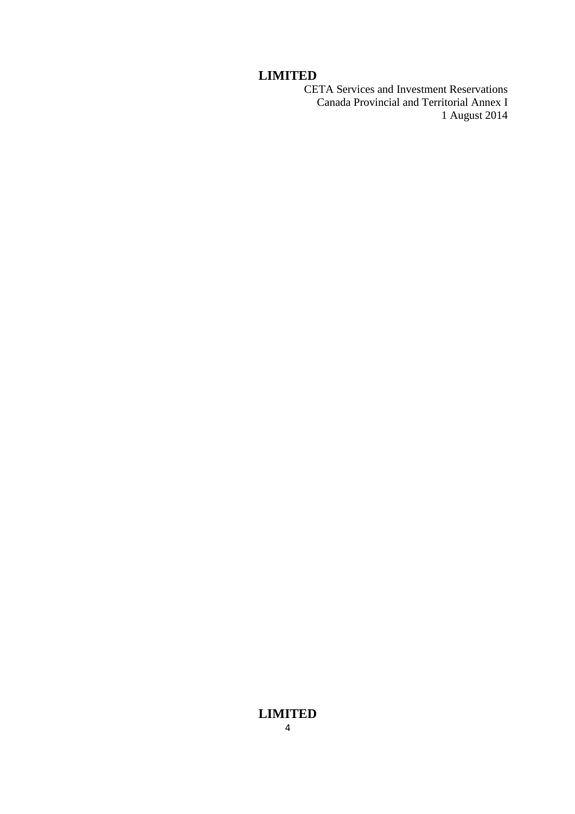CETA Services and Investment Reservations Canada Provincial and Territorial Annex I 1 August 2014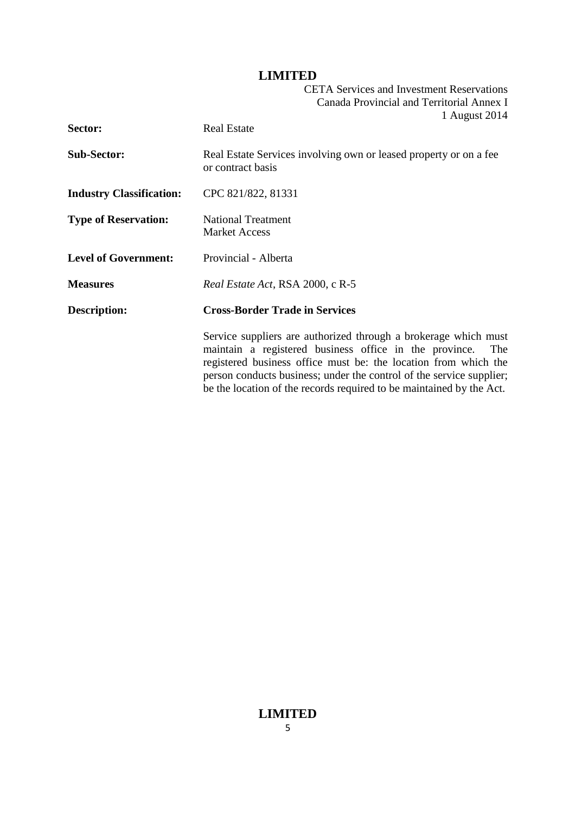CETA Services and Investment Reservations Canada Provincial and Territorial Annex I 1 August 2014

| Sector:                         | <b>Real Estate</b>                                                                                                                                                                                                                                                                                                                                  |
|---------------------------------|-----------------------------------------------------------------------------------------------------------------------------------------------------------------------------------------------------------------------------------------------------------------------------------------------------------------------------------------------------|
| <b>Sub-Sector:</b>              | Real Estate Services involving own or leased property or on a fee<br>or contract basis                                                                                                                                                                                                                                                              |
| <b>Industry Classification:</b> | CPC 821/822, 81331                                                                                                                                                                                                                                                                                                                                  |
| <b>Type of Reservation:</b>     | <b>National Treatment</b><br><b>Market Access</b>                                                                                                                                                                                                                                                                                                   |
| <b>Level of Government:</b>     | Provincial - Alberta                                                                                                                                                                                                                                                                                                                                |
| <b>Measures</b>                 | Real Estate Act, RSA 2000, c R-5                                                                                                                                                                                                                                                                                                                    |
| Description:                    | <b>Cross-Border Trade in Services</b>                                                                                                                                                                                                                                                                                                               |
|                                 | Service suppliers are authorized through a brokerage which must<br>maintain a registered business office in the province.<br>The<br>registered business office must be: the location from which the<br>person conducts business; under the control of the service supplier;<br>be the location of the records required to be maintained by the Act. |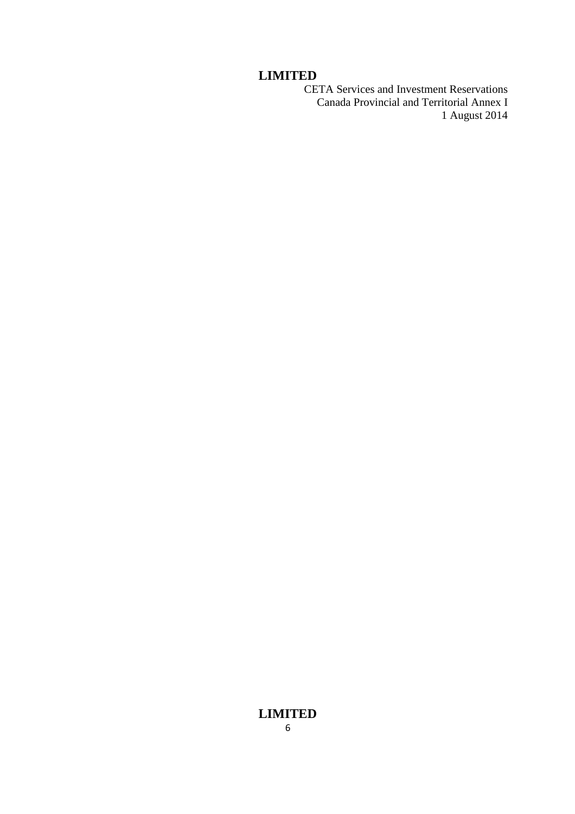CETA Services and Investment Reservations Canada Provincial and Territorial Annex I 1 August 2014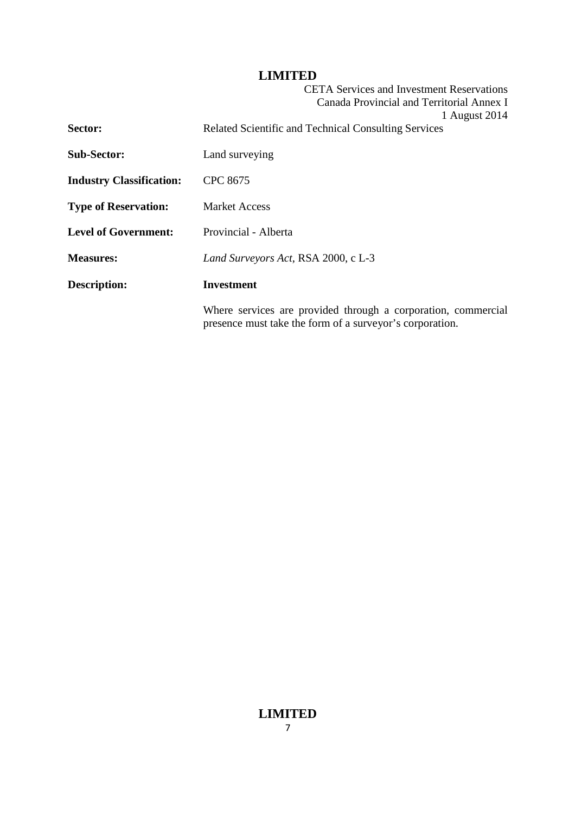|                                 | <b>CETA</b> Services and Investment Reservations                                                                           |
|---------------------------------|----------------------------------------------------------------------------------------------------------------------------|
|                                 | Canada Provincial and Territorial Annex I                                                                                  |
|                                 | 1 August 2014                                                                                                              |
| Sector:                         | Related Scientific and Technical Consulting Services                                                                       |
| <b>Sub-Sector:</b>              | Land surveying                                                                                                             |
| <b>Industry Classification:</b> | CPC 8675                                                                                                                   |
| <b>Type of Reservation:</b>     | <b>Market Access</b>                                                                                                       |
| <b>Level of Government:</b>     | Provincial - Alberta                                                                                                       |
| <b>Measures:</b>                | Land Surveyors Act, RSA 2000, c L-3                                                                                        |
| <b>Description:</b>             | <b>Investment</b>                                                                                                          |
|                                 | Where services are provided through a corporation, commercial<br>presence must take the form of a survey or's corporation. |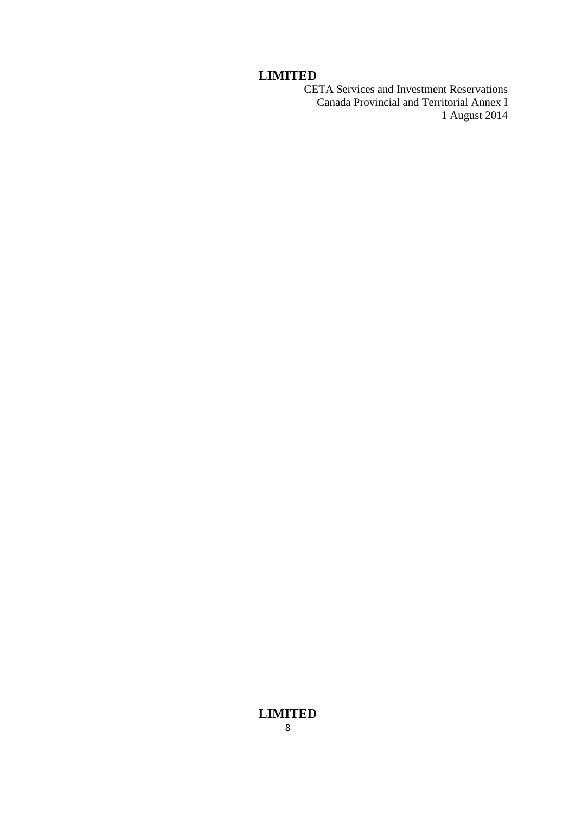CETA Services and Investment Reservations Canada Provincial and Territorial Annex I 1 August 2014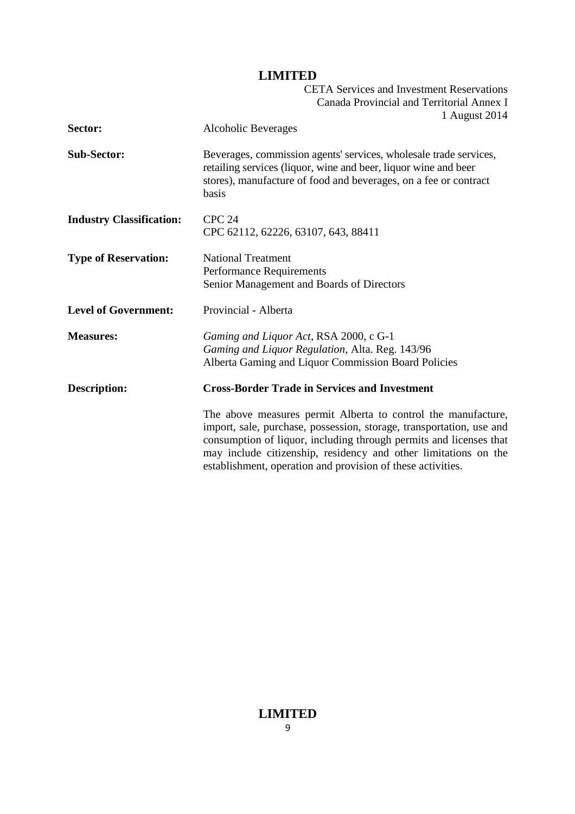| <b>CETA</b> Services and Investment Reservations |  |
|--------------------------------------------------|--|
| Canada Provincial and Territorial Annex I        |  |
| 1 August 2014                                    |  |

| Sector:                         | $1.14$ $\mu$ ut $201$<br><b>Alcoholic Beverages</b>                                                                                                                                                                                                                                                                                           |
|---------------------------------|-----------------------------------------------------------------------------------------------------------------------------------------------------------------------------------------------------------------------------------------------------------------------------------------------------------------------------------------------|
| <b>Sub-Sector:</b>              | Beverages, commission agents' services, wholesale trade services,<br>retailing services (liquor, wine and beer, liquor wine and beer<br>stores), manufacture of food and beverages, on a fee or contract<br>basis                                                                                                                             |
| <b>Industry Classification:</b> | <b>CPC 24</b><br>CPC 62112, 62226, 63107, 643, 88411                                                                                                                                                                                                                                                                                          |
| <b>Type of Reservation:</b>     | <b>National Treatment</b><br>Performance Requirements<br>Senior Management and Boards of Directors                                                                                                                                                                                                                                            |
| <b>Level of Government:</b>     | Provincial - Alberta                                                                                                                                                                                                                                                                                                                          |
| <b>Measures:</b>                | Gaming and Liquor Act, RSA 2000, c G-1<br>Gaming and Liquor Regulation, Alta. Reg. 143/96<br>Alberta Gaming and Liquor Commission Board Policies                                                                                                                                                                                              |
| Description:                    | <b>Cross-Border Trade in Services and Investment</b>                                                                                                                                                                                                                                                                                          |
|                                 | The above measures permit Alberta to control the manufacture,<br>import, sale, purchase, possession, storage, transportation, use and<br>consumption of liquor, including through permits and licenses that<br>may include citizenship, residency and other limitations on the<br>establishment, operation and provision of these activities. |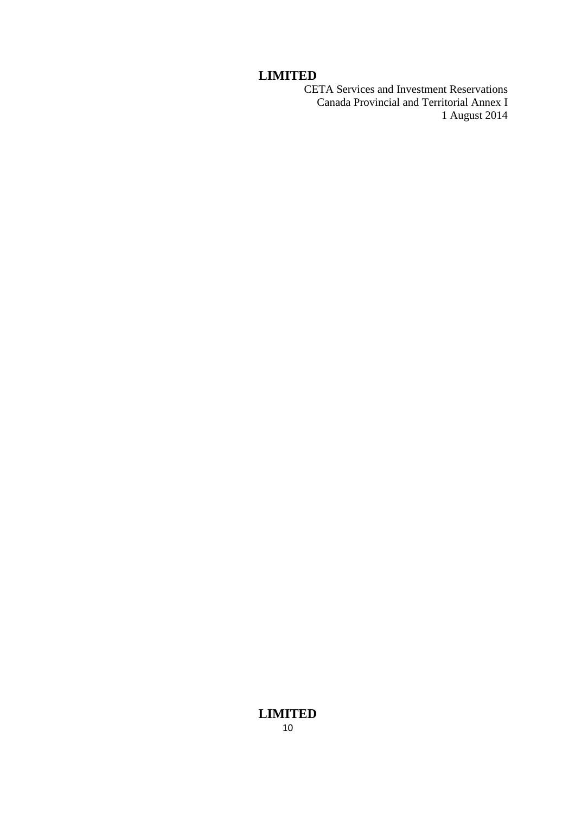CETA Services and Investment Reservations Canada Provincial and Territorial Annex I 1 August 2014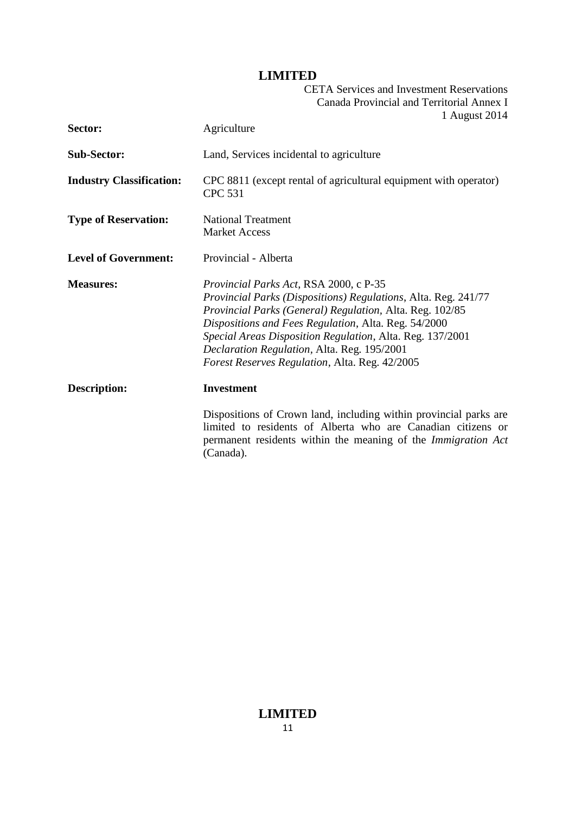| Sector:                         | Agriculture                                                                                                                                                                                                                                                                                                                                                                                |
|---------------------------------|--------------------------------------------------------------------------------------------------------------------------------------------------------------------------------------------------------------------------------------------------------------------------------------------------------------------------------------------------------------------------------------------|
| <b>Sub-Sector:</b>              | Land, Services incidental to agriculture                                                                                                                                                                                                                                                                                                                                                   |
| <b>Industry Classification:</b> | CPC 8811 (except rental of agricultural equipment with operator)<br><b>CPC 531</b>                                                                                                                                                                                                                                                                                                         |
| <b>Type of Reservation:</b>     | <b>National Treatment</b><br><b>Market Access</b>                                                                                                                                                                                                                                                                                                                                          |
| <b>Level of Government:</b>     | Provincial - Alberta                                                                                                                                                                                                                                                                                                                                                                       |
| <b>Measures:</b>                | Provincial Parks Act, RSA 2000, c P-35<br>Provincial Parks (Dispositions) Regulations, Alta. Reg. 241/77<br>Provincial Parks (General) Regulation, Alta. Reg. 102/85<br>Dispositions and Fees Regulation, Alta. Reg. 54/2000<br>Special Areas Disposition Regulation, Alta. Reg. 137/2001<br>Declaration Regulation, Alta. Reg. 195/2001<br>Forest Reserves Regulation, Alta. Reg. 42/2005 |
| Description:                    | <b>Investment</b>                                                                                                                                                                                                                                                                                                                                                                          |
|                                 | Dispositions of Crown land, including within provincial parks are<br>limited to residents of Alberta who are Canadian citizens or<br>permanent residents within the meaning of the <i>Immigration Act</i><br>(Canada).                                                                                                                                                                     |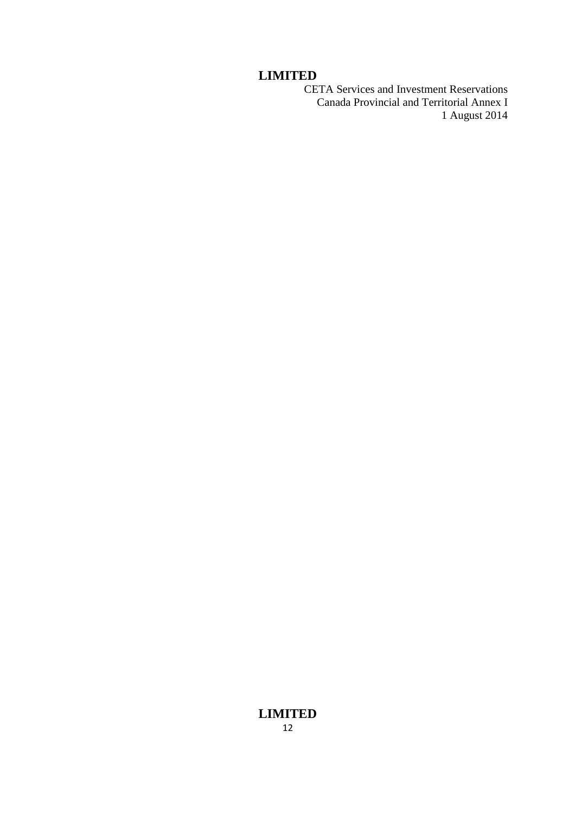CETA Services and Investment Reservations Canada Provincial and Territorial Annex I 1 August 2014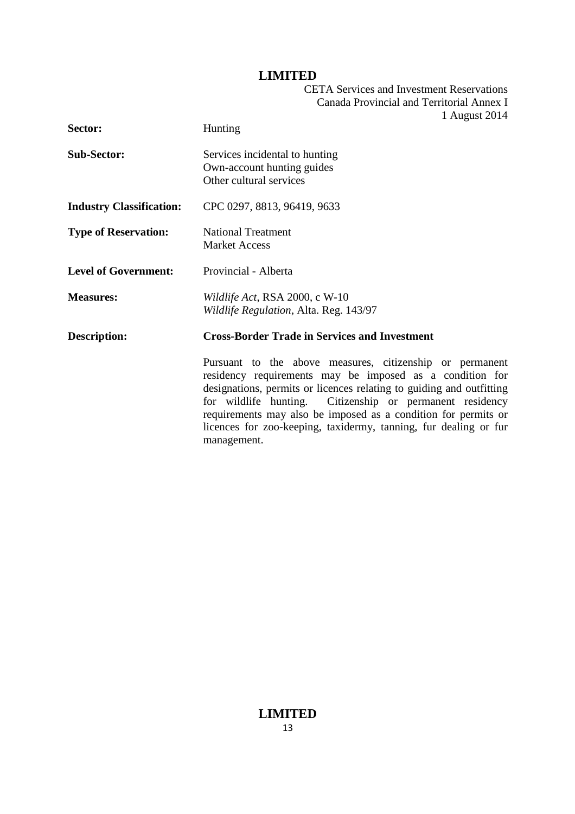CETA Services and Investment Reservations Canada Provincial and Territorial Annex I 1 August 2014

| Sector:                         | Hunting                                                                                                                                                                                                                                                                                                                                                                                                       |
|---------------------------------|---------------------------------------------------------------------------------------------------------------------------------------------------------------------------------------------------------------------------------------------------------------------------------------------------------------------------------------------------------------------------------------------------------------|
| <b>Sub-Sector:</b>              | Services incidental to hunting<br>Own-account hunting guides<br>Other cultural services                                                                                                                                                                                                                                                                                                                       |
| <b>Industry Classification:</b> | CPC 0297, 8813, 96419, 9633                                                                                                                                                                                                                                                                                                                                                                                   |
| <b>Type of Reservation:</b>     | <b>National Treatment</b><br><b>Market Access</b>                                                                                                                                                                                                                                                                                                                                                             |
| <b>Level of Government:</b>     | Provincial - Alberta                                                                                                                                                                                                                                                                                                                                                                                          |
| <b>Measures:</b>                | <i>Wildlife Act</i> , RSA 2000, c W-10<br>Wildlife Regulation, Alta. Reg. 143/97                                                                                                                                                                                                                                                                                                                              |
| Description:                    | <b>Cross-Border Trade in Services and Investment</b>                                                                                                                                                                                                                                                                                                                                                          |
|                                 | Pursuant to the above measures, citizenship or permanent<br>residency requirements may be imposed as a condition for<br>designations, permits or licences relating to guiding and outfitting<br>for wildlife hunting. Citizenship or permanent residency<br>requirements may also be imposed as a condition for permits or<br>licences for zoo-keeping, taxidermy, tanning, fur dealing or fur<br>management. |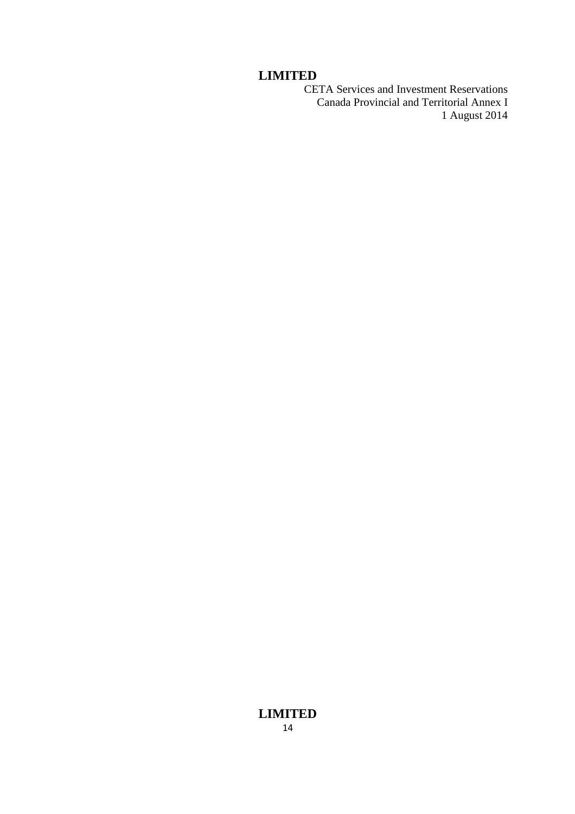CETA Services and Investment Reservations Canada Provincial and Territorial Annex I 1 August 2014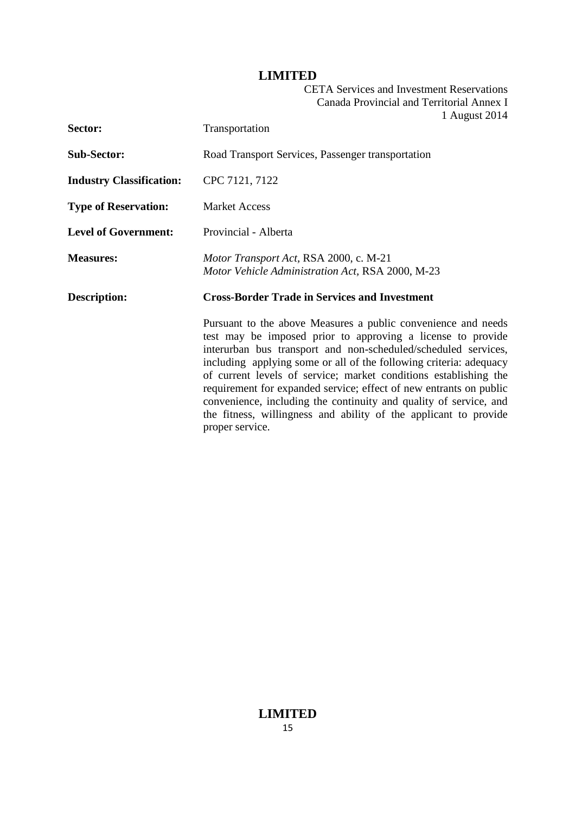| Sector:                         | Transportation                                                                                                                                                                                                                                                                                                                                                                                                                                                                                                                                          |
|---------------------------------|---------------------------------------------------------------------------------------------------------------------------------------------------------------------------------------------------------------------------------------------------------------------------------------------------------------------------------------------------------------------------------------------------------------------------------------------------------------------------------------------------------------------------------------------------------|
| <b>Sub-Sector:</b>              | Road Transport Services, Passenger transportation                                                                                                                                                                                                                                                                                                                                                                                                                                                                                                       |
| <b>Industry Classification:</b> | CPC 7121, 7122                                                                                                                                                                                                                                                                                                                                                                                                                                                                                                                                          |
| <b>Type of Reservation:</b>     | <b>Market Access</b>                                                                                                                                                                                                                                                                                                                                                                                                                                                                                                                                    |
| <b>Level of Government:</b>     | Provincial - Alberta                                                                                                                                                                                                                                                                                                                                                                                                                                                                                                                                    |
| <b>Measures:</b>                | Motor Transport Act, RSA 2000, c. M-21<br>Motor Vehicle Administration Act, RSA 2000, M-23                                                                                                                                                                                                                                                                                                                                                                                                                                                              |
| Description:                    | <b>Cross-Border Trade in Services and Investment</b>                                                                                                                                                                                                                                                                                                                                                                                                                                                                                                    |
|                                 | Pursuant to the above Measures a public convenience and needs<br>test may be imposed prior to approving a license to provide<br>interurban bus transport and non-scheduled/scheduled services,<br>including applying some or all of the following criteria: adequacy<br>of current levels of service; market conditions establishing the<br>requirement for expanded service; effect of new entrants on public<br>convenience, including the continuity and quality of service, and<br>the fitness, willingness and ability of the applicant to provide |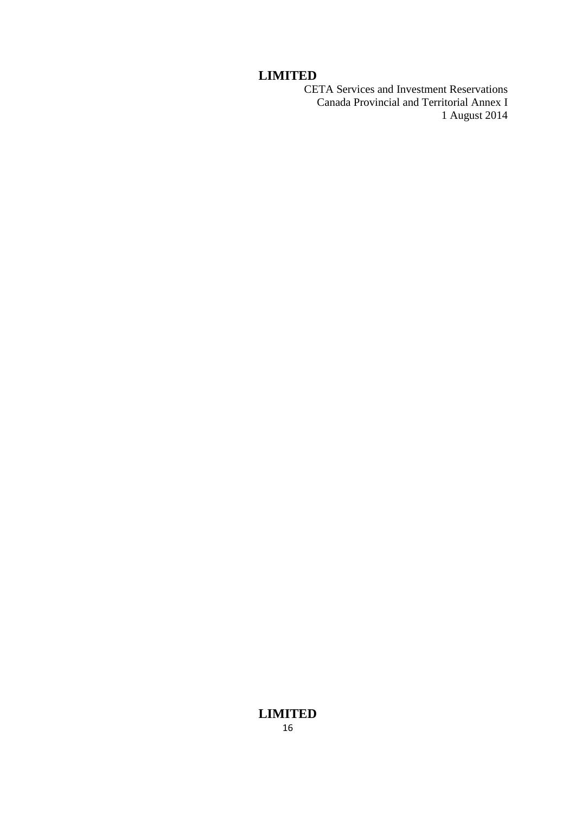CETA Services and Investment Reservations Canada Provincial and Territorial Annex I 1 August 2014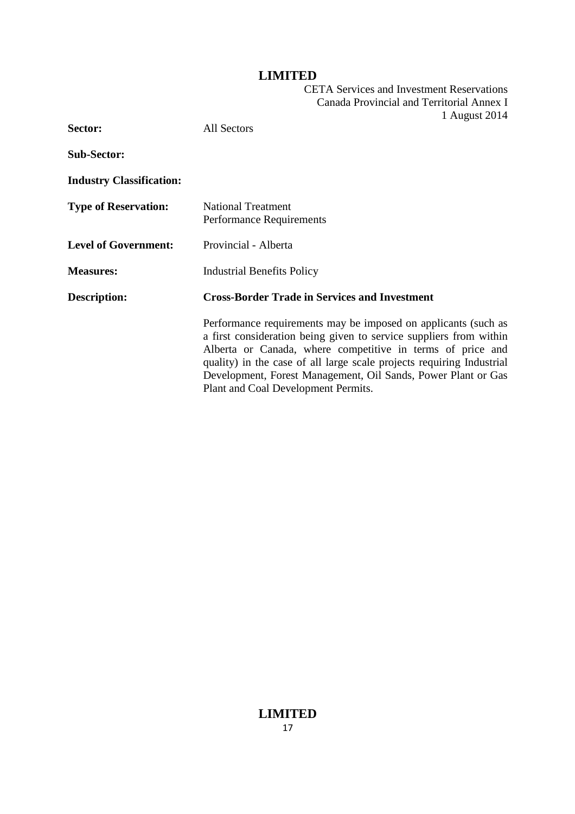| Sector:                         | All Sectors                                                                                                                                                                                                                                                                                                                                                                         |
|---------------------------------|-------------------------------------------------------------------------------------------------------------------------------------------------------------------------------------------------------------------------------------------------------------------------------------------------------------------------------------------------------------------------------------|
| <b>Sub-Sector:</b>              |                                                                                                                                                                                                                                                                                                                                                                                     |
| <b>Industry Classification:</b> |                                                                                                                                                                                                                                                                                                                                                                                     |
| <b>Type of Reservation:</b>     | <b>National Treatment</b><br>Performance Requirements                                                                                                                                                                                                                                                                                                                               |
| <b>Level of Government:</b>     | Provincial - Alberta                                                                                                                                                                                                                                                                                                                                                                |
| <b>Measures:</b>                | <b>Industrial Benefits Policy</b>                                                                                                                                                                                                                                                                                                                                                   |
| Description:                    | <b>Cross-Border Trade in Services and Investment</b>                                                                                                                                                                                                                                                                                                                                |
|                                 | Performance requirements may be imposed on applicants (such as<br>a first consideration being given to service suppliers from within<br>Alberta or Canada, where competitive in terms of price and<br>quality) in the case of all large scale projects requiring Industrial<br>Development, Forest Management, Oil Sands, Power Plant or Gas<br>Plant and Coal Development Permits. |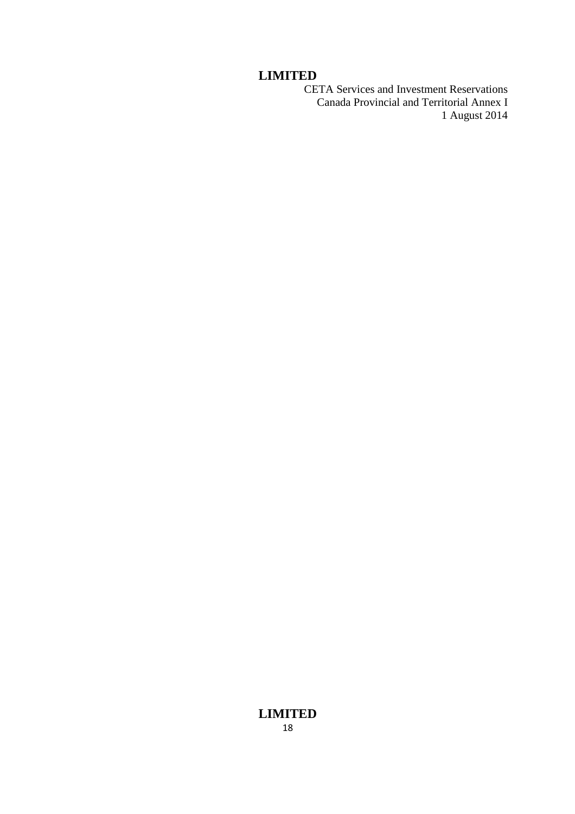CETA Services and Investment Reservations Canada Provincial and Territorial Annex I 1 August 2014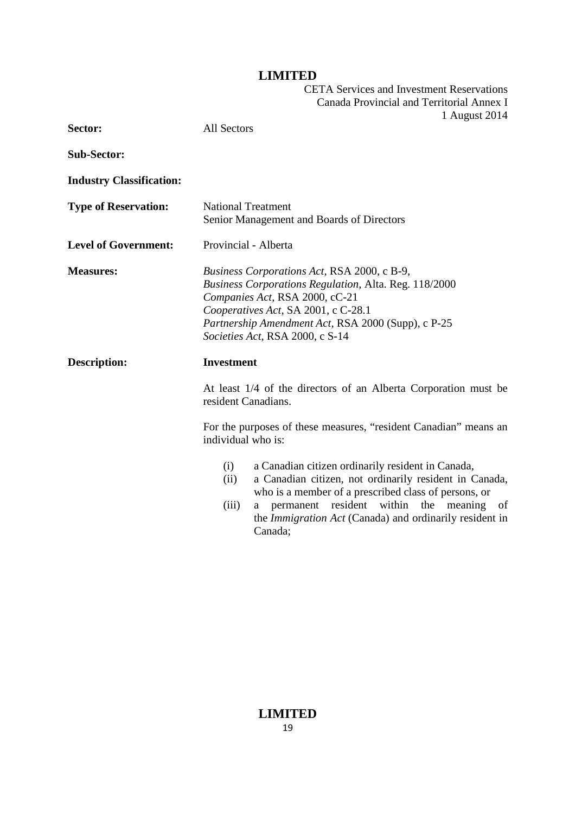| Sector:                         | All Sectors                                                                                                                                                                                                                                                                                                           |
|---------------------------------|-----------------------------------------------------------------------------------------------------------------------------------------------------------------------------------------------------------------------------------------------------------------------------------------------------------------------|
| <b>Sub-Sector:</b>              |                                                                                                                                                                                                                                                                                                                       |
| <b>Industry Classification:</b> |                                                                                                                                                                                                                                                                                                                       |
| <b>Type of Reservation:</b>     | <b>National Treatment</b><br>Senior Management and Boards of Directors                                                                                                                                                                                                                                                |
| <b>Level of Government:</b>     | Provincial - Alberta                                                                                                                                                                                                                                                                                                  |
| <b>Measures:</b>                | Business Corporations Act, RSA 2000, c B-9,<br>Business Corporations Regulation, Alta. Reg. 118/2000<br>Companies Act, RSA 2000, cC-21<br>Cooperatives Act, SA 2001, c C-28.1<br>Partnership Amendment Act, RSA 2000 (Supp), c P-25<br>Societies Act, RSA 2000, c S-14                                                |
| <b>Description:</b>             | <b>Investment</b>                                                                                                                                                                                                                                                                                                     |
|                                 | At least 1/4 of the directors of an Alberta Corporation must be<br>resident Canadians.                                                                                                                                                                                                                                |
|                                 | For the purposes of these measures, "resident Canadian" means an<br>individual who is:                                                                                                                                                                                                                                |
|                                 | a Canadian citizen ordinarily resident in Canada,<br>(i)<br>a Canadian citizen, not ordinarily resident in Canada,<br>(ii)<br>who is a member of a prescribed class of persons, or<br>permanent resident within the meaning<br>(iii)<br>of<br>a<br>the Immigration Act (Canada) and ordinarily resident in<br>Canada; |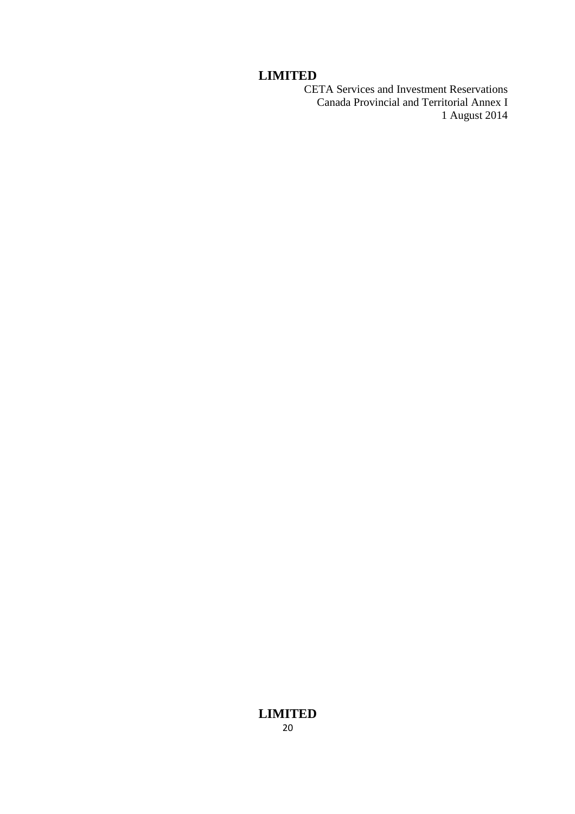CETA Services and Investment Reservations Canada Provincial and Territorial Annex I 1 August 2014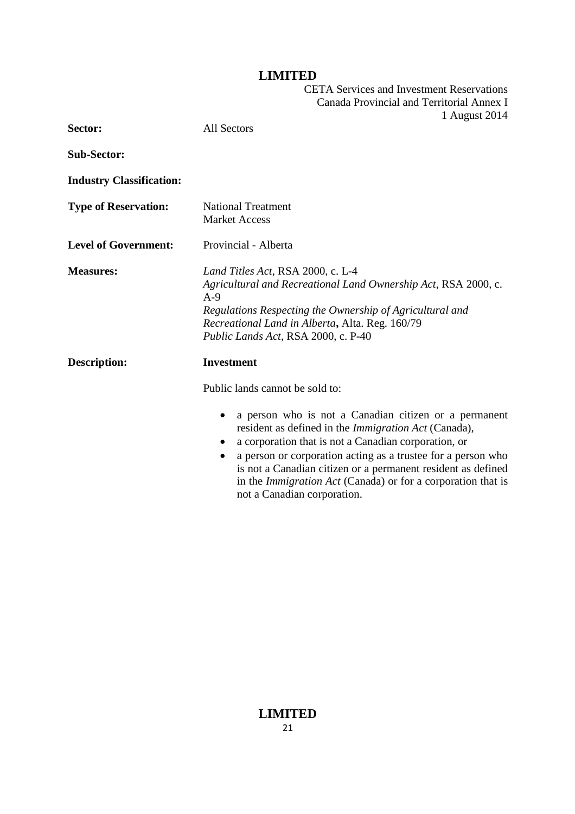| Sector:                         | All Sectors                                                                                                                                                                                                                                                                                                                                                                                                                                                                |
|---------------------------------|----------------------------------------------------------------------------------------------------------------------------------------------------------------------------------------------------------------------------------------------------------------------------------------------------------------------------------------------------------------------------------------------------------------------------------------------------------------------------|
| <b>Sub-Sector:</b>              |                                                                                                                                                                                                                                                                                                                                                                                                                                                                            |
| <b>Industry Classification:</b> |                                                                                                                                                                                                                                                                                                                                                                                                                                                                            |
| <b>Type of Reservation:</b>     | <b>National Treatment</b><br><b>Market Access</b>                                                                                                                                                                                                                                                                                                                                                                                                                          |
| <b>Level of Government:</b>     | Provincial - Alberta                                                                                                                                                                                                                                                                                                                                                                                                                                                       |
| <b>Measures:</b>                | Land Titles Act, RSA 2000, c. L-4<br>Agricultural and Recreational Land Ownership Act, RSA 2000, c.<br>$A-9$<br>Regulations Respecting the Ownership of Agricultural and<br>Recreational Land in Alberta, Alta. Reg. 160/79<br>Public Lands Act, RSA 2000, c. P-40                                                                                                                                                                                                         |
| Description:                    | <b>Investment</b><br>Public lands cannot be sold to:<br>a person who is not a Canadian citizen or a permanent<br>resident as defined in the <i>Immigration Act</i> (Canada),<br>a corporation that is not a Canadian corporation, or<br>a person or corporation acting as a trustee for a person who<br>is not a Canadian citizen or a permanent resident as defined<br>in the <i>Immigration Act</i> (Canada) or for a corporation that is<br>not a Canadian corporation. |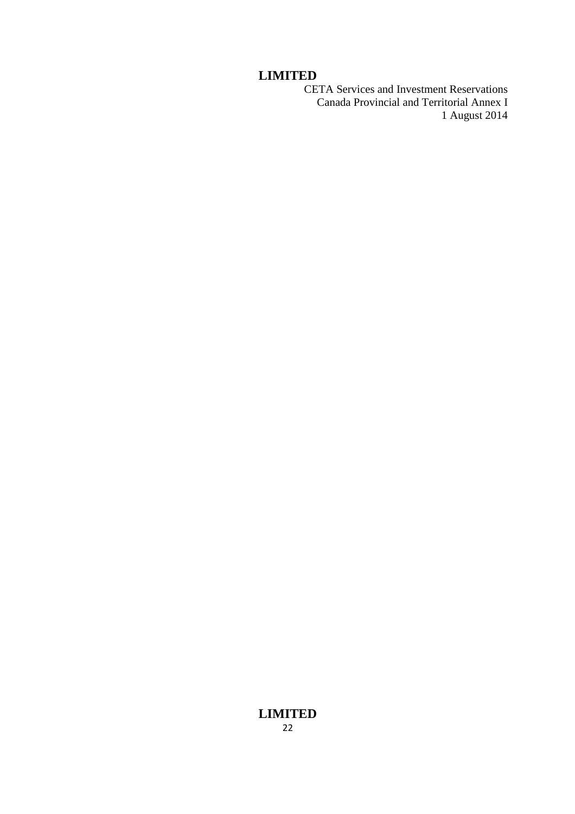CETA Services and Investment Reservations Canada Provincial and Territorial Annex I 1 August 2014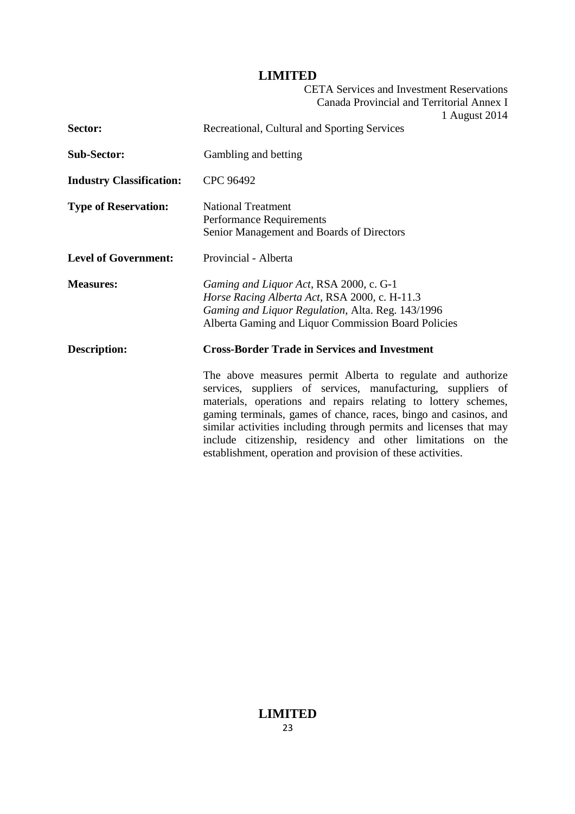| Sector:                         | 1 August $2014$<br>Recreational, Cultural and Sporting Services                                                                                                                                                                                                                                                                                                                                                                                                       |
|---------------------------------|-----------------------------------------------------------------------------------------------------------------------------------------------------------------------------------------------------------------------------------------------------------------------------------------------------------------------------------------------------------------------------------------------------------------------------------------------------------------------|
| <b>Sub-Sector:</b>              | Gambling and betting                                                                                                                                                                                                                                                                                                                                                                                                                                                  |
| <b>Industry Classification:</b> | CPC 96492                                                                                                                                                                                                                                                                                                                                                                                                                                                             |
| <b>Type of Reservation:</b>     | <b>National Treatment</b><br>Performance Requirements<br>Senior Management and Boards of Directors                                                                                                                                                                                                                                                                                                                                                                    |
| <b>Level of Government:</b>     | Provincial - Alberta                                                                                                                                                                                                                                                                                                                                                                                                                                                  |
| <b>Measures:</b>                | Gaming and Liquor Act, RSA 2000, c. G-1<br>Horse Racing Alberta Act, RSA 2000, c. H-11.3<br>Gaming and Liquor Regulation, Alta. Reg. 143/1996<br>Alberta Gaming and Liquor Commission Board Policies                                                                                                                                                                                                                                                                  |
| <b>Description:</b>             | <b>Cross-Border Trade in Services and Investment</b>                                                                                                                                                                                                                                                                                                                                                                                                                  |
|                                 | The above measures permit Alberta to regulate and authorize<br>services, suppliers of services, manufacturing, suppliers of<br>materials, operations and repairs relating to lottery schemes,<br>gaming terminals, games of chance, races, bingo and casinos, and<br>similar activities including through permits and licenses that may<br>include citizenship, residency and other limitations on the<br>establishment, operation and provision of these activities. |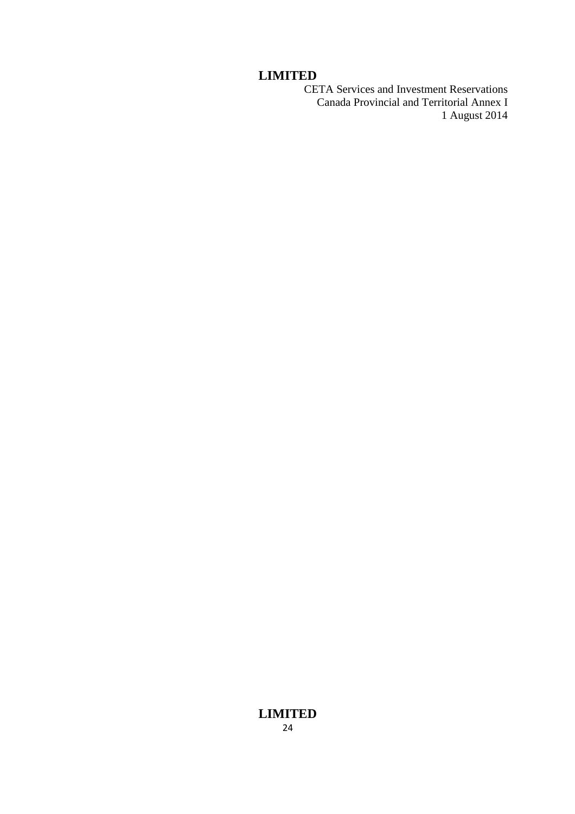CETA Services and Investment Reservations Canada Provincial and Territorial Annex I 1 August 2014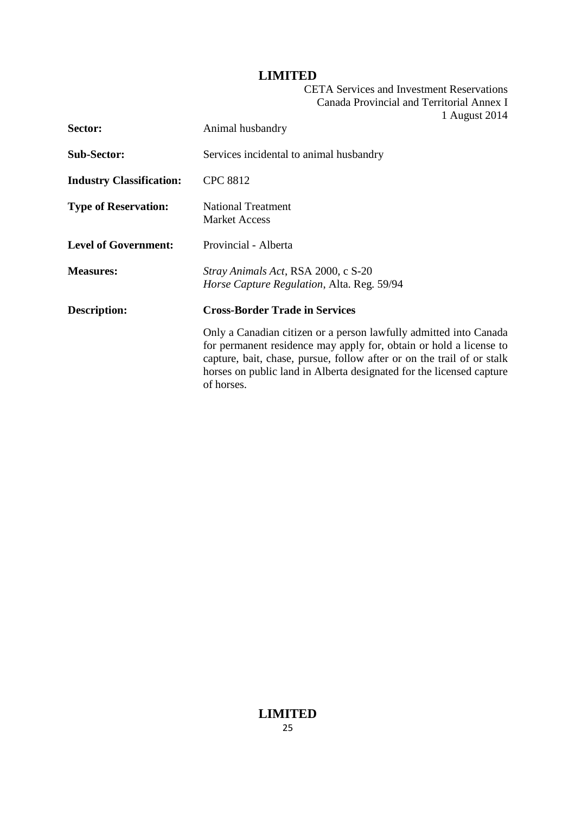CETA Services and Investment Reservations Canada Provincial and Territorial Annex I 1 August 2014

| Sector:                         | Animal husbandry                                                                                                                                                                                                                                                                                        |
|---------------------------------|---------------------------------------------------------------------------------------------------------------------------------------------------------------------------------------------------------------------------------------------------------------------------------------------------------|
| <b>Sub-Sector:</b>              | Services incidental to animal husbandry                                                                                                                                                                                                                                                                 |
| <b>Industry Classification:</b> | <b>CPC 8812</b>                                                                                                                                                                                                                                                                                         |
| <b>Type of Reservation:</b>     | National Treatment<br><b>Market Access</b>                                                                                                                                                                                                                                                              |
| <b>Level of Government:</b>     | Provincial - Alberta                                                                                                                                                                                                                                                                                    |
| <b>Measures:</b>                | <i>Stray Animals Act, RSA 2000, c S-20</i><br>Horse Capture Regulation, Alta. Reg. 59/94                                                                                                                                                                                                                |
| Description:                    | <b>Cross-Border Trade in Services</b>                                                                                                                                                                                                                                                                   |
|                                 | Only a Canadian citizen or a person lawfully admitted into Canada<br>for permanent residence may apply for, obtain or hold a license to<br>capture, bait, chase, pursue, follow after or on the trail of or stalk<br>horses on public land in Alberta designated for the licensed capture<br>of horses. |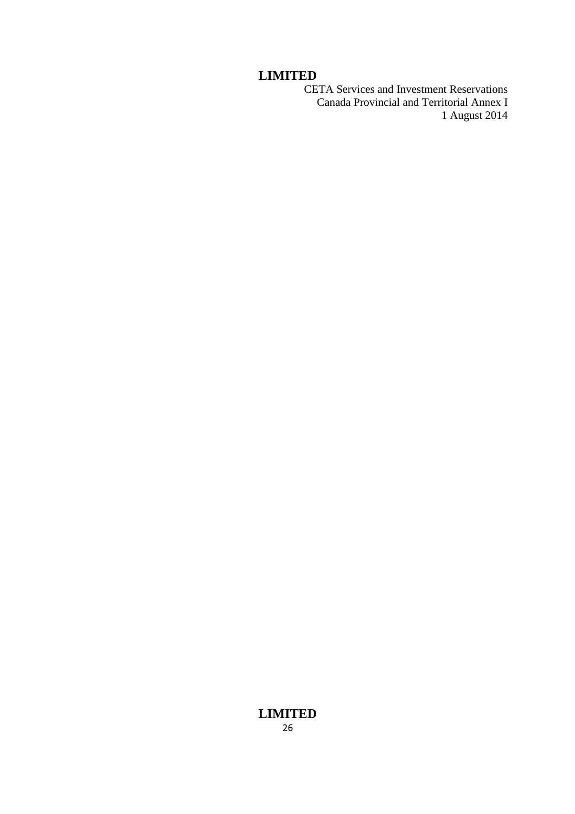CETA Services and Investment Reservations Canada Provincial and Territorial Annex I 1 August 2014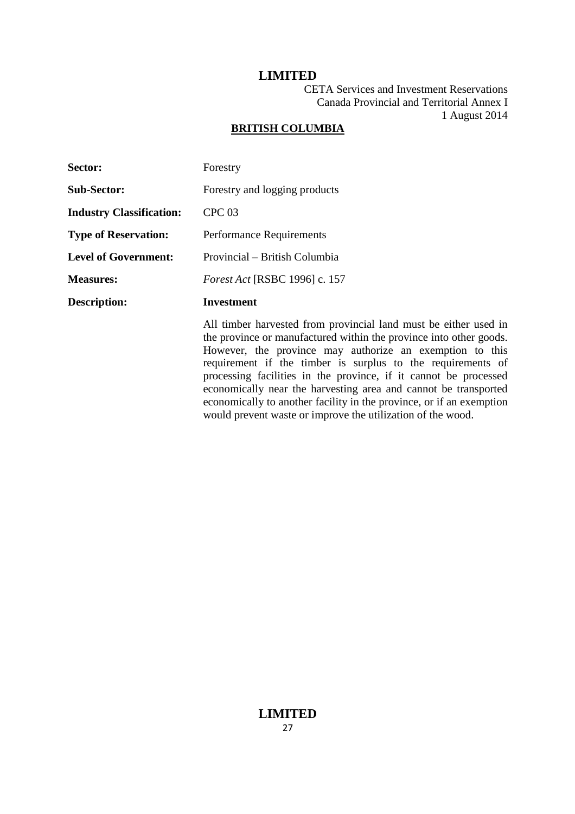CETA Services and Investment Reservations Canada Provincial and Territorial Annex I 1 August 2014

### **BRITISH COLUMBIA**

| Sector:                         | Forestry                                                                                                                                                                                                                                                                                                                                                                                                                                                                         |
|---------------------------------|----------------------------------------------------------------------------------------------------------------------------------------------------------------------------------------------------------------------------------------------------------------------------------------------------------------------------------------------------------------------------------------------------------------------------------------------------------------------------------|
| <b>Sub-Sector:</b>              | Forestry and logging products                                                                                                                                                                                                                                                                                                                                                                                                                                                    |
| <b>Industry Classification:</b> | CPC <sub>03</sub>                                                                                                                                                                                                                                                                                                                                                                                                                                                                |
| <b>Type of Reservation:</b>     | Performance Requirements                                                                                                                                                                                                                                                                                                                                                                                                                                                         |
| <b>Level of Government:</b>     | Provincial – British Columbia                                                                                                                                                                                                                                                                                                                                                                                                                                                    |
| <b>Measures:</b>                | <i>Forest Act</i> [RSBC 1996] c. 157                                                                                                                                                                                                                                                                                                                                                                                                                                             |
| Description:                    | <b>Investment</b>                                                                                                                                                                                                                                                                                                                                                                                                                                                                |
|                                 | All timber harvested from provincial land must be either used in<br>the province or manufactured within the province into other goods.<br>However, the province may authorize an exemption to this<br>requirement if the timber is surplus to the requirements of<br>processing facilities in the province, if it cannot be processed<br>economically near the harvesting area and cannot be transported<br>economically to another facility in the province, or if an exemption |

would prevent waste or improve the utilization of the wood.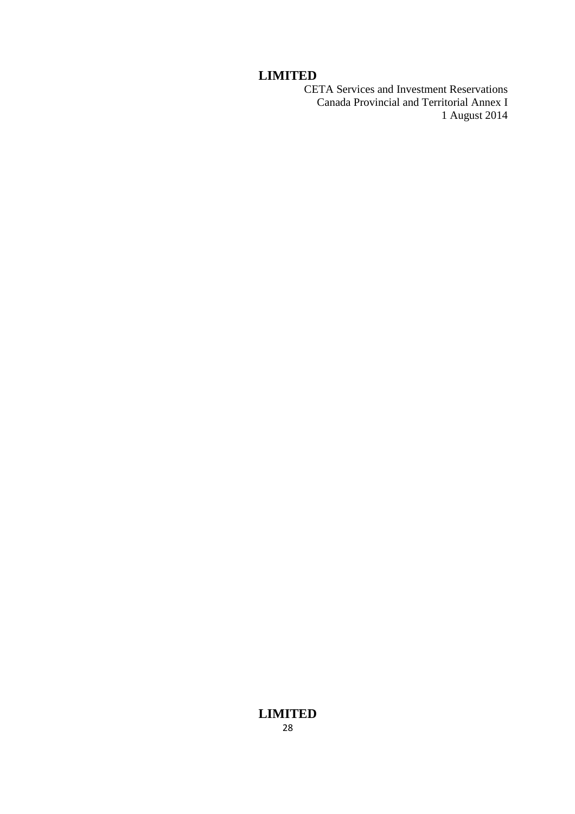CETA Services and Investment Reservations Canada Provincial and Territorial Annex I 1 August 2014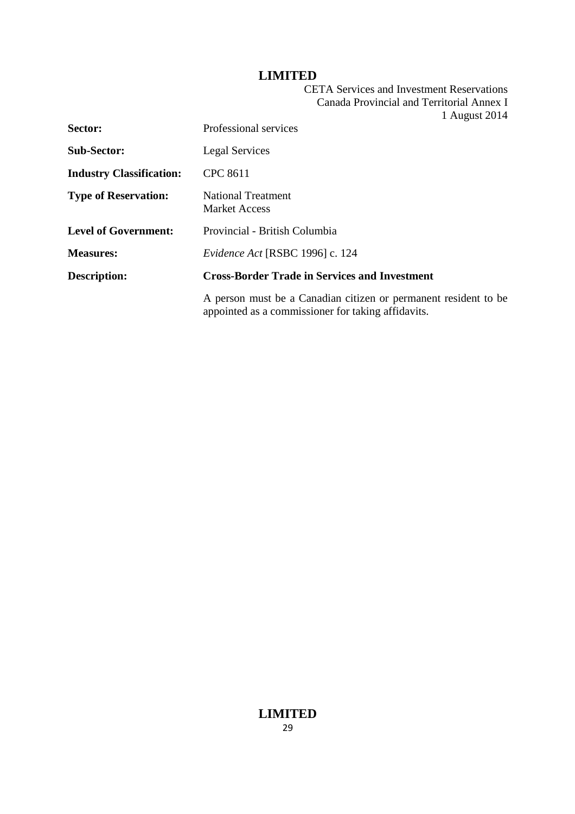| Sector:                         | Professional services                                                                                                 |
|---------------------------------|-----------------------------------------------------------------------------------------------------------------------|
| <b>Sub-Sector:</b>              | Legal Services                                                                                                        |
| <b>Industry Classification:</b> | <b>CPC 8611</b>                                                                                                       |
| <b>Type of Reservation:</b>     | <b>National Treatment</b><br><b>Market Access</b>                                                                     |
| <b>Level of Government:</b>     | Provincial - British Columbia                                                                                         |
| <b>Measures:</b>                | Evidence Act [RSBC 1996] c. 124                                                                                       |
| Description:                    | <b>Cross-Border Trade in Services and Investment</b>                                                                  |
|                                 | A person must be a Canadian citizen or permanent resident to be<br>appointed as a commissioner for taking affidavits. |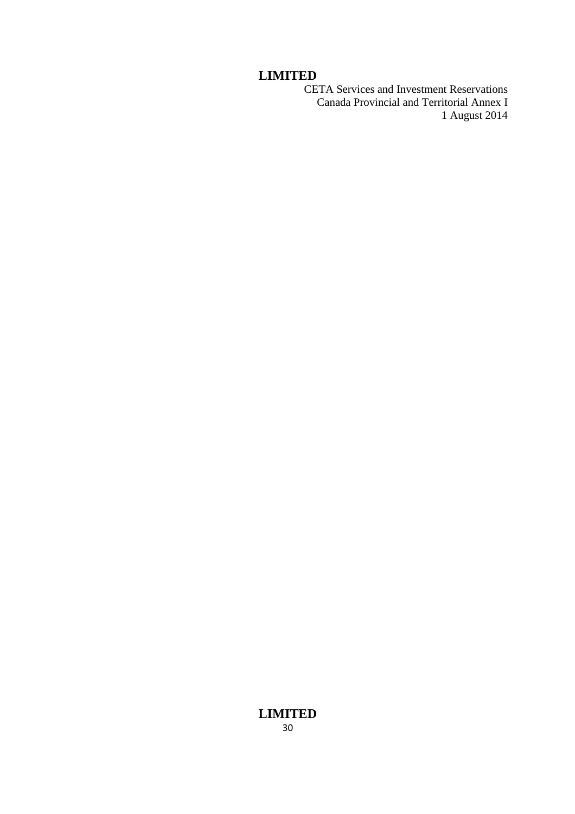CETA Services and Investment Reservations Canada Provincial and Territorial Annex I 1 August 2014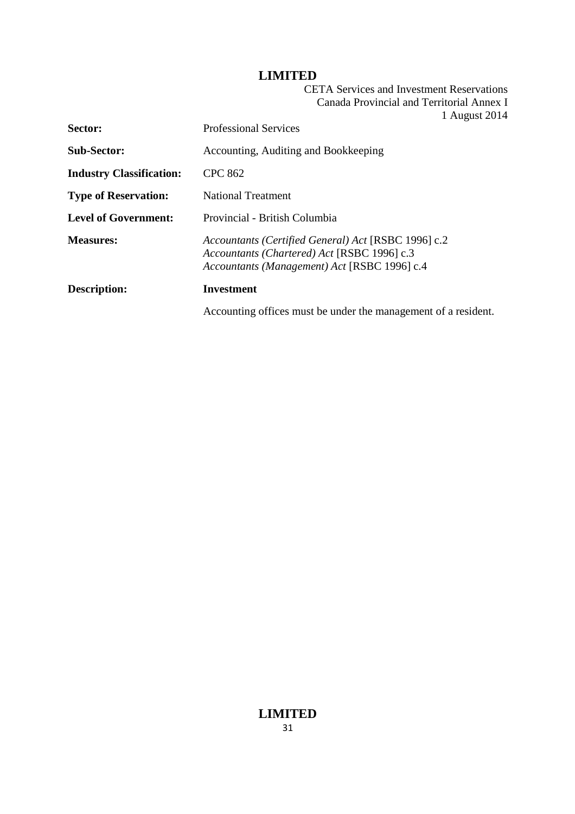| Sector:                         | <b>Professional Services</b>                                                                                                                       |
|---------------------------------|----------------------------------------------------------------------------------------------------------------------------------------------------|
| <b>Sub-Sector:</b>              | Accounting, Auditing and Bookkeeping                                                                                                               |
| <b>Industry Classification:</b> | <b>CPC 862</b>                                                                                                                                     |
| <b>Type of Reservation:</b>     | <b>National Treatment</b>                                                                                                                          |
| <b>Level of Government:</b>     | Provincial - British Columbia                                                                                                                      |
| <b>Measures:</b>                | Accountants (Certified General) Act [RSBC 1996] c.2<br>Accountants (Chartered) Act [RSBC 1996] c.3<br>Accountants (Management) Act [RSBC 1996] c.4 |
| Description:                    | <b>Investment</b>                                                                                                                                  |
|                                 | Accounting offices must be under the management of a resident.                                                                                     |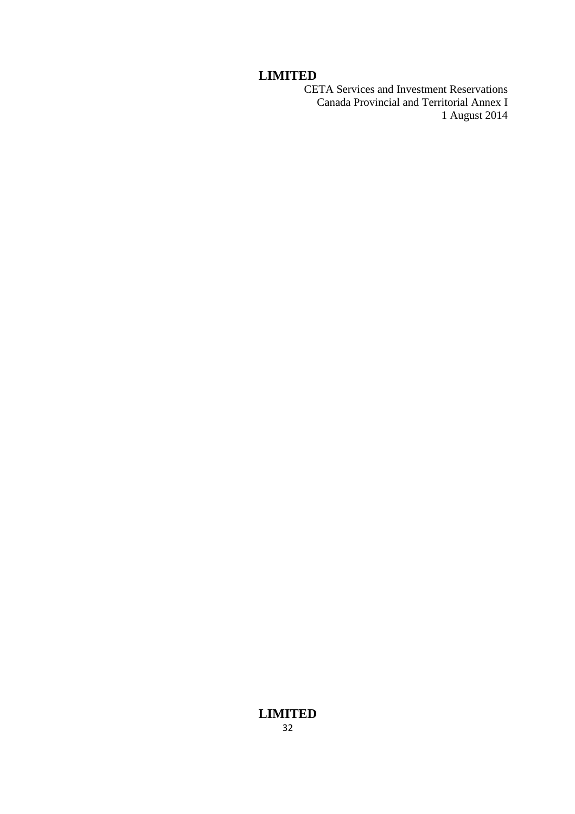CETA Services and Investment Reservations Canada Provincial and Territorial Annex I 1 August 2014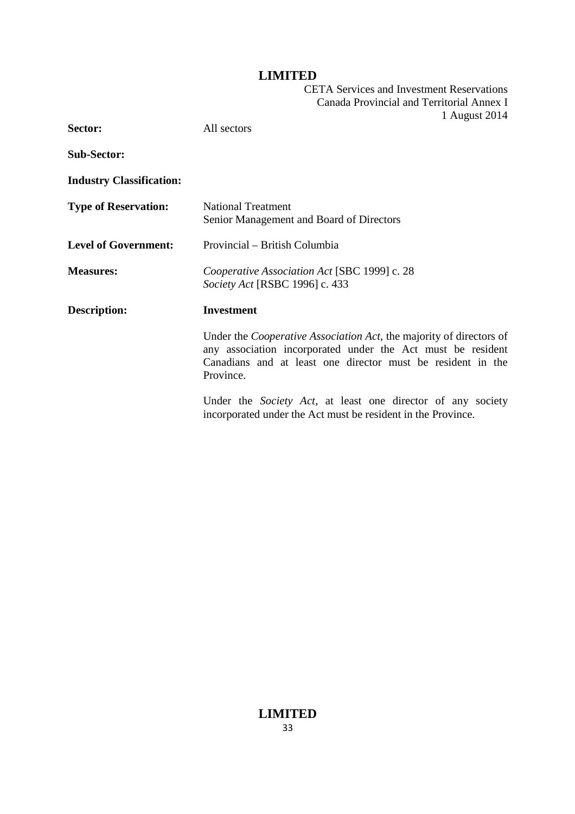| <b>Sector:</b>                  | All sectors                                                                                                                                                                                                            |
|---------------------------------|------------------------------------------------------------------------------------------------------------------------------------------------------------------------------------------------------------------------|
| <b>Sub-Sector:</b>              |                                                                                                                                                                                                                        |
| <b>Industry Classification:</b> |                                                                                                                                                                                                                        |
| <b>Type of Reservation:</b>     | <b>National Treatment</b><br>Senior Management and Board of Directors                                                                                                                                                  |
| <b>Level of Government:</b>     | Provincial – British Columbia                                                                                                                                                                                          |
| <b>Measures:</b>                | Cooperative Association Act [SBC 1999] c. 28<br>Society Act [RSBC 1996] c. 433                                                                                                                                         |
| <b>Description:</b>             | <b>Investment</b>                                                                                                                                                                                                      |
|                                 | Under the <i>Cooperative Association Act</i> , the majority of directors of<br>any association incorporated under the Act must be resident<br>Canadians and at least one director must be resident in the<br>Province. |
|                                 | Under the Society Act, at least one director of any society<br>incorporated under the Act must be resident in the Province.                                                                                            |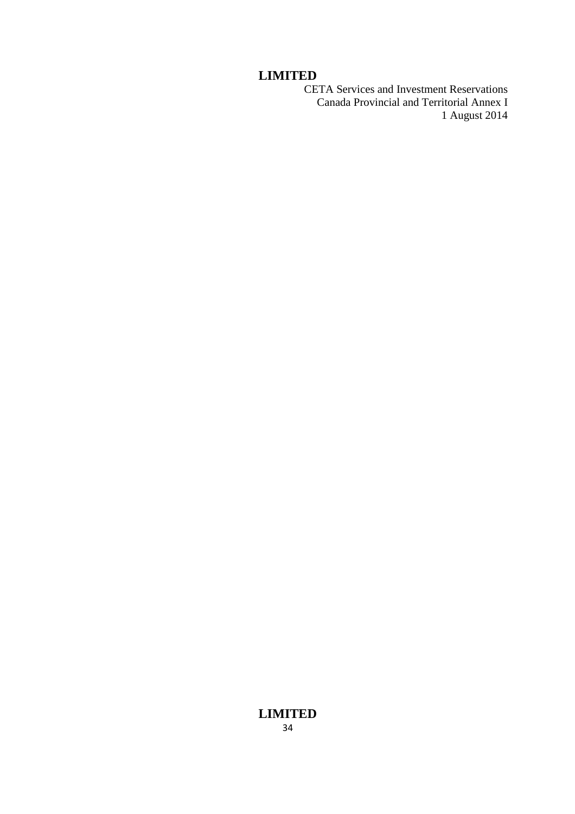CETA Services and Investment Reservations Canada Provincial and Territorial Annex I 1 August 2014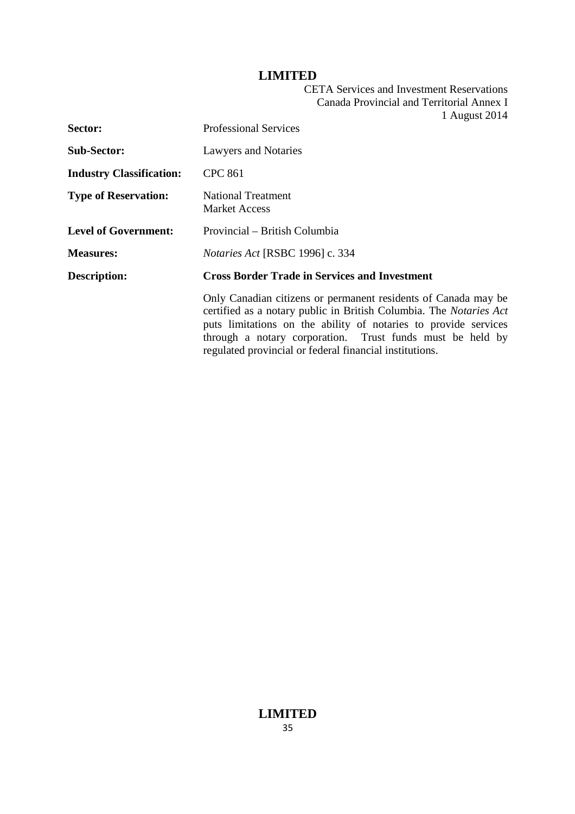| Sector:                         | <b>Professional Services</b>                                                                                                                                                                                                                                                                                                           |
|---------------------------------|----------------------------------------------------------------------------------------------------------------------------------------------------------------------------------------------------------------------------------------------------------------------------------------------------------------------------------------|
| <b>Sub-Sector:</b>              | Lawyers and Notaries                                                                                                                                                                                                                                                                                                                   |
| <b>Industry Classification:</b> | <b>CPC 861</b>                                                                                                                                                                                                                                                                                                                         |
| <b>Type of Reservation:</b>     | National Treatment<br><b>Market Access</b>                                                                                                                                                                                                                                                                                             |
| <b>Level of Government:</b>     | Provincial – British Columbia                                                                                                                                                                                                                                                                                                          |
| <b>Measures:</b>                | Notaries Act [RSBC 1996] c. 334                                                                                                                                                                                                                                                                                                        |
| Description:                    | <b>Cross Border Trade in Services and Investment</b>                                                                                                                                                                                                                                                                                   |
|                                 | Only Canadian citizens or permanent residents of Canada may be<br>certified as a notary public in British Columbia. The <i>Notaries Act</i><br>puts limitations on the ability of notaries to provide services<br>through a notary corporation. Trust funds must be held by<br>regulated provincial or federal financial institutions. |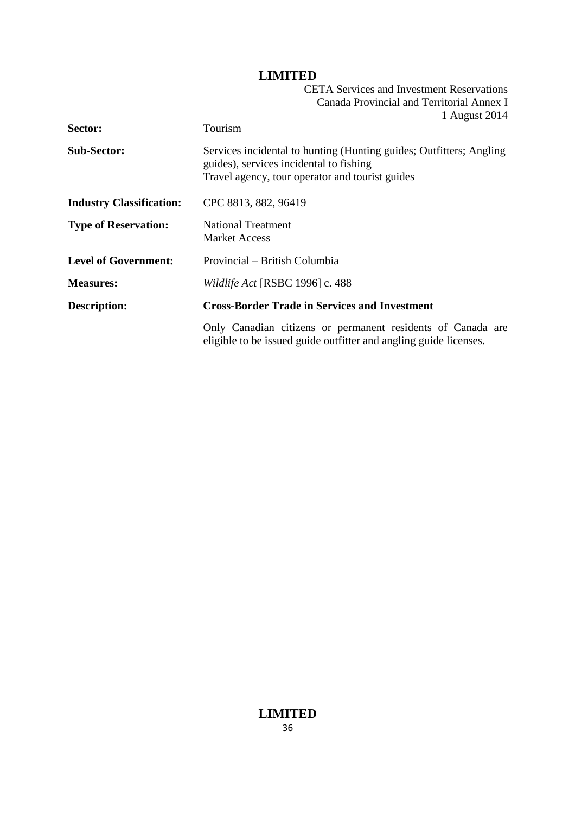| Sector:                         | Tourism                                                                                                                                                           |
|---------------------------------|-------------------------------------------------------------------------------------------------------------------------------------------------------------------|
| <b>Sub-Sector:</b>              | Services incidental to hunting (Hunting guides; Outfitters; Angling<br>guides), services incidental to fishing<br>Travel agency, tour operator and tourist guides |
| <b>Industry Classification:</b> | CPC 8813, 882, 96419                                                                                                                                              |
| <b>Type of Reservation:</b>     | <b>National Treatment</b><br><b>Market Access</b>                                                                                                                 |
| <b>Level of Government:</b>     | Provincial – British Columbia                                                                                                                                     |
| <b>Measures:</b>                | Wildlife Act [RSBC 1996] c. 488                                                                                                                                   |
| Description:                    | <b>Cross-Border Trade in Services and Investment</b>                                                                                                              |
|                                 | Only Canadian citizens or permanent residents of Canada are<br>eligible to be issued guide outfitter and angling guide licenses.                                  |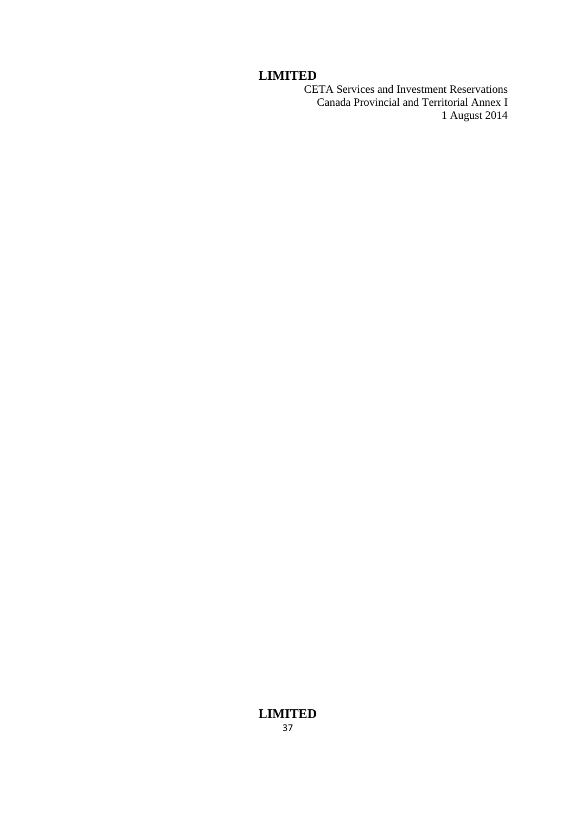CETA Services and Investment Reservations Canada Provincial and Territorial Annex I 1 August 2014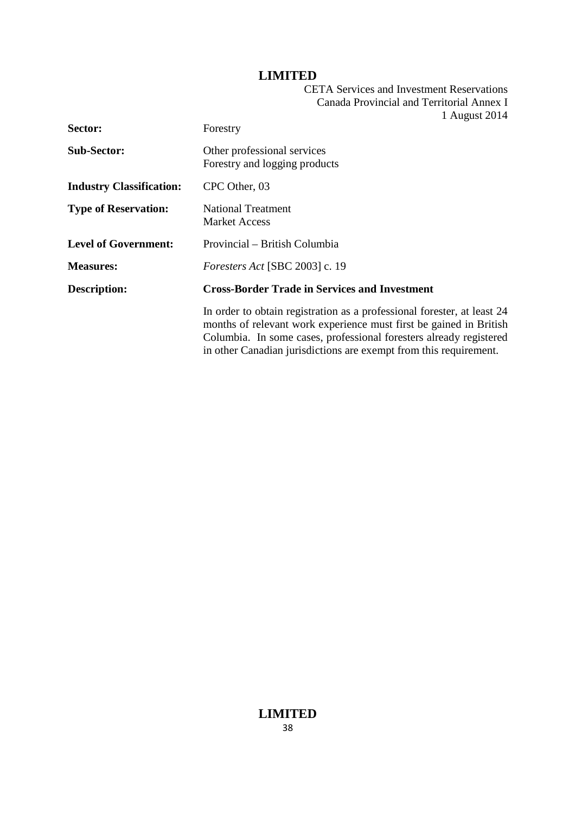| Sector:                         | Forestry                                                                                                                                                                                                                                                                                 |
|---------------------------------|------------------------------------------------------------------------------------------------------------------------------------------------------------------------------------------------------------------------------------------------------------------------------------------|
| <b>Sub-Sector:</b>              | Other professional services<br>Forestry and logging products                                                                                                                                                                                                                             |
| <b>Industry Classification:</b> | CPC Other, 03                                                                                                                                                                                                                                                                            |
| <b>Type of Reservation:</b>     | National Treatment<br><b>Market Access</b>                                                                                                                                                                                                                                               |
| <b>Level of Government:</b>     | Provincial – British Columbia                                                                                                                                                                                                                                                            |
| <b>Measures:</b>                | Foresters Act [SBC 2003] c. 19                                                                                                                                                                                                                                                           |
| Description:                    | <b>Cross-Border Trade in Services and Investment</b>                                                                                                                                                                                                                                     |
|                                 | In order to obtain registration as a professional forester, at least 24<br>months of relevant work experience must first be gained in British<br>Columbia. In some cases, professional foresters already registered<br>in other Canadian jurisdictions are exempt from this requirement. |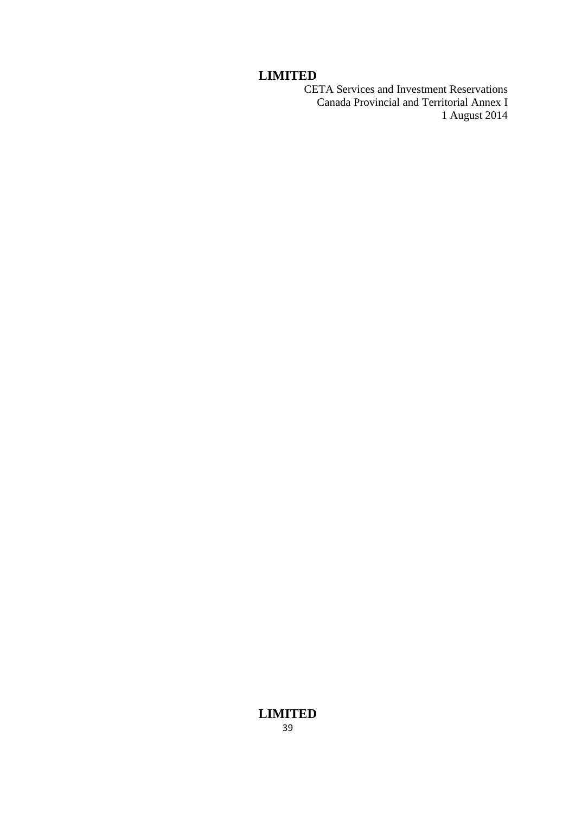CETA Services and Investment Reservations Canada Provincial and Territorial Annex I 1 August 2014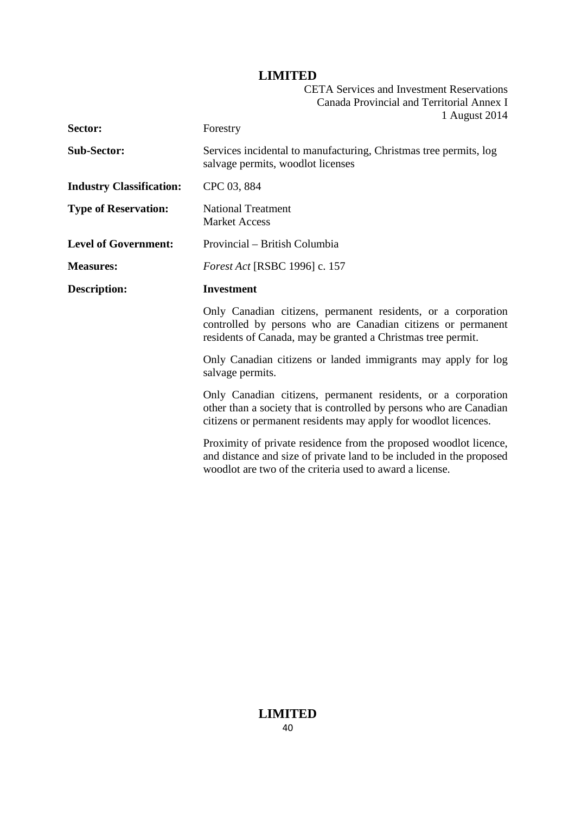| Sector:                         | Forestry                                                                                                                                                                                                |
|---------------------------------|---------------------------------------------------------------------------------------------------------------------------------------------------------------------------------------------------------|
| <b>Sub-Sector:</b>              | Services incidental to manufacturing, Christmas tree permits, log<br>salvage permits, woodlot licenses                                                                                                  |
| <b>Industry Classification:</b> | CPC 03, 884                                                                                                                                                                                             |
| <b>Type of Reservation:</b>     | <b>National Treatment</b><br><b>Market Access</b>                                                                                                                                                       |
| <b>Level of Government:</b>     | Provincial – British Columbia                                                                                                                                                                           |
| <b>Measures:</b>                | Forest Act [RSBC 1996] c. 157                                                                                                                                                                           |
| Description:                    | <b>Investment</b>                                                                                                                                                                                       |
|                                 | Only Canadian citizens, permanent residents, or a corporation<br>controlled by persons who are Canadian citizens or permanent<br>residents of Canada, may be granted a Christmas tree permit.           |
|                                 | Only Canadian citizens or landed immigrants may apply for log<br>salvage permits.                                                                                                                       |
|                                 | Only Canadian citizens, permanent residents, or a corporation<br>other than a society that is controlled by persons who are Canadian<br>citizens or permanent residents may apply for woodlot licences. |
|                                 | Proximity of private residence from the proposed woodlot licence,<br>and distance and size of private land to be included in the proposed<br>woodlot are two of the criteria used to award a license.   |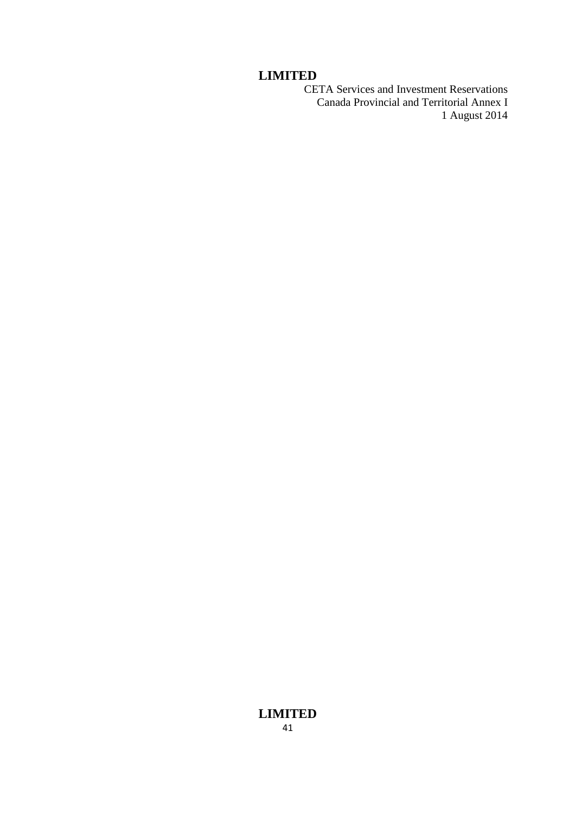CETA Services and Investment Reservations Canada Provincial and Territorial Annex I 1 August 2014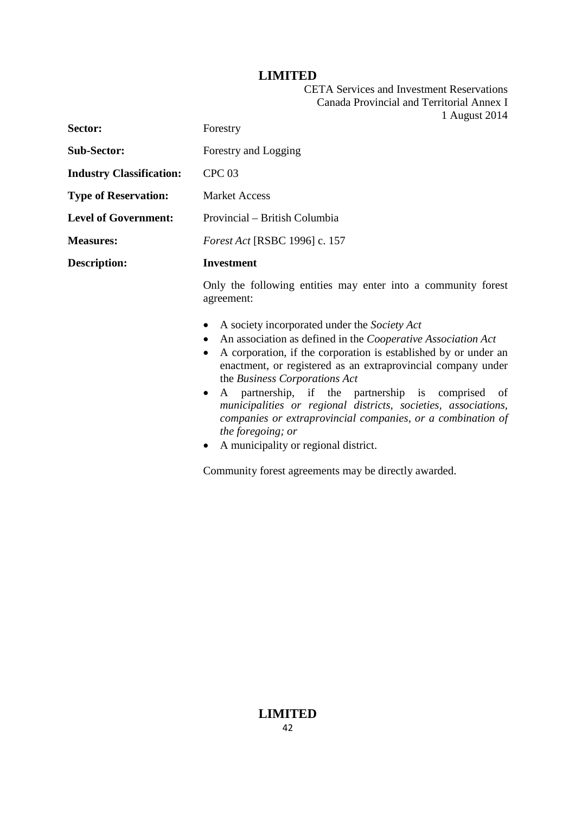CETA Services and Investment Reservations Canada Provincial and Territorial Annex I 1 August 2014

| Sector:                         | Forestry                                                                                                                                                                                                                                                                                                                                                                                                                                                                                                                                                                                             |
|---------------------------------|------------------------------------------------------------------------------------------------------------------------------------------------------------------------------------------------------------------------------------------------------------------------------------------------------------------------------------------------------------------------------------------------------------------------------------------------------------------------------------------------------------------------------------------------------------------------------------------------------|
| <b>Sub-Sector:</b>              | Forestry and Logging                                                                                                                                                                                                                                                                                                                                                                                                                                                                                                                                                                                 |
| <b>Industry Classification:</b> | CPC <sub>03</sub>                                                                                                                                                                                                                                                                                                                                                                                                                                                                                                                                                                                    |
| <b>Type of Reservation:</b>     | <b>Market Access</b>                                                                                                                                                                                                                                                                                                                                                                                                                                                                                                                                                                                 |
| <b>Level of Government:</b>     | Provincial – British Columbia                                                                                                                                                                                                                                                                                                                                                                                                                                                                                                                                                                        |
| <b>Measures:</b>                | <i>Forest Act</i> [RSBC 1996] c. 157                                                                                                                                                                                                                                                                                                                                                                                                                                                                                                                                                                 |
| Description:                    | <b>Investment</b>                                                                                                                                                                                                                                                                                                                                                                                                                                                                                                                                                                                    |
|                                 | Only the following entities may enter into a community forest<br>agreement:                                                                                                                                                                                                                                                                                                                                                                                                                                                                                                                          |
|                                 | A society incorporated under the Society Act<br>$\bullet$<br>An association as defined in the Cooperative Association Act<br>$\bullet$<br>A corporation, if the corporation is established by or under an<br>$\bullet$<br>enactment, or registered as an extraprovincial company under<br>the Business Corporations Act<br>A partnership, if the partnership is comprised of<br>$\bullet$<br>municipalities or regional districts, societies, associations,<br>companies or extraprovincial companies, or a combination of<br>the foregoing; or<br>A municipality or regional district.<br>$\bullet$ |

Community forest agreements may be directly awarded.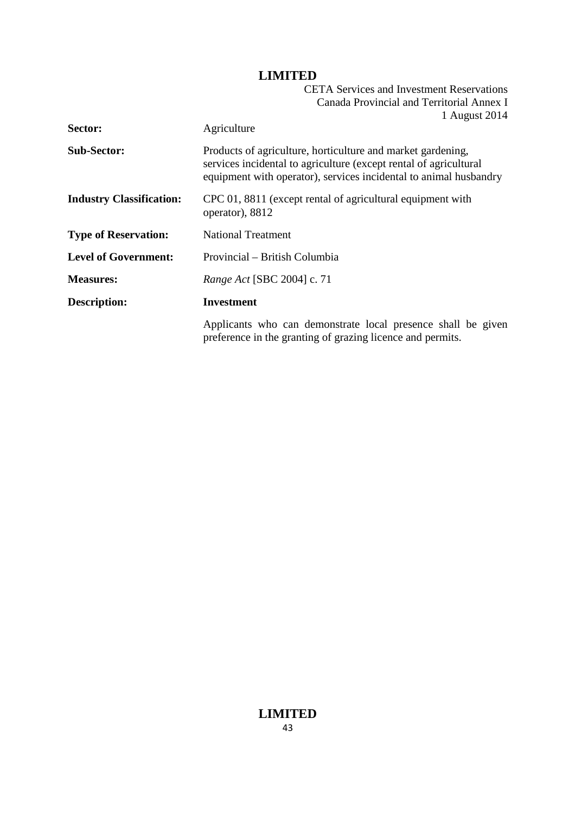| Sector:                         | Agriculture                                                                                                                                                                                           |
|---------------------------------|-------------------------------------------------------------------------------------------------------------------------------------------------------------------------------------------------------|
| <b>Sub-Sector:</b>              | Products of agriculture, horticulture and market gardening,<br>services incidental to agriculture (except rental of agricultural<br>equipment with operator), services incidental to animal husbandry |
| <b>Industry Classification:</b> | CPC 01, 8811 (except rental of agricultural equipment with<br>operator), 8812                                                                                                                         |
| <b>Type of Reservation:</b>     | <b>National Treatment</b>                                                                                                                                                                             |
| <b>Level of Government:</b>     | Provincial – British Columbia                                                                                                                                                                         |
| <b>Measures:</b>                | <i>Range Act</i> [SBC 2004] c. 71                                                                                                                                                                     |
| Description:                    | <b>Investment</b>                                                                                                                                                                                     |
|                                 | Applicants who can demonstrate local presence shall be given<br>preference in the granting of grazing licence and permits.                                                                            |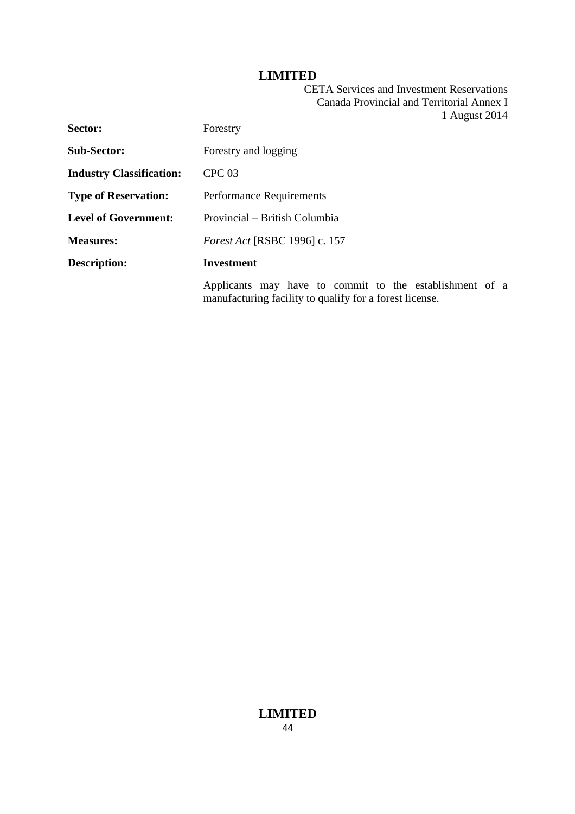CETA Services and Investment Reservations Canada Provincial and Territorial Annex I 1 August 2014

| Sector:                         | Forestry                                                                                                           |
|---------------------------------|--------------------------------------------------------------------------------------------------------------------|
| <b>Sub-Sector:</b>              | Forestry and logging                                                                                               |
| <b>Industry Classification:</b> | CPC 03                                                                                                             |
| <b>Type of Reservation:</b>     | Performance Requirements                                                                                           |
| <b>Level of Government:</b>     | Provincial – British Columbia                                                                                      |
| <b>Measures:</b>                | Forest Act [RSBC 1996] c. 157                                                                                      |
| <b>Description:</b>             | <b>Investment</b>                                                                                                  |
|                                 | Applicants may have to commit to the establishment of a<br>manufacturing facility to qualify for a forest license. |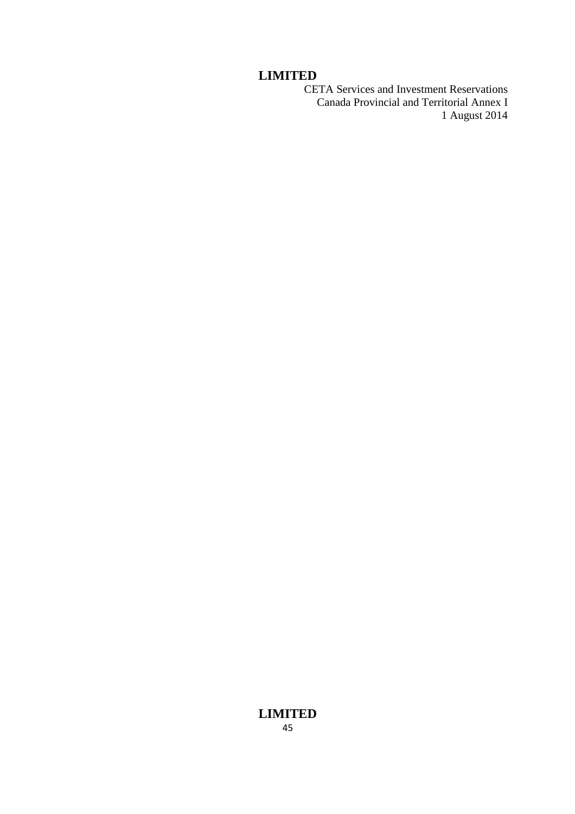CETA Services and Investment Reservations Canada Provincial and Territorial Annex I 1 August 2014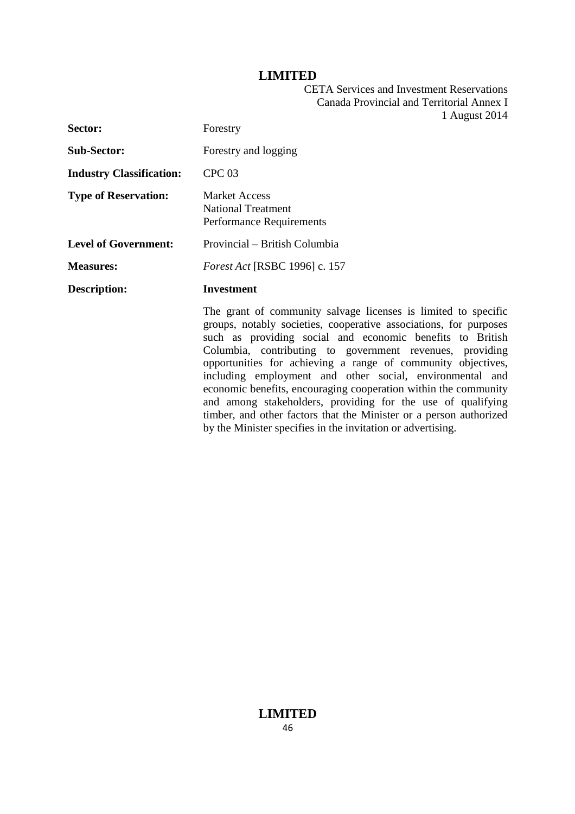| Sector:                         | Forestry                                                                                                                                                                                                                                                                                                                                                                                                                                                                                                                                                                                                                                                        |
|---------------------------------|-----------------------------------------------------------------------------------------------------------------------------------------------------------------------------------------------------------------------------------------------------------------------------------------------------------------------------------------------------------------------------------------------------------------------------------------------------------------------------------------------------------------------------------------------------------------------------------------------------------------------------------------------------------------|
| <b>Sub-Sector:</b>              | Forestry and logging                                                                                                                                                                                                                                                                                                                                                                                                                                                                                                                                                                                                                                            |
| <b>Industry Classification:</b> | CPC <sub>03</sub>                                                                                                                                                                                                                                                                                                                                                                                                                                                                                                                                                                                                                                               |
| <b>Type of Reservation:</b>     | <b>Market Access</b><br><b>National Treatment</b><br>Performance Requirements                                                                                                                                                                                                                                                                                                                                                                                                                                                                                                                                                                                   |
| <b>Level of Government:</b>     | Provincial – British Columbia                                                                                                                                                                                                                                                                                                                                                                                                                                                                                                                                                                                                                                   |
| <b>Measures:</b>                | <i>Forest Act</i> [RSBC 1996] c. 157                                                                                                                                                                                                                                                                                                                                                                                                                                                                                                                                                                                                                            |
| Description:                    | <b>Investment</b>                                                                                                                                                                                                                                                                                                                                                                                                                                                                                                                                                                                                                                               |
|                                 | The grant of community salvage licenses is limited to specific<br>groups, notably societies, cooperative associations, for purposes<br>such as providing social and economic benefits to British<br>Columbia, contributing to government revenues, providing<br>opportunities for achieving a range of community objectives,<br>including employment and other social, environmental and<br>economic benefits, encouraging cooperation within the community<br>and among stakeholders, providing for the use of qualifying<br>timber, and other factors that the Minister or a person authorized<br>by the Minister specifies in the invitation or advertising. |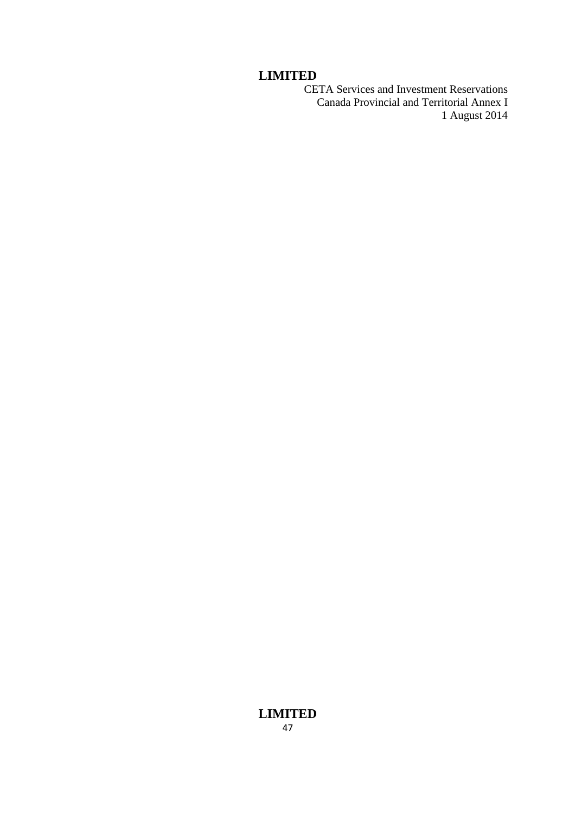CETA Services and Investment Reservations Canada Provincial and Territorial Annex I 1 August 2014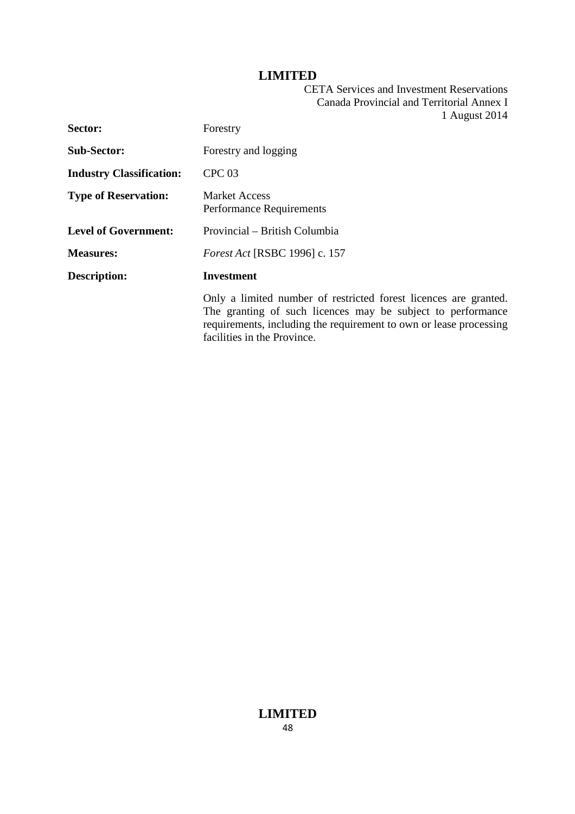| Sector:                         | Forestry                                                                                                                                                                                                                             |
|---------------------------------|--------------------------------------------------------------------------------------------------------------------------------------------------------------------------------------------------------------------------------------|
| <b>Sub-Sector:</b>              | Forestry and logging                                                                                                                                                                                                                 |
| <b>Industry Classification:</b> | CPC 03                                                                                                                                                                                                                               |
| <b>Type of Reservation:</b>     | <b>Market Access</b><br>Performance Requirements                                                                                                                                                                                     |
| <b>Level of Government:</b>     | Provincial – British Columbia                                                                                                                                                                                                        |
| <b>Measures:</b>                | <i>Forest Act</i> [RSBC 1996] c. 157                                                                                                                                                                                                 |
| Description:                    | <b>Investment</b>                                                                                                                                                                                                                    |
|                                 | Only a limited number of restricted forest licences are granted.<br>The granting of such licences may be subject to performance<br>requirements, including the requirement to own or lease processing<br>facilities in the Province. |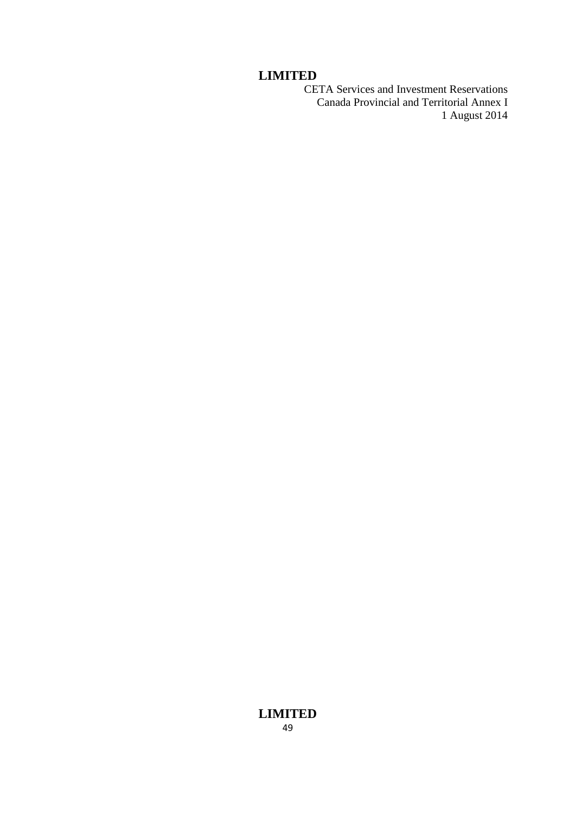CETA Services and Investment Reservations Canada Provincial and Territorial Annex I 1 August 2014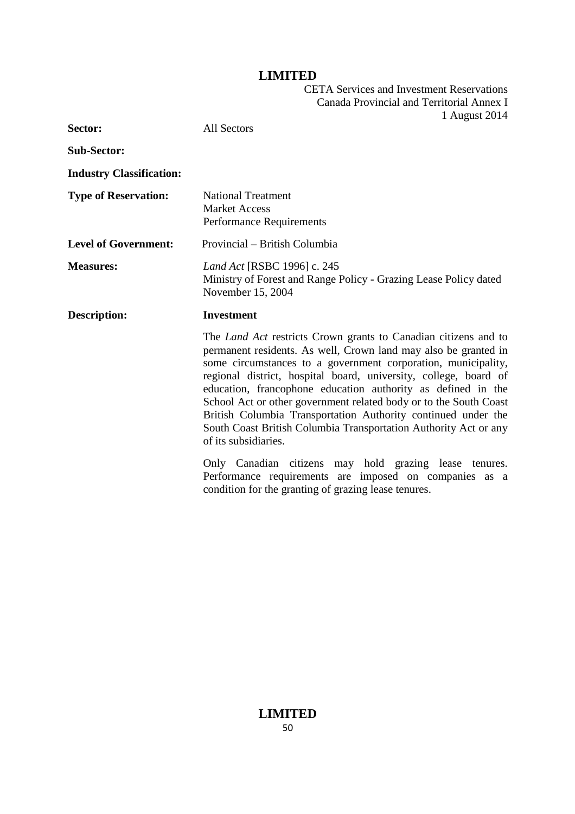| Sector:                         | <b>All Sectors</b>                                                                                                                                                                                                                                                                                                                                                                                                                                                                                                                                                               |
|---------------------------------|----------------------------------------------------------------------------------------------------------------------------------------------------------------------------------------------------------------------------------------------------------------------------------------------------------------------------------------------------------------------------------------------------------------------------------------------------------------------------------------------------------------------------------------------------------------------------------|
| <b>Sub-Sector:</b>              |                                                                                                                                                                                                                                                                                                                                                                                                                                                                                                                                                                                  |
| <b>Industry Classification:</b> |                                                                                                                                                                                                                                                                                                                                                                                                                                                                                                                                                                                  |
| <b>Type of Reservation:</b>     | <b>National Treatment</b><br><b>Market Access</b><br>Performance Requirements                                                                                                                                                                                                                                                                                                                                                                                                                                                                                                    |
| <b>Level of Government:</b>     | Provincial – British Columbia                                                                                                                                                                                                                                                                                                                                                                                                                                                                                                                                                    |
| <b>Measures:</b>                | Land Act [RSBC 1996] c. 245<br>Ministry of Forest and Range Policy - Grazing Lease Policy dated<br>November 15, 2004                                                                                                                                                                                                                                                                                                                                                                                                                                                             |
| <b>Description:</b>             | <b>Investment</b>                                                                                                                                                                                                                                                                                                                                                                                                                                                                                                                                                                |
|                                 | The <i>Land Act</i> restricts Crown grants to Canadian citizens and to<br>permanent residents. As well, Crown land may also be granted in<br>some circumstances to a government corporation, municipality,<br>regional district, hospital board, university, college, board of<br>education, francophone education authority as defined in the<br>School Act or other government related body or to the South Coast<br>British Columbia Transportation Authority continued under the<br>South Coast British Columbia Transportation Authority Act or any<br>of its subsidiaries. |
|                                 | Only Canadian citizens may hold grazing lease tenures.<br>Performance requirements are imposed on companies as a<br>condition for the granting of grazing lease tenures.                                                                                                                                                                                                                                                                                                                                                                                                         |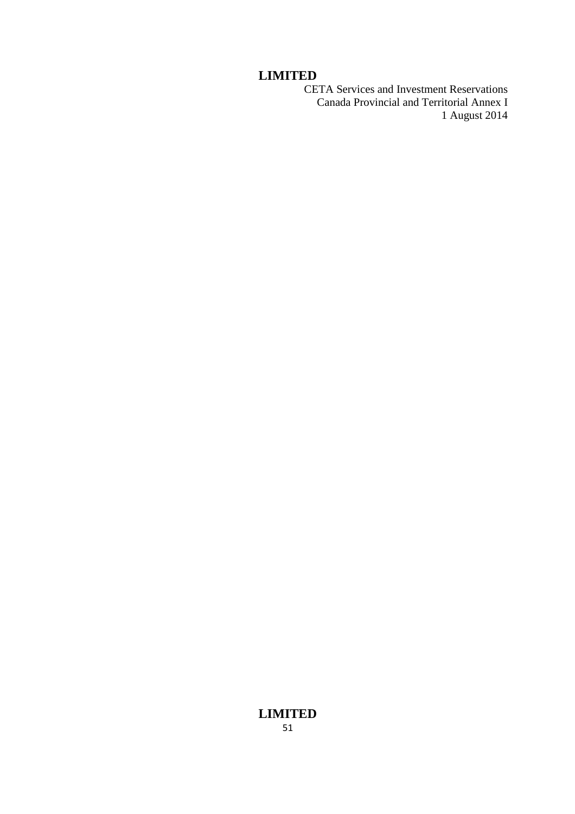CETA Services and Investment Reservations Canada Provincial and Territorial Annex I 1 August 2014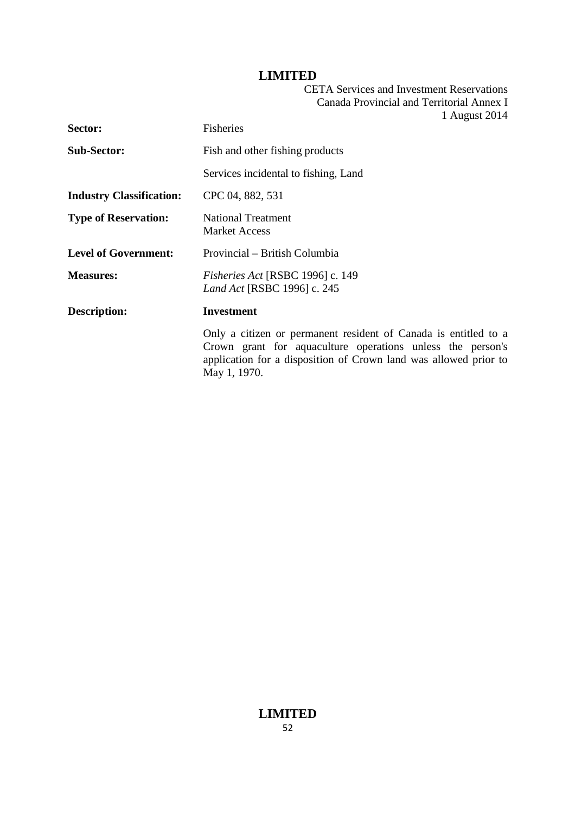| Sector:                         | <b>Fisheries</b>                                                                                                                                                                                                  |
|---------------------------------|-------------------------------------------------------------------------------------------------------------------------------------------------------------------------------------------------------------------|
| <b>Sub-Sector:</b>              | Fish and other fishing products                                                                                                                                                                                   |
|                                 | Services incidental to fishing, Land                                                                                                                                                                              |
| <b>Industry Classification:</b> | CPC 04, 882, 531                                                                                                                                                                                                  |
| <b>Type of Reservation:</b>     | <b>National Treatment</b><br><b>Market Access</b>                                                                                                                                                                 |
| <b>Level of Government:</b>     | Provincial – British Columbia                                                                                                                                                                                     |
| <b>Measures:</b>                | <i>Fisheries Act</i> [RSBC 1996] c. 149<br><i>Land Act</i> [RSBC 1996] c. 245                                                                                                                                     |
| Description:                    | <b>Investment</b>                                                                                                                                                                                                 |
|                                 | Only a citizen or permanent resident of Canada is entitled to a<br>Crown grant for aquaculture operations unless the person's<br>application for a disposition of Crown land was allowed prior to<br>May 1, 1970. |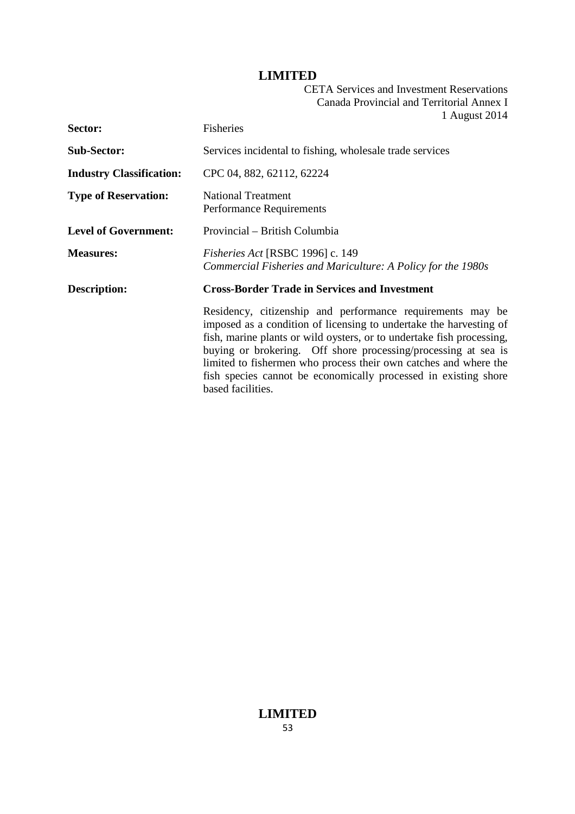| Sector:                         | <b>Fisheries</b>                                                                                                                                                                                                                                                                                                                                                                                                                        |
|---------------------------------|-----------------------------------------------------------------------------------------------------------------------------------------------------------------------------------------------------------------------------------------------------------------------------------------------------------------------------------------------------------------------------------------------------------------------------------------|
| <b>Sub-Sector:</b>              | Services incidental to fishing, wholesale trade services                                                                                                                                                                                                                                                                                                                                                                                |
| <b>Industry Classification:</b> | CPC 04, 882, 62112, 62224                                                                                                                                                                                                                                                                                                                                                                                                               |
| <b>Type of Reservation:</b>     | National Treatment<br>Performance Requirements                                                                                                                                                                                                                                                                                                                                                                                          |
| <b>Level of Government:</b>     | Provincial – British Columbia                                                                                                                                                                                                                                                                                                                                                                                                           |
| <b>Measures:</b>                | <i>Fisheries Act</i> [RSBC 1996] c. 149<br>Commercial Fisheries and Mariculture: A Policy for the 1980s                                                                                                                                                                                                                                                                                                                                 |
| Description:                    | <b>Cross-Border Trade in Services and Investment</b>                                                                                                                                                                                                                                                                                                                                                                                    |
|                                 | Residency, citizenship and performance requirements may be<br>imposed as a condition of licensing to undertake the harvesting of<br>fish, marine plants or wild oysters, or to undertake fish processing,<br>buying or brokering. Off shore processing/processing at sea is<br>limited to fishermen who process their own catches and where the<br>fish species cannot be economically processed in existing shore<br>based facilities. |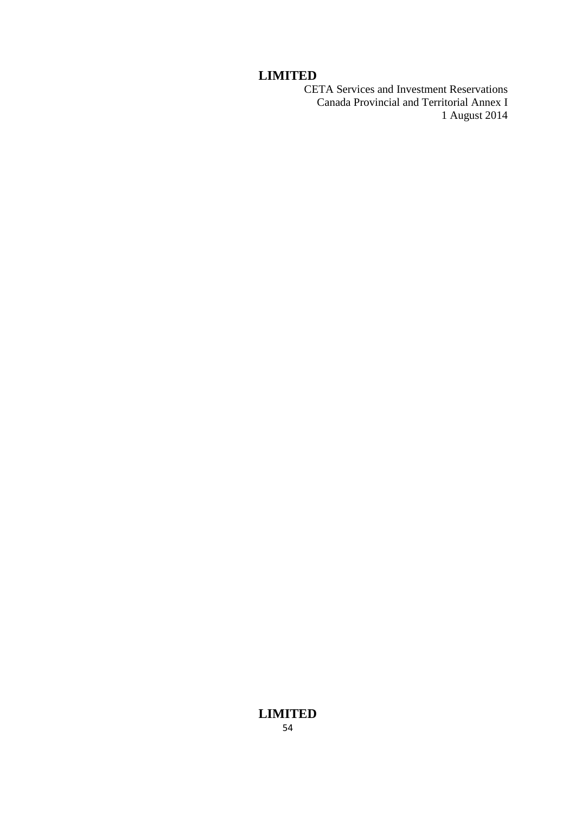CETA Services and Investment Reservations Canada Provincial and Territorial Annex I 1 August 2014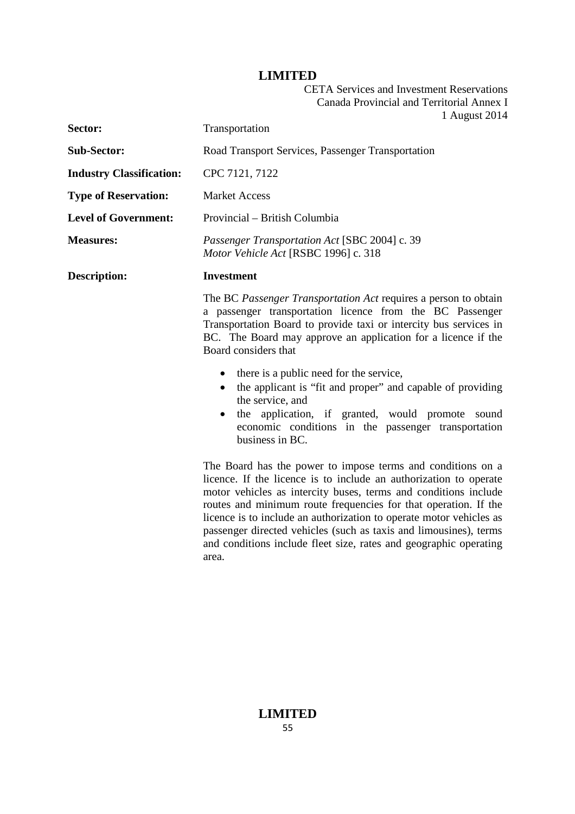| Sector:                         | Transportation                                                                                                                                                                                                                                                                                                                                                                                                                                                                                   |
|---------------------------------|--------------------------------------------------------------------------------------------------------------------------------------------------------------------------------------------------------------------------------------------------------------------------------------------------------------------------------------------------------------------------------------------------------------------------------------------------------------------------------------------------|
| <b>Sub-Sector:</b>              | Road Transport Services, Passenger Transportation                                                                                                                                                                                                                                                                                                                                                                                                                                                |
| <b>Industry Classification:</b> | CPC 7121, 7122                                                                                                                                                                                                                                                                                                                                                                                                                                                                                   |
| <b>Type of Reservation:</b>     | <b>Market Access</b>                                                                                                                                                                                                                                                                                                                                                                                                                                                                             |
| <b>Level of Government:</b>     | Provincial - British Columbia                                                                                                                                                                                                                                                                                                                                                                                                                                                                    |
| <b>Measures:</b>                | Passenger Transportation Act [SBC 2004] c. 39<br>Motor Vehicle Act [RSBC 1996] c. 318                                                                                                                                                                                                                                                                                                                                                                                                            |
| <b>Description:</b>             | <b>Investment</b>                                                                                                                                                                                                                                                                                                                                                                                                                                                                                |
|                                 | The BC Passenger Transportation Act requires a person to obtain<br>a passenger transportation licence from the BC Passenger<br>Transportation Board to provide taxi or intercity bus services in<br>BC. The Board may approve an application for a licence if the<br>Board considers that<br>there is a public need for the service,<br>$\bullet$<br>the applicant is "fit and proper" and capable of providing<br>$\bullet$                                                                     |
|                                 | the service, and<br>the application, if granted, would promote sound<br>economic conditions in the passenger transportation<br>business in BC.                                                                                                                                                                                                                                                                                                                                                   |
|                                 | The Board has the power to impose terms and conditions on a<br>licence. If the licence is to include an authorization to operate<br>motor vehicles as intercity buses, terms and conditions include<br>routes and minimum route frequencies for that operation. If the<br>licence is to include an authorization to operate motor vehicles as<br>passenger directed vehicles (such as taxis and limousines), terms<br>and conditions include fleet size, rates and geographic operating<br>area. |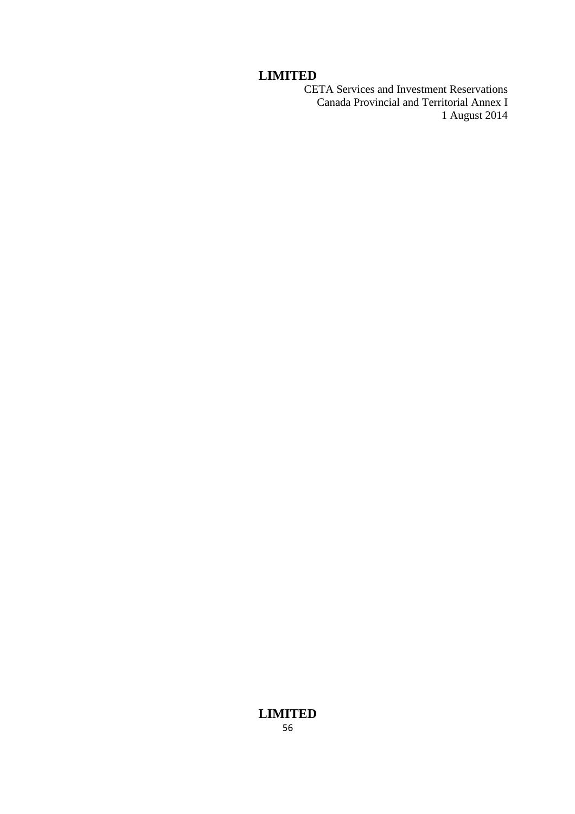CETA Services and Investment Reservations Canada Provincial and Territorial Annex I 1 August 2014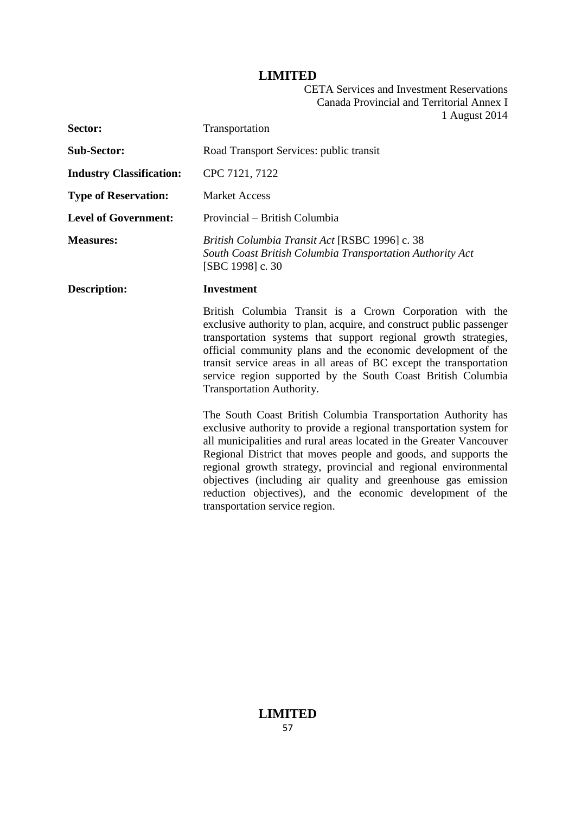CETA Services and Investment Reservations Canada Provincial and Territorial Annex I 1 August 2014

| Sector:                         | Transportation                                                                                                                                                                                                                                                                                                                                                                                                                                                                                                     |
|---------------------------------|--------------------------------------------------------------------------------------------------------------------------------------------------------------------------------------------------------------------------------------------------------------------------------------------------------------------------------------------------------------------------------------------------------------------------------------------------------------------------------------------------------------------|
| <b>Sub-Sector:</b>              | Road Transport Services: public transit                                                                                                                                                                                                                                                                                                                                                                                                                                                                            |
| <b>Industry Classification:</b> | CPC 7121, 7122                                                                                                                                                                                                                                                                                                                                                                                                                                                                                                     |
| <b>Type of Reservation:</b>     | <b>Market Access</b>                                                                                                                                                                                                                                                                                                                                                                                                                                                                                               |
| <b>Level of Government:</b>     | Provincial – British Columbia                                                                                                                                                                                                                                                                                                                                                                                                                                                                                      |
| <b>Measures:</b>                | British Columbia Transit Act [RSBC 1996] c. 38<br>South Coast British Columbia Transportation Authority Act<br>[SBC 1998] c. 30                                                                                                                                                                                                                                                                                                                                                                                    |
| Description:                    | <b>Investment</b>                                                                                                                                                                                                                                                                                                                                                                                                                                                                                                  |
|                                 | British Columbia Transit is a Crown Corporation with the<br>exclusive authority to plan, acquire, and construct public passenger<br>transportation systems that support regional growth strategies,<br>official community plans and the economic development of the<br>transit service areas in all areas of BC except the transportation<br>service region supported by the South Coast British Columbia<br>Transportation Authority.                                                                             |
|                                 | The South Coast British Columbia Transportation Authority has<br>exclusive authority to provide a regional transportation system for<br>all municipalities and rural areas located in the Greater Vancouver<br>Regional District that moves people and goods, and supports the<br>regional growth strategy, provincial and regional environmental<br>objectives (including air quality and greenhouse gas emission<br>reduction objectives), and the economic development of the<br>transportation service region. |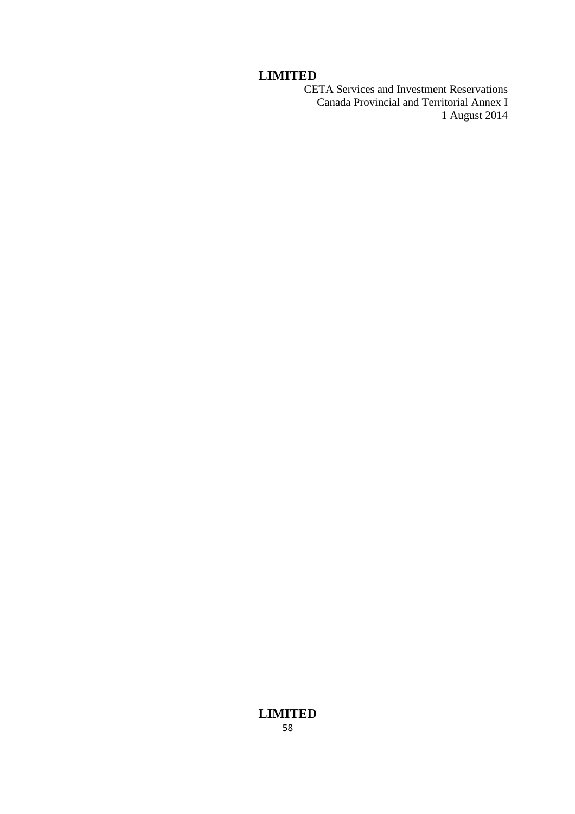CETA Services and Investment Reservations Canada Provincial and Territorial Annex I 1 August 2014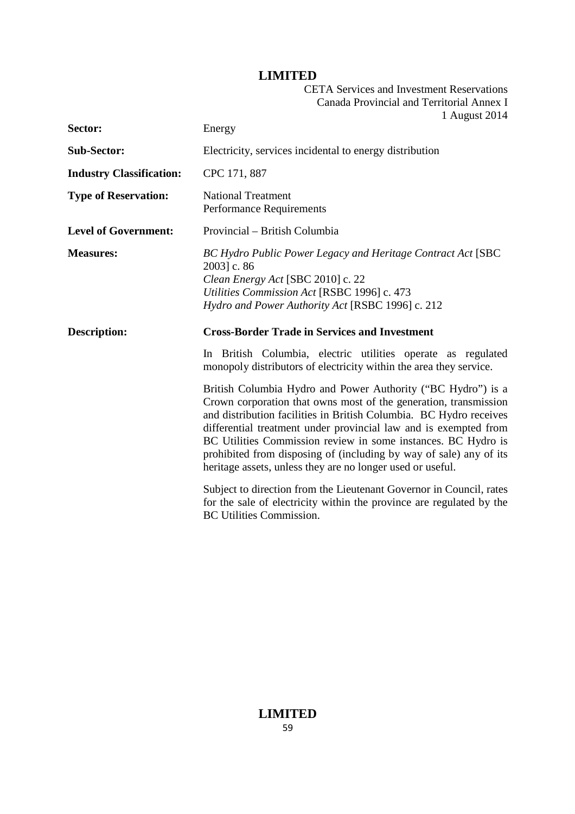| Sector:                         | Energy                                                                                                                                                                                                                                                                                                                                                                                                                                                                          |
|---------------------------------|---------------------------------------------------------------------------------------------------------------------------------------------------------------------------------------------------------------------------------------------------------------------------------------------------------------------------------------------------------------------------------------------------------------------------------------------------------------------------------|
| <b>Sub-Sector:</b>              | Electricity, services incidental to energy distribution                                                                                                                                                                                                                                                                                                                                                                                                                         |
| <b>Industry Classification:</b> | CPC 171, 887                                                                                                                                                                                                                                                                                                                                                                                                                                                                    |
| <b>Type of Reservation:</b>     | <b>National Treatment</b><br><b>Performance Requirements</b>                                                                                                                                                                                                                                                                                                                                                                                                                    |
| <b>Level of Government:</b>     | Provincial – British Columbia                                                                                                                                                                                                                                                                                                                                                                                                                                                   |
| <b>Measures:</b>                | BC Hydro Public Power Legacy and Heritage Contract Act [SBC<br>2003] c. 86<br>Clean Energy Act [SBC 2010] c. 22<br>Utilities Commission Act [RSBC 1996] c. 473<br>Hydro and Power Authority Act [RSBC 1996] c. 212                                                                                                                                                                                                                                                              |
|                                 |                                                                                                                                                                                                                                                                                                                                                                                                                                                                                 |
| <b>Description:</b>             | <b>Cross-Border Trade in Services and Investment</b>                                                                                                                                                                                                                                                                                                                                                                                                                            |
|                                 | In British Columbia, electric utilities operate as regulated<br>monopoly distributors of electricity within the area they service.                                                                                                                                                                                                                                                                                                                                              |
|                                 | British Columbia Hydro and Power Authority ("BC Hydro") is a<br>Crown corporation that owns most of the generation, transmission<br>and distribution facilities in British Columbia. BC Hydro receives<br>differential treatment under provincial law and is exempted from<br>BC Utilities Commission review in some instances. BC Hydro is<br>prohibited from disposing of (including by way of sale) any of its<br>heritage assets, unless they are no longer used or useful. |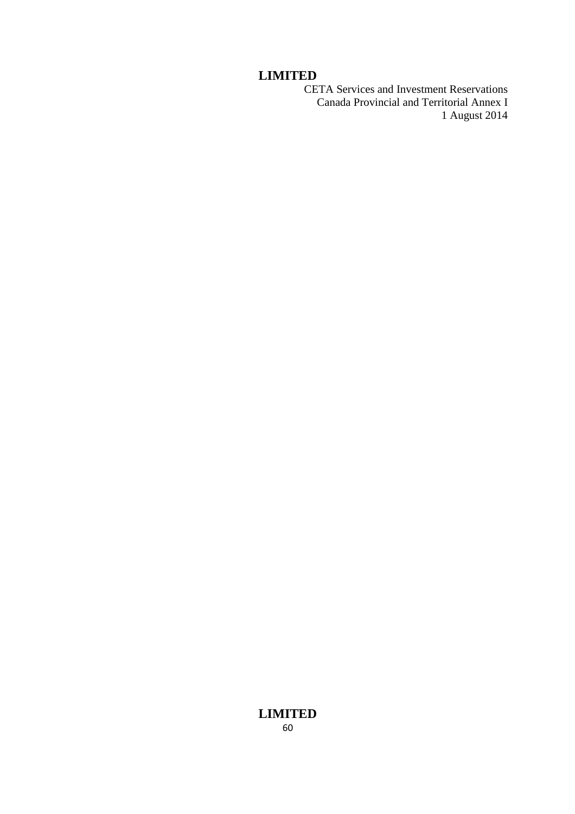CETA Services and Investment Reservations Canada Provincial and Territorial Annex I 1 August 2014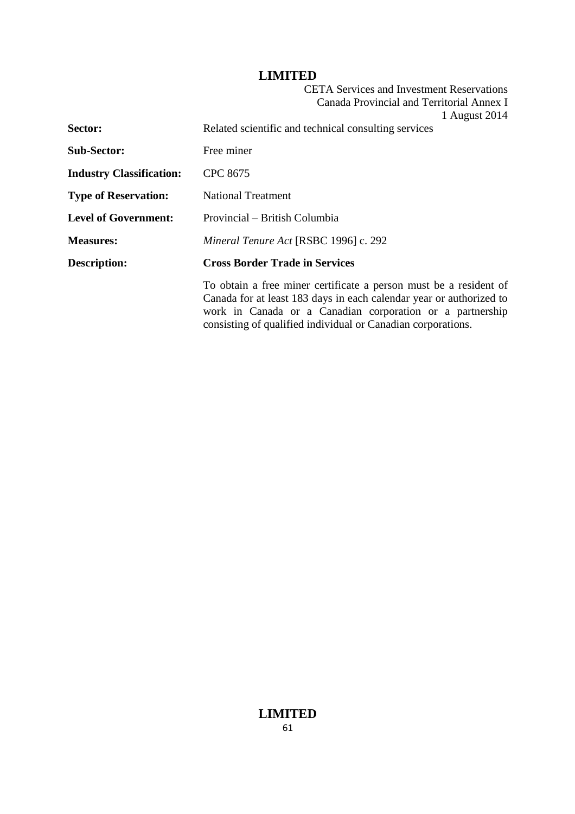CETA Services and Investment Reservations Canada Provincial and Territorial Annex I 1 August 2014

| Sector:                         | Related scientific and technical consulting services                                                                                                                                                                                                                  |
|---------------------------------|-----------------------------------------------------------------------------------------------------------------------------------------------------------------------------------------------------------------------------------------------------------------------|
| <b>Sub-Sector:</b>              | Free miner                                                                                                                                                                                                                                                            |
| <b>Industry Classification:</b> | CPC 8675                                                                                                                                                                                                                                                              |
| <b>Type of Reservation:</b>     | <b>National Treatment</b>                                                                                                                                                                                                                                             |
| <b>Level of Government:</b>     | Provincial – British Columbia                                                                                                                                                                                                                                         |
| <b>Measures:</b>                | Mineral Tenure Act [RSBC 1996] c. 292                                                                                                                                                                                                                                 |
| Description:                    | <b>Cross Border Trade in Services</b>                                                                                                                                                                                                                                 |
|                                 | To obtain a free miner certificate a person must be a resident of<br>Canada for at least 183 days in each calendar year or authorized to<br>work in Canada or a Canadian corporation or a partnership<br>consisting of qualified individual or Canadian corporations. |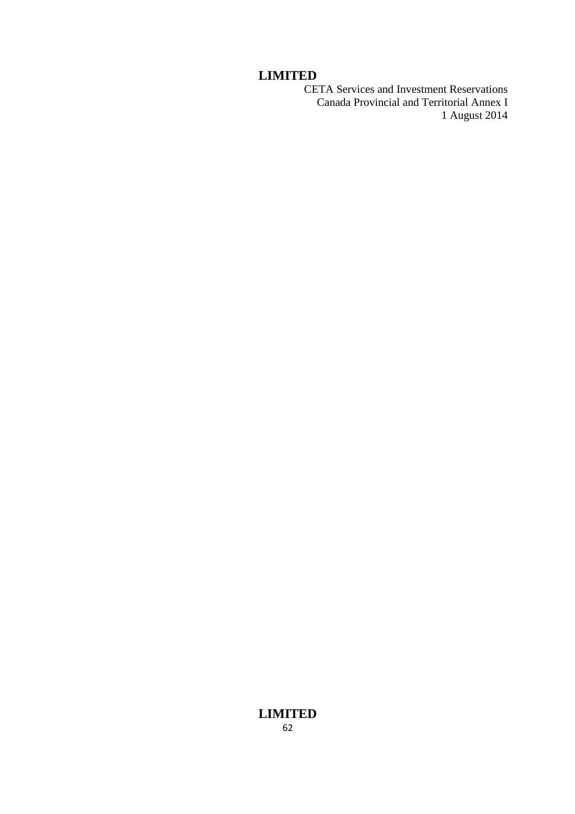CETA Services and Investment Reservations Canada Provincial and Territorial Annex I 1 August 2014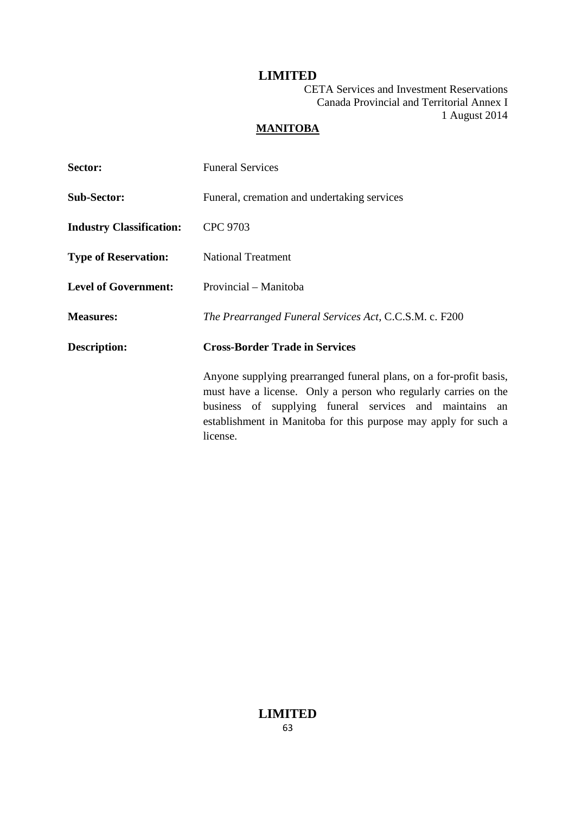CETA Services and Investment Reservations Canada Provincial and Territorial Annex I 1 August 2014

#### **MANITOBA**

| Sector:                         | <b>Funeral Services</b>                                                                                                                                                                                                                                                         |
|---------------------------------|---------------------------------------------------------------------------------------------------------------------------------------------------------------------------------------------------------------------------------------------------------------------------------|
| <b>Sub-Sector:</b>              | Funeral, cremation and undertaking services                                                                                                                                                                                                                                     |
| <b>Industry Classification:</b> | CPC 9703                                                                                                                                                                                                                                                                        |
| <b>Type of Reservation:</b>     | <b>National Treatment</b>                                                                                                                                                                                                                                                       |
| <b>Level of Government:</b>     | Provincial – Manitoba                                                                                                                                                                                                                                                           |
| <b>Measures:</b>                | The Prearranged Funeral Services Act, C.C.S.M. c. F200                                                                                                                                                                                                                          |
| Description:                    | <b>Cross-Border Trade in Services</b>                                                                                                                                                                                                                                           |
|                                 | Anyone supplying prearranged funeral plans, on a for-profit basis,<br>must have a license. Only a person who regularly carries on the<br>business of supplying funeral services and maintains an<br>establishment in Manitoba for this purpose may apply for such a<br>license. |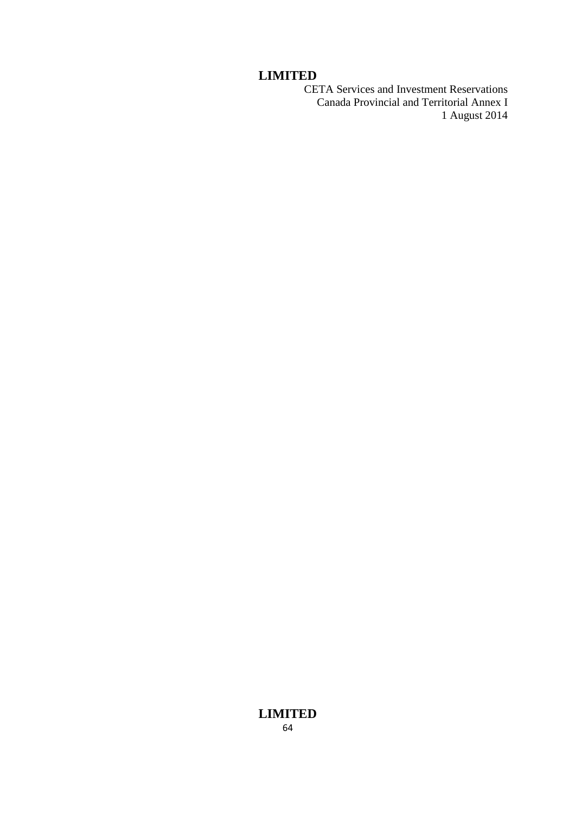CETA Services and Investment Reservations Canada Provincial and Territorial Annex I 1 August 2014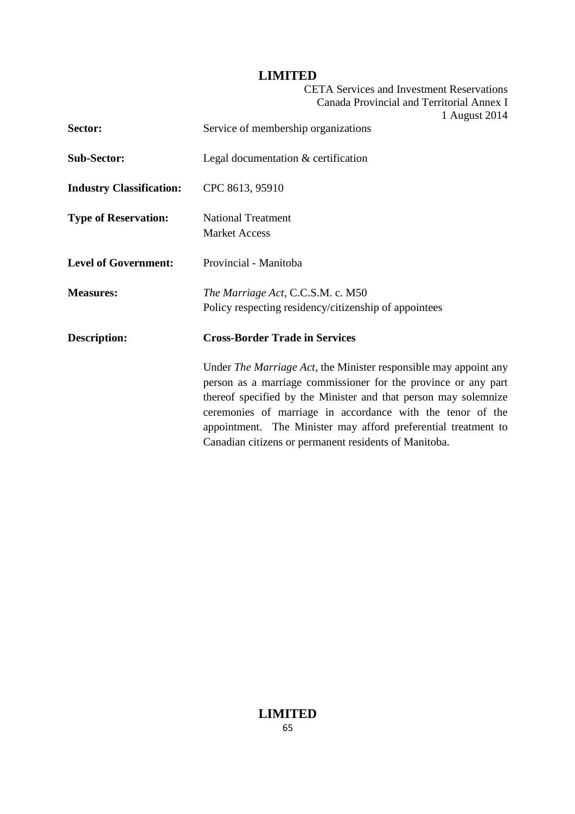| Sector:                         | Service of membership organizations                                                                                                                                                                                                                                                                                                                                                                    | $1.10 \times 100 \times 101$ |
|---------------------------------|--------------------------------------------------------------------------------------------------------------------------------------------------------------------------------------------------------------------------------------------------------------------------------------------------------------------------------------------------------------------------------------------------------|------------------------------|
| <b>Sub-Sector:</b>              | Legal documentation & certification                                                                                                                                                                                                                                                                                                                                                                    |                              |
| <b>Industry Classification:</b> | CPC 8613, 95910                                                                                                                                                                                                                                                                                                                                                                                        |                              |
| <b>Type of Reservation:</b>     | <b>National Treatment</b><br><b>Market Access</b>                                                                                                                                                                                                                                                                                                                                                      |                              |
| <b>Level of Government:</b>     | Provincial - Manitoba                                                                                                                                                                                                                                                                                                                                                                                  |                              |
| <b>Measures:</b>                | The Marriage Act, C.C.S.M. c. M50                                                                                                                                                                                                                                                                                                                                                                      |                              |
|                                 | Policy respecting residency/citizenship of appointees                                                                                                                                                                                                                                                                                                                                                  |                              |
| Description:                    | <b>Cross-Border Trade in Services</b>                                                                                                                                                                                                                                                                                                                                                                  |                              |
|                                 | Under <i>The Marriage Act</i> , the Minister responsible may appoint any<br>person as a marriage commissioner for the province or any part<br>thereof specified by the Minister and that person may solemnize<br>ceremonies of marriage in accordance with the tenor of the<br>appointment. The Minister may afford preferential treatment to<br>Canadian citizens or permanent residents of Manitoba. |                              |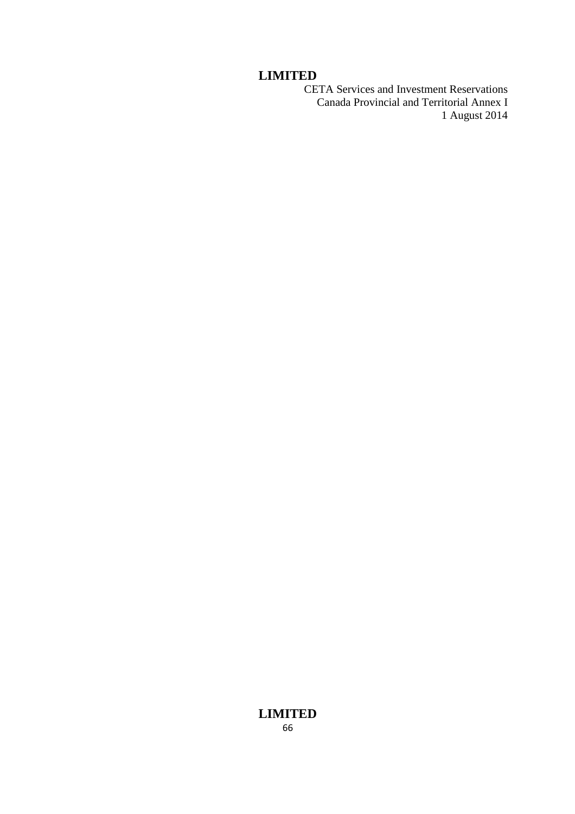CETA Services and Investment Reservations Canada Provincial and Territorial Annex I 1 August 2014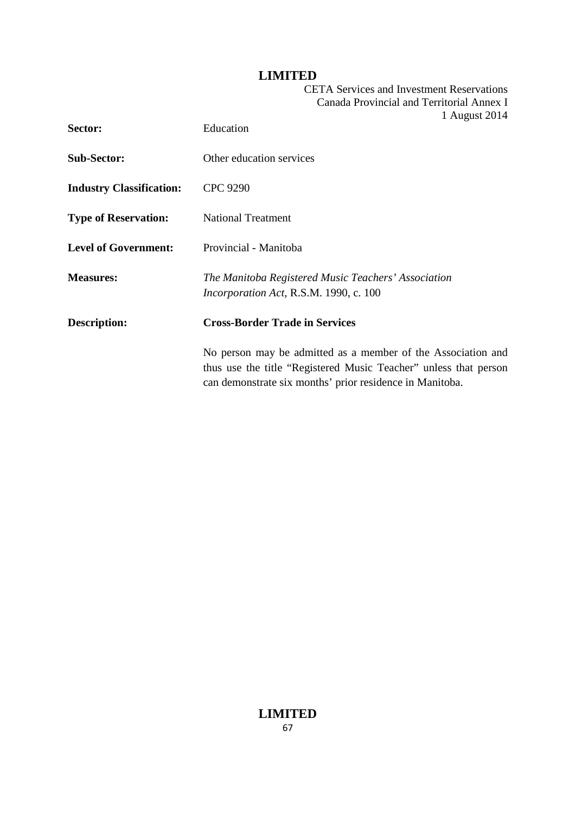CETA Services and Investment Reservations Canada Provincial and Territorial Annex I 1 August 2014

| Sector:                         | Education                                                                                                                                                                                    |
|---------------------------------|----------------------------------------------------------------------------------------------------------------------------------------------------------------------------------------------|
| <b>Sub-Sector:</b>              | Other education services                                                                                                                                                                     |
| <b>Industry Classification:</b> | <b>CPC 9290</b>                                                                                                                                                                              |
| <b>Type of Reservation:</b>     | <b>National Treatment</b>                                                                                                                                                                    |
| <b>Level of Government:</b>     | Provincial - Manitoba                                                                                                                                                                        |
| <b>Measures:</b>                | The Manitoba Registered Music Teachers' Association<br>Incorporation Act, R.S.M. 1990, c. 100                                                                                                |
| Description:                    | <b>Cross-Border Trade in Services</b>                                                                                                                                                        |
|                                 | No person may be admitted as a member of the Association and<br>thus use the title "Registered Music Teacher" unless that person<br>can demonstrate six months' prior residence in Manitoba. |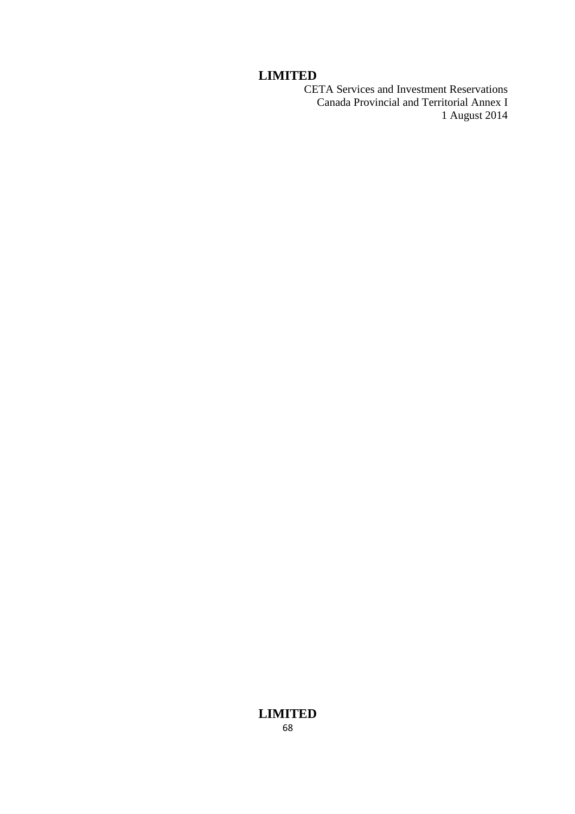CETA Services and Investment Reservations Canada Provincial and Territorial Annex I 1 August 2014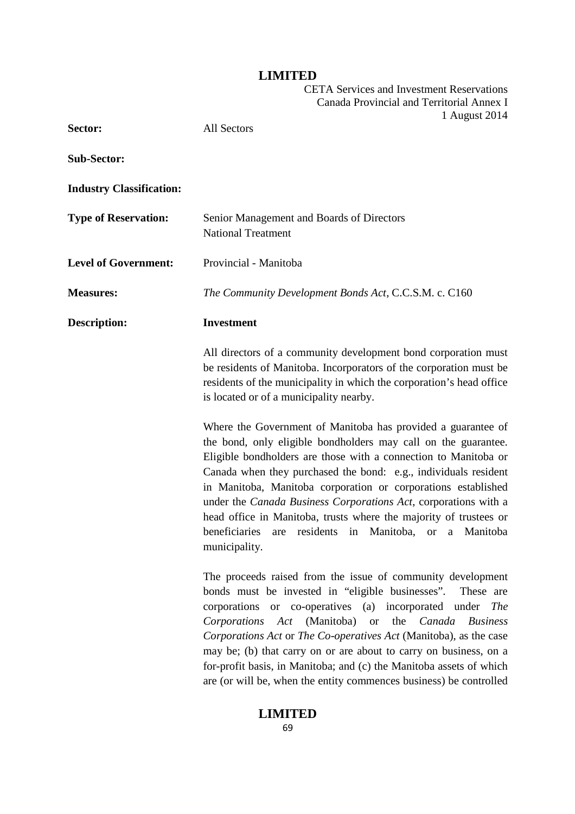CETA Services and Investment Reservations Canada Provincial and Territorial Annex I 1 August 2014

| Sector:                         | All Sectors                                                                                                                                                                                                                                                                                                                                                                                                                                                                                                                                                                  |
|---------------------------------|------------------------------------------------------------------------------------------------------------------------------------------------------------------------------------------------------------------------------------------------------------------------------------------------------------------------------------------------------------------------------------------------------------------------------------------------------------------------------------------------------------------------------------------------------------------------------|
| <b>Sub-Sector:</b>              |                                                                                                                                                                                                                                                                                                                                                                                                                                                                                                                                                                              |
| <b>Industry Classification:</b> |                                                                                                                                                                                                                                                                                                                                                                                                                                                                                                                                                                              |
| <b>Type of Reservation:</b>     | Senior Management and Boards of Directors<br><b>National Treatment</b>                                                                                                                                                                                                                                                                                                                                                                                                                                                                                                       |
| <b>Level of Government:</b>     | Provincial - Manitoba                                                                                                                                                                                                                                                                                                                                                                                                                                                                                                                                                        |
| <b>Measures:</b>                | The Community Development Bonds Act, C.C.S.M. c. C160                                                                                                                                                                                                                                                                                                                                                                                                                                                                                                                        |
| <b>Description:</b>             | <b>Investment</b>                                                                                                                                                                                                                                                                                                                                                                                                                                                                                                                                                            |
|                                 | All directors of a community development bond corporation must<br>be residents of Manitoba. Incorporators of the corporation must be<br>residents of the municipality in which the corporation's head office<br>is located or of a municipality nearby.                                                                                                                                                                                                                                                                                                                      |
|                                 | Where the Government of Manitoba has provided a guarantee of<br>the bond, only eligible bondholders may call on the guarantee.<br>Eligible bondholders are those with a connection to Manitoba or<br>Canada when they purchased the bond: e.g., individuals resident<br>in Manitoba, Manitoba corporation or corporations established<br>under the Canada Business Corporations Act, corporations with a<br>head office in Manitoba, trusts where the majority of trustees or<br>beneficiaries<br>Manitoba, or a Manitoba<br>residents in<br>are<br>municipality.            |
|                                 | The proceeds raised from the issue of community development<br>bonds must be invested in "eligible businesses".<br>These are<br>or co-operatives (a) incorporated under The<br>corporations<br>(Manitoba)<br>the<br>Canada<br>Corporations<br><sub>or</sub><br><b>Business</b><br>Act<br>Corporations Act or The Co-operatives Act (Manitoba), as the case<br>may be; (b) that carry on or are about to carry on business, on a<br>for-profit basis, in Manitoba; and (c) the Manitoba assets of which<br>are (or will be, when the entity commences business) be controlled |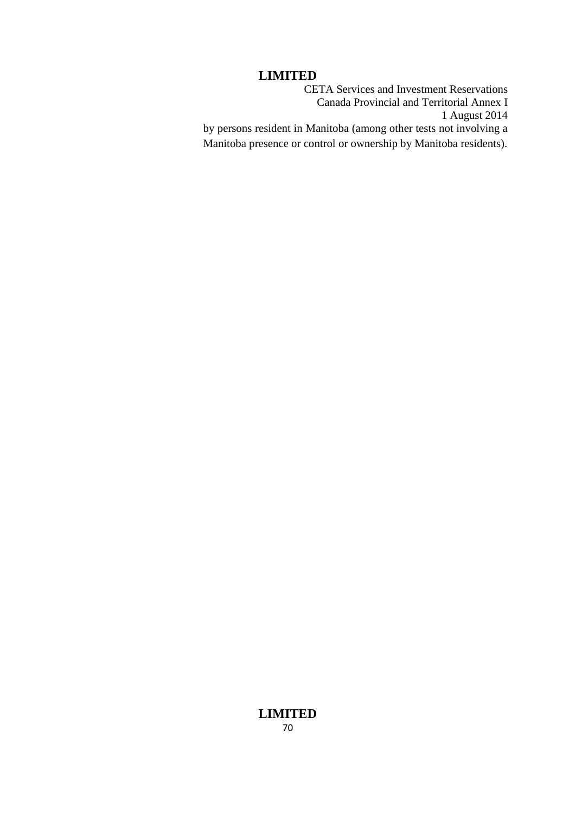CETA Services and Investment Reservations Canada Provincial and Territorial Annex I 1 August 2014 by persons resident in Manitoba (among other tests not involving a Manitoba presence or control or ownership by Manitoba residents).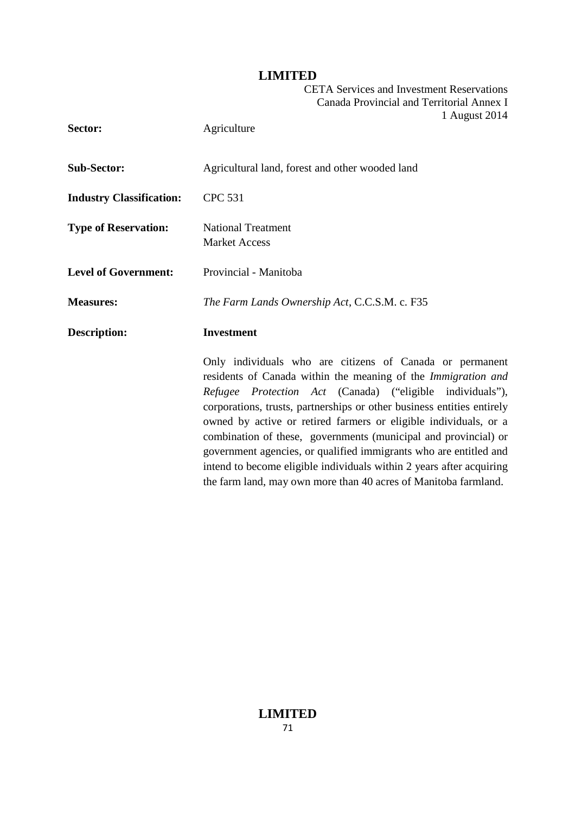CETA Services and Investment Reservations Canada Provincial and Territorial Annex I 1 August 2014

| Sector:                         | Agriculture                                                                                                                                                                                                                                                                                                                                                                                                                                                                         |
|---------------------------------|-------------------------------------------------------------------------------------------------------------------------------------------------------------------------------------------------------------------------------------------------------------------------------------------------------------------------------------------------------------------------------------------------------------------------------------------------------------------------------------|
| <b>Sub-Sector:</b>              | Agricultural land, forest and other wooded land                                                                                                                                                                                                                                                                                                                                                                                                                                     |
| <b>Industry Classification:</b> | <b>CPC 531</b>                                                                                                                                                                                                                                                                                                                                                                                                                                                                      |
| <b>Type of Reservation:</b>     | <b>National Treatment</b><br><b>Market Access</b>                                                                                                                                                                                                                                                                                                                                                                                                                                   |
| <b>Level of Government:</b>     | Provincial - Manitoba                                                                                                                                                                                                                                                                                                                                                                                                                                                               |
| <b>Measures:</b>                | The Farm Lands Ownership Act, C.C.S.M. c. F35                                                                                                                                                                                                                                                                                                                                                                                                                                       |
| <b>Description:</b>             | <b>Investment</b>                                                                                                                                                                                                                                                                                                                                                                                                                                                                   |
|                                 | Only individuals who are citizens of Canada or permanent<br>residents of Canada within the meaning of the <i>Immigration and</i><br>Refugee Protection Act (Canada) ("eligible individuals"),<br>corporations, trusts, partnerships or other business entities entirely<br>owned by active or retired farmers or eligible individuals, or a<br>combination of these, governments (municipal and provincial) or<br>government agencies, or qualified immigrants who are entitled and |

intend to become eligible individuals within 2 years after acquiring the farm land, may own more than 40 acres of Manitoba farmland.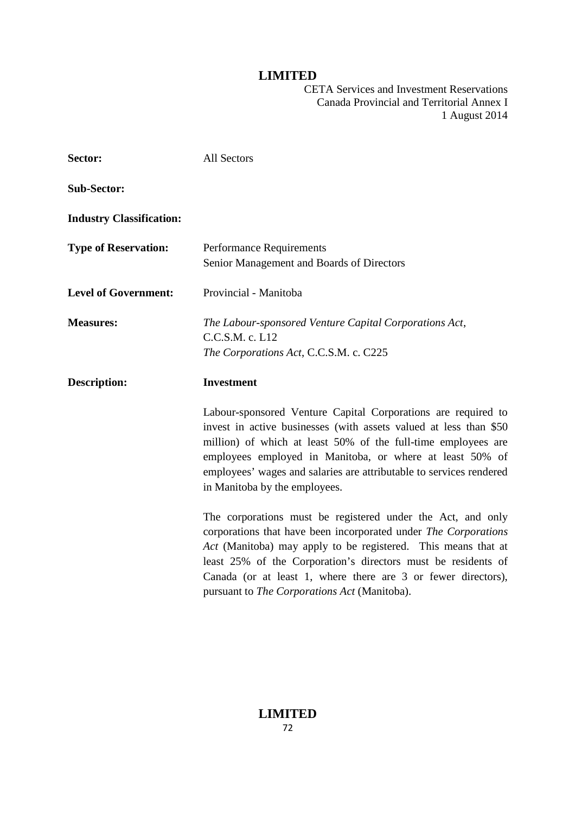| Sector:                         | All Sectors                                                                                                                                                                                                                                                                                                                                                                       |
|---------------------------------|-----------------------------------------------------------------------------------------------------------------------------------------------------------------------------------------------------------------------------------------------------------------------------------------------------------------------------------------------------------------------------------|
| <b>Sub-Sector:</b>              |                                                                                                                                                                                                                                                                                                                                                                                   |
| <b>Industry Classification:</b> |                                                                                                                                                                                                                                                                                                                                                                                   |
| <b>Type of Reservation:</b>     | <b>Performance Requirements</b><br>Senior Management and Boards of Directors                                                                                                                                                                                                                                                                                                      |
| <b>Level of Government:</b>     | Provincial - Manitoba                                                                                                                                                                                                                                                                                                                                                             |
| <b>Measures:</b>                | The Labour-sponsored Venture Capital Corporations Act,<br>C.C.S.M. c. L12<br>The Corporations Act, C.C.S.M. c. C225                                                                                                                                                                                                                                                               |
| <b>Description:</b>             | <b>Investment</b>                                                                                                                                                                                                                                                                                                                                                                 |
|                                 | Labour-sponsored Venture Capital Corporations are required to<br>invest in active businesses (with assets valued at less than \$50<br>million) of which at least 50% of the full-time employees are<br>employees employed in Manitoba, or where at least 50% of<br>employees' wages and salaries are attributable to services rendered<br>in Manitoba by the employees.           |
|                                 | The corporations must be registered under the Act, and only<br>corporations that have been incorporated under The Corporations<br>Act (Manitoba) may apply to be registered. This means that at<br>least 25% of the Corporation's directors must be residents of<br>Canada (or at least 1, where there are 3 or fewer directors),<br>pursuant to The Corporations Act (Manitoba). |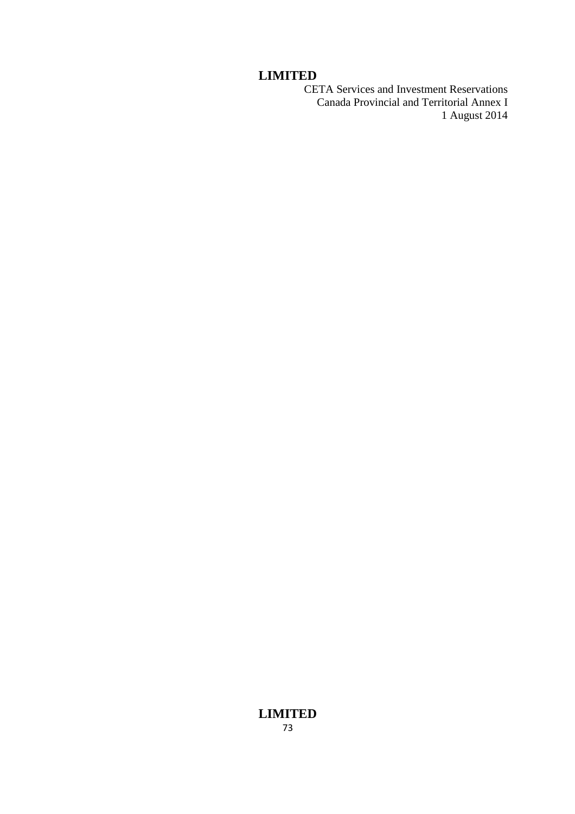CETA Services and Investment Reservations Canada Provincial and Territorial Annex I 1 August 2014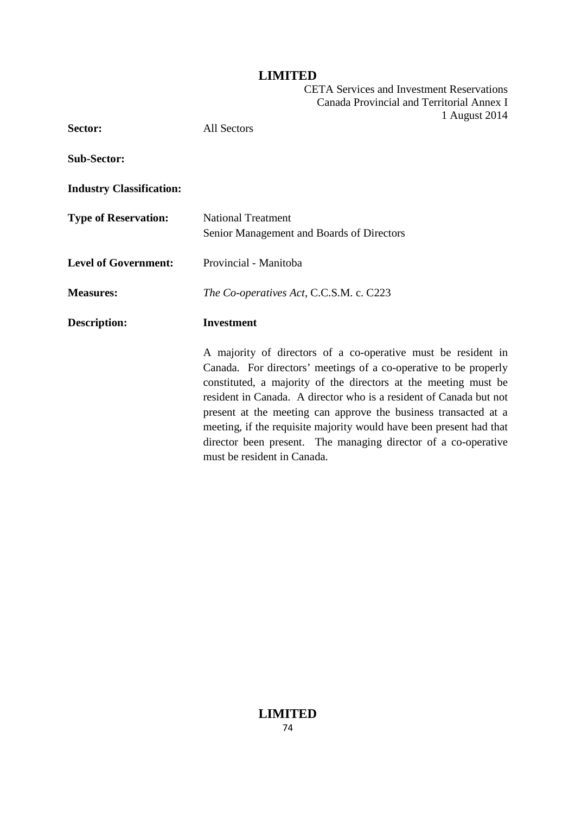| Sector:                         | All Sectors                                                                                                                                                                                                                                                                                                                                                                                                                                                                                                           |
|---------------------------------|-----------------------------------------------------------------------------------------------------------------------------------------------------------------------------------------------------------------------------------------------------------------------------------------------------------------------------------------------------------------------------------------------------------------------------------------------------------------------------------------------------------------------|
| <b>Sub-Sector:</b>              |                                                                                                                                                                                                                                                                                                                                                                                                                                                                                                                       |
| <b>Industry Classification:</b> |                                                                                                                                                                                                                                                                                                                                                                                                                                                                                                                       |
| <b>Type of Reservation:</b>     | <b>National Treatment</b><br>Senior Management and Boards of Directors                                                                                                                                                                                                                                                                                                                                                                                                                                                |
| <b>Level of Government:</b>     | Provincial - Manitoba                                                                                                                                                                                                                                                                                                                                                                                                                                                                                                 |
| <b>Measures:</b>                | The Co-operatives Act, C.C.S.M. c. C223                                                                                                                                                                                                                                                                                                                                                                                                                                                                               |
| <b>Description:</b>             | <b>Investment</b>                                                                                                                                                                                                                                                                                                                                                                                                                                                                                                     |
|                                 | A majority of directors of a co-operative must be resident in<br>Canada. For directors' meetings of a co-operative to be properly<br>constituted, a majority of the directors at the meeting must be<br>resident in Canada. A director who is a resident of Canada but not<br>present at the meeting can approve the business transacted at a<br>meeting, if the requisite majority would have been present had that<br>director been present. The managing director of a co-operative<br>must be resident in Canada. |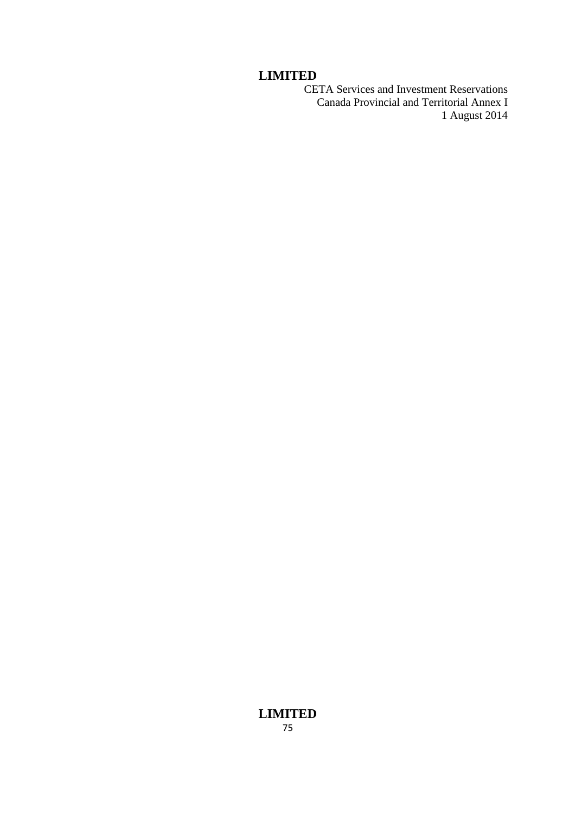CETA Services and Investment Reservations Canada Provincial and Territorial Annex I 1 August 2014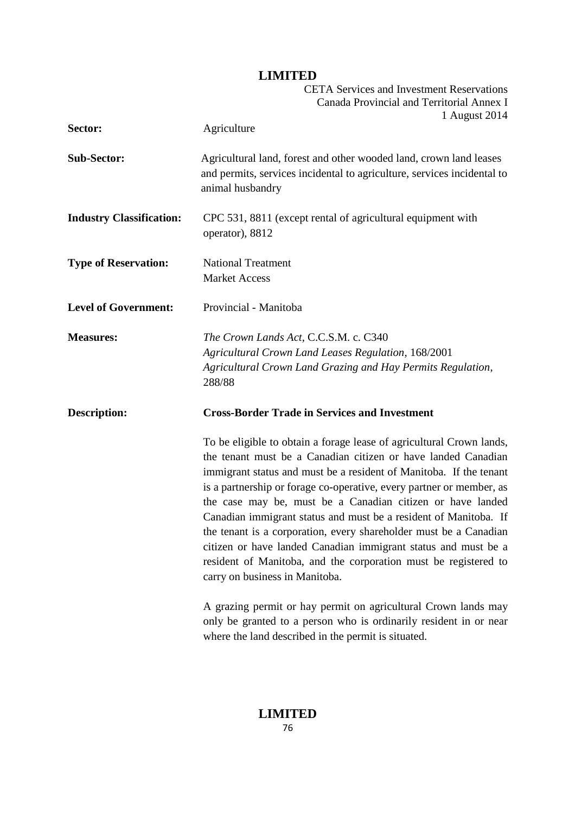| Sector:                         | Agriculture                                                                                                                                                                                                                                                                                                                                                                                                                                                                                                                                                                                                                                                       |
|---------------------------------|-------------------------------------------------------------------------------------------------------------------------------------------------------------------------------------------------------------------------------------------------------------------------------------------------------------------------------------------------------------------------------------------------------------------------------------------------------------------------------------------------------------------------------------------------------------------------------------------------------------------------------------------------------------------|
|                                 |                                                                                                                                                                                                                                                                                                                                                                                                                                                                                                                                                                                                                                                                   |
| <b>Sub-Sector:</b>              | Agricultural land, forest and other wooded land, crown land leases<br>and permits, services incidental to agriculture, services incidental to<br>animal husbandry                                                                                                                                                                                                                                                                                                                                                                                                                                                                                                 |
| <b>Industry Classification:</b> | CPC 531, 8811 (except rental of agricultural equipment with<br>operator), 8812                                                                                                                                                                                                                                                                                                                                                                                                                                                                                                                                                                                    |
| <b>Type of Reservation:</b>     | <b>National Treatment</b><br><b>Market Access</b>                                                                                                                                                                                                                                                                                                                                                                                                                                                                                                                                                                                                                 |
| <b>Level of Government:</b>     | Provincial - Manitoba                                                                                                                                                                                                                                                                                                                                                                                                                                                                                                                                                                                                                                             |
| <b>Measures:</b>                | The Crown Lands Act, C.C.S.M. c. C340                                                                                                                                                                                                                                                                                                                                                                                                                                                                                                                                                                                                                             |
|                                 | Agricultural Crown Land Leases Regulation, 168/2001                                                                                                                                                                                                                                                                                                                                                                                                                                                                                                                                                                                                               |
|                                 | Agricultural Crown Land Grazing and Hay Permits Regulation,<br>288/88                                                                                                                                                                                                                                                                                                                                                                                                                                                                                                                                                                                             |
| <b>Description:</b>             | <b>Cross-Border Trade in Services and Investment</b>                                                                                                                                                                                                                                                                                                                                                                                                                                                                                                                                                                                                              |
|                                 | To be eligible to obtain a forage lease of agricultural Crown lands,<br>the tenant must be a Canadian citizen or have landed Canadian<br>immigrant status and must be a resident of Manitoba. If the tenant<br>is a partnership or forage co-operative, every partner or member, as<br>the case may be, must be a Canadian citizen or have landed<br>Canadian immigrant status and must be a resident of Manitoba. If<br>the tenant is a corporation, every shareholder must be a Canadian<br>citizen or have landed Canadian immigrant status and must be a<br>resident of Manitoba, and the corporation must be registered to<br>carry on business in Manitoba. |
|                                 | A grazing permit or hay permit on agricultural Crown lands may<br>only be granted to a person who is ordinarily resident in or near<br>where the land described in the permit is situated.                                                                                                                                                                                                                                                                                                                                                                                                                                                                        |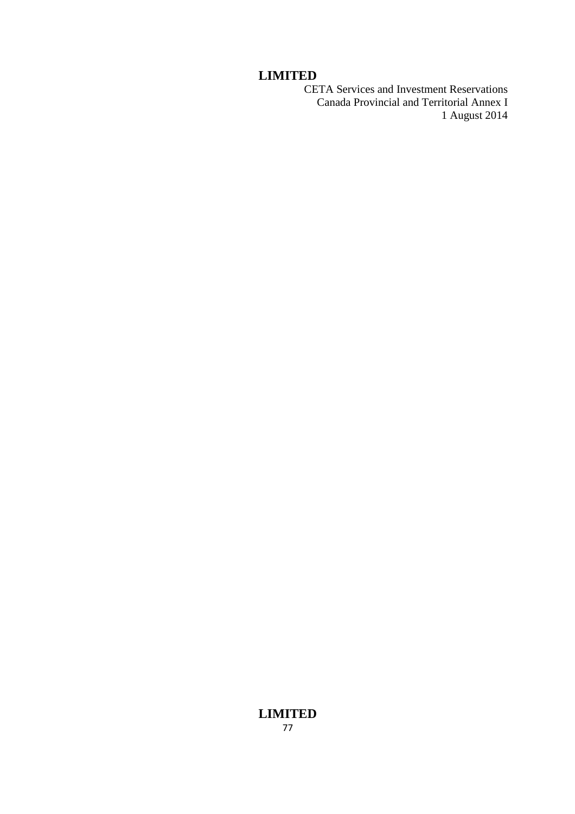CETA Services and Investment Reservations Canada Provincial and Territorial Annex I 1 August 2014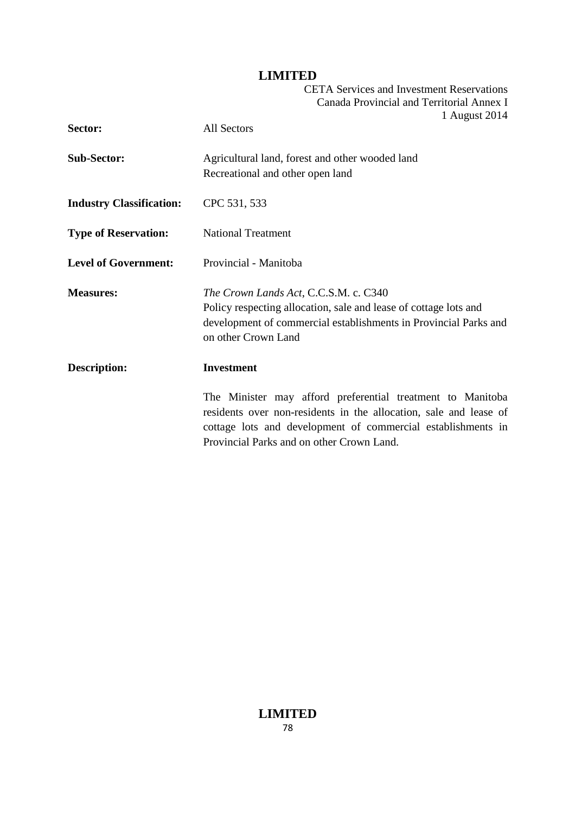| Sector:                         | All Sectors                                                                                                                                                                                                                                  |
|---------------------------------|----------------------------------------------------------------------------------------------------------------------------------------------------------------------------------------------------------------------------------------------|
| <b>Sub-Sector:</b>              | Agricultural land, forest and other wooded land<br>Recreational and other open land                                                                                                                                                          |
| <b>Industry Classification:</b> | CPC 531, 533                                                                                                                                                                                                                                 |
| <b>Type of Reservation:</b>     | <b>National Treatment</b>                                                                                                                                                                                                                    |
| <b>Level of Government:</b>     | Provincial - Manitoba                                                                                                                                                                                                                        |
| <b>Measures:</b>                | The Crown Lands Act, C.C.S.M. c. C340<br>Policy respecting allocation, sale and lease of cottage lots and<br>development of commercial establishments in Provincial Parks and<br>on other Crown Land                                         |
| <b>Description:</b>             | <b>Investment</b>                                                                                                                                                                                                                            |
|                                 | The Minister may afford preferential treatment to Manitoba<br>residents over non-residents in the allocation, sale and lease of<br>cottage lots and development of commercial establishments in<br>Provincial Parks and on other Crown Land. |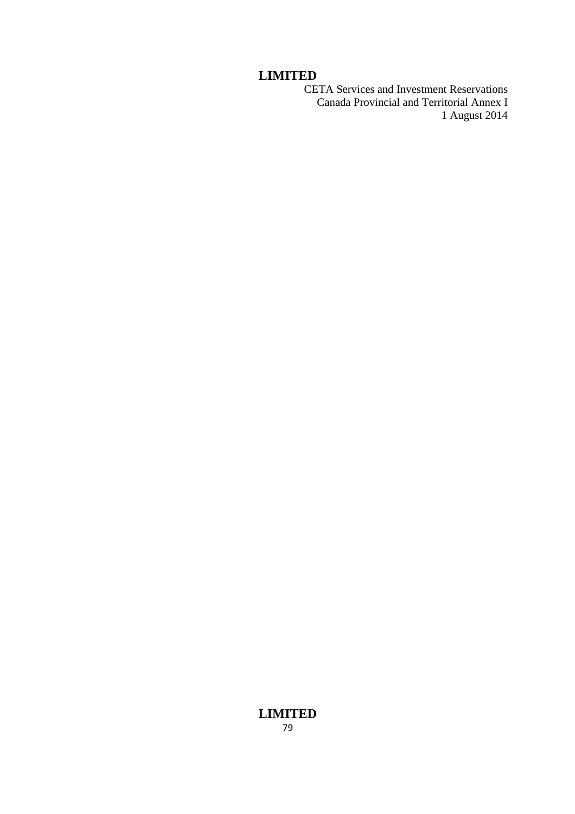CETA Services and Investment Reservations Canada Provincial and Territorial Annex I 1 August 2014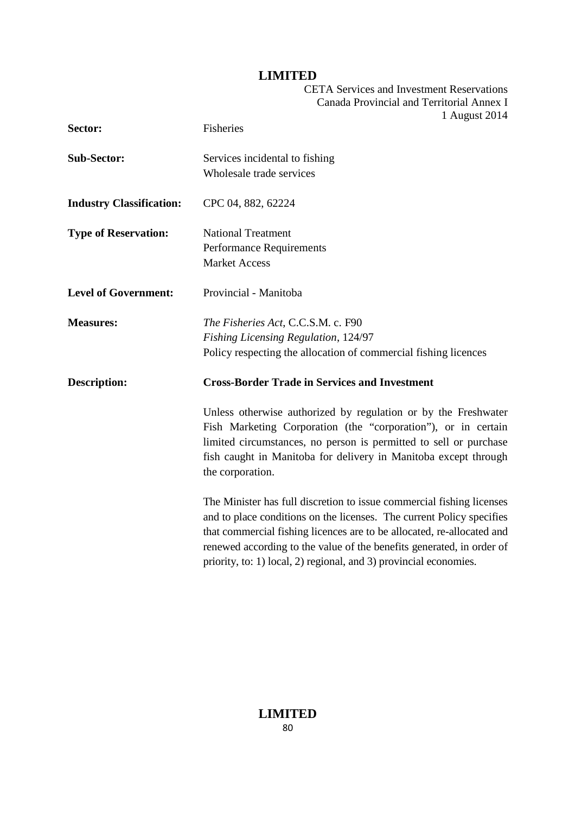| Sector:                         | Fisheries                                                                                                                                                                                                                                                                                                                                                              |
|---------------------------------|------------------------------------------------------------------------------------------------------------------------------------------------------------------------------------------------------------------------------------------------------------------------------------------------------------------------------------------------------------------------|
| <b>Sub-Sector:</b>              | Services incidental to fishing<br>Wholesale trade services                                                                                                                                                                                                                                                                                                             |
| <b>Industry Classification:</b> | CPC 04, 882, 62224                                                                                                                                                                                                                                                                                                                                                     |
| <b>Type of Reservation:</b>     | <b>National Treatment</b><br><b>Performance Requirements</b><br><b>Market Access</b>                                                                                                                                                                                                                                                                                   |
| <b>Level of Government:</b>     | Provincial - Manitoba                                                                                                                                                                                                                                                                                                                                                  |
| <b>Measures:</b>                | The Fisheries Act, C.C.S.M. c. F90<br>Fishing Licensing Regulation, 124/97<br>Policy respecting the allocation of commercial fishing licences                                                                                                                                                                                                                          |
| <b>Description:</b>             | <b>Cross-Border Trade in Services and Investment</b>                                                                                                                                                                                                                                                                                                                   |
|                                 | Unless otherwise authorized by regulation or by the Freshwater<br>Fish Marketing Corporation (the "corporation"), or in certain<br>limited circumstances, no person is permitted to sell or purchase<br>fish caught in Manitoba for delivery in Manitoba except through<br>the corporation.                                                                            |
|                                 | The Minister has full discretion to issue commercial fishing licenses<br>and to place conditions on the licenses. The current Policy specifies<br>that commercial fishing licences are to be allocated, re-allocated and<br>renewed according to the value of the benefits generated, in order of<br>priority, to: 1) local, 2) regional, and 3) provincial economies. |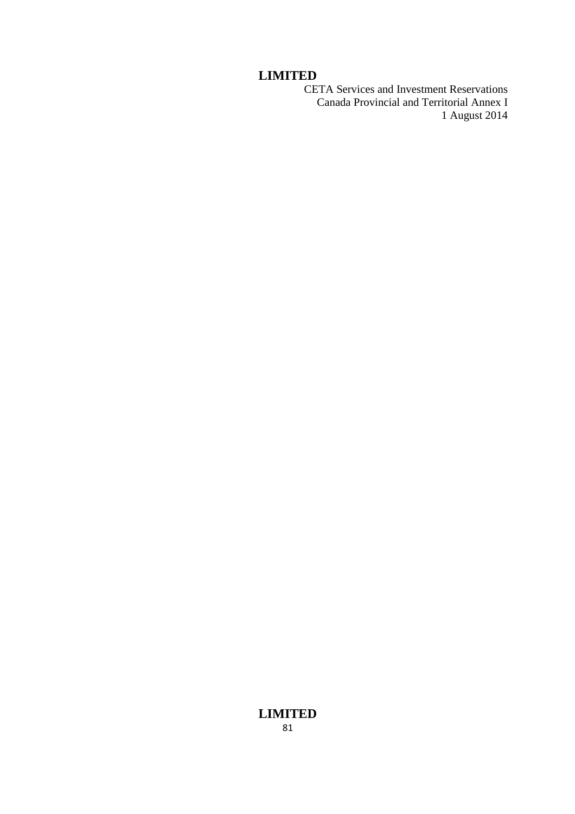CETA Services and Investment Reservations Canada Provincial and Territorial Annex I 1 August 2014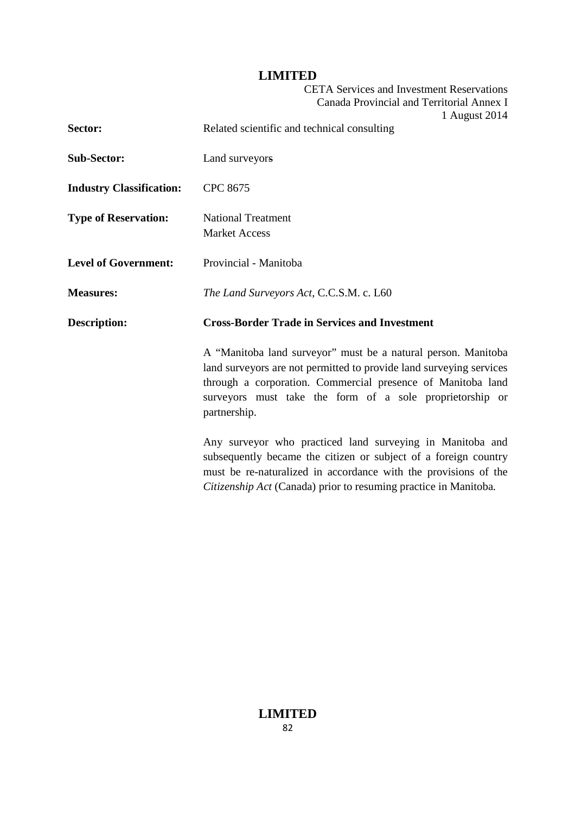| Sector:                         | Related scientific and technical consulting                                                                                                                                                                                                                                     |
|---------------------------------|---------------------------------------------------------------------------------------------------------------------------------------------------------------------------------------------------------------------------------------------------------------------------------|
| <b>Sub-Sector:</b>              | Land surveyors                                                                                                                                                                                                                                                                  |
| <b>Industry Classification:</b> | CPC 8675                                                                                                                                                                                                                                                                        |
| <b>Type of Reservation:</b>     | <b>National Treatment</b><br><b>Market Access</b>                                                                                                                                                                                                                               |
| <b>Level of Government:</b>     | Provincial - Manitoba                                                                                                                                                                                                                                                           |
| <b>Measures:</b>                | The Land Surveyors Act, C.C.S.M. c. L60                                                                                                                                                                                                                                         |
|                                 |                                                                                                                                                                                                                                                                                 |
| <b>Description:</b>             | <b>Cross-Border Trade in Services and Investment</b>                                                                                                                                                                                                                            |
|                                 | A "Manitoba land surveyor" must be a natural person. Manitoba<br>land surveyors are not permitted to provide land surveying services<br>through a corporation. Commercial presence of Manitoba land<br>surveyors must take the form of a sole proprietorship or<br>partnership. |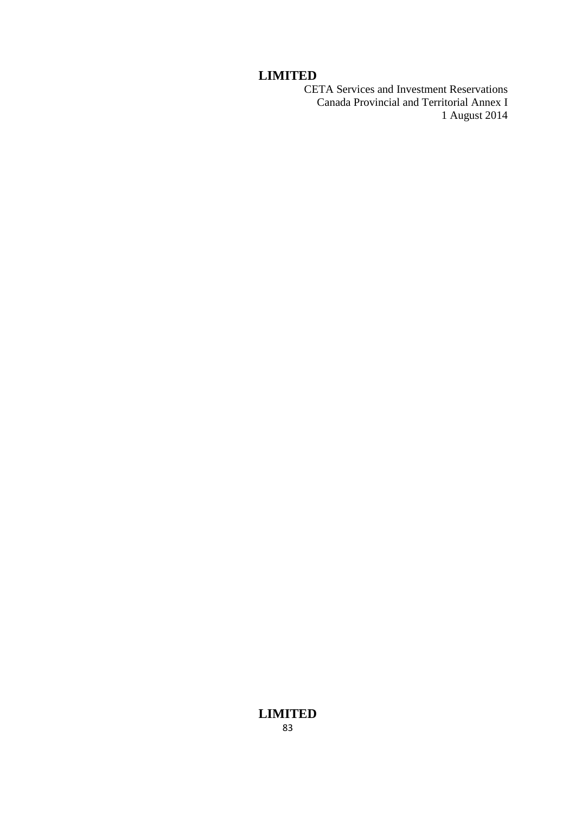CETA Services and Investment Reservations Canada Provincial and Territorial Annex I 1 August 2014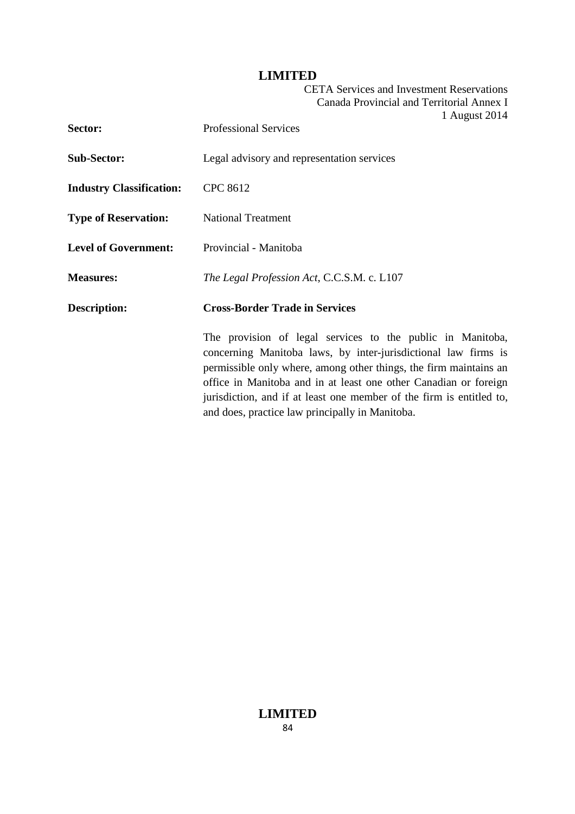| Sector:                         | <b>Professional Services</b>                                                                                                                                                                                                                                                                                                                                                                     |
|---------------------------------|--------------------------------------------------------------------------------------------------------------------------------------------------------------------------------------------------------------------------------------------------------------------------------------------------------------------------------------------------------------------------------------------------|
| <b>Sub-Sector:</b>              | Legal advisory and representation services                                                                                                                                                                                                                                                                                                                                                       |
| <b>Industry Classification:</b> | <b>CPC 8612</b>                                                                                                                                                                                                                                                                                                                                                                                  |
| <b>Type of Reservation:</b>     | <b>National Treatment</b>                                                                                                                                                                                                                                                                                                                                                                        |
| <b>Level of Government:</b>     | Provincial - Manitoba                                                                                                                                                                                                                                                                                                                                                                            |
| <b>Measures:</b>                | The Legal Profession Act, C.C.S.M. c. L107                                                                                                                                                                                                                                                                                                                                                       |
| <b>Description:</b>             | <b>Cross-Border Trade in Services</b>                                                                                                                                                                                                                                                                                                                                                            |
|                                 | The provision of legal services to the public in Manitoba,<br>concerning Manitoba laws, by inter-jurisdictional law firms is<br>permissible only where, among other things, the firm maintains an<br>office in Manitoba and in at least one other Canadian or foreign<br>jurisdiction, and if at least one member of the firm is entitled to,<br>and does, practice law principally in Manitoba. |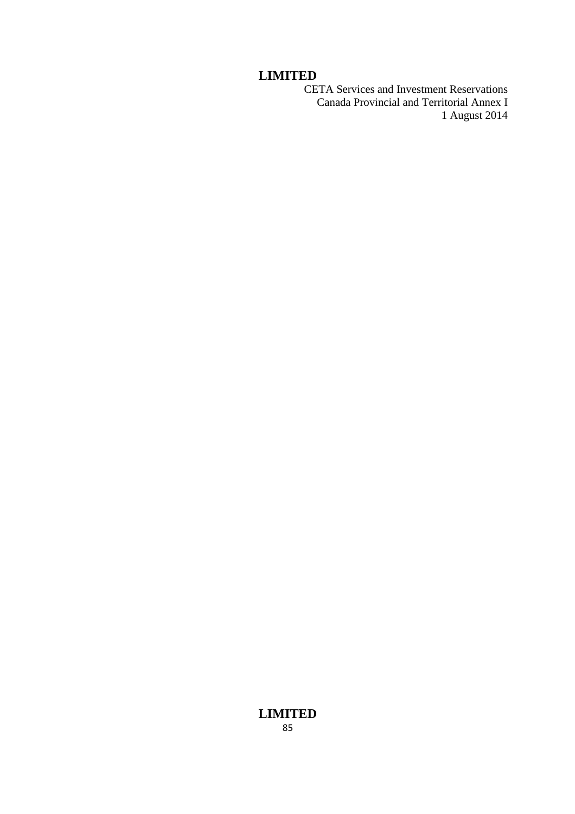CETA Services and Investment Reservations Canada Provincial and Territorial Annex I 1 August 2014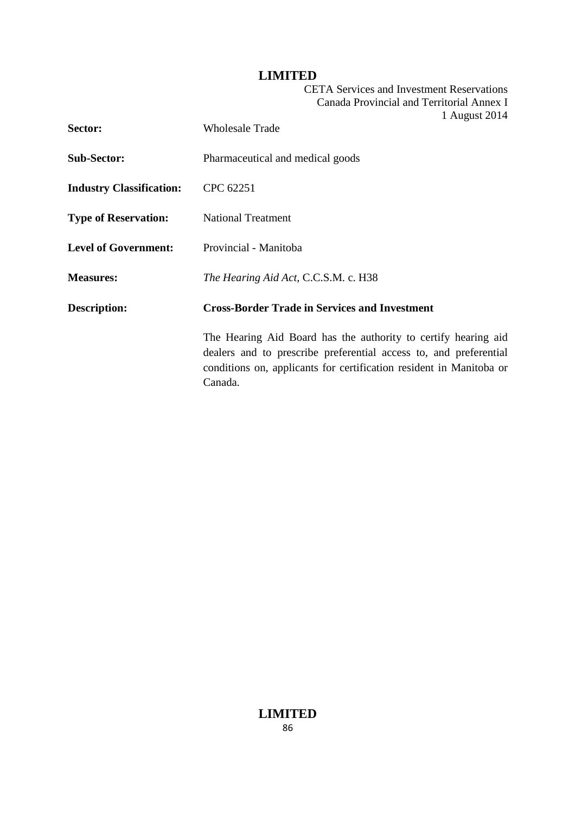| Sector:                         | <b>Wholesale Trade</b>                                                                                                                                                                                                |
|---------------------------------|-----------------------------------------------------------------------------------------------------------------------------------------------------------------------------------------------------------------------|
| <b>Sub-Sector:</b>              | Pharmaceutical and medical goods                                                                                                                                                                                      |
| <b>Industry Classification:</b> | CPC 62251                                                                                                                                                                                                             |
| <b>Type of Reservation:</b>     | <b>National Treatment</b>                                                                                                                                                                                             |
| <b>Level of Government:</b>     | Provincial - Manitoba                                                                                                                                                                                                 |
| <b>Measures:</b>                | The Hearing Aid Act, C.C.S.M. c. H38                                                                                                                                                                                  |
| Description:                    | <b>Cross-Border Trade in Services and Investment</b>                                                                                                                                                                  |
|                                 | The Hearing Aid Board has the authority to certify hearing aid<br>dealers and to prescribe preferential access to, and preferential<br>conditions on, applicants for certification resident in Manitoba or<br>Canada. |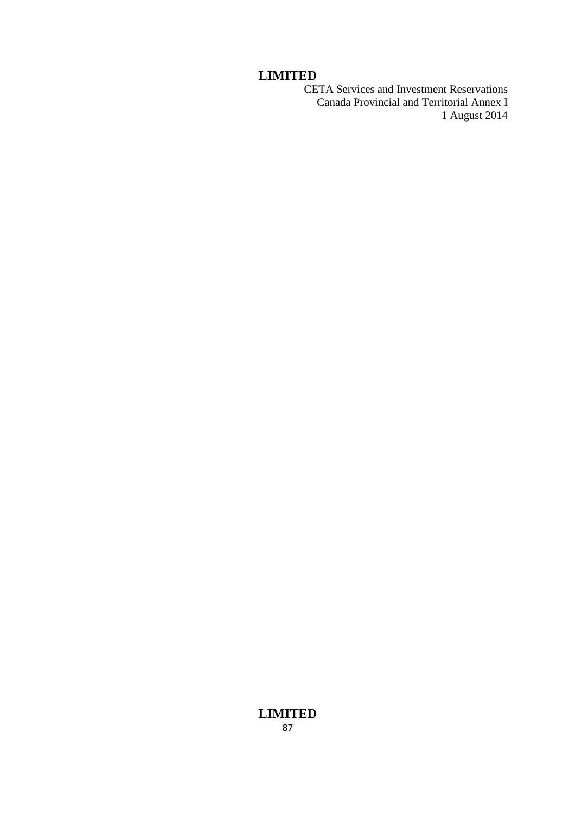CETA Services and Investment Reservations Canada Provincial and Territorial Annex I 1 August 2014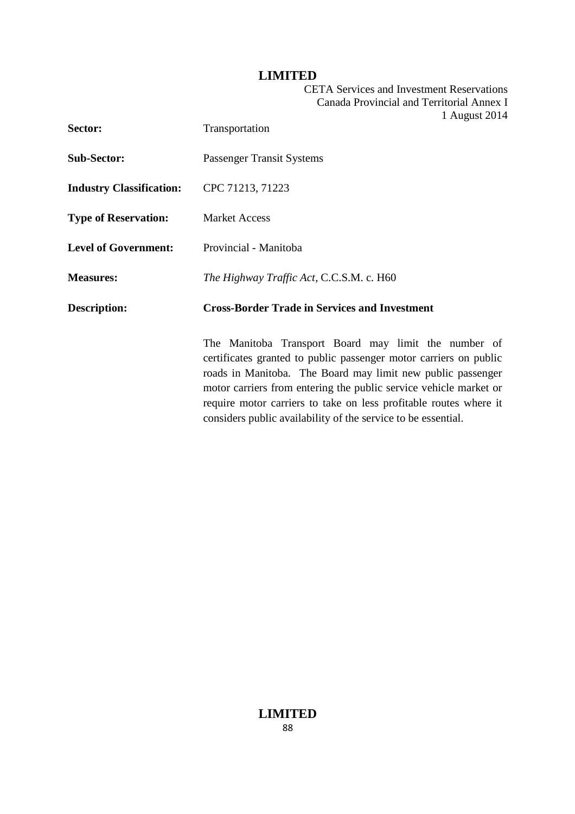| Sector:                         | Transportation                                                                                                                                                                                                                                                                                                                                                                                      |
|---------------------------------|-----------------------------------------------------------------------------------------------------------------------------------------------------------------------------------------------------------------------------------------------------------------------------------------------------------------------------------------------------------------------------------------------------|
| <b>Sub-Sector:</b>              | <b>Passenger Transit Systems</b>                                                                                                                                                                                                                                                                                                                                                                    |
| <b>Industry Classification:</b> | CPC 71213, 71223                                                                                                                                                                                                                                                                                                                                                                                    |
| <b>Type of Reservation:</b>     | <b>Market Access</b>                                                                                                                                                                                                                                                                                                                                                                                |
| <b>Level of Government:</b>     | Provincial - Manitoba                                                                                                                                                                                                                                                                                                                                                                               |
| <b>Measures:</b>                | The Highway Traffic Act, C.C.S.M. c. H60                                                                                                                                                                                                                                                                                                                                                            |
| Description:                    | <b>Cross-Border Trade in Services and Investment</b>                                                                                                                                                                                                                                                                                                                                                |
|                                 | The Manitoba Transport Board may limit the number of<br>certificates granted to public passenger motor carriers on public<br>roads in Manitoba. The Board may limit new public passenger<br>motor carriers from entering the public service vehicle market or<br>require motor carriers to take on less profitable routes where it<br>considers public availability of the service to be essential. |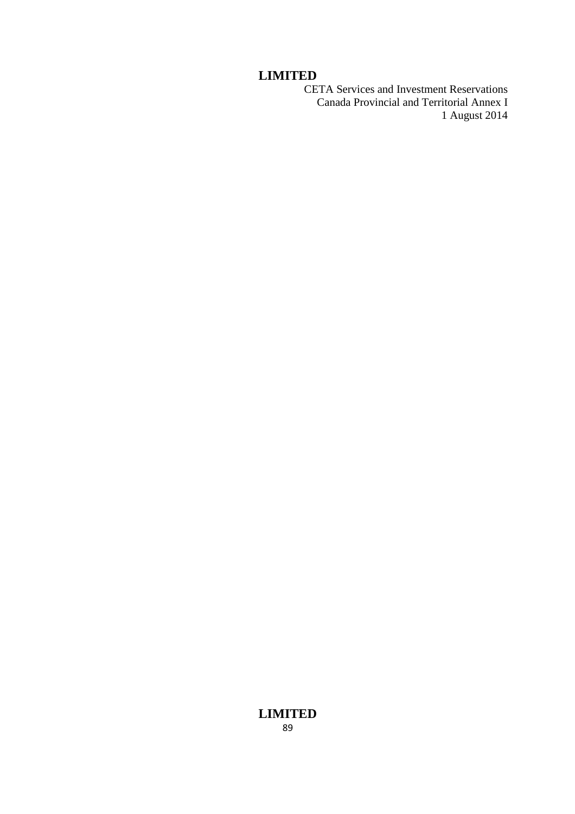CETA Services and Investment Reservations Canada Provincial and Territorial Annex I 1 August 2014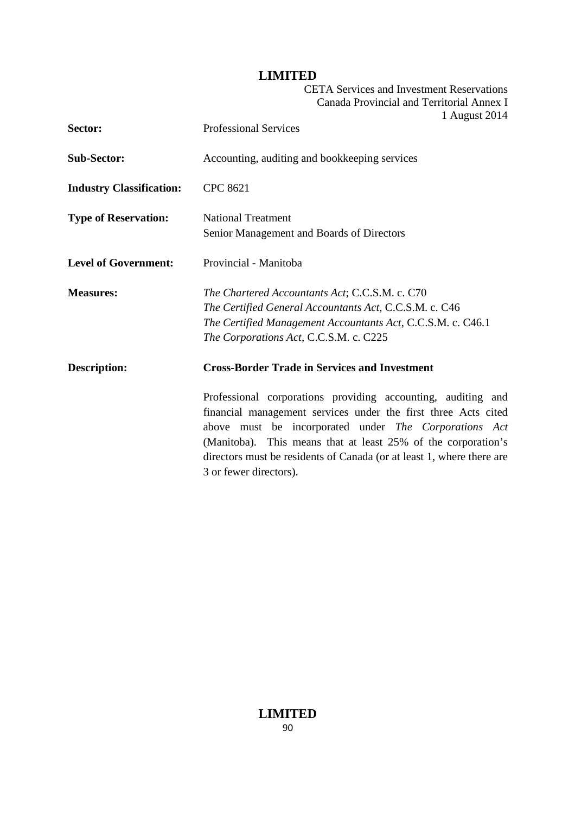| <b>Professional Services</b>                                                                                                                                                                                                                                                                                                                                                                                        |
|---------------------------------------------------------------------------------------------------------------------------------------------------------------------------------------------------------------------------------------------------------------------------------------------------------------------------------------------------------------------------------------------------------------------|
| Accounting, auditing and bookkeeping services                                                                                                                                                                                                                                                                                                                                                                       |
| <b>CPC 8621</b>                                                                                                                                                                                                                                                                                                                                                                                                     |
| <b>National Treatment</b><br>Senior Management and Boards of Directors                                                                                                                                                                                                                                                                                                                                              |
| Provincial - Manitoba                                                                                                                                                                                                                                                                                                                                                                                               |
| The Chartered Accountants Act; C.C.S.M. c. C70<br>The Certified General Accountants Act, C.C.S.M. c. C46<br>The Certified Management Accountants Act, C.C.S.M. c. C46.1<br>The Corporations Act, C.C.S.M. c. C225                                                                                                                                                                                                   |
| <b>Cross-Border Trade in Services and Investment</b><br>Professional corporations providing accounting, auditing and<br>financial management services under the first three Acts cited<br>above must be incorporated under The Corporations Act<br>(Manitoba). This means that at least 25% of the corporation's<br>directors must be residents of Canada (or at least 1, where there are<br>3 or fewer directors). |
|                                                                                                                                                                                                                                                                                                                                                                                                                     |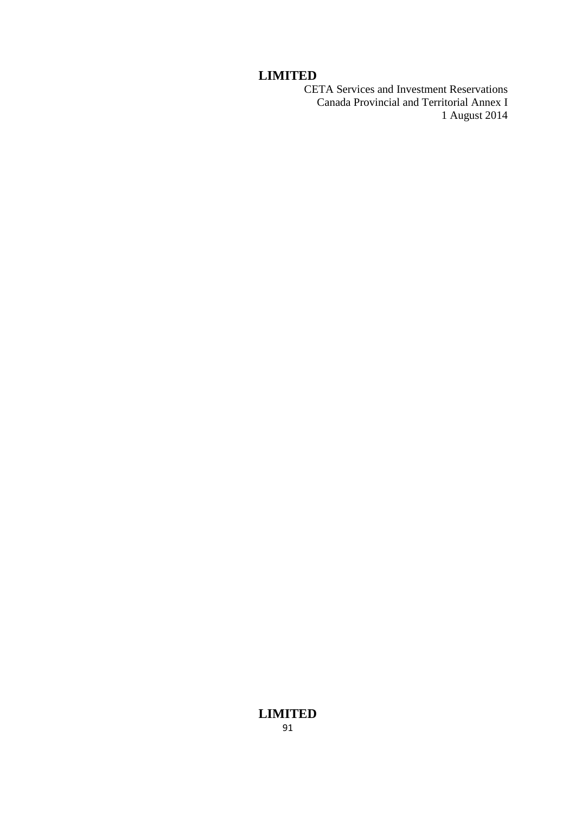CETA Services and Investment Reservations Canada Provincial and Territorial Annex I 1 August 2014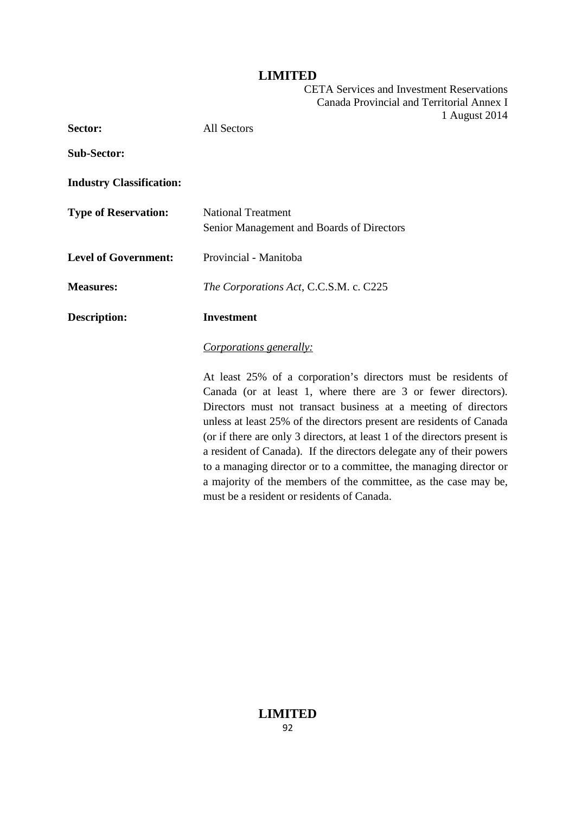CETA Services and Investment Reservations Canada Provincial and Territorial Annex I 1 August 2014

a majority of the members of the committee, as the case may be,

| <b>Sector:</b>                  | All Sectors                                                                                                                                                                                                                                                                                                                                                                                                                                                                                          |
|---------------------------------|------------------------------------------------------------------------------------------------------------------------------------------------------------------------------------------------------------------------------------------------------------------------------------------------------------------------------------------------------------------------------------------------------------------------------------------------------------------------------------------------------|
| <b>Sub-Sector:</b>              |                                                                                                                                                                                                                                                                                                                                                                                                                                                                                                      |
| <b>Industry Classification:</b> |                                                                                                                                                                                                                                                                                                                                                                                                                                                                                                      |
| <b>Type of Reservation:</b>     | <b>National Treatment</b><br>Senior Management and Boards of Directors                                                                                                                                                                                                                                                                                                                                                                                                                               |
| <b>Level of Government:</b>     | Provincial - Manitoba                                                                                                                                                                                                                                                                                                                                                                                                                                                                                |
| <b>Measures:</b>                | The Corporations Act, C.C.S.M. c. C225                                                                                                                                                                                                                                                                                                                                                                                                                                                               |
| <b>Description:</b>             | <b>Investment</b>                                                                                                                                                                                                                                                                                                                                                                                                                                                                                    |
|                                 | Corporations generally:                                                                                                                                                                                                                                                                                                                                                                                                                                                                              |
|                                 | At least 25% of a corporation's directors must be residents of<br>Canada (or at least 1, where there are 3 or fewer directors).<br>Directors must not transact business at a meeting of directors<br>unless at least 25% of the directors present are residents of Canada<br>(or if there are only 3 directors, at least 1 of the directors present is<br>a resident of Canada). If the directors delegate any of their powers<br>to a managing director or to a committee, the managing director or |

**LIMITED** 92

must be a resident or residents of Canada.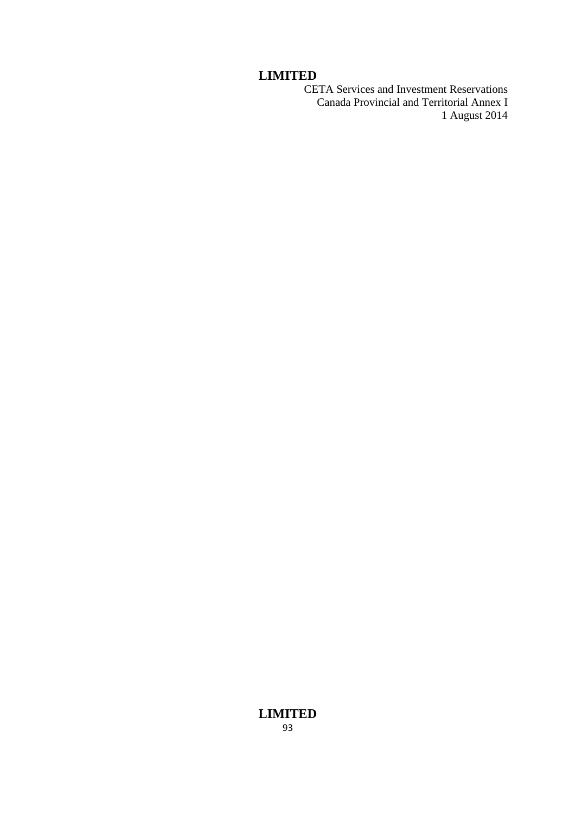CETA Services and Investment Reservations Canada Provincial and Territorial Annex I 1 August 2014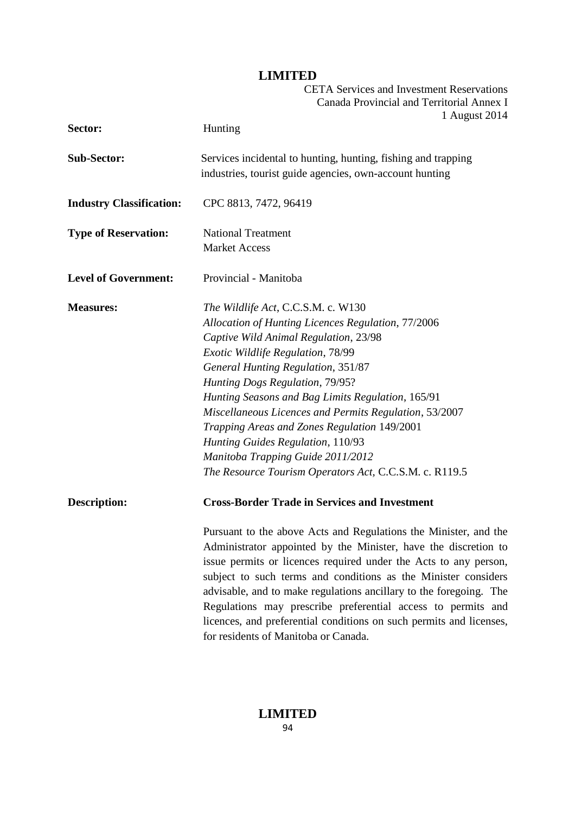| Sector:                         | Hunting                                                                                                                                                                                                                                                                                                                                                                                                                                                                                                                                                                                |
|---------------------------------|----------------------------------------------------------------------------------------------------------------------------------------------------------------------------------------------------------------------------------------------------------------------------------------------------------------------------------------------------------------------------------------------------------------------------------------------------------------------------------------------------------------------------------------------------------------------------------------|
| <b>Sub-Sector:</b>              | Services incidental to hunting, hunting, fishing and trapping<br>industries, tourist guide agencies, own-account hunting                                                                                                                                                                                                                                                                                                                                                                                                                                                               |
| <b>Industry Classification:</b> | CPC 8813, 7472, 96419                                                                                                                                                                                                                                                                                                                                                                                                                                                                                                                                                                  |
| <b>Type of Reservation:</b>     | <b>National Treatment</b><br><b>Market Access</b>                                                                                                                                                                                                                                                                                                                                                                                                                                                                                                                                      |
| <b>Level of Government:</b>     | Provincial - Manitoba                                                                                                                                                                                                                                                                                                                                                                                                                                                                                                                                                                  |
| <b>Measures:</b>                | The Wildlife Act, C.C.S.M. c. W130<br>Allocation of Hunting Licences Regulation, 77/2006<br>Captive Wild Animal Regulation, 23/98<br>Exotic Wildlife Regulation, 78/99<br>General Hunting Regulation, 351/87<br>Hunting Dogs Regulation, 79/95?<br>Hunting Seasons and Bag Limits Regulation, 165/91<br>Miscellaneous Licences and Permits Regulation, 53/2007<br>Trapping Areas and Zones Regulation 149/2001<br>Hunting Guides Regulation, 110/93<br>Manitoba Trapping Guide 2011/2012<br>The Resource Tourism Operators Act, C.C.S.M. c. R119.5                                     |
| <b>Description:</b>             | <b>Cross-Border Trade in Services and Investment</b><br>Pursuant to the above Acts and Regulations the Minister, and the<br>Administrator appointed by the Minister, have the discretion to<br>issue permits or licences required under the Acts to any person,<br>subject to such terms and conditions as the Minister considers<br>advisable, and to make regulations ancillary to the foregoing. The<br>Regulations may prescribe preferential access to permits and<br>licences, and preferential conditions on such permits and licenses,<br>for residents of Manitoba or Canada. |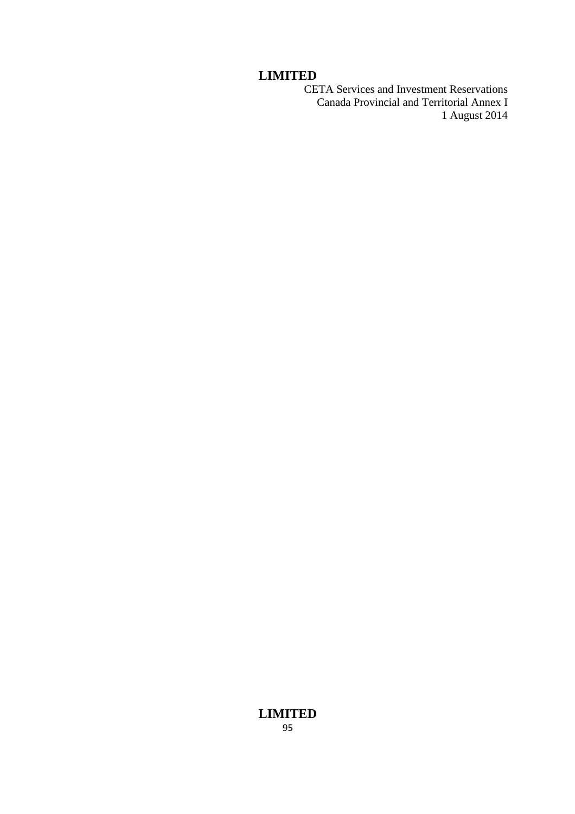CETA Services and Investment Reservations Canada Provincial and Territorial Annex I 1 August 2014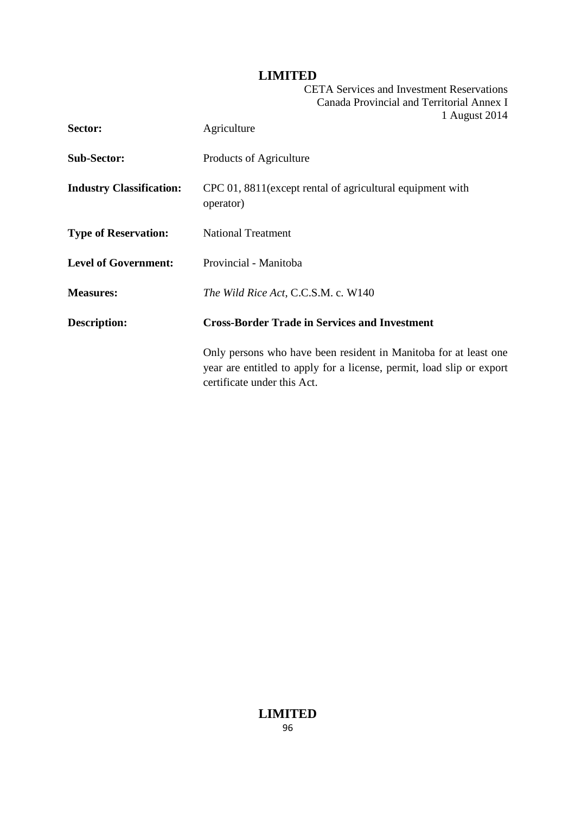| Sector:                         | Agriculture                                                                                                                                                              |
|---------------------------------|--------------------------------------------------------------------------------------------------------------------------------------------------------------------------|
| <b>Sub-Sector:</b>              | Products of Agriculture                                                                                                                                                  |
| <b>Industry Classification:</b> | CPC 01, 8811 (except rental of agricultural equipment with<br>operator)                                                                                                  |
| <b>Type of Reservation:</b>     | <b>National Treatment</b>                                                                                                                                                |
| <b>Level of Government:</b>     | Provincial - Manitoba                                                                                                                                                    |
| <b>Measures:</b>                | The Wild Rice Act, C.C.S.M. c. W140                                                                                                                                      |
| Description:                    | <b>Cross-Border Trade in Services and Investment</b>                                                                                                                     |
|                                 | Only persons who have been resident in Manitoba for at least one<br>year are entitled to apply for a license, permit, load slip or export<br>certificate under this Act. |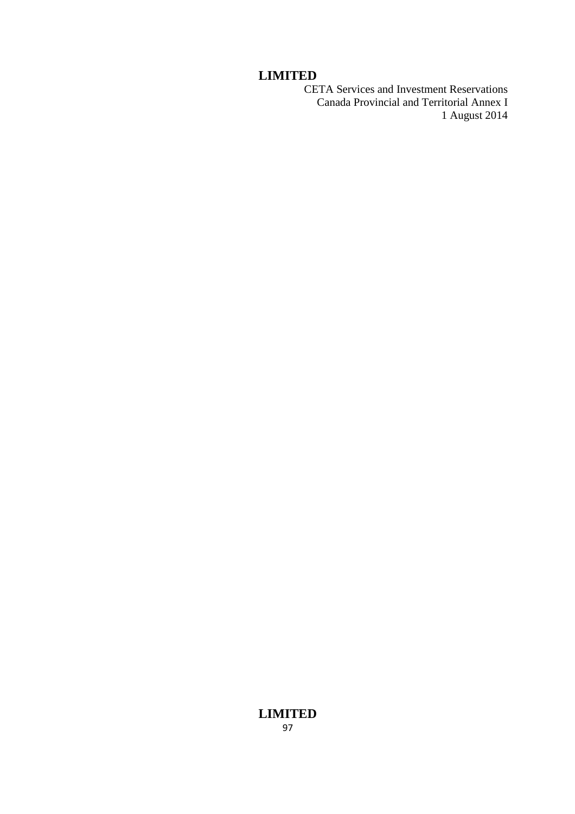CETA Services and Investment Reservations Canada Provincial and Territorial Annex I 1 August 2014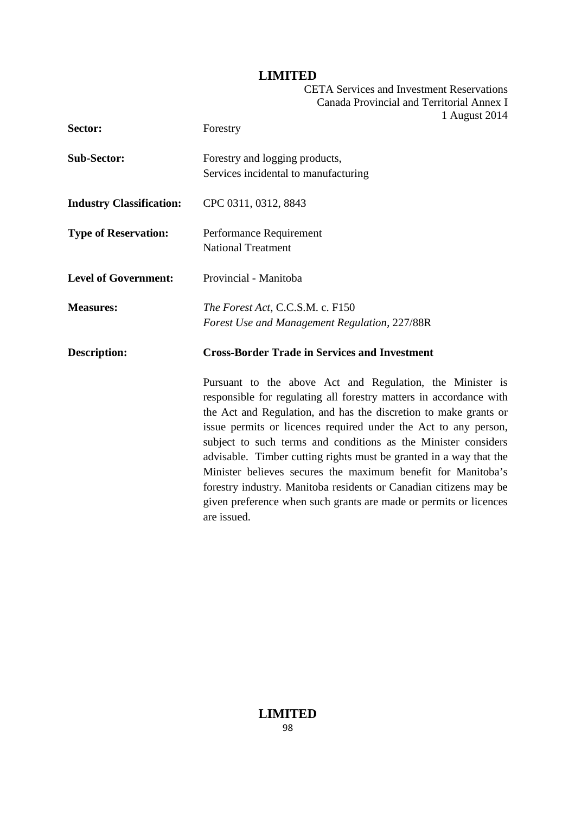CETA Services and Investment Reservations Canada Provincial and Territorial Annex I 1 August 2014

| Sector:                         | Forestry                                                                                                                                                                                                                                                                                                                                                                                                                                                                                                                                                                                                                                |
|---------------------------------|-----------------------------------------------------------------------------------------------------------------------------------------------------------------------------------------------------------------------------------------------------------------------------------------------------------------------------------------------------------------------------------------------------------------------------------------------------------------------------------------------------------------------------------------------------------------------------------------------------------------------------------------|
| <b>Sub-Sector:</b>              | Forestry and logging products,<br>Services incidental to manufacturing                                                                                                                                                                                                                                                                                                                                                                                                                                                                                                                                                                  |
| <b>Industry Classification:</b> | CPC 0311, 0312, 8843                                                                                                                                                                                                                                                                                                                                                                                                                                                                                                                                                                                                                    |
| <b>Type of Reservation:</b>     | Performance Requirement<br><b>National Treatment</b>                                                                                                                                                                                                                                                                                                                                                                                                                                                                                                                                                                                    |
| <b>Level of Government:</b>     | Provincial - Manitoba                                                                                                                                                                                                                                                                                                                                                                                                                                                                                                                                                                                                                   |
| <b>Measures:</b>                | The Forest Act, C.C.S.M. c. F150<br>Forest Use and Management Regulation, 227/88R                                                                                                                                                                                                                                                                                                                                                                                                                                                                                                                                                       |
| <b>Description:</b>             | <b>Cross-Border Trade in Services and Investment</b>                                                                                                                                                                                                                                                                                                                                                                                                                                                                                                                                                                                    |
|                                 | Pursuant to the above Act and Regulation, the Minister is<br>responsible for regulating all forestry matters in accordance with<br>the Act and Regulation, and has the discretion to make grants or<br>issue permits or licences required under the Act to any person,<br>subject to such terms and conditions as the Minister considers<br>advisable. Timber cutting rights must be granted in a way that the<br>Minister believes secures the maximum benefit for Manitoba's<br>forestry industry. Manitoba residents or Canadian citizens may be<br>given preference when such grants are made or permits or licences<br>are issued. |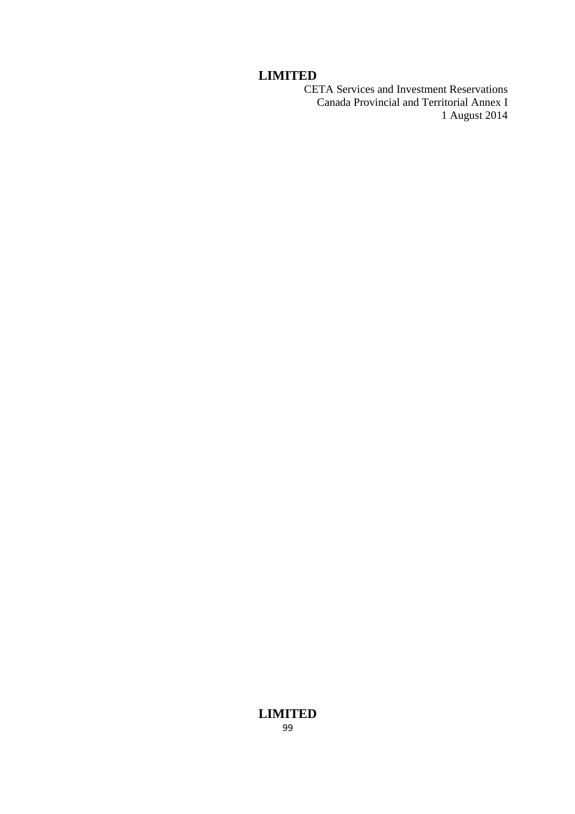CETA Services and Investment Reservations Canada Provincial and Territorial Annex I 1 August 2014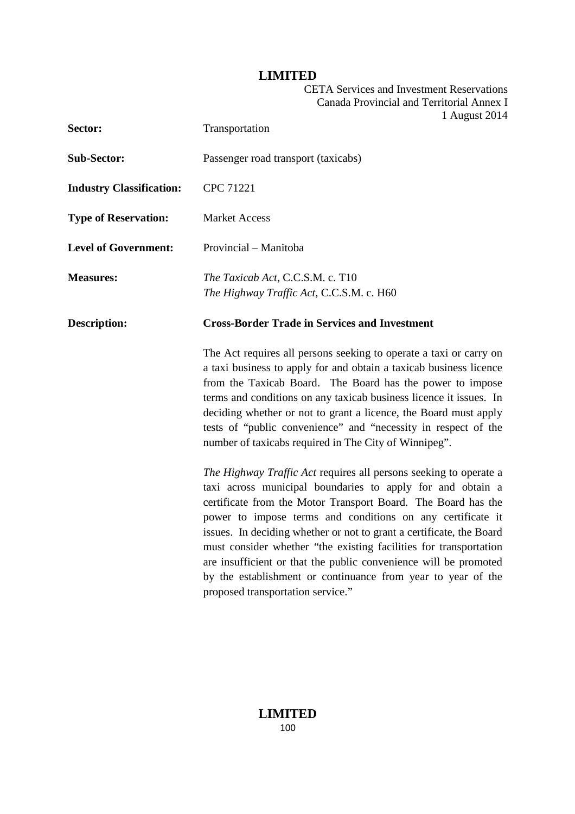| Sector:                         | Transportation                                                                                                                                                                                                                                                                                                                                                                                                                                                                                                                                                                       |
|---------------------------------|--------------------------------------------------------------------------------------------------------------------------------------------------------------------------------------------------------------------------------------------------------------------------------------------------------------------------------------------------------------------------------------------------------------------------------------------------------------------------------------------------------------------------------------------------------------------------------------|
| <b>Sub-Sector:</b>              | Passenger road transport (taxicabs)                                                                                                                                                                                                                                                                                                                                                                                                                                                                                                                                                  |
| <b>Industry Classification:</b> | CPC 71221                                                                                                                                                                                                                                                                                                                                                                                                                                                                                                                                                                            |
| <b>Type of Reservation:</b>     | <b>Market Access</b>                                                                                                                                                                                                                                                                                                                                                                                                                                                                                                                                                                 |
| <b>Level of Government:</b>     | Provincial - Manitoba                                                                                                                                                                                                                                                                                                                                                                                                                                                                                                                                                                |
| <b>Measures:</b>                | The Taxicab Act, C.C.S.M. c. T10<br>The Highway Traffic Act, C.C.S.M. c. H60                                                                                                                                                                                                                                                                                                                                                                                                                                                                                                         |
| <b>Description:</b>             | <b>Cross-Border Trade in Services and Investment</b>                                                                                                                                                                                                                                                                                                                                                                                                                                                                                                                                 |
|                                 | The Act requires all persons seeking to operate a taxi or carry on<br>a taxi business to apply for and obtain a taxicab business licence<br>from the Taxicab Board. The Board has the power to impose<br>terms and conditions on any taxicab business licence it issues. In<br>deciding whether or not to grant a licence, the Board must apply<br>tests of "public convenience" and "necessity in respect of the<br>number of taxicabs required in The City of Winnipeg".                                                                                                           |
|                                 | The Highway Traffic Act requires all persons seeking to operate a<br>taxi across municipal boundaries to apply for and obtain a<br>certificate from the Motor Transport Board. The Board has the<br>power to impose terms and conditions on any certificate it<br>issues. In deciding whether or not to grant a certificate, the Board<br>must consider whether "the existing facilities for transportation<br>are insufficient or that the public convenience will be promoted<br>by the establishment or continuance from year to year of the<br>proposed transportation service." |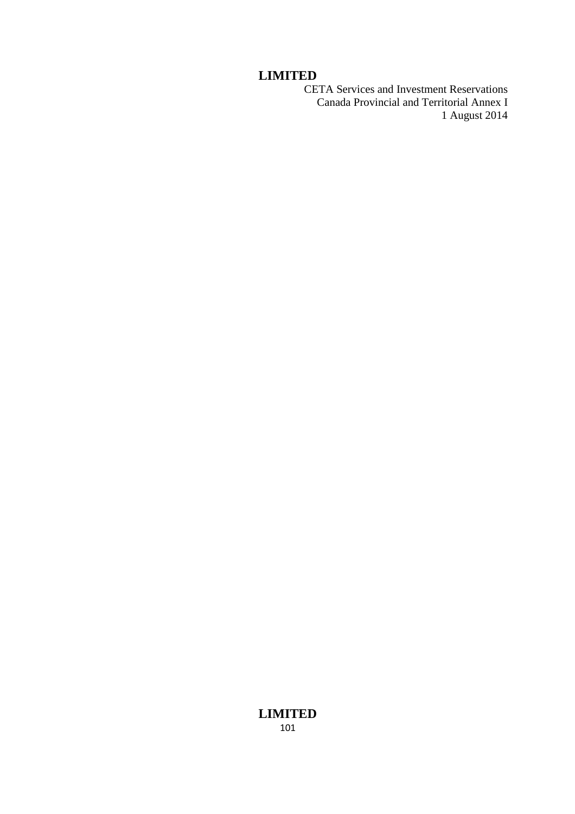CETA Services and Investment Reservations Canada Provincial and Territorial Annex I 1 August 2014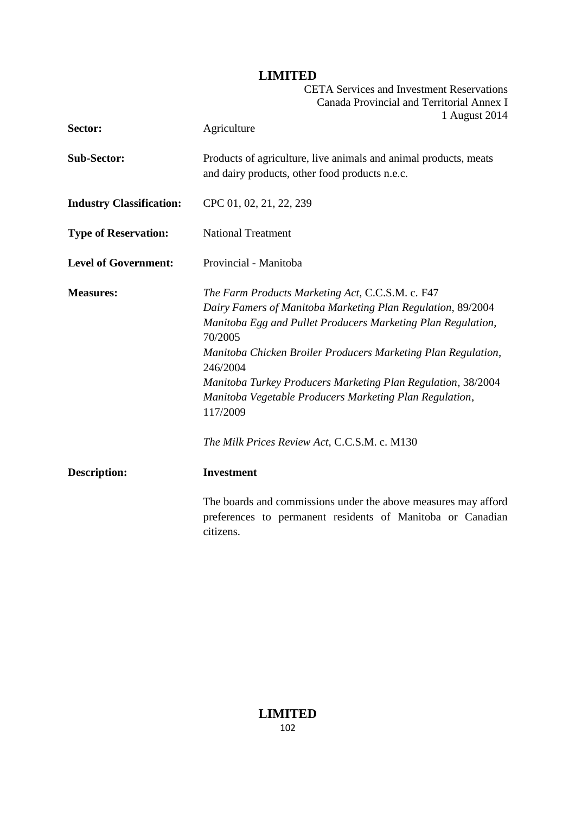| Sector:                         | Agriculture                                                                                                                                                                                                                                                                                                                                                                                                                                                    |
|---------------------------------|----------------------------------------------------------------------------------------------------------------------------------------------------------------------------------------------------------------------------------------------------------------------------------------------------------------------------------------------------------------------------------------------------------------------------------------------------------------|
| <b>Sub-Sector:</b>              | Products of agriculture, live animals and animal products, meats<br>and dairy products, other food products n.e.c.                                                                                                                                                                                                                                                                                                                                             |
| <b>Industry Classification:</b> | CPC 01, 02, 21, 22, 239                                                                                                                                                                                                                                                                                                                                                                                                                                        |
| <b>Type of Reservation:</b>     | <b>National Treatment</b>                                                                                                                                                                                                                                                                                                                                                                                                                                      |
| <b>Level of Government:</b>     | Provincial - Manitoba                                                                                                                                                                                                                                                                                                                                                                                                                                          |
| <b>Measures:</b>                | The Farm Products Marketing Act, C.C.S.M. c. F47<br>Dairy Famers of Manitoba Marketing Plan Regulation, 89/2004<br>Manitoba Egg and Pullet Producers Marketing Plan Regulation,<br>70/2005<br>Manitoba Chicken Broiler Producers Marketing Plan Regulation,<br>246/2004<br>Manitoba Turkey Producers Marketing Plan Regulation, 38/2004<br>Manitoba Vegetable Producers Marketing Plan Regulation,<br>117/2009<br>The Milk Prices Review Act, C.C.S.M. c. M130 |
| <b>Description:</b>             | <b>Investment</b>                                                                                                                                                                                                                                                                                                                                                                                                                                              |
|                                 | The boards and commissions under the above measures may afford<br>preferences to permanent residents of Manitoba or Canadian<br>citizens.                                                                                                                                                                                                                                                                                                                      |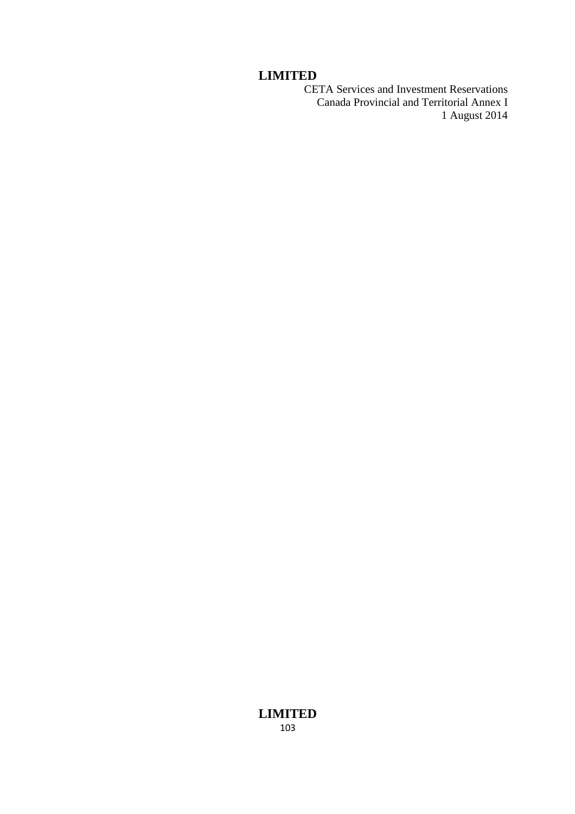CETA Services and Investment Reservations Canada Provincial and Territorial Annex I 1 August 2014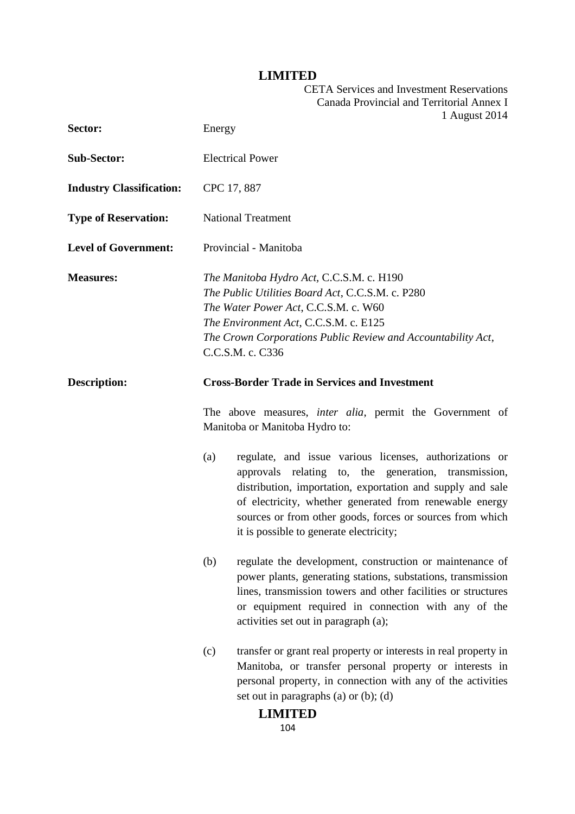CETA Services and Investment Reservations Canada Provincial and Territorial Annex I 1 August 2014

| Sector:                         | Energy                                                                                                                                                                                                                                                                                                                                                  |  |
|---------------------------------|---------------------------------------------------------------------------------------------------------------------------------------------------------------------------------------------------------------------------------------------------------------------------------------------------------------------------------------------------------|--|
| <b>Sub-Sector:</b>              | <b>Electrical Power</b>                                                                                                                                                                                                                                                                                                                                 |  |
| <b>Industry Classification:</b> | CPC 17, 887                                                                                                                                                                                                                                                                                                                                             |  |
| <b>Type of Reservation:</b>     | <b>National Treatment</b>                                                                                                                                                                                                                                                                                                                               |  |
| <b>Level of Government:</b>     | Provincial - Manitoba                                                                                                                                                                                                                                                                                                                                   |  |
| <b>Measures:</b>                | The Manitoba Hydro Act, C.C.S.M. c. H190<br>The Public Utilities Board Act, C.C.S.M. c. P280<br>The Water Power Act, C.C.S.M. c. W60<br>The Environment Act, C.C.S.M. c. E125<br>The Crown Corporations Public Review and Accountability Act,<br>C.C.S.M. c. C336                                                                                       |  |
| <b>Description:</b>             | <b>Cross-Border Trade in Services and Investment</b><br>The above measures, inter alia, permit the Government of<br>Manitoba or Manitoba Hydro to:                                                                                                                                                                                                      |  |
|                                 | regulate, and issue various licenses, authorizations or<br>(a)<br>approvals relating to, the generation, transmission,<br>distribution, importation, exportation and supply and sale<br>of electricity, whether generated from renewable energy<br>sources or from other goods, forces or sources from which<br>it is possible to generate electricity; |  |
|                                 | (b)<br>regulate the development, construction or maintenance of<br>power plants, generating stations, substations, transmission<br>lines, transmission towers and other facilities or structures<br>or equipment required in connection with any of the<br>activities set out in paragraph (a);                                                         |  |
|                                 | transfer or grant real property or interests in real property in<br>(c)<br>Manitoba, or transfer personal property or interests in<br>personal property, in connection with any of the activities<br>set out in paragraphs (a) or (b); (d)                                                                                                              |  |
|                                 | <b>LIMITED</b>                                                                                                                                                                                                                                                                                                                                          |  |

104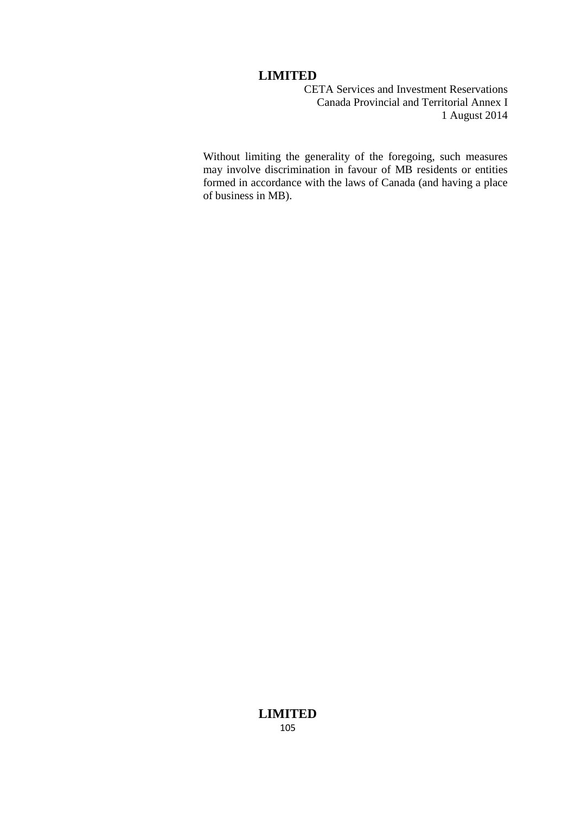CETA Services and Investment Reservations Canada Provincial and Territorial Annex I 1 August 2014

Without limiting the generality of the foregoing, such measures may involve discrimination in favour of MB residents or entities formed in accordance with the laws of Canada (and having a place of business in MB).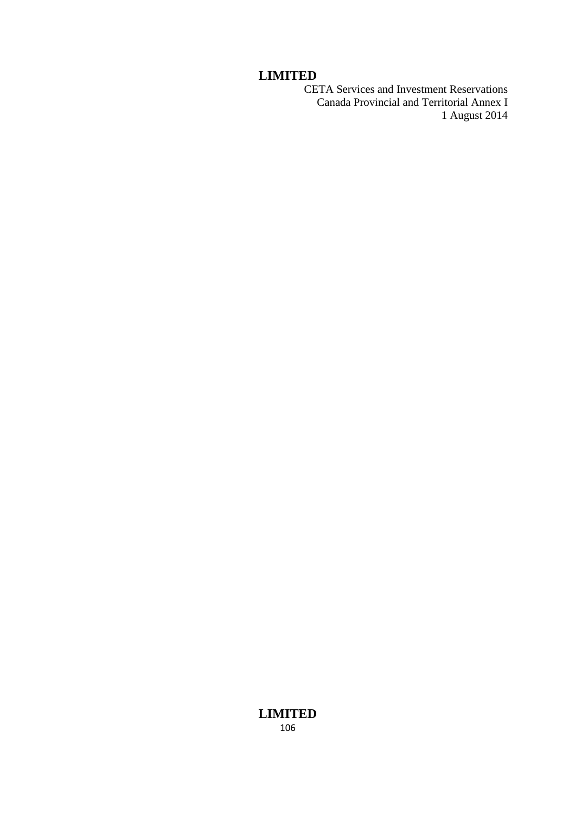CETA Services and Investment Reservations Canada Provincial and Territorial Annex I 1 August 2014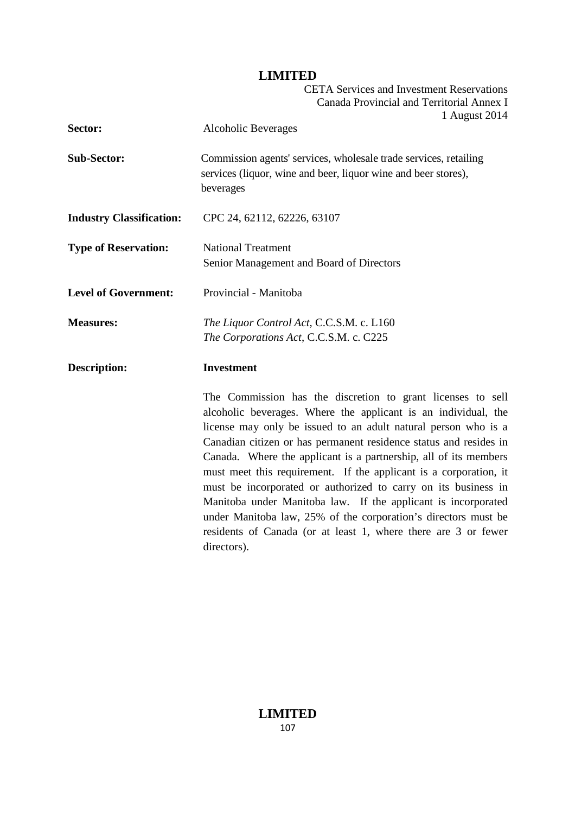CETA Services and Investment Reservations Canada Provincial and Territorial Annex I 1 August 2014

| Sector:                         | <b>Alcoholic Beverages</b>                                                                                                                                                                                                                                                                                                                                                                                                                                                                                                                                                                                                                                                                          |
|---------------------------------|-----------------------------------------------------------------------------------------------------------------------------------------------------------------------------------------------------------------------------------------------------------------------------------------------------------------------------------------------------------------------------------------------------------------------------------------------------------------------------------------------------------------------------------------------------------------------------------------------------------------------------------------------------------------------------------------------------|
| <b>Sub-Sector:</b>              | Commission agents' services, wholesale trade services, retailing<br>services (liquor, wine and beer, liquor wine and beer stores),<br>beverages                                                                                                                                                                                                                                                                                                                                                                                                                                                                                                                                                     |
| <b>Industry Classification:</b> | CPC 24, 62112, 62226, 63107                                                                                                                                                                                                                                                                                                                                                                                                                                                                                                                                                                                                                                                                         |
| <b>Type of Reservation:</b>     | <b>National Treatment</b><br>Senior Management and Board of Directors                                                                                                                                                                                                                                                                                                                                                                                                                                                                                                                                                                                                                               |
| <b>Level of Government:</b>     | Provincial - Manitoba                                                                                                                                                                                                                                                                                                                                                                                                                                                                                                                                                                                                                                                                               |
| <b>Measures:</b>                | The Liquor Control Act, C.C.S.M. c. L160<br>The Corporations Act, C.C.S.M. c. C225                                                                                                                                                                                                                                                                                                                                                                                                                                                                                                                                                                                                                  |
| <b>Description:</b>             | <b>Investment</b>                                                                                                                                                                                                                                                                                                                                                                                                                                                                                                                                                                                                                                                                                   |
|                                 | The Commission has the discretion to grant licenses to sell<br>alcoholic beverages. Where the applicant is an individual, the<br>license may only be issued to an adult natural person who is a<br>Canadian citizen or has permanent residence status and resides in<br>Canada. Where the applicant is a partnership, all of its members<br>must meet this requirement. If the applicant is a corporation, it<br>must be incorporated or authorized to carry on its business in<br>Manitoba under Manitoba law. If the applicant is incorporated<br>under Manitoba law, 25% of the corporation's directors must be<br>residents of Canada (or at least 1, where there are 3 or fewer<br>directors). |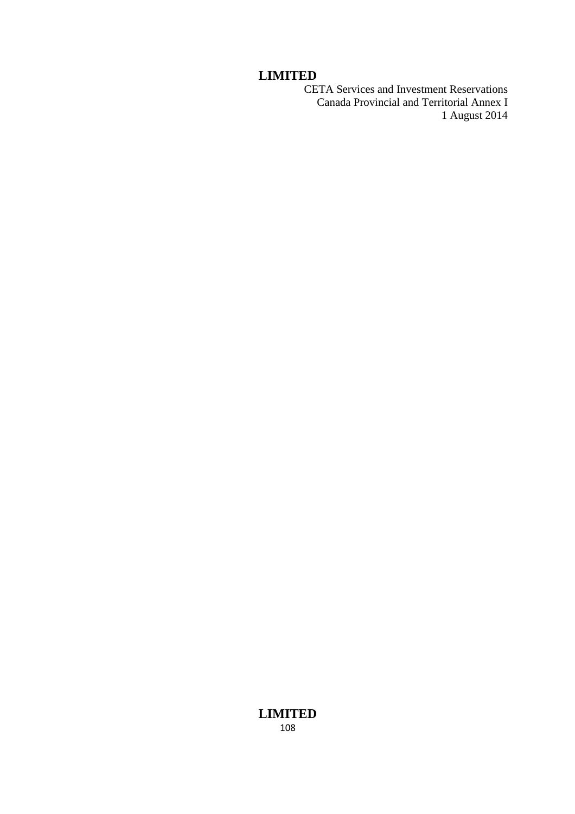CETA Services and Investment Reservations Canada Provincial and Territorial Annex I 1 August 2014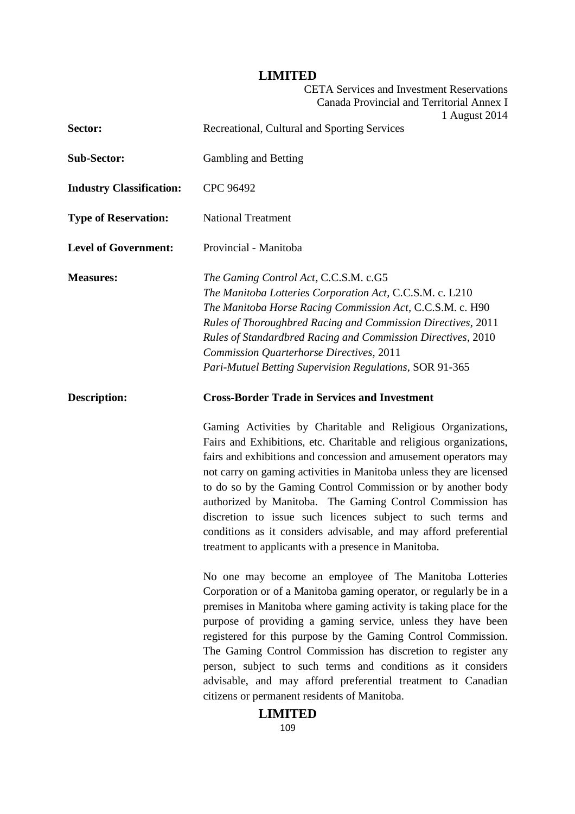CETA Services and Investment Reservations Canada Provincial and Territorial Annex I 1 August 2014 Sector: Recreational, Cultural and Sporting Services **Sub-Sector:** Gambling and Betting **Industry Classification:** CPC 96492 **Type of Reservation:** National Treatment **Level of Government:** Provincial - Manitoba **Measures:** *The Gaming Control Act*, C.C.S.M. c.G5 *The Manitoba Lotteries Corporation Act,* C.C.S.M. c. L210 *The Manitoba Horse Racing Commission Act*, C.C.S.M. c. H90 *Rules of Thoroughbred Racing and Commission Directives*, 2011 *Rules of Standardbred Racing and Commission Directives*, 2010 *Commission Quarterhorse Directives*, 2011 *Pari-Mutuel Betting Supervision Regulations*, SOR 91-365 **Description: Cross-Border Trade in Services and Investment** Gaming Activities by Charitable and Religious Organizations, Fairs and Exhibitions, etc. Charitable and religious organizations, fairs and exhibitions and concession and amusement operators may not carry on gaming activities in Manitoba unless they are licensed to do so by the Gaming Control Commission or by another body authorized by Manitoba. The Gaming Control Commission has discretion to issue such licences subject to such terms and conditions as it considers advisable, and may afford preferential treatment to applicants with a presence in Manitoba. No one may become an employee of The Manitoba Lotteries Corporation or of a Manitoba gaming operator, or regularly be in a premises in Manitoba where gaming activity is taking place for the purpose of providing a gaming service, unless they have been registered for this purpose by the Gaming Control Commission. The Gaming Control Commission has discretion to register any person, subject to such terms and conditions as it considers advisable, and may afford preferential treatment to Canadian citizens or permanent residents of Manitoba.

#### **LIMITED**

109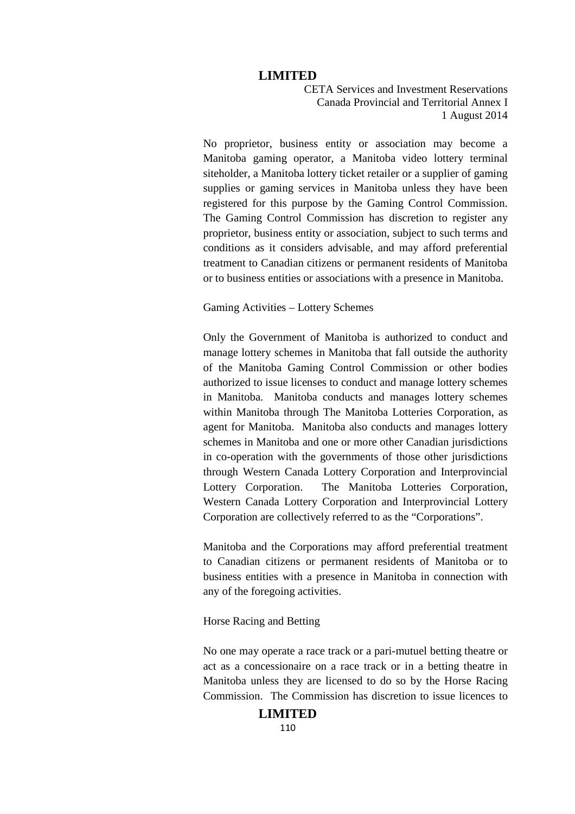CETA Services and Investment Reservations Canada Provincial and Territorial Annex I 1 August 2014

No proprietor, business entity or association may become a Manitoba gaming operator, a Manitoba video lottery terminal siteholder, a Manitoba lottery ticket retailer or a supplier of gaming supplies or gaming services in Manitoba unless they have been registered for this purpose by the Gaming Control Commission. The Gaming Control Commission has discretion to register any proprietor, business entity or association, subject to such terms and conditions as it considers advisable, and may afford preferential treatment to Canadian citizens or permanent residents of Manitoba or to business entities or associations with a presence in Manitoba.

Gaming Activities – Lottery Schemes

Only the Government of Manitoba is authorized to conduct and manage lottery schemes in Manitoba that fall outside the authority of the Manitoba Gaming Control Commission or other bodies authorized to issue licenses to conduct and manage lottery schemes in Manitoba. Manitoba conducts and manages lottery schemes within Manitoba through The Manitoba Lotteries Corporation, as agent for Manitoba. Manitoba also conducts and manages lottery schemes in Manitoba and one or more other Canadian jurisdictions in co-operation with the governments of those other jurisdictions through Western Canada Lottery Corporation and Interprovincial Lottery Corporation. The Manitoba Lotteries Corporation, Western Canada Lottery Corporation and Interprovincial Lottery Corporation are collectively referred to as the "Corporations".

Manitoba and the Corporations may afford preferential treatment to Canadian citizens or permanent residents of Manitoba or to business entities with a presence in Manitoba in connection with any of the foregoing activities.

Horse Racing and Betting

No one may operate a race track or a pari-mutuel betting theatre or act as a concessionaire on a race track or in a betting theatre in Manitoba unless they are licensed to do so by the Horse Racing Commission. The Commission has discretion to issue licences to

**LIMITED**

110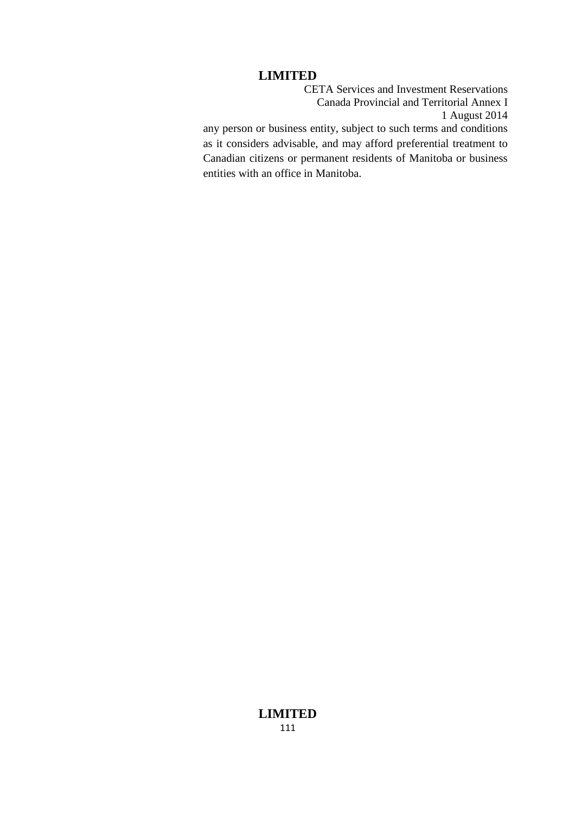CETA Services and Investment Reservations Canada Provincial and Territorial Annex I 1 August 2014 any person or business entity, subject to such terms and conditions as it considers advisable, and may afford preferential treatment to Canadian citizens or permanent residents of Manitoba or business entities with an office in Manitoba.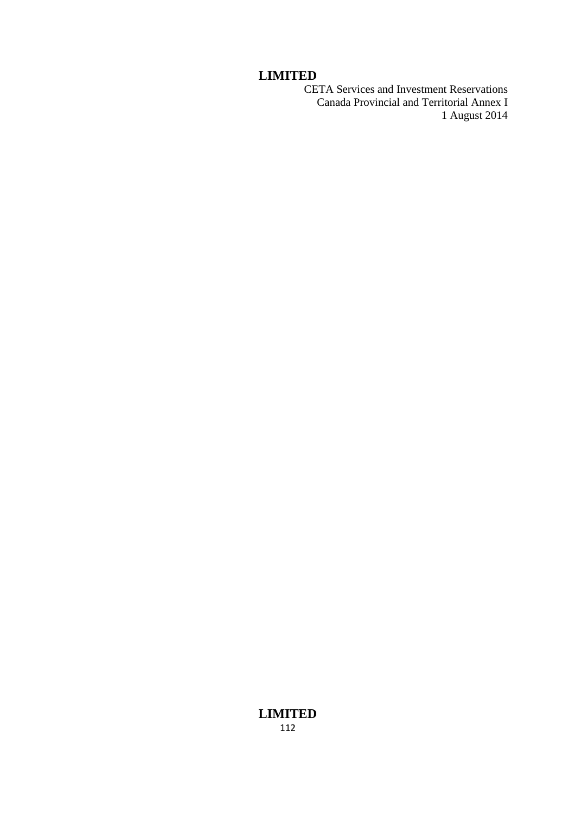CETA Services and Investment Reservations Canada Provincial and Territorial Annex I 1 August 2014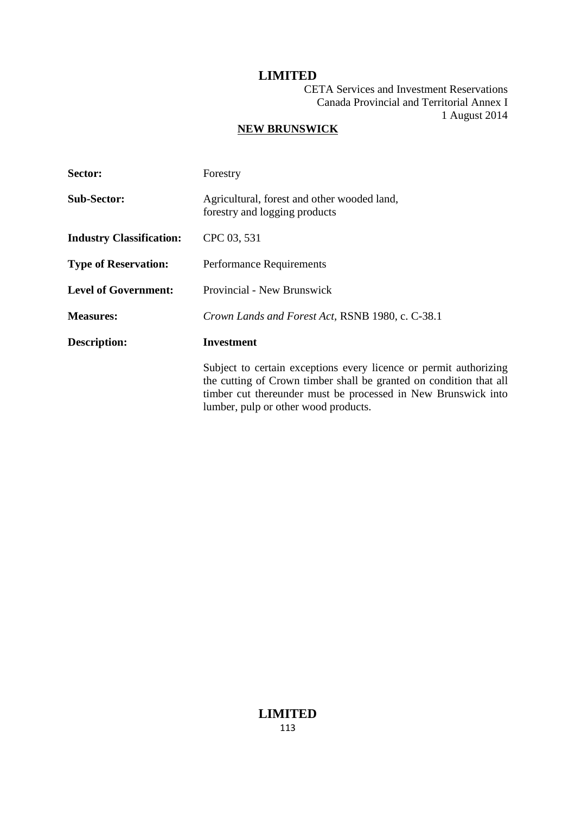CETA Services and Investment Reservations Canada Provincial and Territorial Annex I 1 August 2014

#### **NEW BRUNSWICK**

| Sector:                         | Forestry                                                                                                                                                                                                 |
|---------------------------------|----------------------------------------------------------------------------------------------------------------------------------------------------------------------------------------------------------|
| <b>Sub-Sector:</b>              | Agricultural, forest and other wooded land,<br>forestry and logging products                                                                                                                             |
| <b>Industry Classification:</b> | CPC 03, 531                                                                                                                                                                                              |
| <b>Type of Reservation:</b>     | Performance Requirements                                                                                                                                                                                 |
| <b>Level of Government:</b>     | Provincial - New Brunswick                                                                                                                                                                               |
| <b>Measures:</b>                | Crown Lands and Forest Act, RSNB 1980, c. C-38.1                                                                                                                                                         |
| Description:                    | Investment                                                                                                                                                                                               |
|                                 | Subject to certain exceptions every licence or permit authorizing<br>the cutting of Crown timber shall be granted on condition that all<br>timber cut thereunder must be processed in New Brunswick into |

lumber, pulp or other wood products.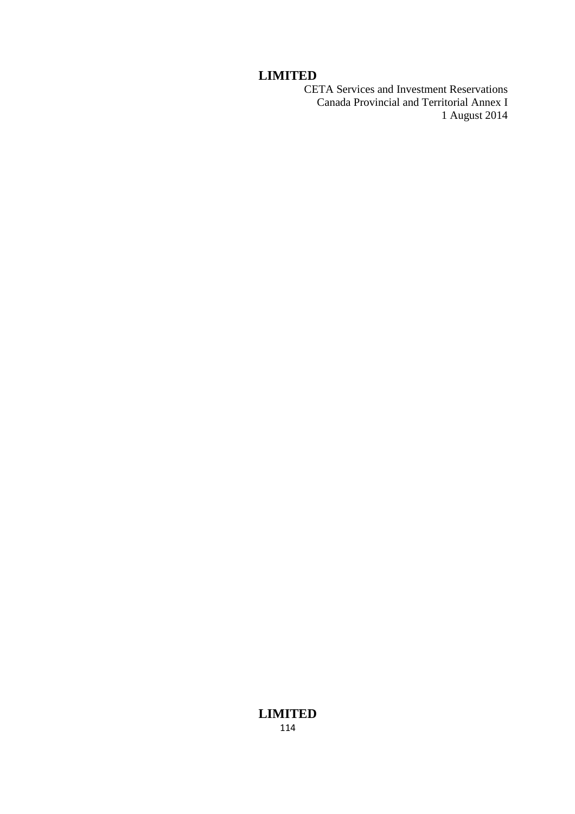CETA Services and Investment Reservations Canada Provincial and Territorial Annex I 1 August 2014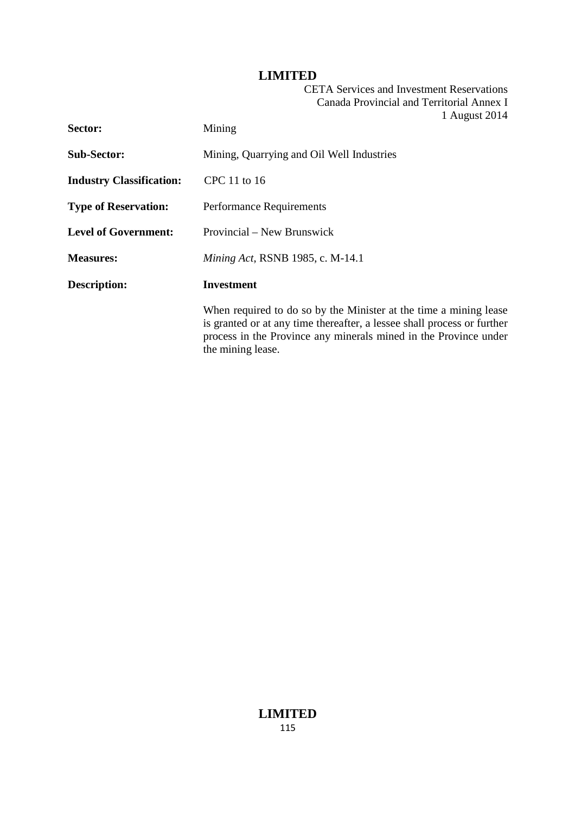CETA Services and Investment Reservations Canada Provincial and Territorial Annex I 1 August 2014

| Sector:                         | Mining                                                                                                                                                                                                                                |
|---------------------------------|---------------------------------------------------------------------------------------------------------------------------------------------------------------------------------------------------------------------------------------|
| <b>Sub-Sector:</b>              | Mining, Quarrying and Oil Well Industries                                                                                                                                                                                             |
| <b>Industry Classification:</b> | CPC 11 to 16                                                                                                                                                                                                                          |
| <b>Type of Reservation:</b>     | Performance Requirements                                                                                                                                                                                                              |
| <b>Level of Government:</b>     | Provincial – New Brunswick                                                                                                                                                                                                            |
| <b>Measures:</b>                | Mining Act, RSNB 1985, c. M-14.1                                                                                                                                                                                                      |
| <b>Description:</b>             | <b>Investment</b>                                                                                                                                                                                                                     |
|                                 | When required to do so by the Minister at the time a mining lease<br>is granted or at any time thereafter, a lessee shall process or further<br>process in the Province any minerals mined in the Province under<br>the mining lease. |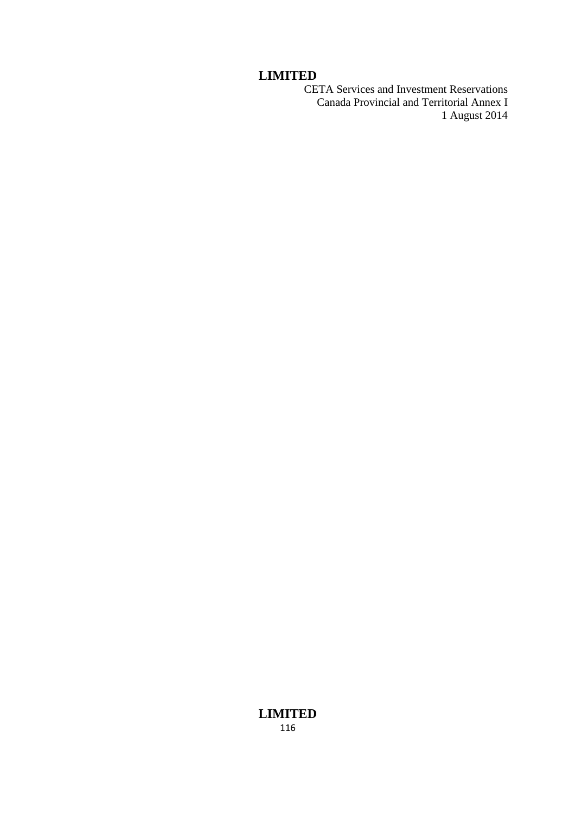CETA Services and Investment Reservations Canada Provincial and Territorial Annex I 1 August 2014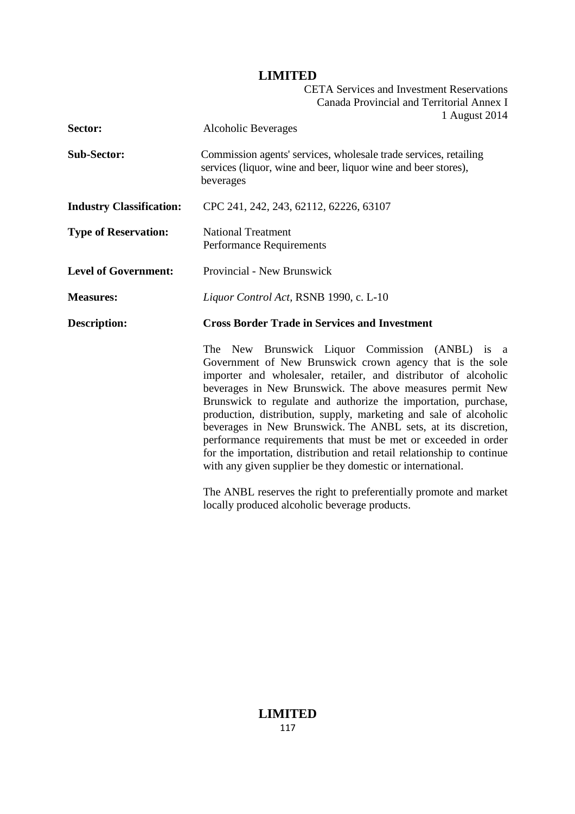CETA Services and Investment Reservations Canada Provincial and Territorial Annex I 1 August 2014

| Sector:                         | Alcoholic Beverages                                                                                                                                                                                                                                                                                                                                                                                                                                                                                                                                                                                                                                           |
|---------------------------------|---------------------------------------------------------------------------------------------------------------------------------------------------------------------------------------------------------------------------------------------------------------------------------------------------------------------------------------------------------------------------------------------------------------------------------------------------------------------------------------------------------------------------------------------------------------------------------------------------------------------------------------------------------------|
| <b>Sub-Sector:</b>              | Commission agents' services, wholesale trade services, retailing<br>services (liquor, wine and beer, liquor wine and beer stores),<br>beverages                                                                                                                                                                                                                                                                                                                                                                                                                                                                                                               |
| <b>Industry Classification:</b> | CPC 241, 242, 243, 62112, 62226, 63107                                                                                                                                                                                                                                                                                                                                                                                                                                                                                                                                                                                                                        |
| <b>Type of Reservation:</b>     | <b>National Treatment</b><br>Performance Requirements                                                                                                                                                                                                                                                                                                                                                                                                                                                                                                                                                                                                         |
| <b>Level of Government:</b>     | Provincial - New Brunswick                                                                                                                                                                                                                                                                                                                                                                                                                                                                                                                                                                                                                                    |
| <b>Measures:</b>                | Liquor Control Act, RSNB 1990, c. L-10                                                                                                                                                                                                                                                                                                                                                                                                                                                                                                                                                                                                                        |
|                                 |                                                                                                                                                                                                                                                                                                                                                                                                                                                                                                                                                                                                                                                               |
| <b>Description:</b>             | <b>Cross Border Trade in Services and Investment</b>                                                                                                                                                                                                                                                                                                                                                                                                                                                                                                                                                                                                          |
|                                 | The New Brunswick Liquor Commission (ANBL) is a<br>Government of New Brunswick crown agency that is the sole<br>importer and wholesaler, retailer, and distributor of alcoholic<br>beverages in New Brunswick. The above measures permit New<br>Brunswick to regulate and authorize the importation, purchase,<br>production, distribution, supply, marketing and sale of alcoholic<br>beverages in New Brunswick. The ANBL sets, at its discretion,<br>performance requirements that must be met or exceeded in order<br>for the importation, distribution and retail relationship to continue<br>with any given supplier be they domestic or international. |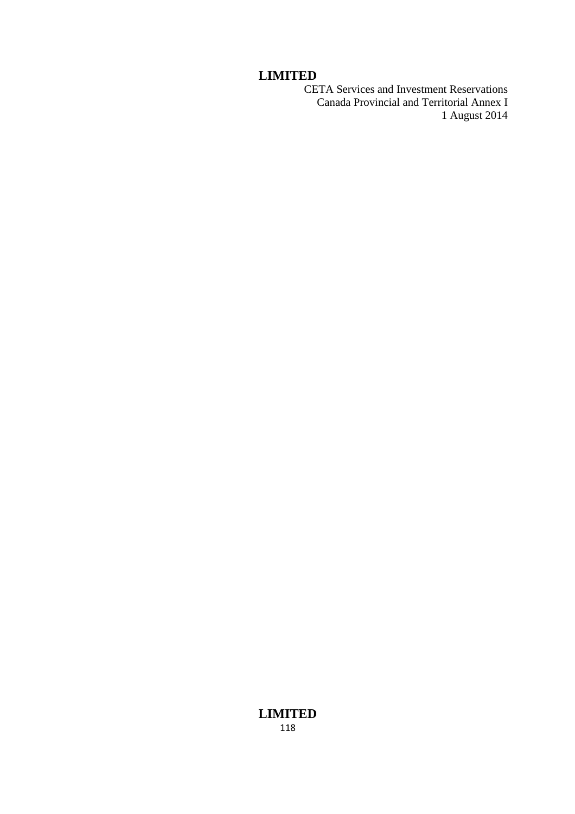CETA Services and Investment Reservations Canada Provincial and Territorial Annex I 1 August 2014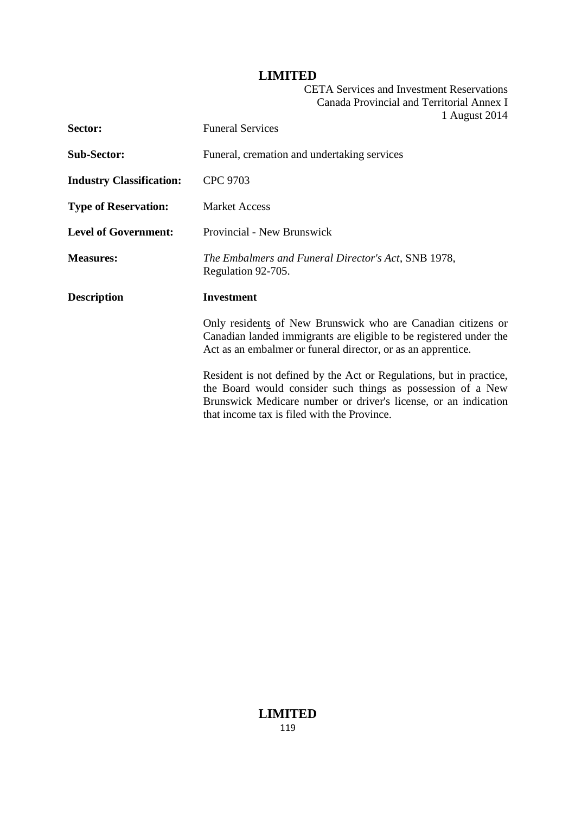CETA Services and Investment Reservations Canada Provincial and Territorial Annex I 1 August 2014

| Sector:                         | <b>Funeral Services</b>                                                                                                                                                                               |
|---------------------------------|-------------------------------------------------------------------------------------------------------------------------------------------------------------------------------------------------------|
| <b>Sub-Sector:</b>              | Funeral, cremation and undertaking services                                                                                                                                                           |
| <b>Industry Classification:</b> | CPC 9703                                                                                                                                                                                              |
| <b>Type of Reservation:</b>     | <b>Market Access</b>                                                                                                                                                                                  |
| <b>Level of Government:</b>     | Provincial - New Brunswick                                                                                                                                                                            |
| <b>Measures:</b>                | The Embalmers and Funeral Director's Act, SNB 1978,<br>Regulation 92-705.                                                                                                                             |
| <b>Description</b>              | <b>Investment</b>                                                                                                                                                                                     |
|                                 | Only residents of New Brunswick who are Canadian citizens or<br>Canadian landed immigrants are eligible to be registered under the<br>Act as an embalmer or funeral director, or as an apprentice.    |
|                                 | Resident is not defined by the Act or Regulations, but in practice,<br>the Board would consider such things as possession of a New<br>Brunswick Medicare number or driver's license, or an indication |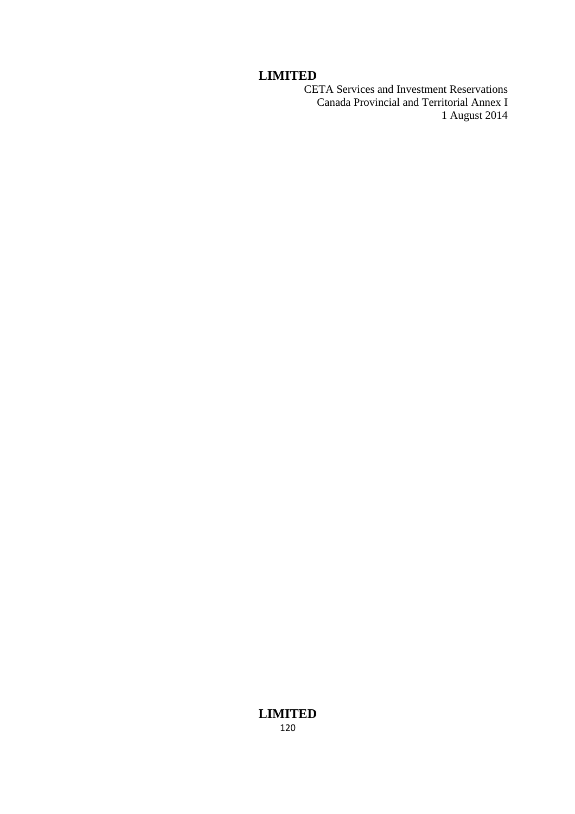CETA Services and Investment Reservations Canada Provincial and Territorial Annex I 1 August 2014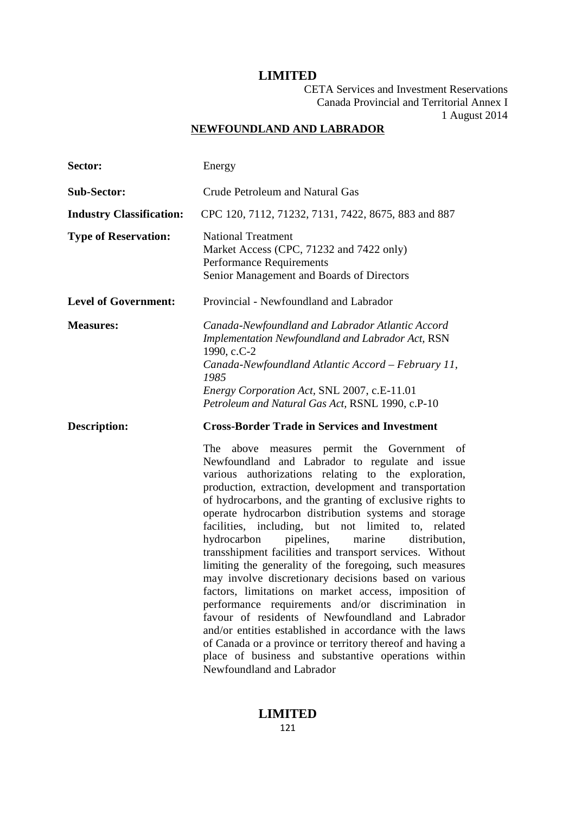CETA Services and Investment Reservations Canada Provincial and Territorial Annex I 1 August 2014

#### **NEWFOUNDLAND AND LABRADOR**

| Sector:                         | Energy                                                                                                                                                                                                                                                                                                                                                                                                                                                                                                                                                                                                                                                                                                                                                                                                                                                                                                                            |
|---------------------------------|-----------------------------------------------------------------------------------------------------------------------------------------------------------------------------------------------------------------------------------------------------------------------------------------------------------------------------------------------------------------------------------------------------------------------------------------------------------------------------------------------------------------------------------------------------------------------------------------------------------------------------------------------------------------------------------------------------------------------------------------------------------------------------------------------------------------------------------------------------------------------------------------------------------------------------------|
| <b>Sub-Sector:</b>              | Crude Petroleum and Natural Gas                                                                                                                                                                                                                                                                                                                                                                                                                                                                                                                                                                                                                                                                                                                                                                                                                                                                                                   |
| <b>Industry Classification:</b> | CPC 120, 7112, 71232, 7131, 7422, 8675, 883 and 887                                                                                                                                                                                                                                                                                                                                                                                                                                                                                                                                                                                                                                                                                                                                                                                                                                                                               |
| <b>Type of Reservation:</b>     | <b>National Treatment</b><br>Market Access (CPC, 71232 and 7422 only)<br>Performance Requirements<br>Senior Management and Boards of Directors                                                                                                                                                                                                                                                                                                                                                                                                                                                                                                                                                                                                                                                                                                                                                                                    |
| <b>Level of Government:</b>     | Provincial - Newfoundland and Labrador                                                                                                                                                                                                                                                                                                                                                                                                                                                                                                                                                                                                                                                                                                                                                                                                                                                                                            |
| <b>Measures:</b>                | Canada-Newfoundland and Labrador Atlantic Accord<br><b>Implementation Newfoundland and Labrador Act, RSN</b><br>1990, c.C-2<br>Canada-Newfoundland Atlantic Accord – February 11,<br>1985<br>Energy Corporation Act, SNL 2007, c.E-11.01<br>Petroleum and Natural Gas Act, RSNL 1990, c.P-10                                                                                                                                                                                                                                                                                                                                                                                                                                                                                                                                                                                                                                      |
| <b>Description:</b>             | <b>Cross-Border Trade in Services and Investment</b>                                                                                                                                                                                                                                                                                                                                                                                                                                                                                                                                                                                                                                                                                                                                                                                                                                                                              |
|                                 | The above measures permit the Government<br>- of<br>Newfoundland and Labrador to regulate and issue<br>various authorizations relating to the exploration,<br>production, extraction, development and transportation<br>of hydrocarbons, and the granting of exclusive rights to<br>operate hydrocarbon distribution systems and storage<br>facilities, including, but not limited<br>to, related<br>hydrocarbon<br>pipelines,<br>marine<br>distribution,<br>transshipment facilities and transport services. Without<br>limiting the generality of the foregoing, such measures<br>may involve discretionary decisions based on various<br>factors, limitations on market access, imposition of<br>performance requirements and/or discrimination in<br>favour of residents of Newfoundland and Labrador<br>and/or entities established in accordance with the laws<br>of Canada or a province or territory thereof and having a |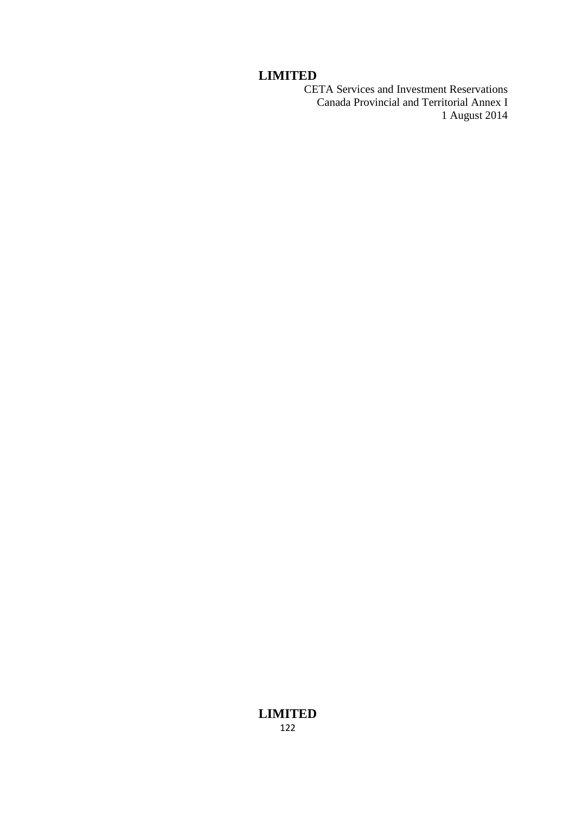CETA Services and Investment Reservations Canada Provincial and Territorial Annex I 1 August 2014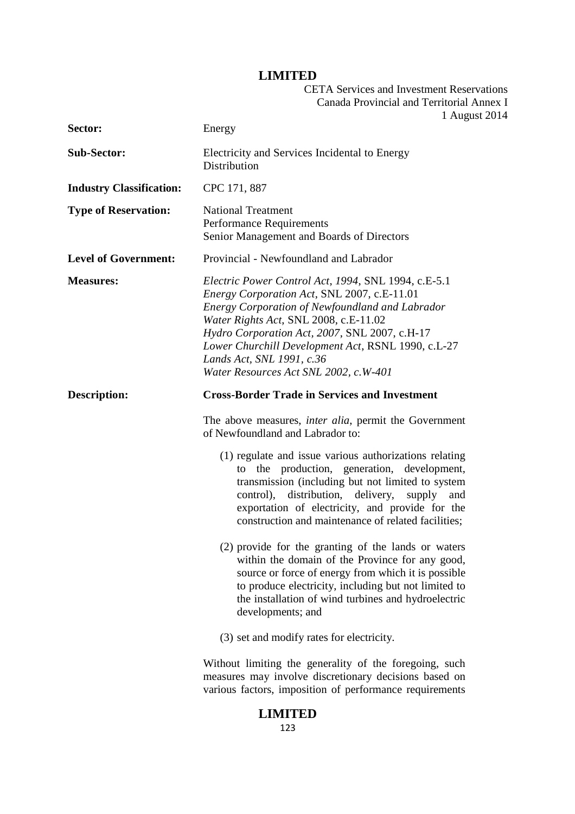CETA Services and Investment Reservations Canada Provincial and Territorial Annex I 1 August 2014

| Sector:                         | Energy                                                                                                                                                                                                                                                                                                                                                                      |
|---------------------------------|-----------------------------------------------------------------------------------------------------------------------------------------------------------------------------------------------------------------------------------------------------------------------------------------------------------------------------------------------------------------------------|
| <b>Sub-Sector:</b>              | Electricity and Services Incidental to Energy<br>Distribution                                                                                                                                                                                                                                                                                                               |
| <b>Industry Classification:</b> | CPC 171, 887                                                                                                                                                                                                                                                                                                                                                                |
| <b>Type of Reservation:</b>     | <b>National Treatment</b><br><b>Performance Requirements</b><br>Senior Management and Boards of Directors                                                                                                                                                                                                                                                                   |
| <b>Level of Government:</b>     | Provincial - Newfoundland and Labrador                                                                                                                                                                                                                                                                                                                                      |
| <b>Measures:</b>                | Electric Power Control Act, 1994, SNL 1994, c.E-5.1<br>Energy Corporation Act, SNL 2007, c.E-11.01<br>Energy Corporation of Newfoundland and Labrador<br>Water Rights Act, SNL 2008, c.E-11.02<br>Hydro Corporation Act, 2007, SNL 2007, c.H-17<br>Lower Churchill Development Act, RSNL 1990, c.L-27<br>Lands Act, SNL 1991, c.36<br>Water Resources Act SNL 2002, c.W-401 |
| <b>Description:</b>             | <b>Cross-Border Trade in Services and Investment</b>                                                                                                                                                                                                                                                                                                                        |
|                                 | The above measures, <i>inter alia</i> , permit the Government<br>of Newfoundland and Labrador to:                                                                                                                                                                                                                                                                           |
|                                 | (1) regulate and issue various authorizations relating<br>to the production, generation, development,<br>transmission (including but not limited to system<br>distribution,<br>delivery,<br>control),<br>supply<br>and<br>exportation of electricity, and provide for the<br>construction and maintenance of related facilities;                                            |
|                                 | (2) provide for the granting of the lands or waters<br>within the domain of the Province for any good,<br>source or force of energy from which it is possible<br>to produce electricity, including but not limited to<br>the installation of wind turbines and hydroelectric<br>developments; and                                                                           |
|                                 | (3) set and modify rates for electricity.                                                                                                                                                                                                                                                                                                                                   |
|                                 | Without limiting the generality of the foregoing, such<br>measures may involve discretionary decisions based on<br>various factors, imposition of performance requirements                                                                                                                                                                                                  |
|                                 | <b>LIMITED</b>                                                                                                                                                                                                                                                                                                                                                              |

123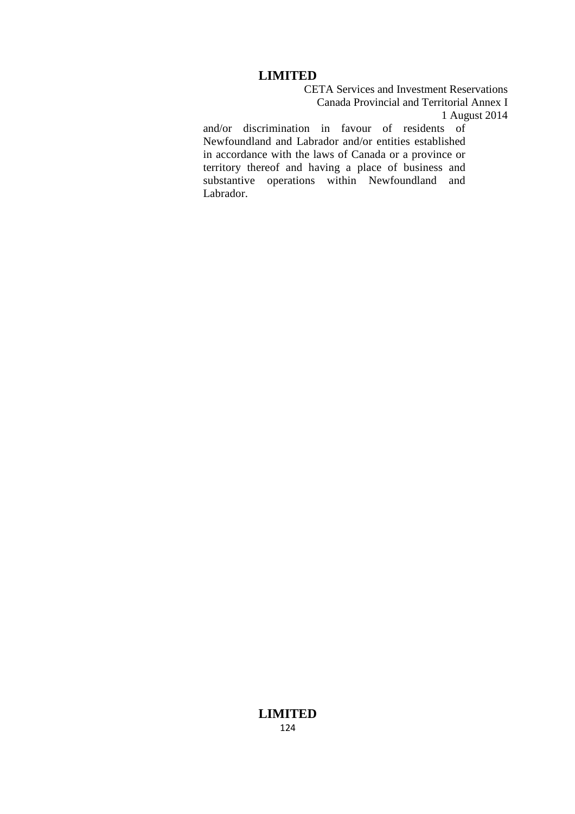CETA Services and Investment Reservations Canada Provincial and Territorial Annex I 1 August 2014

and/or discrimination in favour of residents of Newfoundland and Labrador and/or entities established in accordance with the laws of Canada or a province or territory thereof and having a place of business and substantive operations within Newfoundland and Labrador.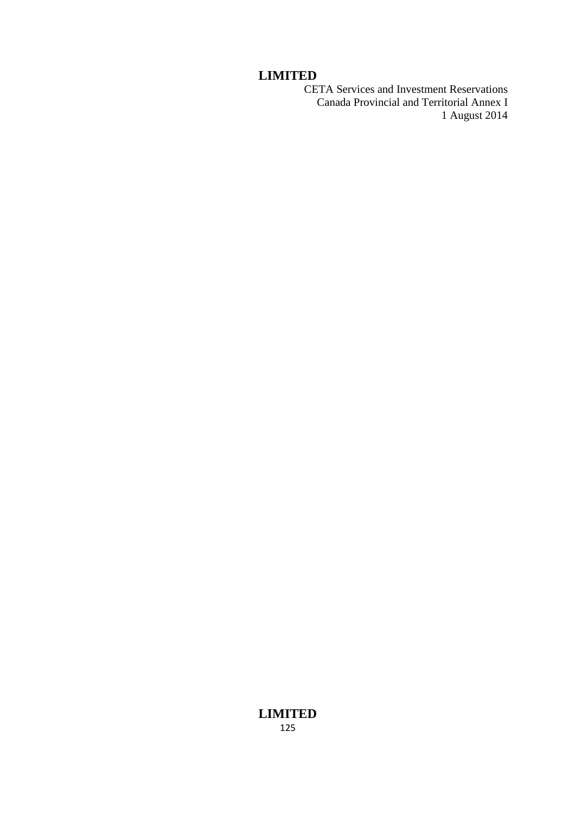CETA Services and Investment Reservations Canada Provincial and Territorial Annex I 1 August 2014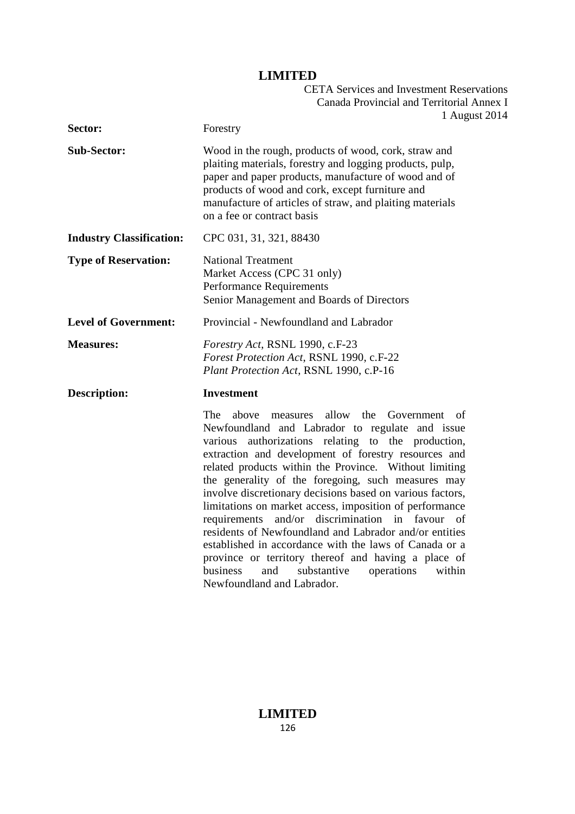CETA Services and Investment Reservations Canada Provincial and Territorial Annex I 1 August 2014

| Sector:                         | Forestry                                                                                                                                                                                                                                                                                                                                                                                                                                                                                                                                                                                                                                                                                                                                                                                                        |
|---------------------------------|-----------------------------------------------------------------------------------------------------------------------------------------------------------------------------------------------------------------------------------------------------------------------------------------------------------------------------------------------------------------------------------------------------------------------------------------------------------------------------------------------------------------------------------------------------------------------------------------------------------------------------------------------------------------------------------------------------------------------------------------------------------------------------------------------------------------|
| <b>Sub-Sector:</b>              | Wood in the rough, products of wood, cork, straw and<br>plaiting materials, forestry and logging products, pulp,<br>paper and paper products, manufacture of wood and of<br>products of wood and cork, except furniture and<br>manufacture of articles of straw, and plaiting materials<br>on a fee or contract basis                                                                                                                                                                                                                                                                                                                                                                                                                                                                                           |
| <b>Industry Classification:</b> | CPC 031, 31, 321, 88430                                                                                                                                                                                                                                                                                                                                                                                                                                                                                                                                                                                                                                                                                                                                                                                         |
| <b>Type of Reservation:</b>     | <b>National Treatment</b><br>Market Access (CPC 31 only)<br><b>Performance Requirements</b><br>Senior Management and Boards of Directors                                                                                                                                                                                                                                                                                                                                                                                                                                                                                                                                                                                                                                                                        |
| <b>Level of Government:</b>     | Provincial - Newfoundland and Labrador                                                                                                                                                                                                                                                                                                                                                                                                                                                                                                                                                                                                                                                                                                                                                                          |
| <b>Measures:</b>                | Forestry Act, RSNL 1990, c.F-23<br>Forest Protection Act, RSNL 1990, c.F-22<br>Plant Protection Act, RSNL 1990, c.P-16                                                                                                                                                                                                                                                                                                                                                                                                                                                                                                                                                                                                                                                                                          |
| <b>Description:</b>             | <b>Investment</b>                                                                                                                                                                                                                                                                                                                                                                                                                                                                                                                                                                                                                                                                                                                                                                                               |
|                                 | The <sub>1</sub><br>above<br>allow the Government<br>- of<br>measures<br>Newfoundland and Labrador to regulate and issue<br>various authorizations relating to the production,<br>extraction and development of forestry resources and<br>related products within the Province. Without limiting<br>the generality of the foregoing, such measures may<br>involve discretionary decisions based on various factors,<br>limitations on market access, imposition of performance<br>and/or discrimination<br>requirements<br>in favour<br>- of<br>residents of Newfoundland and Labrador and/or entities<br>established in accordance with the laws of Canada or a<br>province or territory thereof and having a place of<br>business<br>and<br>substantive<br>operations<br>within<br>Newfoundland and Labrador. |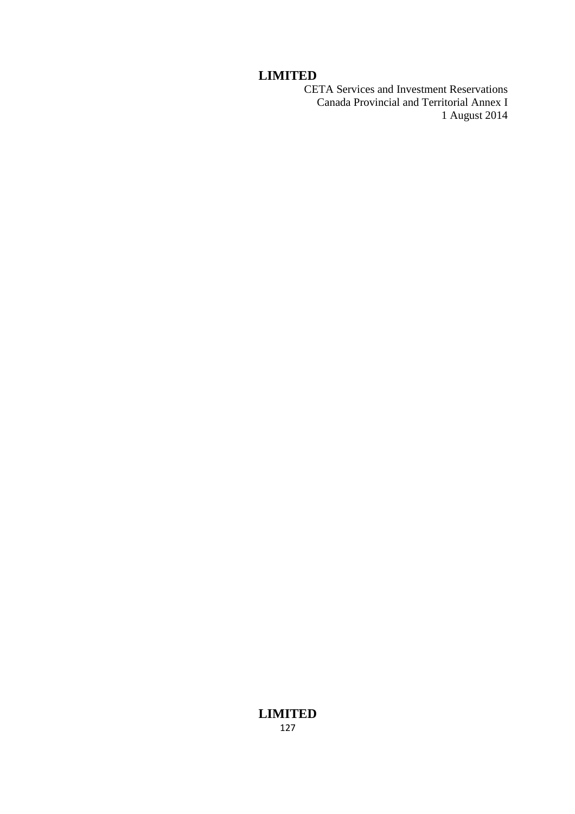CETA Services and Investment Reservations Canada Provincial and Territorial Annex I 1 August 2014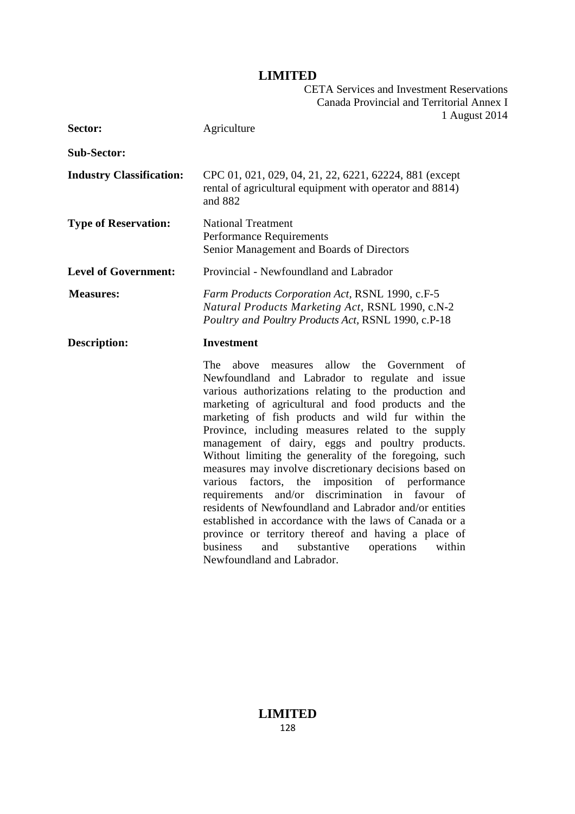CETA Services and Investment Reservations Canada Provincial and Territorial Annex I 1 August 2014

| Sector:                         | Agriculture                                                                                                                                                                                                                                                                                                                                                                                                                                                                                                                                                                                                                                                                                                                                                                                                                                                                                    |
|---------------------------------|------------------------------------------------------------------------------------------------------------------------------------------------------------------------------------------------------------------------------------------------------------------------------------------------------------------------------------------------------------------------------------------------------------------------------------------------------------------------------------------------------------------------------------------------------------------------------------------------------------------------------------------------------------------------------------------------------------------------------------------------------------------------------------------------------------------------------------------------------------------------------------------------|
| <b>Sub-Sector:</b>              |                                                                                                                                                                                                                                                                                                                                                                                                                                                                                                                                                                                                                                                                                                                                                                                                                                                                                                |
| <b>Industry Classification:</b> | CPC 01, 021, 029, 04, 21, 22, 6221, 62224, 881 (except<br>rental of agricultural equipment with operator and 8814)<br>and $882$                                                                                                                                                                                                                                                                                                                                                                                                                                                                                                                                                                                                                                                                                                                                                                |
| <b>Type of Reservation:</b>     | <b>National Treatment</b><br><b>Performance Requirements</b><br>Senior Management and Boards of Directors                                                                                                                                                                                                                                                                                                                                                                                                                                                                                                                                                                                                                                                                                                                                                                                      |
| <b>Level of Government:</b>     | Provincial - Newfoundland and Labrador                                                                                                                                                                                                                                                                                                                                                                                                                                                                                                                                                                                                                                                                                                                                                                                                                                                         |
| <b>Measures:</b>                | Farm Products Corporation Act, RSNL 1990, c.F-5<br>Natural Products Marketing Act, RSNL 1990, c.N-2<br>Poultry and Poultry Products Act, RSNL 1990, c.P-18                                                                                                                                                                                                                                                                                                                                                                                                                                                                                                                                                                                                                                                                                                                                     |
| <b>Description:</b>             | <b>Investment</b>                                                                                                                                                                                                                                                                                                                                                                                                                                                                                                                                                                                                                                                                                                                                                                                                                                                                              |
|                                 | allow the Government<br>The<br>above<br>– of<br>measures<br>Newfoundland and Labrador to regulate and issue<br>various authorizations relating to the production and<br>marketing of agricultural and food products and the<br>marketing of fish products and wild fur within the<br>Province, including measures related to the supply<br>management of dairy, eggs and poultry products.<br>Without limiting the generality of the foregoing, such<br>measures may involve discretionary decisions based on<br>factors, the imposition of performance<br>various<br>and/or discrimination in<br>favour of<br>requirements<br>residents of Newfoundland and Labrador and/or entities<br>established in accordance with the laws of Canada or a<br>province or territory thereof and having a place of<br>business<br>and<br>substantive<br>operations<br>within<br>Newfoundland and Labrador. |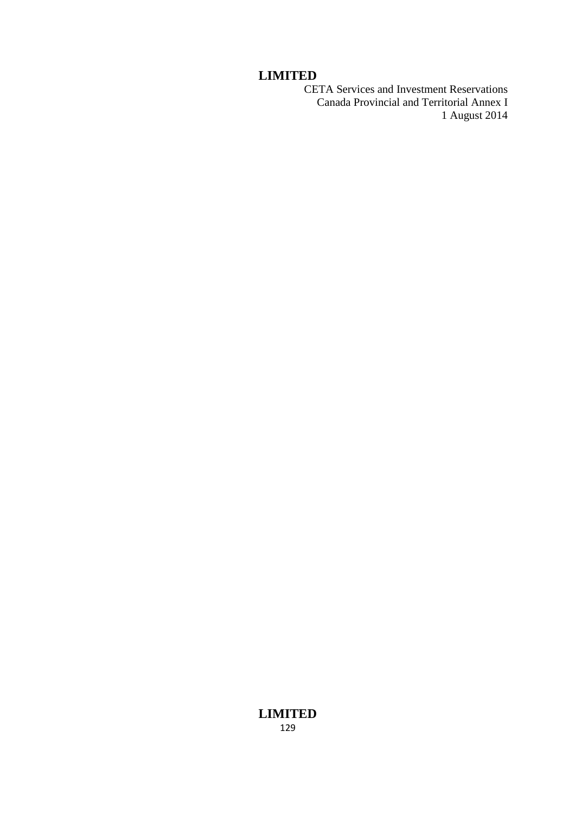CETA Services and Investment Reservations Canada Provincial and Territorial Annex I 1 August 2014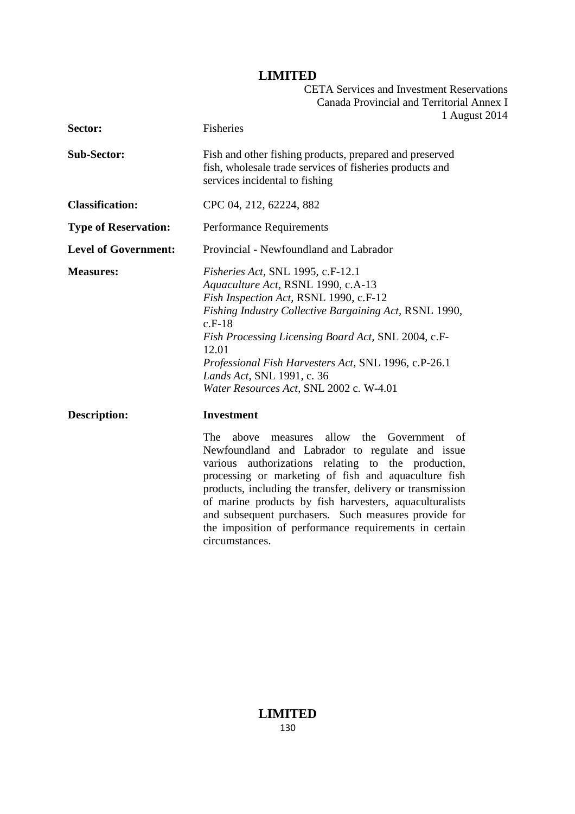CETA Services and Investment Reservations Canada Provincial and Territorial Annex I 1 August 2014

| Sector:                     | $1.14 \mu m$<br>Fisheries                                                                                                                                                                                                                                                                                                                                                                                                                                                                                       |
|-----------------------------|-----------------------------------------------------------------------------------------------------------------------------------------------------------------------------------------------------------------------------------------------------------------------------------------------------------------------------------------------------------------------------------------------------------------------------------------------------------------------------------------------------------------|
| <b>Sub-Sector:</b>          | Fish and other fishing products, prepared and preserved<br>fish, wholesale trade services of fisheries products and<br>services incidental to fishing                                                                                                                                                                                                                                                                                                                                                           |
| <b>Classification:</b>      | CPC 04, 212, 62224, 882                                                                                                                                                                                                                                                                                                                                                                                                                                                                                         |
| <b>Type of Reservation:</b> | Performance Requirements                                                                                                                                                                                                                                                                                                                                                                                                                                                                                        |
| <b>Level of Government:</b> | Provincial - Newfoundland and Labrador                                                                                                                                                                                                                                                                                                                                                                                                                                                                          |
| <b>Measures:</b>            | Fisheries Act, SNL 1995, c.F-12.1<br>Aquaculture Act, RSNL 1990, c.A-13<br>Fish Inspection Act, RSNL 1990, c.F-12<br>Fishing Industry Collective Bargaining Act, RSNL 1990,<br>$c.F-18$<br>Fish Processing Licensing Board Act, SNL 2004, c.F-<br>12.01<br>Professional Fish Harvesters Act, SNL 1996, c.P-26.1<br>Lands Act, SNL 1991, c. 36<br>Water Resources Act, SNL 2002 c. W-4.01                                                                                                                        |
| <b>Description:</b>         | <b>Investment</b><br>allow the<br>The<br>above<br>Government<br>measures<br>-of<br>Newfoundland and Labrador to regulate and issue<br>authorizations relating to the production,<br>various<br>processing or marketing of fish and aquaculture fish<br>products, including the transfer, delivery or transmission<br>of marine products by fish harvesters, aquaculturalists<br>and subsequent purchasers. Such measures provide for<br>the imposition of performance requirements in certain<br>circumstances. |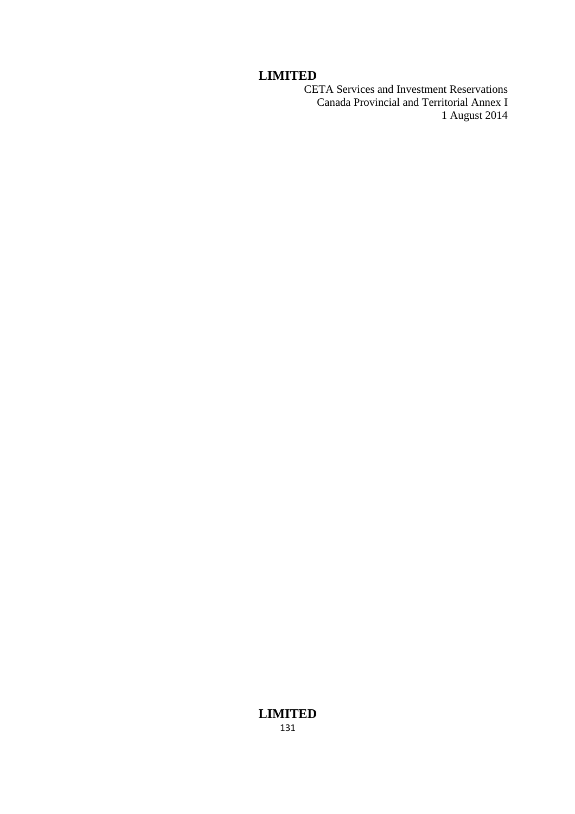CETA Services and Investment Reservations Canada Provincial and Territorial Annex I 1 August 2014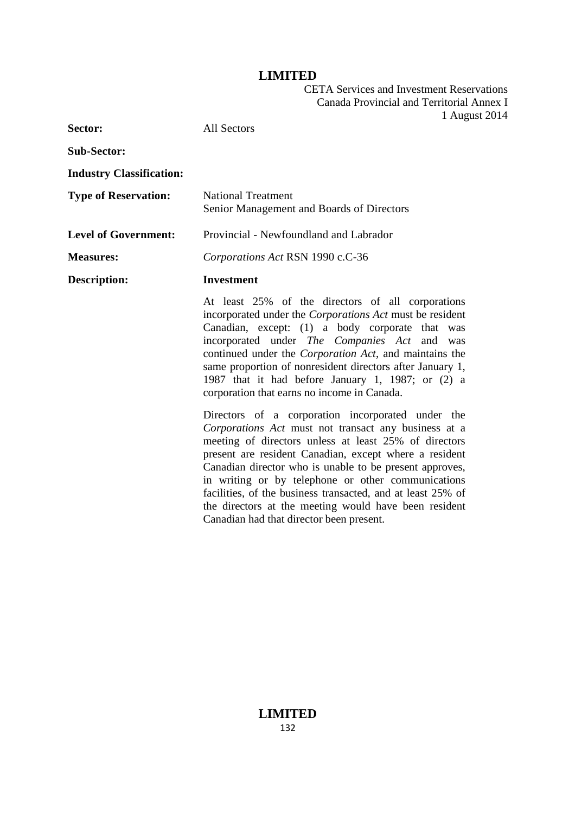CETA Services and Investment Reservations Canada Provincial and Territorial Annex I 1 August 2014

| Sector:                         | All Sectors                                                                                                                                                                                                                                                                                                                                                                                                                                                                                                       |
|---------------------------------|-------------------------------------------------------------------------------------------------------------------------------------------------------------------------------------------------------------------------------------------------------------------------------------------------------------------------------------------------------------------------------------------------------------------------------------------------------------------------------------------------------------------|
| <b>Sub-Sector:</b>              |                                                                                                                                                                                                                                                                                                                                                                                                                                                                                                                   |
| <b>Industry Classification:</b> |                                                                                                                                                                                                                                                                                                                                                                                                                                                                                                                   |
| <b>Type of Reservation:</b>     | <b>National Treatment</b><br>Senior Management and Boards of Directors                                                                                                                                                                                                                                                                                                                                                                                                                                            |
| <b>Level of Government:</b>     | Provincial - Newfoundland and Labrador                                                                                                                                                                                                                                                                                                                                                                                                                                                                            |
| <b>Measures:</b>                | Corporations Act RSN 1990 c.C-36                                                                                                                                                                                                                                                                                                                                                                                                                                                                                  |
| Description:                    | <b>Investment</b>                                                                                                                                                                                                                                                                                                                                                                                                                                                                                                 |
|                                 | At least 25% of the directors of all corporations<br>incorporated under the <i>Corporations Act</i> must be resident<br>Canadian, except: (1) a body corporate that was<br>incorporated under The Companies Act and<br>was<br>continued under the Corporation Act, and maintains the<br>same proportion of nonresident directors after January 1,<br>1987 that it had before January 1, 1987; or (2) a<br>corporation that earns no income in Canada.                                                             |
|                                 | Directors of a corporation incorporated under the<br>Corporations Act must not transact any business at a<br>meeting of directors unless at least 25% of directors<br>present are resident Canadian, except where a resident<br>Canadian director who is unable to be present approves,<br>in writing or by telephone or other communications<br>facilities, of the business transacted, and at least 25% of<br>the directors at the meeting would have been resident<br>Canadian had that director been present. |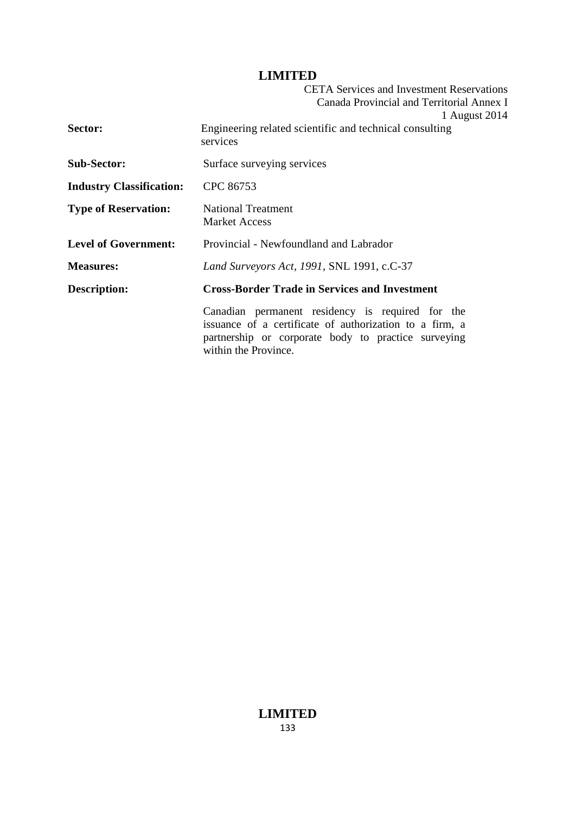|                                 | CETA Services and Investment Reservations<br>Canada Provincial and Territorial Annex I<br>1 August 2014                                                                                    |
|---------------------------------|--------------------------------------------------------------------------------------------------------------------------------------------------------------------------------------------|
| Sector:                         | Engineering related scientific and technical consulting<br>services                                                                                                                        |
| <b>Sub-Sector:</b>              | Surface surveying services                                                                                                                                                                 |
| <b>Industry Classification:</b> | CPC 86753                                                                                                                                                                                  |
| <b>Type of Reservation:</b>     | <b>National Treatment</b><br><b>Market Access</b>                                                                                                                                          |
| <b>Level of Government:</b>     | Provincial - Newfoundland and Labrador                                                                                                                                                     |
| <b>Measures:</b>                | Land Surveyors Act, 1991, SNL 1991, c.C-37                                                                                                                                                 |
| Description:                    | <b>Cross-Border Trade in Services and Investment</b>                                                                                                                                       |
|                                 | Canadian permanent residency is required for the<br>issuance of a certificate of authorization to a firm, a<br>partnership or corporate body to practice surveying<br>within the Province. |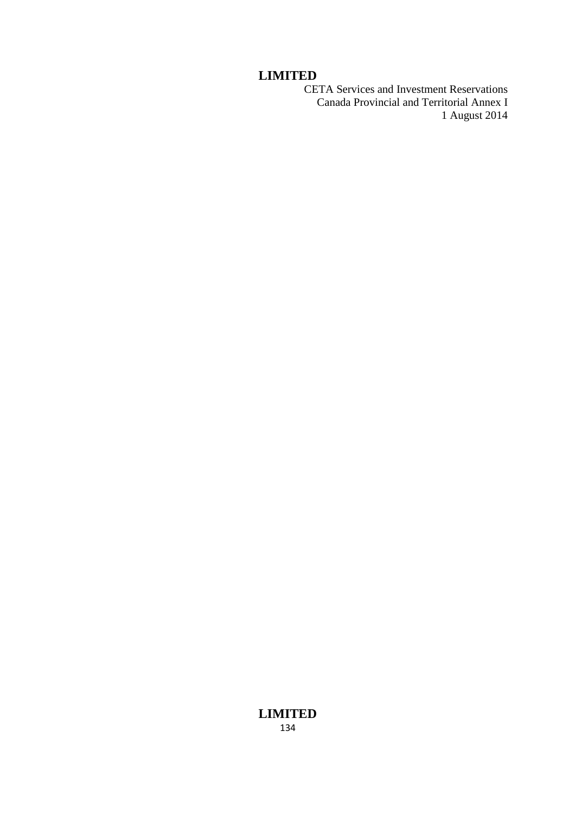CETA Services and Investment Reservations Canada Provincial and Territorial Annex I 1 August 2014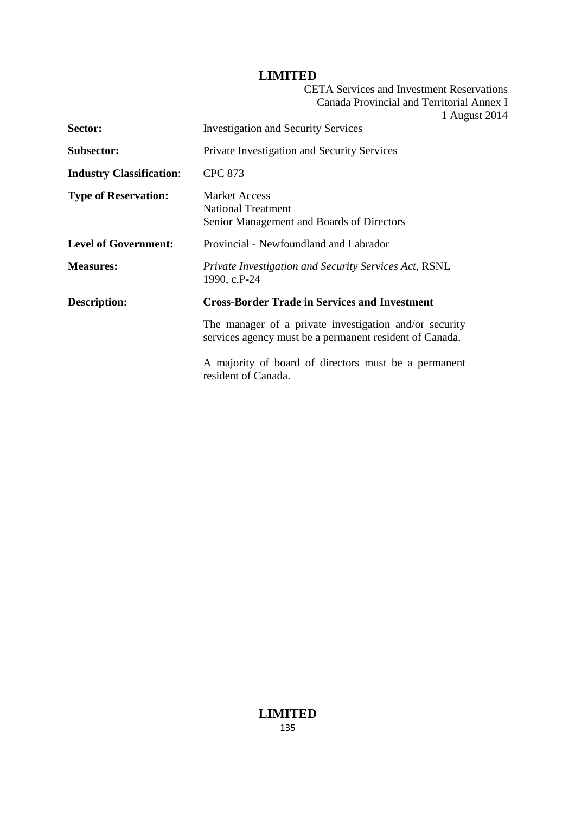CETA Services and Investment Reservations Canada Provincial and Territorial Annex I 1 August 2014

| Sector:                         | $\cdots$<br><b>Investigation and Security Services</b>                                                            |
|---------------------------------|-------------------------------------------------------------------------------------------------------------------|
| Subsector:                      | Private Investigation and Security Services                                                                       |
| <b>Industry Classification:</b> | <b>CPC 873</b>                                                                                                    |
| <b>Type of Reservation:</b>     | <b>Market Access</b><br><b>National Treatment</b><br>Senior Management and Boards of Directors                    |
| <b>Level of Government:</b>     | Provincial - Newfoundland and Labrador                                                                            |
| <b>Measures:</b>                | <i>Private Investigation and Security Services Act, RSNL</i><br>1990, c.P-24                                      |
| <b>Description:</b>             | <b>Cross-Border Trade in Services and Investment</b>                                                              |
|                                 | The manager of a private investigation and/or security<br>services agency must be a permanent resident of Canada. |
|                                 | A majority of board of directors must be a permanent<br>resident of Canada.                                       |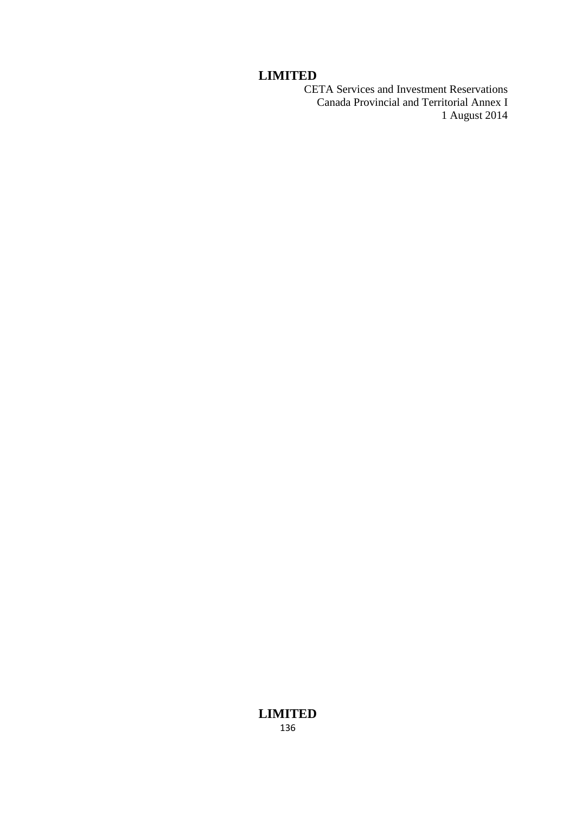CETA Services and Investment Reservations Canada Provincial and Territorial Annex I 1 August 2014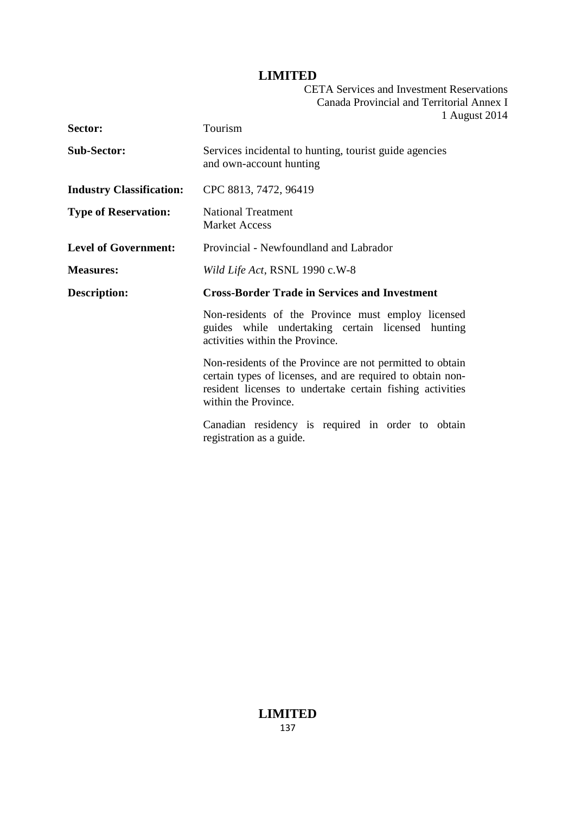CETA Services and Investment Reservations Canada Provincial and Territorial Annex I 1 August 2014

| Sector:                         | Tourism                                                                                                                                                                                                      |
|---------------------------------|--------------------------------------------------------------------------------------------------------------------------------------------------------------------------------------------------------------|
| <b>Sub-Sector:</b>              | Services incidental to hunting, tourist guide agencies<br>and own-account hunting                                                                                                                            |
| <b>Industry Classification:</b> | CPC 8813, 7472, 96419                                                                                                                                                                                        |
| <b>Type of Reservation:</b>     | <b>National Treatment</b><br><b>Market Access</b>                                                                                                                                                            |
| <b>Level of Government:</b>     | Provincial - Newfoundland and Labrador                                                                                                                                                                       |
| <b>Measures:</b>                | Wild Life Act, RSNL 1990 c.W-8                                                                                                                                                                               |
|                                 |                                                                                                                                                                                                              |
| Description:                    | <b>Cross-Border Trade in Services and Investment</b>                                                                                                                                                         |
|                                 | Non-residents of the Province must employ licensed<br>guides while undertaking certain licensed hunting<br>activities within the Province.                                                                   |
|                                 | Non-residents of the Province are not permitted to obtain<br>certain types of licenses, and are required to obtain non-<br>resident licenses to undertake certain fishing activities<br>within the Province. |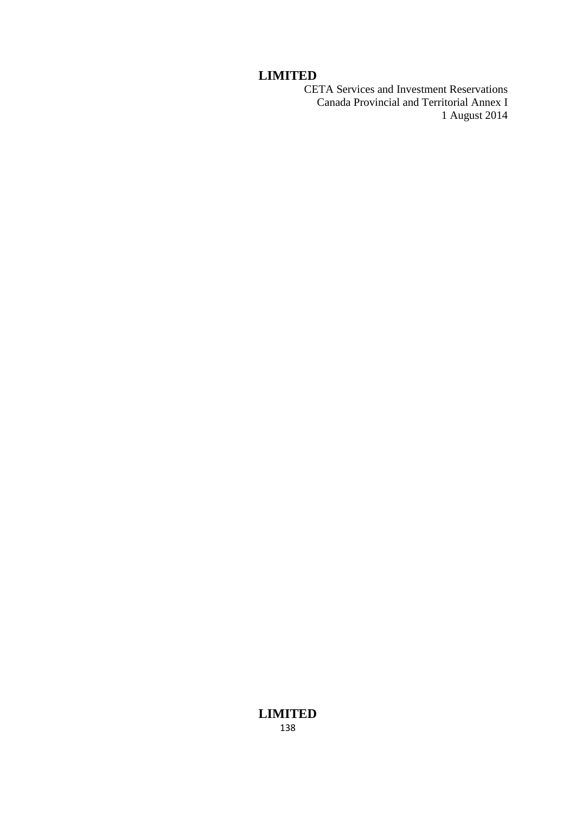CETA Services and Investment Reservations Canada Provincial and Territorial Annex I 1 August 2014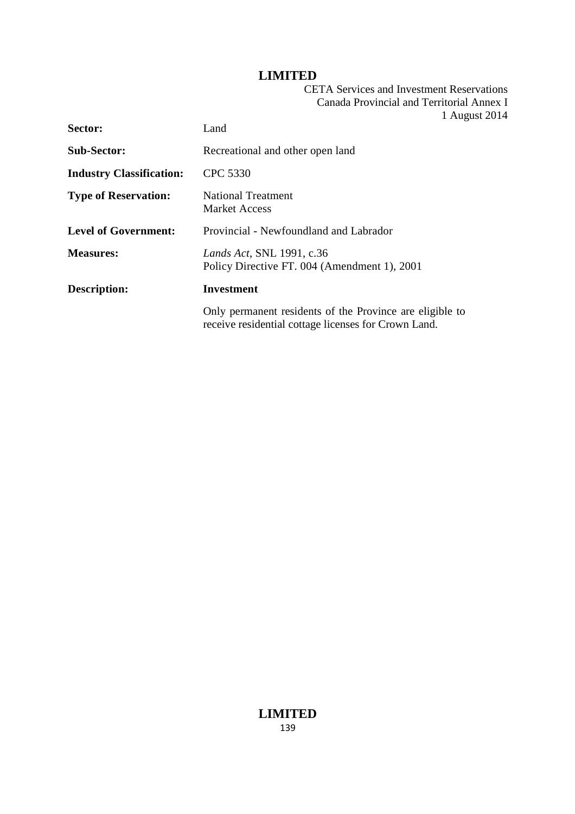CETA Services and Investment Reservations Canada Provincial and Territorial Annex I 1 August 2014

| Sector:                         | Land                                                                                                             |
|---------------------------------|------------------------------------------------------------------------------------------------------------------|
| <b>Sub-Sector:</b>              | Recreational and other open land                                                                                 |
| <b>Industry Classification:</b> | <b>CPC 5330</b>                                                                                                  |
| <b>Type of Reservation:</b>     | <b>National Treatment</b><br><b>Market Access</b>                                                                |
| <b>Level of Government:</b>     | Provincial - Newfoundland and Labrador                                                                           |
| <b>Measures:</b>                | Lands Act, SNL 1991, c.36<br>Policy Directive FT. 004 (Amendment 1), 2001                                        |
| Description:                    | Investment                                                                                                       |
|                                 | Only permanent residents of the Province are eligible to<br>receive residential cottage licenses for Crown Land. |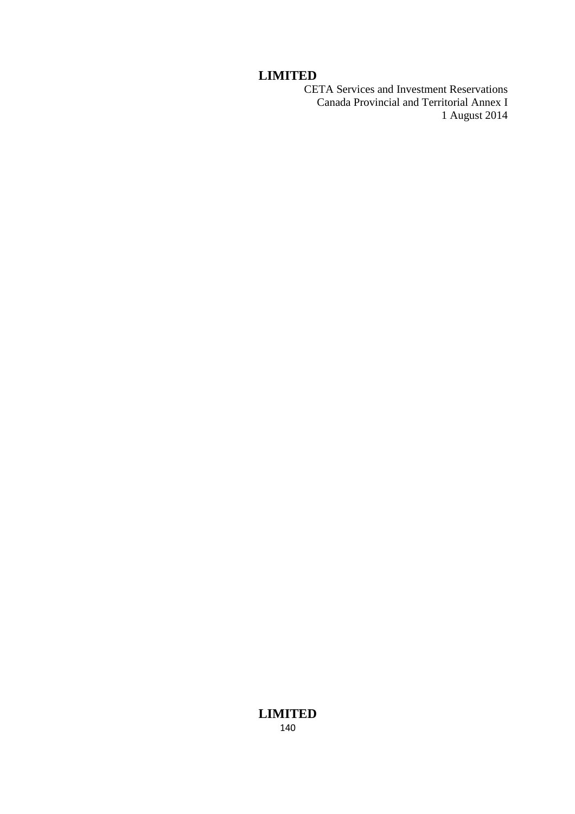CETA Services and Investment Reservations Canada Provincial and Territorial Annex I 1 August 2014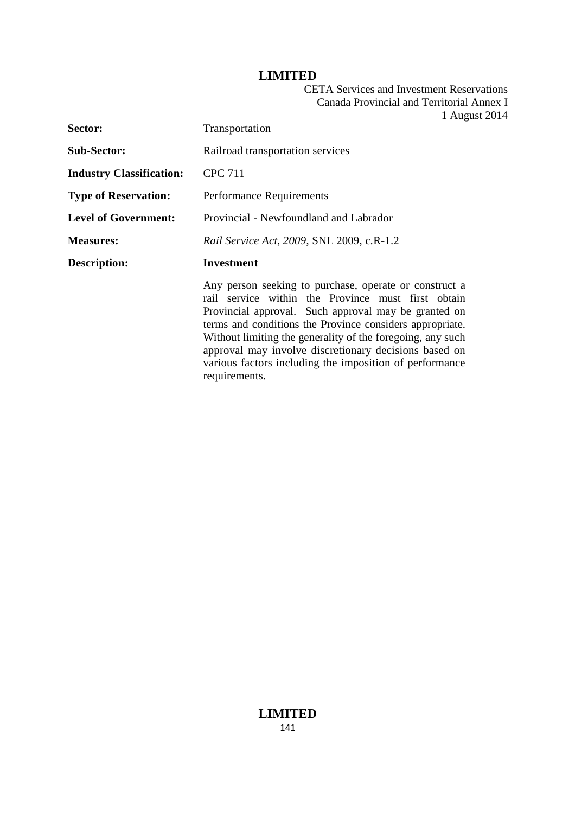CETA Services and Investment Reservations Canada Provincial and Territorial Annex I 1 August 2014

| Sector:                         | Transportation                            |
|---------------------------------|-------------------------------------------|
| <b>Sub-Sector:</b>              | Railroad transportation services          |
| <b>Industry Classification:</b> | <b>CPC 711</b>                            |
| <b>Type of Reservation:</b>     | Performance Requirements                  |
| <b>Level of Government:</b>     | Provincial - Newfoundland and Labrador    |
| <b>Measures:</b>                | Rail Service Act, 2009, SNL 2009, c.R-1.2 |
| Description:                    | Investment                                |
|                                 |                                           |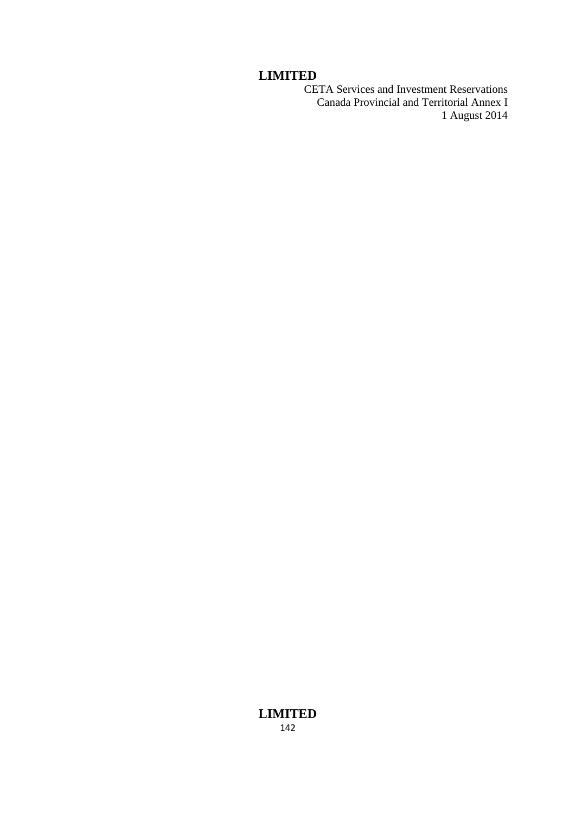CETA Services and Investment Reservations Canada Provincial and Territorial Annex I 1 August 2014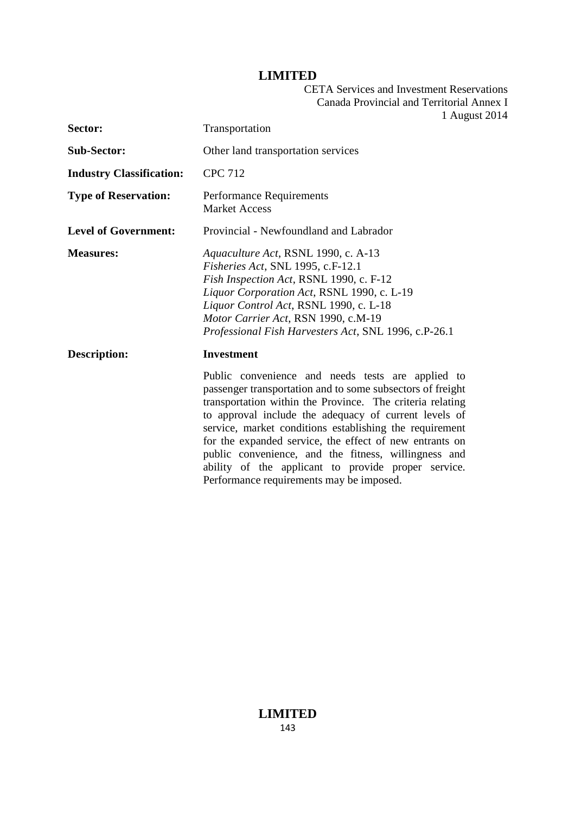CETA Services and Investment Reservations Canada Provincial and Territorial Annex I 1 August 2014

| Sector:                         | Transportation                                                                                                                                                                                                                                                                                                                                                                                                                                                                                                                              |
|---------------------------------|---------------------------------------------------------------------------------------------------------------------------------------------------------------------------------------------------------------------------------------------------------------------------------------------------------------------------------------------------------------------------------------------------------------------------------------------------------------------------------------------------------------------------------------------|
| <b>Sub-Sector:</b>              | Other land transportation services                                                                                                                                                                                                                                                                                                                                                                                                                                                                                                          |
| <b>Industry Classification:</b> | <b>CPC 712</b>                                                                                                                                                                                                                                                                                                                                                                                                                                                                                                                              |
| <b>Type of Reservation:</b>     | Performance Requirements<br><b>Market Access</b>                                                                                                                                                                                                                                                                                                                                                                                                                                                                                            |
| <b>Level of Government:</b>     | Provincial - Newfoundland and Labrador                                                                                                                                                                                                                                                                                                                                                                                                                                                                                                      |
| <b>Measures:</b>                | Aquaculture Act, RSNL 1990, c. A-13<br>Fisheries Act, SNL 1995, c.F-12.1<br>Fish Inspection Act, RSNL 1990, c. F-12<br>Liquor Corporation Act, RSNL 1990, c. L-19<br>Liquor Control Act, RSNL 1990, c. L-18<br>Motor Carrier Act, RSN 1990, c.M-19<br>Professional Fish Harvesters Act, SNL 1996, c.P-26.1                                                                                                                                                                                                                                  |
| <b>Description:</b>             | <b>Investment</b><br>Public convenience and needs tests are applied to<br>passenger transportation and to some subsectors of freight<br>transportation within the Province. The criteria relating<br>to approval include the adequacy of current levels of<br>service, market conditions establishing the requirement<br>for the expanded service, the effect of new entrants on<br>public convenience, and the fitness, willingness and<br>ability of the applicant to provide proper service.<br>Performance requirements may be imposed. |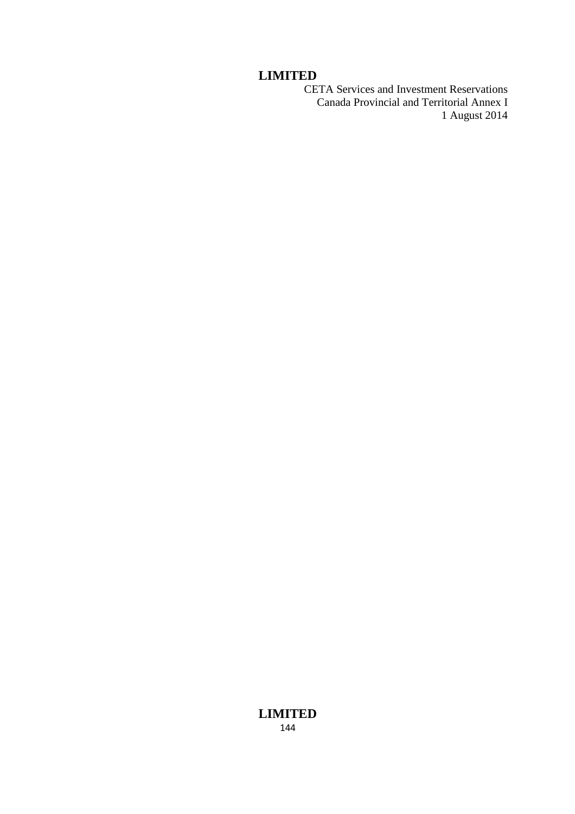CETA Services and Investment Reservations Canada Provincial and Territorial Annex I 1 August 2014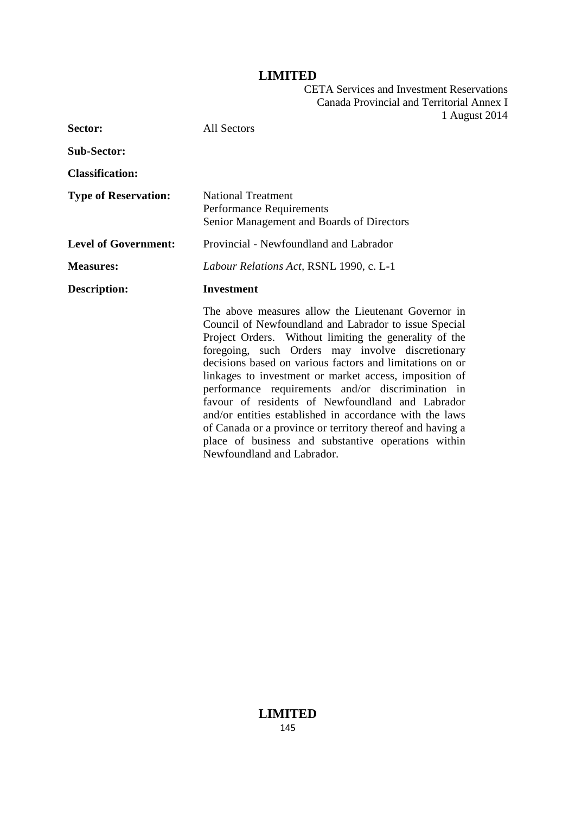CETA Services and Investment Reservations Canada Provincial and Territorial Annex I 1 August 2014

| Sector:                     | All Sectors                                                                                                                                                                                                                                                                                                                                                                                                                                                                                                                                                                                                                                                            |
|-----------------------------|------------------------------------------------------------------------------------------------------------------------------------------------------------------------------------------------------------------------------------------------------------------------------------------------------------------------------------------------------------------------------------------------------------------------------------------------------------------------------------------------------------------------------------------------------------------------------------------------------------------------------------------------------------------------|
| <b>Sub-Sector:</b>          |                                                                                                                                                                                                                                                                                                                                                                                                                                                                                                                                                                                                                                                                        |
| <b>Classification:</b>      |                                                                                                                                                                                                                                                                                                                                                                                                                                                                                                                                                                                                                                                                        |
| <b>Type of Reservation:</b> | <b>National Treatment</b><br>Performance Requirements<br>Senior Management and Boards of Directors                                                                                                                                                                                                                                                                                                                                                                                                                                                                                                                                                                     |
| <b>Level of Government:</b> | Provincial - Newfoundland and Labrador                                                                                                                                                                                                                                                                                                                                                                                                                                                                                                                                                                                                                                 |
| <b>Measures:</b>            | Labour Relations Act, RSNL 1990, c. L-1                                                                                                                                                                                                                                                                                                                                                                                                                                                                                                                                                                                                                                |
| <b>Description:</b>         | Investment                                                                                                                                                                                                                                                                                                                                                                                                                                                                                                                                                                                                                                                             |
|                             | The above measures allow the Lieutenant Governor in<br>Council of Newfoundland and Labrador to issue Special<br>Project Orders. Without limiting the generality of the<br>foregoing, such Orders may involve discretionary<br>decisions based on various factors and limitations on or<br>linkages to investment or market access, imposition of<br>performance requirements and/or discrimination in<br>favour of residents of Newfoundland and Labrador<br>and/or entities established in accordance with the laws<br>of Canada or a province or territory thereof and having a<br>place of business and substantive operations within<br>Newfoundland and Labrador. |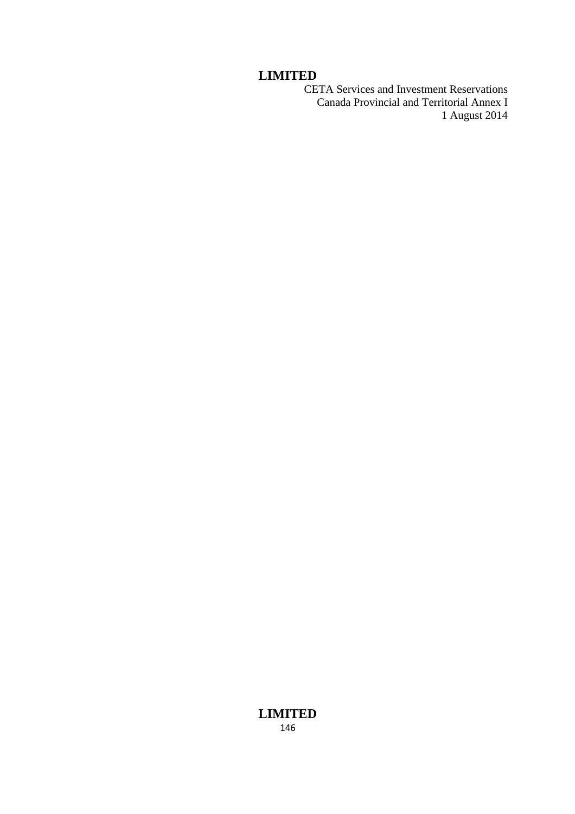CETA Services and Investment Reservations Canada Provincial and Territorial Annex I 1 August 2014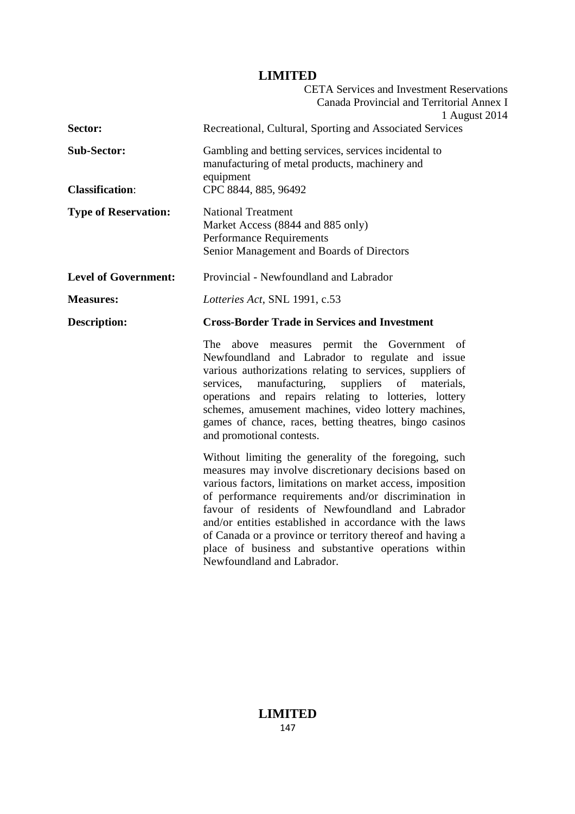|                             | <b>CETA Services and Investment Reservations</b><br>Canada Provincial and Territorial Annex I                                                                                                                                                                                              |
|-----------------------------|--------------------------------------------------------------------------------------------------------------------------------------------------------------------------------------------------------------------------------------------------------------------------------------------|
|                             | 1 August 2014                                                                                                                                                                                                                                                                              |
| Sector:                     | Recreational, Cultural, Sporting and Associated Services                                                                                                                                                                                                                                   |
| <b>Sub-Sector:</b>          | Gambling and betting services, services incidental to<br>manufacturing of metal products, machinery and<br>equipment                                                                                                                                                                       |
| <b>Classification:</b>      | CPC 8844, 885, 96492                                                                                                                                                                                                                                                                       |
| <b>Type of Reservation:</b> | <b>National Treatment</b><br>Market Access (8844 and 885 only)<br><b>Performance Requirements</b><br>Senior Management and Boards of Directors                                                                                                                                             |
| <b>Level of Government:</b> | Provincial - Newfoundland and Labrador                                                                                                                                                                                                                                                     |
| <b>Measures:</b>            | Lotteries Act, SNL 1991, c.53                                                                                                                                                                                                                                                              |
| Description:                | <b>Cross-Border Trade in Services and Investment</b>                                                                                                                                                                                                                                       |
|                             | The<br>above measures permit the Government<br>οt<br>Newfoundland and Labrador to regulate and issue<br>various authorizations relating to services, suppliers of<br>services,<br>manufacturing,<br>suppliers<br>of<br>materials,<br>operations and repairs relating to lotteries, lottery |
|                             | schemes, amusement machines, video lottery machines,<br>games of chance, races, betting theatres, bingo casinos<br>and promotional contests.                                                                                                                                               |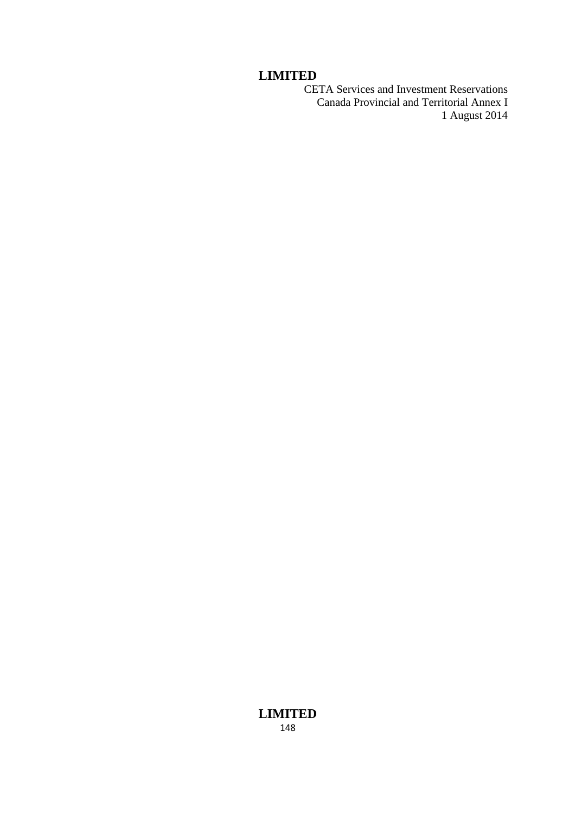CETA Services and Investment Reservations Canada Provincial and Territorial Annex I 1 August 2014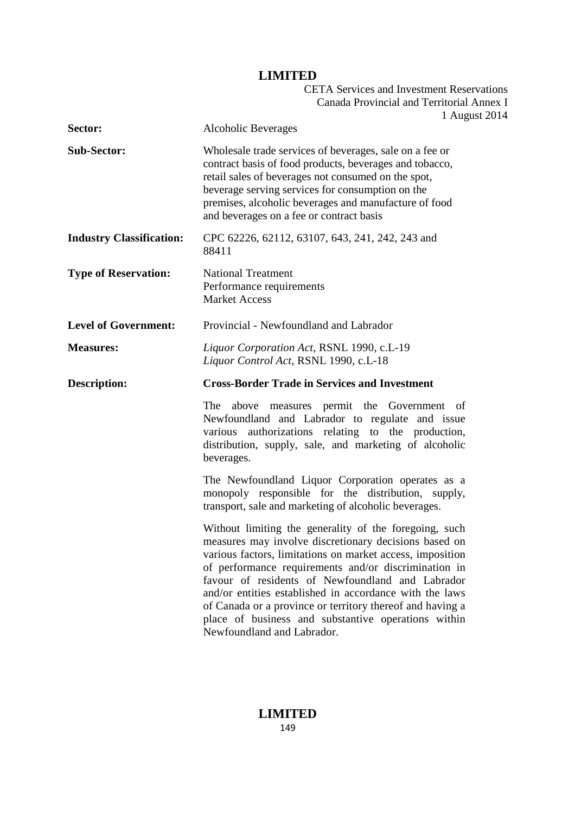|                                 | 1 August 2014                                                                                                                                                                                                                                                                                                                                                                                                                                                                                         |
|---------------------------------|-------------------------------------------------------------------------------------------------------------------------------------------------------------------------------------------------------------------------------------------------------------------------------------------------------------------------------------------------------------------------------------------------------------------------------------------------------------------------------------------------------|
| Sector:                         | Alcoholic Beverages                                                                                                                                                                                                                                                                                                                                                                                                                                                                                   |
| <b>Sub-Sector:</b>              | Wholesale trade services of beverages, sale on a fee or<br>contract basis of food products, beverages and tobacco,<br>retail sales of beverages not consumed on the spot,<br>beverage serving services for consumption on the<br>premises, alcoholic beverages and manufacture of food<br>and beverages on a fee or contract basis                                                                                                                                                                    |
| <b>Industry Classification:</b> | CPC 62226, 62112, 63107, 643, 241, 242, 243 and<br>88411                                                                                                                                                                                                                                                                                                                                                                                                                                              |
| <b>Type of Reservation:</b>     | <b>National Treatment</b><br>Performance requirements<br><b>Market Access</b>                                                                                                                                                                                                                                                                                                                                                                                                                         |
| <b>Level of Government:</b>     | Provincial - Newfoundland and Labrador                                                                                                                                                                                                                                                                                                                                                                                                                                                                |
| <b>Measures:</b>                | Liquor Corporation Act, RSNL 1990, c.L-19<br>Liquor Control Act, RSNL 1990, c.L-18                                                                                                                                                                                                                                                                                                                                                                                                                    |
| <b>Description:</b>             | <b>Cross-Border Trade in Services and Investment</b>                                                                                                                                                                                                                                                                                                                                                                                                                                                  |
|                                 | The above measures permit the Government of<br>Newfoundland and Labrador to regulate and issue<br>various authorizations relating to the production,<br>distribution, supply, sale, and marketing of alcoholic<br>beverages.                                                                                                                                                                                                                                                                          |
|                                 | The Newfoundland Liquor Corporation operates as a<br>monopoly responsible for the distribution, supply,<br>transport, sale and marketing of alcoholic beverages.                                                                                                                                                                                                                                                                                                                                      |
|                                 | Without limiting the generality of the foregoing, such<br>measures may involve discretionary decisions based on<br>various factors, limitations on market access, imposition<br>of performance requirements and/or discrimination in<br>favour of residents of Newfoundland and Labrador<br>and/or entities established in accordance with the laws<br>of Canada or a province or territory thereof and having a<br>place of business and substantive operations within<br>Newfoundland and Labrador. |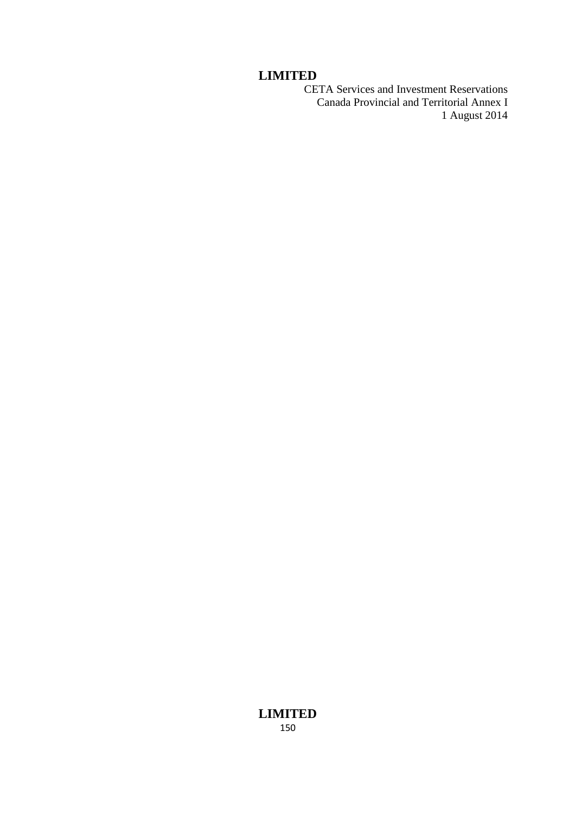CETA Services and Investment Reservations Canada Provincial and Territorial Annex I 1 August 2014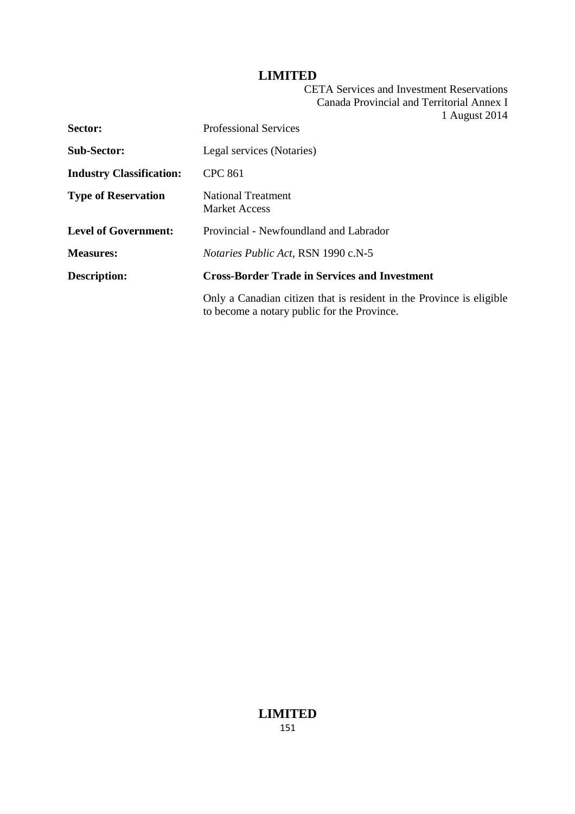| Sector:                         | <b>Professional Services</b>                                                                                        |
|---------------------------------|---------------------------------------------------------------------------------------------------------------------|
| <b>Sub-Sector:</b>              | Legal services (Notaries)                                                                                           |
| <b>Industry Classification:</b> | <b>CPC 861</b>                                                                                                      |
| <b>Type of Reservation</b>      | <b>National Treatment</b><br><b>Market Access</b>                                                                   |
| <b>Level of Government:</b>     | Provincial - Newfoundland and Labrador                                                                              |
| <b>Measures:</b>                | <i>Notaries Public Act, RSN 1990 c.N-5</i>                                                                          |
| Description:                    | <b>Cross-Border Trade in Services and Investment</b>                                                                |
|                                 | Only a Canadian citizen that is resident in the Province is eligible<br>to become a notary public for the Province. |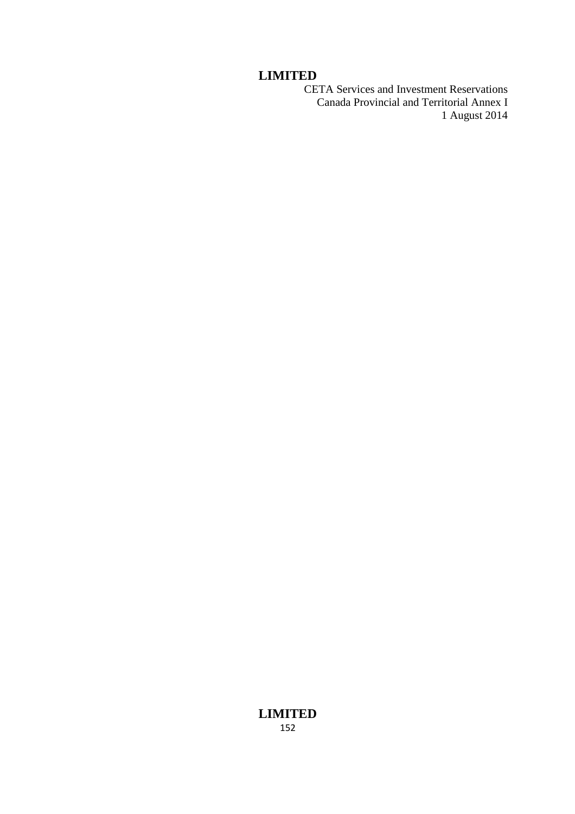CETA Services and Investment Reservations Canada Provincial and Territorial Annex I 1 August 2014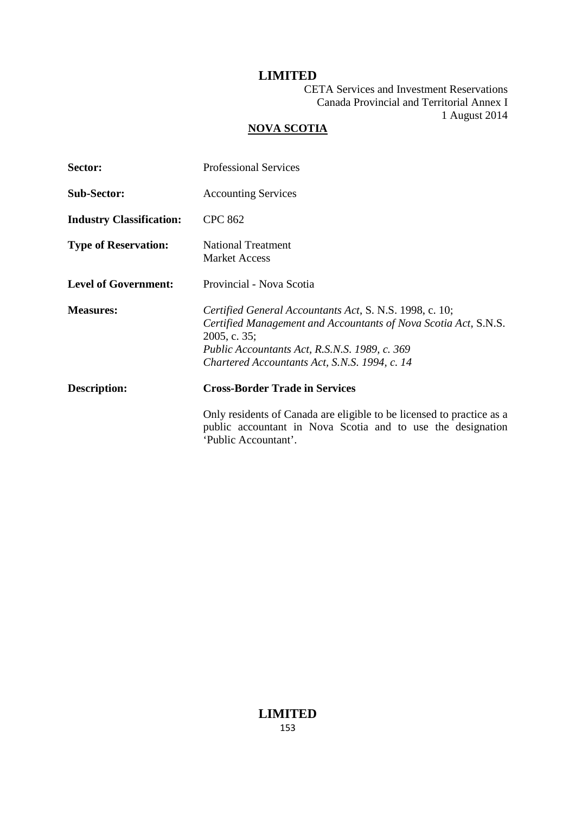CETA Services and Investment Reservations Canada Provincial and Territorial Annex I 1 August 2014

#### **NOVA SCOTIA**

| Sector:                         | <b>Professional Services</b>                                                                                                                                                                                                                 |
|---------------------------------|----------------------------------------------------------------------------------------------------------------------------------------------------------------------------------------------------------------------------------------------|
| <b>Sub-Sector:</b>              | <b>Accounting Services</b>                                                                                                                                                                                                                   |
| <b>Industry Classification:</b> | <b>CPC 862</b>                                                                                                                                                                                                                               |
| <b>Type of Reservation:</b>     | <b>National Treatment</b><br><b>Market Access</b>                                                                                                                                                                                            |
| <b>Level of Government:</b>     | Provincial - Nova Scotia                                                                                                                                                                                                                     |
| <b>Measures:</b>                | Certified General Accountants Act, S. N.S. 1998, c. 10;<br>Certified Management and Accountants of Nova Scotia Act, S.N.S.<br>2005, c. 35;<br>Public Accountants Act, R.S.N.S. 1989, c. 369<br>Chartered Accountants Act, S.N.S. 1994, c. 14 |
| Description:                    | <b>Cross-Border Trade in Services</b>                                                                                                                                                                                                        |
|                                 | Only residents of Canada are eligible to be licensed to practice as a<br>public accountant in Nova Scotia and to use the designation<br>'Public Accountant'.                                                                                 |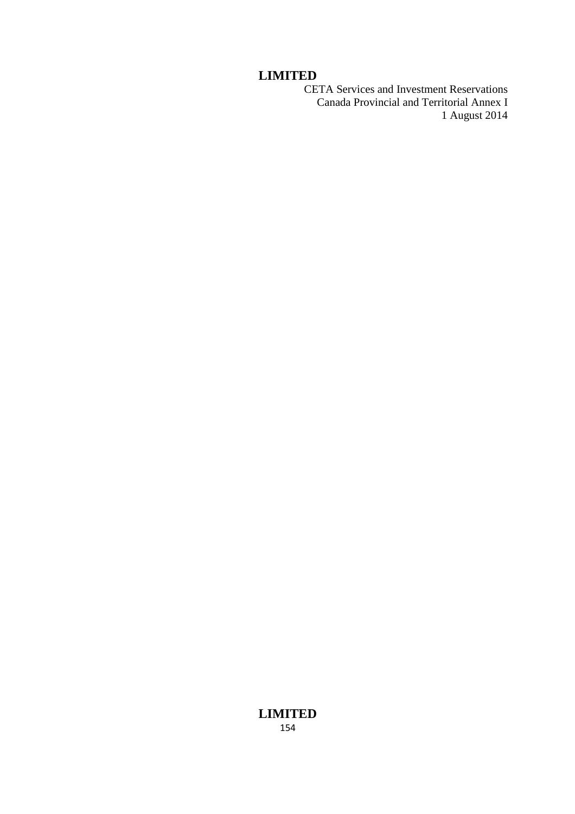CETA Services and Investment Reservations Canada Provincial and Territorial Annex I 1 August 2014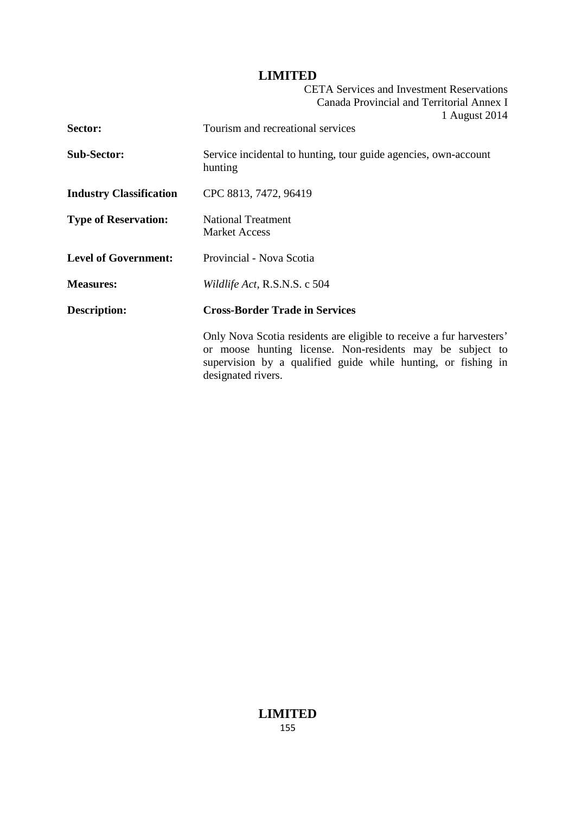#### **LIMITED** CETA Services and Investment Reservations

|                                | Canada Provincial and Territorial Annex I<br>1 August 2014                                                                                                                                                               |
|--------------------------------|--------------------------------------------------------------------------------------------------------------------------------------------------------------------------------------------------------------------------|
| <b>Sector:</b>                 | Tourism and recreational services                                                                                                                                                                                        |
| <b>Sub-Sector:</b>             | Service incidental to hunting, tour guide agencies, own-account<br>hunting                                                                                                                                               |
| <b>Industry Classification</b> | CPC 8813, 7472, 96419                                                                                                                                                                                                    |
| <b>Type of Reservation:</b>    | <b>National Treatment</b><br><b>Market Access</b>                                                                                                                                                                        |
| <b>Level of Government:</b>    | Provincial - Nova Scotia                                                                                                                                                                                                 |
| <b>Measures:</b>               | Wildlife Act, R.S.N.S. c 504                                                                                                                                                                                             |
| <b>Description:</b>            | <b>Cross-Border Trade in Services</b>                                                                                                                                                                                    |
|                                | Only Nova Scotia residents are eligible to receive a fur harvesters'<br>or moose hunting license. Non-residents may be subject to<br>supervision by a qualified guide while hunting, or fishing in<br>designated rivers. |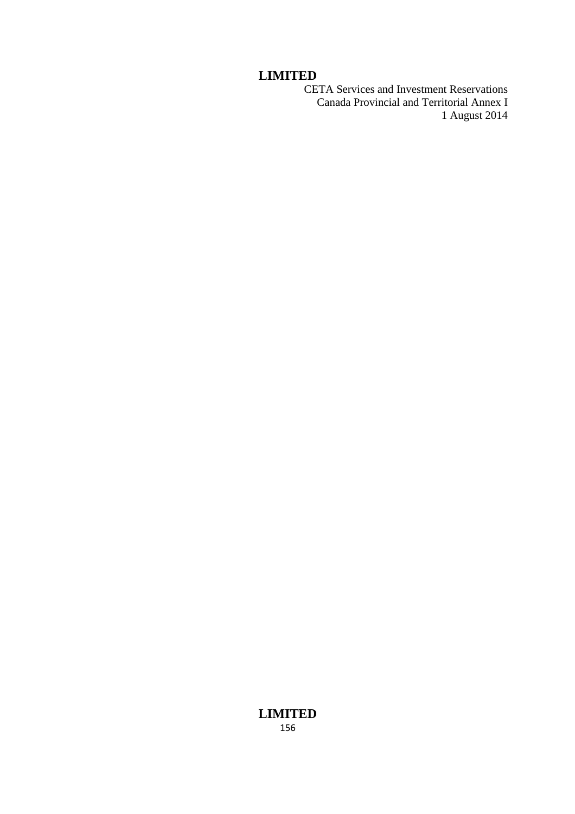CETA Services and Investment Reservations Canada Provincial and Territorial Annex I 1 August 2014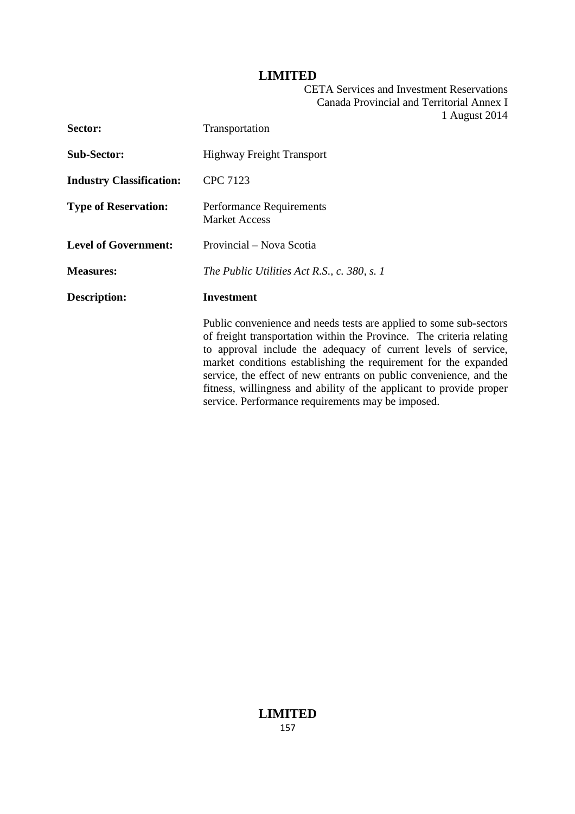| Sector:                         | Transportation                                                                                                                                                                                                                                                                                                                                                                                                                                                                    |
|---------------------------------|-----------------------------------------------------------------------------------------------------------------------------------------------------------------------------------------------------------------------------------------------------------------------------------------------------------------------------------------------------------------------------------------------------------------------------------------------------------------------------------|
| <b>Sub-Sector:</b>              | <b>Highway Freight Transport</b>                                                                                                                                                                                                                                                                                                                                                                                                                                                  |
| <b>Industry Classification:</b> | CPC 7123                                                                                                                                                                                                                                                                                                                                                                                                                                                                          |
| <b>Type of Reservation:</b>     | Performance Requirements<br><b>Market Access</b>                                                                                                                                                                                                                                                                                                                                                                                                                                  |
| <b>Level of Government:</b>     | Provincial – Nova Scotia                                                                                                                                                                                                                                                                                                                                                                                                                                                          |
| <b>Measures:</b>                | The Public Utilities Act R.S., c. 380, s. 1                                                                                                                                                                                                                                                                                                                                                                                                                                       |
| <b>Description:</b>             | <b>Investment</b>                                                                                                                                                                                                                                                                                                                                                                                                                                                                 |
|                                 | Public convenience and needs tests are applied to some sub-sectors<br>of freight transportation within the Province. The criteria relating<br>to approval include the adequacy of current levels of service,<br>market conditions establishing the requirement for the expanded<br>service, the effect of new entrants on public convenience, and the<br>fitness, willingness and ability of the applicant to provide proper<br>service. Performance requirements may be imposed. |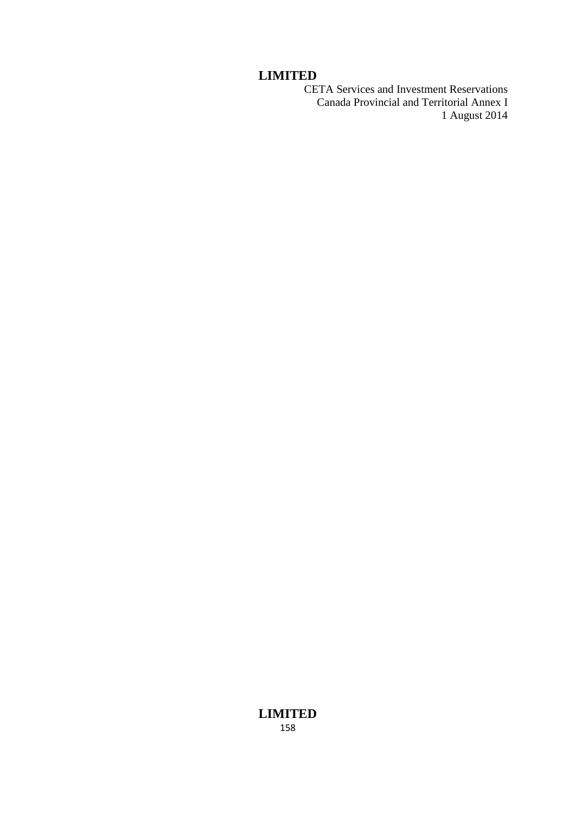CETA Services and Investment Reservations Canada Provincial and Territorial Annex I 1 August 2014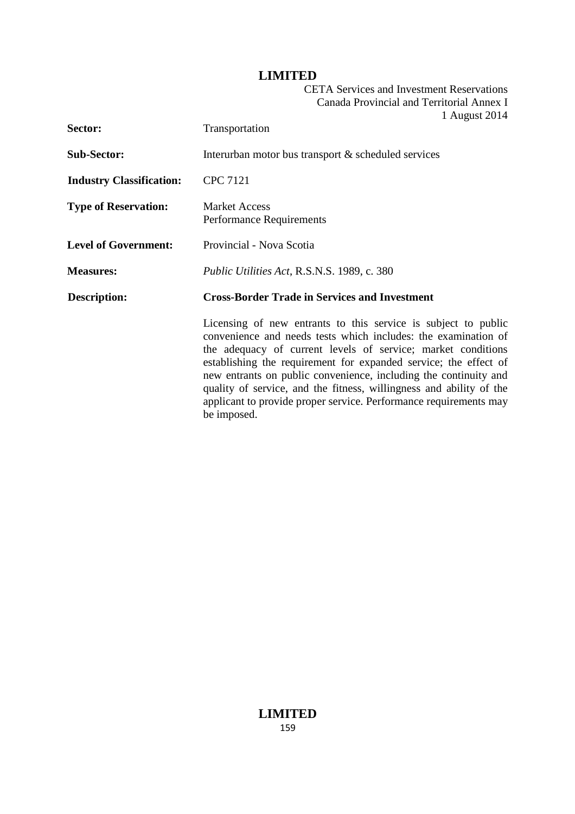CETA Services and Investment Reservations Canada Provincial and Territorial Annex I 1 August 2014

| Sector:                         | Transportation                                                                                                                                                                                                                                                                                                                                                                                                                                                                                      |
|---------------------------------|-----------------------------------------------------------------------------------------------------------------------------------------------------------------------------------------------------------------------------------------------------------------------------------------------------------------------------------------------------------------------------------------------------------------------------------------------------------------------------------------------------|
| <b>Sub-Sector:</b>              | Interurban motor bus transport & scheduled services                                                                                                                                                                                                                                                                                                                                                                                                                                                 |
| <b>Industry Classification:</b> | <b>CPC 7121</b>                                                                                                                                                                                                                                                                                                                                                                                                                                                                                     |
| <b>Type of Reservation:</b>     | <b>Market Access</b><br>Performance Requirements                                                                                                                                                                                                                                                                                                                                                                                                                                                    |
| <b>Level of Government:</b>     | Provincial - Nova Scotia                                                                                                                                                                                                                                                                                                                                                                                                                                                                            |
| <b>Measures:</b>                | Public Utilities Act, R.S.N.S. 1989, c. 380                                                                                                                                                                                                                                                                                                                                                                                                                                                         |
| Description:                    | <b>Cross-Border Trade in Services and Investment</b>                                                                                                                                                                                                                                                                                                                                                                                                                                                |
|                                 | Licensing of new entrants to this service is subject to public<br>convenience and needs tests which includes: the examination of<br>the adequacy of current levels of service; market conditions<br>establishing the requirement for expanded service; the effect of<br>new entrants on public convenience, including the continuity and<br>quality of service, and the fitness, willingness and ability of the<br>applicant to provide proper service. Performance requirements may<br>be imposed. |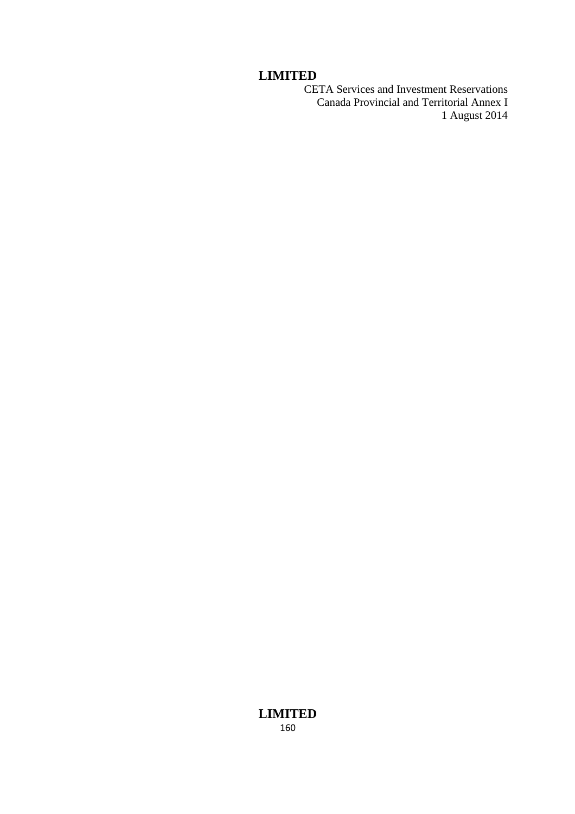CETA Services and Investment Reservations Canada Provincial and Territorial Annex I 1 August 2014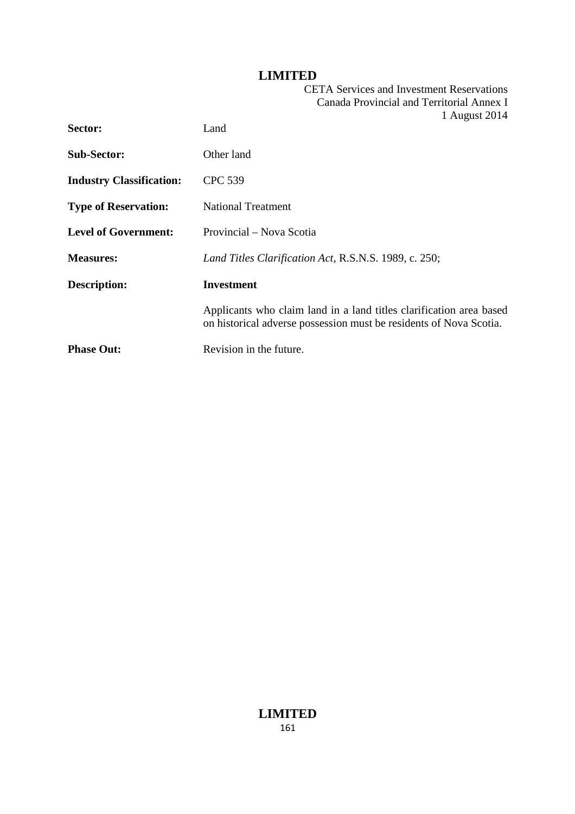| Sector:                         | Land                                                                                                                                      |
|---------------------------------|-------------------------------------------------------------------------------------------------------------------------------------------|
| <b>Sub-Sector:</b>              | Other land                                                                                                                                |
| <b>Industry Classification:</b> | CPC 539                                                                                                                                   |
| <b>Type of Reservation:</b>     | <b>National Treatment</b>                                                                                                                 |
| <b>Level of Government:</b>     | Provincial – Nova Scotia                                                                                                                  |
| <b>Measures:</b>                | Land Titles Clarification Act, R.S.N.S. 1989, c. 250;                                                                                     |
| Description:                    | <b>Investment</b>                                                                                                                         |
|                                 | Applicants who claim land in a land titles clarification area based<br>on historical adverse possession must be residents of Nova Scotia. |
| <b>Phase Out:</b>               | Revision in the future.                                                                                                                   |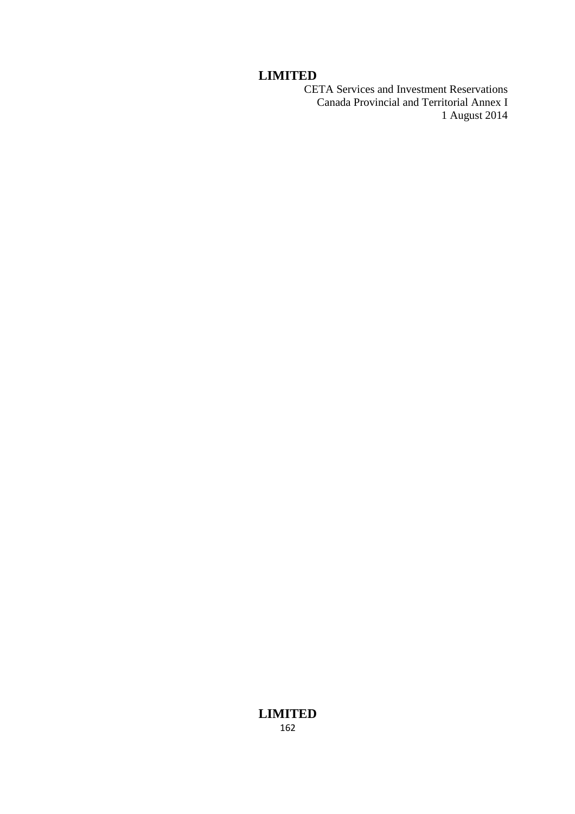CETA Services and Investment Reservations Canada Provincial and Territorial Annex I 1 August 2014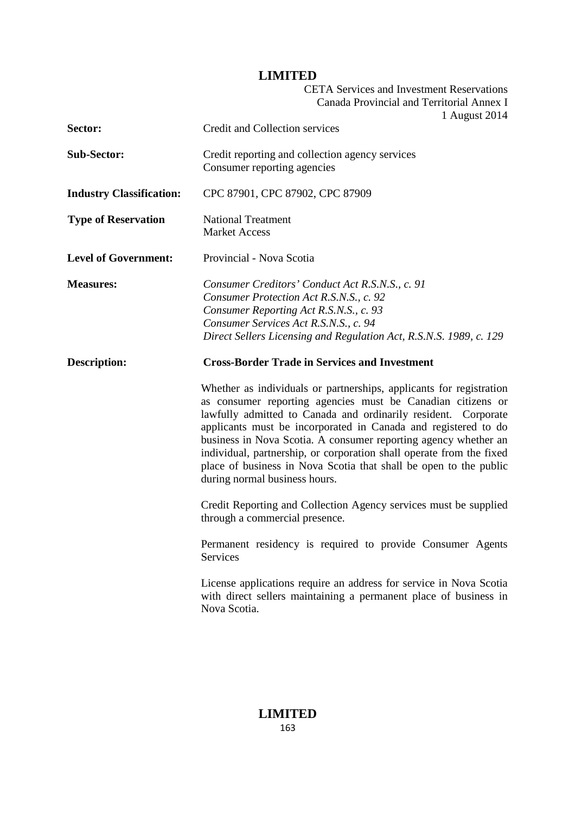| Sector:                         | $1.84$ , $1.000$<br>Credit and Collection services                                                                                                                                                                                                                                                                                                                                                                                                                                                                         |
|---------------------------------|----------------------------------------------------------------------------------------------------------------------------------------------------------------------------------------------------------------------------------------------------------------------------------------------------------------------------------------------------------------------------------------------------------------------------------------------------------------------------------------------------------------------------|
| <b>Sub-Sector:</b>              | Credit reporting and collection agency services<br>Consumer reporting agencies                                                                                                                                                                                                                                                                                                                                                                                                                                             |
| <b>Industry Classification:</b> | CPC 87901, CPC 87902, CPC 87909                                                                                                                                                                                                                                                                                                                                                                                                                                                                                            |
| <b>Type of Reservation</b>      | <b>National Treatment</b><br><b>Market Access</b>                                                                                                                                                                                                                                                                                                                                                                                                                                                                          |
| <b>Level of Government:</b>     | Provincial - Nova Scotia                                                                                                                                                                                                                                                                                                                                                                                                                                                                                                   |
| <b>Measures:</b>                | Consumer Creditors' Conduct Act R.S.N.S., c. 91<br>Consumer Protection Act R.S.N.S., c. 92<br>Consumer Reporting Act R.S.N.S., c. 93<br>Consumer Services Act R.S.N.S., c. 94<br>Direct Sellers Licensing and Regulation Act, R.S.N.S. 1989, c. 129                                                                                                                                                                                                                                                                        |
| <b>Description:</b>             | <b>Cross-Border Trade in Services and Investment</b>                                                                                                                                                                                                                                                                                                                                                                                                                                                                       |
|                                 | Whether as individuals or partnerships, applicants for registration<br>as consumer reporting agencies must be Canadian citizens or<br>lawfully admitted to Canada and ordinarily resident.<br>Corporate<br>applicants must be incorporated in Canada and registered to do<br>business in Nova Scotia. A consumer reporting agency whether an<br>individual, partnership, or corporation shall operate from the fixed<br>place of business in Nova Scotia that shall be open to the public<br>during normal business hours. |
|                                 | Credit Reporting and Collection Agency services must be supplied<br>through a commercial presence.                                                                                                                                                                                                                                                                                                                                                                                                                         |
|                                 | Permanent residency is required to provide Consumer Agents<br><b>Services</b>                                                                                                                                                                                                                                                                                                                                                                                                                                              |
|                                 | License applications require an address for service in Nova Scotia<br>with direct sellers maintaining a permanent place of business in<br>Nova Scotia.                                                                                                                                                                                                                                                                                                                                                                     |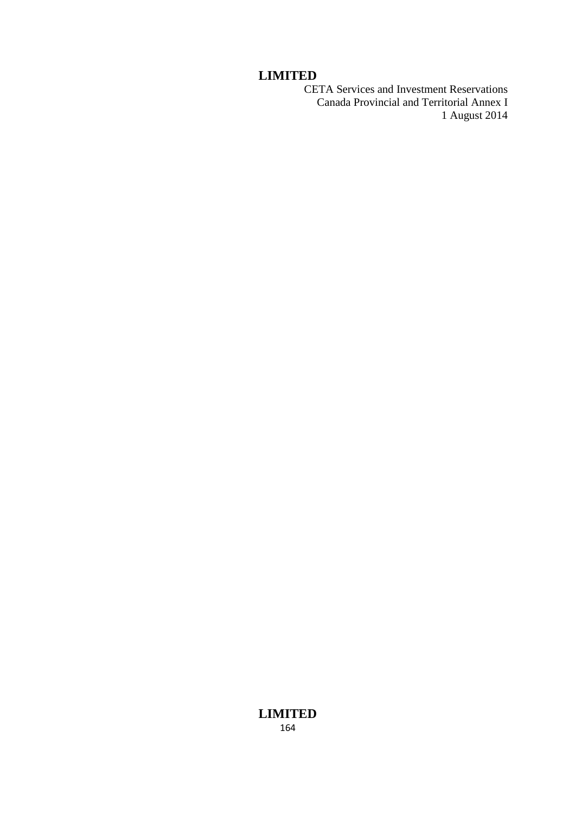CETA Services and Investment Reservations Canada Provincial and Territorial Annex I 1 August 2014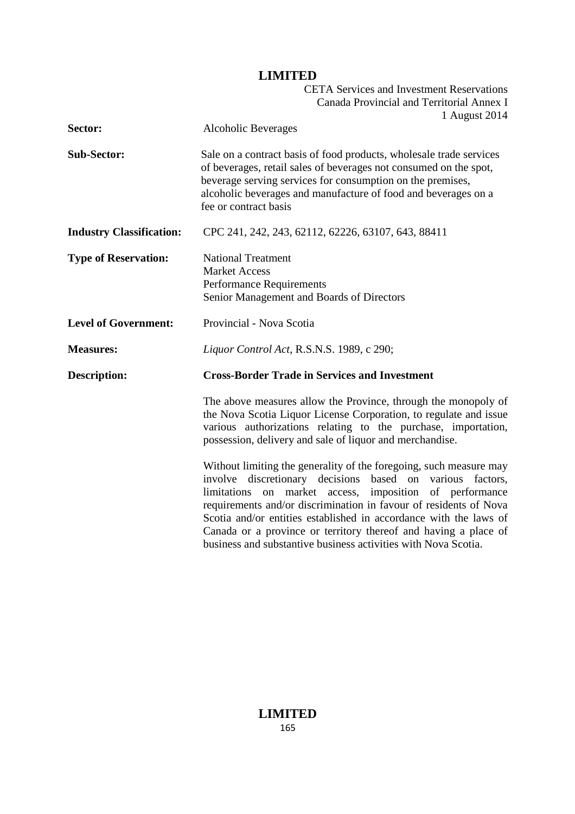| Sector:                         | $1 \text{ August}$ $\omega$ $1$<br><b>Alcoholic Beverages</b>                                                                                                                                                                                                                                                                                                                                                                                                             |
|---------------------------------|---------------------------------------------------------------------------------------------------------------------------------------------------------------------------------------------------------------------------------------------------------------------------------------------------------------------------------------------------------------------------------------------------------------------------------------------------------------------------|
| <b>Sub-Sector:</b>              | Sale on a contract basis of food products, wholesale trade services<br>of beverages, retail sales of beverages not consumed on the spot,<br>beverage serving services for consumption on the premises,<br>alcoholic beverages and manufacture of food and beverages on a<br>fee or contract basis                                                                                                                                                                         |
| <b>Industry Classification:</b> | CPC 241, 242, 243, 62112, 62226, 63107, 643, 88411                                                                                                                                                                                                                                                                                                                                                                                                                        |
| <b>Type of Reservation:</b>     | <b>National Treatment</b><br><b>Market Access</b><br><b>Performance Requirements</b><br>Senior Management and Boards of Directors                                                                                                                                                                                                                                                                                                                                         |
| <b>Level of Government:</b>     | Provincial - Nova Scotia                                                                                                                                                                                                                                                                                                                                                                                                                                                  |
| <b>Measures:</b>                | Liquor Control Act, R.S.N.S. 1989, c 290;                                                                                                                                                                                                                                                                                                                                                                                                                                 |
| <b>Description:</b>             | <b>Cross-Border Trade in Services and Investment</b>                                                                                                                                                                                                                                                                                                                                                                                                                      |
|                                 | The above measures allow the Province, through the monopoly of<br>the Nova Scotia Liquor License Corporation, to regulate and issue<br>various authorizations relating to the purchase, importation,<br>possession, delivery and sale of liquor and merchandise.                                                                                                                                                                                                          |
|                                 | Without limiting the generality of the foregoing, such measure may<br>involve discretionary decisions based on various factors,<br>limitations on market access, imposition of performance<br>requirements and/or discrimination in favour of residents of Nova<br>Scotia and/or entities established in accordance with the laws of<br>Canada or a province or territory thereof and having a place of<br>business and substantive business activities with Nova Scotia. |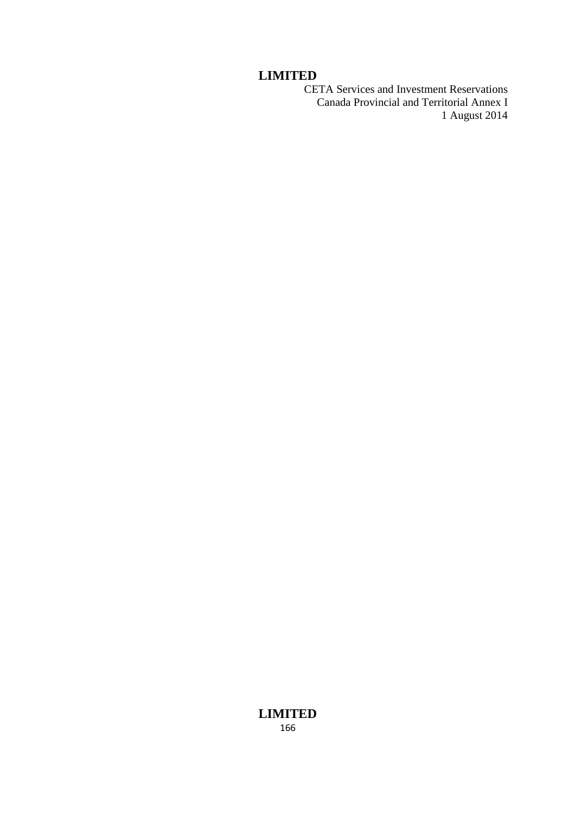CETA Services and Investment Reservations Canada Provincial and Territorial Annex I 1 August 2014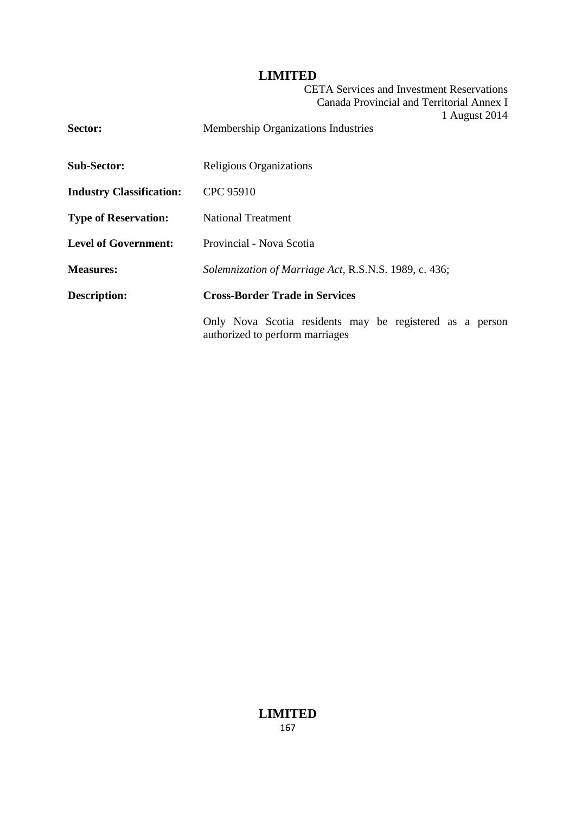CETA Services and Investment Reservations Canada Provincial and Territorial Annex I 1 August 2014

| Sector:                         | Membership Organizations Industries                                                         |
|---------------------------------|---------------------------------------------------------------------------------------------|
| <b>Sub-Sector:</b>              | Religious Organizations                                                                     |
| <b>Industry Classification:</b> | CPC 95910                                                                                   |
| <b>Type of Reservation:</b>     | <b>National Treatment</b>                                                                   |
| <b>Level of Government:</b>     | Provincial - Nova Scotia                                                                    |
| <b>Measures:</b>                | Solemnization of Marriage Act, R.S.N.S. 1989, c. 436;                                       |
| Description:                    | <b>Cross-Border Trade in Services</b>                                                       |
|                                 | Only Nova Scotia residents may be registered as a person<br>authorized to perform marriages |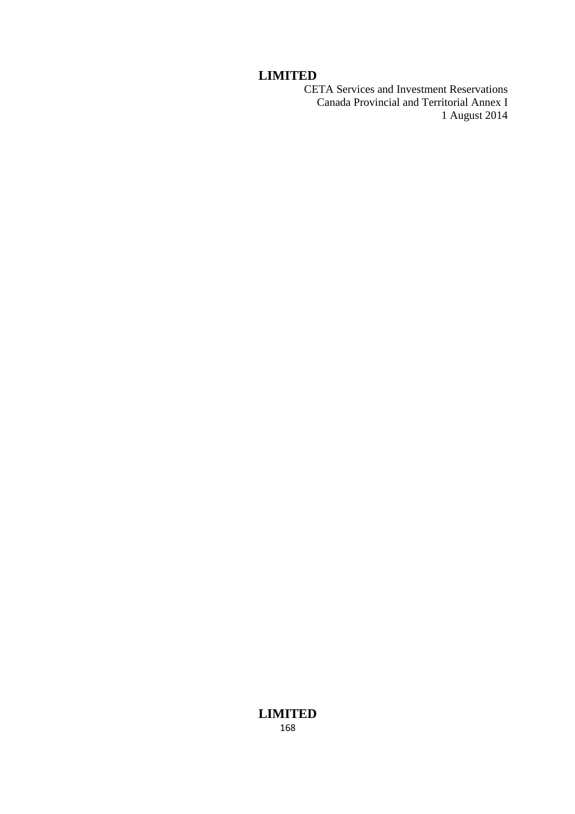CETA Services and Investment Reservations Canada Provincial and Territorial Annex I 1 August 2014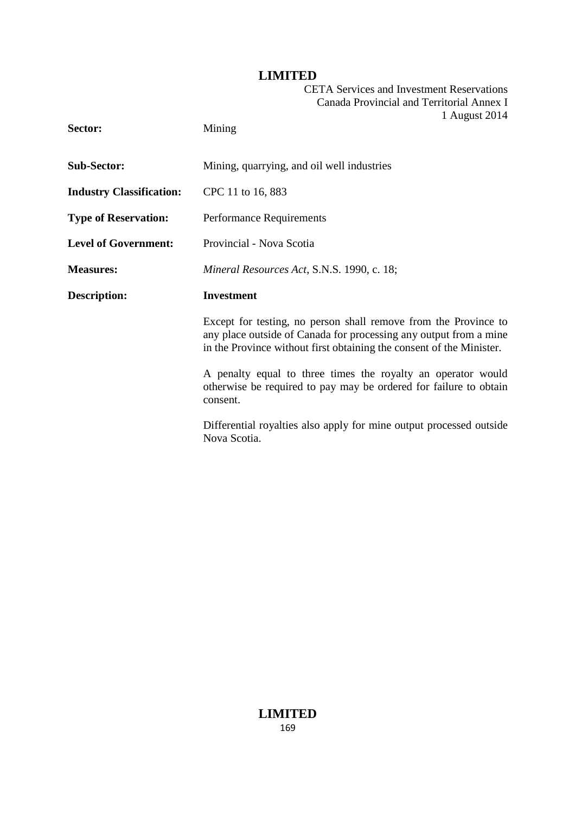| Sector:                         | Mining                                                                                                                                                                                                       |
|---------------------------------|--------------------------------------------------------------------------------------------------------------------------------------------------------------------------------------------------------------|
| <b>Sub-Sector:</b>              | Mining, quarrying, and oil well industries                                                                                                                                                                   |
| <b>Industry Classification:</b> | CPC 11 to 16, 883                                                                                                                                                                                            |
| <b>Type of Reservation:</b>     | Performance Requirements                                                                                                                                                                                     |
| <b>Level of Government:</b>     | Provincial - Nova Scotia                                                                                                                                                                                     |
| <b>Measures:</b>                | Mineral Resources Act, S.N.S. 1990, c. 18;                                                                                                                                                                   |
|                                 |                                                                                                                                                                                                              |
| <b>Description:</b>             | <b>Investment</b>                                                                                                                                                                                            |
|                                 | Except for testing, no person shall remove from the Province to<br>any place outside of Canada for processing any output from a mine<br>in the Province without first obtaining the consent of the Minister. |
|                                 | A penalty equal to three times the royalty an operator would<br>otherwise be required to pay may be ordered for failure to obtain<br>consent.                                                                |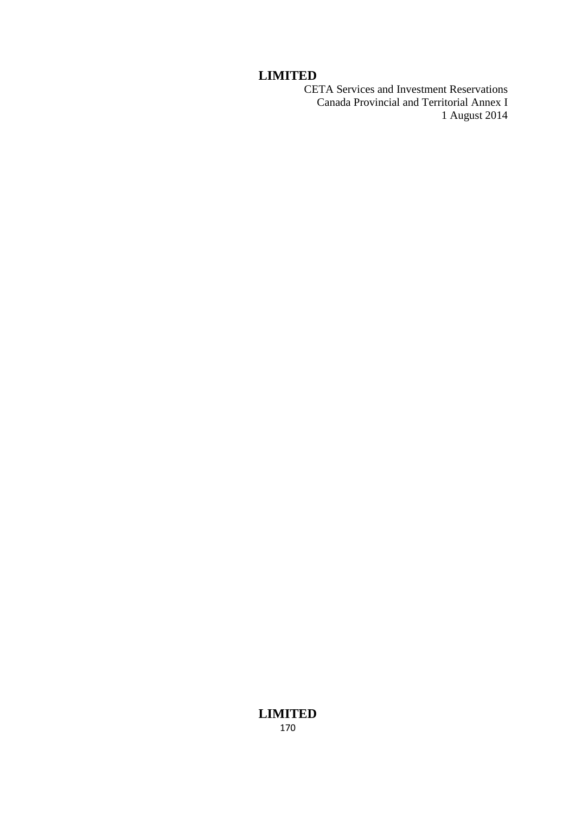CETA Services and Investment Reservations Canada Provincial and Territorial Annex I 1 August 2014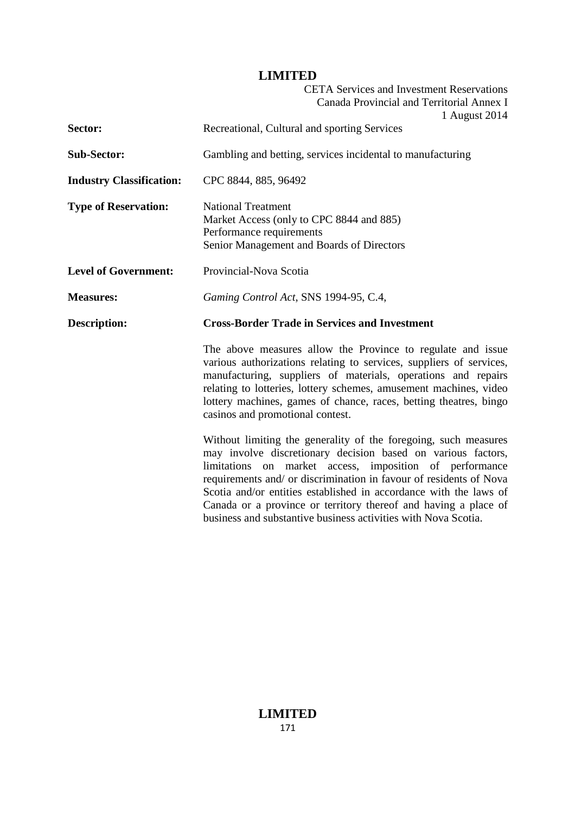|                                 | <b>CETA</b> Services and Investment Reservations<br>Canada Provincial and Territorial Annex I<br>1 August 2014                                                                                                                                                                                                                                                                                                                                                             |
|---------------------------------|----------------------------------------------------------------------------------------------------------------------------------------------------------------------------------------------------------------------------------------------------------------------------------------------------------------------------------------------------------------------------------------------------------------------------------------------------------------------------|
| Sector:                         | Recreational, Cultural and sporting Services                                                                                                                                                                                                                                                                                                                                                                                                                               |
| <b>Sub-Sector:</b>              | Gambling and betting, services incidental to manufacturing                                                                                                                                                                                                                                                                                                                                                                                                                 |
| <b>Industry Classification:</b> | CPC 8844, 885, 96492                                                                                                                                                                                                                                                                                                                                                                                                                                                       |
| <b>Type of Reservation:</b>     | <b>National Treatment</b><br>Market Access (only to CPC 8844 and 885)<br>Performance requirements<br>Senior Management and Boards of Directors                                                                                                                                                                                                                                                                                                                             |
| <b>Level of Government:</b>     | Provincial-Nova Scotia                                                                                                                                                                                                                                                                                                                                                                                                                                                     |
| <b>Measures:</b>                | Gaming Control Act, SNS 1994-95, C.4,                                                                                                                                                                                                                                                                                                                                                                                                                                      |
| <b>Description:</b>             | <b>Cross-Border Trade in Services and Investment</b>                                                                                                                                                                                                                                                                                                                                                                                                                       |
|                                 | The above measures allow the Province to regulate and issue<br>various authorizations relating to services, suppliers of services,<br>manufacturing, suppliers of materials, operations and repairs<br>relating to lotteries, lottery schemes, amusement machines, video<br>lottery machines, games of chance, races, betting theatres, bingo<br>casinos and promotional contest.                                                                                          |
|                                 | Without limiting the generality of the foregoing, such measures<br>may involve discretionary decision based on various factors,<br>limitations on market access, imposition of performance<br>requirements and/ or discrimination in favour of residents of Nova<br>Scotia and/or entities established in accordance with the laws of<br>Canada or a province or territory thereof and having a place of<br>business and substantive business activities with Nova Scotia. |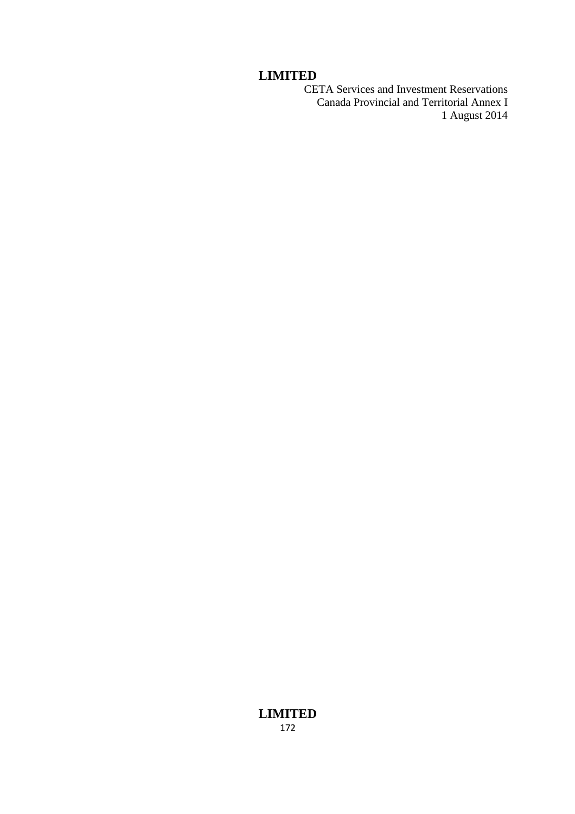CETA Services and Investment Reservations Canada Provincial and Territorial Annex I 1 August 2014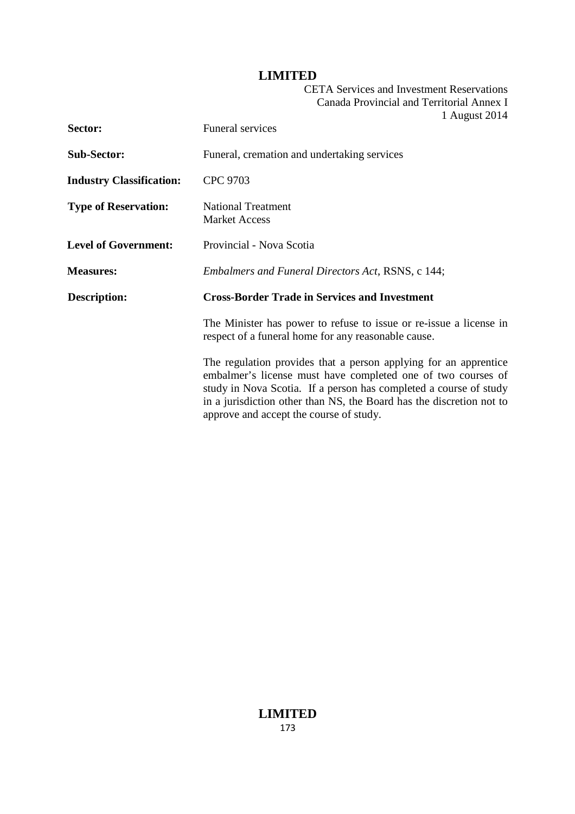CETA Services and Investment Reservations Canada Provincial and Territorial Annex I 1 August 2014

| Sector:                         | <b>Funeral services</b>                                                                                                                                                                                                                                                                                                  |
|---------------------------------|--------------------------------------------------------------------------------------------------------------------------------------------------------------------------------------------------------------------------------------------------------------------------------------------------------------------------|
| <b>Sub-Sector:</b>              | Funeral, cremation and undertaking services                                                                                                                                                                                                                                                                              |
| <b>Industry Classification:</b> | <b>CPC 9703</b>                                                                                                                                                                                                                                                                                                          |
| <b>Type of Reservation:</b>     | <b>National Treatment</b><br><b>Market Access</b>                                                                                                                                                                                                                                                                        |
| <b>Level of Government:</b>     | Provincial - Nova Scotia                                                                                                                                                                                                                                                                                                 |
| <b>Measures:</b>                | Embalmers and Funeral Directors Act, RSNS, c 144;                                                                                                                                                                                                                                                                        |
| <b>Description:</b>             | <b>Cross-Border Trade in Services and Investment</b>                                                                                                                                                                                                                                                                     |
|                                 | The Minister has power to refuse to issue or re-issue a license in<br>respect of a funeral home for any reasonable cause.                                                                                                                                                                                                |
|                                 | The regulation provides that a person applying for an apprentice<br>embalmer's license must have completed one of two courses of<br>study in Nova Scotia. If a person has completed a course of study<br>in a jurisdiction other than NS, the Board has the discretion not to<br>approve and accept the course of study. |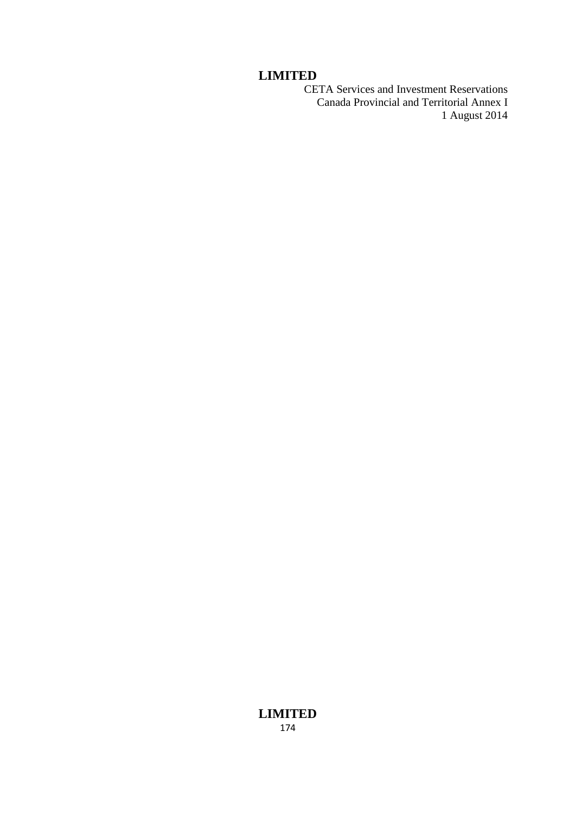CETA Services and Investment Reservations Canada Provincial and Territorial Annex I 1 August 2014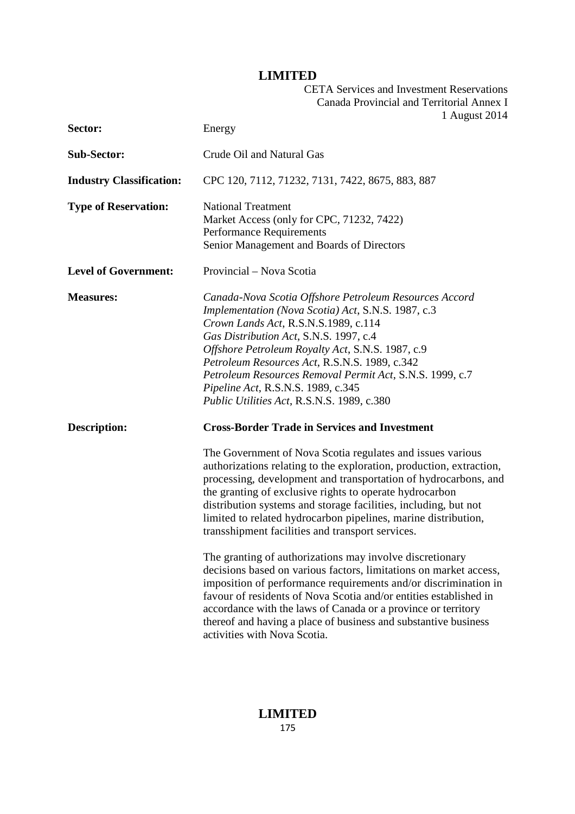| Sector:                         | Energy                                                                                                                                                                                                                                                                                                                                                                                                                                                                                                                                                                                                                                                                                                                                                                                                                                                                                                                                                        |
|---------------------------------|---------------------------------------------------------------------------------------------------------------------------------------------------------------------------------------------------------------------------------------------------------------------------------------------------------------------------------------------------------------------------------------------------------------------------------------------------------------------------------------------------------------------------------------------------------------------------------------------------------------------------------------------------------------------------------------------------------------------------------------------------------------------------------------------------------------------------------------------------------------------------------------------------------------------------------------------------------------|
| <b>Sub-Sector:</b>              | Crude Oil and Natural Gas                                                                                                                                                                                                                                                                                                                                                                                                                                                                                                                                                                                                                                                                                                                                                                                                                                                                                                                                     |
| <b>Industry Classification:</b> | CPC 120, 7112, 71232, 7131, 7422, 8675, 883, 887                                                                                                                                                                                                                                                                                                                                                                                                                                                                                                                                                                                                                                                                                                                                                                                                                                                                                                              |
| <b>Type of Reservation:</b>     | <b>National Treatment</b><br>Market Access (only for CPC, 71232, 7422)<br><b>Performance Requirements</b><br>Senior Management and Boards of Directors                                                                                                                                                                                                                                                                                                                                                                                                                                                                                                                                                                                                                                                                                                                                                                                                        |
| <b>Level of Government:</b>     | Provincial – Nova Scotia                                                                                                                                                                                                                                                                                                                                                                                                                                                                                                                                                                                                                                                                                                                                                                                                                                                                                                                                      |
| <b>Measures:</b>                | Canada-Nova Scotia Offshore Petroleum Resources Accord<br>Implementation (Nova Scotia) Act, S.N.S. 1987, c.3<br>Crown Lands Act, R.S.N.S.1989, c.114<br>Gas Distribution Act, S.N.S. 1997, c.4<br>Offshore Petroleum Royalty Act, S.N.S. 1987, c.9<br>Petroleum Resources Act, R.S.N.S. 1989, c.342<br>Petroleum Resources Removal Permit Act, S.N.S. 1999, c.7<br>Pipeline Act, R.S.N.S. 1989, c.345<br>Public Utilities Act, R.S.N.S. 1989, c.380                                                                                                                                                                                                                                                                                                                                                                                                                                                                                                           |
| <b>Description:</b>             | <b>Cross-Border Trade in Services and Investment</b><br>The Government of Nova Scotia regulates and issues various<br>authorizations relating to the exploration, production, extraction,<br>processing, development and transportation of hydrocarbons, and<br>the granting of exclusive rights to operate hydrocarbon<br>distribution systems and storage facilities, including, but not<br>limited to related hydrocarbon pipelines, marine distribution,<br>transshipment facilities and transport services.<br>The granting of authorizations may involve discretionary<br>decisions based on various factors, limitations on market access,<br>imposition of performance requirements and/or discrimination in<br>favour of residents of Nova Scotia and/or entities established in<br>accordance with the laws of Canada or a province or territory<br>thereof and having a place of business and substantive business<br>activities with Nova Scotia. |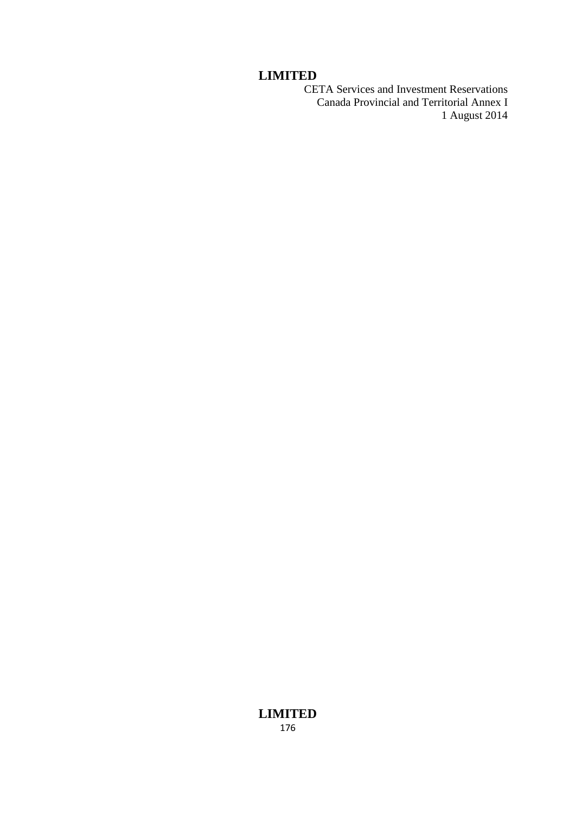CETA Services and Investment Reservations Canada Provincial and Territorial Annex I 1 August 2014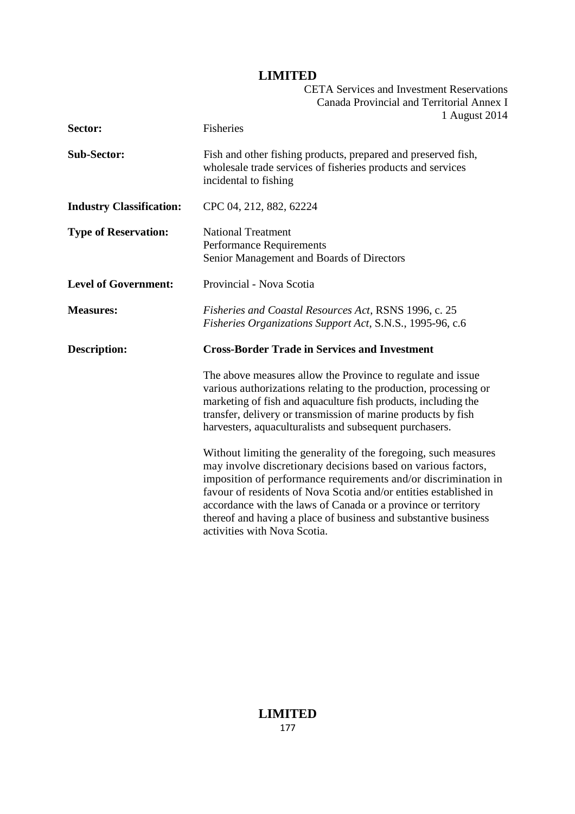CETA Services and Investment Reservations Canada Provincial and Territorial Annex I 1 August 2014

| Sector:                         | Fisheries                                                                                                                                                                                                                                                                                                                                                                                                                                    |
|---------------------------------|----------------------------------------------------------------------------------------------------------------------------------------------------------------------------------------------------------------------------------------------------------------------------------------------------------------------------------------------------------------------------------------------------------------------------------------------|
| <b>Sub-Sector:</b>              | Fish and other fishing products, prepared and preserved fish,<br>wholesale trade services of fisheries products and services<br>incidental to fishing                                                                                                                                                                                                                                                                                        |
| <b>Industry Classification:</b> | CPC 04, 212, 882, 62224                                                                                                                                                                                                                                                                                                                                                                                                                      |
| <b>Type of Reservation:</b>     | <b>National Treatment</b><br><b>Performance Requirements</b><br>Senior Management and Boards of Directors                                                                                                                                                                                                                                                                                                                                    |
| <b>Level of Government:</b>     | Provincial - Nova Scotia                                                                                                                                                                                                                                                                                                                                                                                                                     |
| <b>Measures:</b>                | Fisheries and Coastal Resources Act, RSNS 1996, c. 25<br>Fisheries Organizations Support Act, S.N.S., 1995-96, c.6                                                                                                                                                                                                                                                                                                                           |
| <b>Description:</b>             | <b>Cross-Border Trade in Services and Investment</b>                                                                                                                                                                                                                                                                                                                                                                                         |
|                                 | The above measures allow the Province to regulate and issue<br>various authorizations relating to the production, processing or<br>marketing of fish and aquaculture fish products, including the<br>transfer, delivery or transmission of marine products by fish<br>harvesters, aquaculturalists and subsequent purchasers.                                                                                                                |
|                                 | Without limiting the generality of the foregoing, such measures<br>may involve discretionary decisions based on various factors,<br>imposition of performance requirements and/or discrimination in<br>favour of residents of Nova Scotia and/or entities established in<br>accordance with the laws of Canada or a province or territory<br>thereof and having a place of business and substantive business<br>activities with Nova Scotia. |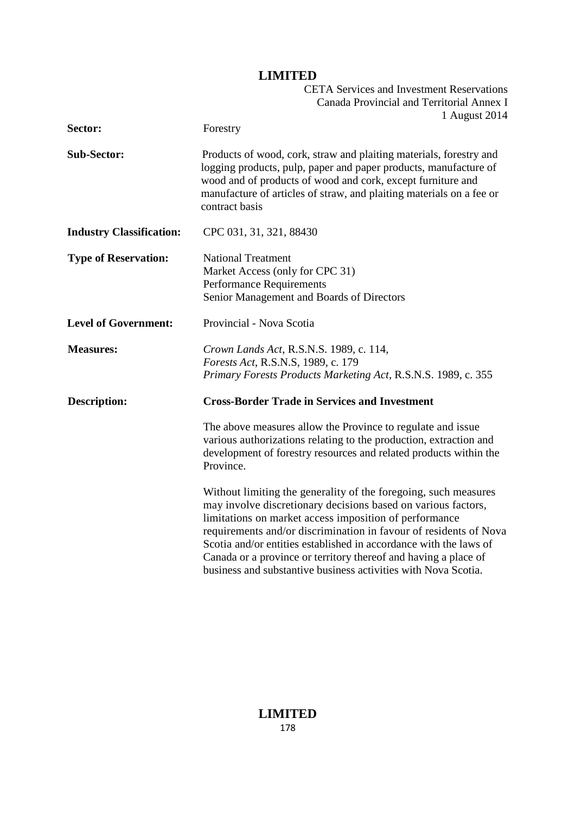| Sector:                         | $1.1$ $1.0$ $\leq 0.01$<br>Forestry                                                                                                                                                                                                                                                                                                                                                                                                                                       |
|---------------------------------|---------------------------------------------------------------------------------------------------------------------------------------------------------------------------------------------------------------------------------------------------------------------------------------------------------------------------------------------------------------------------------------------------------------------------------------------------------------------------|
| <b>Sub-Sector:</b>              | Products of wood, cork, straw and plaiting materials, forestry and<br>logging products, pulp, paper and paper products, manufacture of<br>wood and of products of wood and cork, except furniture and<br>manufacture of articles of straw, and plaiting materials on a fee or<br>contract basis                                                                                                                                                                           |
| <b>Industry Classification:</b> | CPC 031, 31, 321, 88430                                                                                                                                                                                                                                                                                                                                                                                                                                                   |
| <b>Type of Reservation:</b>     | <b>National Treatment</b><br>Market Access (only for CPC 31)<br><b>Performance Requirements</b><br>Senior Management and Boards of Directors                                                                                                                                                                                                                                                                                                                              |
| <b>Level of Government:</b>     | Provincial - Nova Scotia                                                                                                                                                                                                                                                                                                                                                                                                                                                  |
| <b>Measures:</b>                | Crown Lands Act, R.S.N.S. 1989, c. 114,<br>Forests Act, R.S.N.S, 1989, c. 179<br>Primary Forests Products Marketing Act, R.S.N.S. 1989, c. 355                                                                                                                                                                                                                                                                                                                            |
| <b>Description:</b>             | <b>Cross-Border Trade in Services and Investment</b>                                                                                                                                                                                                                                                                                                                                                                                                                      |
|                                 | The above measures allow the Province to regulate and issue<br>various authorizations relating to the production, extraction and<br>development of forestry resources and related products within the<br>Province.                                                                                                                                                                                                                                                        |
|                                 | Without limiting the generality of the foregoing, such measures<br>may involve discretionary decisions based on various factors,<br>limitations on market access imposition of performance<br>requirements and/or discrimination in favour of residents of Nova<br>Scotia and/or entities established in accordance with the laws of<br>Canada or a province or territory thereof and having a place of<br>business and substantive business activities with Nova Scotia. |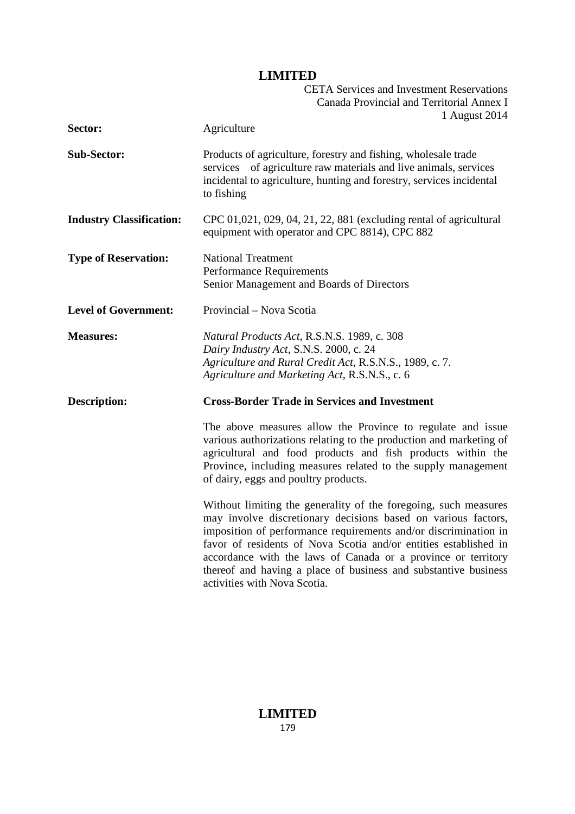| <b>CETA</b> Services and Investment Reservations |  |
|--------------------------------------------------|--|
| Canada Provincial and Territorial Annex I        |  |
| 1 August 2014                                    |  |

| Sector:                         | Agriculture                                                                                                                                                                                                                                                                                                                                                                                                                                 |
|---------------------------------|---------------------------------------------------------------------------------------------------------------------------------------------------------------------------------------------------------------------------------------------------------------------------------------------------------------------------------------------------------------------------------------------------------------------------------------------|
| <b>Sub-Sector:</b>              | Products of agriculture, forestry and fishing, wholesale trade<br>services of agriculture raw materials and live animals, services<br>incidental to agriculture, hunting and forestry, services incidental<br>to fishing                                                                                                                                                                                                                    |
| <b>Industry Classification:</b> | CPC 01,021, 029, 04, 21, 22, 881 (excluding rental of agricultural<br>equipment with operator and CPC 8814), CPC 882                                                                                                                                                                                                                                                                                                                        |
| <b>Type of Reservation:</b>     | <b>National Treatment</b><br><b>Performance Requirements</b><br>Senior Management and Boards of Directors                                                                                                                                                                                                                                                                                                                                   |
| <b>Level of Government:</b>     | Provincial - Nova Scotia                                                                                                                                                                                                                                                                                                                                                                                                                    |
| <b>Measures:</b>                | Natural Products Act, R.S.N.S. 1989, c. 308<br>Dairy Industry Act, S.N.S. 2000, c. 24<br>Agriculture and Rural Credit Act, R.S.N.S., 1989, c. 7.<br>Agriculture and Marketing Act, R.S.N.S., c. 6                                                                                                                                                                                                                                           |
| <b>Description:</b>             | <b>Cross-Border Trade in Services and Investment</b>                                                                                                                                                                                                                                                                                                                                                                                        |
|                                 | The above measures allow the Province to regulate and issue<br>various authorizations relating to the production and marketing of<br>agricultural and food products and fish products within the<br>Province, including measures related to the supply management<br>of dairy, eggs and poultry products.                                                                                                                                   |
|                                 | Without limiting the generality of the foregoing, such measures<br>may involve discretionary decisions based on various factors,<br>imposition of performance requirements and/or discrimination in<br>favor of residents of Nova Scotia and/or entities established in<br>accordance with the laws of Canada or a province or territory<br>thereof and having a place of business and substantive business<br>activities with Nova Scotia. |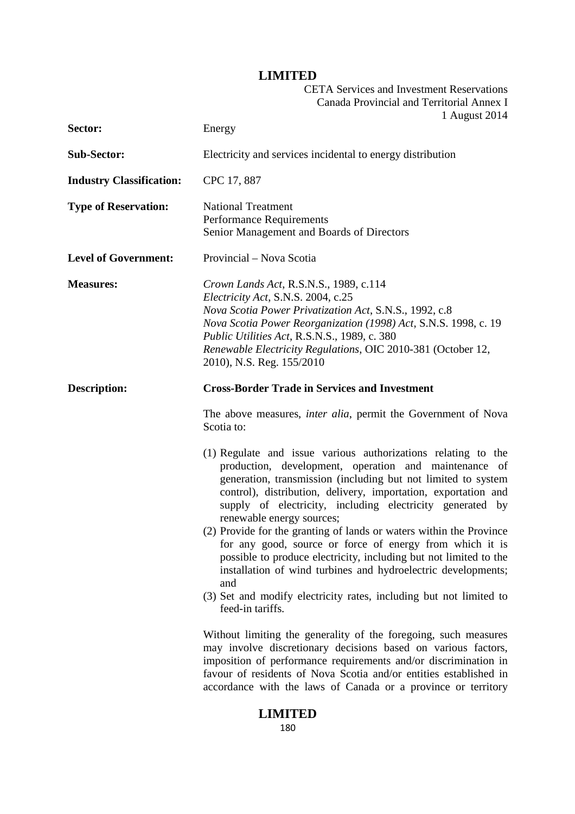CETA Services and Investment Reservations Canada Provincial and Territorial Annex I 1 August 2014

| Sector:                         | $1.1$ $\mu$ <sub>5</sub> $\mu$ <sub>2</sub> $\mu$ <sub>7</sub><br>Energy                                                                                                                                                                                                                                                                                                                                                                                                                                                                                                                                                                                                                                                      |
|---------------------------------|-------------------------------------------------------------------------------------------------------------------------------------------------------------------------------------------------------------------------------------------------------------------------------------------------------------------------------------------------------------------------------------------------------------------------------------------------------------------------------------------------------------------------------------------------------------------------------------------------------------------------------------------------------------------------------------------------------------------------------|
| <b>Sub-Sector:</b>              | Electricity and services incidental to energy distribution                                                                                                                                                                                                                                                                                                                                                                                                                                                                                                                                                                                                                                                                    |
| <b>Industry Classification:</b> | CPC 17, 887                                                                                                                                                                                                                                                                                                                                                                                                                                                                                                                                                                                                                                                                                                                   |
| <b>Type of Reservation:</b>     | <b>National Treatment</b><br>Performance Requirements<br>Senior Management and Boards of Directors                                                                                                                                                                                                                                                                                                                                                                                                                                                                                                                                                                                                                            |
| <b>Level of Government:</b>     | Provincial - Nova Scotia                                                                                                                                                                                                                                                                                                                                                                                                                                                                                                                                                                                                                                                                                                      |
| <b>Measures:</b>                | Crown Lands Act, R.S.N.S., 1989, c.114<br>Electricity Act, S.N.S. 2004, c.25<br>Nova Scotia Power Privatization Act, S.N.S., 1992, c.8<br>Nova Scotia Power Reorganization (1998) Act, S.N.S. 1998, c. 19<br>Public Utilities Act, R.S.N.S., 1989, c. 380<br>Renewable Electricity Regulations, OIC 2010-381 (October 12,<br>2010), N.S. Reg. 155/2010                                                                                                                                                                                                                                                                                                                                                                        |
| <b>Description:</b>             | <b>Cross-Border Trade in Services and Investment</b>                                                                                                                                                                                                                                                                                                                                                                                                                                                                                                                                                                                                                                                                          |
|                                 | The above measures, <i>inter alia</i> , permit the Government of Nova<br>Scotia to:                                                                                                                                                                                                                                                                                                                                                                                                                                                                                                                                                                                                                                           |
|                                 | (1) Regulate and issue various authorizations relating to the<br>production, development, operation and maintenance of<br>generation, transmission (including but not limited to system<br>control), distribution, delivery, importation, exportation and<br>supply of electricity, including electricity generated by<br>renewable energy sources;<br>(2) Provide for the granting of lands or waters within the Province<br>for any good, source or force of energy from which it is<br>possible to produce electricity, including but not limited to the<br>installation of wind turbines and hydroelectric developments;<br>and<br>(3) Set and modify electricity rates, including but not limited to<br>feed-in tariffs. |
|                                 | Without limiting the generality of the foregoing, such measures<br>may involve discretionary decisions based on various factors,<br>imposition of performance requirements and/or discrimination in<br>favour of residents of Nova Scotia and/or entities established in<br>accordance with the laws of Canada or a province or territory                                                                                                                                                                                                                                                                                                                                                                                     |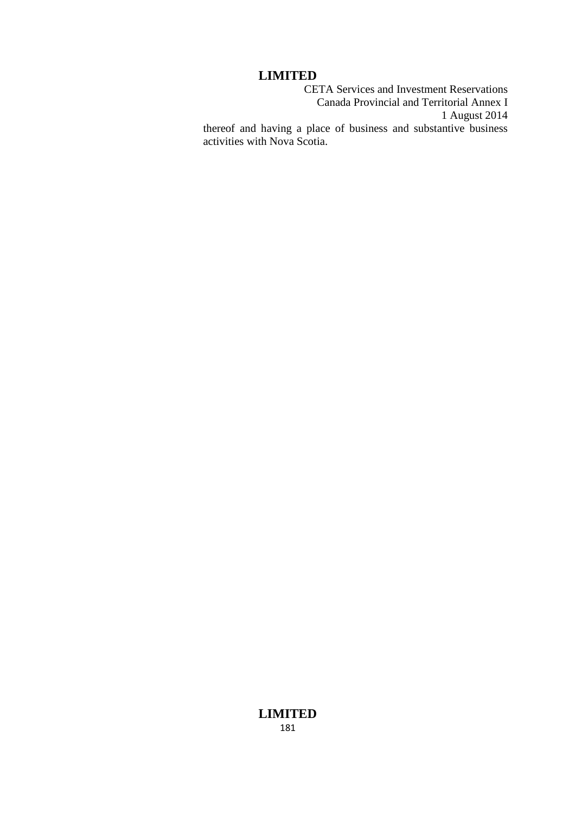CETA Services and Investment Reservations Canada Provincial and Territorial Annex I 1 August 2014 thereof and having a place of business and substantive business activities with Nova Scotia.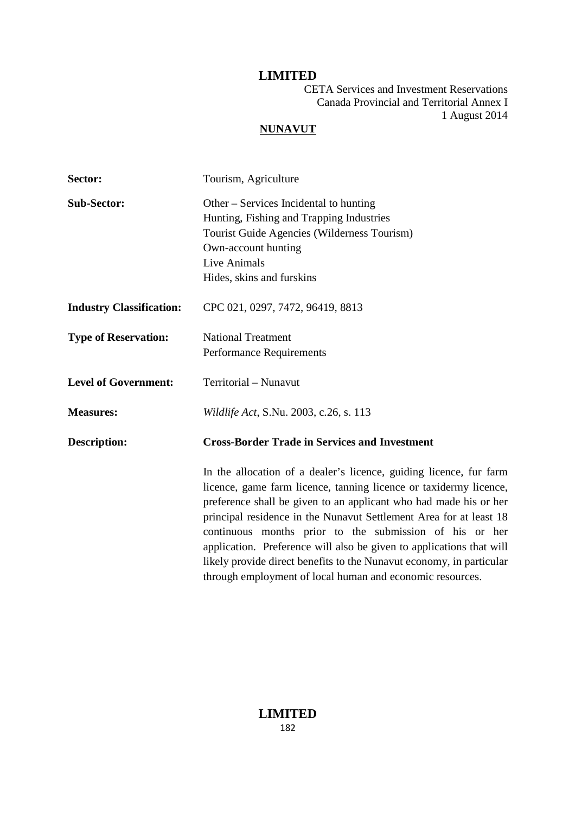CETA Services and Investment Reservations Canada Provincial and Territorial Annex I 1 August 2014

#### **NUNAVUT**

| Sector:                         | Tourism, Agriculture                                                                                                                                                                                                                                                                                                                                                                                                                                                                                                                                       |
|---------------------------------|------------------------------------------------------------------------------------------------------------------------------------------------------------------------------------------------------------------------------------------------------------------------------------------------------------------------------------------------------------------------------------------------------------------------------------------------------------------------------------------------------------------------------------------------------------|
| <b>Sub-Sector:</b>              | Other – Services Incidental to hunting<br>Hunting, Fishing and Trapping Industries<br>Tourist Guide Agencies (Wilderness Tourism)<br>Own-account hunting<br>Live Animals<br>Hides, skins and furskins                                                                                                                                                                                                                                                                                                                                                      |
| <b>Industry Classification:</b> | CPC 021, 0297, 7472, 96419, 8813                                                                                                                                                                                                                                                                                                                                                                                                                                                                                                                           |
| <b>Type of Reservation:</b>     | <b>National Treatment</b><br><b>Performance Requirements</b>                                                                                                                                                                                                                                                                                                                                                                                                                                                                                               |
| <b>Level of Government:</b>     | Territorial - Nunavut                                                                                                                                                                                                                                                                                                                                                                                                                                                                                                                                      |
| <b>Measures:</b>                | Wildlife Act, S.Nu. 2003, c.26, s. 113                                                                                                                                                                                                                                                                                                                                                                                                                                                                                                                     |
| Description:                    | <b>Cross-Border Trade in Services and Investment</b>                                                                                                                                                                                                                                                                                                                                                                                                                                                                                                       |
|                                 | In the allocation of a dealer's licence, guiding licence, fur farm<br>licence, game farm licence, tanning licence or taxidermy licence,<br>preference shall be given to an applicant who had made his or her<br>principal residence in the Nunavut Settlement Area for at least 18<br>continuous months prior to the submission of his or her<br>application. Preference will also be given to applications that will<br>likely provide direct benefits to the Nunavut economy, in particular<br>through employment of local human and economic resources. |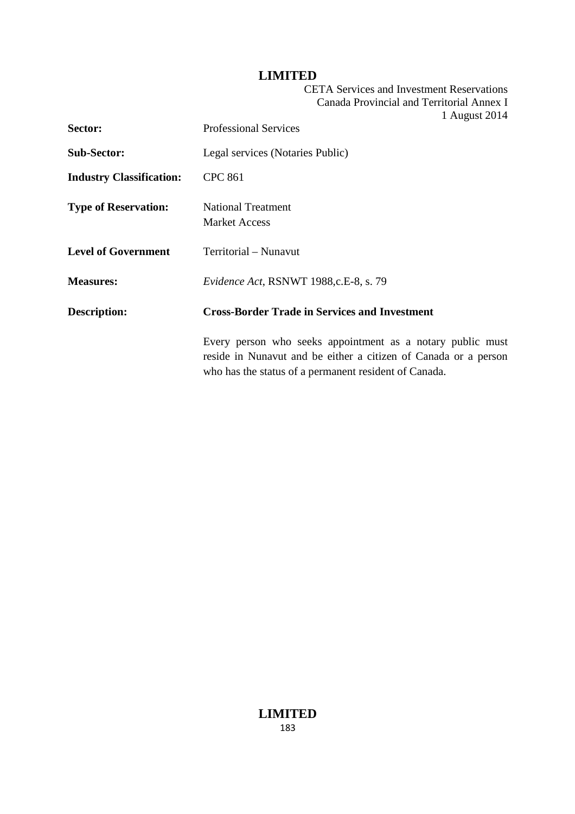CETA Services and Investment Reservations Canada Provincial and Territorial Annex I 1 August 2014

| Sector:                         | <b>Professional Services</b>                                                                                                                                                           |  |
|---------------------------------|----------------------------------------------------------------------------------------------------------------------------------------------------------------------------------------|--|
| <b>Sub-Sector:</b>              | Legal services (Notaries Public)                                                                                                                                                       |  |
| <b>Industry Classification:</b> | <b>CPC 861</b>                                                                                                                                                                         |  |
| <b>Type of Reservation:</b>     | <b>National Treatment</b><br><b>Market Access</b>                                                                                                                                      |  |
| <b>Level of Government</b>      | Territorial - Nunavut                                                                                                                                                                  |  |
| <b>Measures:</b>                | Evidence Act, RSNWT 1988, c.E-8, s. 79                                                                                                                                                 |  |
| Description:                    | <b>Cross-Border Trade in Services and Investment</b>                                                                                                                                   |  |
|                                 | Every person who seeks appointment as a notary public must<br>reside in Nunavut and be either a citizen of Canada or a person<br>who has the status of a permanent resident of Canada. |  |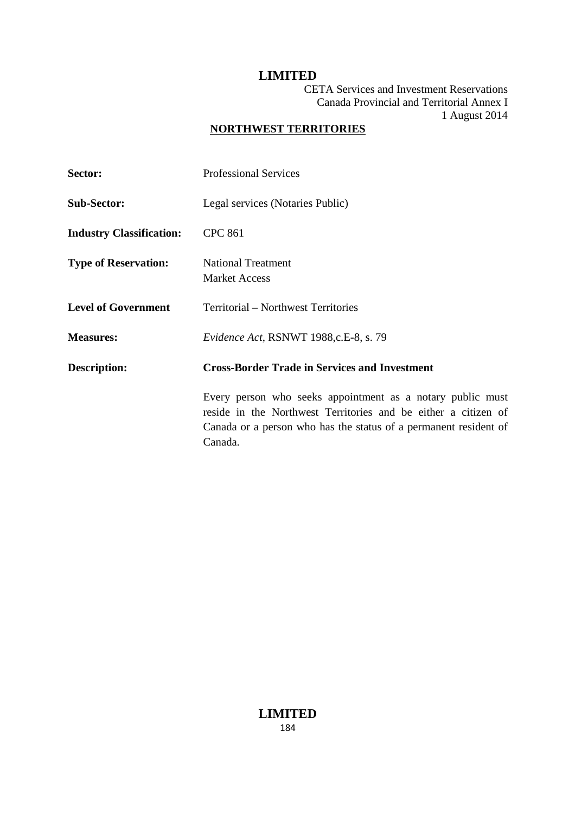CETA Services and Investment Reservations Canada Provincial and Territorial Annex I 1 August 2014

#### **NORTHWEST TERRITORIES**

| Sector:                         | <b>Professional Services</b>                                                                                                                                                                                |
|---------------------------------|-------------------------------------------------------------------------------------------------------------------------------------------------------------------------------------------------------------|
| <b>Sub-Sector:</b>              | Legal services (Notaries Public)                                                                                                                                                                            |
| <b>Industry Classification:</b> | <b>CPC 861</b>                                                                                                                                                                                              |
| <b>Type of Reservation:</b>     | <b>National Treatment</b><br><b>Market Access</b>                                                                                                                                                           |
| <b>Level of Government</b>      | Territorial – Northwest Territories                                                                                                                                                                         |
| <b>Measures:</b>                | Evidence Act, RSNWT 1988, c.E-8, s. 79                                                                                                                                                                      |
| Description:                    | <b>Cross-Border Trade in Services and Investment</b>                                                                                                                                                        |
|                                 | Every person who seeks appointment as a notary public must<br>reside in the Northwest Territories and be either a citizen of<br>Canada or a person who has the status of a permanent resident of<br>Canada. |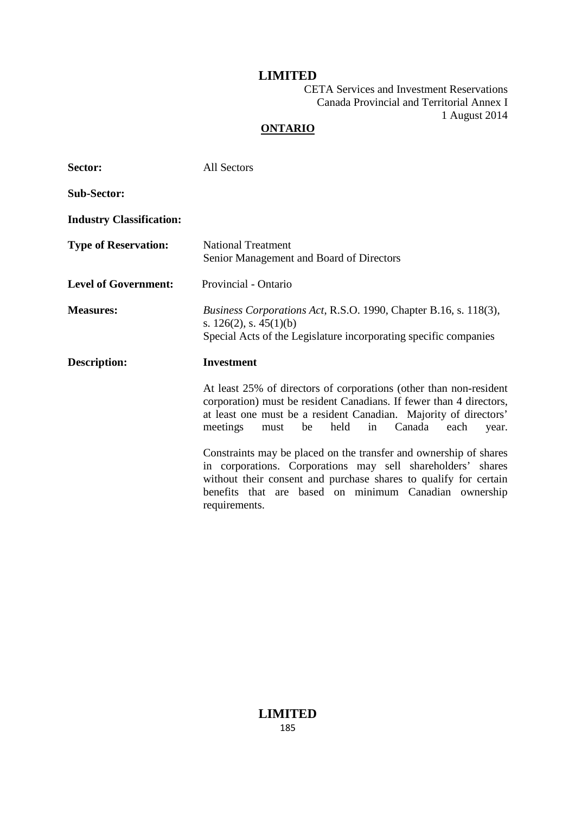CETA Services and Investment Reservations Canada Provincial and Territorial Annex I 1 August 2014

#### **ONTARIO**

| Sector:                         | All Sectors                                                                                                                                                                                                                                                                                                                                                                                                                                                                                                                                                        |
|---------------------------------|--------------------------------------------------------------------------------------------------------------------------------------------------------------------------------------------------------------------------------------------------------------------------------------------------------------------------------------------------------------------------------------------------------------------------------------------------------------------------------------------------------------------------------------------------------------------|
| <b>Sub-Sector:</b>              |                                                                                                                                                                                                                                                                                                                                                                                                                                                                                                                                                                    |
| <b>Industry Classification:</b> |                                                                                                                                                                                                                                                                                                                                                                                                                                                                                                                                                                    |
| <b>Type of Reservation:</b>     | <b>National Treatment</b><br>Senior Management and Board of Directors                                                                                                                                                                                                                                                                                                                                                                                                                                                                                              |
| <b>Level of Government:</b>     | Provincial - Ontario                                                                                                                                                                                                                                                                                                                                                                                                                                                                                                                                               |
| <b>Measures:</b>                | Business Corporations Act, R.S.O. 1990, Chapter B.16, s. 118(3),<br>s. $126(2)$ , s. $45(1)(b)$<br>Special Acts of the Legislature incorporating specific companies                                                                                                                                                                                                                                                                                                                                                                                                |
| Description:                    | <b>Investment</b>                                                                                                                                                                                                                                                                                                                                                                                                                                                                                                                                                  |
|                                 | At least 25% of directors of corporations (other than non-resident<br>corporation) must be resident Canadians. If fewer than 4 directors,<br>at least one must be a resident Canadian. Majority of directors'<br>held<br>meetings<br>in<br>Canada<br>each<br>be<br>must<br>year.<br>Constraints may be placed on the transfer and ownership of shares<br>in corporations. Corporations may sell shareholders' shares<br>without their consent and purchase shares to qualify for certain<br>benefits that are based on minimum Canadian ownership<br>requirements. |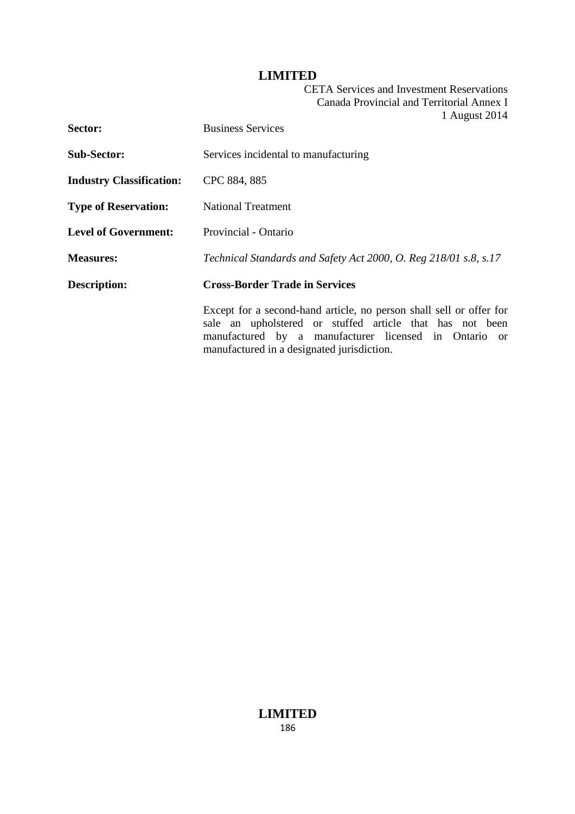CETA Services and Investment Reservations Canada Provincial and Territorial Annex I 1 August 2014

| Sector:                         | <b>Business Services</b>                                                                                                                                                                                                               |
|---------------------------------|----------------------------------------------------------------------------------------------------------------------------------------------------------------------------------------------------------------------------------------|
| <b>Sub-Sector:</b>              | Services incidental to manufacturing                                                                                                                                                                                                   |
| <b>Industry Classification:</b> | CPC 884, 885                                                                                                                                                                                                                           |
| <b>Type of Reservation:</b>     | <b>National Treatment</b>                                                                                                                                                                                                              |
| <b>Level of Government:</b>     | Provincial - Ontario                                                                                                                                                                                                                   |
| <b>Measures:</b>                | Technical Standards and Safety Act 2000, O. Reg 218/01 s.8, s.17                                                                                                                                                                       |
| Description:                    | <b>Cross-Border Trade in Services</b>                                                                                                                                                                                                  |
|                                 | Except for a second-hand article, no person shall sell or offer for<br>sale an upholstered or stuffed article that has not been<br>manufactured by a manufacturer licensed in Ontario or<br>manufactured in a designated jurisdiction. |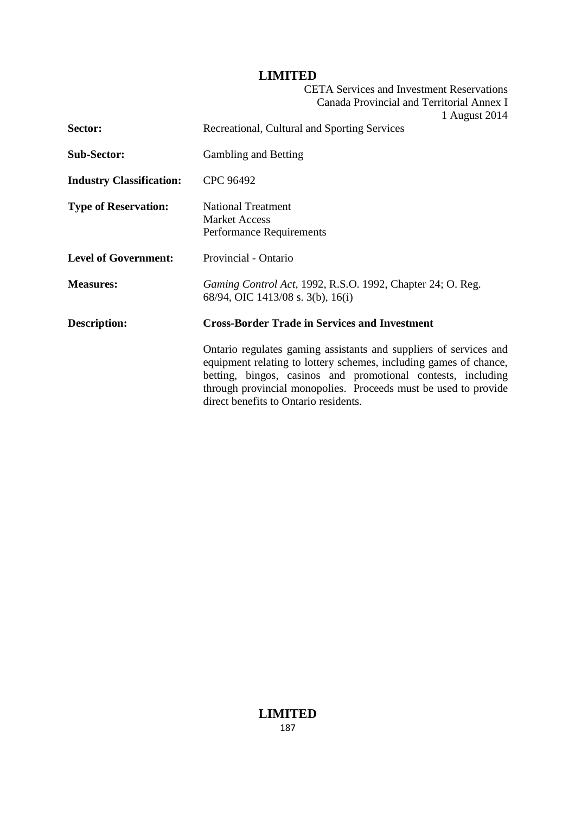CETA Services and Investment Reservations Canada Provincial and Territorial Annex I 1 August 2014

| Sector:                         | $1.144$ , $1.001$<br>Recreational, Cultural and Sporting Services                                                                                                                                                                                                                                                  |
|---------------------------------|--------------------------------------------------------------------------------------------------------------------------------------------------------------------------------------------------------------------------------------------------------------------------------------------------------------------|
| <b>Sub-Sector:</b>              | <b>Gambling and Betting</b>                                                                                                                                                                                                                                                                                        |
| <b>Industry Classification:</b> | CPC 96492                                                                                                                                                                                                                                                                                                          |
| <b>Type of Reservation:</b>     | <b>National Treatment</b><br><b>Market Access</b><br>Performance Requirements                                                                                                                                                                                                                                      |
| <b>Level of Government:</b>     | Provincial - Ontario                                                                                                                                                                                                                                                                                               |
| <b>Measures:</b>                | Gaming Control Act, 1992, R.S.O. 1992, Chapter 24; O. Reg.<br>68/94, OIC 1413/08 s. 3(b), 16(i)                                                                                                                                                                                                                    |
| Description:                    | <b>Cross-Border Trade in Services and Investment</b>                                                                                                                                                                                                                                                               |
|                                 | Ontario regulates gaming assistants and suppliers of services and<br>equipment relating to lottery schemes, including games of chance,<br>betting, bingos, casinos and promotional contests, including<br>through provincial monopolies. Proceeds must be used to provide<br>direct benefits to Ontario residents. |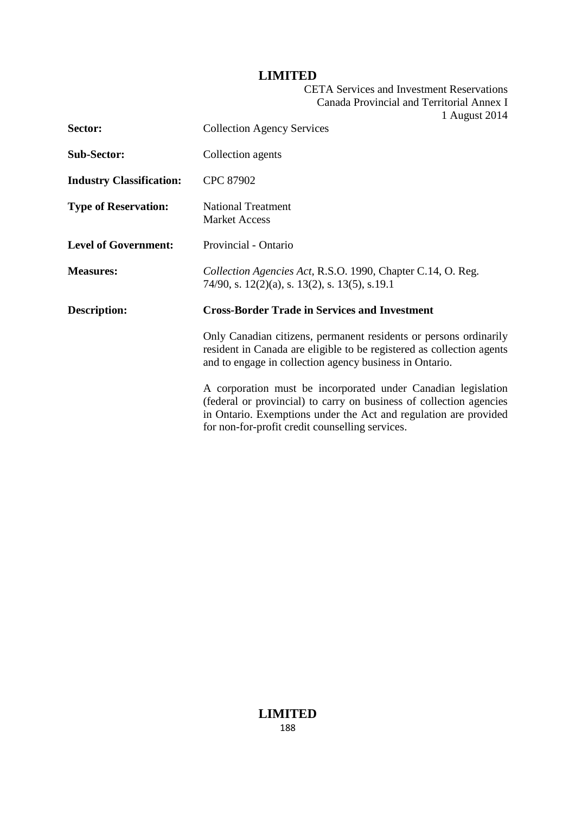CETA Services and Investment Reservations Canada Provincial and Territorial Annex I 1 August 2014

| Sector:                         | <b>Collection Agency Services</b>                                                                                                                                                                                                                           |
|---------------------------------|-------------------------------------------------------------------------------------------------------------------------------------------------------------------------------------------------------------------------------------------------------------|
| <b>Sub-Sector:</b>              | Collection agents                                                                                                                                                                                                                                           |
| <b>Industry Classification:</b> | CPC 87902                                                                                                                                                                                                                                                   |
| <b>Type of Reservation:</b>     | <b>National Treatment</b><br><b>Market Access</b>                                                                                                                                                                                                           |
| <b>Level of Government:</b>     | Provincial - Ontario                                                                                                                                                                                                                                        |
| <b>Measures:</b>                | Collection Agencies Act, R.S.O. 1990, Chapter C.14, O. Reg.<br>74/90, s. $12(2)(a)$ , s. $13(2)$ , s. $13(5)$ , s. 19.1                                                                                                                                     |
| Description:                    | <b>Cross-Border Trade in Services and Investment</b>                                                                                                                                                                                                        |
|                                 | Only Canadian citizens, permanent residents or persons ordinarily<br>resident in Canada are eligible to be registered as collection agents<br>and to engage in collection agency business in Ontario.                                                       |
|                                 | A corporation must be incorporated under Canadian legislation<br>(federal or provincial) to carry on business of collection agencies<br>in Ontario. Exemptions under the Act and regulation are provided<br>for non-for-profit credit counselling services. |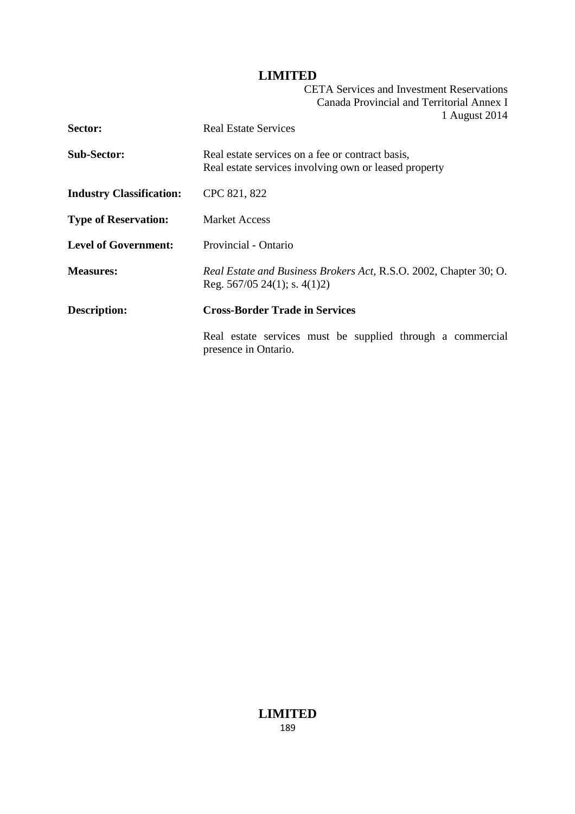CETA Services and Investment Reservations Canada Provincial and Territorial Annex I 1 August 2014

| Sector:                         | <b>Real Estate Services</b>                                                                               |
|---------------------------------|-----------------------------------------------------------------------------------------------------------|
| <b>Sub-Sector:</b>              | Real estate services on a fee or contract basis,<br>Real estate services involving own or leased property |
| <b>Industry Classification:</b> | CPC 821, 822                                                                                              |
| <b>Type of Reservation:</b>     | <b>Market Access</b>                                                                                      |
| <b>Level of Government:</b>     | Provincial - Ontario                                                                                      |
| <b>Measures:</b>                | Real Estate and Business Brokers Act, R.S.O. 2002, Chapter 30; O.<br>Reg. $567/0524(1)$ ; s. $4(1)2$      |
| Description:                    | <b>Cross-Border Trade in Services</b>                                                                     |
|                                 | Real estate services must be supplied through a commercial<br>presence in Ontario.                        |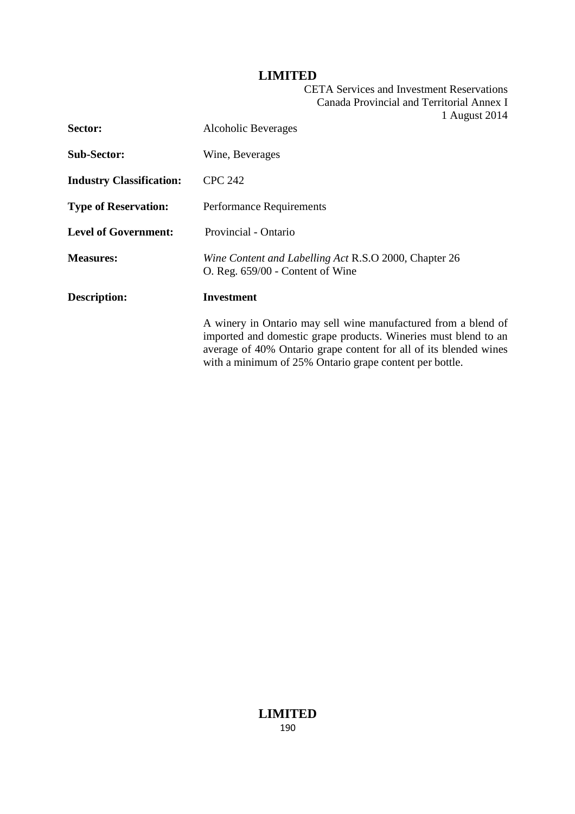CETA Services and Investment Reservations Canada Provincial and Territorial Annex I 1 August 2014

| Sector:                         | Alcoholic Beverages                                                                                                                                                                                                                                               |
|---------------------------------|-------------------------------------------------------------------------------------------------------------------------------------------------------------------------------------------------------------------------------------------------------------------|
| <b>Sub-Sector:</b>              | Wine, Beverages                                                                                                                                                                                                                                                   |
| <b>Industry Classification:</b> | <b>CPC 242</b>                                                                                                                                                                                                                                                    |
| <b>Type of Reservation:</b>     | Performance Requirements                                                                                                                                                                                                                                          |
| <b>Level of Government:</b>     | Provincial - Ontario                                                                                                                                                                                                                                              |
| <b>Measures:</b>                | Wine Content and Labelling Act R.S.O 2000, Chapter 26<br>O. Reg. $659/00$ - Content of Wine                                                                                                                                                                       |
| Description:                    | <b>Investment</b>                                                                                                                                                                                                                                                 |
|                                 | A winery in Ontario may sell wine manufactured from a blend of<br>imported and domestic grape products. Wineries must blend to an<br>average of 40% Ontario grape content for all of its blended wines<br>with a minimum of 25% Ontario grape content per bottle. |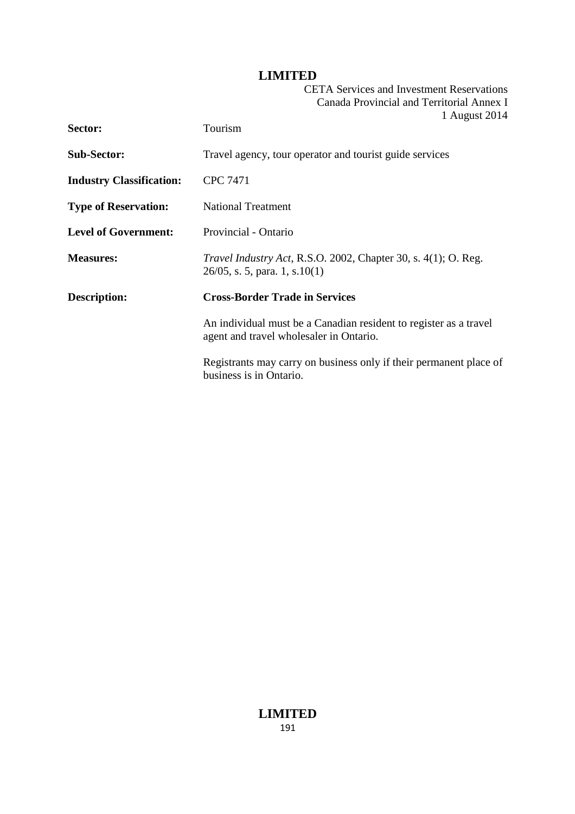CETA Services and Investment Reservations Canada Provincial and Territorial Annex I 1 August 2014

| Sector:                         | Tourism                                                                                                      |
|---------------------------------|--------------------------------------------------------------------------------------------------------------|
| <b>Sub-Sector:</b>              | Travel agency, tour operator and tourist guide services                                                      |
| <b>Industry Classification:</b> | CPC 7471                                                                                                     |
| <b>Type of Reservation:</b>     | <b>National Treatment</b>                                                                                    |
| <b>Level of Government:</b>     | Provincial - Ontario                                                                                         |
| <b>Measures:</b>                | <i>Travel Industry Act</i> , R.S.O. 2002, Chapter 30, s. 4(1); O. Reg.<br>$26/05$ , s. 5, para. 1, s.10(1)   |
| <b>Description:</b>             | <b>Cross-Border Trade in Services</b>                                                                        |
|                                 | An individual must be a Canadian resident to register as a travel<br>agent and travel wholesaler in Ontario. |
|                                 | Registrants may carry on business only if their permanent place of<br>business is in Ontario.                |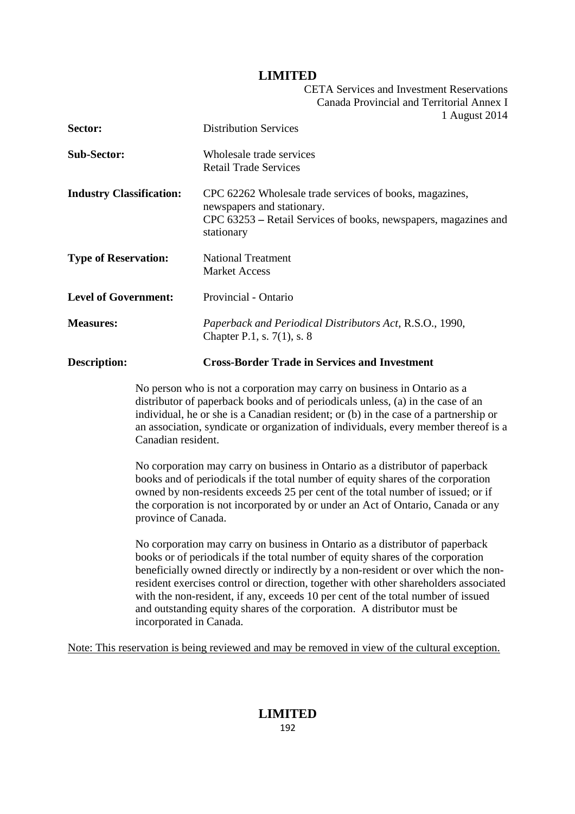CETA Services and Investment Reservations Canada Provincial and Territorial Annex I 1 August 2014

| Description:                    | <b>Cross-Border Trade in Services and Investment</b>                                                                                                                   |
|---------------------------------|------------------------------------------------------------------------------------------------------------------------------------------------------------------------|
| <b>Measures:</b>                | Paperback and Periodical Distributors Act, R.S.O., 1990,<br>Chapter P.1, s. 7(1), s. 8                                                                                 |
| <b>Level of Government:</b>     | Provincial - Ontario                                                                                                                                                   |
| <b>Type of Reservation:</b>     | <b>National Treatment</b><br><b>Market Access</b>                                                                                                                      |
| <b>Industry Classification:</b> | CPC 62262 Wholesale trade services of books, magazines,<br>newspapers and stationary.<br>CPC 63253 – Retail Services of books, newspapers, magazines and<br>stationary |
| <b>Sub-Sector:</b>              | Wholesale trade services<br><b>Retail Trade Services</b>                                                                                                               |
| Sector:                         | <b>Distribution Services</b>                                                                                                                                           |

No person who is not a corporation may carry on business in Ontario as a distributor of paperback books and of periodicals unless, (a) in the case of an individual, he or she is a Canadian resident; or (b) in the case of a partnership or an association, syndicate or organization of individuals, every member thereof is a Canadian resident.

No corporation may carry on business in Ontario as a distributor of paperback books and of periodicals if the total number of equity shares of the corporation owned by non-residents exceeds 25 per cent of the total number of issued; or if the corporation is not incorporated by or under an Act of Ontario, Canada or any province of Canada.

No corporation may carry on business in Ontario as a distributor of paperback books or of periodicals if the total number of equity shares of the corporation beneficially owned directly or indirectly by a non-resident or over which the nonresident exercises control or direction, together with other shareholders associated with the non-resident, if any, exceeds 10 per cent of the total number of issued and outstanding equity shares of the corporation. A distributor must be incorporated in Canada.

Note: This reservation is being reviewed and may be removed in view of the cultural exception.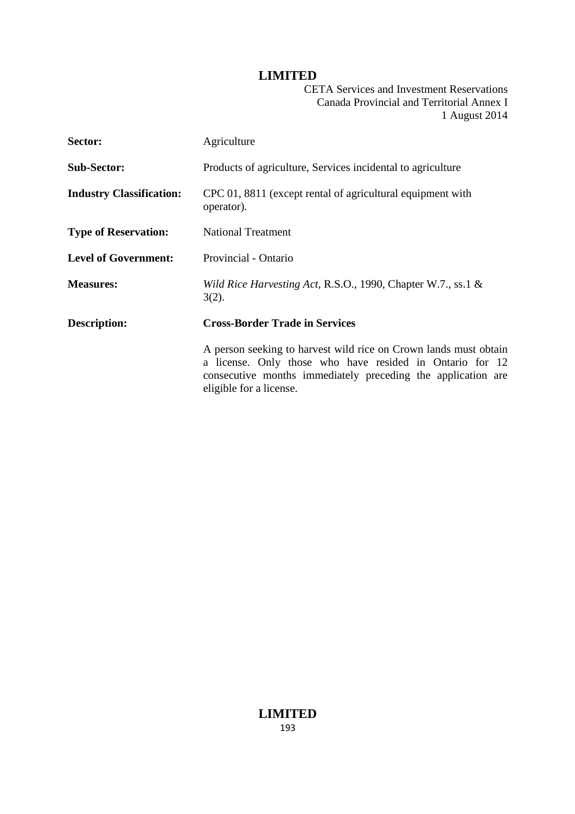CETA Services and Investment Reservations Canada Provincial and Territorial Annex I 1 August 2014

| Sector:                         | Agriculture                                                                                                                                                                                                             |
|---------------------------------|-------------------------------------------------------------------------------------------------------------------------------------------------------------------------------------------------------------------------|
| <b>Sub-Sector:</b>              | Products of agriculture, Services incidental to agriculture                                                                                                                                                             |
| <b>Industry Classification:</b> | CPC 01, 8811 (except rental of agricultural equipment with<br>operator).                                                                                                                                                |
| <b>Type of Reservation:</b>     | <b>National Treatment</b>                                                                                                                                                                                               |
| <b>Level of Government:</b>     | Provincial - Ontario                                                                                                                                                                                                    |
| <b>Measures:</b>                | Wild Rice Harvesting Act, R.S.O., 1990, Chapter W.7., ss.1 &<br>$3(2)$ .                                                                                                                                                |
| Description:                    | <b>Cross-Border Trade in Services</b>                                                                                                                                                                                   |
|                                 | A person seeking to harvest wild rice on Crown lands must obtain<br>a license. Only those who have resided in Ontario for 12<br>consecutive months immediately preceding the application are<br>eligible for a license. |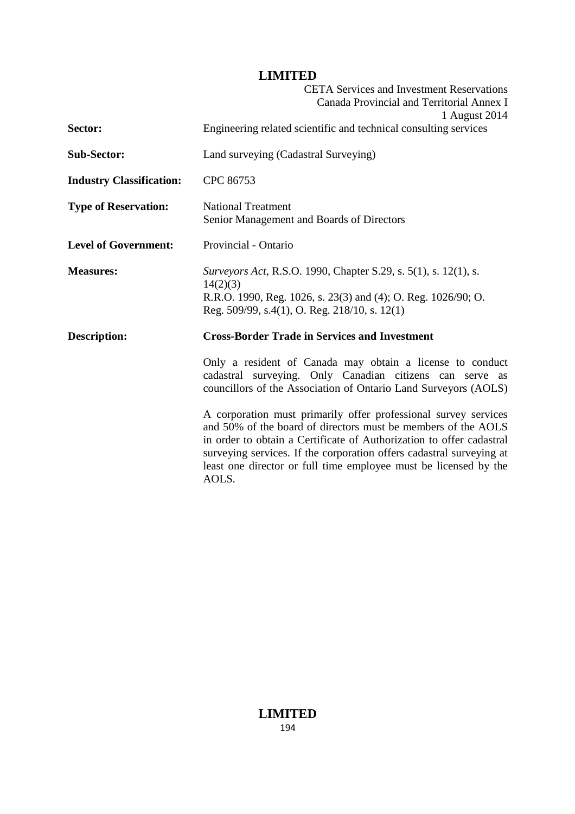|                                 | <b>CETA</b> Services and Investment Reservations<br>Canada Provincial and Territorial Annex I                                                                                                                                                                                                                                                                 |
|---------------------------------|---------------------------------------------------------------------------------------------------------------------------------------------------------------------------------------------------------------------------------------------------------------------------------------------------------------------------------------------------------------|
|                                 | 1 August 2014                                                                                                                                                                                                                                                                                                                                                 |
| Sector:                         | Engineering related scientific and technical consulting services                                                                                                                                                                                                                                                                                              |
| <b>Sub-Sector:</b>              | Land surveying (Cadastral Surveying)                                                                                                                                                                                                                                                                                                                          |
| <b>Industry Classification:</b> | CPC 86753                                                                                                                                                                                                                                                                                                                                                     |
| <b>Type of Reservation:</b>     | <b>National Treatment</b><br>Senior Management and Boards of Directors                                                                                                                                                                                                                                                                                        |
| <b>Level of Government:</b>     | Provincial - Ontario                                                                                                                                                                                                                                                                                                                                          |
| <b>Measures:</b>                | <i>Surveyors Act</i> , R.S.O. 1990, Chapter S.29, s. 5(1), s. 12(1), s.<br>14(2)(3)<br>R.R.O. 1990, Reg. 1026, s. 23(3) and (4); O. Reg. 1026/90; O.<br>Reg. 509/99, s.4(1), O. Reg. 218/10, s. 12(1)                                                                                                                                                         |
| <b>Description:</b>             | <b>Cross-Border Trade in Services and Investment</b>                                                                                                                                                                                                                                                                                                          |
|                                 | Only a resident of Canada may obtain a license to conduct<br>cadastral surveying. Only Canadian citizens can serve as<br>councillors of the Association of Ontario Land Surveyors (AOLS)                                                                                                                                                                      |
|                                 | A corporation must primarily offer professional survey services<br>and 50% of the board of directors must be members of the AOLS<br>in order to obtain a Certificate of Authorization to offer cadastral<br>surveying services. If the corporation offers cadastral surveying at<br>least one director or full time employee must be licensed by the<br>AOLS. |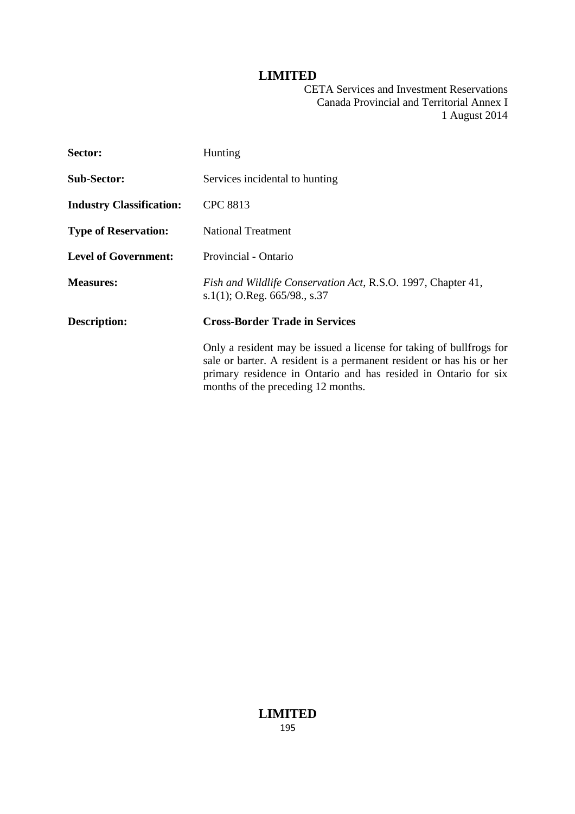CETA Services and Investment Reservations Canada Provincial and Territorial Annex I 1 August 2014

| Sector:                         | Hunting                                                                                                                                                                                                                                              |
|---------------------------------|------------------------------------------------------------------------------------------------------------------------------------------------------------------------------------------------------------------------------------------------------|
| <b>Sub-Sector:</b>              | Services incidental to hunting                                                                                                                                                                                                                       |
| <b>Industry Classification:</b> | <b>CPC 8813</b>                                                                                                                                                                                                                                      |
| <b>Type of Reservation:</b>     | <b>National Treatment</b>                                                                                                                                                                                                                            |
| <b>Level of Government:</b>     | Provincial - Ontario                                                                                                                                                                                                                                 |
| <b>Measures:</b>                | Fish and Wildlife Conservation Act, R.S.O. 1997, Chapter 41,<br>s.1(1); O.Reg. $665/98$ ., s.37                                                                                                                                                      |
| Description:                    | <b>Cross-Border Trade in Services</b>                                                                                                                                                                                                                |
|                                 | Only a resident may be issued a license for taking of bullfrogs for<br>sale or barter. A resident is a permanent resident or has his or her<br>primary residence in Ontario and has resided in Ontario for six<br>months of the preceding 12 months. |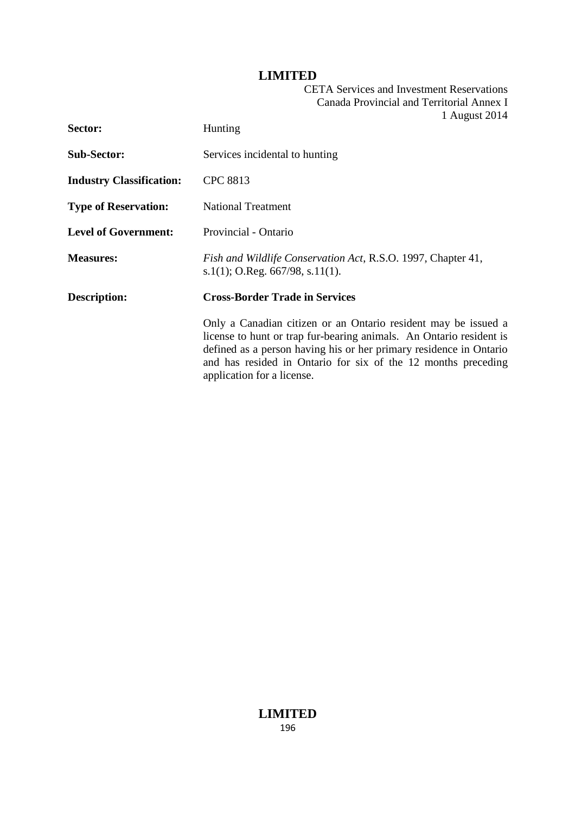CETA Services and Investment Reservations Canada Provincial and Territorial Annex I 1 August 2014

| Sector:                         | Hunting                                                                                                                                                                                                                                                                                                    |
|---------------------------------|------------------------------------------------------------------------------------------------------------------------------------------------------------------------------------------------------------------------------------------------------------------------------------------------------------|
| <b>Sub-Sector:</b>              | Services incidental to hunting                                                                                                                                                                                                                                                                             |
| <b>Industry Classification:</b> | <b>CPC 8813</b>                                                                                                                                                                                                                                                                                            |
| <b>Type of Reservation:</b>     | <b>National Treatment</b>                                                                                                                                                                                                                                                                                  |
| <b>Level of Government:</b>     | Provincial - Ontario                                                                                                                                                                                                                                                                                       |
| <b>Measures:</b>                | Fish and Wildlife Conservation Act, R.S.O. 1997, Chapter 41,<br>s.1(1); O.Reg. $667/98$ , s.11(1).                                                                                                                                                                                                         |
| Description:                    | <b>Cross-Border Trade in Services</b>                                                                                                                                                                                                                                                                      |
|                                 | Only a Canadian citizen or an Ontario resident may be issued a<br>license to hunt or trap fur-bearing animals. An Ontario resident is<br>defined as a person having his or her primary residence in Ontario<br>and has resided in Ontario for six of the 12 months preceding<br>application for a license. |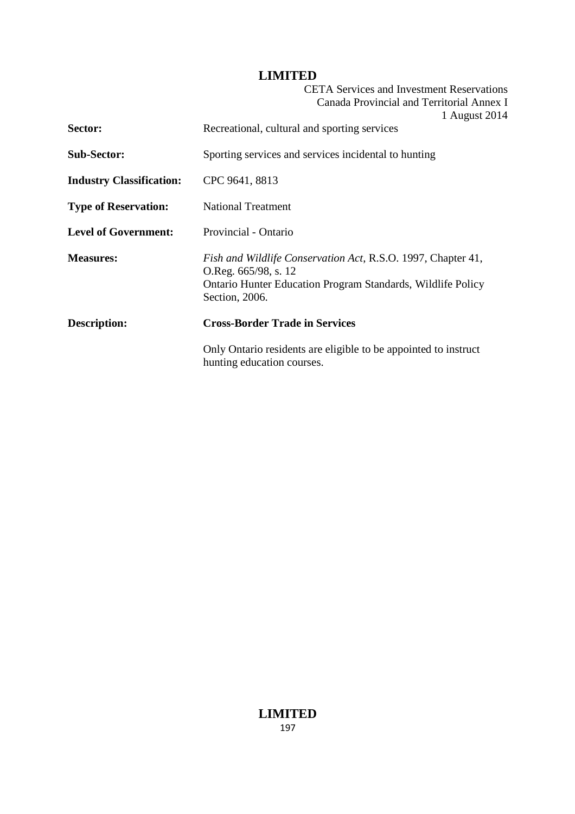|                                 | <b>CETA</b> Services and Investment Reservations<br>Canada Provincial and Territorial Annex I<br>1 August 2014                                                               |
|---------------------------------|------------------------------------------------------------------------------------------------------------------------------------------------------------------------------|
| Sector:                         | Recreational, cultural and sporting services                                                                                                                                 |
| <b>Sub-Sector:</b>              | Sporting services and services incidental to hunting                                                                                                                         |
| <b>Industry Classification:</b> | CPC 9641, 8813                                                                                                                                                               |
| <b>Type of Reservation:</b>     | <b>National Treatment</b>                                                                                                                                                    |
| <b>Level of Government:</b>     | Provincial - Ontario                                                                                                                                                         |
| <b>Measures:</b>                | Fish and Wildlife Conservation Act, R.S.O. 1997, Chapter 41,<br>O.Reg. 665/98, s. 12<br><b>Ontario Hunter Education Program Standards, Wildlife Policy</b><br>Section, 2006. |
| Description:                    | <b>Cross-Border Trade in Services</b>                                                                                                                                        |
|                                 | Only Ontario residents are eligible to be appointed to instruct<br>hunting education courses.                                                                                |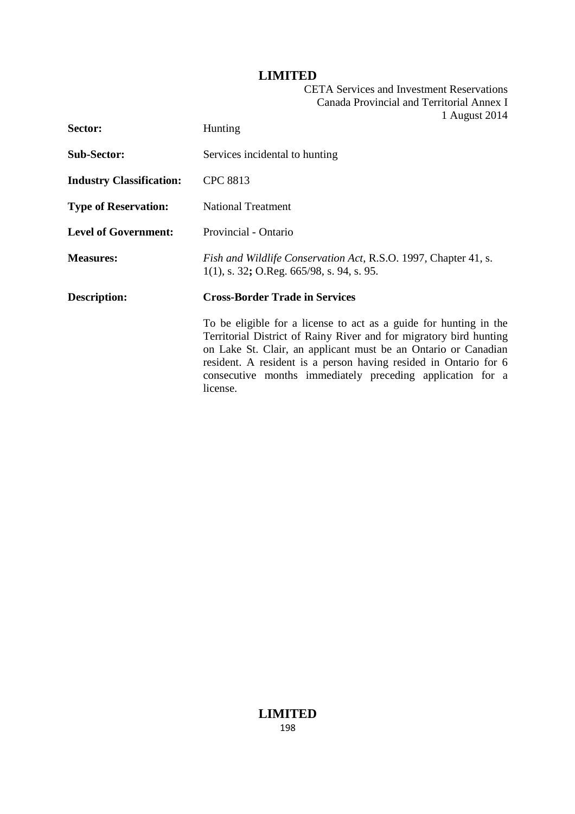CETA Services and Investment Reservations Canada Provincial and Territorial Annex I 1 August 2014

| Sector:                         | Hunting                                                                                                                                                                                                                                                                                                                                                 |
|---------------------------------|---------------------------------------------------------------------------------------------------------------------------------------------------------------------------------------------------------------------------------------------------------------------------------------------------------------------------------------------------------|
| <b>Sub-Sector:</b>              | Services incidental to hunting                                                                                                                                                                                                                                                                                                                          |
| <b>Industry Classification:</b> | <b>CPC 8813</b>                                                                                                                                                                                                                                                                                                                                         |
| <b>Type of Reservation:</b>     | <b>National Treatment</b>                                                                                                                                                                                                                                                                                                                               |
| <b>Level of Government:</b>     | Provincial - Ontario                                                                                                                                                                                                                                                                                                                                    |
| <b>Measures:</b>                | <i>Fish and Wildlife Conservation Act, R.S.O. 1997, Chapter 41, s.</i><br>$1(1)$ , s. 32; O.Reg. 665/98, s. 94, s. 95.                                                                                                                                                                                                                                  |
| Description:                    | <b>Cross-Border Trade in Services</b>                                                                                                                                                                                                                                                                                                                   |
|                                 | To be eligible for a license to act as a guide for hunting in the<br>Territorial District of Rainy River and for migratory bird hunting<br>on Lake St. Clair, an applicant must be an Ontario or Canadian<br>resident. A resident is a person having resided in Ontario for 6<br>consecutive months immediately preceding application for a<br>license. |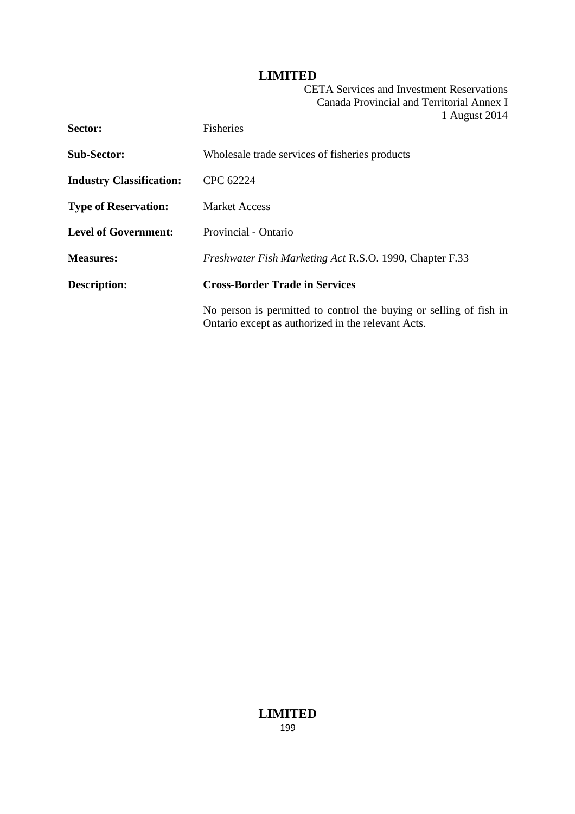CETA Services and Investment Reservations Canada Provincial and Territorial Annex I 1 August 2014

| Sector:                         | Fisheries                                                                                                                |
|---------------------------------|--------------------------------------------------------------------------------------------------------------------------|
| <b>Sub-Sector:</b>              | Wholesale trade services of fisheries products                                                                           |
| <b>Industry Classification:</b> | CPC 62224                                                                                                                |
| <b>Type of Reservation:</b>     | <b>Market Access</b>                                                                                                     |
| <b>Level of Government:</b>     | Provincial - Ontario                                                                                                     |
| <b>Measures:</b>                | Freshwater Fish Marketing Act R.S.O. 1990, Chapter F.33                                                                  |
| Description:                    | <b>Cross-Border Trade in Services</b>                                                                                    |
|                                 | No person is permitted to control the buying or selling of fish in<br>Ontario except as authorized in the relevant Acts. |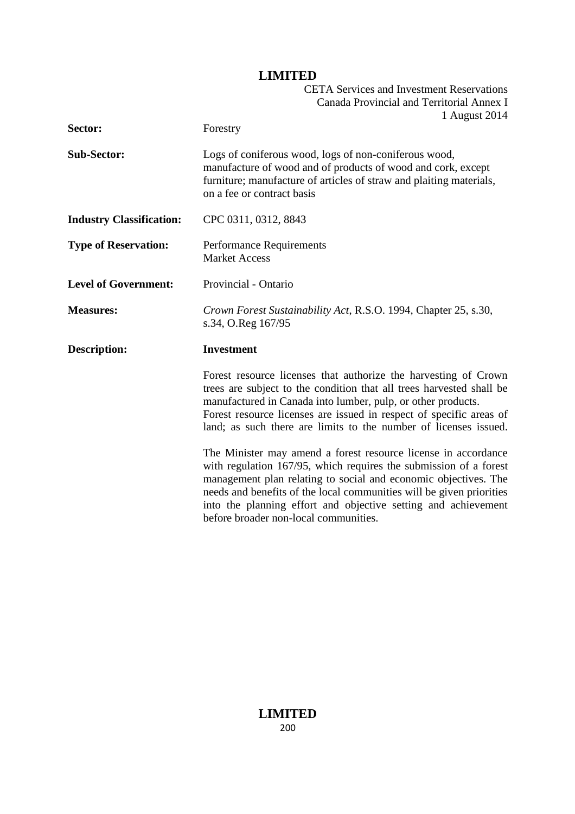CETA Services and Investment Reservations Canada Provincial and Territorial Annex I 1 August 2014

| Sector:                         | Forestry                                                                                                                                                                                                                                                                                                                                                                                  |
|---------------------------------|-------------------------------------------------------------------------------------------------------------------------------------------------------------------------------------------------------------------------------------------------------------------------------------------------------------------------------------------------------------------------------------------|
| <b>Sub-Sector:</b>              | Logs of coniferous wood, logs of non-coniferous wood,<br>manufacture of wood and of products of wood and cork, except<br>furniture; manufacture of articles of straw and plaiting materials,<br>on a fee or contract basis                                                                                                                                                                |
| <b>Industry Classification:</b> | CPC 0311, 0312, 8843                                                                                                                                                                                                                                                                                                                                                                      |
| <b>Type of Reservation:</b>     | Performance Requirements<br><b>Market Access</b>                                                                                                                                                                                                                                                                                                                                          |
| <b>Level of Government:</b>     | Provincial - Ontario                                                                                                                                                                                                                                                                                                                                                                      |
| <b>Measures:</b>                | Crown Forest Sustainability Act, R.S.O. 1994, Chapter 25, s.30,<br>s.34, O.Reg 167/95                                                                                                                                                                                                                                                                                                     |
| <b>Description:</b>             | <b>Investment</b>                                                                                                                                                                                                                                                                                                                                                                         |
|                                 | Forest resource licenses that authorize the harvesting of Crown<br>trees are subject to the condition that all trees harvested shall be<br>manufactured in Canada into lumber, pulp, or other products.<br>Forest resource licenses are issued in respect of specific areas of<br>land; as such there are limits to the number of licenses issued.                                        |
|                                 | The Minister may amend a forest resource license in accordance<br>with regulation 167/95, which requires the submission of a forest<br>management plan relating to social and economic objectives. The<br>needs and benefits of the local communities will be given priorities<br>into the planning effort and objective setting and achievement<br>before broader non-local communities. |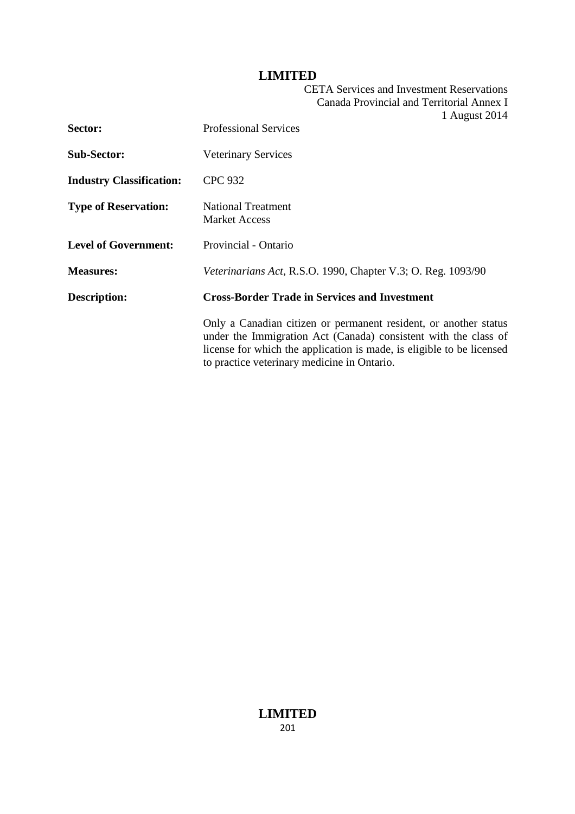CETA Services and Investment Reservations Canada Provincial and Territorial Annex I 1 August 2014

| Sector:                         | <b>Professional Services</b>                                                                                                                                                                                                                                |
|---------------------------------|-------------------------------------------------------------------------------------------------------------------------------------------------------------------------------------------------------------------------------------------------------------|
| <b>Sub-Sector:</b>              | <b>Veterinary Services</b>                                                                                                                                                                                                                                  |
| <b>Industry Classification:</b> | <b>CPC 932</b>                                                                                                                                                                                                                                              |
| <b>Type of Reservation:</b>     | <b>National Treatment</b><br><b>Market Access</b>                                                                                                                                                                                                           |
| <b>Level of Government:</b>     | Provincial - Ontario                                                                                                                                                                                                                                        |
| <b>Measures:</b>                | Veterinarians Act, R.S.O. 1990, Chapter V.3; O. Reg. 1093/90                                                                                                                                                                                                |
| <b>Description:</b>             | <b>Cross-Border Trade in Services and Investment</b>                                                                                                                                                                                                        |
|                                 | Only a Canadian citizen or permanent resident, or another status<br>under the Immigration Act (Canada) consistent with the class of<br>license for which the application is made, is eligible to be licensed<br>to practice veterinary medicine in Ontario. |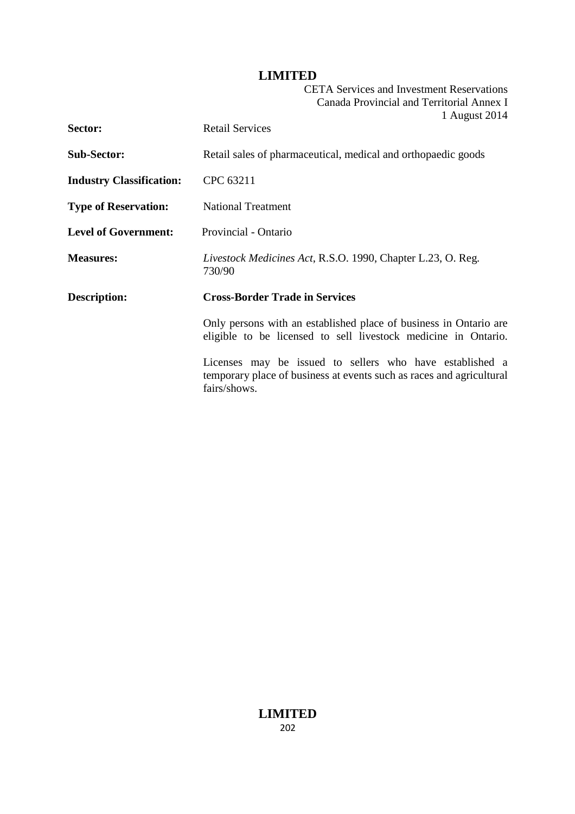CETA Services and Investment Reservations Canada Provincial and Territorial Annex I 1 August 2014

| Sector:                         | <b>Retail Services</b>                                                                                                                           |
|---------------------------------|--------------------------------------------------------------------------------------------------------------------------------------------------|
| <b>Sub-Sector:</b>              | Retail sales of pharmaceutical, medical and orthopaedic goods                                                                                    |
| <b>Industry Classification:</b> | CPC 63211                                                                                                                                        |
| <b>Type of Reservation:</b>     | <b>National Treatment</b>                                                                                                                        |
| <b>Level of Government:</b>     | Provincial - Ontario                                                                                                                             |
| <b>Measures:</b>                | Livestock Medicines Act, R.S.O. 1990, Chapter L.23, O. Reg.<br>730/90                                                                            |
| Description:                    | <b>Cross-Border Trade in Services</b>                                                                                                            |
|                                 | Only persons with an established place of business in Ontario are<br>eligible to be licensed to sell livestock medicine in Ontario.              |
|                                 | Licenses may be issued to sellers who have established a<br>temporary place of business at events such as races and agricultural<br>fairs/shows. |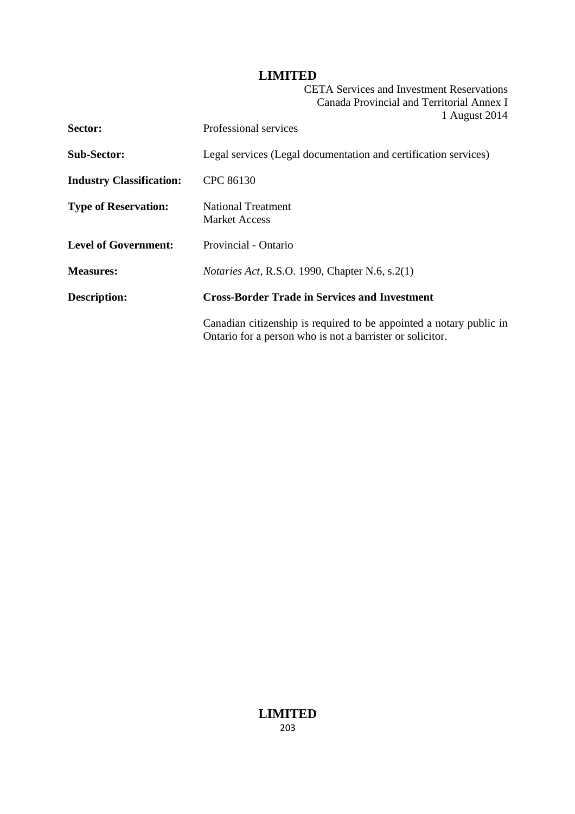CETA Services and Investment Reservations Canada Provincial and Territorial Annex I 1 August 2014

| Sector:                         | Professional services                                                                                                            |
|---------------------------------|----------------------------------------------------------------------------------------------------------------------------------|
| <b>Sub-Sector:</b>              | Legal services (Legal documentation and certification services)                                                                  |
| <b>Industry Classification:</b> | CPC 86130                                                                                                                        |
| <b>Type of Reservation:</b>     | <b>National Treatment</b><br><b>Market Access</b>                                                                                |
| <b>Level of Government:</b>     | Provincial - Ontario                                                                                                             |
| <b>Measures:</b>                | <i>Notaries Act</i> , R.S.O. 1990, Chapter N.6, s.2(1)                                                                           |
| Description:                    | <b>Cross-Border Trade in Services and Investment</b>                                                                             |
|                                 | Canadian citizenship is required to be appointed a notary public in<br>Ontario for a person who is not a barrister or solicitor. |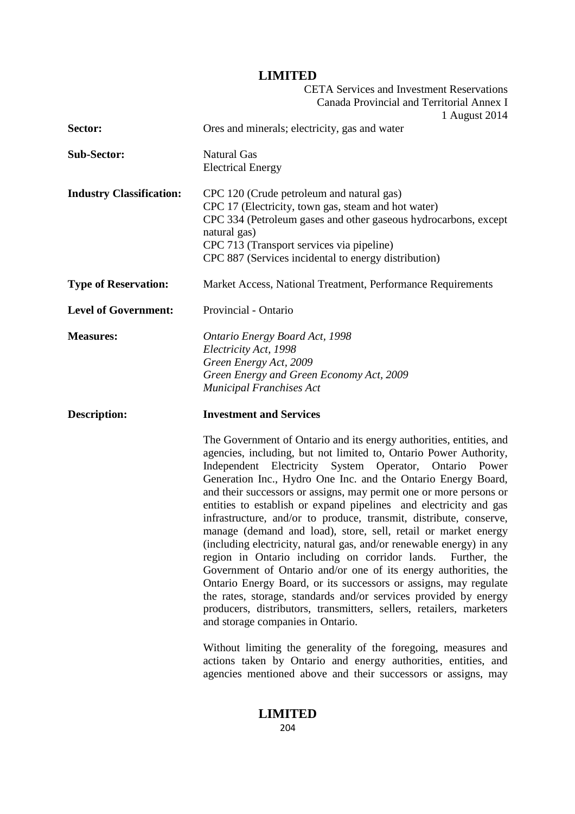|                                 | <b>CETA Services and Investment Reservations</b><br>Canada Provincial and Territorial Annex I<br>1 August 2014                                                                                                                                                                                                                                                                                                                                                                                                                                                                                                                                                                                                                                                                                                                                                                                                                                                                                                              |
|---------------------------------|-----------------------------------------------------------------------------------------------------------------------------------------------------------------------------------------------------------------------------------------------------------------------------------------------------------------------------------------------------------------------------------------------------------------------------------------------------------------------------------------------------------------------------------------------------------------------------------------------------------------------------------------------------------------------------------------------------------------------------------------------------------------------------------------------------------------------------------------------------------------------------------------------------------------------------------------------------------------------------------------------------------------------------|
| Sector:                         | Ores and minerals; electricity, gas and water                                                                                                                                                                                                                                                                                                                                                                                                                                                                                                                                                                                                                                                                                                                                                                                                                                                                                                                                                                               |
| <b>Sub-Sector:</b>              | <b>Natural Gas</b><br><b>Electrical Energy</b>                                                                                                                                                                                                                                                                                                                                                                                                                                                                                                                                                                                                                                                                                                                                                                                                                                                                                                                                                                              |
| <b>Industry Classification:</b> | CPC 120 (Crude petroleum and natural gas)<br>CPC 17 (Electricity, town gas, steam and hot water)<br>CPC 334 (Petroleum gases and other gaseous hydrocarbons, except<br>natural gas)<br>CPC 713 (Transport services via pipeline)<br>CPC 887 (Services incidental to energy distribution)                                                                                                                                                                                                                                                                                                                                                                                                                                                                                                                                                                                                                                                                                                                                    |
| <b>Type of Reservation:</b>     | Market Access, National Treatment, Performance Requirements                                                                                                                                                                                                                                                                                                                                                                                                                                                                                                                                                                                                                                                                                                                                                                                                                                                                                                                                                                 |
| <b>Level of Government:</b>     | Provincial - Ontario                                                                                                                                                                                                                                                                                                                                                                                                                                                                                                                                                                                                                                                                                                                                                                                                                                                                                                                                                                                                        |
| <b>Measures:</b>                | <b>Ontario Energy Board Act, 1998</b><br>Electricity Act, 1998<br>Green Energy Act, 2009<br>Green Energy and Green Economy Act, 2009<br><b>Municipal Franchises Act</b>                                                                                                                                                                                                                                                                                                                                                                                                                                                                                                                                                                                                                                                                                                                                                                                                                                                     |
| <b>Description:</b>             | <b>Investment and Services</b>                                                                                                                                                                                                                                                                                                                                                                                                                                                                                                                                                                                                                                                                                                                                                                                                                                                                                                                                                                                              |
|                                 | The Government of Ontario and its energy authorities, entities, and<br>agencies, including, but not limited to, Ontario Power Authority,<br>Independent Electricity System Operator, Ontario<br>Power<br>Generation Inc., Hydro One Inc. and the Ontario Energy Board,<br>and their successors or assigns, may permit one or more persons or<br>entities to establish or expand pipelines and electricity and gas<br>infrastructure, and/or to produce, transmit, distribute, conserve,<br>manage (demand and load), store, sell, retail or market energy<br>(including electricity, natural gas, and/or renewable energy) in any<br>region in Ontario including on corridor lands.<br>Further, the<br>Government of Ontario and/or one of its energy authorities, the<br>Ontario Energy Board, or its successors or assigns, may regulate<br>the rates, storage, standards and/or services provided by energy<br>producers, distributors, transmitters, sellers, retailers, marketers<br>and storage companies in Ontario. |
|                                 | Without limiting the generality of the foregoing, measures and<br>actions taken by Ontario and energy authorities, entities, and<br>agencies mentioned above and their successors or assigns, may                                                                                                                                                                                                                                                                                                                                                                                                                                                                                                                                                                                                                                                                                                                                                                                                                           |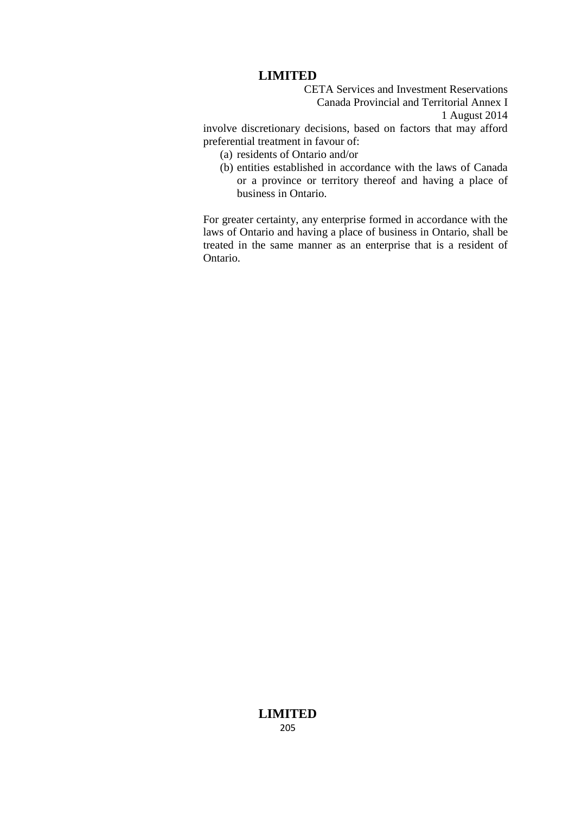CETA Services and Investment Reservations Canada Provincial and Territorial Annex I

1 August 2014

involve discretionary decisions, based on factors that may afford preferential treatment in favour of:

- (a) residents of Ontario and/or
- (b) entities established in accordance with the laws of Canada or a province or territory thereof and having a place of business in Ontario.

For greater certainty, any enterprise formed in accordance with the laws of Ontario and having a place of business in Ontario, shall be treated in the same manner as an enterprise that is a resident of Ontario.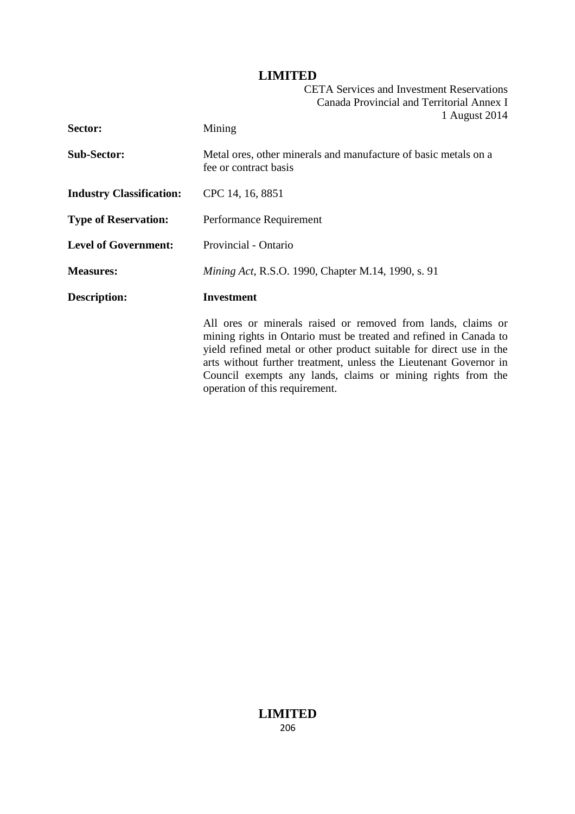CETA Services and Investment Reservations Canada Provincial and Territorial Annex I 1 August 2014

| Sector:                         | Mining                                                                                                                                                                                                                                                                                                                                                                         |
|---------------------------------|--------------------------------------------------------------------------------------------------------------------------------------------------------------------------------------------------------------------------------------------------------------------------------------------------------------------------------------------------------------------------------|
| <b>Sub-Sector:</b>              | Metal ores, other minerals and manufacture of basic metals on a<br>fee or contract basis                                                                                                                                                                                                                                                                                       |
| <b>Industry Classification:</b> | CPC 14, 16, 8851                                                                                                                                                                                                                                                                                                                                                               |
| <b>Type of Reservation:</b>     | Performance Requirement                                                                                                                                                                                                                                                                                                                                                        |
| <b>Level of Government:</b>     | Provincial - Ontario                                                                                                                                                                                                                                                                                                                                                           |
| <b>Measures:</b>                | <i>Mining Act</i> , R.S.O. 1990, Chapter M.14, 1990, s. 91                                                                                                                                                                                                                                                                                                                     |
| Description:                    | <b>Investment</b>                                                                                                                                                                                                                                                                                                                                                              |
|                                 | All ores or minerals raised or removed from lands, claims or<br>mining rights in Ontario must be treated and refined in Canada to<br>yield refined metal or other product suitable for direct use in the<br>arts without further treatment, unless the Lieutenant Governor in<br>Council exempts any lands, claims or mining rights from the<br>operation of this requirement. |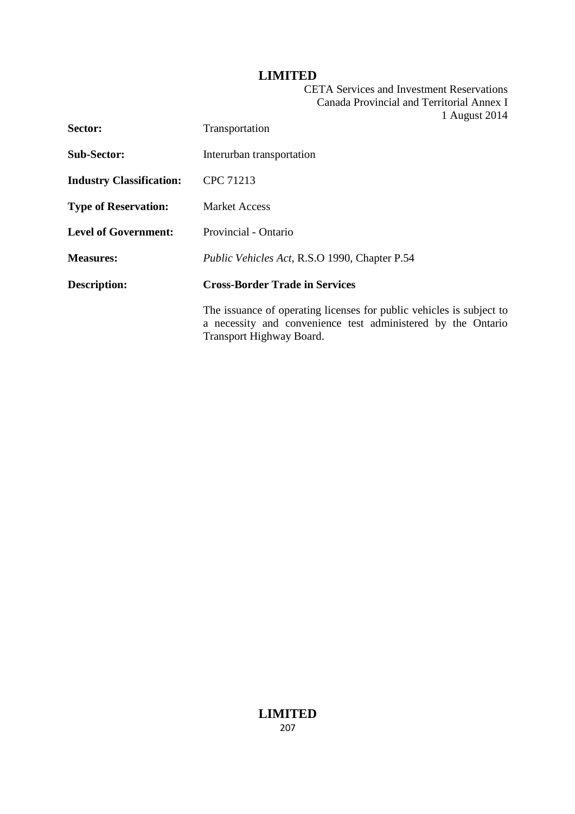CETA Services and Investment Reservations Canada Provincial and Territorial Annex I 1 August 2014

| Sector:                         | Transportation                                                                                                                                                   |
|---------------------------------|------------------------------------------------------------------------------------------------------------------------------------------------------------------|
| <b>Sub-Sector:</b>              | Interurban transportation                                                                                                                                        |
| <b>Industry Classification:</b> | CPC 71213                                                                                                                                                        |
| <b>Type of Reservation:</b>     | <b>Market Access</b>                                                                                                                                             |
| <b>Level of Government:</b>     | Provincial - Ontario                                                                                                                                             |
| <b>Measures:</b>                | <i>Public Vehicles Act, R.S.O 1990, Chapter P.54</i>                                                                                                             |
| Description:                    | <b>Cross-Border Trade in Services</b>                                                                                                                            |
|                                 | The issuance of operating licenses for public vehicles is subject to<br>a necessity and convenience test administered by the Ontario<br>Transport Highway Board. |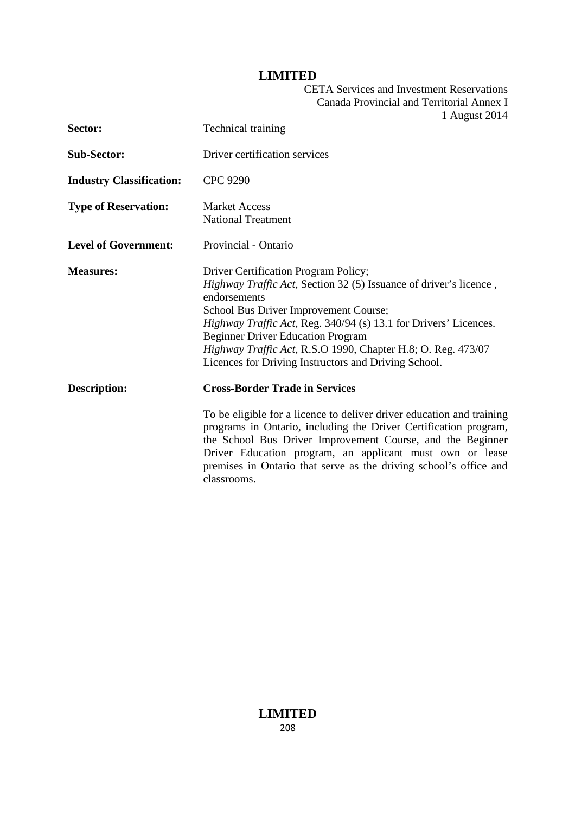CETA Services and Investment Reservations Canada Provincial and Territorial Annex I 1 August 2014

| Sector:                         | Technical training                                                                                                                                                                                                                                                                                                                                                                                         |
|---------------------------------|------------------------------------------------------------------------------------------------------------------------------------------------------------------------------------------------------------------------------------------------------------------------------------------------------------------------------------------------------------------------------------------------------------|
| <b>Sub-Sector:</b>              | Driver certification services                                                                                                                                                                                                                                                                                                                                                                              |
| <b>Industry Classification:</b> | <b>CPC 9290</b>                                                                                                                                                                                                                                                                                                                                                                                            |
| <b>Type of Reservation:</b>     | <b>Market Access</b><br><b>National Treatment</b>                                                                                                                                                                                                                                                                                                                                                          |
| <b>Level of Government:</b>     | Provincial - Ontario                                                                                                                                                                                                                                                                                                                                                                                       |
| <b>Measures:</b>                | Driver Certification Program Policy;<br>Highway Traffic Act, Section 32 (5) Issuance of driver's licence,<br>endorsements<br>School Bus Driver Improvement Course;<br>Highway Traffic Act, Reg. 340/94 (s) 13.1 for Drivers' Licences.<br><b>Beginner Driver Education Program</b><br>Highway Traffic Act, R.S.O 1990, Chapter H.8; O. Reg. 473/07<br>Licences for Driving Instructors and Driving School. |
| Description:                    | <b>Cross-Border Trade in Services</b><br>To be eligible for a licence to deliver driver education and training<br>programs in Ontario, including the Driver Certification program,<br>the School Bus Driver Improvement Course, and the Beginner<br>Driver Education program, an applicant must own or lease<br>premises in Ontario that serve as the driving school's office and<br>classrooms.           |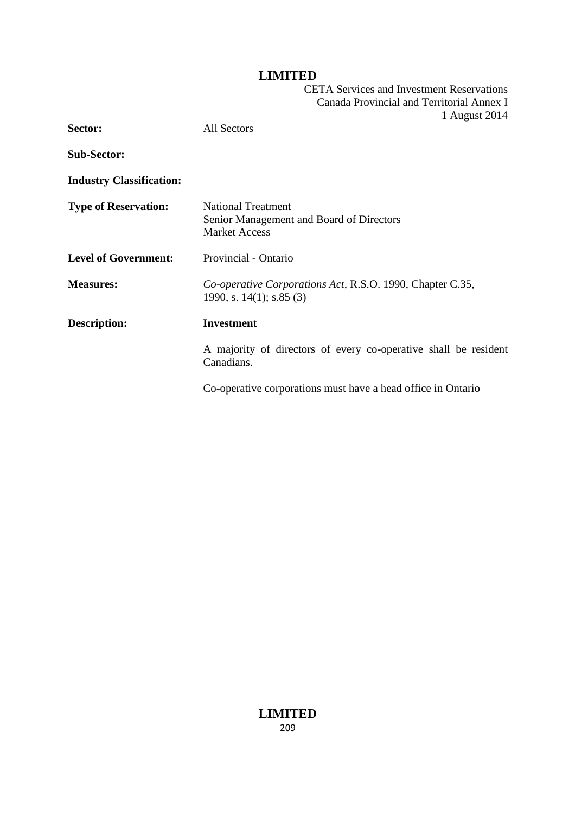CETA Services and Investment Reservations Canada Provincial and Territorial Annex I 1 August 2014

| Sector:                         | All Sectors                                                                                   |
|---------------------------------|-----------------------------------------------------------------------------------------------|
| <b>Sub-Sector:</b>              |                                                                                               |
| <b>Industry Classification:</b> |                                                                                               |
| <b>Type of Reservation:</b>     | <b>National Treatment</b><br>Senior Management and Board of Directors<br><b>Market Access</b> |
| <b>Level of Government:</b>     | Provincial - Ontario                                                                          |
| <b>Measures:</b>                | Co-operative Corporations Act, R.S.O. 1990, Chapter C.35,<br>1990, s. $14(1)$ ; s.85 (3)      |
| Description:                    | <b>Investment</b>                                                                             |
|                                 | A majority of directors of every co-operative shall be resident<br>Canadians.                 |
|                                 | Co-operative corporations must have a head office in Ontario                                  |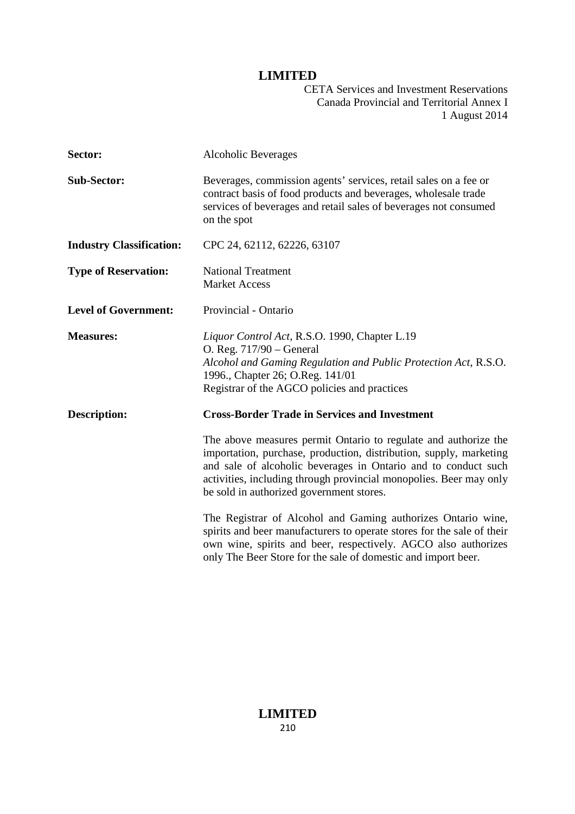CETA Services and Investment Reservations Canada Provincial and Territorial Annex I 1 August 2014

| Sector:                         | Alcoholic Beverages                                                                                                                                                                                                                                                                                                       |
|---------------------------------|---------------------------------------------------------------------------------------------------------------------------------------------------------------------------------------------------------------------------------------------------------------------------------------------------------------------------|
| <b>Sub-Sector:</b>              | Beverages, commission agents' services, retail sales on a fee or<br>contract basis of food products and beverages, wholesale trade<br>services of beverages and retail sales of beverages not consumed<br>on the spot                                                                                                     |
| <b>Industry Classification:</b> | CPC 24, 62112, 62226, 63107                                                                                                                                                                                                                                                                                               |
| <b>Type of Reservation:</b>     | <b>National Treatment</b><br><b>Market Access</b>                                                                                                                                                                                                                                                                         |
| <b>Level of Government:</b>     | Provincial - Ontario                                                                                                                                                                                                                                                                                                      |
| <b>Measures:</b>                | Liquor Control Act, R.S.O. 1990, Chapter L.19<br>O. Reg. $717/90$ – General<br>Alcohol and Gaming Regulation and Public Protection Act, R.S.O.<br>1996., Chapter 26; O.Reg. 141/01<br>Registrar of the AGCO policies and practices                                                                                        |
| <b>Description:</b>             | <b>Cross-Border Trade in Services and Investment</b>                                                                                                                                                                                                                                                                      |
|                                 | The above measures permit Ontario to regulate and authorize the<br>importation, purchase, production, distribution, supply, marketing<br>and sale of alcoholic beverages in Ontario and to conduct such<br>activities, including through provincial monopolies. Beer may only<br>be sold in authorized government stores. |
|                                 | The Registrar of Alcohol and Gaming authorizes Ontario wine,<br>spirits and beer manufacturers to operate stores for the sale of their<br>own wine, spirits and beer, respectively. AGCO also authorizes<br>only The Beer Store for the sale of domestic and import beer.                                                 |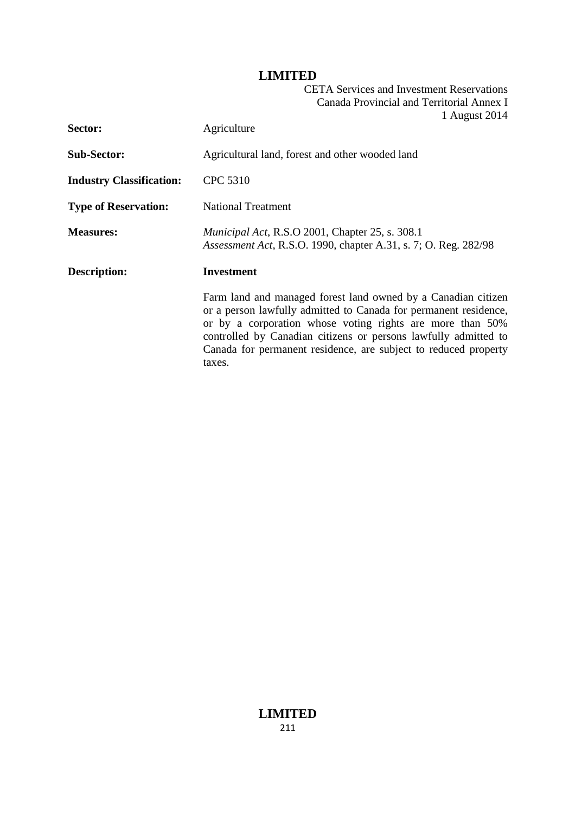CETA Services and Investment Reservations Canada Provincial and Territorial Annex I 1 August 2014

| Sector:                         | Agriculture                                                                                                                                                                                                                                                                                                                                    |
|---------------------------------|------------------------------------------------------------------------------------------------------------------------------------------------------------------------------------------------------------------------------------------------------------------------------------------------------------------------------------------------|
| <b>Sub-Sector:</b>              | Agricultural land, forest and other wooded land                                                                                                                                                                                                                                                                                                |
| <b>Industry Classification:</b> | <b>CPC 5310</b>                                                                                                                                                                                                                                                                                                                                |
| <b>Type of Reservation:</b>     | <b>National Treatment</b>                                                                                                                                                                                                                                                                                                                      |
| <b>Measures:</b>                | <i>Municipal Act</i> , R.S.O 2001, Chapter 25, s. 308.1<br>Assessment Act, R.S.O. 1990, chapter A.31, s. 7; O. Reg. 282/98                                                                                                                                                                                                                     |
| Description:                    | <b>Investment</b>                                                                                                                                                                                                                                                                                                                              |
|                                 | Farm land and managed forest land owned by a Canadian citizen<br>or a person lawfully admitted to Canada for permanent residence,<br>or by a corporation whose voting rights are more than 50%<br>controlled by Canadian citizens or persons lawfully admitted to<br>Canada for permanent residence, are subject to reduced property<br>taxes. |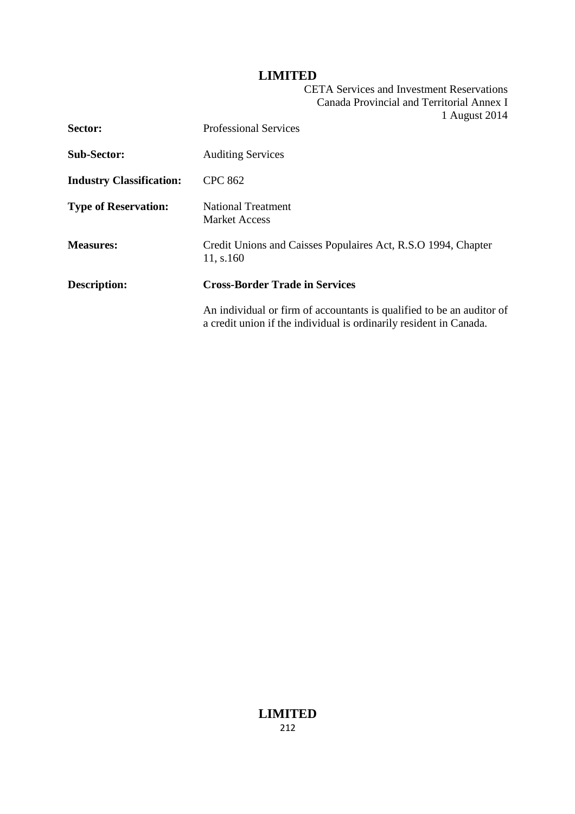CETA Services and Investment Reservations Canada Provincial and Territorial Annex I 1 August 2014

| Sector:                         | <b>Professional Services</b>                                                                                                                |
|---------------------------------|---------------------------------------------------------------------------------------------------------------------------------------------|
| <b>Sub-Sector:</b>              | <b>Auditing Services</b>                                                                                                                    |
| <b>Industry Classification:</b> | <b>CPC 862</b>                                                                                                                              |
| <b>Type of Reservation:</b>     | <b>National Treatment</b><br><b>Market Access</b>                                                                                           |
| <b>Measures:</b>                | Credit Unions and Caisses Populaires Act, R.S.O 1994, Chapter<br>11, s.160                                                                  |
| Description:                    | <b>Cross-Border Trade in Services</b>                                                                                                       |
|                                 | An individual or firm of accountants is qualified to be an auditor of<br>a credit union if the individual is ordinarily resident in Canada. |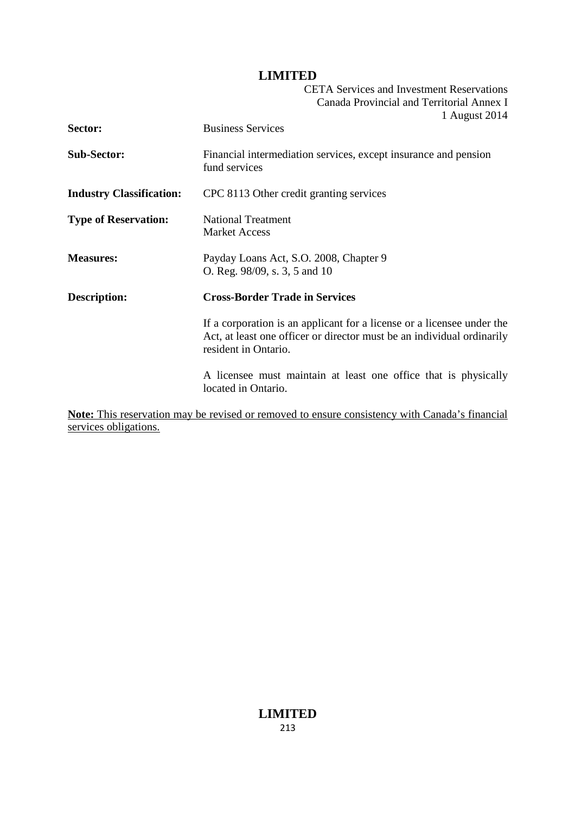| <b>CETA</b> Services and Investment Reservations |  |
|--------------------------------------------------|--|
| Canada Provincial and Territorial Annex I        |  |
| 1 August 2014                                    |  |

| Sector:                         | <b>Business Services</b>                                                                                                                                                 |
|---------------------------------|--------------------------------------------------------------------------------------------------------------------------------------------------------------------------|
| <b>Sub-Sector:</b>              | Financial intermediation services, except insurance and pension<br>fund services                                                                                         |
| <b>Industry Classification:</b> | CPC 8113 Other credit granting services                                                                                                                                  |
| <b>Type of Reservation:</b>     | <b>National Treatment</b><br><b>Market Access</b>                                                                                                                        |
| <b>Measures:</b>                | Payday Loans Act, S.O. 2008, Chapter 9<br>O. Reg. 98/09, s. 3, 5 and 10                                                                                                  |
| Description:                    | <b>Cross-Border Trade in Services</b>                                                                                                                                    |
|                                 | If a corporation is an applicant for a license or a licensee under the<br>Act, at least one officer or director must be an individual ordinarily<br>resident in Ontario. |
|                                 | A licensee must maintain at least one office that is physically<br>located in Ontario.                                                                                   |

**Note:** This reservation may be revised or removed to ensure consistency with Canada's financial services obligations.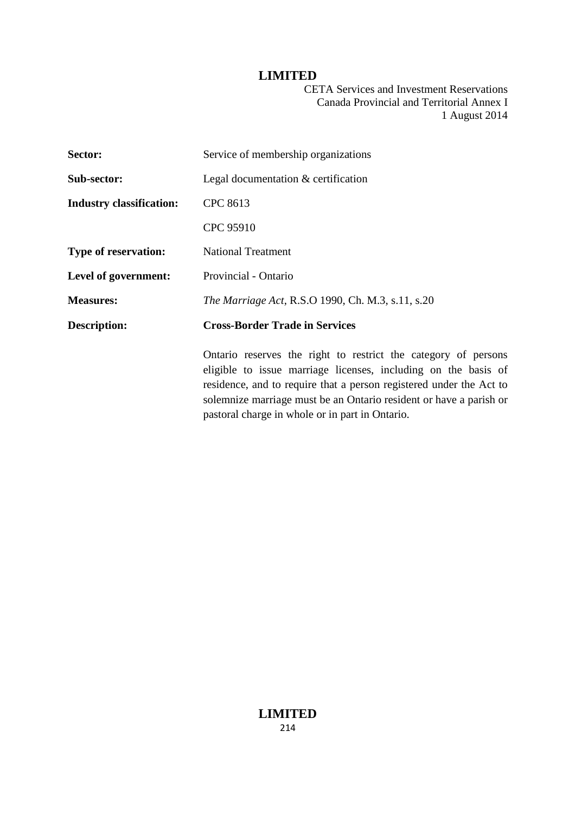CETA Services and Investment Reservations Canada Provincial and Territorial Annex I 1 August 2014

| Sector:                         | Service of membership organizations                                                                                                                                                                                                                                           |
|---------------------------------|-------------------------------------------------------------------------------------------------------------------------------------------------------------------------------------------------------------------------------------------------------------------------------|
| Sub-sector:                     | Legal documentation & certification                                                                                                                                                                                                                                           |
| <b>Industry classification:</b> | CPC 8613                                                                                                                                                                                                                                                                      |
|                                 | CPC 95910                                                                                                                                                                                                                                                                     |
| <b>Type of reservation:</b>     | <b>National Treatment</b>                                                                                                                                                                                                                                                     |
| Level of government:            | Provincial - Ontario                                                                                                                                                                                                                                                          |
| <b>Measures:</b>                | The Marriage Act, R.S.O 1990, Ch. M.3, s.11, s.20                                                                                                                                                                                                                             |
| <b>Description:</b>             | <b>Cross-Border Trade in Services</b>                                                                                                                                                                                                                                         |
|                                 | Ontario reserves the right to restrict the category of persons<br>eligible to issue marriage licenses, including on the basis of<br>residence, and to require that a person registered under the Act to<br>solemnize marriage must be an Ontario resident or have a parish or |

pastoral charge in whole or in part in Ontario.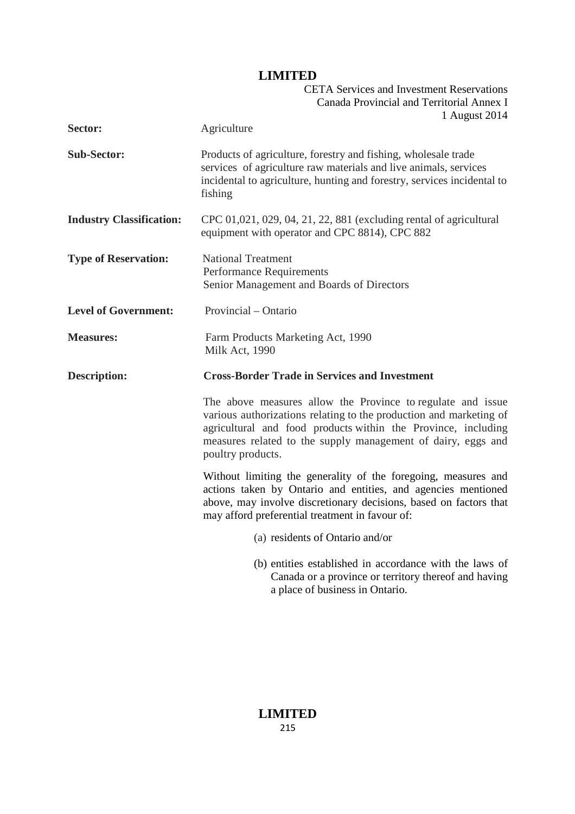| <b>CETA</b> Services and Investment Reservations |  |
|--------------------------------------------------|--|
| Canada Provincial and Territorial Annex I        |  |
| 1 August 2014                                    |  |

| Sector:                         | Agriculture                                                                                                                                                                                                                                                        |
|---------------------------------|--------------------------------------------------------------------------------------------------------------------------------------------------------------------------------------------------------------------------------------------------------------------|
| <b>Sub-Sector:</b>              | Products of agriculture, forestry and fishing, wholesale trade<br>services of agriculture raw materials and live animals, services<br>incidental to agriculture, hunting and forestry, services incidental to<br>fishing                                           |
| <b>Industry Classification:</b> | CPC 01,021, 029, 04, 21, 22, 881 (excluding rental of agricultural<br>equipment with operator and CPC 8814), CPC 882                                                                                                                                               |
| <b>Type of Reservation:</b>     | <b>National Treatment</b><br><b>Performance Requirements</b><br>Senior Management and Boards of Directors                                                                                                                                                          |
| <b>Level of Government:</b>     | Provincial – Ontario                                                                                                                                                                                                                                               |
| <b>Measures:</b>                | Farm Products Marketing Act, 1990<br>Milk Act, 1990                                                                                                                                                                                                                |
| <b>Description:</b>             | <b>Cross-Border Trade in Services and Investment</b>                                                                                                                                                                                                               |
|                                 | The above measures allow the Province to regulate and issue<br>various authorizations relating to the production and marketing of<br>agricultural and food products within the Province, including<br>measures related to the supply management of dairy, eggs and |
|                                 | poultry products.                                                                                                                                                                                                                                                  |
|                                 | Without limiting the generality of the foregoing, measures and<br>actions taken by Ontario and entities, and agencies mentioned<br>above, may involve discretionary decisions, based on factors that<br>may afford preferential treatment in favour of:            |
|                                 | (a) residents of Ontario and/or                                                                                                                                                                                                                                    |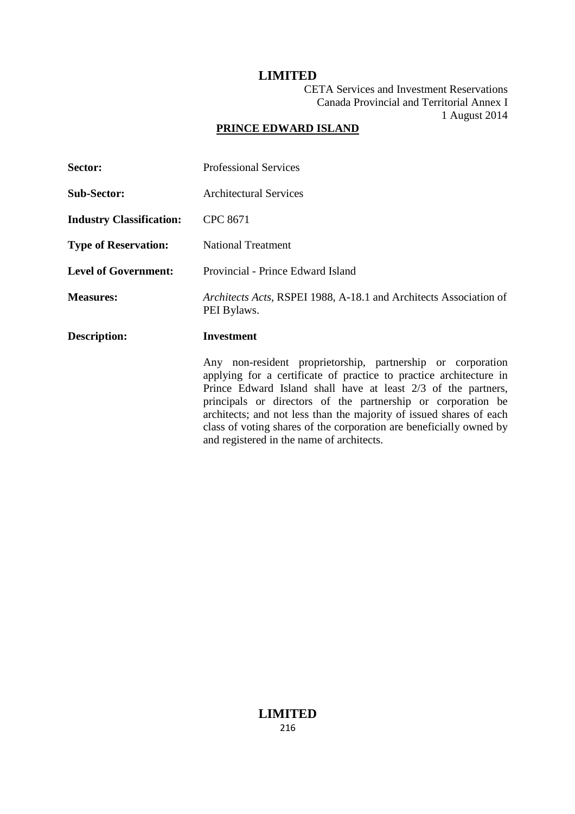CETA Services and Investment Reservations Canada Provincial and Territorial Annex I 1 August 2014

#### **PRINCE EDWARD ISLAND**

| Sector:                         | <b>Professional Services</b>                                                                                                                                                                                                                                                                                                              |
|---------------------------------|-------------------------------------------------------------------------------------------------------------------------------------------------------------------------------------------------------------------------------------------------------------------------------------------------------------------------------------------|
| <b>Sub-Sector:</b>              | <b>Architectural Services</b>                                                                                                                                                                                                                                                                                                             |
| <b>Industry Classification:</b> | CPC 8671                                                                                                                                                                                                                                                                                                                                  |
| <b>Type of Reservation:</b>     | <b>National Treatment</b>                                                                                                                                                                                                                                                                                                                 |
| <b>Level of Government:</b>     | Provincial - Prince Edward Island                                                                                                                                                                                                                                                                                                         |
| <b>Measures:</b>                | Architects Acts, RSPEI 1988, A-18.1 and Architects Association of<br>PEI Bylaws.                                                                                                                                                                                                                                                          |
| <b>Description:</b>             | <b>Investment</b>                                                                                                                                                                                                                                                                                                                         |
|                                 | Any non-resident proprietorship, partnership or corporation<br>applying for a certificate of practice to practice architecture in<br>Prince Edward Island shall have at least 2/3 of the partners,<br>principals or directors of the partnership or corporation be<br>architects; and not less than the majority of issued shares of each |

and registered in the name of architects.

class of voting shares of the corporation are beneficially owned by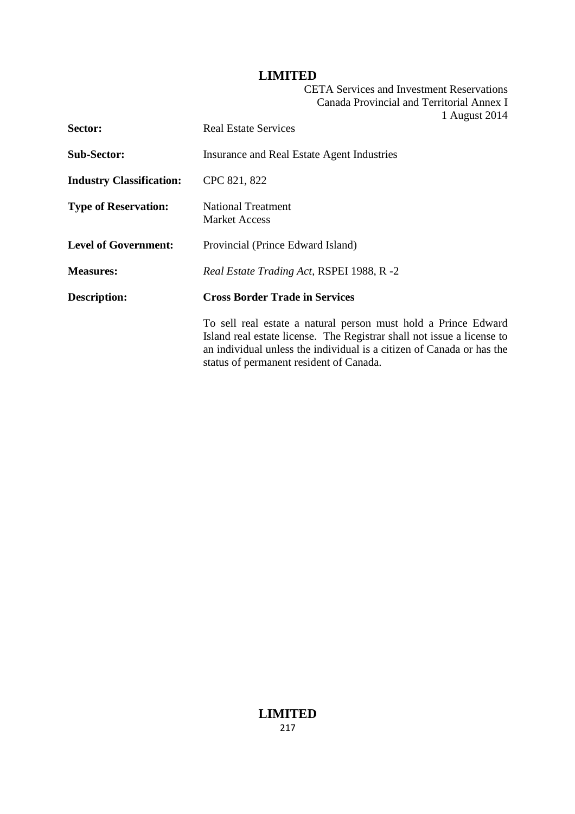CETA Services and Investment Reservations Canada Provincial and Territorial Annex I 1 August 2014

| Sector:                         | <b>Real Estate Services</b>                                                                                                                                                                                                                                  |
|---------------------------------|--------------------------------------------------------------------------------------------------------------------------------------------------------------------------------------------------------------------------------------------------------------|
| <b>Sub-Sector:</b>              | Insurance and Real Estate Agent Industries                                                                                                                                                                                                                   |
| <b>Industry Classification:</b> | CPC 821, 822                                                                                                                                                                                                                                                 |
| <b>Type of Reservation:</b>     | <b>National Treatment</b><br><b>Market Access</b>                                                                                                                                                                                                            |
| <b>Level of Government:</b>     | Provincial (Prince Edward Island)                                                                                                                                                                                                                            |
| <b>Measures:</b>                | Real Estate Trading Act, RSPEI 1988, R -2                                                                                                                                                                                                                    |
| <b>Description:</b>             | <b>Cross Border Trade in Services</b>                                                                                                                                                                                                                        |
|                                 | To sell real estate a natural person must hold a Prince Edward<br>Island real estate license. The Registrar shall not issue a license to<br>an individual unless the individual is a citizen of Canada or has the<br>status of permanent resident of Canada. |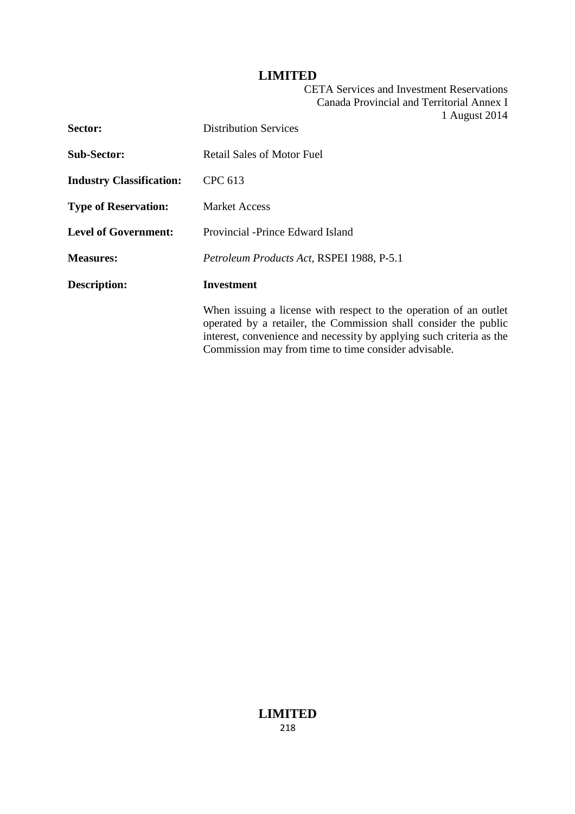CETA Services and Investment Reservations Canada Provincial and Territorial Annex I 1 August 2014

| Sector:                         | <b>Distribution Services</b>                                                                                                                                                                                                                                          |
|---------------------------------|-----------------------------------------------------------------------------------------------------------------------------------------------------------------------------------------------------------------------------------------------------------------------|
| <b>Sub-Sector:</b>              | Retail Sales of Motor Fuel                                                                                                                                                                                                                                            |
| <b>Industry Classification:</b> | CPC 613                                                                                                                                                                                                                                                               |
| <b>Type of Reservation:</b>     | <b>Market Access</b>                                                                                                                                                                                                                                                  |
| <b>Level of Government:</b>     | Provincial -Prince Edward Island                                                                                                                                                                                                                                      |
| <b>Measures:</b>                | Petroleum Products Act, RSPEI 1988, P-5.1                                                                                                                                                                                                                             |
| Description:                    | <b>Investment</b>                                                                                                                                                                                                                                                     |
|                                 | When issuing a license with respect to the operation of an outlet<br>operated by a retailer, the Commission shall consider the public<br>interest, convenience and necessity by applying such criteria as the<br>Commission may from time to time consider advisable. |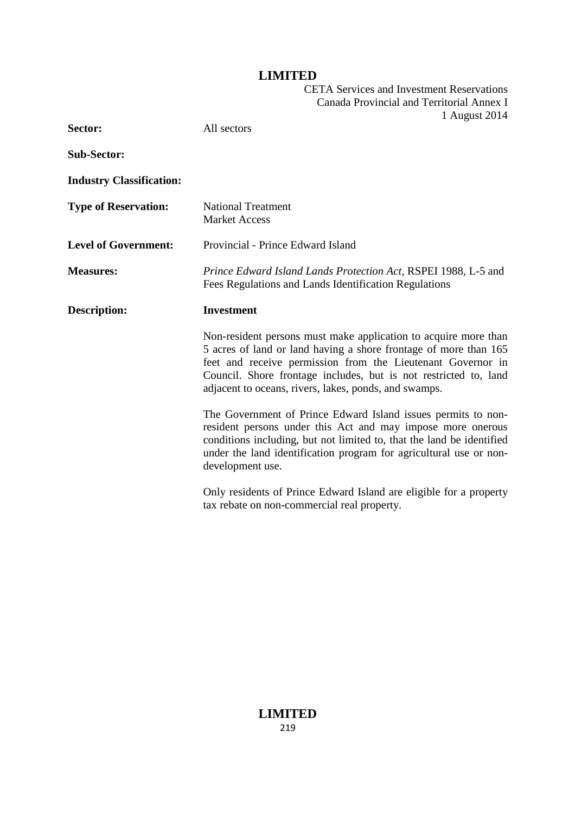| Sector:                         | All sectors                                                                                                                                                                                                                                                                                                                     |
|---------------------------------|---------------------------------------------------------------------------------------------------------------------------------------------------------------------------------------------------------------------------------------------------------------------------------------------------------------------------------|
| <b>Sub-Sector:</b>              |                                                                                                                                                                                                                                                                                                                                 |
| <b>Industry Classification:</b> |                                                                                                                                                                                                                                                                                                                                 |
| <b>Type of Reservation:</b>     | <b>National Treatment</b><br><b>Market Access</b>                                                                                                                                                                                                                                                                               |
| <b>Level of Government:</b>     | Provincial - Prince Edward Island                                                                                                                                                                                                                                                                                               |
| <b>Measures:</b>                | Prince Edward Island Lands Protection Act, RSPEI 1988, L-5 and<br>Fees Regulations and Lands Identification Regulations                                                                                                                                                                                                         |
| Description:                    | <b>Investment</b>                                                                                                                                                                                                                                                                                                               |
|                                 | Non-resident persons must make application to acquire more than<br>5 acres of land or land having a shore frontage of more than 165<br>feet and receive permission from the Lieutenant Governor in<br>Council. Shore frontage includes, but is not restricted to, land<br>adjacent to oceans, rivers, lakes, ponds, and swamps. |
|                                 | The Government of Prince Edward Island issues permits to non-<br>resident persons under this Act and may impose more onerous<br>conditions including, but not limited to, that the land be identified<br>under the land identification program for agricultural use or non-<br>development use.                                 |
|                                 | Only residents of Prince Edward Island are eligible for a property<br>tax rebate on non-commercial real property.                                                                                                                                                                                                               |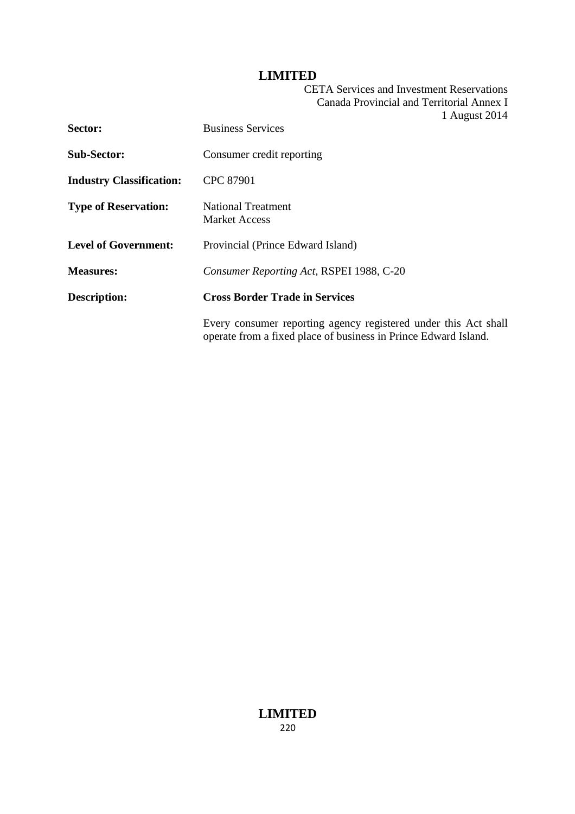CETA Services and Investment Reservations Canada Provincial and Territorial Annex I 1 August 2014

| Sector:                         | <b>Business Services</b>                                                                                                           |
|---------------------------------|------------------------------------------------------------------------------------------------------------------------------------|
| <b>Sub-Sector:</b>              | Consumer credit reporting                                                                                                          |
| <b>Industry Classification:</b> | CPC 87901                                                                                                                          |
| <b>Type of Reservation:</b>     | <b>National Treatment</b><br><b>Market Access</b>                                                                                  |
| <b>Level of Government:</b>     | Provincial (Prince Edward Island)                                                                                                  |
| <b>Measures:</b>                | Consumer Reporting Act, RSPEI 1988, C-20                                                                                           |
| Description:                    | <b>Cross Border Trade in Services</b>                                                                                              |
|                                 | Every consumer reporting agency registered under this Act shall<br>operate from a fixed place of business in Prince Edward Island. |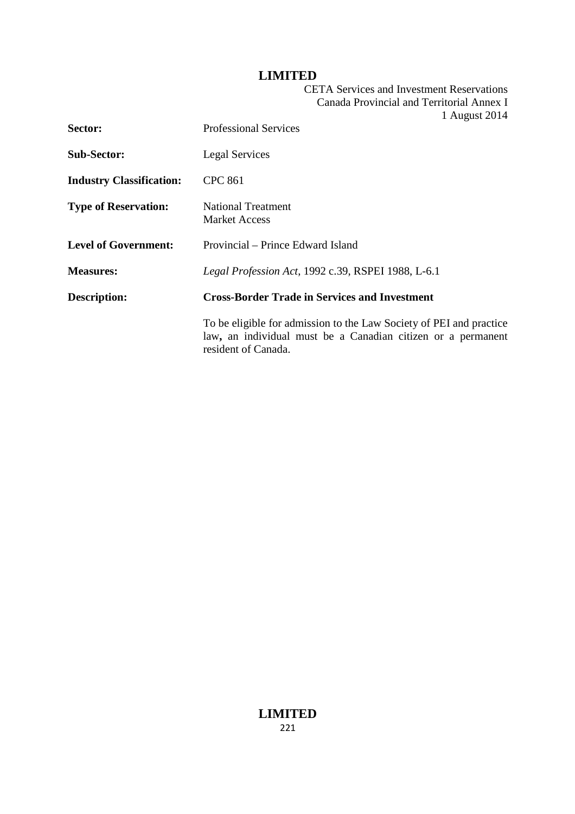CETA Services and Investment Reservations Canada Provincial and Territorial Annex I 1 August 2014

| Sector:                         | <b>Professional Services</b>                                                                                                                               |
|---------------------------------|------------------------------------------------------------------------------------------------------------------------------------------------------------|
| <b>Sub-Sector:</b>              | <b>Legal Services</b>                                                                                                                                      |
| <b>Industry Classification:</b> | <b>CPC 861</b>                                                                                                                                             |
| <b>Type of Reservation:</b>     | <b>National Treatment</b><br><b>Market Access</b>                                                                                                          |
| <b>Level of Government:</b>     | Provincial – Prince Edward Island                                                                                                                          |
| <b>Measures:</b>                | Legal Profession Act, 1992 c.39, RSPEI 1988, L-6.1                                                                                                         |
| <b>Description:</b>             | <b>Cross-Border Trade in Services and Investment</b>                                                                                                       |
|                                 | To be eligible for admission to the Law Society of PEI and practice<br>law, an individual must be a Canadian citizen or a permanent<br>resident of Canada. |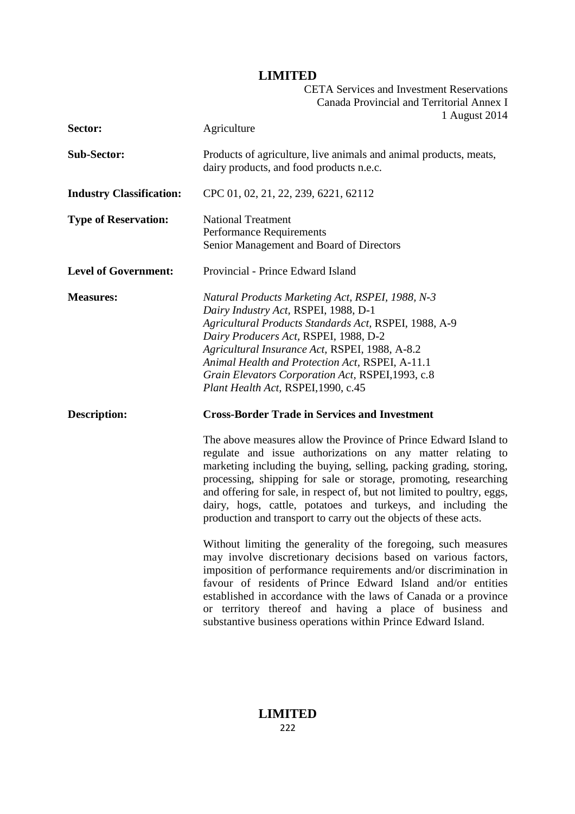| Sector:                         | Agriculture                                                                                                                                                                                                                                                                                                                                                                                                                                                                                                                                                                                                                                                                                                                                                                                                                                                                                                                                                                                                          |
|---------------------------------|----------------------------------------------------------------------------------------------------------------------------------------------------------------------------------------------------------------------------------------------------------------------------------------------------------------------------------------------------------------------------------------------------------------------------------------------------------------------------------------------------------------------------------------------------------------------------------------------------------------------------------------------------------------------------------------------------------------------------------------------------------------------------------------------------------------------------------------------------------------------------------------------------------------------------------------------------------------------------------------------------------------------|
| <b>Sub-Sector:</b>              | Products of agriculture, live animals and animal products, meats,<br>dairy products, and food products n.e.c.                                                                                                                                                                                                                                                                                                                                                                                                                                                                                                                                                                                                                                                                                                                                                                                                                                                                                                        |
| <b>Industry Classification:</b> | CPC 01, 02, 21, 22, 239, 6221, 62112                                                                                                                                                                                                                                                                                                                                                                                                                                                                                                                                                                                                                                                                                                                                                                                                                                                                                                                                                                                 |
| <b>Type of Reservation:</b>     | <b>National Treatment</b><br><b>Performance Requirements</b><br>Senior Management and Board of Directors                                                                                                                                                                                                                                                                                                                                                                                                                                                                                                                                                                                                                                                                                                                                                                                                                                                                                                             |
| <b>Level of Government:</b>     | Provincial - Prince Edward Island                                                                                                                                                                                                                                                                                                                                                                                                                                                                                                                                                                                                                                                                                                                                                                                                                                                                                                                                                                                    |
| <b>Measures:</b>                | Natural Products Marketing Act, RSPEI, 1988, N-3<br>Dairy Industry Act, RSPEI, 1988, D-1<br>Agricultural Products Standards Act, RSPEI, 1988, A-9<br>Dairy Producers Act, RSPEI, 1988, D-2<br>Agricultural Insurance Act, RSPEI, 1988, A-8.2<br>Animal Health and Protection Act, RSPEI, A-11.1<br>Grain Elevators Corporation Act, RSPEI,1993, c.8<br>Plant Health Act, RSPEI, 1990, c.45                                                                                                                                                                                                                                                                                                                                                                                                                                                                                                                                                                                                                           |
| <b>Description:</b>             | <b>Cross-Border Trade in Services and Investment</b><br>The above measures allow the Province of Prince Edward Island to<br>regulate and issue authorizations on any matter relating to<br>marketing including the buying, selling, packing grading, storing,<br>processing, shipping for sale or storage, promoting, researching<br>and offering for sale, in respect of, but not limited to poultry, eggs,<br>dairy, hogs, cattle, potatoes and turkeys, and including the<br>production and transport to carry out the objects of these acts.<br>Without limiting the generality of the foregoing, such measures<br>may involve discretionary decisions based on various factors,<br>imposition of performance requirements and/or discrimination in<br>favour of residents of Prince Edward Island and/or entities<br>established in accordance with the laws of Canada or a province<br>or territory thereof and having a place of business and<br>substantive business operations within Prince Edward Island. |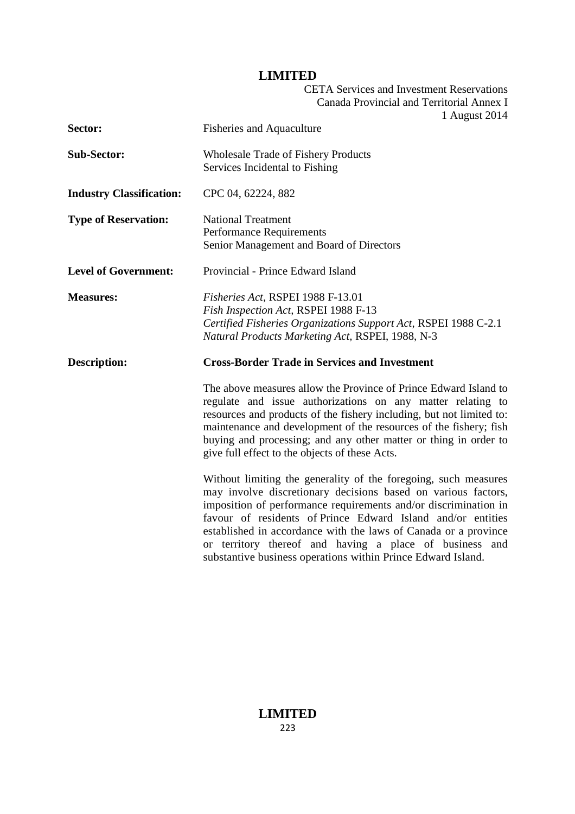| Sector:                         | <b>Fisheries and Aquaculture</b>                                                                                                                                                                                                                                                                                                                                                                   |
|---------------------------------|----------------------------------------------------------------------------------------------------------------------------------------------------------------------------------------------------------------------------------------------------------------------------------------------------------------------------------------------------------------------------------------------------|
| <b>Sub-Sector:</b>              | Wholesale Trade of Fishery Products<br>Services Incidental to Fishing                                                                                                                                                                                                                                                                                                                              |
| <b>Industry Classification:</b> | CPC 04, 62224, 882                                                                                                                                                                                                                                                                                                                                                                                 |
| <b>Type of Reservation:</b>     | <b>National Treatment</b><br><b>Performance Requirements</b><br>Senior Management and Board of Directors                                                                                                                                                                                                                                                                                           |
| <b>Level of Government:</b>     | Provincial - Prince Edward Island                                                                                                                                                                                                                                                                                                                                                                  |
| <b>Measures:</b>                | Fisheries Act, RSPEI 1988 F-13.01<br>Fish Inspection Act, RSPEI 1988 F-13<br>Certified Fisheries Organizations Support Act, RSPEI 1988 C-2.1<br>Natural Products Marketing Act, RSPEI, 1988, N-3                                                                                                                                                                                                   |
|                                 |                                                                                                                                                                                                                                                                                                                                                                                                    |
| <b>Description:</b>             | <b>Cross-Border Trade in Services and Investment</b>                                                                                                                                                                                                                                                                                                                                               |
|                                 | The above measures allow the Province of Prince Edward Island to<br>regulate and issue authorizations on any matter relating to<br>resources and products of the fishery including, but not limited to:<br>maintenance and development of the resources of the fishery; fish<br>buying and processing; and any other matter or thing in order to<br>give full effect to the objects of these Acts. |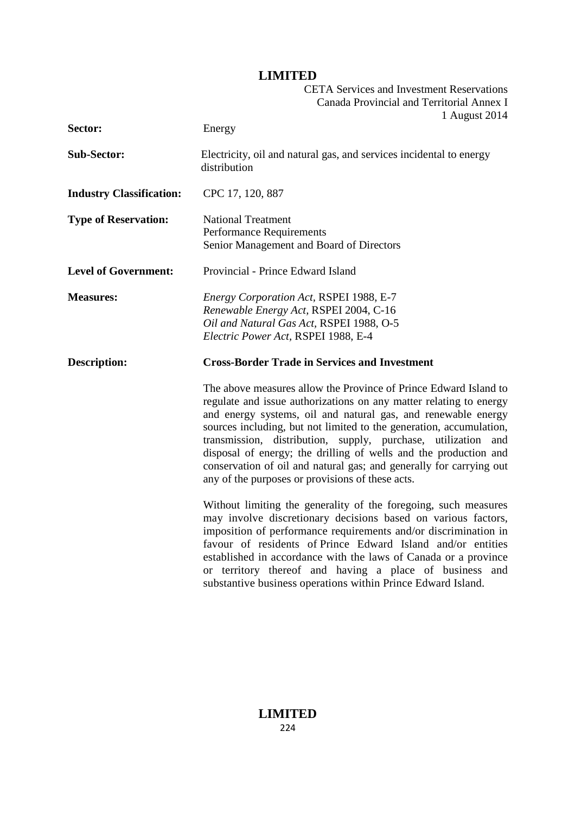| Sector:                         | Energy                                                                                                                                                                                                                                                                                                                                                                                                                                                                                                                                         |
|---------------------------------|------------------------------------------------------------------------------------------------------------------------------------------------------------------------------------------------------------------------------------------------------------------------------------------------------------------------------------------------------------------------------------------------------------------------------------------------------------------------------------------------------------------------------------------------|
| <b>Sub-Sector:</b>              | Electricity, oil and natural gas, and services incidental to energy<br>distribution                                                                                                                                                                                                                                                                                                                                                                                                                                                            |
| <b>Industry Classification:</b> | CPC 17, 120, 887                                                                                                                                                                                                                                                                                                                                                                                                                                                                                                                               |
| <b>Type of Reservation:</b>     | <b>National Treatment</b><br><b>Performance Requirements</b><br>Senior Management and Board of Directors                                                                                                                                                                                                                                                                                                                                                                                                                                       |
| <b>Level of Government:</b>     | Provincial - Prince Edward Island                                                                                                                                                                                                                                                                                                                                                                                                                                                                                                              |
| <b>Measures:</b>                | Energy Corporation Act, RSPEI 1988, E-7<br>Renewable Energy Act, RSPEI 2004, C-16<br>Oil and Natural Gas Act, RSPEI 1988, O-5<br>Electric Power Act, RSPEI 1988, E-4                                                                                                                                                                                                                                                                                                                                                                           |
| <b>Description:</b>             | <b>Cross-Border Trade in Services and Investment</b>                                                                                                                                                                                                                                                                                                                                                                                                                                                                                           |
|                                 | The above measures allow the Province of Prince Edward Island to<br>regulate and issue authorizations on any matter relating to energy<br>and energy systems, oil and natural gas, and renewable energy<br>sources including, but not limited to the generation, accumulation,<br>transmission, distribution, supply, purchase, utilization and<br>disposal of energy; the drilling of wells and the production and<br>conservation of oil and natural gas; and generally for carrying out<br>any of the purposes or provisions of these acts. |
|                                 |                                                                                                                                                                                                                                                                                                                                                                                                                                                                                                                                                |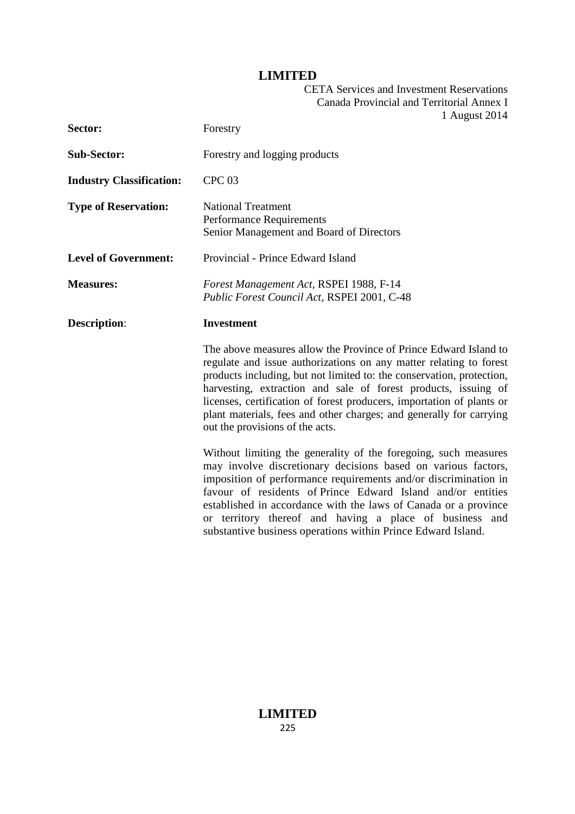| Sector:                         | Forestry                                                                                                                                                                                                                                                                                                                                                                                                                                                             |
|---------------------------------|----------------------------------------------------------------------------------------------------------------------------------------------------------------------------------------------------------------------------------------------------------------------------------------------------------------------------------------------------------------------------------------------------------------------------------------------------------------------|
| <b>Sub-Sector:</b>              | Forestry and logging products                                                                                                                                                                                                                                                                                                                                                                                                                                        |
| <b>Industry Classification:</b> | CPC 03                                                                                                                                                                                                                                                                                                                                                                                                                                                               |
| <b>Type of Reservation:</b>     | <b>National Treatment</b><br><b>Performance Requirements</b><br>Senior Management and Board of Directors                                                                                                                                                                                                                                                                                                                                                             |
| <b>Level of Government:</b>     | Provincial - Prince Edward Island                                                                                                                                                                                                                                                                                                                                                                                                                                    |
| <b>Measures:</b>                | Forest Management Act, RSPEI 1988, F-14<br>Public Forest Council Act, RSPEI 2001, C-48                                                                                                                                                                                                                                                                                                                                                                               |
| <b>Description:</b>             | <b>Investment</b>                                                                                                                                                                                                                                                                                                                                                                                                                                                    |
|                                 | The above measures allow the Province of Prince Edward Island to<br>regulate and issue authorizations on any matter relating to forest<br>products including, but not limited to: the conservation, protection,<br>harvesting, extraction and sale of forest products, issuing of<br>licenses, certification of forest producers, importation of plants or<br>plant materials, fees and other charges; and generally for carrying<br>out the provisions of the acts. |
|                                 | Without limiting the generality of the foregoing, such measures<br>may involve discretionary decisions based on various factors,<br>imposition of performance requirements and/or discrimination in<br>favour of residents of Prince Edward Island and/or entities<br>established in accordance with the laws of Canada or a province<br>or territory thereof and having a place of business and                                                                     |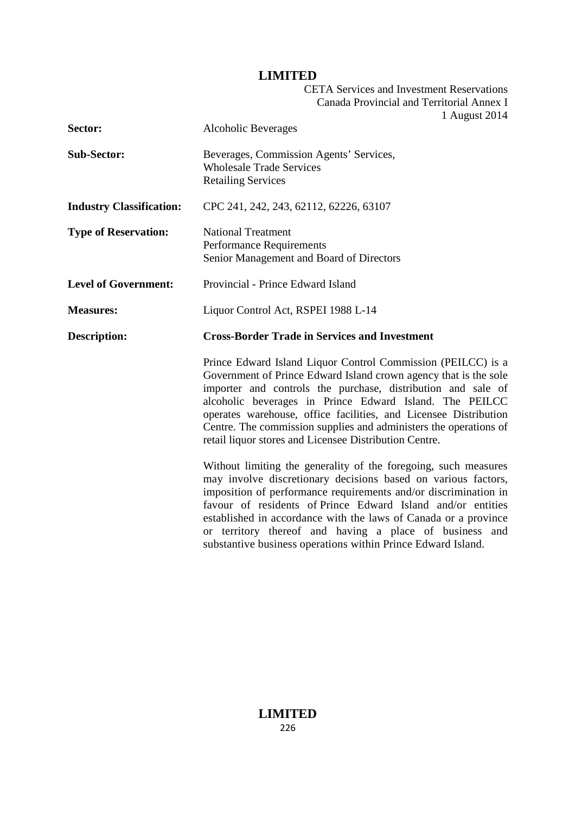CETA Services and Investment Reservations Canada Provincial and Territorial Annex I 1 August 2014

| Sector:                         | <b>Alcoholic Beverages</b>                                                                                                                                                                                                                                                                                                                                                                                                                                       |
|---------------------------------|------------------------------------------------------------------------------------------------------------------------------------------------------------------------------------------------------------------------------------------------------------------------------------------------------------------------------------------------------------------------------------------------------------------------------------------------------------------|
| <b>Sub-Sector:</b>              | Beverages, Commission Agents' Services,<br><b>Wholesale Trade Services</b><br><b>Retailing Services</b>                                                                                                                                                                                                                                                                                                                                                          |
| <b>Industry Classification:</b> | CPC 241, 242, 243, 62112, 62226, 63107                                                                                                                                                                                                                                                                                                                                                                                                                           |
| <b>Type of Reservation:</b>     | <b>National Treatment</b><br><b>Performance Requirements</b><br>Senior Management and Board of Directors                                                                                                                                                                                                                                                                                                                                                         |
| <b>Level of Government:</b>     | Provincial - Prince Edward Island                                                                                                                                                                                                                                                                                                                                                                                                                                |
| <b>Measures:</b>                | Liquor Control Act, RSPEI 1988 L-14                                                                                                                                                                                                                                                                                                                                                                                                                              |
| Description:                    | <b>Cross-Border Trade in Services and Investment</b>                                                                                                                                                                                                                                                                                                                                                                                                             |
|                                 | Prince Edward Island Liquor Control Commission (PEILCC) is a<br>Government of Prince Edward Island crown agency that is the sole<br>importer and controls the purchase, distribution and sale of<br>alcoholic beverages in Prince Edward Island. The PEILCC<br>operates warehouse, office facilities, and Licensee Distribution<br>Centre. The commission supplies and administers the operations of<br>retail liquor stores and Licensee Distribution Centre.   |
|                                 | Without limiting the generality of the foregoing, such measures<br>may involve discretionary decisions based on various factors,<br>imposition of performance requirements and/or discrimination in<br>favour of residents of Prince Edward Island and/or entities<br>established in accordance with the laws of Canada or a province<br>or territory thereof and having a place of business and<br>substantive business operations within Prince Edward Island. |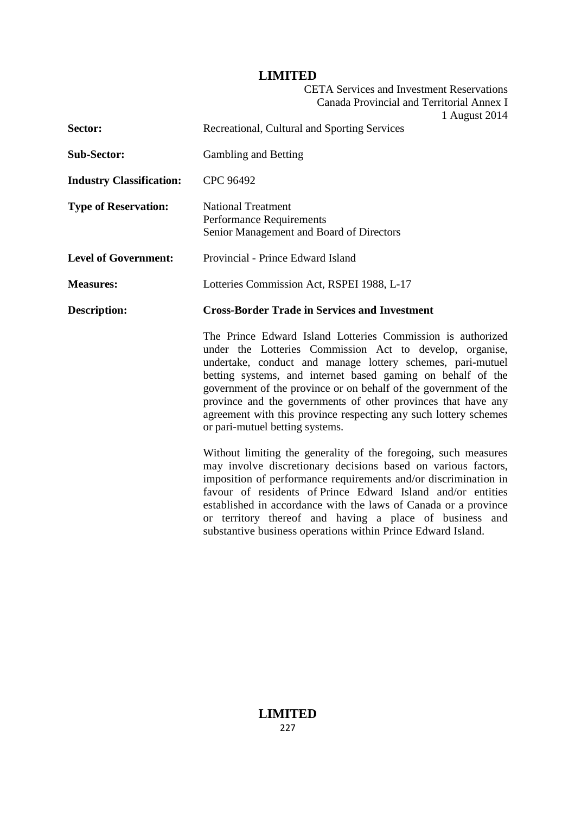| Sector:                         | Recreational, Cultural and Sporting Services                                                                                                                                                                                                                                                                                                                                                                                                                                                     |
|---------------------------------|--------------------------------------------------------------------------------------------------------------------------------------------------------------------------------------------------------------------------------------------------------------------------------------------------------------------------------------------------------------------------------------------------------------------------------------------------------------------------------------------------|
| <b>Sub-Sector:</b>              | Gambling and Betting                                                                                                                                                                                                                                                                                                                                                                                                                                                                             |
| <b>Industry Classification:</b> | CPC 96492                                                                                                                                                                                                                                                                                                                                                                                                                                                                                        |
| <b>Type of Reservation:</b>     | <b>National Treatment</b><br><b>Performance Requirements</b><br>Senior Management and Board of Directors                                                                                                                                                                                                                                                                                                                                                                                         |
| <b>Level of Government:</b>     | Provincial - Prince Edward Island                                                                                                                                                                                                                                                                                                                                                                                                                                                                |
| <b>Measures:</b>                | Lotteries Commission Act, RSPEI 1988, L-17                                                                                                                                                                                                                                                                                                                                                                                                                                                       |
| <b>Description:</b>             | <b>Cross-Border Trade in Services and Investment</b>                                                                                                                                                                                                                                                                                                                                                                                                                                             |
|                                 | The Prince Edward Island Lotteries Commission is authorized<br>under the Lotteries Commission Act to develop, organise,<br>undertake, conduct and manage lottery schemes, pari-mutuel<br>betting systems, and internet based gaming on behalf of the<br>government of the province or on behalf of the government of the<br>province and the governments of other provinces that have any<br>agreement with this province respecting any such lottery schemes<br>or pari-mutuel betting systems. |
|                                 | Without limiting the generality of the foregoing, such measures<br>may involve discretionary decisions based on various factors,<br>imposition of performance requirements and/or discrimination in<br>favour of residents of Prince Edward Island and/or entities<br>established in accordance with the laws of Canada or a province<br>or territory thereof and having a place of business and<br>substantive business operations within Prince Edward Island.                                 |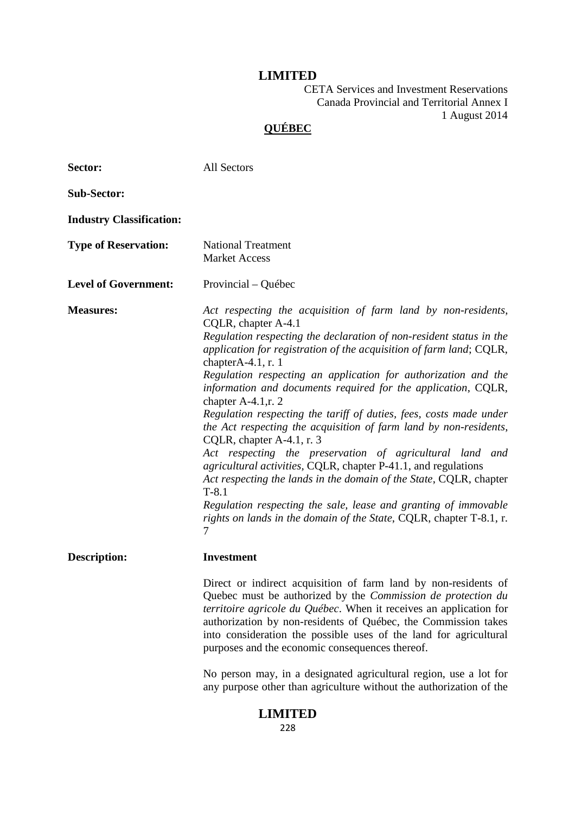CETA Services and Investment Reservations Canada Provincial and Territorial Annex I 1 August 2014

# **QUÉBEC**

| Sector:                         | All Sectors                                                                                                                                                                                                                                                                                                                                                                                                                                                                                                                                                                                                                                                                                                                                                                                                                                                                                                                                              |
|---------------------------------|----------------------------------------------------------------------------------------------------------------------------------------------------------------------------------------------------------------------------------------------------------------------------------------------------------------------------------------------------------------------------------------------------------------------------------------------------------------------------------------------------------------------------------------------------------------------------------------------------------------------------------------------------------------------------------------------------------------------------------------------------------------------------------------------------------------------------------------------------------------------------------------------------------------------------------------------------------|
| <b>Sub-Sector:</b>              |                                                                                                                                                                                                                                                                                                                                                                                                                                                                                                                                                                                                                                                                                                                                                                                                                                                                                                                                                          |
| <b>Industry Classification:</b> |                                                                                                                                                                                                                                                                                                                                                                                                                                                                                                                                                                                                                                                                                                                                                                                                                                                                                                                                                          |
| <b>Type of Reservation:</b>     | <b>National Treatment</b><br><b>Market Access</b>                                                                                                                                                                                                                                                                                                                                                                                                                                                                                                                                                                                                                                                                                                                                                                                                                                                                                                        |
| <b>Level of Government:</b>     | Provincial – Québec                                                                                                                                                                                                                                                                                                                                                                                                                                                                                                                                                                                                                                                                                                                                                                                                                                                                                                                                      |
| <b>Measures:</b>                | Act respecting the acquisition of farm land by non-residents,<br>CQLR, chapter A-4.1<br>Regulation respecting the declaration of non-resident status in the<br>application for registration of the acquisition of farm land; CQLR,<br>chapterA-4.1, r. 1<br>Regulation respecting an application for authorization and the<br>information and documents required for the application, CQLR,<br>chapter $A-4.1,r.2$<br>Regulation respecting the tariff of duties, fees, costs made under<br>the Act respecting the acquisition of farm land by non-residents,<br>CQLR, chapter A-4.1, r. 3<br>Act respecting the preservation of agricultural land and<br>agricultural activities, CQLR, chapter P-41.1, and regulations<br>Act respecting the lands in the domain of the State, CQLR, chapter<br>$T-8.1$<br>Regulation respecting the sale, lease and granting of immovable<br>rights on lands in the domain of the State, CQLR, chapter T-8.1, r.<br>7 |
| <b>Description:</b>             | <b>Investment</b>                                                                                                                                                                                                                                                                                                                                                                                                                                                                                                                                                                                                                                                                                                                                                                                                                                                                                                                                        |
|                                 | Direct or indirect acquisition of farm land by non-residents of<br>Quebec must be authorized by the Commission de protection du<br>territoire agricole du Québec. When it receives an application for<br>authorization by non-residents of Québec, the Commission takes<br>into consideration the possible uses of the land for agricultural<br>purposes and the economic consequences thereof.                                                                                                                                                                                                                                                                                                                                                                                                                                                                                                                                                          |
|                                 | No person may, in a designated agricultural region, use a lot for<br>any purpose other than agriculture without the authorization of the                                                                                                                                                                                                                                                                                                                                                                                                                                                                                                                                                                                                                                                                                                                                                                                                                 |
|                                 | <b>LIMITED</b><br>228                                                                                                                                                                                                                                                                                                                                                                                                                                                                                                                                                                                                                                                                                                                                                                                                                                                                                                                                    |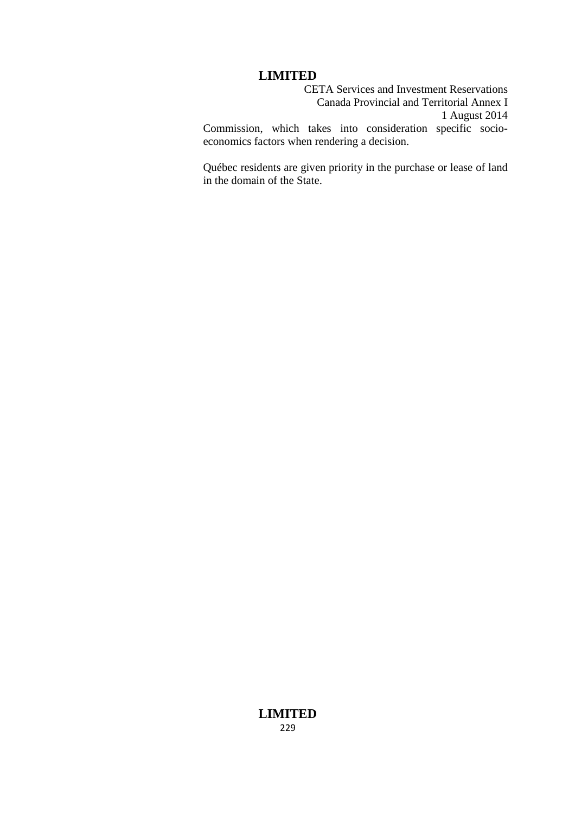CETA Services and Investment Reservations Canada Provincial and Territorial Annex I 1 August 2014 Commission, which takes into consideration specific socioeconomics factors when rendering a decision.

Québec residents are given priority in the purchase or lease of land in the domain of the State.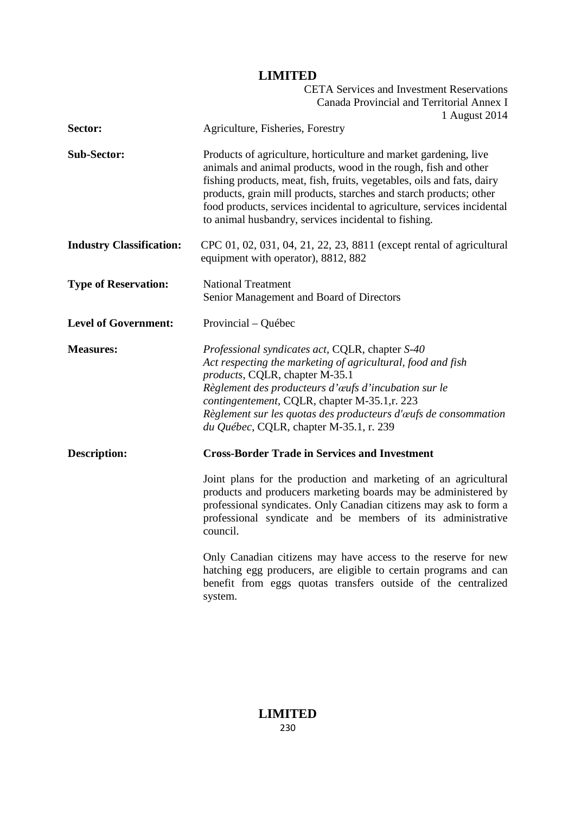#### **LIMITED** CETA Services and Investment Reservations

|                                 | Canada Provincial and Territorial Annex I<br>1 August 2014                                                                                                                                                                                                                                                                                                                                                           |
|---------------------------------|----------------------------------------------------------------------------------------------------------------------------------------------------------------------------------------------------------------------------------------------------------------------------------------------------------------------------------------------------------------------------------------------------------------------|
| Sector:                         | Agriculture, Fisheries, Forestry                                                                                                                                                                                                                                                                                                                                                                                     |
| <b>Sub-Sector:</b>              | Products of agriculture, horticulture and market gardening, live<br>animals and animal products, wood in the rough, fish and other<br>fishing products, meat, fish, fruits, vegetables, oils and fats, dairy<br>products, grain mill products, starches and starch products; other<br>food products, services incidental to agriculture, services incidental<br>to animal husbandry, services incidental to fishing. |
| <b>Industry Classification:</b> | CPC 01, 02, 031, 04, 21, 22, 23, 8811 (except rental of agricultural<br>equipment with operator), 8812, 882                                                                                                                                                                                                                                                                                                          |
| <b>Type of Reservation:</b>     | <b>National Treatment</b><br>Senior Management and Board of Directors                                                                                                                                                                                                                                                                                                                                                |
| <b>Level of Government:</b>     | Provincial – Québec                                                                                                                                                                                                                                                                                                                                                                                                  |
| <b>Measures:</b>                | Professional syndicates act, CQLR, chapter S-40<br>Act respecting the marketing of agricultural, food and fish<br>products, CQLR, chapter M-35.1<br>Règlement des producteurs d'œufs d'incubation sur le<br>contingentement, CQLR, chapter M-35.1,r. 223<br>Règlement sur les quotas des producteurs d'œufs de consommation<br>du Québec, CQLR, chapter M-35.1, r. 239                                               |
| Description:                    | <b>Cross-Border Trade in Services and Investment</b>                                                                                                                                                                                                                                                                                                                                                                 |
|                                 | Joint plans for the production and marketing of an agricultural<br>products and producers marketing boards may be administered by<br>professional syndicates. Only Canadian citizens may ask to form a<br>professional syndicate and be members of its administrative<br>council.                                                                                                                                    |
|                                 | Only Canadian citizens may have access to the reserve for new<br>hatching egg producers, are eligible to certain programs and can<br>benefit from eggs quotas transfers outside of the centralized<br>system.                                                                                                                                                                                                        |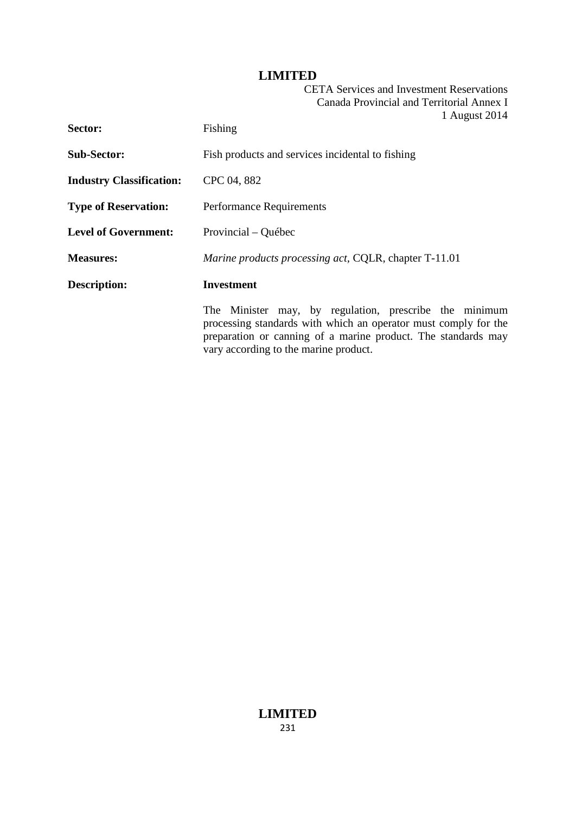| Sector:                         | Fishing                                                                                                                                                                                                                             |
|---------------------------------|-------------------------------------------------------------------------------------------------------------------------------------------------------------------------------------------------------------------------------------|
| <b>Sub-Sector:</b>              | Fish products and services incidental to fishing                                                                                                                                                                                    |
| <b>Industry Classification:</b> | CPC 04, 882                                                                                                                                                                                                                         |
| <b>Type of Reservation:</b>     | Performance Requirements                                                                                                                                                                                                            |
| <b>Level of Government:</b>     | Provincial – Québec                                                                                                                                                                                                                 |
| <b>Measures:</b>                | <i>Marine products processing act, CQLR, chapter T-11.01</i>                                                                                                                                                                        |
| Description:                    | <b>Investment</b>                                                                                                                                                                                                                   |
|                                 | The Minister may, by regulation, prescribe the minimum<br>processing standards with which an operator must comply for the<br>preparation or canning of a marine product. The standards may<br>vary according to the marine product. |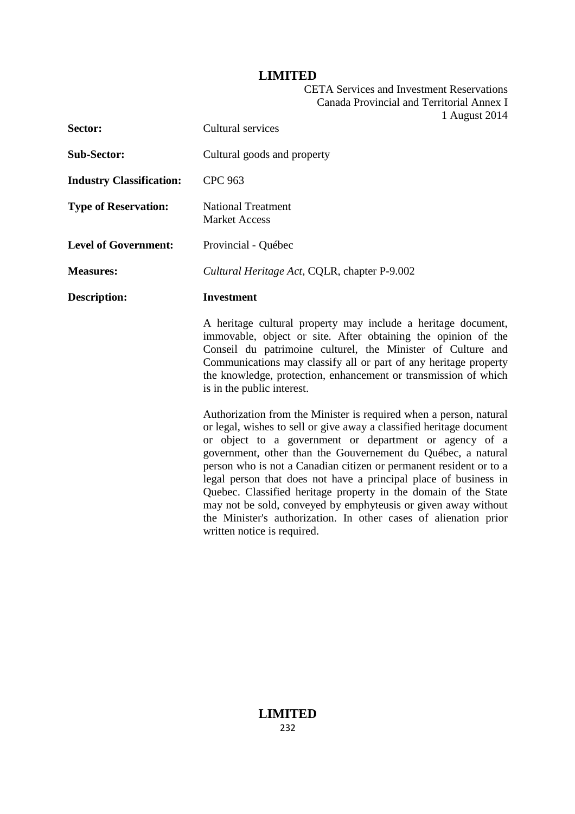CETA Services and Investment Reservations Canada Provincial and Territorial Annex I 1 August 2014

| Sector:                         | Cultural services                                                                                                                                                                                                                                                                                                                                                                                                                                                                                                                                                                                                                                      |
|---------------------------------|--------------------------------------------------------------------------------------------------------------------------------------------------------------------------------------------------------------------------------------------------------------------------------------------------------------------------------------------------------------------------------------------------------------------------------------------------------------------------------------------------------------------------------------------------------------------------------------------------------------------------------------------------------|
| <b>Sub-Sector:</b>              | Cultural goods and property                                                                                                                                                                                                                                                                                                                                                                                                                                                                                                                                                                                                                            |
| <b>Industry Classification:</b> | <b>CPC 963</b>                                                                                                                                                                                                                                                                                                                                                                                                                                                                                                                                                                                                                                         |
| <b>Type of Reservation:</b>     | <b>National Treatment</b><br><b>Market Access</b>                                                                                                                                                                                                                                                                                                                                                                                                                                                                                                                                                                                                      |
| <b>Level of Government:</b>     | Provincial - Québec                                                                                                                                                                                                                                                                                                                                                                                                                                                                                                                                                                                                                                    |
| <b>Measures:</b>                | Cultural Heritage Act, CQLR, chapter P-9.002                                                                                                                                                                                                                                                                                                                                                                                                                                                                                                                                                                                                           |
| Description:                    | <b>Investment</b>                                                                                                                                                                                                                                                                                                                                                                                                                                                                                                                                                                                                                                      |
|                                 | A heritage cultural property may include a heritage document,<br>immovable, object or site. After obtaining the opinion of the<br>Conseil du patrimoine culturel, the Minister of Culture and<br>Communications may classify all or part of any heritage property<br>the knowledge, protection, enhancement or transmission of which<br>is in the public interest.                                                                                                                                                                                                                                                                                     |
|                                 | Authorization from the Minister is required when a person, natural<br>or legal, wishes to sell or give away a classified heritage document<br>or object to a government or department or agency of a<br>government, other than the Gouvernement du Québec, a natural<br>person who is not a Canadian citizen or permanent resident or to a<br>legal person that does not have a principal place of business in<br>Quebec. Classified heritage property in the domain of the State<br>may not be sold, conveyed by emphyteusis or given away without<br>the Minister's authorization. In other cases of alienation prior<br>written notice is required. |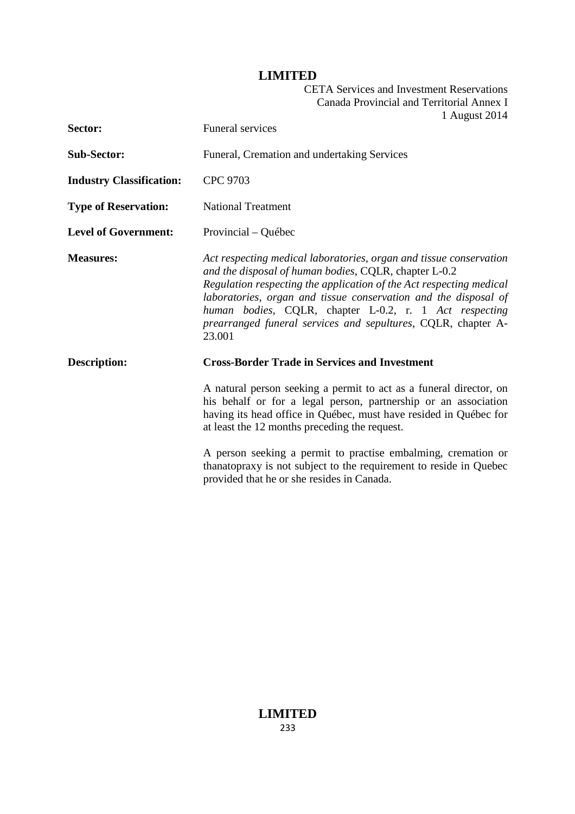| Sector:                         | Funeral services                                                                                                                                                                                                                                                                                                                                                                                                                                                                                         |
|---------------------------------|----------------------------------------------------------------------------------------------------------------------------------------------------------------------------------------------------------------------------------------------------------------------------------------------------------------------------------------------------------------------------------------------------------------------------------------------------------------------------------------------------------|
| <b>Sub-Sector:</b>              | Funeral, Cremation and undertaking Services                                                                                                                                                                                                                                                                                                                                                                                                                                                              |
| <b>Industry Classification:</b> | CPC 9703                                                                                                                                                                                                                                                                                                                                                                                                                                                                                                 |
| <b>Type of Reservation:</b>     | <b>National Treatment</b>                                                                                                                                                                                                                                                                                                                                                                                                                                                                                |
| <b>Level of Government:</b>     | Provincial – Québec                                                                                                                                                                                                                                                                                                                                                                                                                                                                                      |
| <b>Measures:</b>                | Act respecting medical laboratories, organ and tissue conservation<br>and the disposal of human bodies, CQLR, chapter L-0.2<br>Regulation respecting the application of the Act respecting medical<br>laboratories, organ and tissue conservation and the disposal of<br>human bodies, CQLR, chapter L-0.2, r. 1 Act respecting<br>prearranged funeral services and sepultures, CQLR, chapter A-<br>23.001                                                                                               |
| <b>Description:</b>             | <b>Cross-Border Trade in Services and Investment</b><br>A natural person seeking a permit to act as a funeral director, on<br>his behalf or for a legal person, partnership or an association<br>having its head office in Québec, must have resided in Québec for<br>at least the 12 months preceding the request.<br>A person seeking a permit to practise embalming, cremation or<br>thanatopraxy is not subject to the requirement to reside in Quebec<br>provided that he or she resides in Canada. |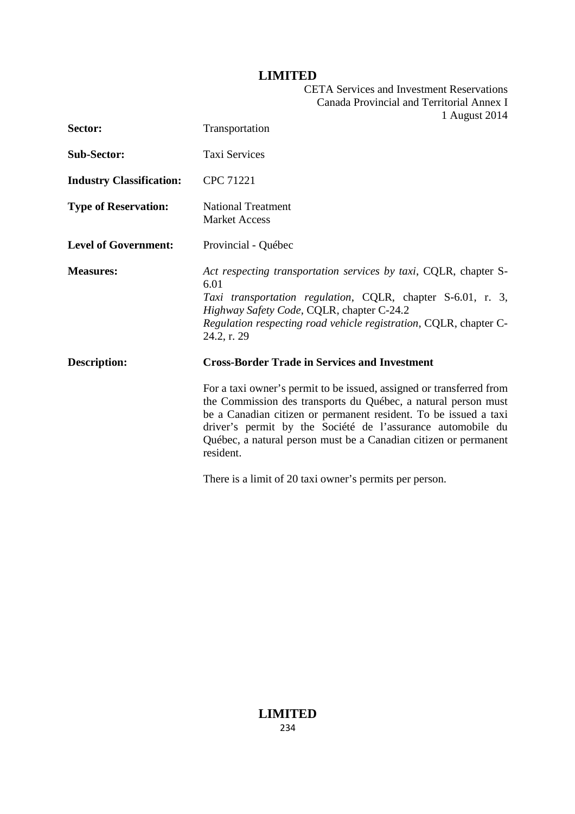CETA Services and Investment Reservations Canada Provincial and Territorial Annex I 1 August 2014

| Sector:                         | Transportation                                                                                                                                                                                                                                                                                                                                                                                                     |
|---------------------------------|--------------------------------------------------------------------------------------------------------------------------------------------------------------------------------------------------------------------------------------------------------------------------------------------------------------------------------------------------------------------------------------------------------------------|
| <b>Sub-Sector:</b>              | <b>Taxi Services</b>                                                                                                                                                                                                                                                                                                                                                                                               |
| <b>Industry Classification:</b> | CPC 71221                                                                                                                                                                                                                                                                                                                                                                                                          |
| <b>Type of Reservation:</b>     | <b>National Treatment</b><br><b>Market Access</b>                                                                                                                                                                                                                                                                                                                                                                  |
| <b>Level of Government:</b>     | Provincial - Québec                                                                                                                                                                                                                                                                                                                                                                                                |
| <b>Measures:</b>                | Act respecting transportation services by taxi, CQLR, chapter S-<br>6.01<br>Taxi transportation regulation, CQLR, chapter S-6.01, r. 3,<br>Highway Safety Code, CQLR, chapter C-24.2<br>Regulation respecting road vehicle registration, CQLR, chapter C-<br>24.2, r. 29                                                                                                                                           |
| <b>Description:</b>             | <b>Cross-Border Trade in Services and Investment</b><br>For a taxi owner's permit to be issued, assigned or transferred from<br>the Commission des transports du Québec, a natural person must<br>be a Canadian citizen or permanent resident. To be issued a taxi<br>driver's permit by the Société de l'assurance automobile du<br>Québec, a natural person must be a Canadian citizen or permanent<br>resident. |

There is a limit of 20 taxi owner's permits per person.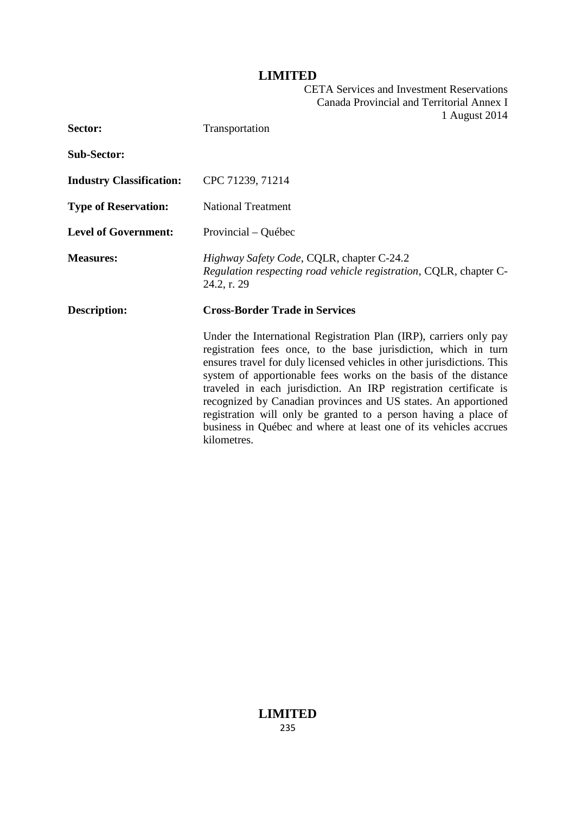| Sector:                         | Transportation                                                                                                                                                                                                                                                                                                                                                                                                                                                                                                                                                                   |
|---------------------------------|----------------------------------------------------------------------------------------------------------------------------------------------------------------------------------------------------------------------------------------------------------------------------------------------------------------------------------------------------------------------------------------------------------------------------------------------------------------------------------------------------------------------------------------------------------------------------------|
| <b>Sub-Sector:</b>              |                                                                                                                                                                                                                                                                                                                                                                                                                                                                                                                                                                                  |
| <b>Industry Classification:</b> | CPC 71239, 71214                                                                                                                                                                                                                                                                                                                                                                                                                                                                                                                                                                 |
| <b>Type of Reservation:</b>     | <b>National Treatment</b>                                                                                                                                                                                                                                                                                                                                                                                                                                                                                                                                                        |
| <b>Level of Government:</b>     | Provincial – Québec                                                                                                                                                                                                                                                                                                                                                                                                                                                                                                                                                              |
| <b>Measures:</b>                | Highway Safety Code, CQLR, chapter C-24.2<br>Regulation respecting road vehicle registration, CQLR, chapter C-<br>24.2, r. 29                                                                                                                                                                                                                                                                                                                                                                                                                                                    |
| Description:                    | <b>Cross-Border Trade in Services</b>                                                                                                                                                                                                                                                                                                                                                                                                                                                                                                                                            |
|                                 | Under the International Registration Plan (IRP), carriers only pay<br>registration fees once, to the base jurisdiction, which in turn<br>ensures travel for duly licensed vehicles in other jurisdictions. This<br>system of apportionable fees works on the basis of the distance<br>traveled in each jurisdiction. An IRP registration certificate is<br>recognized by Canadian provinces and US states. An apportioned<br>registration will only be granted to a person having a place of<br>business in Québec and where at least one of its vehicles accrues<br>kilometres. |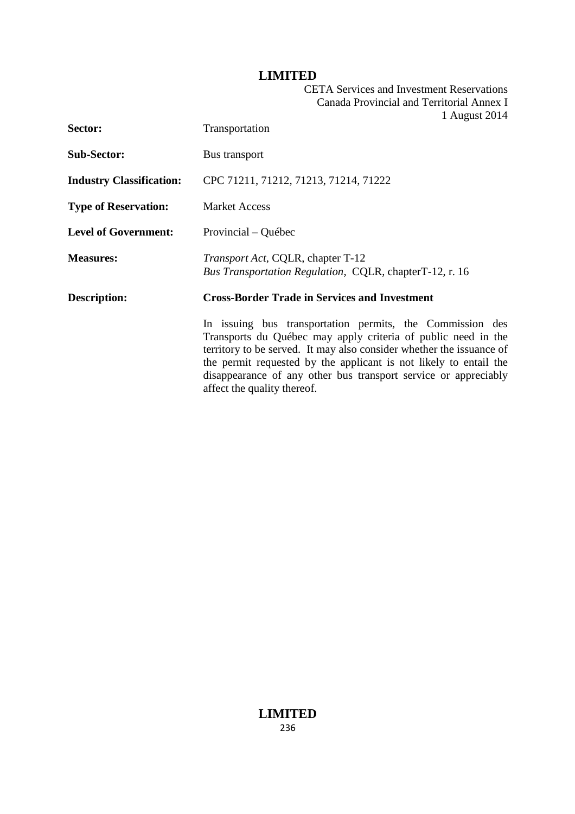CETA Services and Investment Reservations Canada Provincial and Territorial Annex I 1 August 2014

| Sector:                         | Transportation                                                                                                                                                                                                                                                                                                                                                            |
|---------------------------------|---------------------------------------------------------------------------------------------------------------------------------------------------------------------------------------------------------------------------------------------------------------------------------------------------------------------------------------------------------------------------|
| <b>Sub-Sector:</b>              | Bus transport                                                                                                                                                                                                                                                                                                                                                             |
| <b>Industry Classification:</b> | CPC 71211, 71212, 71213, 71214, 71222                                                                                                                                                                                                                                                                                                                                     |
| <b>Type of Reservation:</b>     | <b>Market Access</b>                                                                                                                                                                                                                                                                                                                                                      |
| <b>Level of Government:</b>     | Provincial – Québec                                                                                                                                                                                                                                                                                                                                                       |
| <b>Measures:</b>                | Transport Act, CQLR, chapter T-12<br>Bus Transportation Regulation, CQLR, chapterT-12, r. 16                                                                                                                                                                                                                                                                              |
| Description:                    | <b>Cross-Border Trade in Services and Investment</b>                                                                                                                                                                                                                                                                                                                      |
|                                 | In issuing bus transportation permits, the Commission des<br>Transports du Québec may apply criteria of public need in the<br>territory to be served. It may also consider whether the issuance of<br>the permit requested by the applicant is not likely to entail the<br>disappearance of any other bus transport service or appreciably<br>affect the quality thereof. |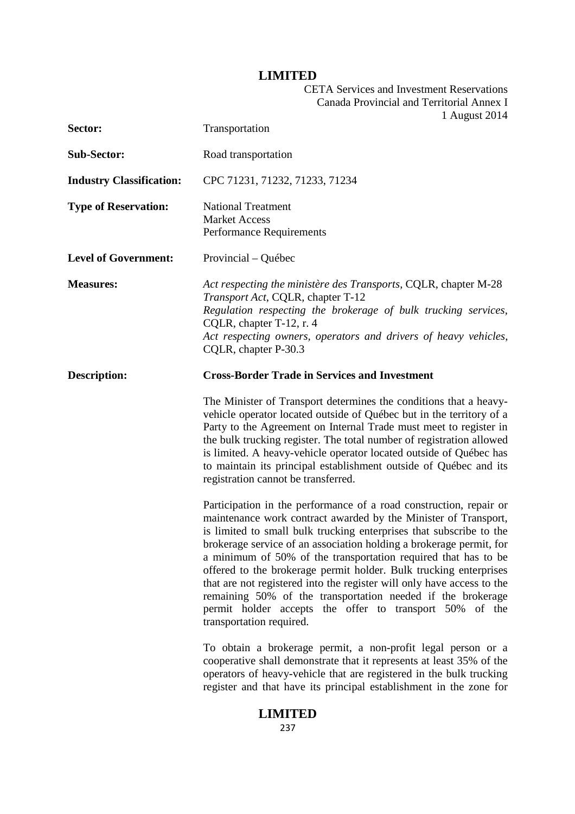| Sector:                         | Transportation                                                                                                                                                                                                                                                                                                                                                                                                                                                                                                                                                                                                                                             |
|---------------------------------|------------------------------------------------------------------------------------------------------------------------------------------------------------------------------------------------------------------------------------------------------------------------------------------------------------------------------------------------------------------------------------------------------------------------------------------------------------------------------------------------------------------------------------------------------------------------------------------------------------------------------------------------------------|
| <b>Sub-Sector:</b>              | Road transportation                                                                                                                                                                                                                                                                                                                                                                                                                                                                                                                                                                                                                                        |
| <b>Industry Classification:</b> | CPC 71231, 71232, 71233, 71234                                                                                                                                                                                                                                                                                                                                                                                                                                                                                                                                                                                                                             |
| <b>Type of Reservation:</b>     | <b>National Treatment</b><br><b>Market Access</b><br><b>Performance Requirements</b>                                                                                                                                                                                                                                                                                                                                                                                                                                                                                                                                                                       |
| <b>Level of Government:</b>     | Provincial – Québec                                                                                                                                                                                                                                                                                                                                                                                                                                                                                                                                                                                                                                        |
| <b>Measures:</b>                | Act respecting the ministère des Transports, CQLR, chapter M-28<br>Transport Act, CQLR, chapter T-12<br>Regulation respecting the brokerage of bulk trucking services,<br>CQLR, chapter T-12, r. 4<br>Act respecting owners, operators and drivers of heavy vehicles,<br>CQLR, chapter P-30.3                                                                                                                                                                                                                                                                                                                                                              |
| <b>Description:</b>             | <b>Cross-Border Trade in Services and Investment</b>                                                                                                                                                                                                                                                                                                                                                                                                                                                                                                                                                                                                       |
|                                 | The Minister of Transport determines the conditions that a heavy-<br>vehicle operator located outside of Québec but in the territory of a<br>Party to the Agreement on Internal Trade must meet to register in<br>the bulk trucking register. The total number of registration allowed<br>is limited. A heavy-vehicle operator located outside of Québec has<br>to maintain its principal establishment outside of Québec and its<br>registration cannot be transferred.                                                                                                                                                                                   |
|                                 | Participation in the performance of a road construction, repair or<br>maintenance work contract awarded by the Minister of Transport,<br>is limited to small bulk trucking enterprises that subscribe to the<br>brokerage service of an association holding a brokerage permit, for<br>a minimum of 50% of the transportation required that has to be<br>offered to the brokerage permit holder. Bulk trucking enterprises<br>that are not registered into the register will only have access to the<br>remaining 50% of the transportation needed if the brokerage<br>permit holder accepts the offer to transport 50% of the<br>transportation required. |
|                                 | To obtain a brokerage permit, a non-profit legal person or a<br>cooperative shall demonstrate that it represents at least 35% of the<br>operators of heavy-vehicle that are registered in the bulk trucking<br>register and that have its principal establishment in the zone for                                                                                                                                                                                                                                                                                                                                                                          |
|                                 | <b>LIMITED</b>                                                                                                                                                                                                                                                                                                                                                                                                                                                                                                                                                                                                                                             |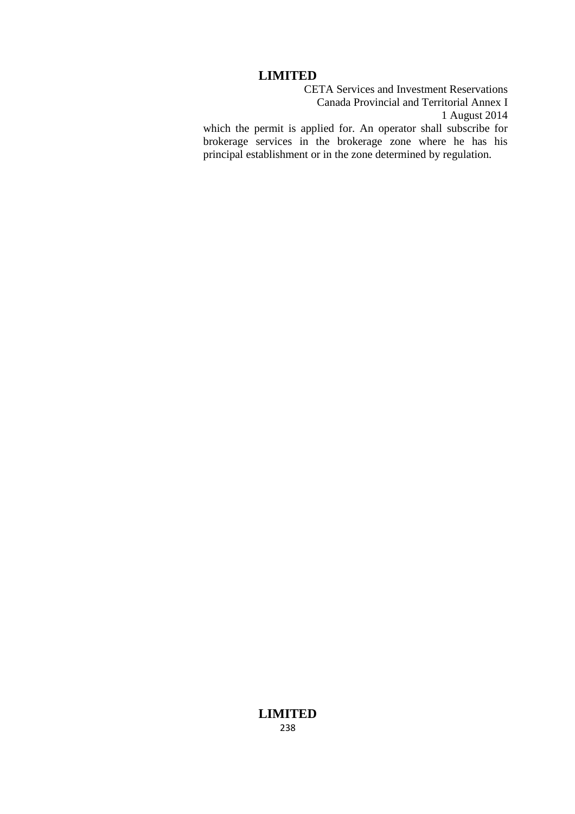CETA Services and Investment Reservations Canada Provincial and Territorial Annex I 1 August 2014 which the permit is applied for. An operator shall subscribe for brokerage services in the brokerage zone where he has his principal establishment or in the zone determined by regulation.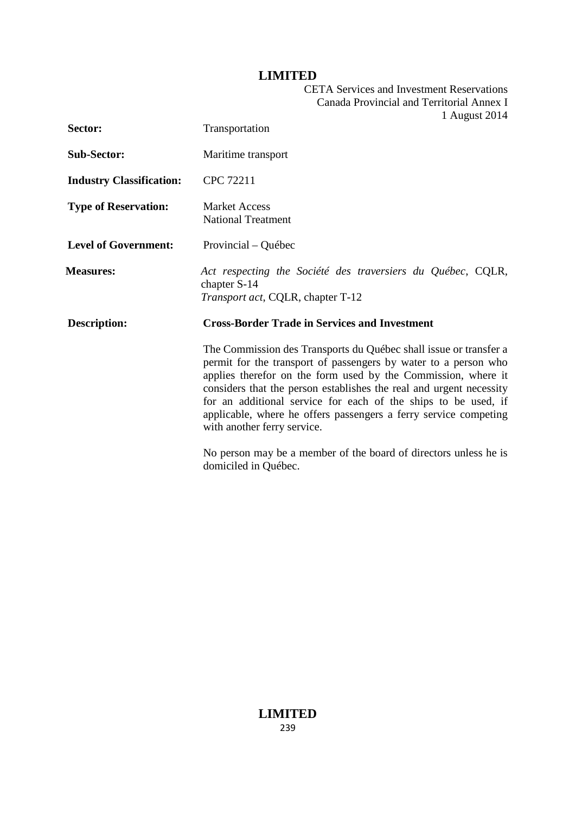| Sector:                         | Transportation                                                                                                                                                                                                                                                                                                                                                                                                                                    |
|---------------------------------|---------------------------------------------------------------------------------------------------------------------------------------------------------------------------------------------------------------------------------------------------------------------------------------------------------------------------------------------------------------------------------------------------------------------------------------------------|
| <b>Sub-Sector:</b>              | Maritime transport                                                                                                                                                                                                                                                                                                                                                                                                                                |
| <b>Industry Classification:</b> | CPC 72211                                                                                                                                                                                                                                                                                                                                                                                                                                         |
| <b>Type of Reservation:</b>     | <b>Market Access</b><br><b>National Treatment</b>                                                                                                                                                                                                                                                                                                                                                                                                 |
| <b>Level of Government:</b>     | Provincial – Québec                                                                                                                                                                                                                                                                                                                                                                                                                               |
| <b>Measures:</b>                | Act respecting the Société des traversiers du Québec, CQLR,<br>chapter S-14<br>Transport act, CQLR, chapter T-12                                                                                                                                                                                                                                                                                                                                  |
| Description:                    | <b>Cross-Border Trade in Services and Investment</b>                                                                                                                                                                                                                                                                                                                                                                                              |
|                                 | The Commission des Transports du Québec shall issue or transfer a<br>permit for the transport of passengers by water to a person who<br>applies therefor on the form used by the Commission, where it<br>considers that the person establishes the real and urgent necessity<br>for an additional service for each of the ships to be used, if<br>applicable, where he offers passengers a ferry service competing<br>with another ferry service. |
|                                 | No person may be a member of the board of directors unless he is<br>domiciled in Québec.                                                                                                                                                                                                                                                                                                                                                          |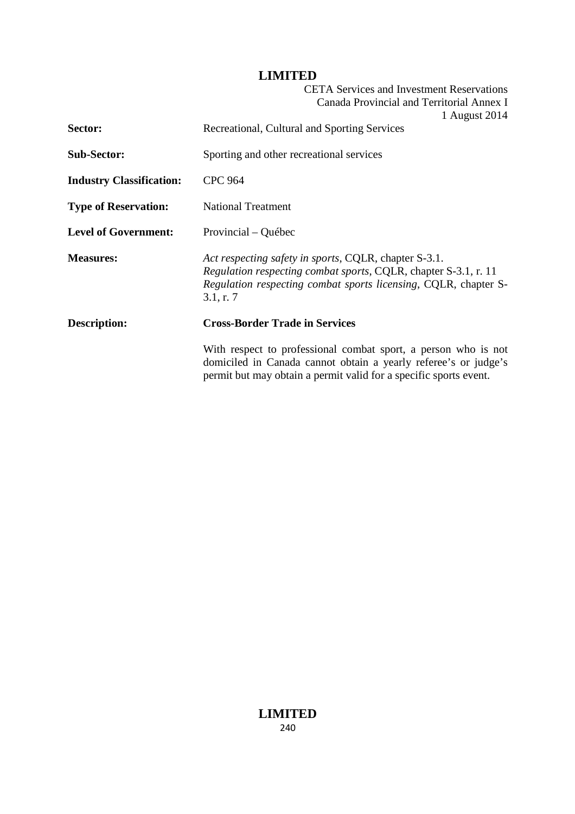#### **LIMITED** CETA Services and Investment Reservations

|                                 | Canada Provincial and Territorial Annex I                                                                                                                                                                |
|---------------------------------|----------------------------------------------------------------------------------------------------------------------------------------------------------------------------------------------------------|
| Sector:                         | 1 August 2014<br>Recreational, Cultural and Sporting Services                                                                                                                                            |
| <b>Sub-Sector:</b>              | Sporting and other recreational services                                                                                                                                                                 |
| <b>Industry Classification:</b> | <b>CPC 964</b>                                                                                                                                                                                           |
| <b>Type of Reservation:</b>     | <b>National Treatment</b>                                                                                                                                                                                |
| <b>Level of Government:</b>     | Provincial – Québec                                                                                                                                                                                      |
| <b>Measures:</b>                | Act respecting safety in sports, CQLR, chapter S-3.1.<br>Regulation respecting combat sports, CQLR, chapter S-3.1, r. 11<br>Regulation respecting combat sports licensing, CQLR, chapter S-<br>3.1, r. 7 |
| Description:                    | <b>Cross-Border Trade in Services</b>                                                                                                                                                                    |
|                                 | With respect to professional combat sport, a person who is not<br>domiciled in Canada cannot obtain a yearly referee's or judge's<br>permit but may obtain a permit valid for a specific sports event.   |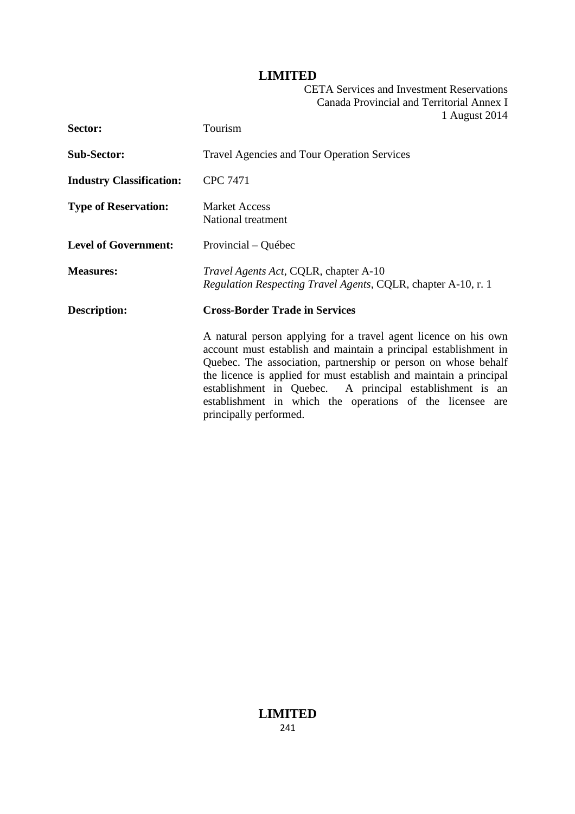| Sector:                         | Tourism                                                                                                                                                                                                                                                                                                                                                                                                                        |
|---------------------------------|--------------------------------------------------------------------------------------------------------------------------------------------------------------------------------------------------------------------------------------------------------------------------------------------------------------------------------------------------------------------------------------------------------------------------------|
| <b>Sub-Sector:</b>              | <b>Travel Agencies and Tour Operation Services</b>                                                                                                                                                                                                                                                                                                                                                                             |
| <b>Industry Classification:</b> | CPC 7471                                                                                                                                                                                                                                                                                                                                                                                                                       |
| <b>Type of Reservation:</b>     | <b>Market Access</b><br>National treatment                                                                                                                                                                                                                                                                                                                                                                                     |
| <b>Level of Government:</b>     | Provincial – Québec                                                                                                                                                                                                                                                                                                                                                                                                            |
| <b>Measures:</b>                | <i>Travel Agents Act, CQLR, chapter A-10</i><br>Regulation Respecting Travel Agents, CQLR, chapter A-10, r. 1                                                                                                                                                                                                                                                                                                                  |
| Description:                    | <b>Cross-Border Trade in Services</b>                                                                                                                                                                                                                                                                                                                                                                                          |
|                                 | A natural person applying for a travel agent licence on his own<br>account must establish and maintain a principal establishment in<br>Quebec. The association, partnership or person on whose behalf<br>the licence is applied for must establish and maintain a principal<br>establishment in Quebec. A principal establishment is an<br>establishment in which the operations of the licensee are<br>principally performed. |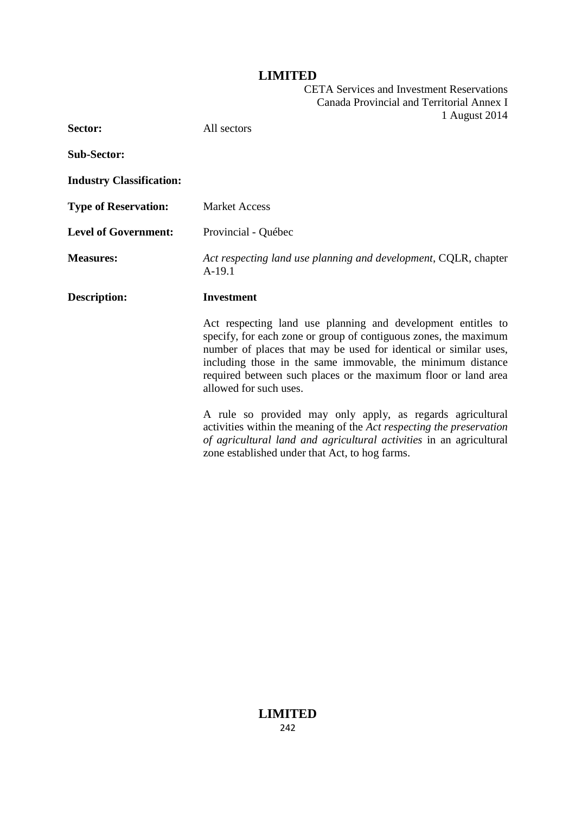| Sector:                         | All sectors                                                                                                                                                                                                                                                                                                                                                     |
|---------------------------------|-----------------------------------------------------------------------------------------------------------------------------------------------------------------------------------------------------------------------------------------------------------------------------------------------------------------------------------------------------------------|
| <b>Sub-Sector:</b>              |                                                                                                                                                                                                                                                                                                                                                                 |
| <b>Industry Classification:</b> |                                                                                                                                                                                                                                                                                                                                                                 |
| <b>Type of Reservation:</b>     | <b>Market Access</b>                                                                                                                                                                                                                                                                                                                                            |
| <b>Level of Government:</b>     | Provincial - Québec                                                                                                                                                                                                                                                                                                                                             |
| <b>Measures:</b>                | Act respecting land use planning and development, CQLR, chapter<br>$A-19.1$                                                                                                                                                                                                                                                                                     |
| Description:                    | <b>Investment</b>                                                                                                                                                                                                                                                                                                                                               |
|                                 | Act respecting land use planning and development entitles to<br>specify, for each zone or group of contiguous zones, the maximum<br>number of places that may be used for identical or similar uses,<br>including those in the same immovable, the minimum distance<br>required between such places or the maximum floor or land area<br>allowed for such uses. |
|                                 |                                                                                                                                                                                                                                                                                                                                                                 |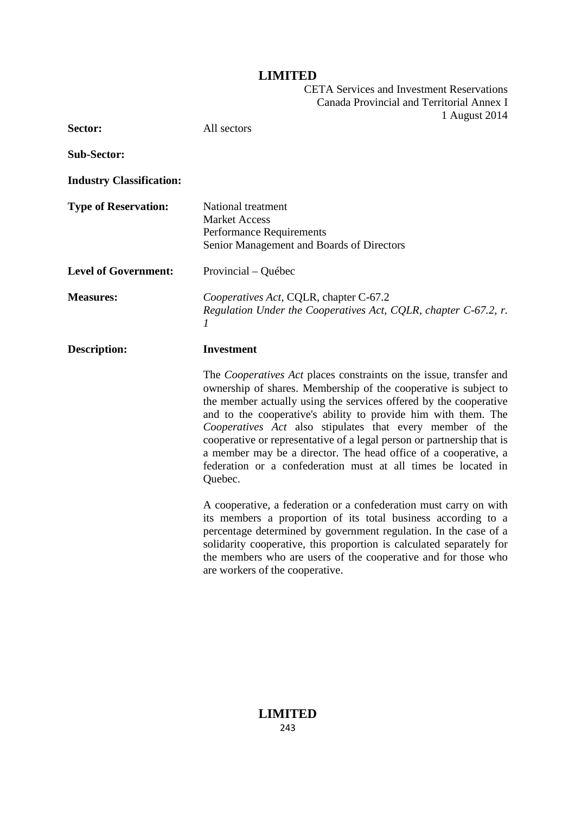| Sector:                         | All sectors                                                                                                                                                                                                                                                                                                                                                                                                                                                                                                                                                         |
|---------------------------------|---------------------------------------------------------------------------------------------------------------------------------------------------------------------------------------------------------------------------------------------------------------------------------------------------------------------------------------------------------------------------------------------------------------------------------------------------------------------------------------------------------------------------------------------------------------------|
|                                 |                                                                                                                                                                                                                                                                                                                                                                                                                                                                                                                                                                     |
| <b>Sub-Sector:</b>              |                                                                                                                                                                                                                                                                                                                                                                                                                                                                                                                                                                     |
| <b>Industry Classification:</b> |                                                                                                                                                                                                                                                                                                                                                                                                                                                                                                                                                                     |
| <b>Type of Reservation:</b>     | National treatment<br><b>Market Access</b><br><b>Performance Requirements</b><br>Senior Management and Boards of Directors                                                                                                                                                                                                                                                                                                                                                                                                                                          |
| <b>Level of Government:</b>     | Provincial – Québec                                                                                                                                                                                                                                                                                                                                                                                                                                                                                                                                                 |
| <b>Measures:</b>                | Cooperatives Act, CQLR, chapter C-67.2<br>Regulation Under the Cooperatives Act, CQLR, chapter C-67.2, r.<br>I                                                                                                                                                                                                                                                                                                                                                                                                                                                      |
| <b>Description:</b>             | <b>Investment</b>                                                                                                                                                                                                                                                                                                                                                                                                                                                                                                                                                   |
|                                 | The Cooperatives Act places constraints on the issue, transfer and<br>ownership of shares. Membership of the cooperative is subject to<br>the member actually using the services offered by the cooperative<br>and to the cooperative's ability to provide him with them. The<br>Cooperatives Act also stipulates that every member of the<br>cooperative or representative of a legal person or partnership that is<br>a member may be a director. The head office of a cooperative, a<br>federation or a confederation must at all times be located in<br>Quebec. |
|                                 | A cooperative, a federation or a confederation must carry on with<br>its members a proportion of its total business according to a<br>percentage determined by government regulation. In the case of a<br>solidarity cooperative, this proportion is calculated separately for<br>the members who are users of the cooperative and for those who<br>are workers of the cooperative.                                                                                                                                                                                 |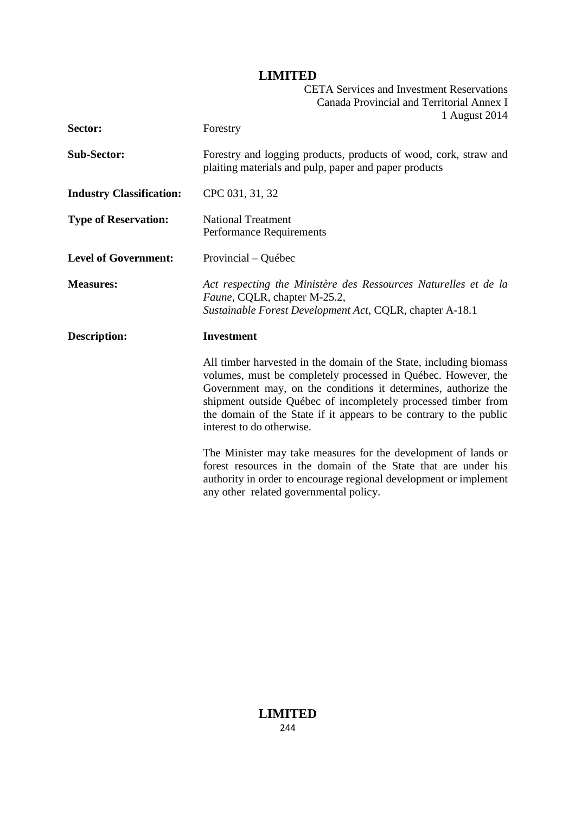CETA Services and Investment Reservations Canada Provincial and Territorial Annex I 1 August 2014

| Sector:                         | Forestry                                                                                                                                                                                                                                                                                                                                                                  |
|---------------------------------|---------------------------------------------------------------------------------------------------------------------------------------------------------------------------------------------------------------------------------------------------------------------------------------------------------------------------------------------------------------------------|
| <b>Sub-Sector:</b>              | Forestry and logging products, products of wood, cork, straw and<br>plaiting materials and pulp, paper and paper products                                                                                                                                                                                                                                                 |
| <b>Industry Classification:</b> | CPC 031, 31, 32                                                                                                                                                                                                                                                                                                                                                           |
| <b>Type of Reservation:</b>     | <b>National Treatment</b><br><b>Performance Requirements</b>                                                                                                                                                                                                                                                                                                              |
| <b>Level of Government:</b>     | Provincial – Québec                                                                                                                                                                                                                                                                                                                                                       |
| <b>Measures:</b>                | Act respecting the Ministère des Ressources Naturelles et de la<br>Faune, CQLR, chapter M-25.2,<br>Sustainable Forest Development Act, CQLR, chapter A-18.1                                                                                                                                                                                                               |
| <b>Description:</b>             | <b>Investment</b>                                                                                                                                                                                                                                                                                                                                                         |
|                                 | All timber harvested in the domain of the State, including biomass<br>volumes, must be completely processed in Québec. However, the<br>Government may, on the conditions it determines, authorize the<br>shipment outside Québec of incompletely processed timber from<br>the domain of the State if it appears to be contrary to the public<br>interest to do otherwise. |
|                                 | The Minister may take measures for the development of lands or<br>forest resources in the domain of the State that are under his<br>authority in order to encourage regional development or implement<br>any other related governmental policy.                                                                                                                           |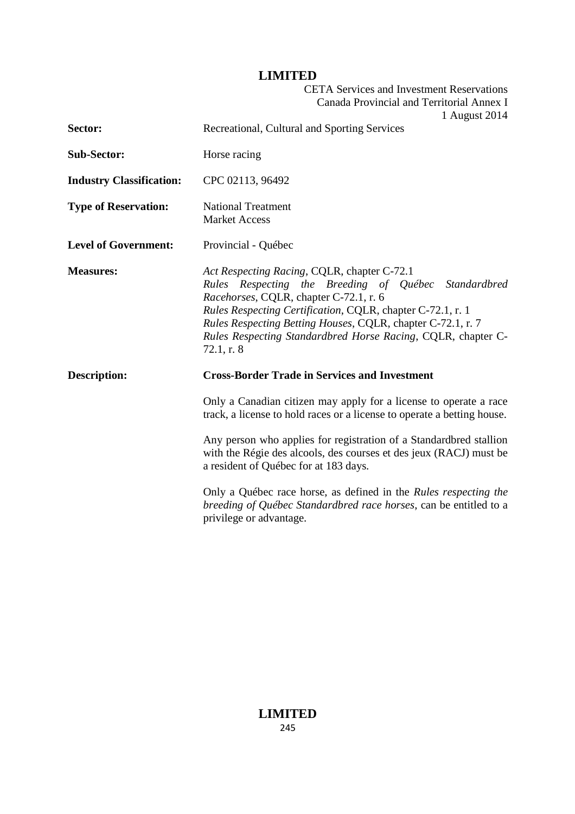| Sector:                         | $1.1$ $\mu$ <sub>5</sub> $\mu$ <sub>2</sub> $\mu$ <sub>7</sub> $\tau$<br>Recreational, Cultural and Sporting Services                                                                                                                                                                                                                                                                                                                                                                                                                                         |
|---------------------------------|---------------------------------------------------------------------------------------------------------------------------------------------------------------------------------------------------------------------------------------------------------------------------------------------------------------------------------------------------------------------------------------------------------------------------------------------------------------------------------------------------------------------------------------------------------------|
| <b>Sub-Sector:</b>              | Horse racing                                                                                                                                                                                                                                                                                                                                                                                                                                                                                                                                                  |
| <b>Industry Classification:</b> | CPC 02113, 96492                                                                                                                                                                                                                                                                                                                                                                                                                                                                                                                                              |
| <b>Type of Reservation:</b>     | <b>National Treatment</b><br><b>Market Access</b>                                                                                                                                                                                                                                                                                                                                                                                                                                                                                                             |
| <b>Level of Government:</b>     | Provincial - Québec                                                                                                                                                                                                                                                                                                                                                                                                                                                                                                                                           |
| <b>Measures:</b>                | Act Respecting Racing, CQLR, chapter C-72.1<br>Standardbred<br>Rules Respecting the Breeding of Québec<br>Racehorses, CQLR, chapter C-72.1, r. 6<br>Rules Respecting Certification, CQLR, chapter C-72.1, r. 1<br>Rules Respecting Betting Houses, CQLR, chapter C-72.1, r. 7<br>Rules Respecting Standardbred Horse Racing, CQLR, chapter C-<br>72.1, r. 8                                                                                                                                                                                                   |
| <b>Description:</b>             | <b>Cross-Border Trade in Services and Investment</b><br>Only a Canadian citizen may apply for a license to operate a race<br>track, a license to hold races or a license to operate a betting house.<br>Any person who applies for registration of a Standardbred stallion<br>with the Régie des alcools, des courses et des jeux (RACJ) must be<br>a resident of Québec for at 183 days.<br>Only a Québec race horse, as defined in the Rules respecting the<br>breeding of Québec Standardbred race horses, can be entitled to a<br>privilege or advantage. |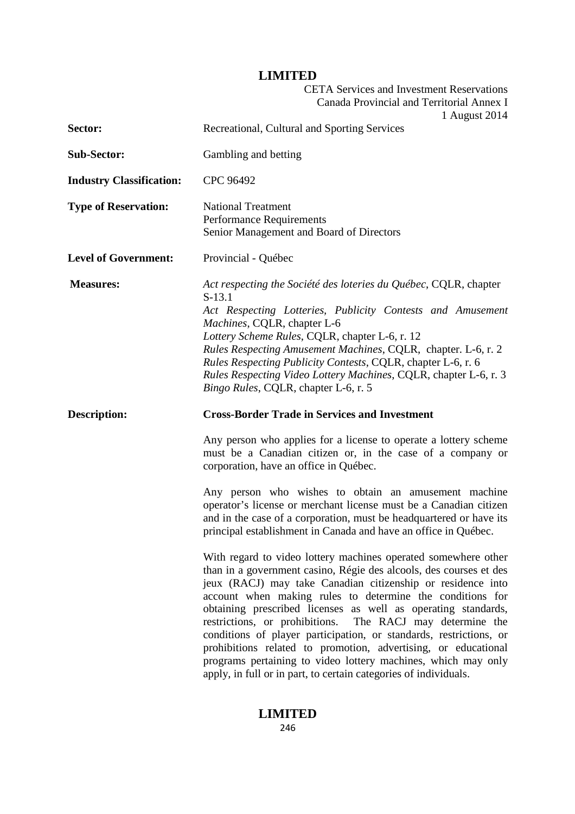| Sector:                         | $\frac{1 \text{ August}}{2014}$<br>Recreational, Cultural and Sporting Services                                                                                                                                                                                                                                                                                                                                                                                          |
|---------------------------------|--------------------------------------------------------------------------------------------------------------------------------------------------------------------------------------------------------------------------------------------------------------------------------------------------------------------------------------------------------------------------------------------------------------------------------------------------------------------------|
| <b>Sub-Sector:</b>              | Gambling and betting                                                                                                                                                                                                                                                                                                                                                                                                                                                     |
| <b>Industry Classification:</b> | CPC 96492                                                                                                                                                                                                                                                                                                                                                                                                                                                                |
| <b>Type of Reservation:</b>     | <b>National Treatment</b><br><b>Performance Requirements</b><br>Senior Management and Board of Directors                                                                                                                                                                                                                                                                                                                                                                 |
| <b>Level of Government:</b>     | Provincial - Québec                                                                                                                                                                                                                                                                                                                                                                                                                                                      |
| <b>Measures:</b>                | Act respecting the Société des loteries du Québec, CQLR, chapter<br>$S-13.1$<br>Act Respecting Lotteries, Publicity Contests and Amusement<br>Machines, CQLR, chapter L-6<br>Lottery Scheme Rules, CQLR, chapter L-6, r. 12<br>Rules Respecting Amusement Machines, CQLR, chapter. L-6, r. 2<br>Rules Respecting Publicity Contests, CQLR, chapter L-6, r. 6<br>Rules Respecting Video Lottery Machines, CQLR, chapter L-6, r. 3<br>Bingo Rules, CQLR, chapter L-6, r. 5 |
|                                 |                                                                                                                                                                                                                                                                                                                                                                                                                                                                          |
| <b>Description:</b>             | <b>Cross-Border Trade in Services and Investment</b>                                                                                                                                                                                                                                                                                                                                                                                                                     |
|                                 | Any person who applies for a license to operate a lottery scheme<br>must be a Canadian citizen or, in the case of a company or<br>corporation, have an office in Québec.                                                                                                                                                                                                                                                                                                 |
|                                 | Any person who wishes to obtain an amusement machine<br>operator's license or merchant license must be a Canadian citizen<br>and in the case of a corporation, must be headquartered or have its<br>principal establishment in Canada and have an office in Québec.                                                                                                                                                                                                      |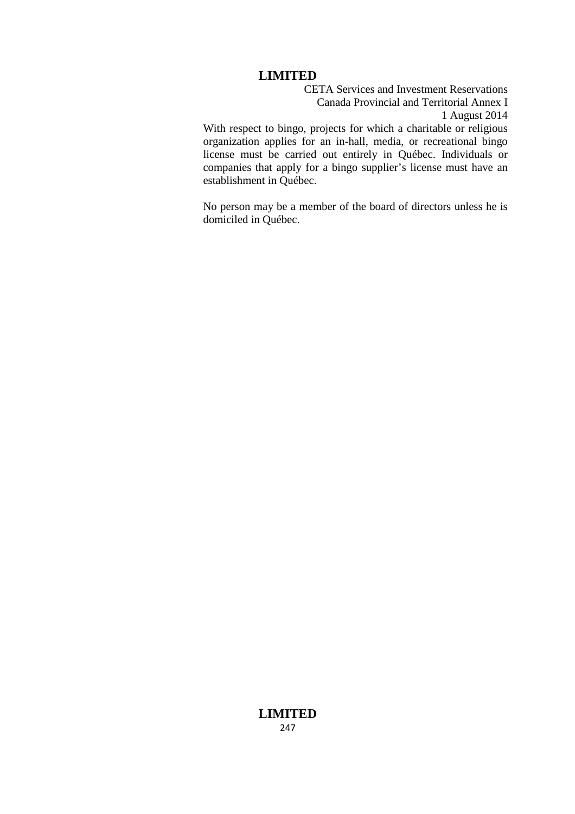CETA Services and Investment Reservations Canada Provincial and Territorial Annex I 1 August 2014 With respect to bingo, projects for which a charitable or religious organization applies for an in-hall, media, or recreational bingo license must be carried out entirely in Québec. Individuals or companies that apply for a bingo supplier's license must have an establishment in Québec.

No person may be a member of the board of directors unless he is domiciled in Québec.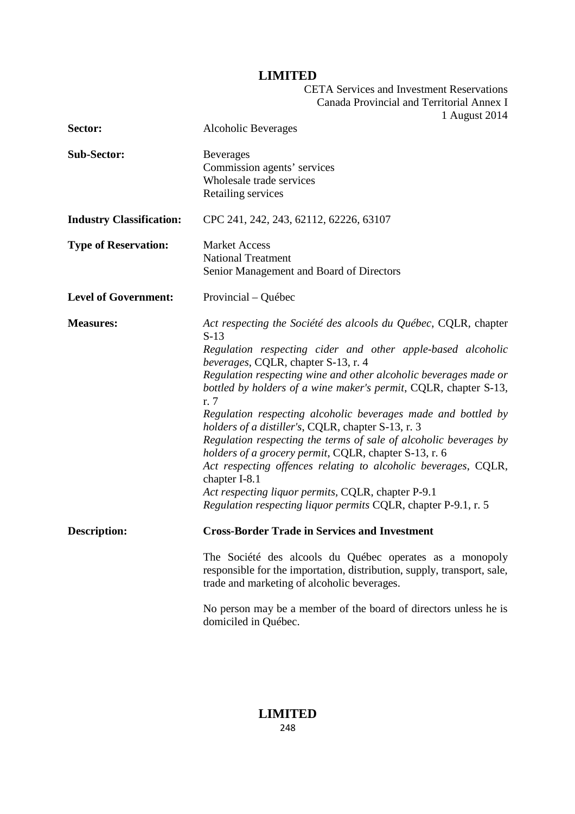| Sector:                         | Alcoholic Beverages                                                                                                                                                                                                                                                                                                                                                                                                                                                                                                                                                                                                                                                                                                                                                                             |
|---------------------------------|-------------------------------------------------------------------------------------------------------------------------------------------------------------------------------------------------------------------------------------------------------------------------------------------------------------------------------------------------------------------------------------------------------------------------------------------------------------------------------------------------------------------------------------------------------------------------------------------------------------------------------------------------------------------------------------------------------------------------------------------------------------------------------------------------|
| <b>Sub-Sector:</b>              | <b>Beverages</b><br>Commission agents' services<br>Wholesale trade services<br>Retailing services                                                                                                                                                                                                                                                                                                                                                                                                                                                                                                                                                                                                                                                                                               |
| <b>Industry Classification:</b> | CPC 241, 242, 243, 62112, 62226, 63107                                                                                                                                                                                                                                                                                                                                                                                                                                                                                                                                                                                                                                                                                                                                                          |
| <b>Type of Reservation:</b>     | <b>Market Access</b><br><b>National Treatment</b><br>Senior Management and Board of Directors                                                                                                                                                                                                                                                                                                                                                                                                                                                                                                                                                                                                                                                                                                   |
| <b>Level of Government:</b>     | Provincial - Québec                                                                                                                                                                                                                                                                                                                                                                                                                                                                                                                                                                                                                                                                                                                                                                             |
| <b>Measures:</b>                | Act respecting the Société des alcools du Québec, CQLR, chapter<br>$S-13$<br>Regulation respecting cider and other apple-based alcoholic<br>beverages, CQLR, chapter S-13, r. 4<br>Regulation respecting wine and other alcoholic beverages made or<br>bottled by holders of a wine maker's permit, CQLR, chapter S-13,<br>r. 7<br>Regulation respecting alcoholic beverages made and bottled by<br>holders of a distiller's, CQLR, chapter S-13, r. 3<br>Regulation respecting the terms of sale of alcoholic beverages by<br>holders of a grocery permit, CQLR, chapter S-13, r. 6<br>Act respecting offences relating to alcoholic beverages, CQLR,<br>chapter I-8.1<br>Act respecting liquor permits, CQLR, chapter P-9.1<br>Regulation respecting liquor permits CQLR, chapter P-9.1, r. 5 |
| Description:                    | <b>Cross-Border Trade in Services and Investment</b>                                                                                                                                                                                                                                                                                                                                                                                                                                                                                                                                                                                                                                                                                                                                            |
|                                 | The Société des alcools du Québec operates as a monopoly<br>responsible for the importation, distribution, supply, transport, sale,<br>trade and marketing of alcoholic beverages.                                                                                                                                                                                                                                                                                                                                                                                                                                                                                                                                                                                                              |
|                                 | No person may be a member of the board of directors unless he is<br>domiciled in Québec.                                                                                                                                                                                                                                                                                                                                                                                                                                                                                                                                                                                                                                                                                                        |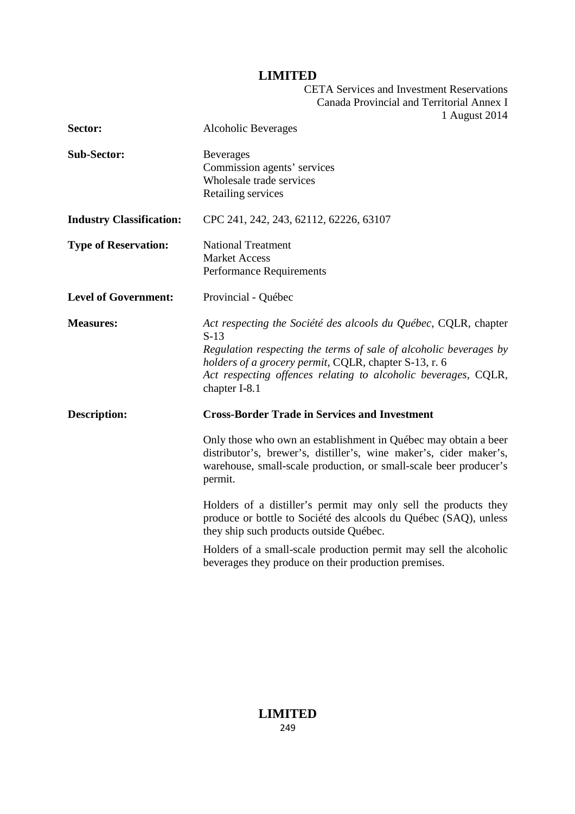| Sector:                         | Alcoholic Beverages                                                                                                                                                                                                                                                                        |
|---------------------------------|--------------------------------------------------------------------------------------------------------------------------------------------------------------------------------------------------------------------------------------------------------------------------------------------|
| <b>Sub-Sector:</b>              | <b>Beverages</b><br>Commission agents' services<br>Wholesale trade services<br>Retailing services                                                                                                                                                                                          |
| <b>Industry Classification:</b> | CPC 241, 242, 243, 62112, 62226, 63107                                                                                                                                                                                                                                                     |
| <b>Type of Reservation:</b>     | <b>National Treatment</b><br><b>Market Access</b><br><b>Performance Requirements</b>                                                                                                                                                                                                       |
| <b>Level of Government:</b>     | Provincial - Québec                                                                                                                                                                                                                                                                        |
| <b>Measures:</b>                | Act respecting the Société des alcools du Québec, CQLR, chapter<br>$S-13$<br>Regulation respecting the terms of sale of alcoholic beverages by<br>holders of a grocery permit, CQLR, chapter S-13, r. 6<br>Act respecting offences relating to alcoholic beverages, CQLR,<br>chapter I-8.1 |
| <b>Description:</b>             | <b>Cross-Border Trade in Services and Investment</b>                                                                                                                                                                                                                                       |
|                                 | Only those who own an establishment in Québec may obtain a beer<br>distributor's, brewer's, distiller's, wine maker's, cider maker's,<br>warehouse, small-scale production, or small-scale beer producer's<br>permit.                                                                      |
|                                 | Holders of a distiller's permit may only sell the products they<br>produce or bottle to Société des alcools du Québec (SAQ), unless<br>they ship such products outside Québec.                                                                                                             |
|                                 | Holders of a small-scale production permit may sell the alcoholic<br>beverages they produce on their production premises.                                                                                                                                                                  |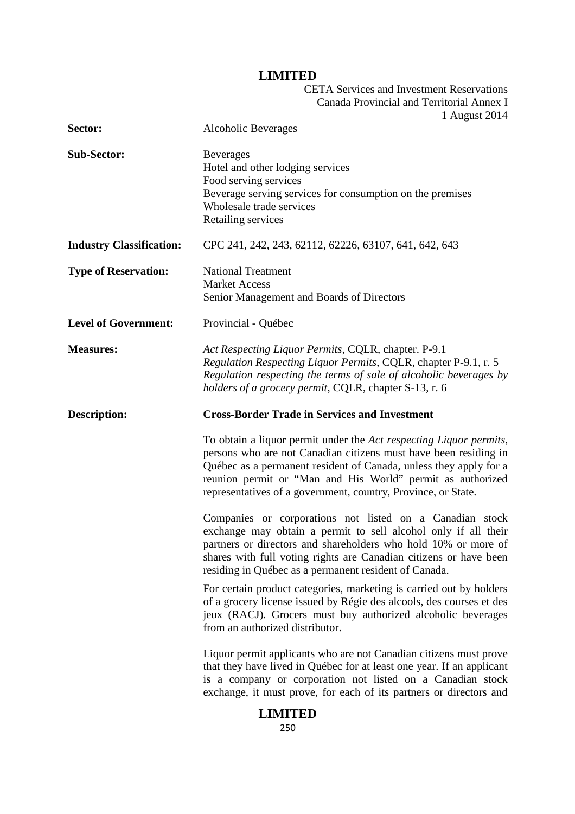CETA Services and Investment Reservations Canada Provincial and Territorial Annex I 1 August 2014

| Sector:                         | <b>Alcoholic Beverages</b>                                                                                                                                                                                                                                                                                                                 |
|---------------------------------|--------------------------------------------------------------------------------------------------------------------------------------------------------------------------------------------------------------------------------------------------------------------------------------------------------------------------------------------|
| <b>Sub-Sector:</b>              | <b>Beverages</b><br>Hotel and other lodging services<br>Food serving services<br>Beverage serving services for consumption on the premises<br>Wholesale trade services<br>Retailing services                                                                                                                                               |
| <b>Industry Classification:</b> | CPC 241, 242, 243, 62112, 62226, 63107, 641, 642, 643                                                                                                                                                                                                                                                                                      |
| <b>Type of Reservation:</b>     | <b>National Treatment</b><br><b>Market Access</b><br>Senior Management and Boards of Directors                                                                                                                                                                                                                                             |
| <b>Level of Government:</b>     | Provincial - Québec                                                                                                                                                                                                                                                                                                                        |
| <b>Measures:</b>                | Act Respecting Liquor Permits, CQLR, chapter. P-9.1<br>Regulation Respecting Liquor Permits, CQLR, chapter P-9.1, r. 5<br>Regulation respecting the terms of sale of alcoholic beverages by<br>holders of a grocery permit, CQLR, chapter S-13, r. 6                                                                                       |
| <b>Description:</b>             | <b>Cross-Border Trade in Services and Investment</b>                                                                                                                                                                                                                                                                                       |
|                                 | To obtain a liquor permit under the Act respecting Liquor permits,<br>persons who are not Canadian citizens must have been residing in<br>Québec as a permanent resident of Canada, unless they apply for a<br>reunion permit or "Man and His World" permit as authorized<br>representatives of a government, country, Province, or State. |
|                                 | Companies or corporations not listed on a Canadian stock<br>exchange may obtain a permit to sell alcohol only if all their<br>partners or directors and shareholders who hold 10% or more of<br>shares with full voting rights are Canadian citizens or have been<br>residing in Québec as a permanent resident of Canada.                 |
|                                 | For certain product categories, marketing is carried out by holders<br>of a grocery license issued by Régie des alcools, des courses et des<br>jeux (RACJ). Grocers must buy authorized alcoholic beverages<br>from an authorized distributor.                                                                                             |
|                                 | Liquor permit applicants who are not Canadian citizens must prove<br>that they have lived in Québec for at least one year. If an applicant<br>is a company or corporation not listed on a Canadian stock<br>exchange, it must prove, for each of its partners or directors and                                                             |
| <b>LIMITED</b>                  |                                                                                                                                                                                                                                                                                                                                            |

250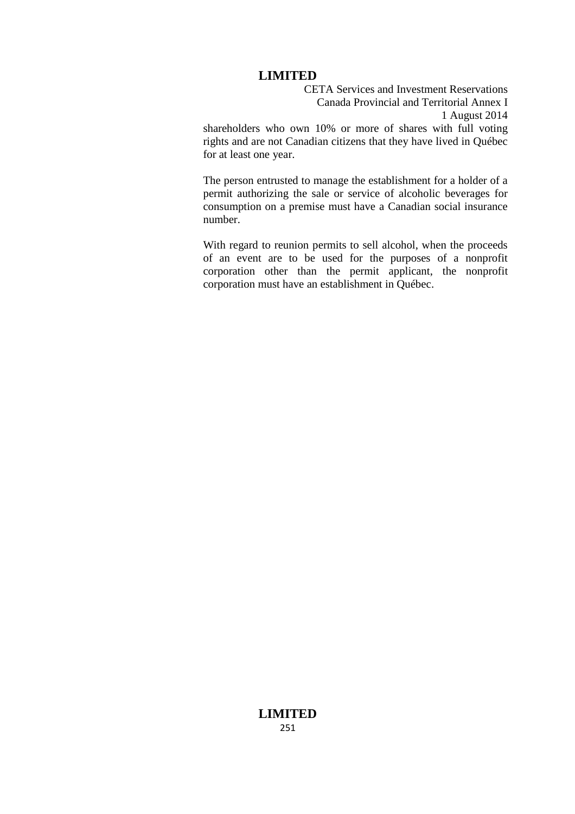CETA Services and Investment Reservations Canada Provincial and Territorial Annex I 1 August 2014 shareholders who own 10% or more of shares with full voting rights and are not Canadian citizens that they have lived in Québec for at least one year.

The person entrusted to manage the establishment for a holder of a permit authorizing the sale or service of alcoholic beverages for consumption on a premise must have a Canadian social insurance number.

With regard to reunion permits to sell alcohol, when the proceeds of an event are to be used for the purposes of a nonprofit corporation other than the permit applicant, the nonprofit corporation must have an establishment in Québec.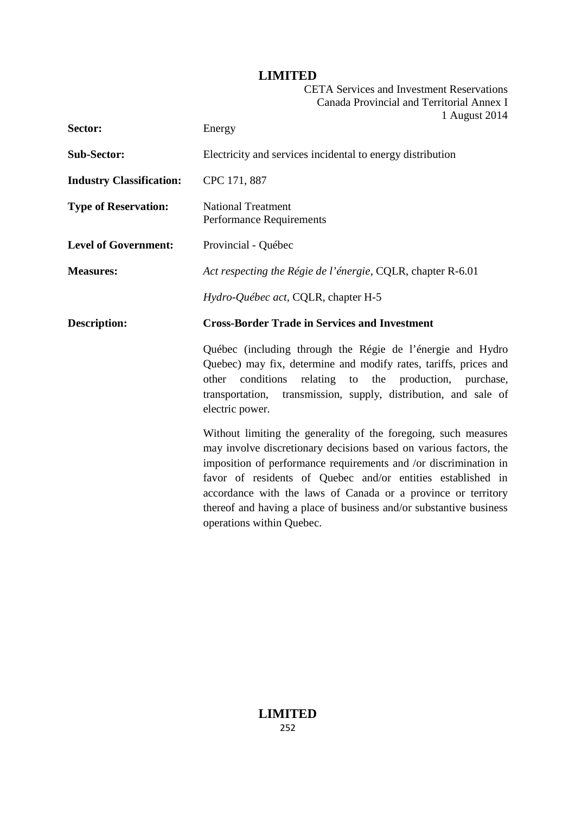| Sector:                         | Energy                                                                                                                                                                                                                                                                                                                                                                                                                                      |
|---------------------------------|---------------------------------------------------------------------------------------------------------------------------------------------------------------------------------------------------------------------------------------------------------------------------------------------------------------------------------------------------------------------------------------------------------------------------------------------|
| <b>Sub-Sector:</b>              | Electricity and services incidental to energy distribution                                                                                                                                                                                                                                                                                                                                                                                  |
| <b>Industry Classification:</b> | CPC 171, 887                                                                                                                                                                                                                                                                                                                                                                                                                                |
| <b>Type of Reservation:</b>     | <b>National Treatment</b><br>Performance Requirements                                                                                                                                                                                                                                                                                                                                                                                       |
| <b>Level of Government:</b>     | Provincial - Québec                                                                                                                                                                                                                                                                                                                                                                                                                         |
| <b>Measures:</b>                | Act respecting the Régie de l'énergie, CQLR, chapter R-6.01                                                                                                                                                                                                                                                                                                                                                                                 |
|                                 | Hydro-Québec act, CQLR, chapter H-5                                                                                                                                                                                                                                                                                                                                                                                                         |
| <b>Description:</b>             | <b>Cross-Border Trade in Services and Investment</b>                                                                                                                                                                                                                                                                                                                                                                                        |
|                                 | Québec (including through the Régie de l'énergie and Hydro<br>Quebec) may fix, determine and modify rates, tariffs, prices and<br>other conditions<br>relating<br>to the<br>production, purchase,<br>transportation, transmission, supply, distribution, and sale of<br>electric power.                                                                                                                                                     |
|                                 | Without limiting the generality of the foregoing, such measures<br>may involve discretionary decisions based on various factors, the<br>imposition of performance requirements and /or discrimination in<br>favor of residents of Quebec and/or entities established in<br>accordance with the laws of Canada or a province or territory<br>thereof and having a place of business and/or substantive business<br>operations within Quebec. |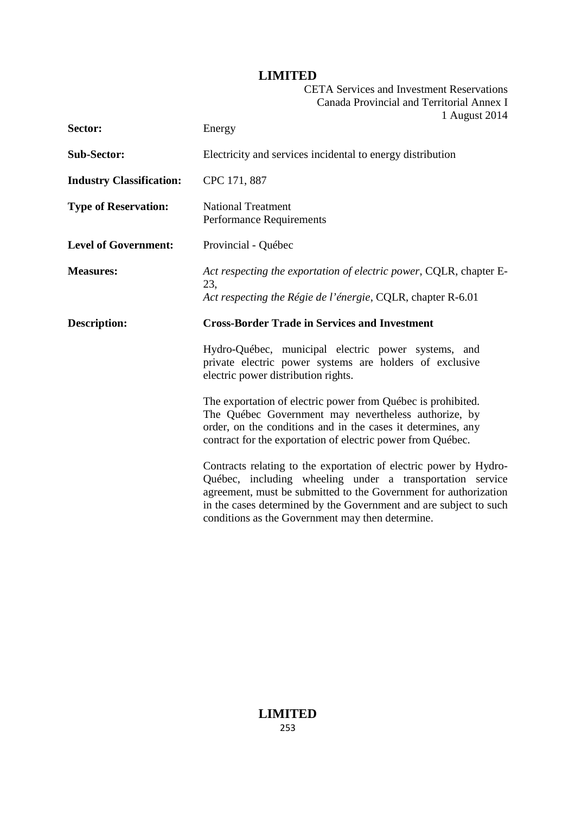CETA Services and Investment Reservations Canada Provincial and Territorial Annex I 1 August 2014

| Sector:                         | Energy                                                                                                                                                                                                                                              |
|---------------------------------|-----------------------------------------------------------------------------------------------------------------------------------------------------------------------------------------------------------------------------------------------------|
| <b>Sub-Sector:</b>              | Electricity and services incidental to energy distribution                                                                                                                                                                                          |
| <b>Industry Classification:</b> | CPC 171, 887                                                                                                                                                                                                                                        |
| <b>Type of Reservation:</b>     | <b>National Treatment</b><br><b>Performance Requirements</b>                                                                                                                                                                                        |
| <b>Level of Government:</b>     | Provincial - Québec                                                                                                                                                                                                                                 |
| <b>Measures:</b>                | Act respecting the exportation of electric power, CQLR, chapter E-<br>23,                                                                                                                                                                           |
|                                 | Act respecting the Régie de l'énergie, CQLR, chapter R-6.01                                                                                                                                                                                         |
| <b>Description:</b>             | <b>Cross-Border Trade in Services and Investment</b>                                                                                                                                                                                                |
|                                 |                                                                                                                                                                                                                                                     |
|                                 | Hydro-Québec, municipal electric power systems, and<br>private electric power systems are holders of exclusive<br>electric power distribution rights.                                                                                               |
|                                 | The exportation of electric power from Québec is prohibited.<br>The Québec Government may nevertheless authorize, by<br>order, on the conditions and in the cases it determines, any<br>contract for the exportation of electric power from Québec. |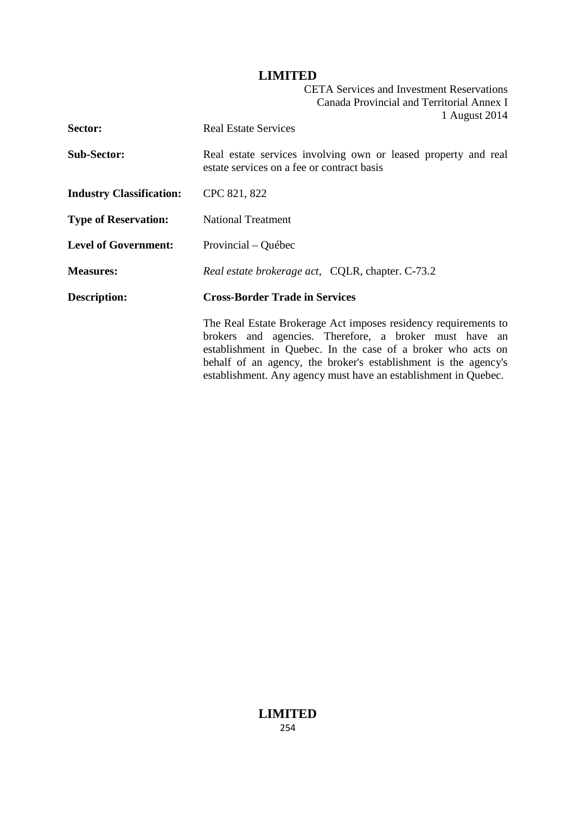CETA Services and Investment Reservations Canada Provincial and Territorial Annex I 1 August 2014

| Sector:                         | <b>Real Estate Services</b>                                                                                                                                                                                                                                                                                                     |
|---------------------------------|---------------------------------------------------------------------------------------------------------------------------------------------------------------------------------------------------------------------------------------------------------------------------------------------------------------------------------|
| <b>Sub-Sector:</b>              | Real estate services involving own or leased property and real<br>estate services on a fee or contract basis                                                                                                                                                                                                                    |
| <b>Industry Classification:</b> | CPC 821, 822                                                                                                                                                                                                                                                                                                                    |
| <b>Type of Reservation:</b>     | <b>National Treatment</b>                                                                                                                                                                                                                                                                                                       |
| <b>Level of Government:</b>     | Provincial – Québec                                                                                                                                                                                                                                                                                                             |
| <b>Measures:</b>                | Real estate brokerage act, CQLR, chapter. C-73.2                                                                                                                                                                                                                                                                                |
| Description:                    | <b>Cross-Border Trade in Services</b>                                                                                                                                                                                                                                                                                           |
|                                 | The Real Estate Brokerage Act imposes residency requirements to<br>brokers and agencies. Therefore, a broker must have an<br>establishment in Quebec. In the case of a broker who acts on<br>behalf of an agency, the broker's establishment is the agency's<br>establishment. Any agency must have an establishment in Quebec. |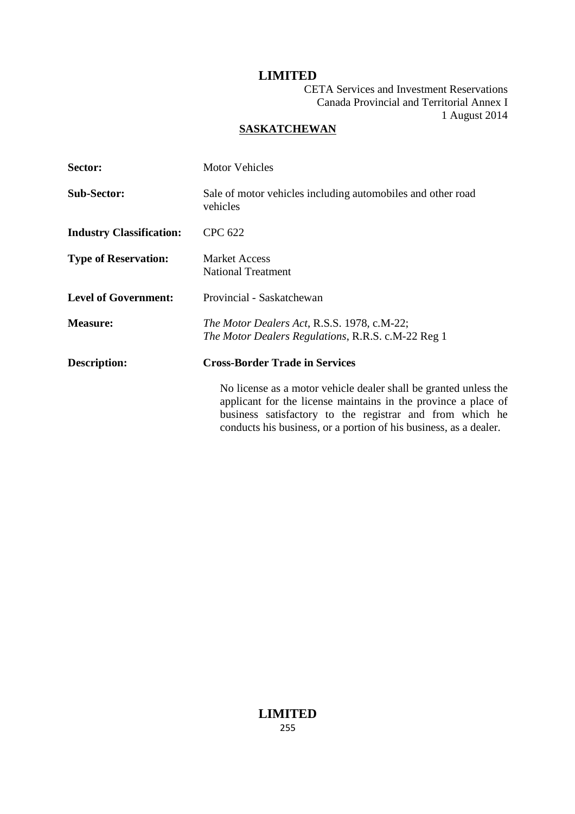CETA Services and Investment Reservations Canada Provincial and Territorial Annex I 1 August 2014

#### **SASKATCHEWAN**

| Sector:                         | <b>Motor Vehicles</b>                                                                                                                                                                                                                                               |
|---------------------------------|---------------------------------------------------------------------------------------------------------------------------------------------------------------------------------------------------------------------------------------------------------------------|
| <b>Sub-Sector:</b>              | Sale of motor vehicles including automobiles and other road<br>vehicles                                                                                                                                                                                             |
| <b>Industry Classification:</b> | <b>CPC 622</b>                                                                                                                                                                                                                                                      |
| <b>Type of Reservation:</b>     | <b>Market Access</b><br><b>National Treatment</b>                                                                                                                                                                                                                   |
| <b>Level of Government:</b>     | Provincial - Saskatchewan                                                                                                                                                                                                                                           |
| <b>Measure:</b>                 | The Motor Dealers Act, R.S.S. 1978, c.M-22;<br>The Motor Dealers Regulations, R.R.S. c.M-22 Reg 1                                                                                                                                                                   |
| Description:                    | <b>Cross-Border Trade in Services</b>                                                                                                                                                                                                                               |
|                                 | No license as a motor vehicle dealer shall be granted unless the<br>applicant for the license maintains in the province a place of<br>business satisfactory to the registrar and from which he<br>conducts his business, or a portion of his business, as a dealer. |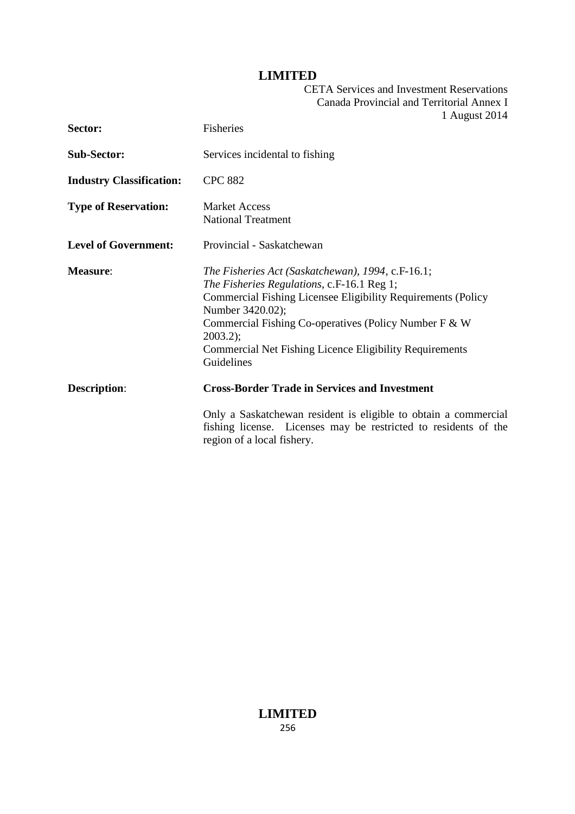| Sector:                         | Fisheries                                                                                                                                                                                                                                                                                                                                         |
|---------------------------------|---------------------------------------------------------------------------------------------------------------------------------------------------------------------------------------------------------------------------------------------------------------------------------------------------------------------------------------------------|
| <b>Sub-Sector:</b>              | Services incidental to fishing                                                                                                                                                                                                                                                                                                                    |
| <b>Industry Classification:</b> | <b>CPC 882</b>                                                                                                                                                                                                                                                                                                                                    |
| <b>Type of Reservation:</b>     | <b>Market Access</b><br><b>National Treatment</b>                                                                                                                                                                                                                                                                                                 |
| <b>Level of Government:</b>     | Provincial - Saskatchewan                                                                                                                                                                                                                                                                                                                         |
| <b>Measure:</b>                 | The Fisheries Act (Saskatchewan), 1994, c.F-16.1;<br>The Fisheries Regulations, c.F-16.1 Reg 1;<br><b>Commercial Fishing Licensee Eligibility Requirements (Policy</b><br>Number 3420.02);<br>Commercial Fishing Co-operatives (Policy Number F & W<br>$2003.2$ ;<br><b>Commercial Net Fishing Licence Eligibility Requirements</b><br>Guidelines |
| <b>Description:</b>             | <b>Cross-Border Trade in Services and Investment</b>                                                                                                                                                                                                                                                                                              |
|                                 | Only a Saskatchewan resident is eligible to obtain a commercial<br>fishing license. Licenses may be restricted to residents of the<br>region of a local fishery.                                                                                                                                                                                  |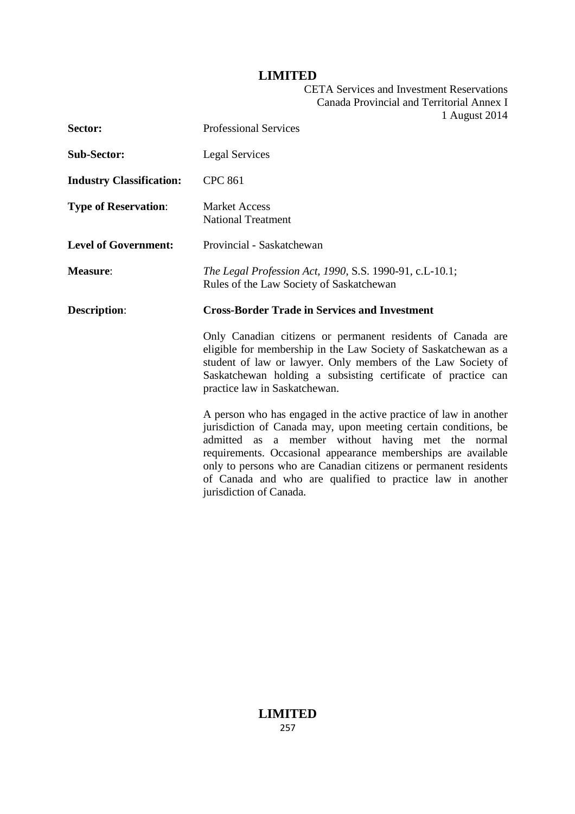CETA Services and Investment Reservations Canada Provincial and Territorial Annex I 1 August 2014

| Sector:                         | <b>Professional Services</b>                                                                                                                                                                                                                                                                                                                                                                                             |
|---------------------------------|--------------------------------------------------------------------------------------------------------------------------------------------------------------------------------------------------------------------------------------------------------------------------------------------------------------------------------------------------------------------------------------------------------------------------|
| <b>Sub-Sector:</b>              | <b>Legal Services</b>                                                                                                                                                                                                                                                                                                                                                                                                    |
| <b>Industry Classification:</b> | <b>CPC 861</b>                                                                                                                                                                                                                                                                                                                                                                                                           |
| <b>Type of Reservation:</b>     | <b>Market Access</b><br><b>National Treatment</b>                                                                                                                                                                                                                                                                                                                                                                        |
| <b>Level of Government:</b>     | Provincial - Saskatchewan                                                                                                                                                                                                                                                                                                                                                                                                |
| <b>Measure:</b>                 | The Legal Profession Act, 1990, S.S. 1990-91, c.L-10.1;<br>Rules of the Law Society of Saskatchewan                                                                                                                                                                                                                                                                                                                      |
| <b>Description:</b>             | <b>Cross-Border Trade in Services and Investment</b>                                                                                                                                                                                                                                                                                                                                                                     |
|                                 | Only Canadian citizens or permanent residents of Canada are<br>eligible for membership in the Law Society of Saskatchewan as a<br>student of law or lawyer. Only members of the Law Society of<br>Saskatchewan holding a subsisting certificate of practice can<br>practice law in Saskatchewan.                                                                                                                         |
|                                 | A person who has engaged in the active practice of law in another<br>jurisdiction of Canada may, upon meeting certain conditions, be<br>admitted as a member without having met the normal<br>requirements. Occasional appearance memberships are available<br>only to persons who are Canadian citizens or permanent residents<br>of Canada and who are qualified to practice law in another<br>jurisdiction of Canada. |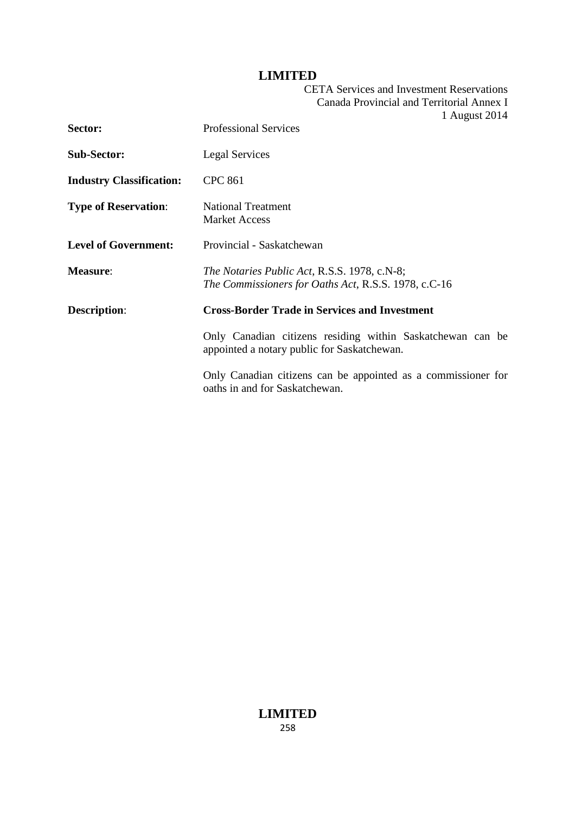CETA Services and Investment Reservations Canada Provincial and Territorial Annex I 1 August 2014

| Sector:                         | <b>Professional Services</b>                                                                              |
|---------------------------------|-----------------------------------------------------------------------------------------------------------|
| <b>Sub-Sector:</b>              | Legal Services                                                                                            |
| <b>Industry Classification:</b> | <b>CPC 861</b>                                                                                            |
| <b>Type of Reservation:</b>     | <b>National Treatment</b><br><b>Market Access</b>                                                         |
| <b>Level of Government:</b>     | Provincial - Saskatchewan                                                                                 |
| <b>Measure:</b>                 | The Notaries Public Act, R.S.S. 1978, c.N-8;<br>The Commissioners for Oaths Act, R.S.S. 1978, c.C-16      |
| <b>Description:</b>             | <b>Cross-Border Trade in Services and Investment</b>                                                      |
|                                 | Only Canadian citizens residing within Saskatchewan can be<br>appointed a notary public for Saskatchewan. |
|                                 | Only Canadian citizens can be appointed as a commissioner for<br>oaths in and for Saskatchewan.           |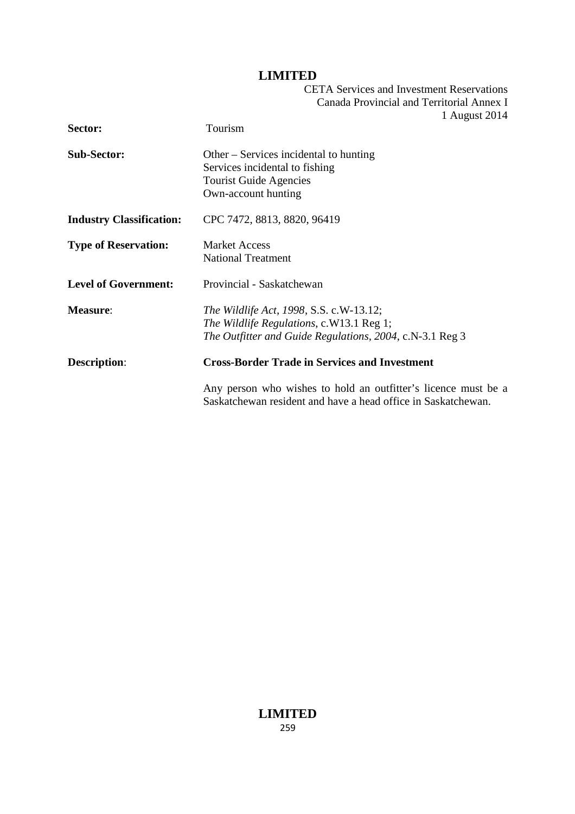CETA Services and Investment Reservations Canada Provincial and Territorial Annex I 1 August 2014

| Sector:                         | Tourism                                                                                                                                                |
|---------------------------------|--------------------------------------------------------------------------------------------------------------------------------------------------------|
| <b>Sub-Sector:</b>              | Other – Services incidental to hunting<br>Services incidental to fishing<br><b>Tourist Guide Agencies</b><br>Own-account hunting                       |
| <b>Industry Classification:</b> | CPC 7472, 8813, 8820, 96419                                                                                                                            |
| <b>Type of Reservation:</b>     | <b>Market Access</b><br><b>National Treatment</b>                                                                                                      |
| <b>Level of Government:</b>     | Provincial - Saskatchewan                                                                                                                              |
| <b>Measure:</b>                 | <i>The Wildlife Act, 1998, S.S. c.W-13.12;</i><br>The Wildlife Regulations, c.W13.1 Reg 1;<br>The Outfitter and Guide Regulations, 2004, c.N-3.1 Reg 3 |
| <b>Description:</b>             | <b>Cross-Border Trade in Services and Investment</b>                                                                                                   |
|                                 | Any person who wishes to hold an outfitter's licence must be a<br>Saskatchewan resident and have a head office in Saskatchewan.                        |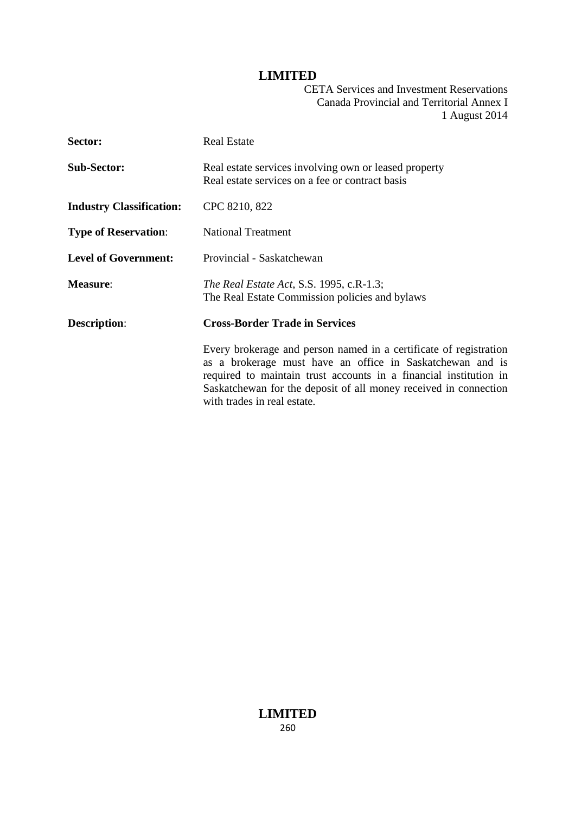CETA Services and Investment Reservations Canada Provincial and Territorial Annex I 1 August 2014

| Sector:                         | <b>Real Estate</b>                                                                                                                                                                                                                                                                                     |
|---------------------------------|--------------------------------------------------------------------------------------------------------------------------------------------------------------------------------------------------------------------------------------------------------------------------------------------------------|
| <b>Sub-Sector:</b>              | Real estate services involving own or leased property<br>Real estate services on a fee or contract basis                                                                                                                                                                                               |
| <b>Industry Classification:</b> | CPC 8210, 822                                                                                                                                                                                                                                                                                          |
| <b>Type of Reservation:</b>     | <b>National Treatment</b>                                                                                                                                                                                                                                                                              |
| <b>Level of Government:</b>     | Provincial - Saskatchewan                                                                                                                                                                                                                                                                              |
| <b>Measure:</b>                 | <i>The Real Estate Act, S.S. 1995, c.R-1.3;</i><br>The Real Estate Commission policies and bylaws                                                                                                                                                                                                      |
| <b>Description:</b>             | <b>Cross-Border Trade in Services</b>                                                                                                                                                                                                                                                                  |
|                                 | Every brokerage and person named in a certificate of registration<br>as a brokerage must have an office in Saskatchewan and is<br>required to maintain trust accounts in a financial institution in<br>Saskatchewan for the deposit of all money received in connection<br>with trades in real estate. |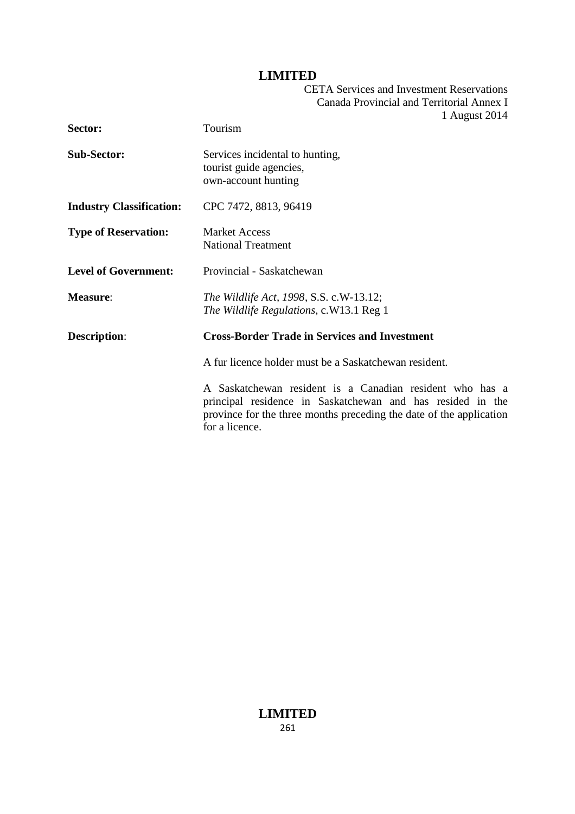CETA Services and Investment Reservations Canada Provincial and Territorial Annex I 1 August 2014

| Sector:                         | Tourism                                                                                                                                                                                                         |
|---------------------------------|-----------------------------------------------------------------------------------------------------------------------------------------------------------------------------------------------------------------|
| <b>Sub-Sector:</b>              | Services incidental to hunting,<br>tourist guide agencies,<br>own-account hunting                                                                                                                               |
| <b>Industry Classification:</b> | CPC 7472, 8813, 96419                                                                                                                                                                                           |
| <b>Type of Reservation:</b>     | <b>Market Access</b><br><b>National Treatment</b>                                                                                                                                                               |
| <b>Level of Government:</b>     | Provincial - Saskatchewan                                                                                                                                                                                       |
| <b>Measure:</b>                 | The Wildlife Act, 1998, S.S. c.W-13.12;<br>The Wildlife Regulations, c.W13.1 Reg 1                                                                                                                              |
| <b>Description:</b>             | <b>Cross-Border Trade in Services and Investment</b>                                                                                                                                                            |
|                                 | A fur licence holder must be a Saskatchewan resident.                                                                                                                                                           |
|                                 | A Saskatchewan resident is a Canadian resident who has a<br>principal residence in Saskatchewan and has resided in the<br>province for the three months preceding the date of the application<br>for a licence. |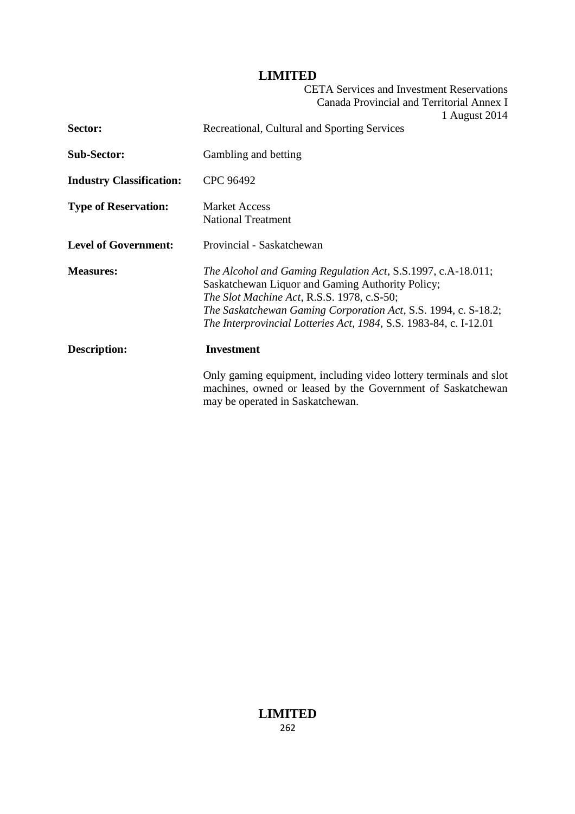CETA Services and Investment Reservations

Canada Provincial and Territorial Annex I 1 August 2014 Sector: Recreational, Cultural and Sporting Services **Sub-Sector:** Gambling and betting **Industry Classification:** CPC 96492 **Type of Reservation:** Market Access National Treatment **Level of Government:** Provincial - Saskatchewan **Measures:** *The Alcohol and Gaming Regulation Act*, S.S.1997, c.A-18.011; Saskatchewan Liquor and Gaming Authority Policy; *The Slot Machine Act*, R.S.S. 1978, c.S-50; *The Saskatchewan Gaming Corporation Act*, S.S. 1994, c. S-18.2; *The Interprovincial Lotteries Act, 1984*, S.S. 1983-84, c. I-12.01 **Description: Investment** Only gaming equipment, including video lottery terminals and slot machines, owned or leased by the Government of Saskatchewan may be operated in Saskatchewan.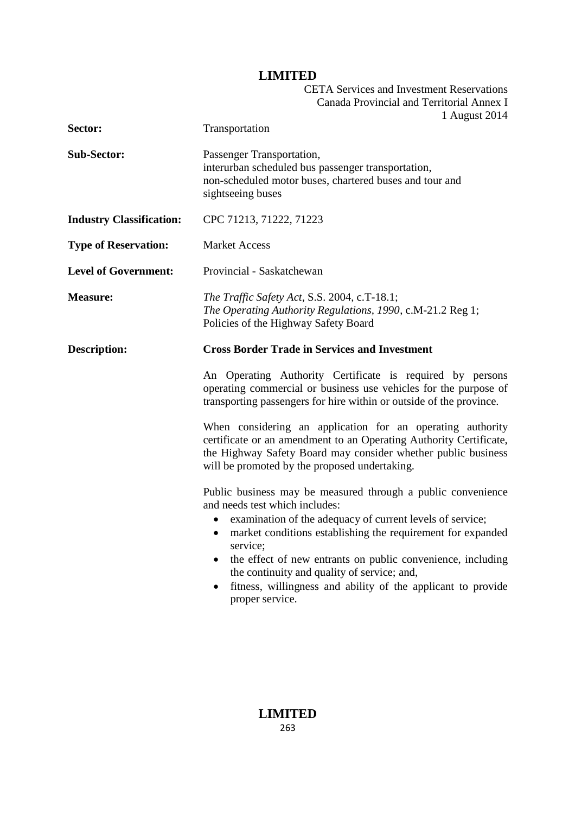| Sector:                         | Transportation                                                                                                                                                                                                                                                                                                                                                                                                                                         |
|---------------------------------|--------------------------------------------------------------------------------------------------------------------------------------------------------------------------------------------------------------------------------------------------------------------------------------------------------------------------------------------------------------------------------------------------------------------------------------------------------|
| <b>Sub-Sector:</b>              | Passenger Transportation,<br>interurban scheduled bus passenger transportation,<br>non-scheduled motor buses, chartered buses and tour and<br>sightseeing buses                                                                                                                                                                                                                                                                                        |
| <b>Industry Classification:</b> | CPC 71213, 71222, 71223                                                                                                                                                                                                                                                                                                                                                                                                                                |
| <b>Type of Reservation:</b>     | <b>Market Access</b>                                                                                                                                                                                                                                                                                                                                                                                                                                   |
| <b>Level of Government:</b>     | Provincial - Saskatchewan                                                                                                                                                                                                                                                                                                                                                                                                                              |
| <b>Measure:</b>                 | The Traffic Safety Act, S.S. 2004, c.T-18.1;<br>The Operating Authority Regulations, 1990, c.M-21.2 Reg 1;<br>Policies of the Highway Safety Board                                                                                                                                                                                                                                                                                                     |
| <b>Description:</b>             | <b>Cross Border Trade in Services and Investment</b>                                                                                                                                                                                                                                                                                                                                                                                                   |
|                                 | An Operating Authority Certificate is required by persons<br>operating commercial or business use vehicles for the purpose of<br>transporting passengers for hire within or outside of the province.                                                                                                                                                                                                                                                   |
|                                 | When considering an application for an operating authority<br>certificate or an amendment to an Operating Authority Certificate,<br>the Highway Safety Board may consider whether public business<br>will be promoted by the proposed undertaking.                                                                                                                                                                                                     |
|                                 | Public business may be measured through a public convenience<br>and needs test which includes:<br>examination of the adequacy of current levels of service;<br>٠<br>market conditions establishing the requirement for expanded<br>٠<br>service;<br>the effect of new entrants on public convenience, including<br>the continuity and quality of service; and,<br>fitness, willingness and ability of the applicant to provide<br>٠<br>proper service. |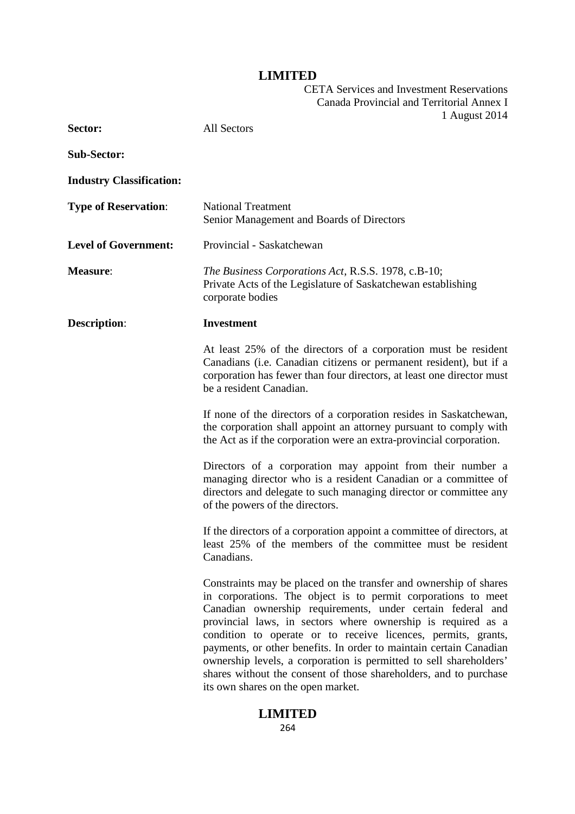| Sector:                         | All Sectors                                                                                                                                                                                                                                                                                                                                                                                                                                                                                                                                                                              |
|---------------------------------|------------------------------------------------------------------------------------------------------------------------------------------------------------------------------------------------------------------------------------------------------------------------------------------------------------------------------------------------------------------------------------------------------------------------------------------------------------------------------------------------------------------------------------------------------------------------------------------|
| <b>Sub-Sector:</b>              |                                                                                                                                                                                                                                                                                                                                                                                                                                                                                                                                                                                          |
| <b>Industry Classification:</b> |                                                                                                                                                                                                                                                                                                                                                                                                                                                                                                                                                                                          |
| <b>Type of Reservation:</b>     | <b>National Treatment</b><br>Senior Management and Boards of Directors                                                                                                                                                                                                                                                                                                                                                                                                                                                                                                                   |
| <b>Level of Government:</b>     | Provincial - Saskatchewan                                                                                                                                                                                                                                                                                                                                                                                                                                                                                                                                                                |
| <b>Measure:</b>                 | The Business Corporations Act, R.S.S. 1978, c.B-10;<br>Private Acts of the Legislature of Saskatchewan establishing<br>corporate bodies                                                                                                                                                                                                                                                                                                                                                                                                                                                  |
| <b>Description:</b>             | <b>Investment</b>                                                                                                                                                                                                                                                                                                                                                                                                                                                                                                                                                                        |
|                                 | At least 25% of the directors of a corporation must be resident<br>Canadians (i.e. Canadian citizens or permanent resident), but if a<br>corporation has fewer than four directors, at least one director must<br>be a resident Canadian.                                                                                                                                                                                                                                                                                                                                                |
|                                 | If none of the directors of a corporation resides in Saskatchewan,<br>the corporation shall appoint an attorney pursuant to comply with<br>the Act as if the corporation were an extra-provincial corporation.                                                                                                                                                                                                                                                                                                                                                                           |
|                                 | Directors of a corporation may appoint from their number a<br>managing director who is a resident Canadian or a committee of<br>directors and delegate to such managing director or committee any<br>of the powers of the directors.                                                                                                                                                                                                                                                                                                                                                     |
|                                 | If the directors of a corporation appoint a committee of directors, at<br>least 25% of the members of the committee must be resident<br>Canadians.                                                                                                                                                                                                                                                                                                                                                                                                                                       |
|                                 | Constraints may be placed on the transfer and ownership of shares<br>in corporations. The object is to permit corporations to meet<br>Canadian ownership requirements, under certain federal and<br>provincial laws, in sectors where ownership is required as a<br>condition to operate or to receive licences, permits, grants,<br>payments, or other benefits. In order to maintain certain Canadian<br>ownership levels, a corporation is permitted to sell shareholders'<br>shares without the consent of those shareholders, and to purchase<br>its own shares on the open market. |
|                                 | <b>LIMITED</b>                                                                                                                                                                                                                                                                                                                                                                                                                                                                                                                                                                           |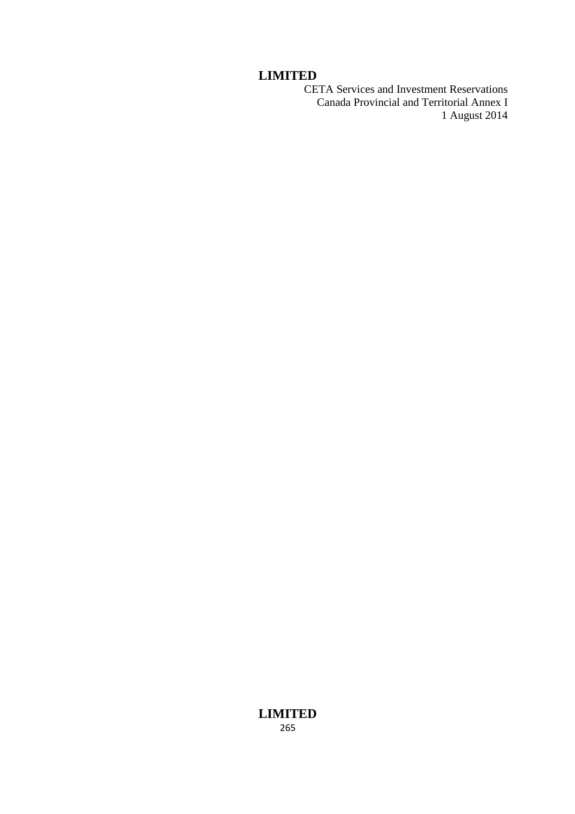CETA Services and Investment Reservations Canada Provincial and Territorial Annex I 1 August 2014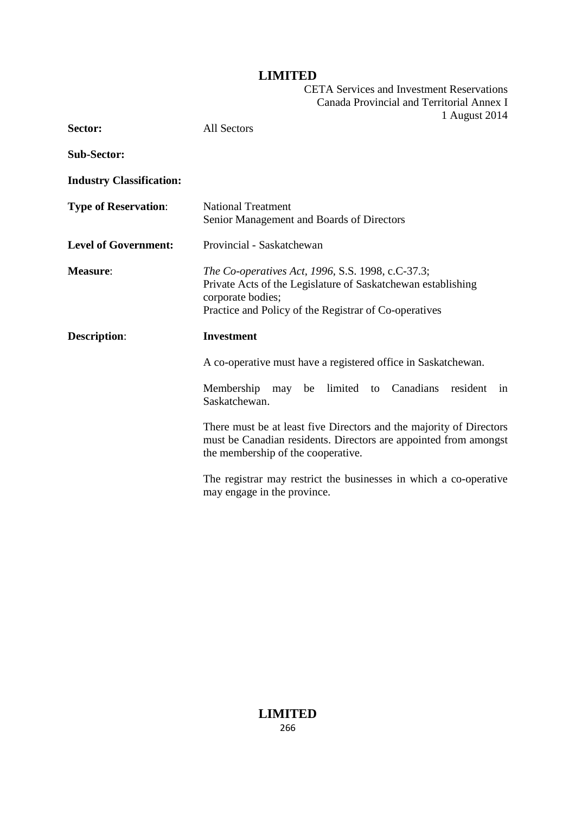| Sector:                         | All Sectors                                                                                                                                                                                     |
|---------------------------------|-------------------------------------------------------------------------------------------------------------------------------------------------------------------------------------------------|
| <b>Sub-Sector:</b>              |                                                                                                                                                                                                 |
| <b>Industry Classification:</b> |                                                                                                                                                                                                 |
| <b>Type of Reservation:</b>     | <b>National Treatment</b><br>Senior Management and Boards of Directors                                                                                                                          |
| <b>Level of Government:</b>     | Provincial - Saskatchewan                                                                                                                                                                       |
| <b>Measure:</b>                 | The Co-operatives Act, 1996, S.S. 1998, c.C-37.3;<br>Private Acts of the Legislature of Saskatchewan establishing<br>corporate bodies;<br>Practice and Policy of the Registrar of Co-operatives |
| <b>Description:</b>             | <b>Investment</b>                                                                                                                                                                               |
|                                 | A co-operative must have a registered office in Saskatchewan.                                                                                                                                   |
|                                 | may be limited to Canadians<br>Membership<br>resident in<br>Saskatchewan.                                                                                                                       |
|                                 | There must be at least five Directors and the majority of Directors<br>must be Canadian residents. Directors are appointed from amongst<br>the membership of the cooperative.                   |
|                                 | The registrar may restrict the businesses in which a co-operative<br>may engage in the province.                                                                                                |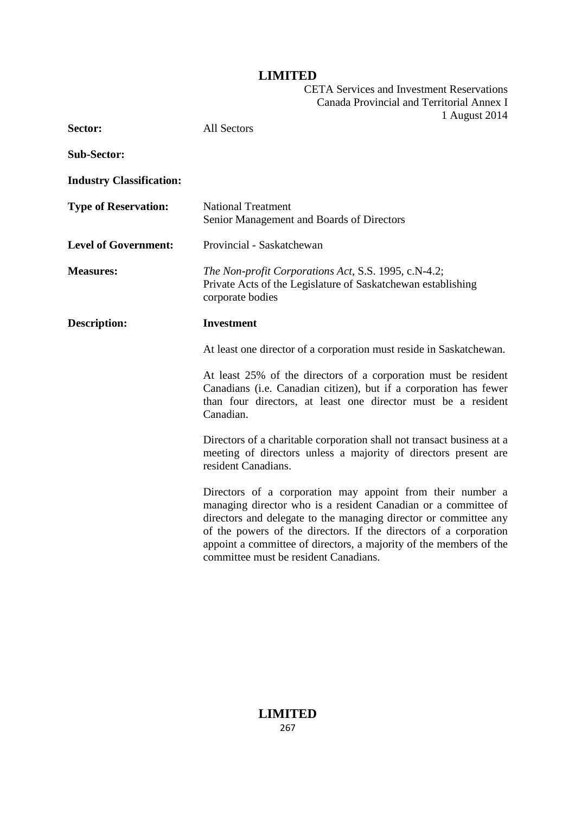| Sector:                         | All Sectors                                                                                                                                                                                                                                                                                                                                                                          |
|---------------------------------|--------------------------------------------------------------------------------------------------------------------------------------------------------------------------------------------------------------------------------------------------------------------------------------------------------------------------------------------------------------------------------------|
| <b>Sub-Sector:</b>              |                                                                                                                                                                                                                                                                                                                                                                                      |
| <b>Industry Classification:</b> |                                                                                                                                                                                                                                                                                                                                                                                      |
| <b>Type of Reservation:</b>     | <b>National Treatment</b><br>Senior Management and Boards of Directors                                                                                                                                                                                                                                                                                                               |
| <b>Level of Government:</b>     | Provincial - Saskatchewan                                                                                                                                                                                                                                                                                                                                                            |
| <b>Measures:</b>                | The Non-profit Corporations Act, S.S. 1995, c.N-4.2;<br>Private Acts of the Legislature of Saskatchewan establishing<br>corporate bodies                                                                                                                                                                                                                                             |
| <b>Description:</b>             | <b>Investment</b>                                                                                                                                                                                                                                                                                                                                                                    |
|                                 | At least one director of a corporation must reside in Saskatchewan.                                                                                                                                                                                                                                                                                                                  |
|                                 | At least 25% of the directors of a corporation must be resident<br>Canadians (i.e. Canadian citizen), but if a corporation has fewer<br>than four directors, at least one director must be a resident<br>Canadian.                                                                                                                                                                   |
|                                 | Directors of a charitable corporation shall not transact business at a<br>meeting of directors unless a majority of directors present are<br>resident Canadians.                                                                                                                                                                                                                     |
|                                 | Directors of a corporation may appoint from their number a<br>managing director who is a resident Canadian or a committee of<br>directors and delegate to the managing director or committee any<br>of the powers of the directors. If the directors of a corporation<br>appoint a committee of directors, a majority of the members of the<br>committee must be resident Canadians. |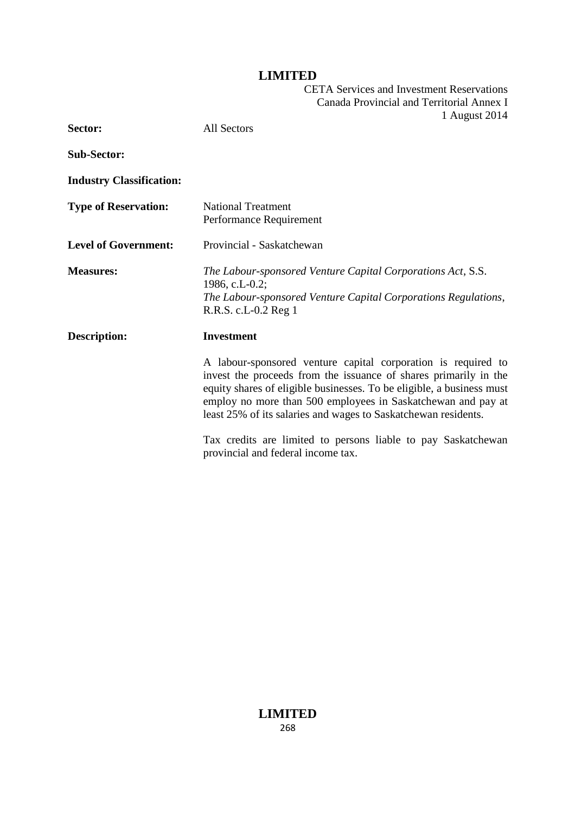| <b>All Sectors</b>                                                                                                                                                                                                                                                                                                                                                                                                                                                       |
|--------------------------------------------------------------------------------------------------------------------------------------------------------------------------------------------------------------------------------------------------------------------------------------------------------------------------------------------------------------------------------------------------------------------------------------------------------------------------|
|                                                                                                                                                                                                                                                                                                                                                                                                                                                                          |
|                                                                                                                                                                                                                                                                                                                                                                                                                                                                          |
| <b>National Treatment</b><br>Performance Requirement                                                                                                                                                                                                                                                                                                                                                                                                                     |
| Provincial - Saskatchewan                                                                                                                                                                                                                                                                                                                                                                                                                                                |
| The Labour-sponsored Venture Capital Corporations Act, S.S.<br>1986, c.L-0.2;<br>The Labour-sponsored Venture Capital Corporations Regulations,<br>R.R.S. c.L-0.2 Reg 1                                                                                                                                                                                                                                                                                                  |
| <b>Investment</b><br>A labour-sponsored venture capital corporation is required to<br>invest the proceeds from the issuance of shares primarily in the<br>equity shares of eligible businesses. To be eligible, a business must<br>employ no more than 500 employees in Saskatchewan and pay at<br>least 25% of its salaries and wages to Saskatchewan residents.<br>Tax credits are limited to persons liable to pay Saskatchewan<br>provincial and federal income tax. |
|                                                                                                                                                                                                                                                                                                                                                                                                                                                                          |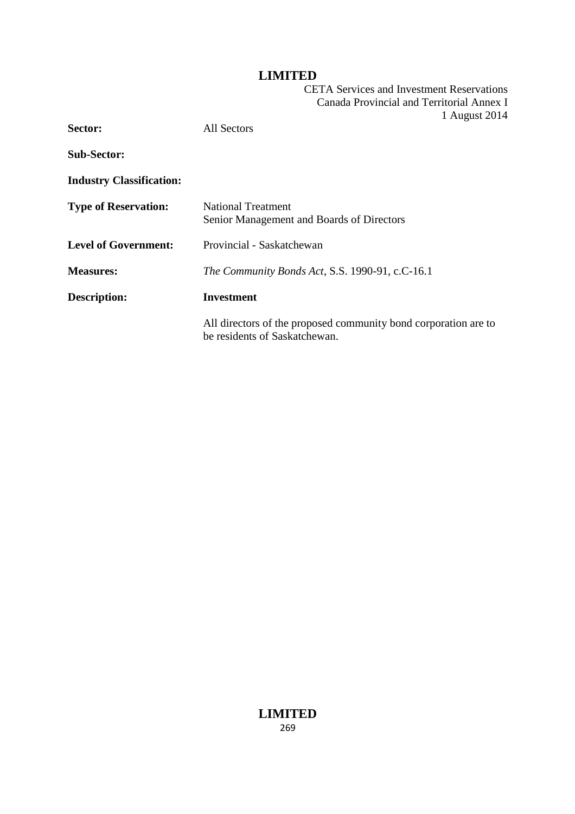| Sector:                         | All Sectors                                                                                      |
|---------------------------------|--------------------------------------------------------------------------------------------------|
| <b>Sub-Sector:</b>              |                                                                                                  |
| <b>Industry Classification:</b> |                                                                                                  |
| <b>Type of Reservation:</b>     | <b>National Treatment</b><br>Senior Management and Boards of Directors                           |
| <b>Level of Government:</b>     | Provincial - Saskatchewan                                                                        |
| <b>Measures:</b>                | The Community Bonds Act, S.S. 1990-91, c.C-16.1                                                  |
| Description:                    | <b>Investment</b>                                                                                |
|                                 | All directors of the proposed community bond corporation are to<br>be residents of Saskatchewan. |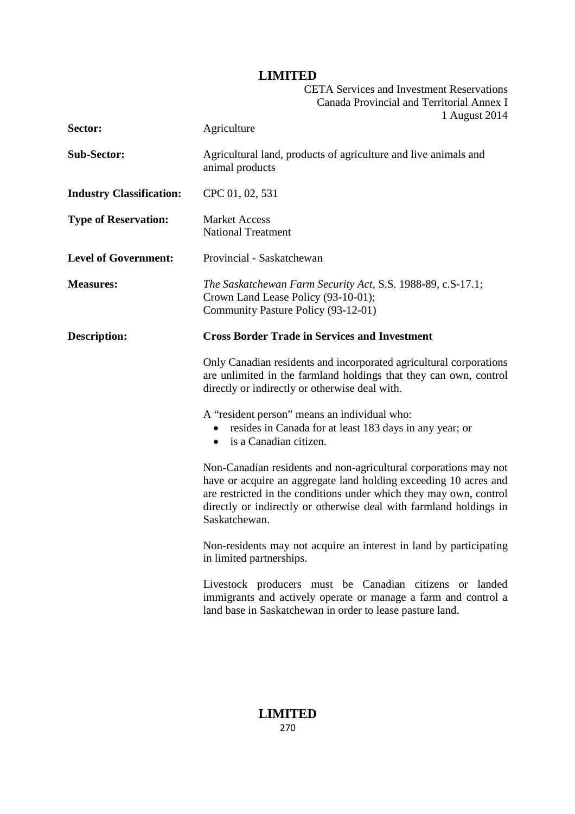|                                 | $1.1$ $1.06$ and $201$                                                                                                                                                                                                                                                                            |
|---------------------------------|---------------------------------------------------------------------------------------------------------------------------------------------------------------------------------------------------------------------------------------------------------------------------------------------------|
| Sector:                         | Agriculture                                                                                                                                                                                                                                                                                       |
| <b>Sub-Sector:</b>              | Agricultural land, products of agriculture and live animals and<br>animal products                                                                                                                                                                                                                |
| <b>Industry Classification:</b> | CPC 01, 02, 531                                                                                                                                                                                                                                                                                   |
| <b>Type of Reservation:</b>     | <b>Market Access</b><br><b>National Treatment</b>                                                                                                                                                                                                                                                 |
| <b>Level of Government:</b>     | Provincial - Saskatchewan                                                                                                                                                                                                                                                                         |
| <b>Measures:</b>                | The Saskatchewan Farm Security Act, S.S. 1988-89, c.S-17.1;<br>Crown Land Lease Policy (93-10-01);<br>Community Pasture Policy (93-12-01)                                                                                                                                                         |
| <b>Description:</b>             | <b>Cross Border Trade in Services and Investment</b>                                                                                                                                                                                                                                              |
|                                 | Only Canadian residents and incorporated agricultural corporations<br>are unlimited in the farmland holdings that they can own, control<br>directly or indirectly or otherwise deal with.                                                                                                         |
|                                 | A "resident person" means an individual who:<br>resides in Canada for at least 183 days in any year; or<br>$\bullet$<br>is a Canadian citizen.                                                                                                                                                    |
|                                 | Non-Canadian residents and non-agricultural corporations may not<br>have or acquire an aggregate land holding exceeding 10 acres and<br>are restricted in the conditions under which they may own, control<br>directly or indirectly or otherwise deal with farmland holdings in<br>Saskatchewan. |
|                                 | Non-residents may not acquire an interest in land by participating<br>in limited partnerships.                                                                                                                                                                                                    |
|                                 | Livestock producers must be Canadian citizens or landed<br>immigrants and actively operate or manage a farm and control a<br>land base in Saskatchewan in order to lease pasture land.                                                                                                            |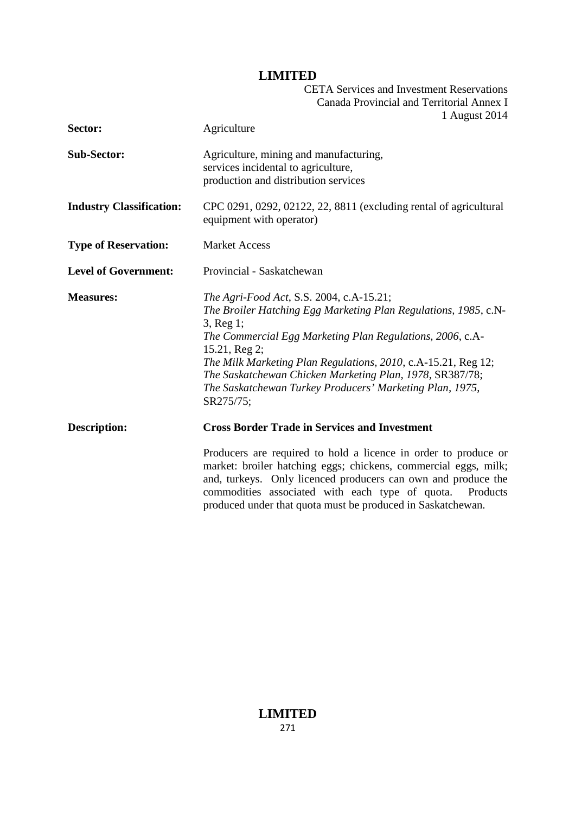| Sector:                         | Agriculture                                                                                                                                                                                                                                                                                                                                                                                                    |
|---------------------------------|----------------------------------------------------------------------------------------------------------------------------------------------------------------------------------------------------------------------------------------------------------------------------------------------------------------------------------------------------------------------------------------------------------------|
| <b>Sub-Sector:</b>              | Agriculture, mining and manufacturing,<br>services incidental to agriculture,<br>production and distribution services                                                                                                                                                                                                                                                                                          |
| <b>Industry Classification:</b> | CPC 0291, 0292, 02122, 22, 8811 (excluding rental of agricultural<br>equipment with operator)                                                                                                                                                                                                                                                                                                                  |
| <b>Type of Reservation:</b>     | <b>Market Access</b>                                                                                                                                                                                                                                                                                                                                                                                           |
| <b>Level of Government:</b>     | Provincial - Saskatchewan                                                                                                                                                                                                                                                                                                                                                                                      |
| <b>Measures:</b>                | The Agri-Food Act, S.S. 2004, c.A-15.21;<br>The Broiler Hatching Egg Marketing Plan Regulations, 1985, c.N-<br>$3,$ Reg 1;<br>The Commercial Egg Marketing Plan Regulations, 2006, c.A-<br>15.21, Reg 2;<br>The Milk Marketing Plan Regulations, 2010, c.A-15.21, Reg 12;<br>The Saskatchewan Chicken Marketing Plan, 1978, SR387/78;<br>The Saskatchewan Turkey Producers' Marketing Plan, 1975,<br>SR275/75; |
| <b>Description:</b>             | <b>Cross Border Trade in Services and Investment</b>                                                                                                                                                                                                                                                                                                                                                           |
|                                 | Producers are required to hold a licence in order to produce or<br>market: broiler hatching eggs; chickens, commercial eggs, milk;<br>and, turkeys. Only licenced producers can own and produce the<br>commodities associated with each type of quota.<br>Products<br>produced under that quota must be produced in Saskatchewan.                                                                              |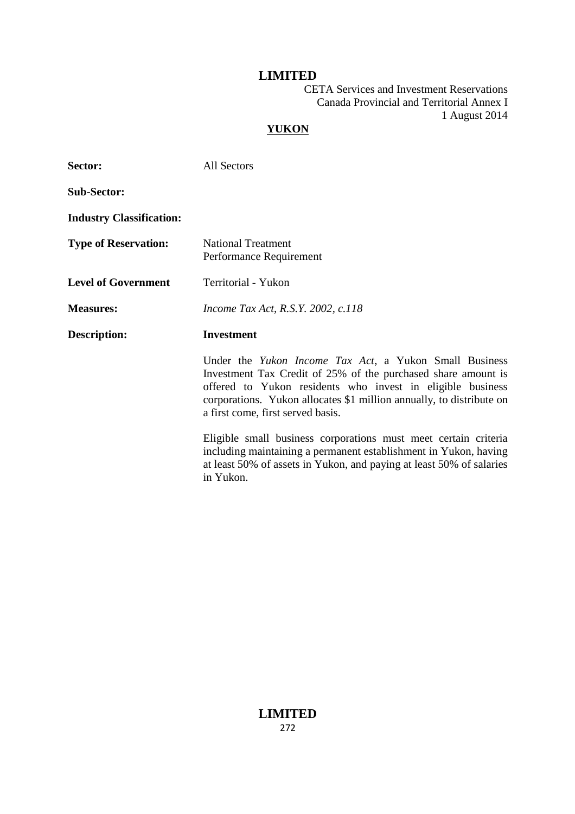CETA Services and Investment Reservations Canada Provincial and Territorial Annex I 1 August 2014

#### **YUKON**

| Sector:                         | All Sectors                                                                                                                                                                                                                                                                                        |
|---------------------------------|----------------------------------------------------------------------------------------------------------------------------------------------------------------------------------------------------------------------------------------------------------------------------------------------------|
| <b>Sub-Sector:</b>              |                                                                                                                                                                                                                                                                                                    |
| <b>Industry Classification:</b> |                                                                                                                                                                                                                                                                                                    |
| <b>Type of Reservation:</b>     | <b>National Treatment</b><br>Performance Requirement                                                                                                                                                                                                                                               |
| <b>Level of Government</b>      | Territorial - Yukon                                                                                                                                                                                                                                                                                |
| <b>Measures:</b>                | Income Tax Act, R.S.Y. 2002, c.118                                                                                                                                                                                                                                                                 |
| Description:                    | <b>Investment</b>                                                                                                                                                                                                                                                                                  |
|                                 | Under the Yukon Income Tax Act, a Yukon Small Business<br>Investment Tax Credit of 25% of the purchased share amount is<br>offered to Yukon residents who invest in eligible business<br>corporations. Yukon allocates \$1 million annually, to distribute on<br>a first come, first served basis. |
|                                 | Eligible small business corporations must meet certain criteria<br>including maintaining a permanent establishment in Yukon, having                                                                                                                                                                |

including maintaining a permanent establishment in Yukon, having at least 50% of assets in Yukon, and paying at least 50% of salaries in Yukon.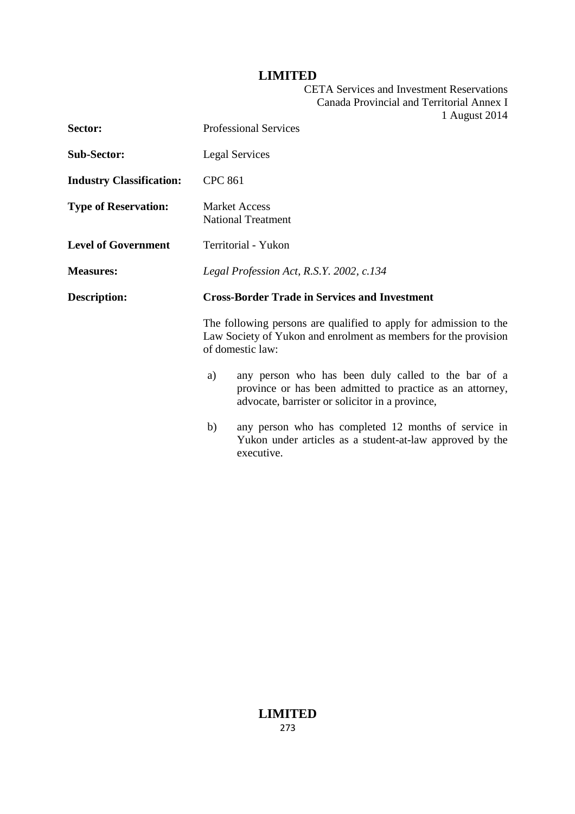CETA Services and Investment Reservations Canada Provincial and Territorial Annex I 1 August 2014

| Sector:                         | <b>Professional Services</b>                                                                                                                                              |
|---------------------------------|---------------------------------------------------------------------------------------------------------------------------------------------------------------------------|
| <b>Sub-Sector:</b>              | <b>Legal Services</b>                                                                                                                                                     |
| <b>Industry Classification:</b> | <b>CPC 861</b>                                                                                                                                                            |
| <b>Type of Reservation:</b>     | <b>Market Access</b><br><b>National Treatment</b>                                                                                                                         |
| <b>Level of Government</b>      | Territorial - Yukon                                                                                                                                                       |
| <b>Measures:</b>                | Legal Profession Act, R.S.Y. 2002, c.134                                                                                                                                  |
| Description:                    | <b>Cross-Border Trade in Services and Investment</b>                                                                                                                      |
|                                 | The following persons are qualified to apply for admission to the<br>Law Society of Yukon and enrolment as members for the provision<br>of domestic law:                  |
|                                 | any person who has been duly called to the bar of a<br>a)<br>province or has been admitted to practice as an attorney,<br>advocate, barrister or solicitor in a province, |
|                                 | b)<br>any person who has completed 12 months of service in<br>Yukon under articles as a student-at-law approved by the<br>executive.                                      |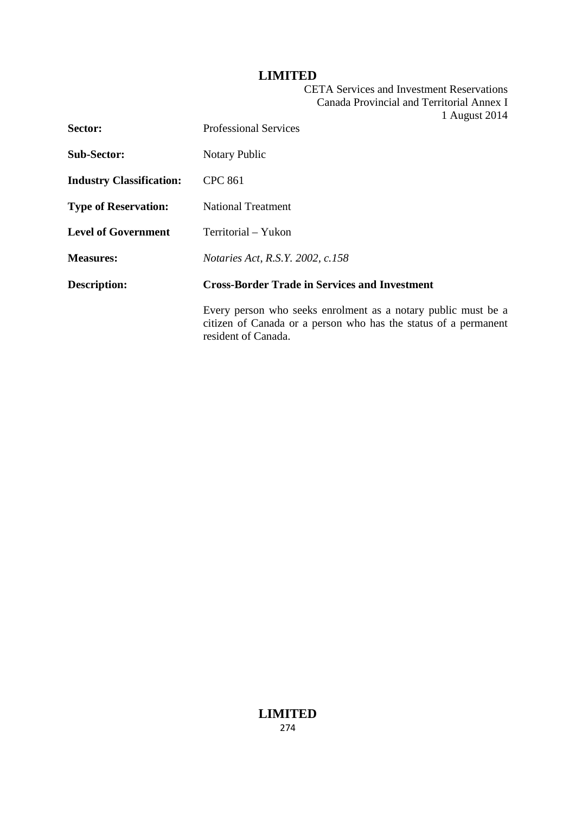| Sector:                         | <b>Professional Services</b>                                                                                                                            |
|---------------------------------|---------------------------------------------------------------------------------------------------------------------------------------------------------|
| <b>Sub-Sector:</b>              | <b>Notary Public</b>                                                                                                                                    |
| <b>Industry Classification:</b> | <b>CPC 861</b>                                                                                                                                          |
| <b>Type of Reservation:</b>     | <b>National Treatment</b>                                                                                                                               |
| <b>Level of Government</b>      | Territorial – Yukon                                                                                                                                     |
| <b>Measures:</b>                | <i>Notaries Act, R.S.Y. 2002, c.158</i>                                                                                                                 |
| Description:                    | <b>Cross-Border Trade in Services and Investment</b>                                                                                                    |
|                                 | Every person who seeks enrolment as a notary public must be a<br>citizen of Canada or a person who has the status of a permanent<br>resident of Canada. |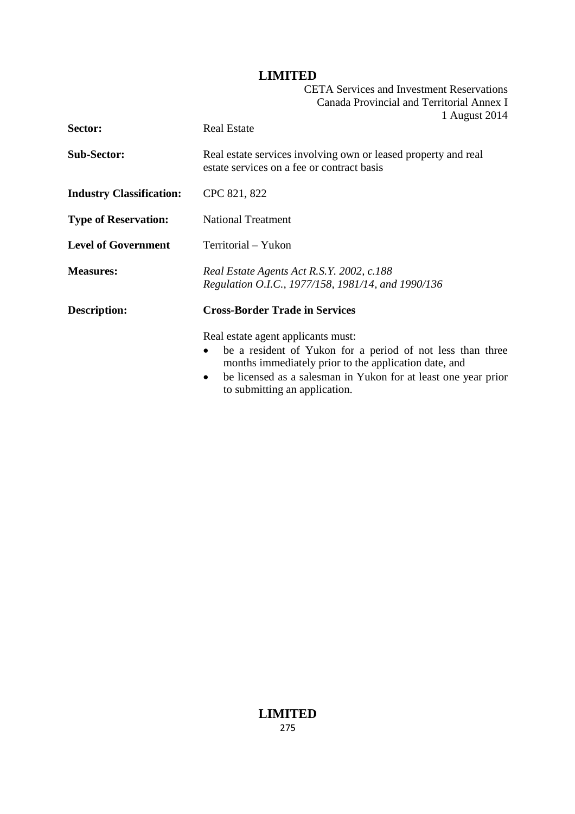CETA Services and Investment Reservations Canada Provincial and Territorial Annex I 1 August 2014

| Sector:                         | <b>Real Estate</b>                                                                                                                                                                                                                                                             |
|---------------------------------|--------------------------------------------------------------------------------------------------------------------------------------------------------------------------------------------------------------------------------------------------------------------------------|
| <b>Sub-Sector:</b>              | Real estate services involving own or leased property and real<br>estate services on a fee or contract basis                                                                                                                                                                   |
| <b>Industry Classification:</b> | CPC 821, 822                                                                                                                                                                                                                                                                   |
| <b>Type of Reservation:</b>     | <b>National Treatment</b>                                                                                                                                                                                                                                                      |
| <b>Level of Government</b>      | Territorial - Yukon                                                                                                                                                                                                                                                            |
| <b>Measures:</b>                | Real Estate Agents Act R.S.Y. 2002, c.188<br>Regulation O.I.C., 1977/158, 1981/14, and 1990/136                                                                                                                                                                                |
| Description:                    | <b>Cross-Border Trade in Services</b>                                                                                                                                                                                                                                          |
|                                 | Real estate agent applicants must:<br>be a resident of Yukon for a period of not less than three<br>$\bullet$<br>months immediately prior to the application date, and<br>be licensed as a salesman in Yukon for at least one year prior<br>٠<br>to submitting an application. |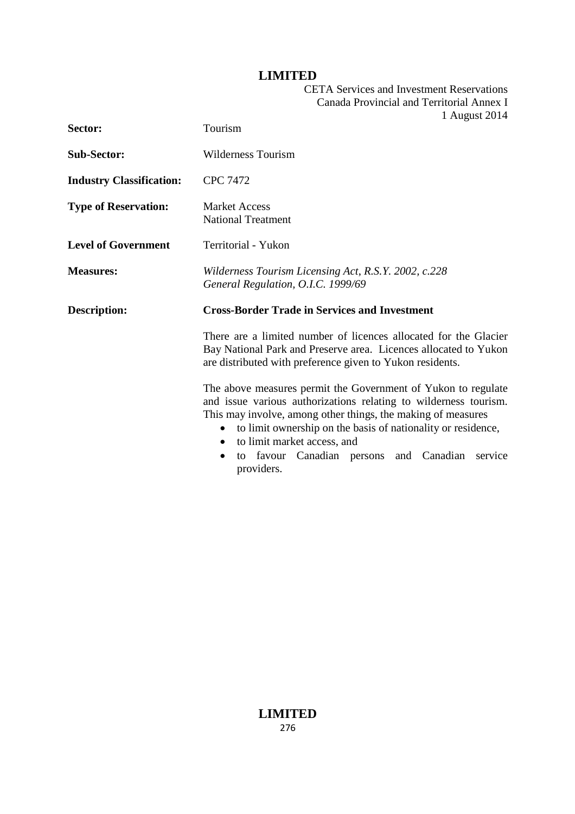CETA Services and Investment Reservations Canada Provincial and Territorial Annex I 1 August 2014

| Tourism                                                                                                                                                                                                                                                                        |
|--------------------------------------------------------------------------------------------------------------------------------------------------------------------------------------------------------------------------------------------------------------------------------|
| <b>Wilderness Tourism</b>                                                                                                                                                                                                                                                      |
| <b>CPC 7472</b>                                                                                                                                                                                                                                                                |
| <b>Market Access</b><br><b>National Treatment</b>                                                                                                                                                                                                                              |
| Territorial - Yukon                                                                                                                                                                                                                                                            |
| Wilderness Tourism Licensing Act, R.S.Y. 2002, c.228<br>General Regulation, O.I.C. 1999/69                                                                                                                                                                                     |
| <b>Cross-Border Trade in Services and Investment</b>                                                                                                                                                                                                                           |
| There are a limited number of licences allocated for the Glacier<br>Bay National Park and Preserve area. Licences allocated to Yukon<br>are distributed with preference given to Yukon residents.                                                                              |
| The above measures permit the Government of Yukon to regulate<br>and issue various authorizations relating to wilderness tourism.<br>This may involve, among other things, the making of measures<br>to limit ownership on the basis of nationality or residence,<br>$\bullet$ |
|                                                                                                                                                                                                                                                                                |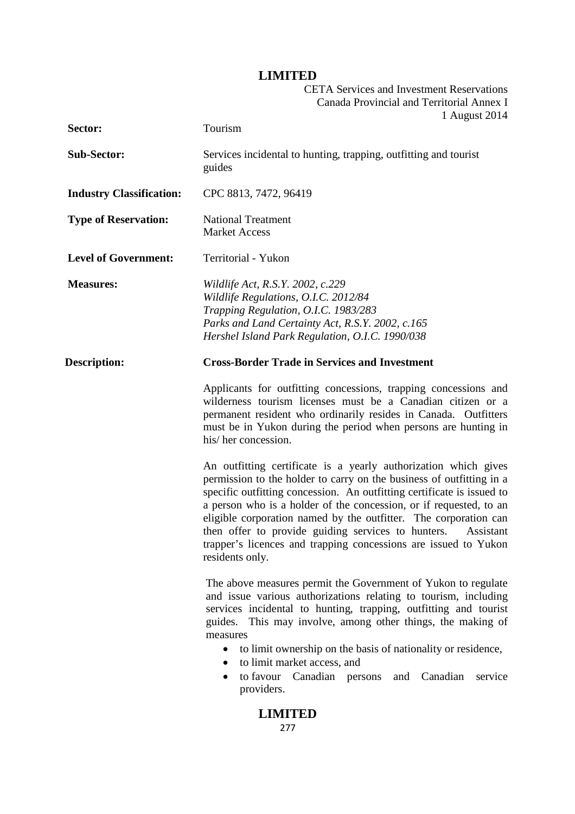| Sector:                         | Tourism                                                                                                                                                                                                                                                                                                                                                                                                                                                                                                           |
|---------------------------------|-------------------------------------------------------------------------------------------------------------------------------------------------------------------------------------------------------------------------------------------------------------------------------------------------------------------------------------------------------------------------------------------------------------------------------------------------------------------------------------------------------------------|
| <b>Sub-Sector:</b>              | Services incidental to hunting, trapping, outfitting and tourist<br>guides                                                                                                                                                                                                                                                                                                                                                                                                                                        |
| <b>Industry Classification:</b> | CPC 8813, 7472, 96419                                                                                                                                                                                                                                                                                                                                                                                                                                                                                             |
| <b>Type of Reservation:</b>     | <b>National Treatment</b><br><b>Market Access</b>                                                                                                                                                                                                                                                                                                                                                                                                                                                                 |
| <b>Level of Government:</b>     | Territorial - Yukon                                                                                                                                                                                                                                                                                                                                                                                                                                                                                               |
| <b>Measures:</b>                | Wildlife Act, R.S.Y. 2002, c.229<br>Wildlife Regulations, O.I.C. 2012/84<br>Trapping Regulation, O.I.C. 1983/283<br>Parks and Land Certainty Act, R.S.Y. 2002, c.165<br>Hershel Island Park Regulation, O.I.C. 1990/038                                                                                                                                                                                                                                                                                           |
| <b>Description:</b>             | <b>Cross-Border Trade in Services and Investment</b>                                                                                                                                                                                                                                                                                                                                                                                                                                                              |
|                                 | Applicants for outfitting concessions, trapping concessions and<br>wilderness tourism licenses must be a Canadian citizen or a<br>permanent resident who ordinarily resides in Canada. Outfitters<br>must be in Yukon during the period when persons are hunting in<br>his/her concession.                                                                                                                                                                                                                        |
|                                 | An outfitting certificate is a yearly authorization which gives<br>permission to the holder to carry on the business of outfitting in a<br>specific outfitting concession. An outfitting certificate is issued to<br>a person who is a holder of the concession, or if requested, to an<br>eligible corporation named by the outfitter. The corporation can<br>then offer to provide guiding services to hunters. Assistant<br>trapper's licences and trapping concessions are issued to Yukon<br>residents only. |
|                                 | The above measures permit the Government of Yukon to regulate<br>and issue various authorizations relating to tourism, including<br>services incidental to hunting, trapping, outfitting and tourist<br>guides. This may involve, among other things, the making of<br>measures<br>to limit ownership on the basis of nationality or residence,<br>$\bullet$<br>to limit market access, and<br>$\bullet$<br>to favour Canadian persons and Canadian<br>service<br>providers.                                      |
| <b>LIMITED</b><br>277           |                                                                                                                                                                                                                                                                                                                                                                                                                                                                                                                   |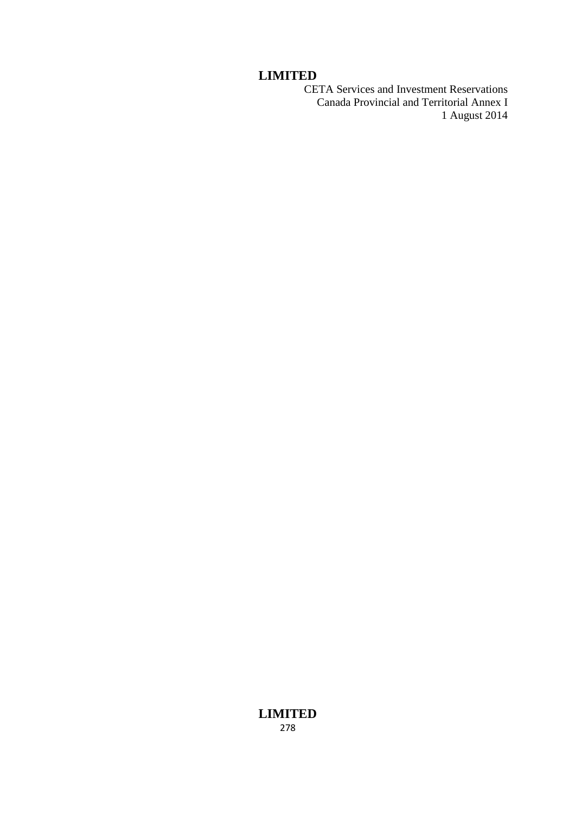CETA Services and Investment Reservations Canada Provincial and Territorial Annex I 1 August 2014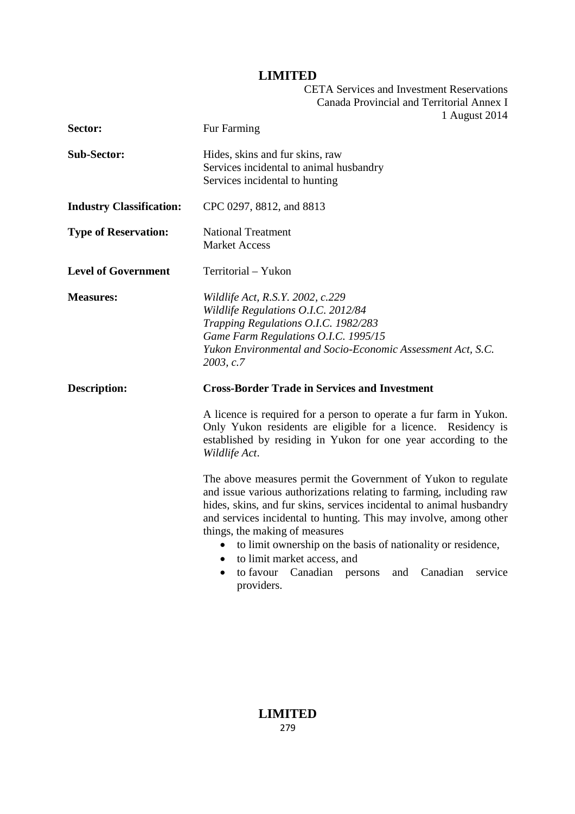CETA Services and Investment Reservations Canada Provincial and Territorial Annex I 1 August 2014

| Sector:                         | Fur Farming                                                                                                                                                                                                                                                                                                                                                                                                                                       |
|---------------------------------|---------------------------------------------------------------------------------------------------------------------------------------------------------------------------------------------------------------------------------------------------------------------------------------------------------------------------------------------------------------------------------------------------------------------------------------------------|
| <b>Sub-Sector:</b>              | Hides, skins and fur skins, raw<br>Services incidental to animal husbandry<br>Services incidental to hunting                                                                                                                                                                                                                                                                                                                                      |
| <b>Industry Classification:</b> | CPC 0297, 8812, and 8813                                                                                                                                                                                                                                                                                                                                                                                                                          |
| <b>Type of Reservation:</b>     | <b>National Treatment</b><br><b>Market Access</b>                                                                                                                                                                                                                                                                                                                                                                                                 |
| <b>Level of Government</b>      | Territorial - Yukon                                                                                                                                                                                                                                                                                                                                                                                                                               |
| <b>Measures:</b>                | Wildlife Act, R.S.Y. 2002, c.229<br>Wildlife Regulations O.I.C. 2012/84<br>Trapping Regulations O.I.C. 1982/283<br>Game Farm Regulations O.I.C. 1995/15<br>Yukon Environmental and Socio-Economic Assessment Act, S.C.<br>2003, c.7                                                                                                                                                                                                               |
| <b>Description:</b>             | <b>Cross-Border Trade in Services and Investment</b><br>A licence is required for a person to operate a fur farm in Yukon.<br>Only Yukon residents are eligible for a licence. Residency is<br>established by residing in Yukon for one year according to the<br>Wildlife Act.<br>The above measures permit the Government of Yukon to regulate                                                                                                   |
|                                 | and issue various authorizations relating to farming, including raw<br>hides, skins, and fur skins, services incidental to animal husbandry<br>and services incidental to hunting. This may involve, among other<br>things, the making of measures<br>to limit ownership on the basis of nationality or residence,<br>$\bullet$<br>• to limit market access, and<br>to favour Canadian persons and Canadian<br>service<br>$\bullet$<br>providers. |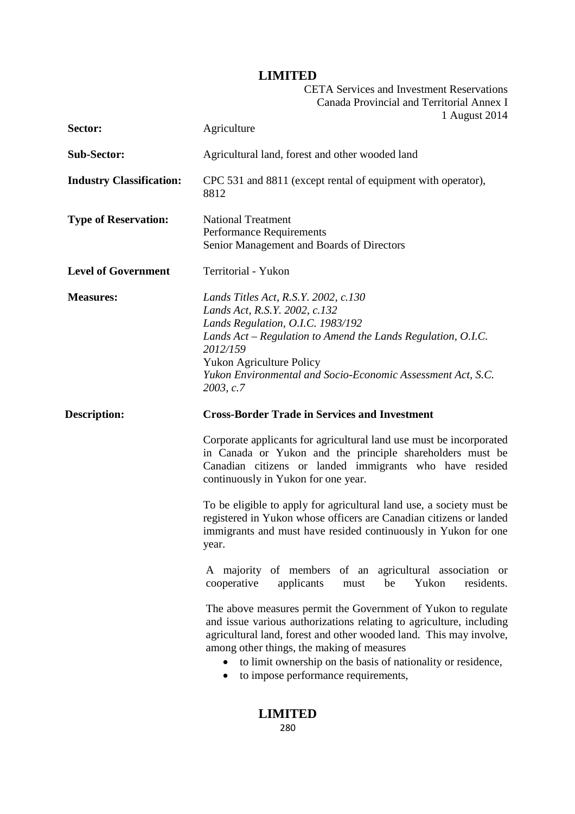| Sector:                         | Agriculture                                                                                                                                                                                                                                                                                                                                                                  |
|---------------------------------|------------------------------------------------------------------------------------------------------------------------------------------------------------------------------------------------------------------------------------------------------------------------------------------------------------------------------------------------------------------------------|
| <b>Sub-Sector:</b>              | Agricultural land, forest and other wooded land                                                                                                                                                                                                                                                                                                                              |
| <b>Industry Classification:</b> | CPC 531 and 8811 (except rental of equipment with operator),<br>8812                                                                                                                                                                                                                                                                                                         |
| <b>Type of Reservation:</b>     | <b>National Treatment</b><br>Performance Requirements<br>Senior Management and Boards of Directors                                                                                                                                                                                                                                                                           |
| <b>Level of Government</b>      | Territorial - Yukon                                                                                                                                                                                                                                                                                                                                                          |
| <b>Measures:</b>                | Lands Titles Act, R.S.Y. 2002, c.130<br>Lands Act, R.S.Y. 2002, c.132<br>Lands Regulation, O.I.C. 1983/192<br>Lands Act – Regulation to Amend the Lands Regulation, O.I.C.<br>2012/159<br><b>Yukon Agriculture Policy</b><br>Yukon Environmental and Socio-Economic Assessment Act, S.C.<br>2003, c.7                                                                        |
| <b>Description:</b>             | <b>Cross-Border Trade in Services and Investment</b>                                                                                                                                                                                                                                                                                                                         |
|                                 | Corporate applicants for agricultural land use must be incorporated<br>in Canada or Yukon and the principle shareholders must be<br>Canadian citizens or landed immigrants who have resided<br>continuously in Yukon for one year.                                                                                                                                           |
|                                 | To be eligible to apply for agricultural land use, a society must be<br>registered in Yukon whose officers are Canadian citizens or landed<br>immigrants and must have resided continuously in Yukon for one<br>year.                                                                                                                                                        |
|                                 | A majority of members of an agricultural association or<br>cooperative<br>applicants<br>be<br>Yukon<br>residents.<br>must                                                                                                                                                                                                                                                    |
|                                 | The above measures permit the Government of Yukon to regulate<br>and issue various authorizations relating to agriculture, including<br>agricultural land, forest and other wooded land. This may involve,<br>among other things, the making of measures<br>to limit ownership on the basis of nationality or residence,<br>$\bullet$<br>to impose performance requirements, |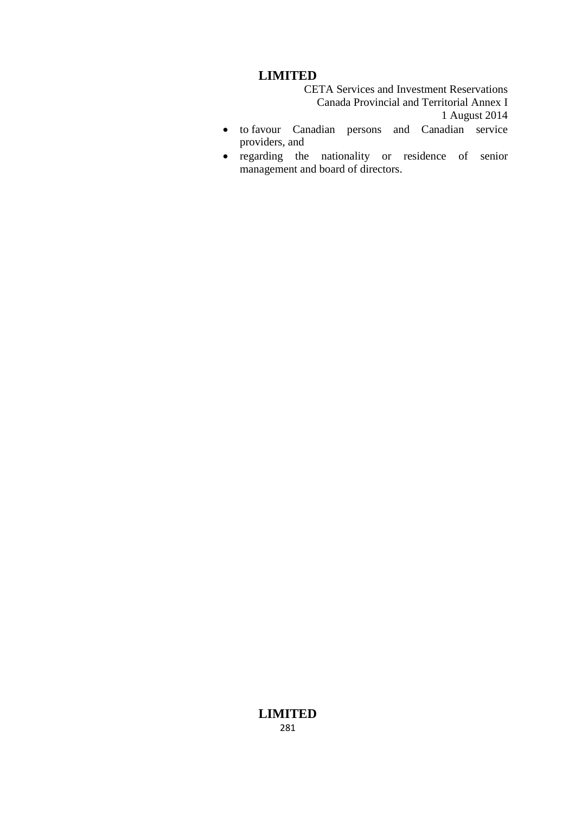- to favour Canadian persons and Canadian service providers, and
- regarding the nationality or residence of senior management and board of directors.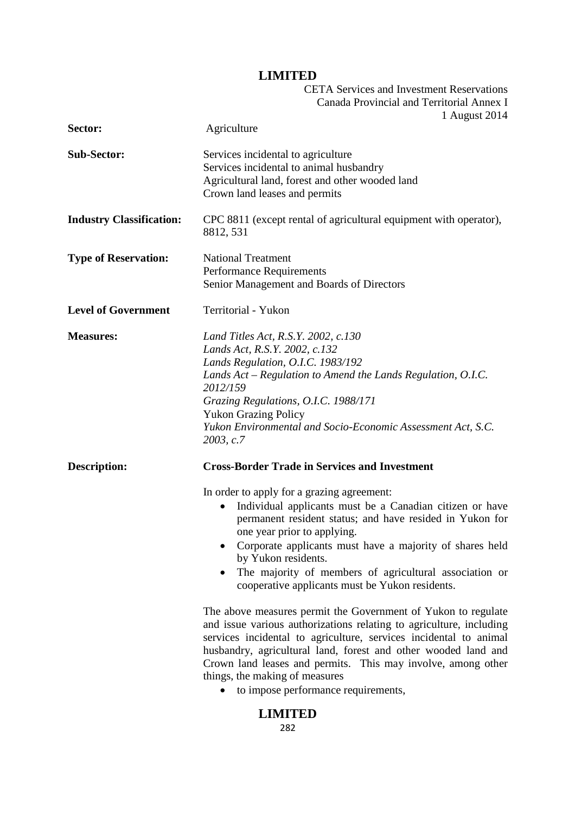CETA Services and Investment Reservations Canada Provincial and Territorial Annex I 1 August 2014

|                                 | $1.1$ $\mu$ sust $201$                                                                                                                                                                                                                                                                                                                                                                                                            |
|---------------------------------|-----------------------------------------------------------------------------------------------------------------------------------------------------------------------------------------------------------------------------------------------------------------------------------------------------------------------------------------------------------------------------------------------------------------------------------|
| Sector:                         | Agriculture                                                                                                                                                                                                                                                                                                                                                                                                                       |
| <b>Sub-Sector:</b>              | Services incidental to agriculture<br>Services incidental to animal husbandry<br>Agricultural land, forest and other wooded land<br>Crown land leases and permits                                                                                                                                                                                                                                                                 |
| <b>Industry Classification:</b> | CPC 8811 (except rental of agricultural equipment with operator),<br>8812, 531                                                                                                                                                                                                                                                                                                                                                    |
| <b>Type of Reservation:</b>     | <b>National Treatment</b><br><b>Performance Requirements</b><br>Senior Management and Boards of Directors                                                                                                                                                                                                                                                                                                                         |
| <b>Level of Government</b>      | Territorial - Yukon                                                                                                                                                                                                                                                                                                                                                                                                               |
| <b>Measures:</b>                | Land Titles Act, R.S.Y. 2002, c.130<br>Lands Act, R.S.Y. 2002, c.132<br>Lands Regulation, O.I.C. 1983/192<br>Lands Act – Regulation to Amend the Lands Regulation, O.I.C.<br>2012/159<br>Grazing Regulations, O.I.C. 1988/171<br><b>Yukon Grazing Policy</b><br>Yukon Environmental and Socio-Economic Assessment Act, S.C.<br>2003, c.7                                                                                          |
| <b>Description:</b>             | <b>Cross-Border Trade in Services and Investment</b>                                                                                                                                                                                                                                                                                                                                                                              |
|                                 | In order to apply for a grazing agreement:<br>Individual applicants must be a Canadian citizen or have<br>$\bullet$<br>permanent resident status; and have resided in Yukon for<br>one year prior to applying.<br>Corporate applicants must have a majority of shares held<br>٠<br>by Yukon residents.<br>The majority of members of agricultural association or<br>cooperative applicants must be Yukon residents.               |
|                                 | The above measures permit the Government of Yukon to regulate<br>and issue various authorizations relating to agriculture, including<br>services incidental to agriculture, services incidental to animal<br>husbandry, agricultural land, forest and other wooded land and<br>Crown land leases and permits. This may involve, among other<br>things, the making of measures<br>to impose performance requirements,<br>$\bullet$ |
|                                 | <b>LIMITED</b>                                                                                                                                                                                                                                                                                                                                                                                                                    |

282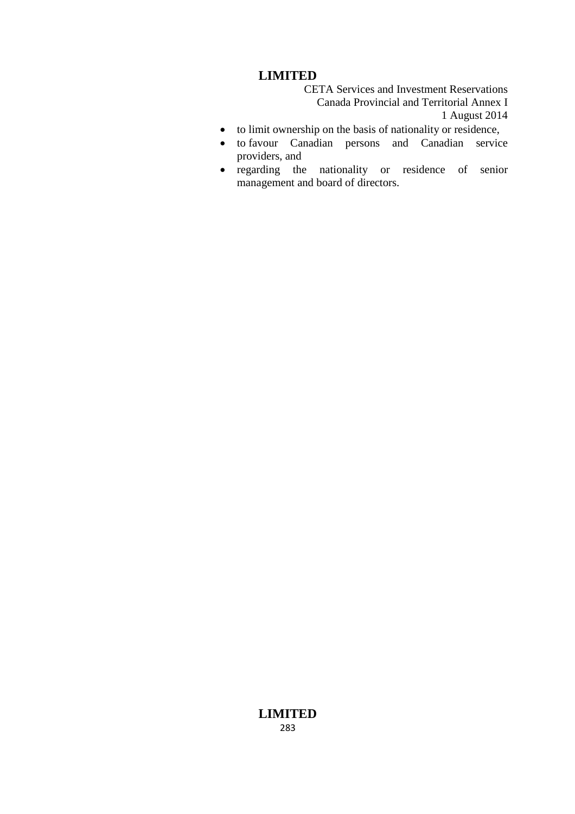- to limit ownership on the basis of nationality or residence,
- to favour Canadian persons and Canadian service providers, and
- regarding the nationality or residence of senior management and board of directors.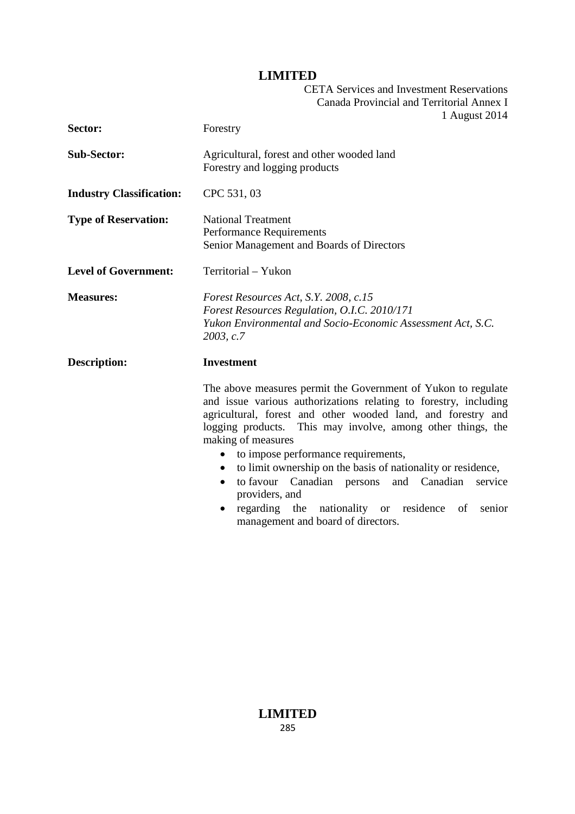CETA Services and Investment Reservations Canada Provincial and Territorial Annex I 1 August 2014

| Sector:                         | Forestry                                                                                                                                                                                                                                                                                                                                                                                                                                                                                                                                                                                                                 |
|---------------------------------|--------------------------------------------------------------------------------------------------------------------------------------------------------------------------------------------------------------------------------------------------------------------------------------------------------------------------------------------------------------------------------------------------------------------------------------------------------------------------------------------------------------------------------------------------------------------------------------------------------------------------|
| <b>Sub-Sector:</b>              | Agricultural, forest and other wooded land<br>Forestry and logging products                                                                                                                                                                                                                                                                                                                                                                                                                                                                                                                                              |
| <b>Industry Classification:</b> | CPC 531, 03                                                                                                                                                                                                                                                                                                                                                                                                                                                                                                                                                                                                              |
| <b>Type of Reservation:</b>     | <b>National Treatment</b><br>Performance Requirements<br>Senior Management and Boards of Directors                                                                                                                                                                                                                                                                                                                                                                                                                                                                                                                       |
| <b>Level of Government:</b>     | Territorial - Yukon                                                                                                                                                                                                                                                                                                                                                                                                                                                                                                                                                                                                      |
| <b>Measures:</b>                | Forest Resources Act, S.Y. 2008, c.15<br>Forest Resources Regulation, O.I.C. 2010/171<br>Yukon Environmental and Socio-Economic Assessment Act, S.C.<br>2003, c.7                                                                                                                                                                                                                                                                                                                                                                                                                                                        |
| <b>Description:</b>             | <b>Investment</b>                                                                                                                                                                                                                                                                                                                                                                                                                                                                                                                                                                                                        |
|                                 | The above measures permit the Government of Yukon to regulate<br>and issue various authorizations relating to forestry, including<br>agricultural, forest and other wooded land, and forestry and<br>logging products.<br>This may involve, among other things, the<br>making of measures<br>to impose performance requirements,<br>$\bullet$<br>to limit ownership on the basis of nationality or residence,<br>$\bullet$<br>to favour<br>Canadian persons<br>and Canadian<br>service<br>$\bullet$<br>providers, and<br>regarding the<br>nationality or residence<br>senior<br>of<br>management and board of directors. |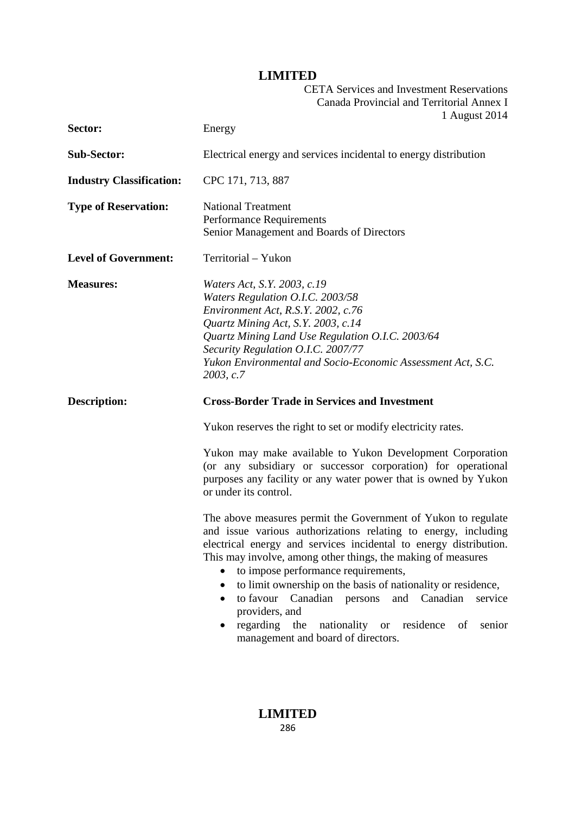CETA Services and Investment Reservations Canada Provincial and Territorial Annex I 1 August 2014

|                                 | 1.14<br>Energy                                                                                                                                                                                                                                                                                                                                                                                                                                                                                                                                                                                                                                                                                                                                            |
|---------------------------------|-----------------------------------------------------------------------------------------------------------------------------------------------------------------------------------------------------------------------------------------------------------------------------------------------------------------------------------------------------------------------------------------------------------------------------------------------------------------------------------------------------------------------------------------------------------------------------------------------------------------------------------------------------------------------------------------------------------------------------------------------------------|
| <b>Sub-Sector:</b>              | Electrical energy and services incidental to energy distribution                                                                                                                                                                                                                                                                                                                                                                                                                                                                                                                                                                                                                                                                                          |
| <b>Industry Classification:</b> | CPC 171, 713, 887                                                                                                                                                                                                                                                                                                                                                                                                                                                                                                                                                                                                                                                                                                                                         |
| <b>Type of Reservation:</b>     | <b>National Treatment</b><br><b>Performance Requirements</b><br>Senior Management and Boards of Directors                                                                                                                                                                                                                                                                                                                                                                                                                                                                                                                                                                                                                                                 |
| <b>Level of Government:</b>     | Territorial - Yukon                                                                                                                                                                                                                                                                                                                                                                                                                                                                                                                                                                                                                                                                                                                                       |
| <b>Measures:</b>                | Waters Act, S.Y. 2003, c.19<br>Waters Regulation O.I.C. 2003/58<br>Environment Act, R.S.Y. 2002, c.76<br>Quartz Mining Act, S.Y. 2003, c.14<br>Quartz Mining Land Use Regulation O.I.C. 2003/64<br>Security Regulation O.I.C. 2007/77<br>Yukon Environmental and Socio-Economic Assessment Act, S.C.<br>2003, c.7                                                                                                                                                                                                                                                                                                                                                                                                                                         |
| <b>Description:</b>             | <b>Cross-Border Trade in Services and Investment</b>                                                                                                                                                                                                                                                                                                                                                                                                                                                                                                                                                                                                                                                                                                      |
|                                 | Yukon reserves the right to set or modify electricity rates.<br>Yukon may make available to Yukon Development Corporation<br>(or any subsidiary or successor corporation) for operational<br>purposes any facility or any water power that is owned by Yukon<br>or under its control.<br>The above measures permit the Government of Yukon to regulate<br>and issue various authorizations relating to energy, including<br>electrical energy and services incidental to energy distribution.<br>This may involve, among other things, the making of measures<br>to impose performance requirements,<br>to limit ownership on the basis of nationality or residence,<br>to favour Canadian persons and Canadian<br>service<br>$\bullet$<br>providers, and |
|                                 |                                                                                                                                                                                                                                                                                                                                                                                                                                                                                                                                                                                                                                                                                                                                                           |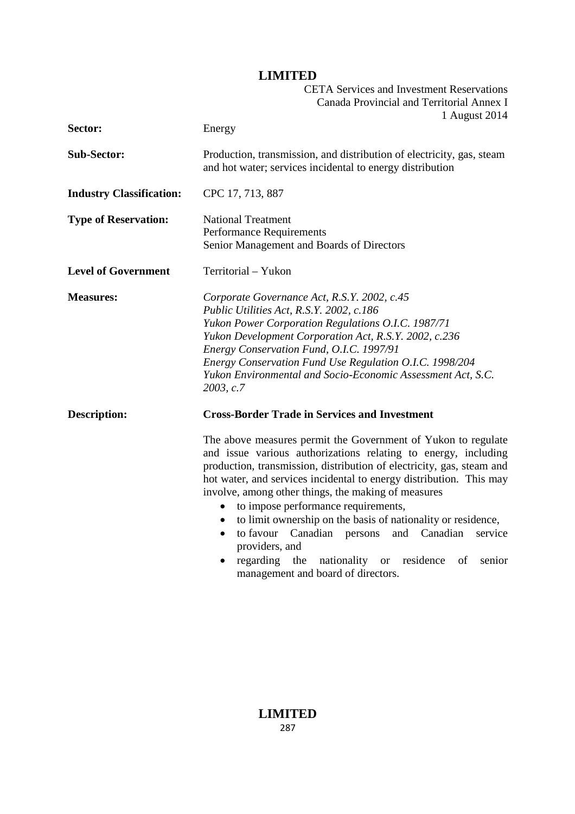| Sector:                         | Energy                                                                                                                                                                                                                                                                                                                                                                                                                                                                                                                                                                                                                                                                                       |
|---------------------------------|----------------------------------------------------------------------------------------------------------------------------------------------------------------------------------------------------------------------------------------------------------------------------------------------------------------------------------------------------------------------------------------------------------------------------------------------------------------------------------------------------------------------------------------------------------------------------------------------------------------------------------------------------------------------------------------------|
| <b>Sub-Sector:</b>              | Production, transmission, and distribution of electricity, gas, steam<br>and hot water; services incidental to energy distribution                                                                                                                                                                                                                                                                                                                                                                                                                                                                                                                                                           |
| <b>Industry Classification:</b> | CPC 17, 713, 887                                                                                                                                                                                                                                                                                                                                                                                                                                                                                                                                                                                                                                                                             |
| <b>Type of Reservation:</b>     | <b>National Treatment</b><br><b>Performance Requirements</b><br>Senior Management and Boards of Directors                                                                                                                                                                                                                                                                                                                                                                                                                                                                                                                                                                                    |
| <b>Level of Government</b>      | Territorial - Yukon                                                                                                                                                                                                                                                                                                                                                                                                                                                                                                                                                                                                                                                                          |
| <b>Measures:</b>                | Corporate Governance Act, R.S.Y. 2002, c.45<br>Public Utilities Act, R.S.Y. 2002, c.186<br>Yukon Power Corporation Regulations O.I.C. 1987/71<br>Yukon Development Corporation Act, R.S.Y. 2002, c.236<br>Energy Conservation Fund, O.I.C. 1997/91<br>Energy Conservation Fund Use Regulation O.I.C. 1998/204<br>Yukon Environmental and Socio-Economic Assessment Act, S.C.<br>2003, c.7                                                                                                                                                                                                                                                                                                    |
| <b>Description:</b>             | <b>Cross-Border Trade in Services and Investment</b><br>The above measures permit the Government of Yukon to regulate<br>and issue various authorizations relating to energy, including<br>production, transmission, distribution of electricity, gas, steam and<br>hot water, and services incidental to energy distribution. This may<br>involve, among other things, the making of measures<br>to impose performance requirements,<br>to limit ownership on the basis of nationality or residence,<br>to favour<br>Canadian persons<br>Canadian<br>and<br>service<br>providers, and<br>regarding the<br>nationality or<br>residence<br>senior<br>of<br>management and board of directors. |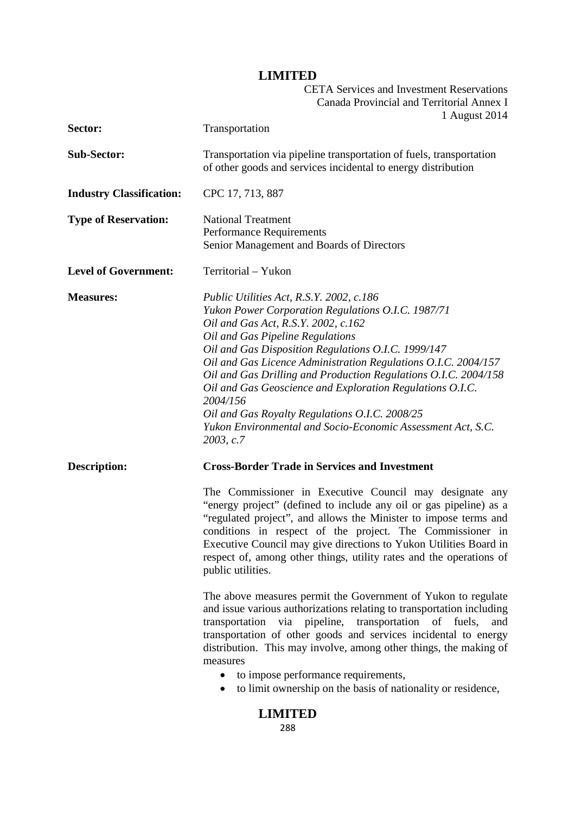CETA Services and Investment Reservations Canada Provincial and Territorial Annex I 1 August 2014

|                                 | $1 \text{ August}$                                                                                                                                                                                                                                                                                                                                                                                                                                                                                                                                                                                                                                                                                                                                                                                                                                                                                                                                                                           |  |
|---------------------------------|----------------------------------------------------------------------------------------------------------------------------------------------------------------------------------------------------------------------------------------------------------------------------------------------------------------------------------------------------------------------------------------------------------------------------------------------------------------------------------------------------------------------------------------------------------------------------------------------------------------------------------------------------------------------------------------------------------------------------------------------------------------------------------------------------------------------------------------------------------------------------------------------------------------------------------------------------------------------------------------------|--|
| Sector:                         | Transportation                                                                                                                                                                                                                                                                                                                                                                                                                                                                                                                                                                                                                                                                                                                                                                                                                                                                                                                                                                               |  |
| <b>Sub-Sector:</b>              | Transportation via pipeline transportation of fuels, transportation<br>of other goods and services incidental to energy distribution                                                                                                                                                                                                                                                                                                                                                                                                                                                                                                                                                                                                                                                                                                                                                                                                                                                         |  |
| <b>Industry Classification:</b> | CPC 17, 713, 887                                                                                                                                                                                                                                                                                                                                                                                                                                                                                                                                                                                                                                                                                                                                                                                                                                                                                                                                                                             |  |
| <b>Type of Reservation:</b>     | <b>National Treatment</b><br><b>Performance Requirements</b><br>Senior Management and Boards of Directors                                                                                                                                                                                                                                                                                                                                                                                                                                                                                                                                                                                                                                                                                                                                                                                                                                                                                    |  |
| <b>Level of Government:</b>     | Territorial - Yukon                                                                                                                                                                                                                                                                                                                                                                                                                                                                                                                                                                                                                                                                                                                                                                                                                                                                                                                                                                          |  |
| <b>Measures:</b>                | Public Utilities Act, R.S.Y. 2002, c.186<br>Yukon Power Corporation Regulations O.I.C. 1987/71<br>Oil and Gas Act, R.S.Y. 2002, c.162<br>Oil and Gas Pipeline Regulations<br>Oil and Gas Disposition Regulations O.I.C. 1999/147<br>Oil and Gas Licence Administration Regulations O.I.C. 2004/157<br>Oil and Gas Drilling and Production Regulations O.I.C. 2004/158<br>Oil and Gas Geoscience and Exploration Regulations O.I.C.<br>2004/156<br>Oil and Gas Royalty Regulations O.I.C. 2008/25<br>Yukon Environmental and Socio-Economic Assessment Act, S.C.<br>2003, c.7                                                                                                                                                                                                                                                                                                                                                                                                                 |  |
| <b>Description:</b>             | <b>Cross-Border Trade in Services and Investment</b><br>The Commissioner in Executive Council may designate any<br>"energy project" (defined to include any oil or gas pipeline) as a<br>"regulated project", and allows the Minister to impose terms and<br>conditions in respect of the project. The Commissioner in<br>Executive Council may give directions to Yukon Utilities Board in<br>respect of, among other things, utility rates and the operations of<br>public utilities.<br>The above measures permit the Government of Yukon to regulate<br>and issue various authorizations relating to transportation including<br>via pipeline,<br>transportation of fuels,<br>transportation<br>and<br>transportation of other goods and services incidental to energy<br>distribution. This may involve, among other things, the making of<br>measures<br>to impose performance requirements,<br>$\bullet$<br>to limit ownership on the basis of nationality or residence,<br>$\bullet$ |  |
| <b>LIMITED</b>                  |                                                                                                                                                                                                                                                                                                                                                                                                                                                                                                                                                                                                                                                                                                                                                                                                                                                                                                                                                                                              |  |

288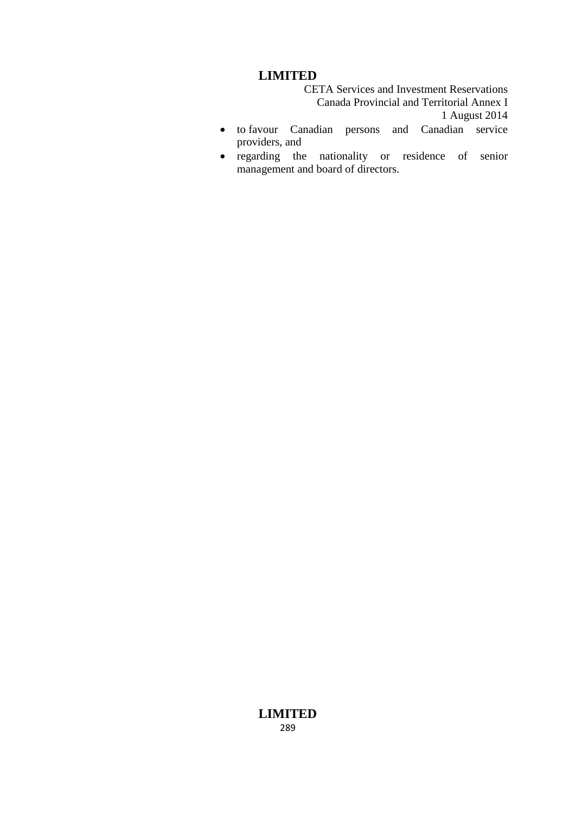- to favour Canadian persons and Canadian service providers, and
- regarding the nationality or residence of senior management and board of directors.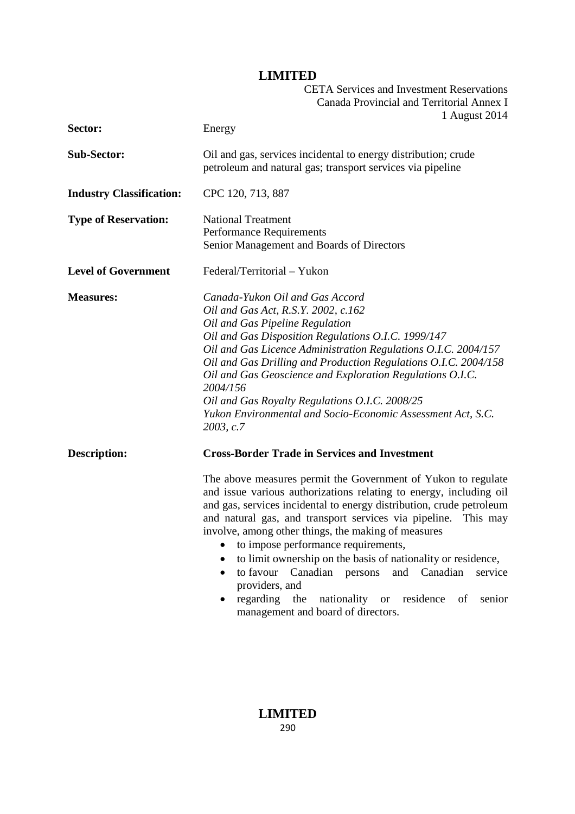| Sector:                         | Energy                                                                                                                                                                                                                                                                                                                                                                                                                                                                                                                                                                                                                                                                                   |  |  |  |  |
|---------------------------------|------------------------------------------------------------------------------------------------------------------------------------------------------------------------------------------------------------------------------------------------------------------------------------------------------------------------------------------------------------------------------------------------------------------------------------------------------------------------------------------------------------------------------------------------------------------------------------------------------------------------------------------------------------------------------------------|--|--|--|--|
| <b>Sub-Sector:</b>              | Oil and gas, services incidental to energy distribution; crude<br>petroleum and natural gas; transport services via pipeline                                                                                                                                                                                                                                                                                                                                                                                                                                                                                                                                                             |  |  |  |  |
| <b>Industry Classification:</b> | CPC 120, 713, 887                                                                                                                                                                                                                                                                                                                                                                                                                                                                                                                                                                                                                                                                        |  |  |  |  |
| <b>Type of Reservation:</b>     | <b>National Treatment</b><br><b>Performance Requirements</b><br>Senior Management and Boards of Directors                                                                                                                                                                                                                                                                                                                                                                                                                                                                                                                                                                                |  |  |  |  |
| <b>Level of Government</b>      | Federal/Territorial - Yukon                                                                                                                                                                                                                                                                                                                                                                                                                                                                                                                                                                                                                                                              |  |  |  |  |
| <b>Measures:</b>                | Canada-Yukon Oil and Gas Accord<br>Oil and Gas Act, R.S.Y. 2002, c.162<br>Oil and Gas Pipeline Regulation<br>Oil and Gas Disposition Regulations O.I.C. 1999/147<br>Oil and Gas Licence Administration Regulations O.I.C. 2004/157<br>Oil and Gas Drilling and Production Regulations O.I.C. 2004/158<br>Oil and Gas Geoscience and Exploration Regulations O.I.C.<br>2004/156<br>Oil and Gas Royalty Regulations O.I.C. 2008/25<br>Yukon Environmental and Socio-Economic Assessment Act, S.C.<br>2003, c.7                                                                                                                                                                             |  |  |  |  |
| <b>Description:</b>             | <b>Cross-Border Trade in Services and Investment</b><br>The above measures permit the Government of Yukon to regulate<br>and issue various authorizations relating to energy, including oil<br>and gas, services incidental to energy distribution, crude petroleum<br>and natural gas, and transport services via pipeline.<br>This may<br>involve, among other things, the making of measures<br>to impose performance requirements,<br>to limit ownership on the basis of nationality or residence,<br>to favour Canadian persons and Canadian<br>service<br>providers, and<br>regarding the nationality or residence of<br>senior<br>$\bullet$<br>management and board of directors. |  |  |  |  |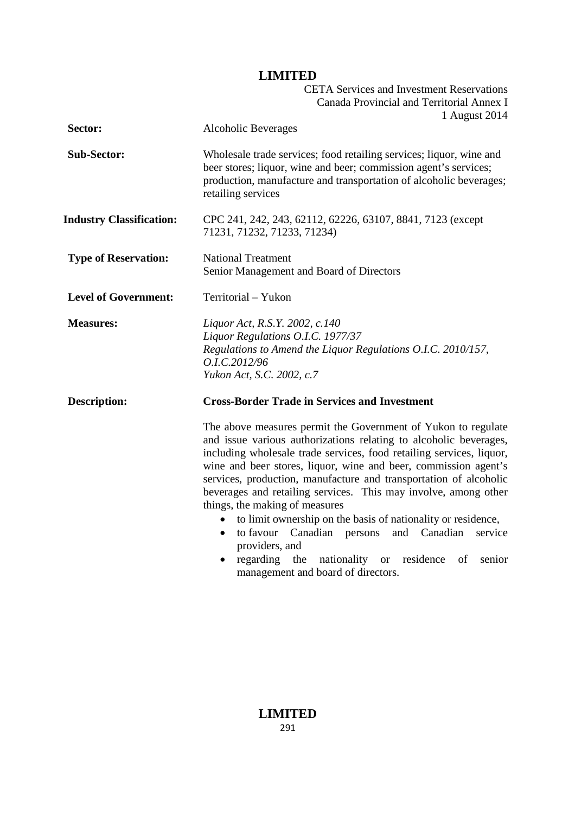## **LIMITED** CETA Services and Investment Reservations

|                                 | Canada Provincial and Territorial Annex I<br>1 August 2014                                                                                                                                                                                                                                                                                                                                                                                                                                                                                                                                                                                                                                                    |  |  |  |  |  |
|---------------------------------|---------------------------------------------------------------------------------------------------------------------------------------------------------------------------------------------------------------------------------------------------------------------------------------------------------------------------------------------------------------------------------------------------------------------------------------------------------------------------------------------------------------------------------------------------------------------------------------------------------------------------------------------------------------------------------------------------------------|--|--|--|--|--|
| Sector:                         | <b>Alcoholic Beverages</b>                                                                                                                                                                                                                                                                                                                                                                                                                                                                                                                                                                                                                                                                                    |  |  |  |  |  |
| <b>Sub-Sector:</b>              | Wholesale trade services; food retailing services; liquor, wine and<br>beer stores; liquor, wine and beer; commission agent's services;<br>production, manufacture and transportation of alcoholic beverages;<br>retailing services                                                                                                                                                                                                                                                                                                                                                                                                                                                                           |  |  |  |  |  |
| <b>Industry Classification:</b> | CPC 241, 242, 243, 62112, 62226, 63107, 8841, 7123 (except<br>71231, 71232, 71233, 71234)                                                                                                                                                                                                                                                                                                                                                                                                                                                                                                                                                                                                                     |  |  |  |  |  |
| <b>Type of Reservation:</b>     | <b>National Treatment</b><br>Senior Management and Board of Directors                                                                                                                                                                                                                                                                                                                                                                                                                                                                                                                                                                                                                                         |  |  |  |  |  |
| <b>Level of Government:</b>     | Territorial - Yukon                                                                                                                                                                                                                                                                                                                                                                                                                                                                                                                                                                                                                                                                                           |  |  |  |  |  |
| <b>Measures:</b>                | Liquor Act, R.S.Y. 2002, c.140<br>Liquor Regulations O.I.C. 1977/37<br>Regulations to Amend the Liquor Regulations O.I.C. 2010/157,<br>O.I.C.2012/96<br>Yukon Act, S.C. 2002, c.7                                                                                                                                                                                                                                                                                                                                                                                                                                                                                                                             |  |  |  |  |  |
| <b>Description:</b>             | <b>Cross-Border Trade in Services and Investment</b>                                                                                                                                                                                                                                                                                                                                                                                                                                                                                                                                                                                                                                                          |  |  |  |  |  |
|                                 | The above measures permit the Government of Yukon to regulate<br>and issue various authorizations relating to alcoholic beverages,<br>including wholesale trade services, food retailing services, liquor,<br>wine and beer stores, liquor, wine and beer, commission agent's<br>services, production, manufacture and transportation of alcoholic<br>beverages and retailing services. This may involve, among other<br>things, the making of measures<br>to limit ownership on the basis of nationality or residence,<br>$\bullet$<br>to favour<br>Canadian persons<br>and Canadian<br>service<br>$\bullet$<br>providers, and<br>regarding the<br>nationality<br>residence<br>of<br>senior<br><sub>or</sub> |  |  |  |  |  |

**LIMITED** 291

management and board of directors.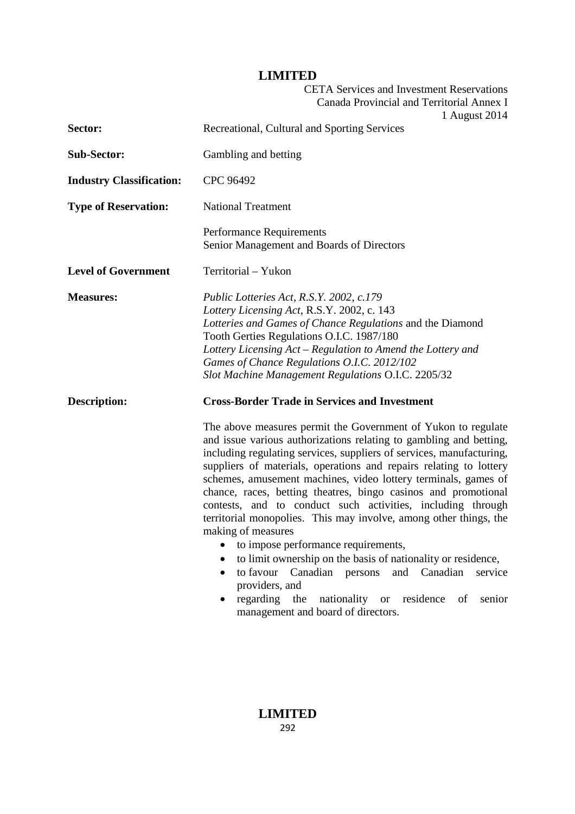CETA Services and Investment Reservations Canada Provincial and Territorial Annex I ء Aludian Aluita<br>1 August 2014

| Sector:                         | 1 August 2014<br>Recreational, Cultural and Sporting Services                                                                                                                                                                                                                                                                                                                                                                                                                                                                                                                                                                           |  |  |  |
|---------------------------------|-----------------------------------------------------------------------------------------------------------------------------------------------------------------------------------------------------------------------------------------------------------------------------------------------------------------------------------------------------------------------------------------------------------------------------------------------------------------------------------------------------------------------------------------------------------------------------------------------------------------------------------------|--|--|--|
| <b>Sub-Sector:</b>              | Gambling and betting                                                                                                                                                                                                                                                                                                                                                                                                                                                                                                                                                                                                                    |  |  |  |
| <b>Industry Classification:</b> | CPC 96492                                                                                                                                                                                                                                                                                                                                                                                                                                                                                                                                                                                                                               |  |  |  |
| <b>Type of Reservation:</b>     | <b>National Treatment</b>                                                                                                                                                                                                                                                                                                                                                                                                                                                                                                                                                                                                               |  |  |  |
|                                 | <b>Performance Requirements</b><br>Senior Management and Boards of Directors                                                                                                                                                                                                                                                                                                                                                                                                                                                                                                                                                            |  |  |  |
| <b>Level of Government</b>      | Territorial - Yukon                                                                                                                                                                                                                                                                                                                                                                                                                                                                                                                                                                                                                     |  |  |  |
| <b>Measures:</b>                | Public Lotteries Act, R.S.Y. 2002, c.179<br>Lottery Licensing Act, R.S.Y. 2002, c. 143<br>Lotteries and Games of Chance Regulations and the Diamond<br>Tooth Gerties Regulations O.I.C. 1987/180<br>Lottery Licensing Act - Regulation to Amend the Lottery and<br>Games of Chance Regulations O.I.C. 2012/102<br>Slot Machine Management Regulations O.I.C. 2205/32                                                                                                                                                                                                                                                                    |  |  |  |
| <b>Description:</b>             | <b>Cross-Border Trade in Services and Investment</b><br>The above measures permit the Government of Yukon to regulate<br>and issue various authorizations relating to gambling and betting,<br>including regulating services, suppliers of services, manufacturing,<br>suppliers of materials, operations and repairs relating to lottery<br>schemes, amusement machines, video lottery terminals, games of<br>chance, races, betting theatres, bingo casinos and promotional<br>contests, and to conduct such activities, including through<br>territorial monopolies. This may involve, among other things, the<br>making of measures |  |  |  |
|                                 | to impose performance requirements,<br>$\bullet$<br>to limit ownership on the basis of nationality or residence,<br>$\bullet$<br>Canadian persons<br>to favour<br>and Canadian<br>service<br>$\bullet$<br>providers, and<br>regarding<br>the nationality or residence of senior<br>management and board of directors.                                                                                                                                                                                                                                                                                                                   |  |  |  |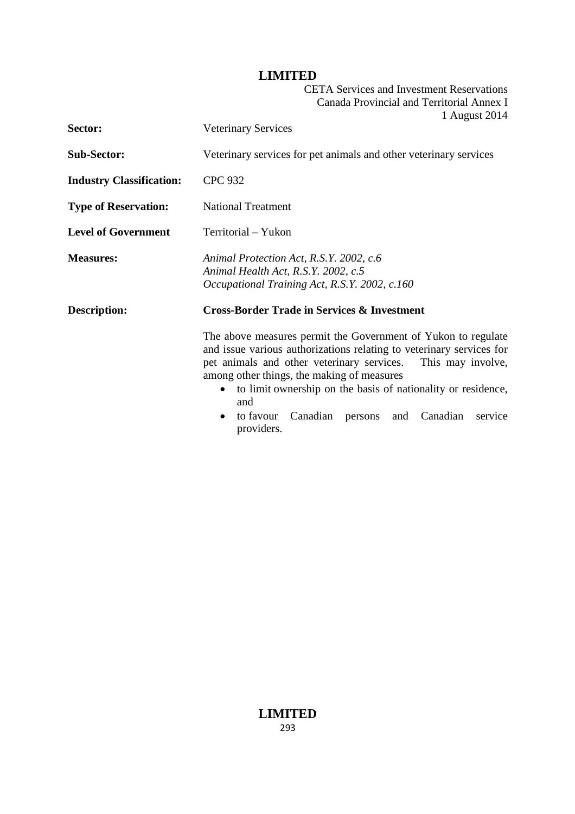| Sector:                         | $1.1$ $\mu$ sust $201$<br><b>Veterinary Services</b>                                                                                                                                                                                                                                                                                                                                                                                                                                           |  |  |  |  |  |
|---------------------------------|------------------------------------------------------------------------------------------------------------------------------------------------------------------------------------------------------------------------------------------------------------------------------------------------------------------------------------------------------------------------------------------------------------------------------------------------------------------------------------------------|--|--|--|--|--|
| <b>Sub-Sector:</b>              | Veterinary services for pet animals and other veterinary services                                                                                                                                                                                                                                                                                                                                                                                                                              |  |  |  |  |  |
| <b>Industry Classification:</b> | <b>CPC 932</b>                                                                                                                                                                                                                                                                                                                                                                                                                                                                                 |  |  |  |  |  |
| <b>Type of Reservation:</b>     | <b>National Treatment</b>                                                                                                                                                                                                                                                                                                                                                                                                                                                                      |  |  |  |  |  |
| <b>Level of Government</b>      | Territorial – Yukon                                                                                                                                                                                                                                                                                                                                                                                                                                                                            |  |  |  |  |  |
| <b>Measures:</b>                | Animal Protection Act, R.S.Y. 2002, c.6<br>Animal Health Act, R.S.Y. 2002, c.5<br>Occupational Training Act, R.S.Y. 2002, c.160                                                                                                                                                                                                                                                                                                                                                                |  |  |  |  |  |
| Description:                    | <b>Cross-Border Trade in Services &amp; Investment</b><br>The above measures permit the Government of Yukon to regulate<br>and issue various authorizations relating to veterinary services for<br>pet animals and other veterinary services.<br>This may involve,<br>among other things, the making of measures<br>to limit ownership on the basis of nationality or residence,<br>$\bullet$<br>and<br>Canadian<br>Canadian<br>to favour<br>service<br>persons and<br>$\bullet$<br>providers. |  |  |  |  |  |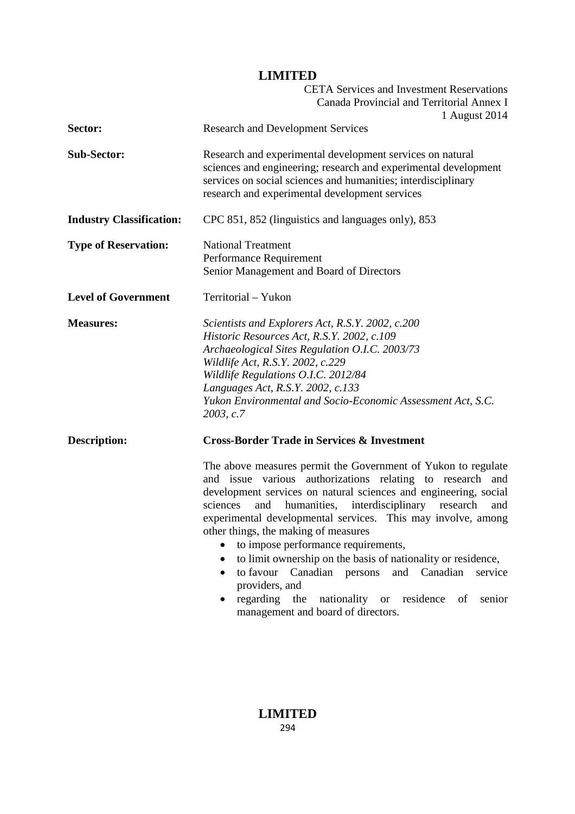|                                 | <b>CETA</b> Services and Investment Reservations                                                                                                                                                                                                                                                                                                                                                                                                                                                                                                                                                                                                                             |
|---------------------------------|------------------------------------------------------------------------------------------------------------------------------------------------------------------------------------------------------------------------------------------------------------------------------------------------------------------------------------------------------------------------------------------------------------------------------------------------------------------------------------------------------------------------------------------------------------------------------------------------------------------------------------------------------------------------------|
|                                 | Canada Provincial and Territorial Annex I                                                                                                                                                                                                                                                                                                                                                                                                                                                                                                                                                                                                                                    |
|                                 | 1 August 2014                                                                                                                                                                                                                                                                                                                                                                                                                                                                                                                                                                                                                                                                |
| Sector:                         | <b>Research and Development Services</b>                                                                                                                                                                                                                                                                                                                                                                                                                                                                                                                                                                                                                                     |
| <b>Sub-Sector:</b>              | Research and experimental development services on natural<br>sciences and engineering; research and experimental development<br>services on social sciences and humanities; interdisciplinary<br>research and experimental development services                                                                                                                                                                                                                                                                                                                                                                                                                              |
| <b>Industry Classification:</b> | CPC 851, 852 (linguistics and languages only), 853                                                                                                                                                                                                                                                                                                                                                                                                                                                                                                                                                                                                                           |
| <b>Type of Reservation:</b>     | <b>National Treatment</b>                                                                                                                                                                                                                                                                                                                                                                                                                                                                                                                                                                                                                                                    |
|                                 | Performance Requirement                                                                                                                                                                                                                                                                                                                                                                                                                                                                                                                                                                                                                                                      |
|                                 | Senior Management and Board of Directors                                                                                                                                                                                                                                                                                                                                                                                                                                                                                                                                                                                                                                     |
| <b>Level of Government</b>      | Territorial - Yukon                                                                                                                                                                                                                                                                                                                                                                                                                                                                                                                                                                                                                                                          |
| <b>Measures:</b>                | Scientists and Explorers Act, R.S.Y. 2002, c.200<br>Historic Resources Act, R.S.Y. 2002, c.109<br>Archaeological Sites Regulation O.I.C. 2003/73<br>Wildlife Act, R.S.Y. 2002, c.229<br>Wildlife Regulations O.I.C. 2012/84<br>Languages Act, R.S.Y. 2002, c.133<br>Yukon Environmental and Socio-Economic Assessment Act, S.C.<br>2003, c.7                                                                                                                                                                                                                                                                                                                                 |
| <b>Description:</b>             | <b>Cross-Border Trade in Services &amp; Investment</b>                                                                                                                                                                                                                                                                                                                                                                                                                                                                                                                                                                                                                       |
|                                 | The above measures permit the Government of Yukon to regulate<br>and issue various authorizations relating to research and<br>development services on natural sciences and engineering, social<br>sciences<br>and humanities, interdisciplinary<br>research<br>and<br>experimental developmental services. This may involve, among<br>other things, the making of measures<br>to impose performance requirements,<br>to limit ownership on the basis of nationality or residence,<br>to favour Canadian persons<br>and Canadian<br>service<br>$\bullet$<br>providers, and<br>regarding the<br>nationality or residence<br>of<br>senior<br>management and board of directors. |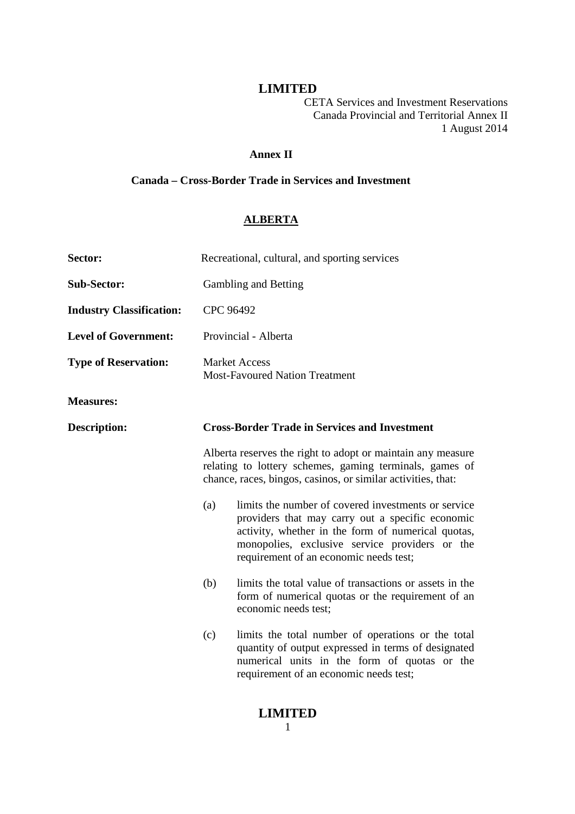CETA Services and Investment Reservations Canada Provincial and Territorial Annex II 1 August 2014

## **Annex II**

### **Canada – Cross-Border Trade in Services and Investment**

## **ALBERTA**

| Sector:                         | Recreational, cultural, and sporting services                                                                                                                                                                                                                    |  |  |
|---------------------------------|------------------------------------------------------------------------------------------------------------------------------------------------------------------------------------------------------------------------------------------------------------------|--|--|
| <b>Sub-Sector:</b>              | Gambling and Betting                                                                                                                                                                                                                                             |  |  |
| <b>Industry Classification:</b> | CPC 96492                                                                                                                                                                                                                                                        |  |  |
| <b>Level of Government:</b>     | Provincial - Alberta                                                                                                                                                                                                                                             |  |  |
| <b>Type of Reservation:</b>     | <b>Market Access</b><br><b>Most-Favoured Nation Treatment</b>                                                                                                                                                                                                    |  |  |
| <b>Measures:</b>                |                                                                                                                                                                                                                                                                  |  |  |
| <b>Description:</b>             | <b>Cross-Border Trade in Services and Investment</b><br>Alberta reserves the right to adopt or maintain any measure<br>relating to lottery schemes, gaming terminals, games of<br>chance, races, bingos, casinos, or similar activities, that:                   |  |  |
|                                 |                                                                                                                                                                                                                                                                  |  |  |
|                                 | limits the number of covered investments or service<br>(a)<br>providers that may carry out a specific economic<br>activity, whether in the form of numerical quotas,<br>monopolies, exclusive service providers or the<br>requirement of an economic needs test; |  |  |
|                                 | limits the total value of transactions or assets in the<br>(b)<br>form of numerical quotas or the requirement of an<br>economic needs test;                                                                                                                      |  |  |
|                                 | (c)<br>limits the total number of operations or the total<br>quantity of output expressed in terms of designated<br>numerical units in the form of quotas or the<br>requirement of an economic needs test;                                                       |  |  |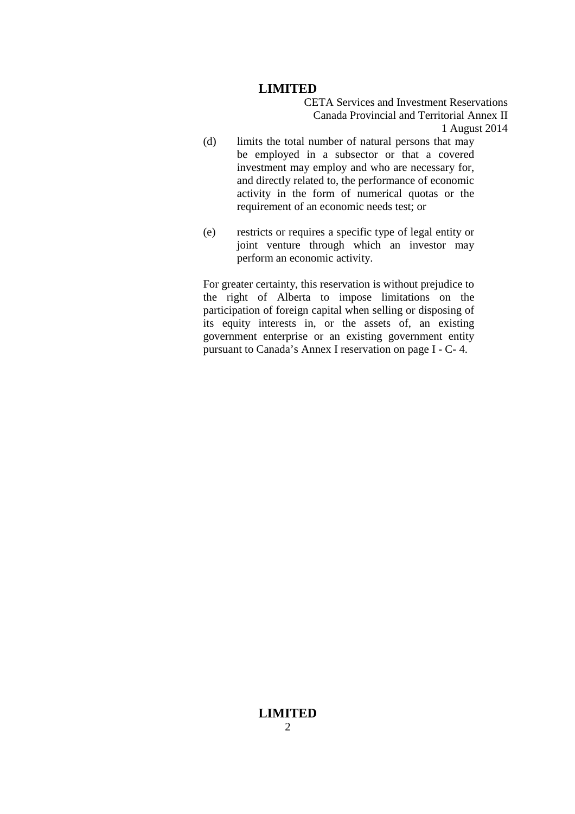CETA Services and Investment Reservations Canada Provincial and Territorial Annex II 1 August 2014

- (d) limits the total number of natural persons that may be employed in a subsector or that a covered investment may employ and who are necessary for, and directly related to, the performance of economic activity in the form of numerical quotas or the requirement of an economic needs test; or
- (e) restricts or requires a specific type of legal entity or joint venture through which an investor may perform an economic activity.

For greater certainty, this reservation is without prejudice to the right of Alberta to impose limitations on the participation of foreign capital when selling or disposing of its equity interests in, or the assets of, an existing government enterprise or an existing government entity pursuant to Canada's Annex I reservation on page I - C- 4.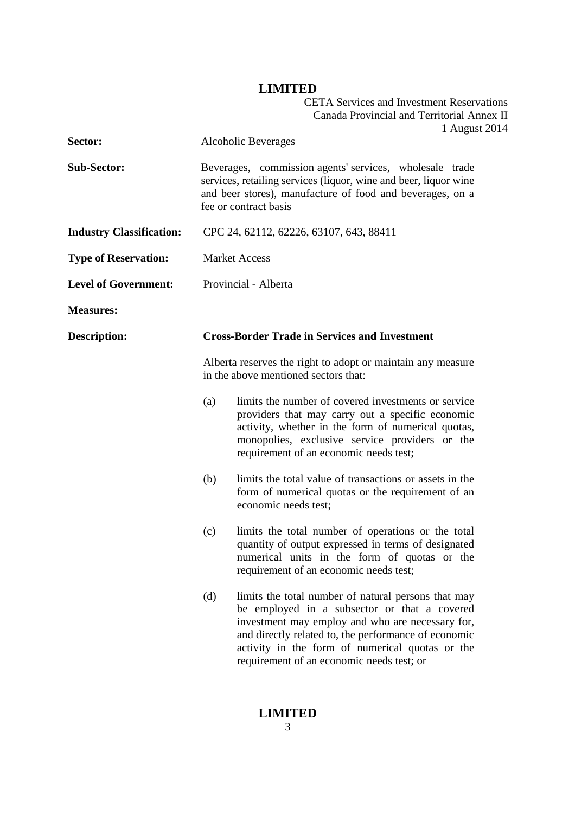CETA Services and Investment Reservations Canada Provincial and Territorial Annex II 1 August 2014

| Sector:                         | 1 August 20<br><b>Alcoholic Beverages</b>                                                                                                                                                                                                                                                                              |  |  |  |  |
|---------------------------------|------------------------------------------------------------------------------------------------------------------------------------------------------------------------------------------------------------------------------------------------------------------------------------------------------------------------|--|--|--|--|
| <b>Sub-Sector:</b>              | Beverages, commission agents' services, wholesale trade<br>services, retailing services (liquor, wine and beer, liquor wine<br>and beer stores), manufacture of food and beverages, on a<br>fee or contract basis                                                                                                      |  |  |  |  |
| <b>Industry Classification:</b> | CPC 24, 62112, 62226, 63107, 643, 88411                                                                                                                                                                                                                                                                                |  |  |  |  |
| <b>Type of Reservation:</b>     | <b>Market Access</b>                                                                                                                                                                                                                                                                                                   |  |  |  |  |
| <b>Level of Government:</b>     | Provincial - Alberta                                                                                                                                                                                                                                                                                                   |  |  |  |  |
| <b>Measures:</b>                |                                                                                                                                                                                                                                                                                                                        |  |  |  |  |
| <b>Description:</b>             | <b>Cross-Border Trade in Services and Investment</b>                                                                                                                                                                                                                                                                   |  |  |  |  |
|                                 | Alberta reserves the right to adopt or maintain any measure<br>in the above mentioned sectors that:                                                                                                                                                                                                                    |  |  |  |  |
|                                 | limits the number of covered investments or service<br>(a)<br>providers that may carry out a specific economic<br>activity, whether in the form of numerical quotas,<br>monopolies, exclusive service providers or the<br>requirement of an economic needs test;                                                       |  |  |  |  |
|                                 | limits the total value of transactions or assets in the<br>(b)<br>form of numerical quotas or the requirement of an<br>economic needs test;                                                                                                                                                                            |  |  |  |  |
|                                 | limits the total number of operations or the total<br>(c)<br>quantity of output expressed in terms of designated<br>numerical units in the form of quotas or the<br>requirement of an economic needs test;                                                                                                             |  |  |  |  |
|                                 | limits the total number of natural persons that may<br>(d)<br>be employed in a subsector or that a covered<br>investment may employ and who are necessary for,<br>and directly related to, the performance of economic<br>activity in the form of numerical quotas or the<br>requirement of an economic needs test; or |  |  |  |  |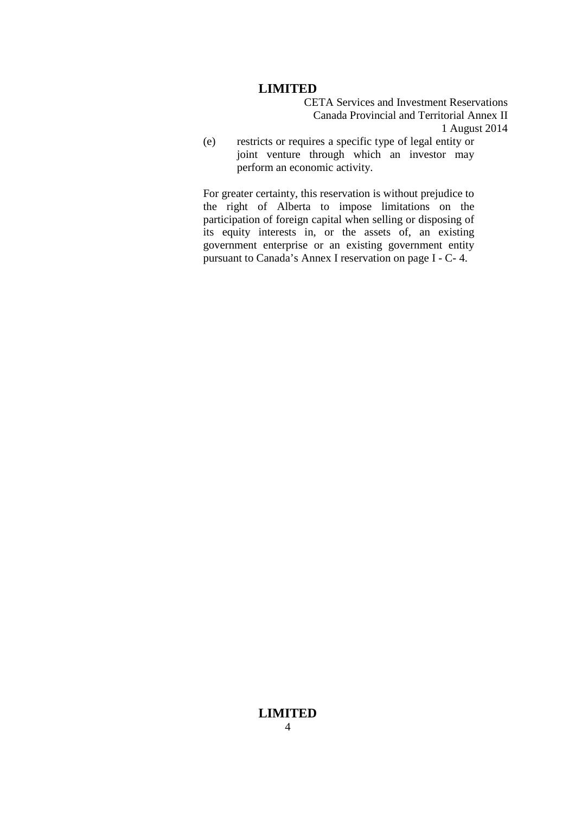CETA Services and Investment Reservations Canada Provincial and Territorial Annex II 1 August 2014

(e) restricts or requires a specific type of legal entity or joint venture through which an investor may perform an economic activity.

For greater certainty, this reservation is without prejudice to the right of Alberta to impose limitations on the participation of foreign capital when selling or disposing of its equity interests in, or the assets of, an existing government enterprise or an existing government entity pursuant to Canada's Annex I reservation on page I - C- 4.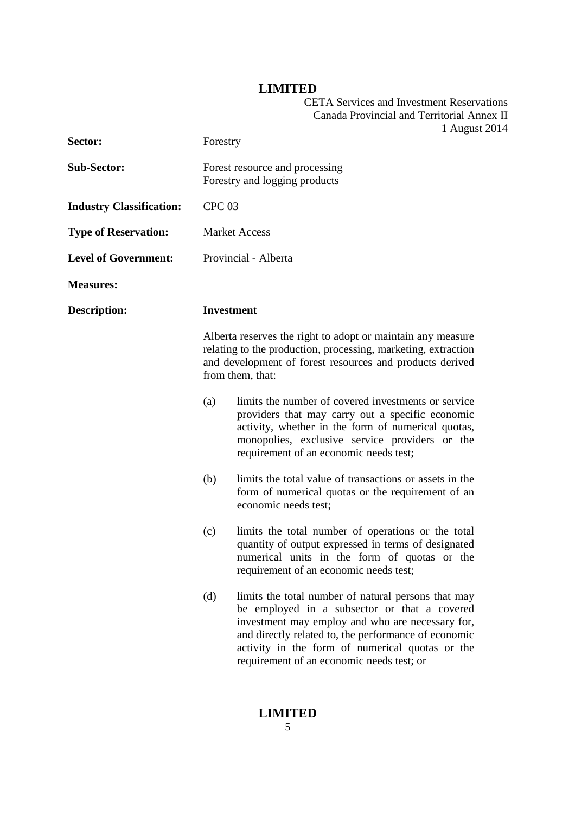CETA Services and Investment Reservations Canada Provincial and Territorial Annex II 1 August 2014

| Sector:                         | Forestry                                                                                                                                                                                                                                                                                                                                                                                                                                                                         |                                                                                                                                                                                                                                                                                                                 |  |
|---------------------------------|----------------------------------------------------------------------------------------------------------------------------------------------------------------------------------------------------------------------------------------------------------------------------------------------------------------------------------------------------------------------------------------------------------------------------------------------------------------------------------|-----------------------------------------------------------------------------------------------------------------------------------------------------------------------------------------------------------------------------------------------------------------------------------------------------------------|--|
| <b>Sub-Sector:</b>              | Forest resource and processing<br>Forestry and logging products                                                                                                                                                                                                                                                                                                                                                                                                                  |                                                                                                                                                                                                                                                                                                                 |  |
| <b>Industry Classification:</b> | CPC <sub>03</sub>                                                                                                                                                                                                                                                                                                                                                                                                                                                                |                                                                                                                                                                                                                                                                                                                 |  |
| <b>Type of Reservation:</b>     | <b>Market Access</b>                                                                                                                                                                                                                                                                                                                                                                                                                                                             |                                                                                                                                                                                                                                                                                                                 |  |
| <b>Level of Government:</b>     | Provincial - Alberta                                                                                                                                                                                                                                                                                                                                                                                                                                                             |                                                                                                                                                                                                                                                                                                                 |  |
| <b>Measures:</b>                |                                                                                                                                                                                                                                                                                                                                                                                                                                                                                  |                                                                                                                                                                                                                                                                                                                 |  |
| <b>Description:</b>             | <b>Investment</b>                                                                                                                                                                                                                                                                                                                                                                                                                                                                |                                                                                                                                                                                                                                                                                                                 |  |
|                                 | Alberta reserves the right to adopt or maintain any measure<br>relating to the production, processing, marketing, extraction<br>and development of forest resources and products derived<br>from them, that:<br>limits the number of covered investments or service<br>(a)<br>providers that may carry out a specific economic<br>activity, whether in the form of numerical quotas,<br>monopolies, exclusive service providers or the<br>requirement of an economic needs test; |                                                                                                                                                                                                                                                                                                                 |  |
|                                 |                                                                                                                                                                                                                                                                                                                                                                                                                                                                                  |                                                                                                                                                                                                                                                                                                                 |  |
|                                 | (b)                                                                                                                                                                                                                                                                                                                                                                                                                                                                              | limits the total value of transactions or assets in the<br>form of numerical quotas or the requirement of an<br>economic needs test;                                                                                                                                                                            |  |
|                                 | (c)                                                                                                                                                                                                                                                                                                                                                                                                                                                                              | limits the total number of operations or the total<br>quantity of output expressed in terms of designated<br>numerical units in the form of quotas or the<br>requirement of an economic needs test;                                                                                                             |  |
|                                 | (d)                                                                                                                                                                                                                                                                                                                                                                                                                                                                              | limits the total number of natural persons that may<br>be employed in a subsector or that a covered<br>investment may employ and who are necessary for,<br>and directly related to, the performance of economic<br>activity in the form of numerical quotas or the<br>requirement of an economic needs test; or |  |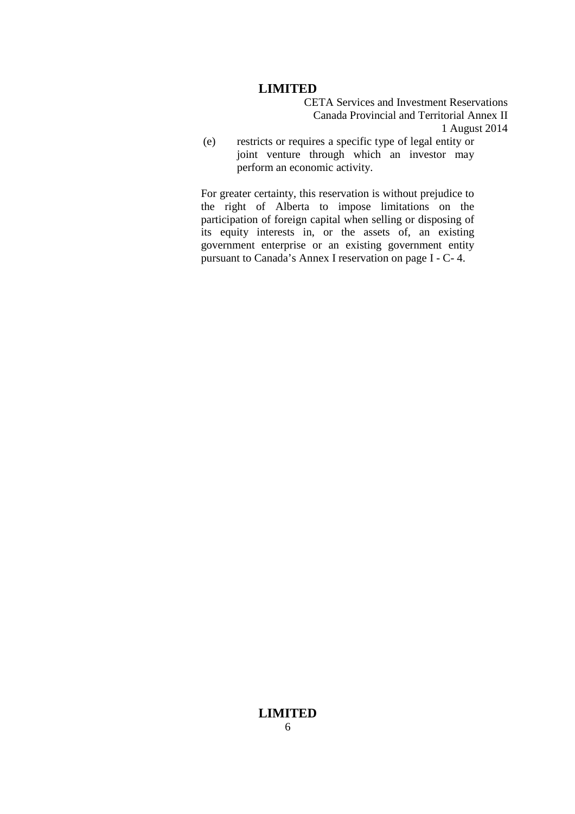CETA Services and Investment Reservations Canada Provincial and Territorial Annex II 1 August 2014

(e) restricts or requires a specific type of legal entity or joint venture through which an investor may perform an economic activity.

For greater certainty, this reservation is without prejudice to the right of Alberta to impose limitations on the participation of foreign capital when selling or disposing of its equity interests in, or the assets of, an existing government enterprise or an existing government entity pursuant to Canada's Annex I reservation on page I - C- 4.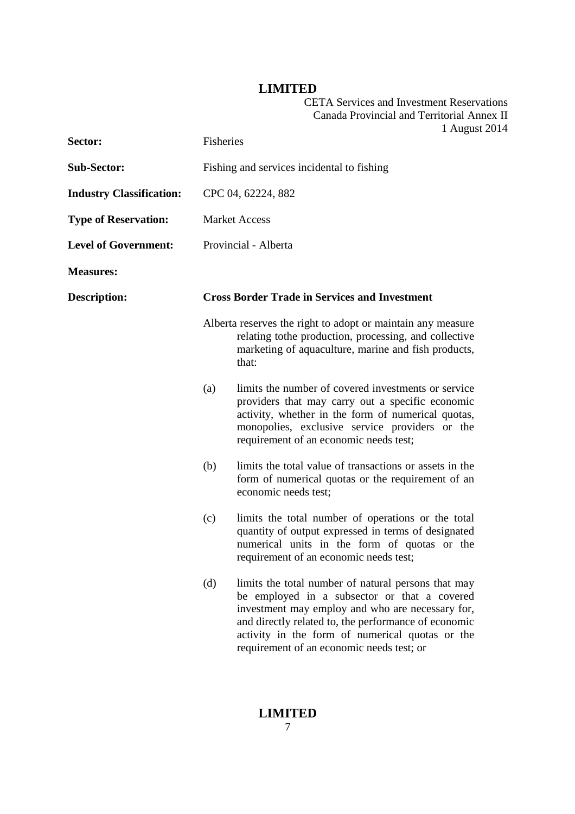CETA Services and Investment Reservations Canada Provincial and Territorial Annex II 1 August 2014

| Sector:                         | Fisheries                                            |                                                                                                                                                                                                                                                                                                                 |  |
|---------------------------------|------------------------------------------------------|-----------------------------------------------------------------------------------------------------------------------------------------------------------------------------------------------------------------------------------------------------------------------------------------------------------------|--|
| <b>Sub-Sector:</b>              | Fishing and services incidental to fishing           |                                                                                                                                                                                                                                                                                                                 |  |
| <b>Industry Classification:</b> | CPC 04, 62224, 882                                   |                                                                                                                                                                                                                                                                                                                 |  |
| <b>Type of Reservation:</b>     | <b>Market Access</b>                                 |                                                                                                                                                                                                                                                                                                                 |  |
| <b>Level of Government:</b>     | Provincial - Alberta                                 |                                                                                                                                                                                                                                                                                                                 |  |
| <b>Measures:</b>                |                                                      |                                                                                                                                                                                                                                                                                                                 |  |
| <b>Description:</b>             | <b>Cross Border Trade in Services and Investment</b> |                                                                                                                                                                                                                                                                                                                 |  |
|                                 |                                                      | Alberta reserves the right to adopt or maintain any measure<br>relating to the production, processing, and collective<br>marketing of aquaculture, marine and fish products,<br>that:                                                                                                                           |  |
|                                 | (a)                                                  | limits the number of covered investments or service<br>providers that may carry out a specific economic<br>activity, whether in the form of numerical quotas,<br>monopolies, exclusive service providers or the<br>requirement of an economic needs test;                                                       |  |
|                                 | (b)                                                  | limits the total value of transactions or assets in the<br>form of numerical quotas or the requirement of an<br>economic needs test;                                                                                                                                                                            |  |
|                                 | (c)                                                  | limits the total number of operations or the total<br>quantity of output expressed in terms of designated<br>numerical units in the form of quotas or the<br>requirement of an economic needs test;                                                                                                             |  |
|                                 | (d)                                                  | limits the total number of natural persons that may<br>be employed in a subsector or that a covered<br>investment may employ and who are necessary for,<br>and directly related to, the performance of economic<br>activity in the form of numerical quotas or the<br>requirement of an economic needs test; or |  |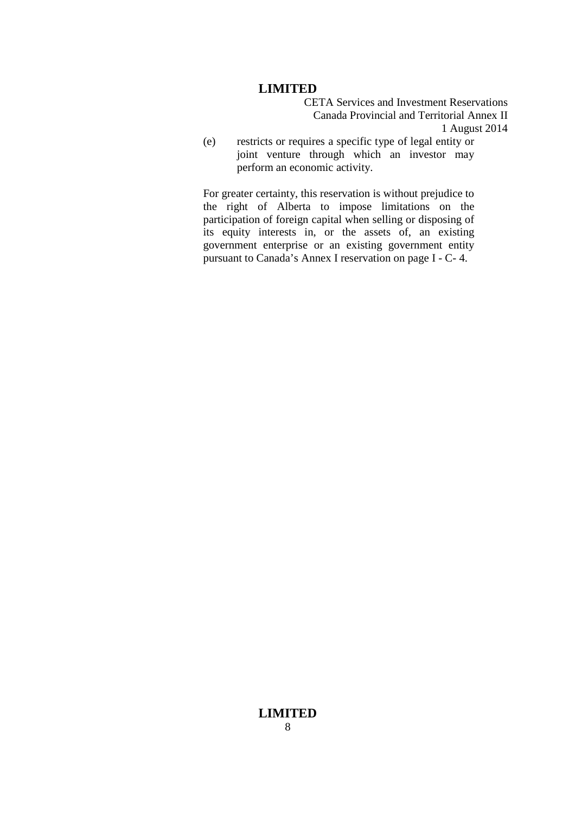CETA Services and Investment Reservations Canada Provincial and Territorial Annex II 1 August 2014

(e) restricts or requires a specific type of legal entity or joint venture through which an investor may perform an economic activity.

For greater certainty, this reservation is without prejudice to the right of Alberta to impose limitations on the participation of foreign capital when selling or disposing of its equity interests in, or the assets of, an existing government enterprise or an existing government entity pursuant to Canada's Annex I reservation on page I - C- 4.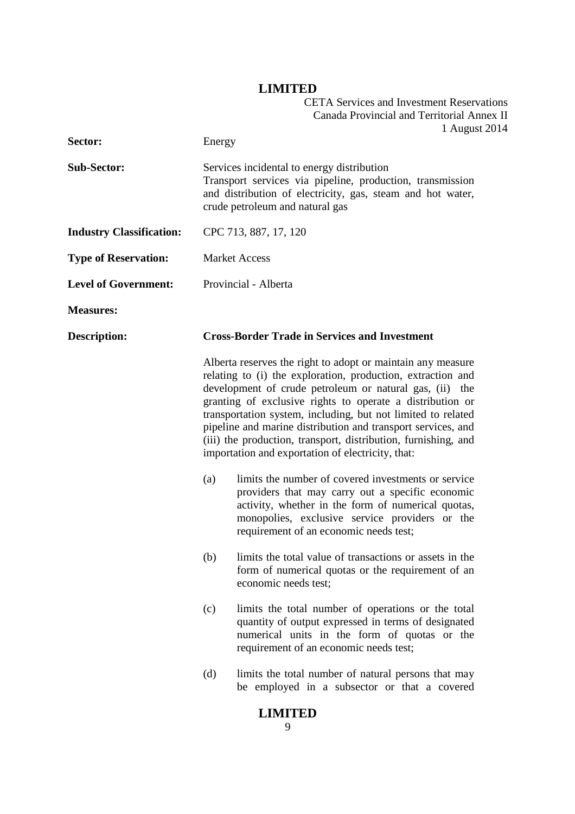| Sector:                         | I August $20.$<br>Energy                                                                                                                                                                                                                                                                                                                                                                                                                                                                                                                                             |                                                                                                                                                                                                                                                           |  |  |  |  |
|---------------------------------|----------------------------------------------------------------------------------------------------------------------------------------------------------------------------------------------------------------------------------------------------------------------------------------------------------------------------------------------------------------------------------------------------------------------------------------------------------------------------------------------------------------------------------------------------------------------|-----------------------------------------------------------------------------------------------------------------------------------------------------------------------------------------------------------------------------------------------------------|--|--|--|--|
| <b>Sub-Sector:</b>              | Services incidental to energy distribution<br>Transport services via pipeline, production, transmission<br>and distribution of electricity, gas, steam and hot water,<br>crude petroleum and natural gas                                                                                                                                                                                                                                                                                                                                                             |                                                                                                                                                                                                                                                           |  |  |  |  |
| <b>Industry Classification:</b> |                                                                                                                                                                                                                                                                                                                                                                                                                                                                                                                                                                      | CPC 713, 887, 17, 120                                                                                                                                                                                                                                     |  |  |  |  |
| <b>Type of Reservation:</b>     |                                                                                                                                                                                                                                                                                                                                                                                                                                                                                                                                                                      | <b>Market Access</b>                                                                                                                                                                                                                                      |  |  |  |  |
| <b>Level of Government:</b>     |                                                                                                                                                                                                                                                                                                                                                                                                                                                                                                                                                                      | Provincial - Alberta                                                                                                                                                                                                                                      |  |  |  |  |
| <b>Measures:</b>                |                                                                                                                                                                                                                                                                                                                                                                                                                                                                                                                                                                      |                                                                                                                                                                                                                                                           |  |  |  |  |
| <b>Description:</b>             | <b>Cross-Border Trade in Services and Investment</b><br>Alberta reserves the right to adopt or maintain any measure<br>relating to (i) the exploration, production, extraction and<br>development of crude petroleum or natural gas, (ii)<br>the<br>granting of exclusive rights to operate a distribution or<br>transportation system, including, but not limited to related<br>pipeline and marine distribution and transport services, and<br>(iii) the production, transport, distribution, furnishing, and<br>importation and exportation of electricity, that: |                                                                                                                                                                                                                                                           |  |  |  |  |
|                                 |                                                                                                                                                                                                                                                                                                                                                                                                                                                                                                                                                                      |                                                                                                                                                                                                                                                           |  |  |  |  |
|                                 | (a)                                                                                                                                                                                                                                                                                                                                                                                                                                                                                                                                                                  | limits the number of covered investments or service<br>providers that may carry out a specific economic<br>activity, whether in the form of numerical quotas,<br>monopolies, exclusive service providers or the<br>requirement of an economic needs test; |  |  |  |  |
|                                 | (b)                                                                                                                                                                                                                                                                                                                                                                                                                                                                                                                                                                  | limits the total value of transactions or assets in the<br>form of numerical quotas or the requirement of an<br>economic needs test;                                                                                                                      |  |  |  |  |
|                                 | (c)                                                                                                                                                                                                                                                                                                                                                                                                                                                                                                                                                                  | limits the total number of operations or the total<br>quantity of output expressed in terms of designated<br>numerical units in the form of quotas or the<br>requirement of an economic needs test;                                                       |  |  |  |  |
|                                 | (d)                                                                                                                                                                                                                                                                                                                                                                                                                                                                                                                                                                  | limits the total number of natural persons that may<br>be employed in a subsector or that a covered                                                                                                                                                       |  |  |  |  |
|                                 |                                                                                                                                                                                                                                                                                                                                                                                                                                                                                                                                                                      | <b>LIMITED</b>                                                                                                                                                                                                                                            |  |  |  |  |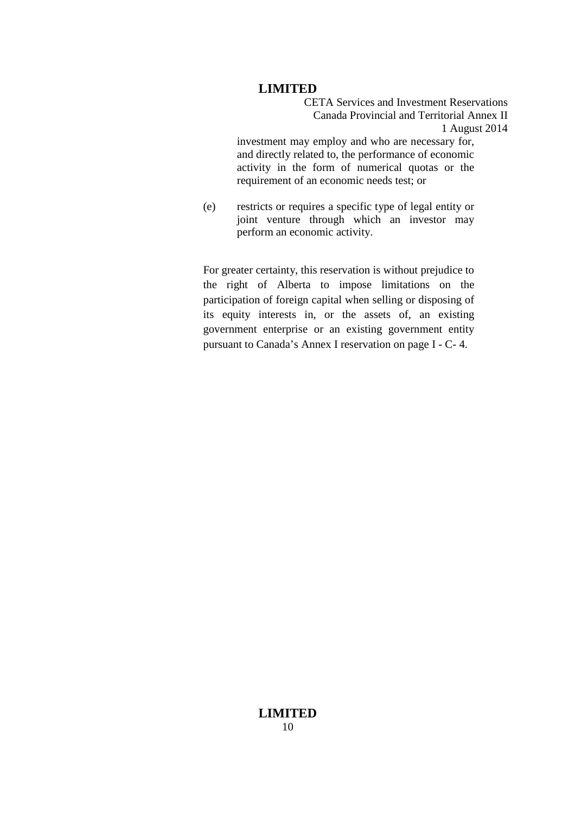CETA Services and Investment Reservations Canada Provincial and Territorial Annex II 1 August 2014

investment may employ and who are necessary for, and directly related to, the performance of economic activity in the form of numerical quotas or the requirement of an economic needs test; or

(e) restricts or requires a specific type of legal entity or joint venture through which an investor may perform an economic activity.

For greater certainty, this reservation is without prejudice to the right of Alberta to impose limitations on the participation of foreign capital when selling or disposing of its equity interests in, or the assets of, an existing government enterprise or an existing government entity pursuant to Canada's Annex I reservation on page I - C- 4.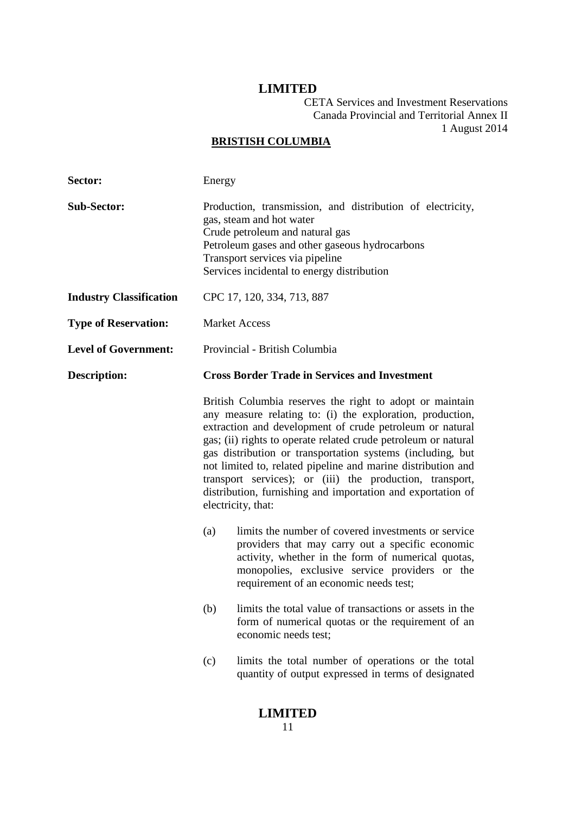CETA Services and Investment Reservations Canada Provincial and Territorial Annex II 1 August 2014

## **BRISTISH COLUMBIA**

| Sector:                        | Energy                                                                                                                                                                                                                                                                                                                                                                                                                                                                                                                             |                                                                                                                                                                                                                                                           |  |
|--------------------------------|------------------------------------------------------------------------------------------------------------------------------------------------------------------------------------------------------------------------------------------------------------------------------------------------------------------------------------------------------------------------------------------------------------------------------------------------------------------------------------------------------------------------------------|-----------------------------------------------------------------------------------------------------------------------------------------------------------------------------------------------------------------------------------------------------------|--|
| <b>Sub-Sector:</b>             | Production, transmission, and distribution of electricity,<br>gas, steam and hot water<br>Crude petroleum and natural gas<br>Petroleum gases and other gaseous hydrocarbons<br>Transport services via pipeline<br>Services incidental to energy distribution                                                                                                                                                                                                                                                                       |                                                                                                                                                                                                                                                           |  |
| <b>Industry Classification</b> | CPC 17, 120, 334, 713, 887                                                                                                                                                                                                                                                                                                                                                                                                                                                                                                         |                                                                                                                                                                                                                                                           |  |
| <b>Type of Reservation:</b>    | <b>Market Access</b>                                                                                                                                                                                                                                                                                                                                                                                                                                                                                                               |                                                                                                                                                                                                                                                           |  |
| <b>Level of Government:</b>    | Provincial - British Columbia                                                                                                                                                                                                                                                                                                                                                                                                                                                                                                      |                                                                                                                                                                                                                                                           |  |
| <b>Description:</b>            | <b>Cross Border Trade in Services and Investment</b>                                                                                                                                                                                                                                                                                                                                                                                                                                                                               |                                                                                                                                                                                                                                                           |  |
|                                | British Columbia reserves the right to adopt or maintain<br>any measure relating to: (i) the exploration, production,<br>extraction and development of crude petroleum or natural<br>gas; (ii) rights to operate related crude petroleum or natural<br>gas distribution or transportation systems (including, but<br>not limited to, related pipeline and marine distribution and<br>transport services); or (iii) the production, transport,<br>distribution, furnishing and importation and exportation of<br>electricity, that: |                                                                                                                                                                                                                                                           |  |
|                                | (a)                                                                                                                                                                                                                                                                                                                                                                                                                                                                                                                                | limits the number of covered investments or service<br>providers that may carry out a specific economic<br>activity, whether in the form of numerical quotas,<br>monopolies, exclusive service providers or the<br>requirement of an economic needs test; |  |
|                                | (b)                                                                                                                                                                                                                                                                                                                                                                                                                                                                                                                                | limits the total value of transactions or assets in the<br>form of numerical quotas or the requirement of an<br>economic needs test;                                                                                                                      |  |
|                                | (c)                                                                                                                                                                                                                                                                                                                                                                                                                                                                                                                                | limits the total number of operations or the total<br>quantity of output expressed in terms of designated                                                                                                                                                 |  |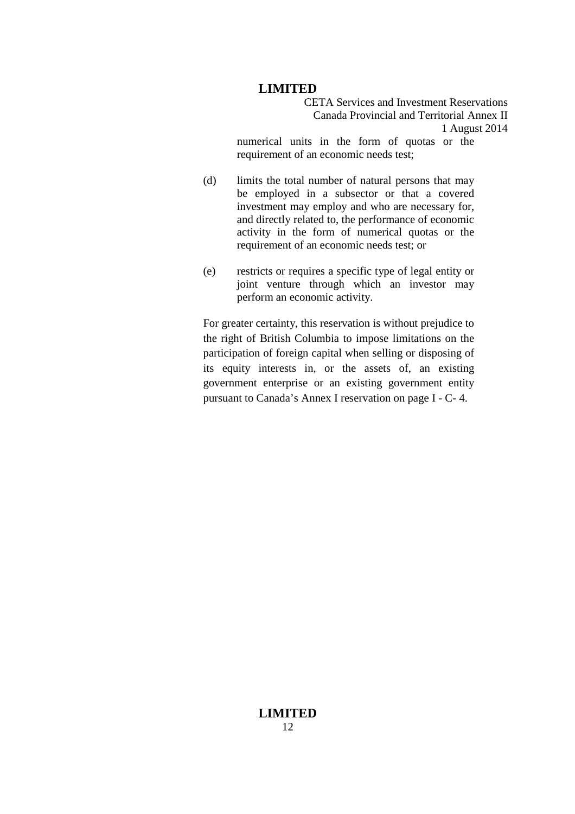CETA Services and Investment Reservations Canada Provincial and Territorial Annex II 1 August 2014 numerical units in the form of quotas or the requirement of an economic needs test;

(d) limits the total number of natural persons that may be employed in a subsector or that a covered investment may employ and who are necessary for, and directly related to, the performance of economic activity in the form of numerical quotas or the requirement of an economic needs test; or

(e) restricts or requires a specific type of legal entity or joint venture through which an investor may perform an economic activity.

For greater certainty, this reservation is without prejudice to the right of British Columbia to impose limitations on the participation of foreign capital when selling or disposing of its equity interests in, or the assets of, an existing government enterprise or an existing government entity pursuant to Canada's Annex I reservation on page I - C- 4.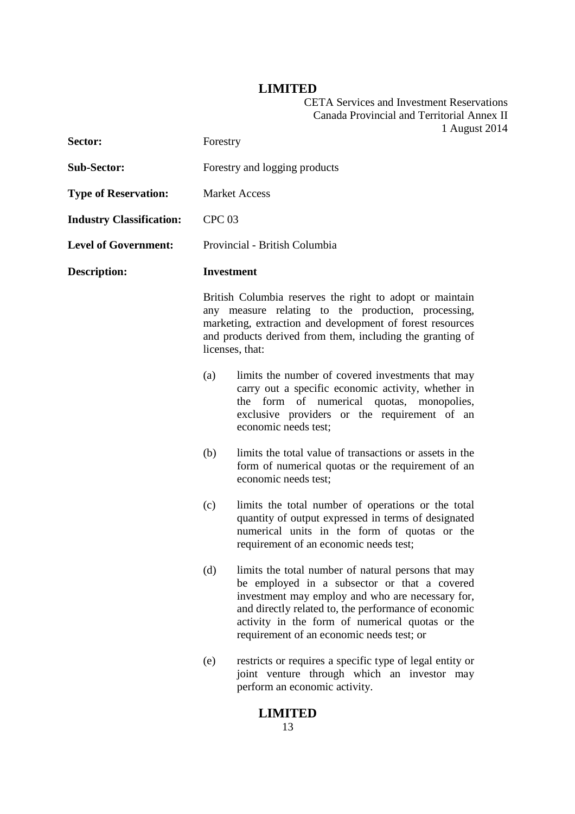CETA Services and Investment Reservations Canada Provincial and Territorial Annex II 1 August 2014

| Sector:                         | Forestry                                                                                                                                                                                                                                                                          |                                                                                                                                                                                                                                                                                                                 |  |
|---------------------------------|-----------------------------------------------------------------------------------------------------------------------------------------------------------------------------------------------------------------------------------------------------------------------------------|-----------------------------------------------------------------------------------------------------------------------------------------------------------------------------------------------------------------------------------------------------------------------------------------------------------------|--|
| <b>Sub-Sector:</b>              | Forestry and logging products                                                                                                                                                                                                                                                     |                                                                                                                                                                                                                                                                                                                 |  |
| <b>Type of Reservation:</b>     | <b>Market Access</b>                                                                                                                                                                                                                                                              |                                                                                                                                                                                                                                                                                                                 |  |
| <b>Industry Classification:</b> | CPC 03                                                                                                                                                                                                                                                                            |                                                                                                                                                                                                                                                                                                                 |  |
| <b>Level of Government:</b>     | Provincial - British Columbia                                                                                                                                                                                                                                                     |                                                                                                                                                                                                                                                                                                                 |  |
| <b>Description:</b>             | <b>Investment</b><br>British Columbia reserves the right to adopt or maintain<br>any measure relating to the production, processing,<br>marketing, extraction and development of forest resources<br>and products derived from them, including the granting of<br>licenses, that: |                                                                                                                                                                                                                                                                                                                 |  |
|                                 |                                                                                                                                                                                                                                                                                   |                                                                                                                                                                                                                                                                                                                 |  |
|                                 | (a)                                                                                                                                                                                                                                                                               | limits the number of covered investments that may<br>carry out a specific economic activity, whether in<br>the form of numerical quotas, monopolies,<br>exclusive providers or the requirement of an<br>economic needs test;                                                                                    |  |
|                                 | (b)                                                                                                                                                                                                                                                                               | limits the total value of transactions or assets in the<br>form of numerical quotas or the requirement of an<br>economic needs test;                                                                                                                                                                            |  |
|                                 | (c)                                                                                                                                                                                                                                                                               | limits the total number of operations or the total<br>quantity of output expressed in terms of designated<br>numerical units in the form of quotas or the<br>requirement of an economic needs test;                                                                                                             |  |
|                                 | (d)                                                                                                                                                                                                                                                                               | limits the total number of natural persons that may<br>be employed in a subsector or that a covered<br>investment may employ and who are necessary for,<br>and directly related to, the performance of economic<br>activity in the form of numerical quotas or the<br>requirement of an economic needs test; or |  |
|                                 | (e)                                                                                                                                                                                                                                                                               | restricts or requires a specific type of legal entity or<br>joint venture through which an investor may<br>perform an economic activity.                                                                                                                                                                        |  |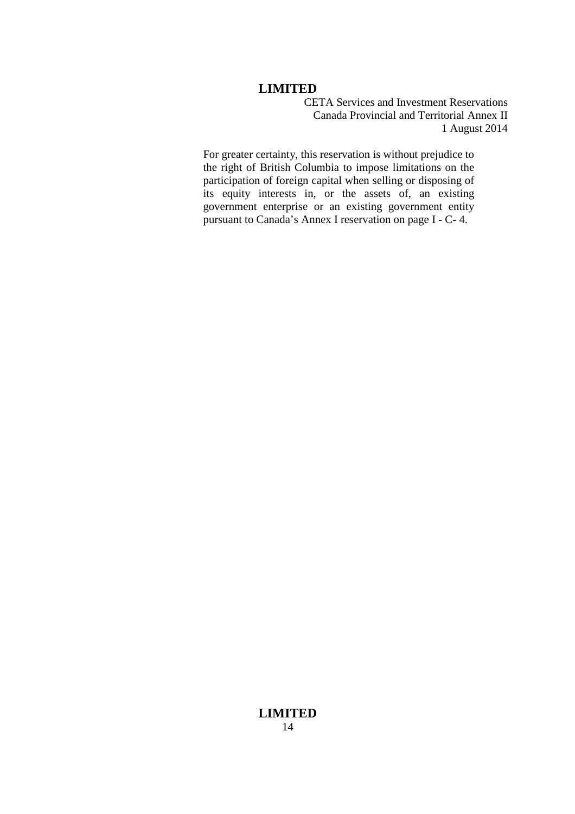CETA Services and Investment Reservations Canada Provincial and Territorial Annex II 1 August 2014

For greater certainty, this reservation is without prejudice to the right of British Columbia to impose limitations on the participation of foreign capital when selling or disposing of its equity interests in, or the assets of, an existing government enterprise or an existing government entity pursuant to Canada's Annex I reservation on page I - C- 4.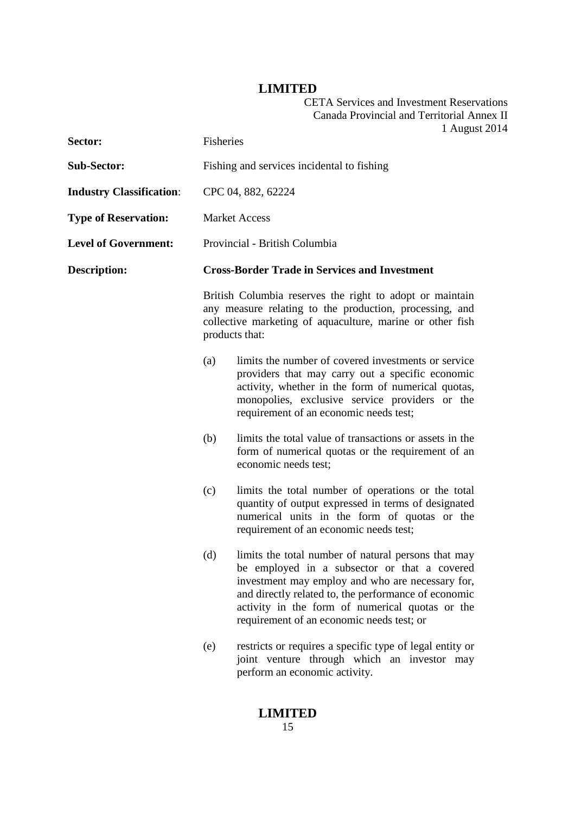| Sector:                         | Fisheries |                                                                                                                                                                                                                                                                                                                 |
|---------------------------------|-----------|-----------------------------------------------------------------------------------------------------------------------------------------------------------------------------------------------------------------------------------------------------------------------------------------------------------------|
| <b>Sub-Sector:</b>              |           | Fishing and services incidental to fishing                                                                                                                                                                                                                                                                      |
| <b>Industry Classification:</b> |           | CPC 04, 882, 62224                                                                                                                                                                                                                                                                                              |
| <b>Type of Reservation:</b>     |           | <b>Market Access</b>                                                                                                                                                                                                                                                                                            |
| <b>Level of Government:</b>     |           | Provincial - British Columbia                                                                                                                                                                                                                                                                                   |
| <b>Description:</b>             |           | <b>Cross-Border Trade in Services and Investment</b>                                                                                                                                                                                                                                                            |
|                                 |           | British Columbia reserves the right to adopt or maintain<br>any measure relating to the production, processing, and<br>collective marketing of aquaculture, marine or other fish<br>products that:                                                                                                              |
|                                 | (a)       | limits the number of covered investments or service<br>providers that may carry out a specific economic<br>activity, whether in the form of numerical quotas,<br>monopolies, exclusive service providers or the<br>requirement of an economic needs test;                                                       |
|                                 | (b)       | limits the total value of transactions or assets in the<br>form of numerical quotas or the requirement of an<br>economic needs test;                                                                                                                                                                            |
|                                 | (c)       | limits the total number of operations or the total<br>quantity of output expressed in terms of designated<br>numerical units in the form of quotas or the<br>requirement of an economic needs test;                                                                                                             |
|                                 | (d)       | limits the total number of natural persons that may<br>be employed in a subsector or that a covered<br>investment may employ and who are necessary for,<br>and directly related to, the performance of economic<br>activity in the form of numerical quotas or the<br>requirement of an economic needs test; or |
|                                 | (e)       | restricts or requires a specific type of legal entity or<br>joint venture through which an investor may<br>perform an economic activity.                                                                                                                                                                        |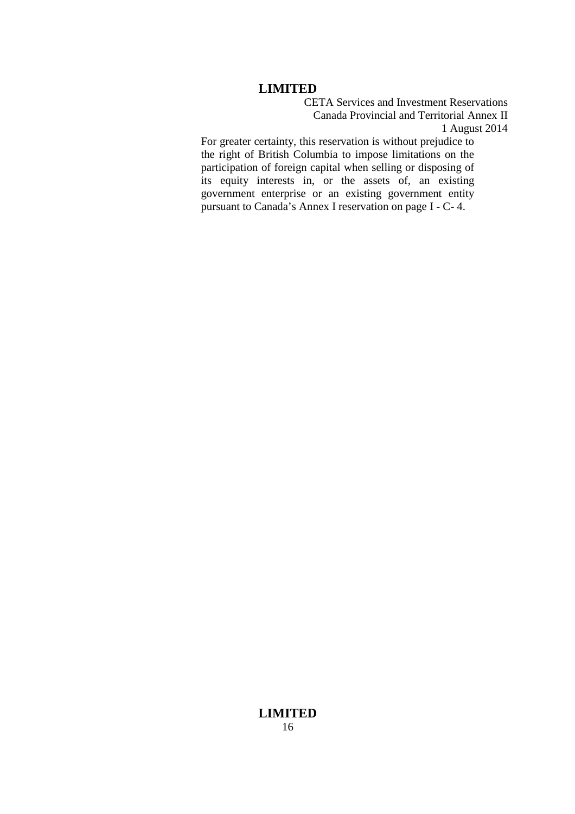CETA Services and Investment Reservations Canada Provincial and Territorial Annex II 1 August 2014

For greater certainty, this reservation is without prejudice to the right of British Columbia to impose limitations on the participation of foreign capital when selling or disposing of its equity interests in, or the assets of, an existing government enterprise or an existing government entity pursuant to Canada's Annex I reservation on page I - C- 4.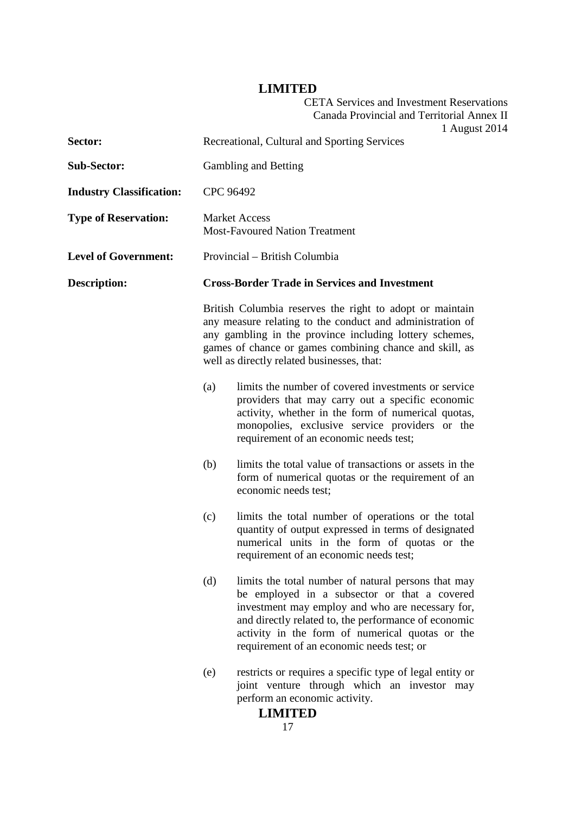|                                 | 1 August 20                                                                                                                                                                                                                                                                                                            |
|---------------------------------|------------------------------------------------------------------------------------------------------------------------------------------------------------------------------------------------------------------------------------------------------------------------------------------------------------------------|
| Sector:                         | Recreational, Cultural and Sporting Services                                                                                                                                                                                                                                                                           |
| <b>Sub-Sector:</b>              | <b>Gambling and Betting</b>                                                                                                                                                                                                                                                                                            |
| <b>Industry Classification:</b> | CPC 96492                                                                                                                                                                                                                                                                                                              |
| <b>Type of Reservation:</b>     | <b>Market Access</b><br><b>Most-Favoured Nation Treatment</b>                                                                                                                                                                                                                                                          |
| <b>Level of Government:</b>     | Provincial – British Columbia                                                                                                                                                                                                                                                                                          |
| <b>Description:</b>             | <b>Cross-Border Trade in Services and Investment</b>                                                                                                                                                                                                                                                                   |
|                                 | British Columbia reserves the right to adopt or maintain<br>any measure relating to the conduct and administration of<br>any gambling in the province including lottery schemes,<br>games of chance or games combining chance and skill, as<br>well as directly related businesses, that:                              |
|                                 | limits the number of covered investments or service<br>(a)<br>providers that may carry out a specific economic<br>activity, whether in the form of numerical quotas,<br>monopolies, exclusive service providers or the<br>requirement of an economic needs test;                                                       |
|                                 | limits the total value of transactions or assets in the<br>(b)<br>form of numerical quotas or the requirement of an<br>economic needs test;                                                                                                                                                                            |
|                                 | (c)<br>limits the total number of operations or the total<br>quantity of output expressed in terms of designated<br>numerical units in the form of quotas or the<br>requirement of an economic needs test;                                                                                                             |
|                                 | (d)<br>limits the total number of natural persons that may<br>be employed in a subsector or that a covered<br>investment may employ and who are necessary for,<br>and directly related to, the performance of economic<br>activity in the form of numerical quotas or the<br>requirement of an economic needs test; or |
|                                 | restricts or requires a specific type of legal entity or<br>(e)<br>joint venture through which an investor may<br>perform an economic activity.<br><b>LIMITED</b>                                                                                                                                                      |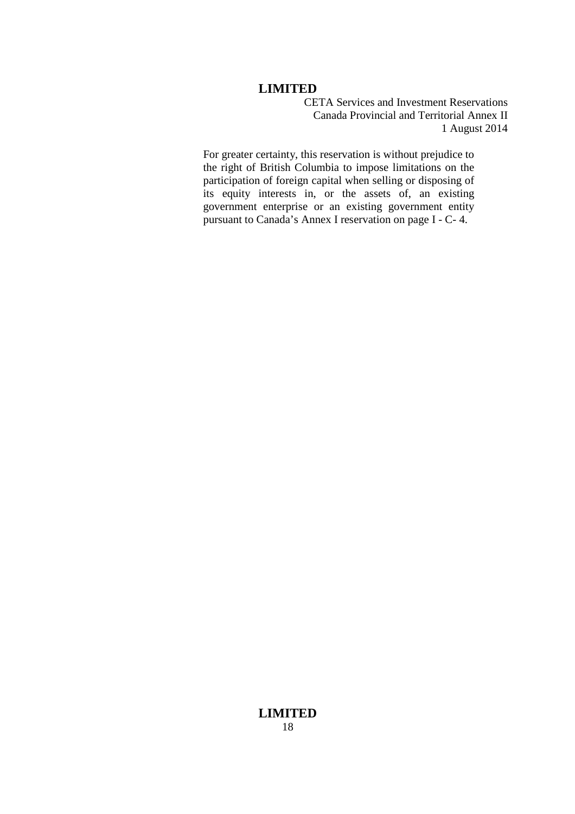CETA Services and Investment Reservations Canada Provincial and Territorial Annex II 1 August 2014

For greater certainty, this reservation is without prejudice to the right of British Columbia to impose limitations on the participation of foreign capital when selling or disposing of its equity interests in, or the assets of, an existing government enterprise or an existing government entity pursuant to Canada's Annex I reservation on page I - C- 4.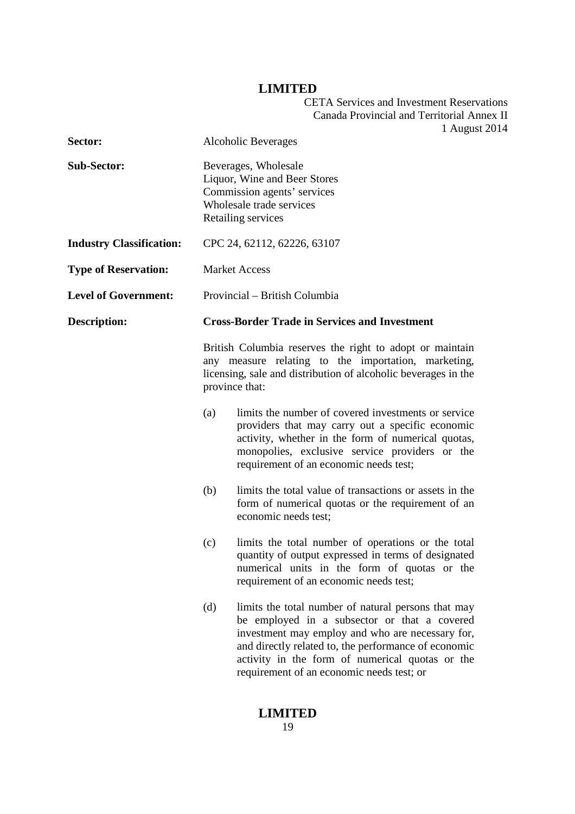CETA Services and Investment Reservations Canada Provincial and Territorial Annex II 1 August 2014

| Sector:                         |     | $1.1$ $\mu$ sugust $\mu$<br>Alcoholic Beverages                                                                                                                                                                                                                                                                 |
|---------------------------------|-----|-----------------------------------------------------------------------------------------------------------------------------------------------------------------------------------------------------------------------------------------------------------------------------------------------------------------|
| <b>Sub-Sector:</b>              |     | Beverages, Wholesale<br>Liquor, Wine and Beer Stores<br>Commission agents' services<br>Wholesale trade services<br>Retailing services                                                                                                                                                                           |
| <b>Industry Classification:</b> |     | CPC 24, 62112, 62226, 63107                                                                                                                                                                                                                                                                                     |
| <b>Type of Reservation:</b>     |     | <b>Market Access</b>                                                                                                                                                                                                                                                                                            |
| <b>Level of Government:</b>     |     | Provincial – British Columbia                                                                                                                                                                                                                                                                                   |
| <b>Description:</b>             |     | <b>Cross-Border Trade in Services and Investment</b>                                                                                                                                                                                                                                                            |
|                                 |     | British Columbia reserves the right to adopt or maintain<br>any measure relating to the importation, marketing,<br>licensing, sale and distribution of alcoholic beverages in the<br>province that:                                                                                                             |
|                                 | (a) | limits the number of covered investments or service<br>providers that may carry out a specific economic<br>activity, whether in the form of numerical quotas,<br>monopolies, exclusive service providers or the<br>requirement of an economic needs test;                                                       |
|                                 | (b) | limits the total value of transactions or assets in the<br>form of numerical quotas or the requirement of an<br>economic needs test;                                                                                                                                                                            |
|                                 | (c) | limits the total number of operations or the total<br>quantity of output expressed in terms of designated<br>numerical units in the form of quotas or the<br>requirement of an economic needs test;                                                                                                             |
|                                 | (d) | limits the total number of natural persons that may<br>be employed in a subsector or that a covered<br>investment may employ and who are necessary for,<br>and directly related to, the performance of economic<br>activity in the form of numerical quotas or the<br>requirement of an economic needs test; or |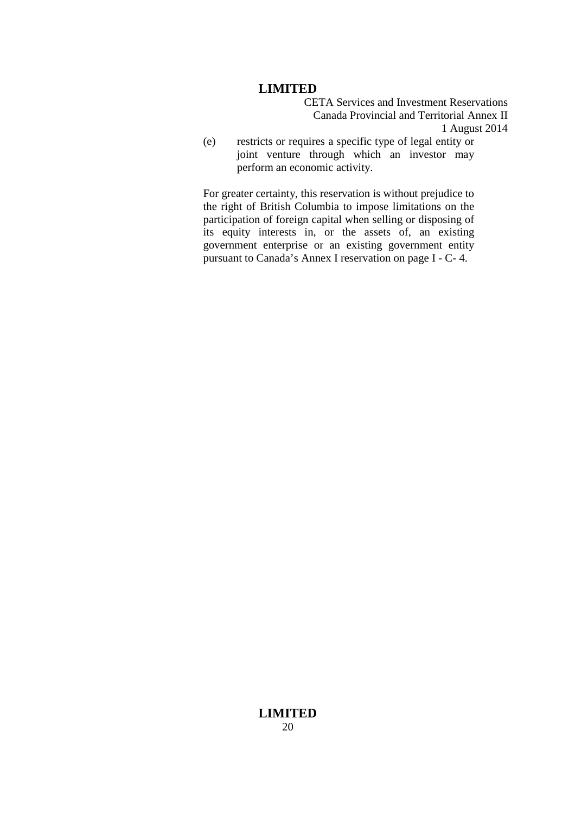CETA Services and Investment Reservations Canada Provincial and Territorial Annex II 1 August 2014

(e) restricts or requires a specific type of legal entity or joint venture through which an investor may perform an economic activity.

For greater certainty, this reservation is without prejudice to the right of British Columbia to impose limitations on the participation of foreign capital when selling or disposing of its equity interests in, or the assets of, an existing government enterprise or an existing government entity pursuant to Canada's Annex I reservation on page I - C- 4.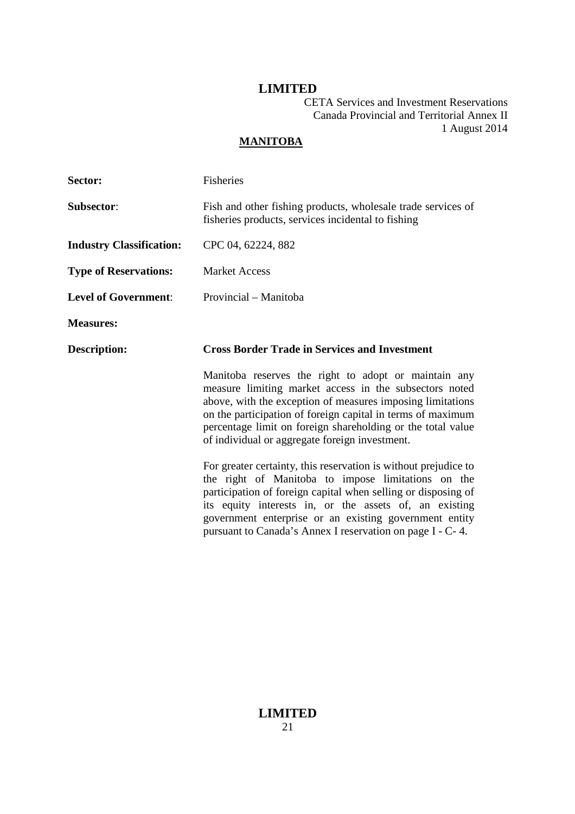CETA Services and Investment Reservations Canada Provincial and Territorial Annex II 1 August 2014

# **MANITOBA**

| Sector:                         | Fisheries                                                                                                                                                                                                                                                                                                                                                                |
|---------------------------------|--------------------------------------------------------------------------------------------------------------------------------------------------------------------------------------------------------------------------------------------------------------------------------------------------------------------------------------------------------------------------|
| Subsector:                      | Fish and other fishing products, wholesale trade services of<br>fisheries products, services incidental to fishing                                                                                                                                                                                                                                                       |
| <b>Industry Classification:</b> | CPC 04, 62224, 882                                                                                                                                                                                                                                                                                                                                                       |
| <b>Type of Reservations:</b>    | <b>Market Access</b>                                                                                                                                                                                                                                                                                                                                                     |
| <b>Level of Government:</b>     | Provincial – Manitoba                                                                                                                                                                                                                                                                                                                                                    |
| <b>Measures:</b>                |                                                                                                                                                                                                                                                                                                                                                                          |
| <b>Description:</b>             | <b>Cross Border Trade in Services and Investment</b>                                                                                                                                                                                                                                                                                                                     |
|                                 | Manitoba reserves the right to adopt or maintain any<br>measure limiting market access in the subsectors noted<br>above, with the exception of measures imposing limitations<br>on the participation of foreign capital in terms of maximum<br>percentage limit on foreign shareholding or the total value<br>of individual or aggregate foreign investment.             |
|                                 | For greater certainty, this reservation is without prejudice to<br>the right of Manitoba to impose limitations on the<br>participation of foreign capital when selling or disposing of<br>its equity interests in, or the assets of, an existing<br>government enterprise or an existing government entity<br>pursuant to Canada's Annex I reservation on page I - C- 4. |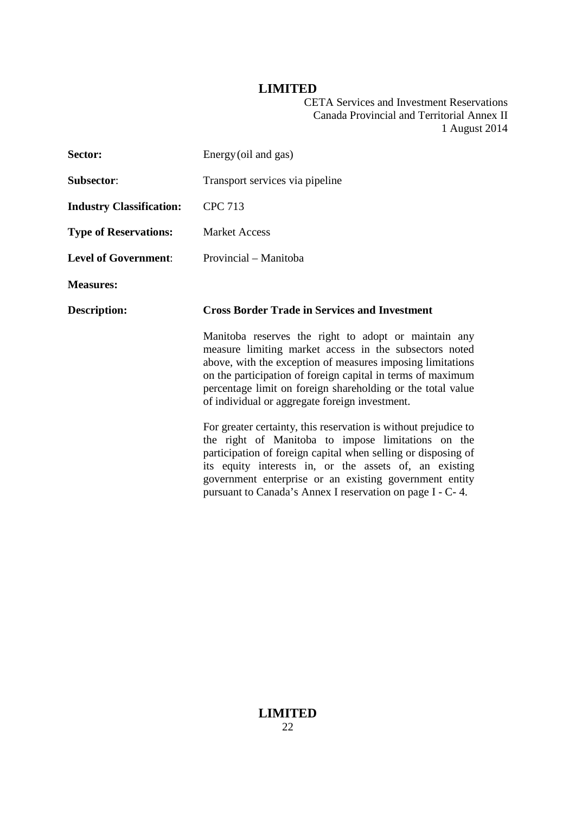| Sector:                         | Energy (oil and gas)                                                                                                                                                                                                                                                                                                                                         |
|---------------------------------|--------------------------------------------------------------------------------------------------------------------------------------------------------------------------------------------------------------------------------------------------------------------------------------------------------------------------------------------------------------|
| Subsector:                      | Transport services via pipeline                                                                                                                                                                                                                                                                                                                              |
| <b>Industry Classification:</b> | <b>CPC 713</b>                                                                                                                                                                                                                                                                                                                                               |
| <b>Type of Reservations:</b>    | <b>Market Access</b>                                                                                                                                                                                                                                                                                                                                         |
| <b>Level of Government:</b>     | Provincial – Manitoba                                                                                                                                                                                                                                                                                                                                        |
| <b>Measures:</b>                |                                                                                                                                                                                                                                                                                                                                                              |
| <b>Description:</b>             | <b>Cross Border Trade in Services and Investment</b>                                                                                                                                                                                                                                                                                                         |
|                                 | Manitoba reserves the right to adopt or maintain any<br>measure limiting market access in the subsectors noted<br>above, with the exception of measures imposing limitations<br>on the participation of foreign capital in terms of maximum<br>percentage limit on foreign shareholding or the total value<br>of individual or aggregate foreign investment. |
|                                 | For greater certainty, this reservation is without prejudice to<br>the right of Manitoba to impose limitations on the<br>participation of foreign capital when selling or disposing of<br>its equity interests in, or the assets of, an existing                                                                                                             |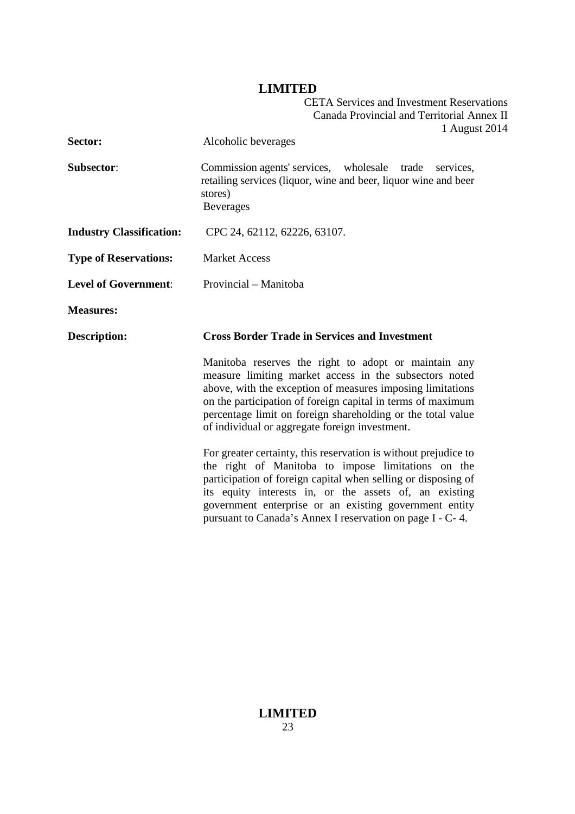| Sector:                         | Alcoholic beverages                                                                                                                                                                                                                                                                                                                                          |
|---------------------------------|--------------------------------------------------------------------------------------------------------------------------------------------------------------------------------------------------------------------------------------------------------------------------------------------------------------------------------------------------------------|
| Subsector:                      | Commission agents' services, wholesale<br>trade<br>services,<br>retailing services (liquor, wine and beer, liquor wine and beer<br>stores)<br><b>Beverages</b>                                                                                                                                                                                               |
| <b>Industry Classification:</b> | CPC 24, 62112, 62226, 63107.                                                                                                                                                                                                                                                                                                                                 |
| <b>Type of Reservations:</b>    | <b>Market Access</b>                                                                                                                                                                                                                                                                                                                                         |
| <b>Level of Government:</b>     | Provincial – Manitoba                                                                                                                                                                                                                                                                                                                                        |
| <b>Measures:</b>                |                                                                                                                                                                                                                                                                                                                                                              |
|                                 |                                                                                                                                                                                                                                                                                                                                                              |
| <b>Description:</b>             | <b>Cross Border Trade in Services and Investment</b>                                                                                                                                                                                                                                                                                                         |
|                                 | Manitoba reserves the right to adopt or maintain any<br>measure limiting market access in the subsectors noted<br>above, with the exception of measures imposing limitations<br>on the participation of foreign capital in terms of maximum<br>percentage limit on foreign shareholding or the total value<br>of individual or aggregate foreign investment. |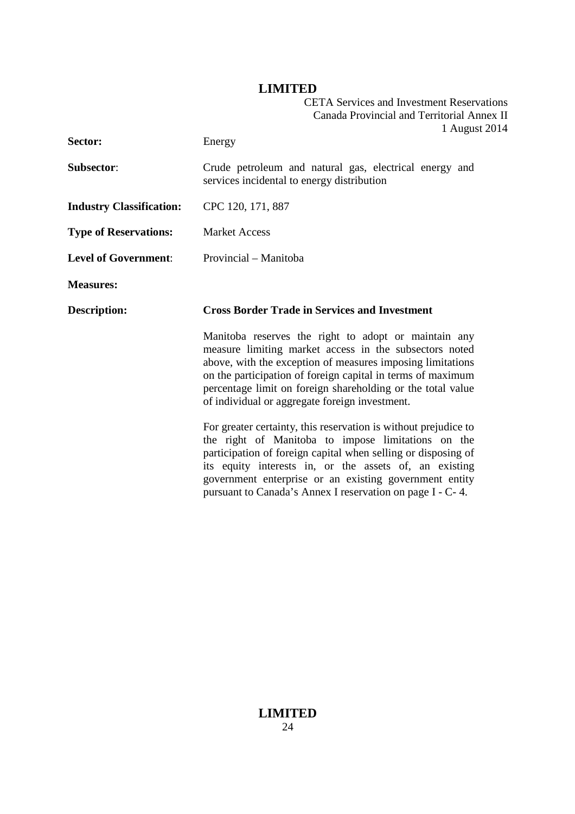CETA Services and Investment Reservations Canada Provincial and Territorial Annex II 1 August 2014

| Sector:                         | Energy                                                                                                                                                                                                                                                                                                                                                       |
|---------------------------------|--------------------------------------------------------------------------------------------------------------------------------------------------------------------------------------------------------------------------------------------------------------------------------------------------------------------------------------------------------------|
| Subsector:                      | Crude petroleum and natural gas, electrical energy and<br>services incidental to energy distribution                                                                                                                                                                                                                                                         |
| <b>Industry Classification:</b> | CPC 120, 171, 887                                                                                                                                                                                                                                                                                                                                            |
| <b>Type of Reservations:</b>    | <b>Market Access</b>                                                                                                                                                                                                                                                                                                                                         |
| <b>Level of Government:</b>     | Provincial – Manitoba                                                                                                                                                                                                                                                                                                                                        |
| <b>Measures:</b>                |                                                                                                                                                                                                                                                                                                                                                              |
| <b>Description:</b>             | <b>Cross Border Trade in Services and Investment</b>                                                                                                                                                                                                                                                                                                         |
|                                 | Manitoba reserves the right to adopt or maintain any<br>measure limiting market access in the subsectors noted<br>above, with the exception of measures imposing limitations<br>on the participation of foreign capital in terms of maximum<br>percentage limit on foreign shareholding or the total value<br>of individual or aggregate foreign investment. |
|                                 | For greater certainty, this reservation is without prejudice to<br>the right of Manitoba to impose limitations on the<br>participation of foreign capital when selling or disposing of<br>its equity interests in, or the assets of, an existing<br>government enterprise or an existing government entity                                                   |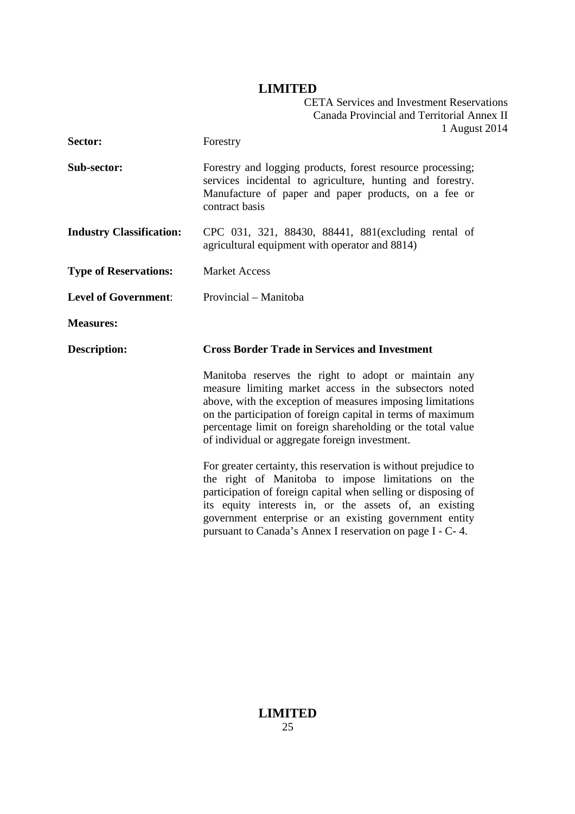| Sector:                         | Forestry                                                                                                                                                                                                                                                                                                                                                     |
|---------------------------------|--------------------------------------------------------------------------------------------------------------------------------------------------------------------------------------------------------------------------------------------------------------------------------------------------------------------------------------------------------------|
| Sub-sector:                     | Forestry and logging products, forest resource processing;<br>services incidental to agriculture, hunting and forestry.<br>Manufacture of paper and paper products, on a fee or<br>contract basis                                                                                                                                                            |
| <b>Industry Classification:</b> | CPC 031, 321, 88430, 88441, 881 (excluding rental of<br>agricultural equipment with operator and 8814)                                                                                                                                                                                                                                                       |
| <b>Type of Reservations:</b>    | <b>Market Access</b>                                                                                                                                                                                                                                                                                                                                         |
| <b>Level of Government:</b>     | Provincial – Manitoba                                                                                                                                                                                                                                                                                                                                        |
| <b>Measures:</b>                |                                                                                                                                                                                                                                                                                                                                                              |
|                                 |                                                                                                                                                                                                                                                                                                                                                              |
| <b>Description:</b>             | <b>Cross Border Trade in Services and Investment</b>                                                                                                                                                                                                                                                                                                         |
|                                 | Manitoba reserves the right to adopt or maintain any<br>measure limiting market access in the subsectors noted<br>above, with the exception of measures imposing limitations<br>on the participation of foreign capital in terms of maximum<br>percentage limit on foreign shareholding or the total value<br>of individual or aggregate foreign investment. |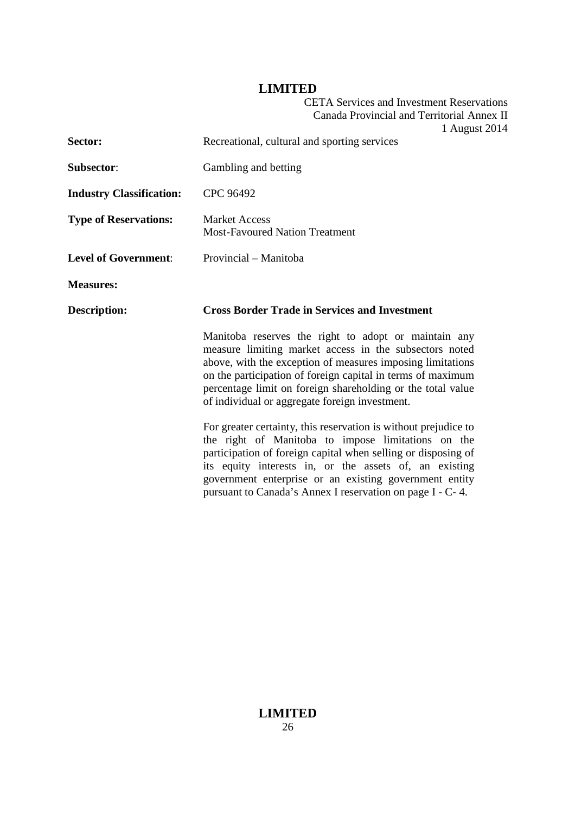| Sector:                         | 1 August 20<br>Recreational, cultural and sporting services                                                                                                                                                                                                                                                                                                              |
|---------------------------------|--------------------------------------------------------------------------------------------------------------------------------------------------------------------------------------------------------------------------------------------------------------------------------------------------------------------------------------------------------------------------|
| Subsector:                      | Gambling and betting                                                                                                                                                                                                                                                                                                                                                     |
| <b>Industry Classification:</b> | CPC 96492                                                                                                                                                                                                                                                                                                                                                                |
| <b>Type of Reservations:</b>    | <b>Market Access</b><br><b>Most-Favoured Nation Treatment</b>                                                                                                                                                                                                                                                                                                            |
| <b>Level of Government:</b>     | Provincial – Manitoba                                                                                                                                                                                                                                                                                                                                                    |
| <b>Measures:</b>                |                                                                                                                                                                                                                                                                                                                                                                          |
| <b>Description:</b>             | <b>Cross Border Trade in Services and Investment</b>                                                                                                                                                                                                                                                                                                                     |
|                                 | Manitoba reserves the right to adopt or maintain any<br>measure limiting market access in the subsectors noted<br>above, with the exception of measures imposing limitations<br>on the participation of foreign capital in terms of maximum<br>percentage limit on foreign shareholding or the total value<br>of individual or aggregate foreign investment.             |
|                                 | For greater certainty, this reservation is without prejudice to<br>the right of Manitoba to impose limitations on the<br>participation of foreign capital when selling or disposing of<br>its equity interests in, or the assets of, an existing<br>government enterprise or an existing government entity<br>pursuant to Canada's Annex I reservation on page I - C- 4. |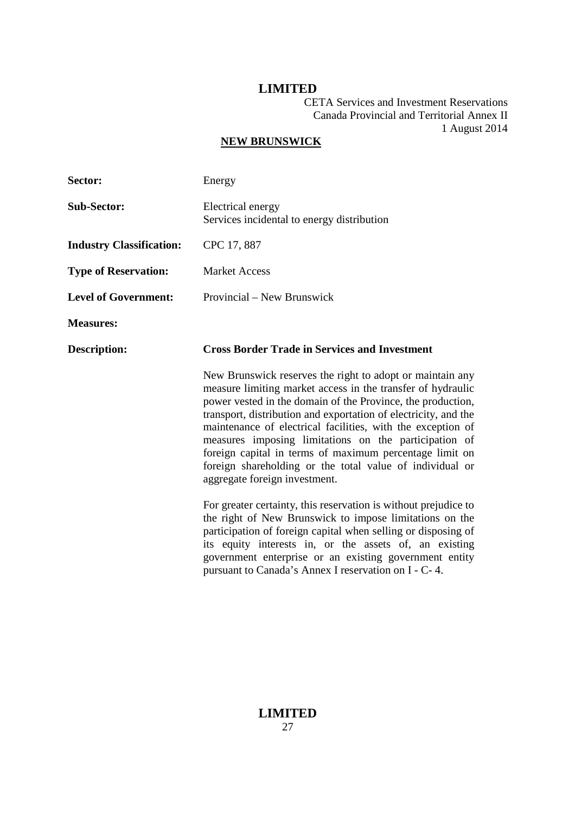CETA Services and Investment Reservations Canada Provincial and Territorial Annex II 1 August 2014

## **NEW BRUNSWICK**

| Sector:                         | Energy                                                                                                                                                                                                                                                                                                                                                                                                                                                                                                                                     |
|---------------------------------|--------------------------------------------------------------------------------------------------------------------------------------------------------------------------------------------------------------------------------------------------------------------------------------------------------------------------------------------------------------------------------------------------------------------------------------------------------------------------------------------------------------------------------------------|
| <b>Sub-Sector:</b>              | Electrical energy<br>Services incidental to energy distribution                                                                                                                                                                                                                                                                                                                                                                                                                                                                            |
| <b>Industry Classification:</b> | CPC 17, 887                                                                                                                                                                                                                                                                                                                                                                                                                                                                                                                                |
| <b>Type of Reservation:</b>     | <b>Market Access</b>                                                                                                                                                                                                                                                                                                                                                                                                                                                                                                                       |
| <b>Level of Government:</b>     | Provincial – New Brunswick                                                                                                                                                                                                                                                                                                                                                                                                                                                                                                                 |
| <b>Measures:</b>                |                                                                                                                                                                                                                                                                                                                                                                                                                                                                                                                                            |
| <b>Description:</b>             | <b>Cross Border Trade in Services and Investment</b>                                                                                                                                                                                                                                                                                                                                                                                                                                                                                       |
|                                 | New Brunswick reserves the right to adopt or maintain any<br>measure limiting market access in the transfer of hydraulic<br>power vested in the domain of the Province, the production,<br>transport, distribution and exportation of electricity, and the<br>maintenance of electrical facilities, with the exception of<br>measures imposing limitations on the participation of<br>foreign capital in terms of maximum percentage limit on<br>foreign shareholding or the total value of individual or<br>aggregate foreign investment. |
|                                 | For greater certainty, this reservation is without prejudice to<br>the right of New Brunswick to impose limitations on the<br>participation of foreign capital when selling or disposing of<br>its equity interests in, or the assets of, an existing<br>government enterprise or an existing government entity<br>pursuant to Canada's Annex I reservation on I - C- 4.                                                                                                                                                                   |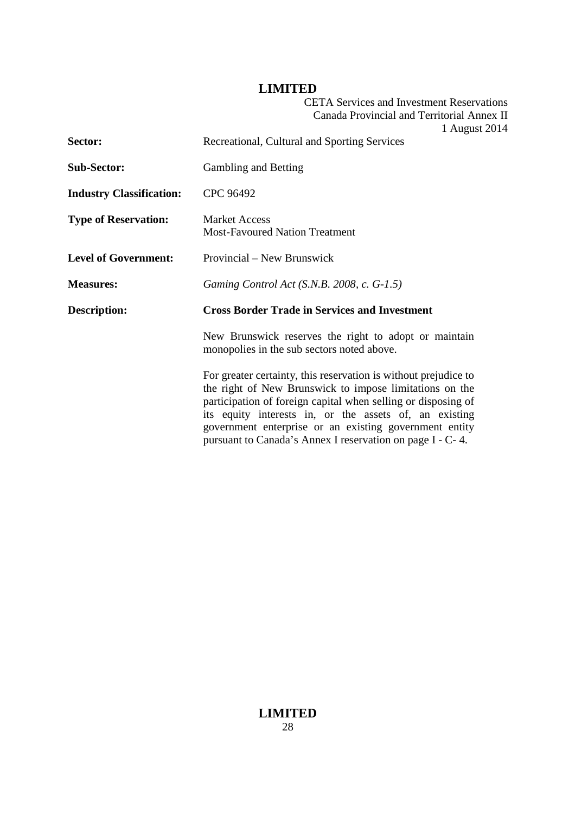| Sector:                         | 1 August 20<br>Recreational, Cultural and Sporting Services                                                                                                                                                                                                                                                                                                                   |
|---------------------------------|-------------------------------------------------------------------------------------------------------------------------------------------------------------------------------------------------------------------------------------------------------------------------------------------------------------------------------------------------------------------------------|
| <b>Sub-Sector:</b>              | <b>Gambling and Betting</b>                                                                                                                                                                                                                                                                                                                                                   |
| <b>Industry Classification:</b> | CPC 96492                                                                                                                                                                                                                                                                                                                                                                     |
| <b>Type of Reservation:</b>     | <b>Market Access</b><br><b>Most-Favoured Nation Treatment</b>                                                                                                                                                                                                                                                                                                                 |
| <b>Level of Government:</b>     | Provincial – New Brunswick                                                                                                                                                                                                                                                                                                                                                    |
| <b>Measures:</b>                | Gaming Control Act (S.N.B. 2008, c. G-1.5)                                                                                                                                                                                                                                                                                                                                    |
| Description:                    | <b>Cross Border Trade in Services and Investment</b>                                                                                                                                                                                                                                                                                                                          |
|                                 | New Brunswick reserves the right to adopt or maintain<br>monopolies in the sub sectors noted above.                                                                                                                                                                                                                                                                           |
|                                 | For greater certainty, this reservation is without prejudice to<br>the right of New Brunswick to impose limitations on the<br>participation of foreign capital when selling or disposing of<br>its equity interests in, or the assets of, an existing<br>government enterprise or an existing government entity<br>pursuant to Canada's Annex I reservation on page I - C- 4. |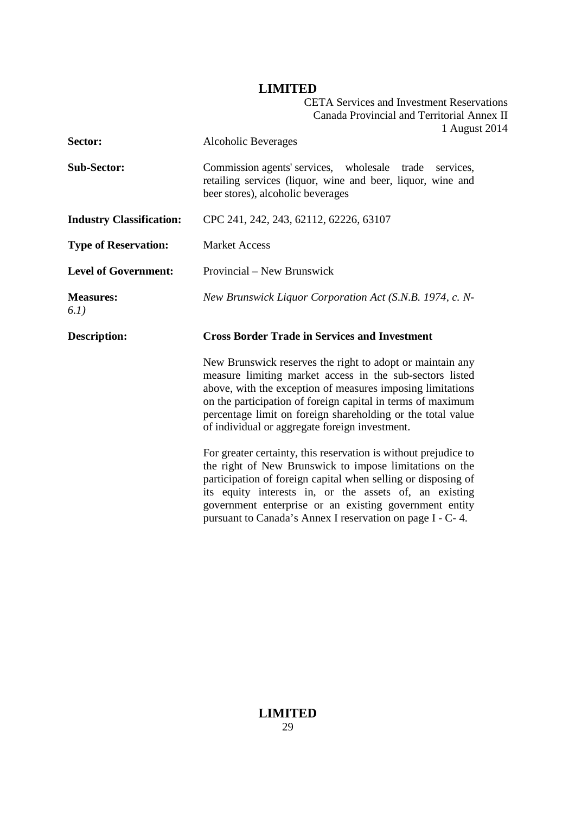| Sector:                         | <b>Alcoholic Beverages</b>                                                                                                                                                                                                                                                                                                                                          |
|---------------------------------|---------------------------------------------------------------------------------------------------------------------------------------------------------------------------------------------------------------------------------------------------------------------------------------------------------------------------------------------------------------------|
| <b>Sub-Sector:</b>              | Commission agents' services, wholesale trade services,<br>retailing services (liquor, wine and beer, liquor, wine and<br>beer stores), alcoholic beverages                                                                                                                                                                                                          |
| <b>Industry Classification:</b> | CPC 241, 242, 243, 62112, 62226, 63107                                                                                                                                                                                                                                                                                                                              |
| <b>Type of Reservation:</b>     | <b>Market Access</b>                                                                                                                                                                                                                                                                                                                                                |
| <b>Level of Government:</b>     | Provincial – New Brunswick                                                                                                                                                                                                                                                                                                                                          |
| <b>Measures:</b><br>6.1)        | New Brunswick Liquor Corporation Act (S.N.B. 1974, c. N-                                                                                                                                                                                                                                                                                                            |
| <b>Description:</b>             | <b>Cross Border Trade in Services and Investment</b>                                                                                                                                                                                                                                                                                                                |
|                                 | New Brunswick reserves the right to adopt or maintain any<br>measure limiting market access in the sub-sectors listed<br>above, with the exception of measures imposing limitations<br>on the participation of foreign capital in terms of maximum<br>percentage limit on foreign shareholding or the total value<br>of individual or aggregate foreign investment. |
|                                 | For greater certainty, this reservation is without prejudice to<br>the right of New Brunswick to impose limitations on the<br>participation of foreign capital when selling or disposing of<br>its equity interests in, or the assets of, an existing<br>government enterprise or an existing government entity                                                     |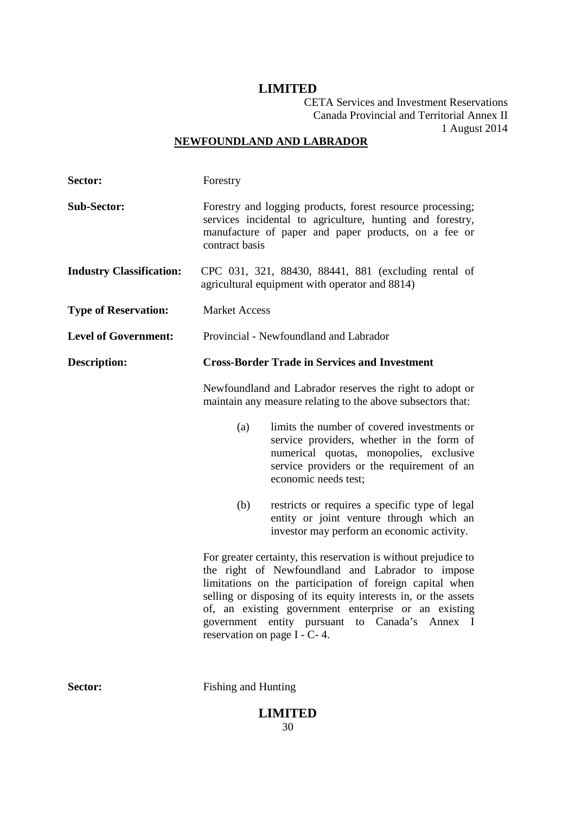CETA Services and Investment Reservations Canada Provincial and Territorial Annex II 1 August 2014

## **NEWFOUNDLAND AND LABRADOR**

| Sector:                         | Forestry                                                                                                                                                                                                                                                                                                                                                                                     |                                                                                                                                                                                                           |
|---------------------------------|----------------------------------------------------------------------------------------------------------------------------------------------------------------------------------------------------------------------------------------------------------------------------------------------------------------------------------------------------------------------------------------------|-----------------------------------------------------------------------------------------------------------------------------------------------------------------------------------------------------------|
| <b>Sub-Sector:</b>              | Forestry and logging products, forest resource processing;<br>services incidental to agriculture, hunting and forestry,<br>manufacture of paper and paper products, on a fee or<br>contract basis                                                                                                                                                                                            |                                                                                                                                                                                                           |
| <b>Industry Classification:</b> | CPC 031, 321, 88430, 88441, 881 (excluding rental of<br>agricultural equipment with operator and 8814)                                                                                                                                                                                                                                                                                       |                                                                                                                                                                                                           |
| <b>Type of Reservation:</b>     | <b>Market Access</b>                                                                                                                                                                                                                                                                                                                                                                         |                                                                                                                                                                                                           |
| <b>Level of Government:</b>     | Provincial - Newfoundland and Labrador                                                                                                                                                                                                                                                                                                                                                       |                                                                                                                                                                                                           |
| Description:                    | <b>Cross-Border Trade in Services and Investment</b><br>Newfoundland and Labrador reserves the right to adopt or<br>maintain any measure relating to the above subsectors that:                                                                                                                                                                                                              |                                                                                                                                                                                                           |
|                                 |                                                                                                                                                                                                                                                                                                                                                                                              |                                                                                                                                                                                                           |
|                                 | (a)                                                                                                                                                                                                                                                                                                                                                                                          | limits the number of covered investments or<br>service providers, whether in the form of<br>numerical quotas, monopolies, exclusive<br>service providers or the requirement of an<br>economic needs test; |
|                                 | (b)                                                                                                                                                                                                                                                                                                                                                                                          | restricts or requires a specific type of legal<br>entity or joint venture through which an<br>investor may perform an economic activity.                                                                  |
|                                 | For greater certainty, this reservation is without prejudice to<br>the right of Newfoundland and Labrador to impose<br>limitations on the participation of foreign capital when<br>selling or disposing of its equity interests in, or the assets<br>of, an existing government enterprise or an existing<br>government entity pursuant to Canada's Annex I<br>reservation on page I - C- 4. |                                                                                                                                                                                                           |

**Sector:** Fishing and Hunting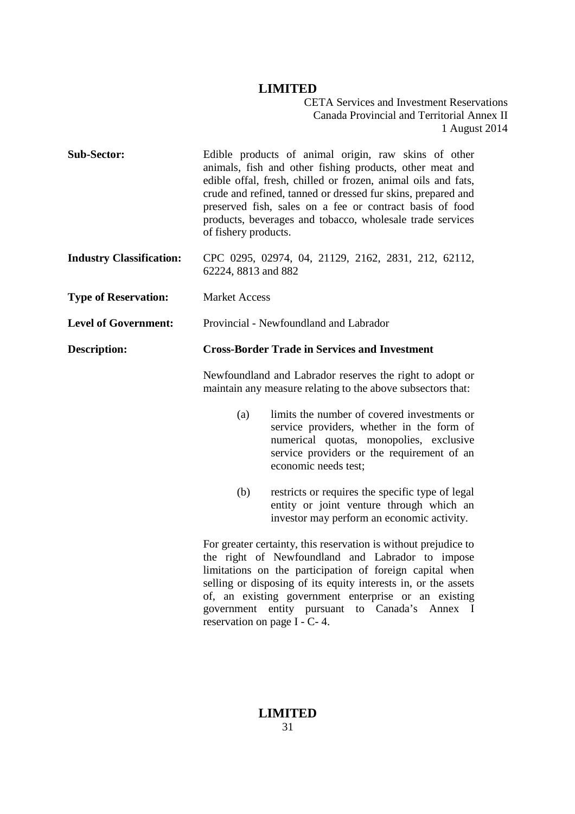#### CETA Services and Investment Reservations Canada Provincial and Territorial Annex II 1 August 2014

| <b>Sub-Sector:</b>              | Edible products of animal origin, raw skins of other<br>animals, fish and other fishing products, other meat and<br>edible offal, fresh, chilled or frozen, animal oils and fats,<br>crude and refined, tanned or dressed fur skins, prepared and<br>preserved fish, sales on a fee or contract basis of food<br>products, beverages and tobacco, wholesale trade services<br>of fishery products. |
|---------------------------------|----------------------------------------------------------------------------------------------------------------------------------------------------------------------------------------------------------------------------------------------------------------------------------------------------------------------------------------------------------------------------------------------------|
| <b>Industry Classification:</b> | CPC 0295, 02974, 04, 21129, 2162, 2831, 212, 62112,<br>62224, 8813 and 882                                                                                                                                                                                                                                                                                                                         |
| <b>Type of Reservation:</b>     | <b>Market Access</b>                                                                                                                                                                                                                                                                                                                                                                               |
| <b>Level of Government:</b>     | Provincial - Newfoundland and Labrador                                                                                                                                                                                                                                                                                                                                                             |
| <b>Description:</b>             | <b>Cross-Border Trade in Services and Investment</b>                                                                                                                                                                                                                                                                                                                                               |
|                                 | Newfoundland and Labrador reserves the right to adopt or<br>maintain any measure relating to the above subsectors that:                                                                                                                                                                                                                                                                            |
|                                 | limits the number of covered investments or<br>(a)<br>service providers, whether in the form of<br>numerical quotas, monopolies, exclusive<br>service providers or the requirement of an<br>economic needs test;                                                                                                                                                                                   |

(b) restricts or requires the specific type of legal entity or joint venture through which an investor may perform an economic activity.

For greater certainty, this reservation is without prejudice to the right of Newfoundland and Labrador to impose limitations on the participation of foreign capital when selling or disposing of its equity interests in, or the assets of, an existing government enterprise or an existing government entity pursuant to Canada's Annex I reservation on page I - C- 4.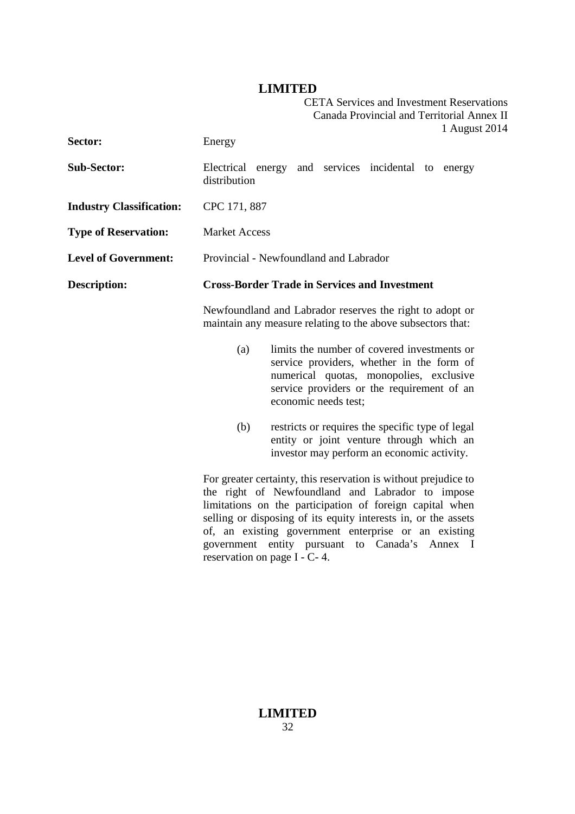| Sector:                         | Energy                                                                                                                                                                                                                                                                                                                                                                                      |  |
|---------------------------------|---------------------------------------------------------------------------------------------------------------------------------------------------------------------------------------------------------------------------------------------------------------------------------------------------------------------------------------------------------------------------------------------|--|
| <b>Sub-Sector:</b>              | Electrical energy and services incidental to energy<br>distribution                                                                                                                                                                                                                                                                                                                         |  |
| <b>Industry Classification:</b> | CPC 171, 887                                                                                                                                                                                                                                                                                                                                                                                |  |
| <b>Type of Reservation:</b>     | <b>Market Access</b>                                                                                                                                                                                                                                                                                                                                                                        |  |
| <b>Level of Government:</b>     | Provincial - Newfoundland and Labrador                                                                                                                                                                                                                                                                                                                                                      |  |
| <b>Description:</b>             | <b>Cross-Border Trade in Services and Investment</b>                                                                                                                                                                                                                                                                                                                                        |  |
|                                 | Newfoundland and Labrador reserves the right to adopt or<br>maintain any measure relating to the above subsectors that:                                                                                                                                                                                                                                                                     |  |
|                                 | limits the number of covered investments or<br>(a)<br>service providers, whether in the form of<br>numerical quotas, monopolies, exclusive<br>service providers or the requirement of an<br>economic needs test;                                                                                                                                                                            |  |
|                                 | (b)<br>restricts or requires the specific type of legal<br>entity or joint venture through which an<br>investor may perform an economic activity.                                                                                                                                                                                                                                           |  |
|                                 | For greater certainty, this reservation is without prejudice to<br>the right of Newfoundland and Labrador to impose<br>limitations on the participation of foreign capital when<br>selling or disposing of its equity interests in, or the assets<br>of, an existing government enterprise or an existing<br>government entity pursuant to Canada's Annex I<br>reservation on page I - C-4. |  |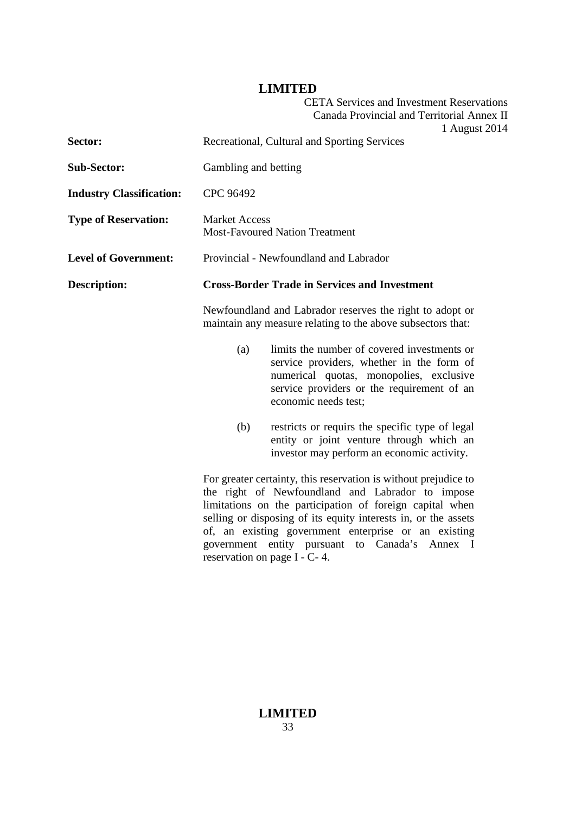| Sector:                         | $\frac{1}{2}$ August 20.<br>Recreational, Cultural and Sporting Services                                                                                                                                                                                                                                                                                                                     |
|---------------------------------|----------------------------------------------------------------------------------------------------------------------------------------------------------------------------------------------------------------------------------------------------------------------------------------------------------------------------------------------------------------------------------------------|
| <b>Sub-Sector:</b>              | Gambling and betting                                                                                                                                                                                                                                                                                                                                                                         |
| <b>Industry Classification:</b> | CPC 96492                                                                                                                                                                                                                                                                                                                                                                                    |
| <b>Type of Reservation:</b>     | <b>Market Access</b><br><b>Most-Favoured Nation Treatment</b>                                                                                                                                                                                                                                                                                                                                |
| <b>Level of Government:</b>     | Provincial - Newfoundland and Labrador                                                                                                                                                                                                                                                                                                                                                       |
| <b>Description:</b>             | <b>Cross-Border Trade in Services and Investment</b>                                                                                                                                                                                                                                                                                                                                         |
|                                 | Newfoundland and Labrador reserves the right to adopt or<br>maintain any measure relating to the above subsectors that:                                                                                                                                                                                                                                                                      |
|                                 | limits the number of covered investments or<br>(a)<br>service providers, whether in the form of<br>numerical quotas, monopolies, exclusive<br>service providers or the requirement of an<br>economic needs test;                                                                                                                                                                             |
|                                 | restricts or requirs the specific type of legal<br>(b)<br>entity or joint venture through which an<br>investor may perform an economic activity.                                                                                                                                                                                                                                             |
|                                 | For greater certainty, this reservation is without prejudice to<br>the right of Newfoundland and Labrador to impose<br>limitations on the participation of foreign capital when<br>selling or disposing of its equity interests in, or the assets<br>of, an existing government enterprise or an existing<br>government entity pursuant to Canada's Annex I<br>reservation on page I - C- 4. |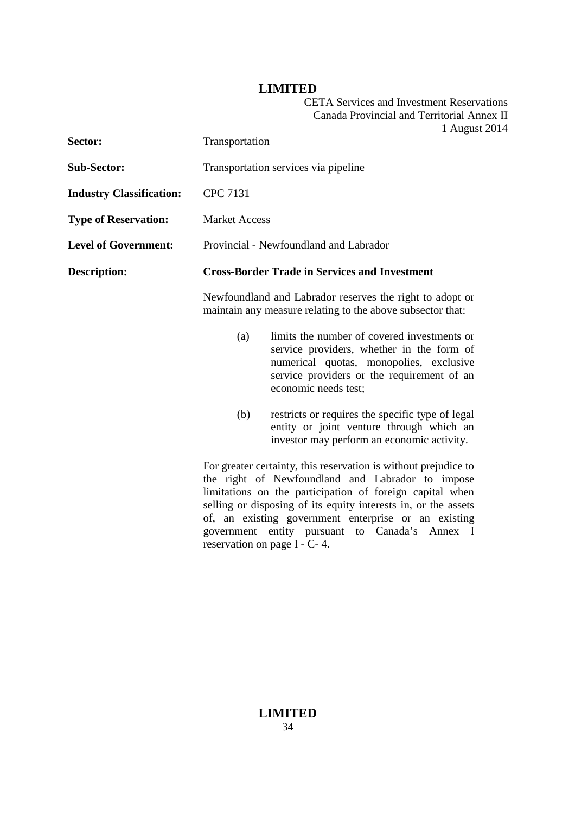CETA Services and Investment Reservations Canada Provincial and Territorial Annex II 1 August 2014

| Sector:                         | Transportation                                                                                                                                                                                                                                                                                                                                                                              |
|---------------------------------|---------------------------------------------------------------------------------------------------------------------------------------------------------------------------------------------------------------------------------------------------------------------------------------------------------------------------------------------------------------------------------------------|
| <b>Sub-Sector:</b>              | Transportation services via pipeline                                                                                                                                                                                                                                                                                                                                                        |
| <b>Industry Classification:</b> | <b>CPC 7131</b>                                                                                                                                                                                                                                                                                                                                                                             |
| <b>Type of Reservation:</b>     | <b>Market Access</b>                                                                                                                                                                                                                                                                                                                                                                        |
| <b>Level of Government:</b>     | Provincial - Newfoundland and Labrador                                                                                                                                                                                                                                                                                                                                                      |
| <b>Description:</b>             | <b>Cross-Border Trade in Services and Investment</b>                                                                                                                                                                                                                                                                                                                                        |
|                                 | Newfoundland and Labrador reserves the right to adopt or<br>maintain any measure relating to the above subsector that:                                                                                                                                                                                                                                                                      |
|                                 | limits the number of covered investments or<br>(a)<br>service providers, whether in the form of<br>numerical quotas, monopolies, exclusive<br>service providers or the requirement of an<br>economic needs test;                                                                                                                                                                            |
|                                 | (b)<br>restricts or requires the specific type of legal<br>entity or joint venture through which an<br>investor may perform an economic activity.                                                                                                                                                                                                                                           |
|                                 | For greater certainty, this reservation is without prejudice to<br>the right of Newfoundland and Labrador to impose<br>limitations on the participation of foreign capital when<br>selling or disposing of its equity interests in, or the assets<br>of, an existing government enterprise or an existing<br>government entity pursuant to Canada's Annex I<br>reservation on page I - C-4. |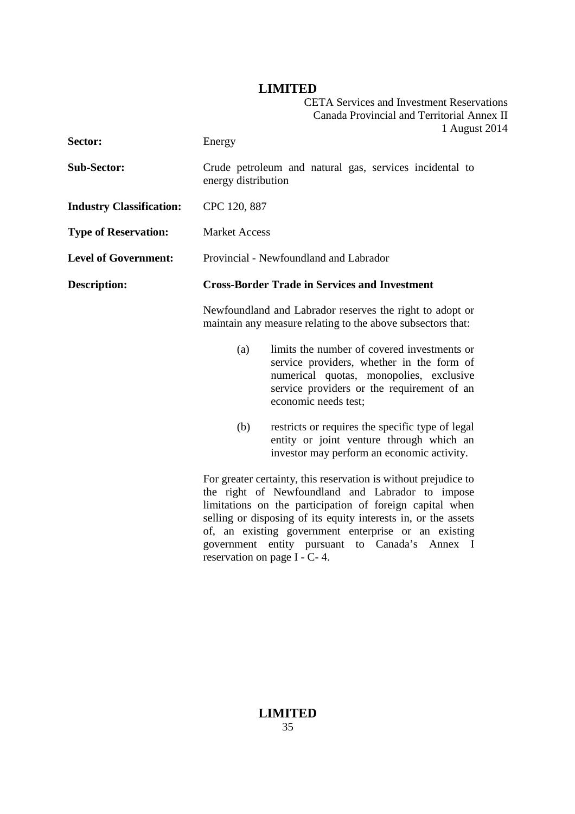CETA Services and Investment Reservations Canada Provincial and Territorial Annex II 1 August 2014

| Sector:                         | Energy                                                                                                                                                                                                                                                                                                                                                                                      |
|---------------------------------|---------------------------------------------------------------------------------------------------------------------------------------------------------------------------------------------------------------------------------------------------------------------------------------------------------------------------------------------------------------------------------------------|
| <b>Sub-Sector:</b>              | Crude petroleum and natural gas, services incidental to<br>energy distribution                                                                                                                                                                                                                                                                                                              |
| <b>Industry Classification:</b> | CPC 120, 887                                                                                                                                                                                                                                                                                                                                                                                |
| <b>Type of Reservation:</b>     | <b>Market Access</b>                                                                                                                                                                                                                                                                                                                                                                        |
| <b>Level of Government:</b>     | Provincial - Newfoundland and Labrador                                                                                                                                                                                                                                                                                                                                                      |
| <b>Description:</b>             | <b>Cross-Border Trade in Services and Investment</b>                                                                                                                                                                                                                                                                                                                                        |
|                                 | Newfoundland and Labrador reserves the right to adopt or<br>maintain any measure relating to the above subsectors that:                                                                                                                                                                                                                                                                     |
|                                 | limits the number of covered investments or<br>(a)<br>service providers, whether in the form of<br>numerical quotas, monopolies, exclusive<br>service providers or the requirement of an<br>economic needs test;                                                                                                                                                                            |
|                                 | (b)<br>restricts or requires the specific type of legal<br>entity or joint venture through which an<br>investor may perform an economic activity.                                                                                                                                                                                                                                           |
|                                 | For greater certainty, this reservation is without prejudice to<br>the right of Newfoundland and Labrador to impose<br>limitations on the participation of foreign capital when<br>selling or disposing of its equity interests in, or the assets<br>of, an existing government enterprise or an existing<br>government entity pursuant to Canada's Annex I<br>reservation on page I - C-4. |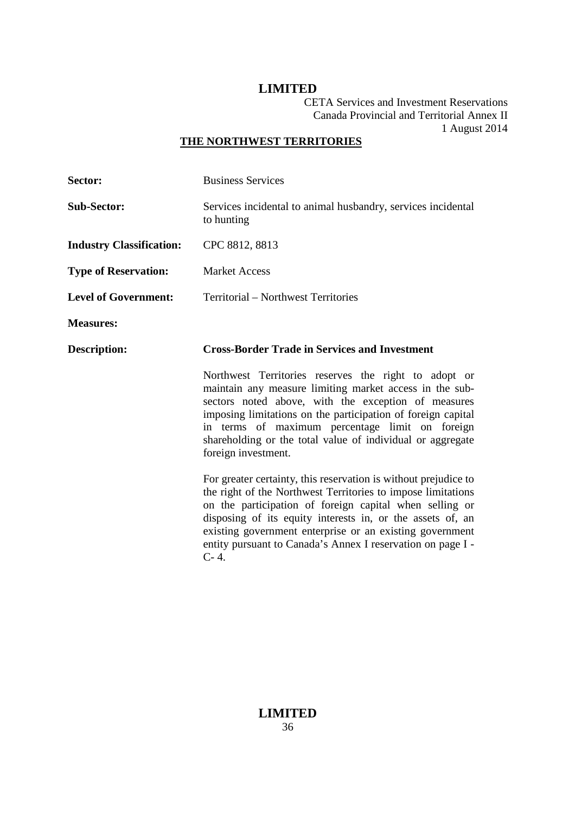CETA Services and Investment Reservations Canada Provincial and Territorial Annex II 1 August 2014

## **THE NORTHWEST TERRITORIES**

| Sector:                         | <b>Business Services</b>                                                                                                                                                                                                                                                                                                                                                                         |
|---------------------------------|--------------------------------------------------------------------------------------------------------------------------------------------------------------------------------------------------------------------------------------------------------------------------------------------------------------------------------------------------------------------------------------------------|
| <b>Sub-Sector:</b>              | Services incidental to animal husbandry, services incidental<br>to hunting                                                                                                                                                                                                                                                                                                                       |
| <b>Industry Classification:</b> | CPC 8812, 8813                                                                                                                                                                                                                                                                                                                                                                                   |
| <b>Type of Reservation:</b>     | <b>Market Access</b>                                                                                                                                                                                                                                                                                                                                                                             |
| <b>Level of Government:</b>     | Territorial - Northwest Territories                                                                                                                                                                                                                                                                                                                                                              |
| <b>Measures:</b>                |                                                                                                                                                                                                                                                                                                                                                                                                  |
| Description:                    | <b>Cross-Border Trade in Services and Investment</b>                                                                                                                                                                                                                                                                                                                                             |
|                                 | Northwest Territories reserves the right to adopt or<br>maintain any measure limiting market access in the sub-<br>sectors noted above, with the exception of measures<br>imposing limitations on the participation of foreign capital<br>in terms of maximum percentage limit on foreign<br>shareholding or the total value of individual or aggregate<br>foreign investment.                   |
|                                 | For greater certainty, this reservation is without prejudice to<br>the right of the Northwest Territories to impose limitations<br>on the participation of foreign capital when selling or<br>disposing of its equity interests in, or the assets of, an<br>existing government enterprise or an existing government<br>entity pursuant to Canada's Annex I reservation on page I -<br>$C - 4$ . |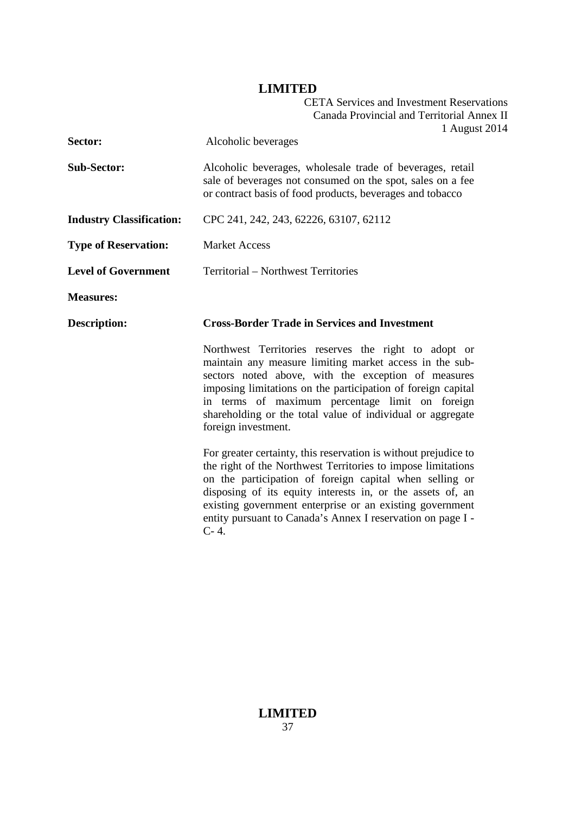| Sector:                         | Alcoholic beverages                                                                                                                                                                                                                                                                                                                                                            |
|---------------------------------|--------------------------------------------------------------------------------------------------------------------------------------------------------------------------------------------------------------------------------------------------------------------------------------------------------------------------------------------------------------------------------|
| <b>Sub-Sector:</b>              | Alcoholic beverages, wholesale trade of beverages, retail<br>sale of beverages not consumed on the spot, sales on a fee<br>or contract basis of food products, beverages and tobacco                                                                                                                                                                                           |
| <b>Industry Classification:</b> | CPC 241, 242, 243, 62226, 63107, 62112                                                                                                                                                                                                                                                                                                                                         |
| <b>Type of Reservation:</b>     | <b>Market Access</b>                                                                                                                                                                                                                                                                                                                                                           |
| <b>Level of Government</b>      | Territorial – Northwest Territories                                                                                                                                                                                                                                                                                                                                            |
| <b>Measures:</b>                |                                                                                                                                                                                                                                                                                                                                                                                |
| <b>Description:</b>             | <b>Cross-Border Trade in Services and Investment</b>                                                                                                                                                                                                                                                                                                                           |
|                                 | Northwest Territories reserves the right to adopt or<br>maintain any measure limiting market access in the sub-<br>sectors noted above, with the exception of measures<br>imposing limitations on the participation of foreign capital<br>in terms of maximum percentage limit on foreign<br>shareholding or the total value of individual or aggregate<br>foreign investment. |
|                                 | For greater certainty, this reservation is without prejudice to<br>the right of the Northwest Territories to impose limitations<br>on the participation of foreign capital when selling or                                                                                                                                                                                     |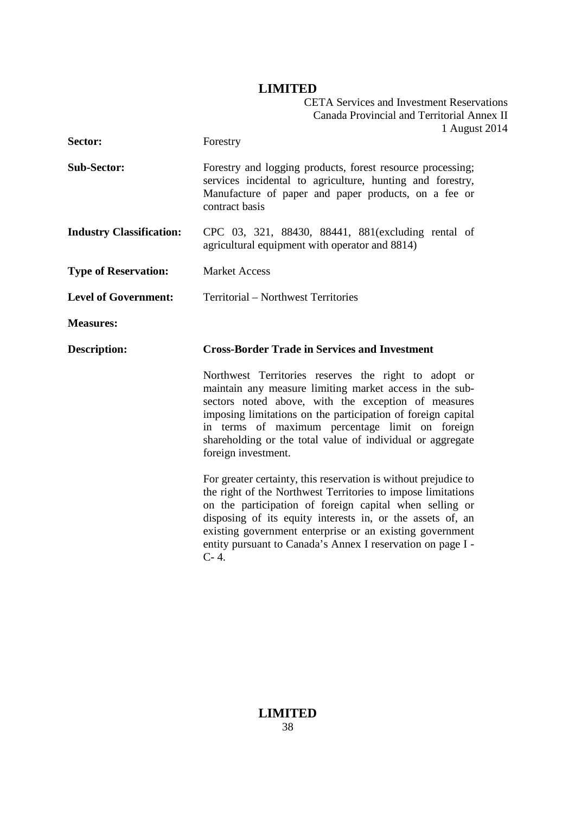CETA Services and Investment Reservations Canada Provincial and Territorial Annex II 1 August 2014

| Sector:                         | Forestry                                                                                                                                                                                                                                                                                                                                                                       |
|---------------------------------|--------------------------------------------------------------------------------------------------------------------------------------------------------------------------------------------------------------------------------------------------------------------------------------------------------------------------------------------------------------------------------|
| <b>Sub-Sector:</b>              | Forestry and logging products, forest resource processing;<br>services incidental to agriculture, hunting and forestry,<br>Manufacture of paper and paper products, on a fee or<br>contract basis                                                                                                                                                                              |
| <b>Industry Classification:</b> | CPC 03, 321, 88430, 88441, 881(excluding rental of<br>agricultural equipment with operator and 8814)                                                                                                                                                                                                                                                                           |
| <b>Type of Reservation:</b>     | <b>Market Access</b>                                                                                                                                                                                                                                                                                                                                                           |
| <b>Level of Government:</b>     | Territorial - Northwest Territories                                                                                                                                                                                                                                                                                                                                            |
| <b>Measures:</b>                |                                                                                                                                                                                                                                                                                                                                                                                |
| <b>Description:</b>             | <b>Cross-Border Trade in Services and Investment</b>                                                                                                                                                                                                                                                                                                                           |
|                                 |                                                                                                                                                                                                                                                                                                                                                                                |
|                                 | Northwest Territories reserves the right to adopt or<br>maintain any measure limiting market access in the sub-<br>sectors noted above, with the exception of measures<br>imposing limitations on the participation of foreign capital<br>in terms of maximum percentage limit on foreign<br>shareholding or the total value of individual or aggregate<br>foreign investment. |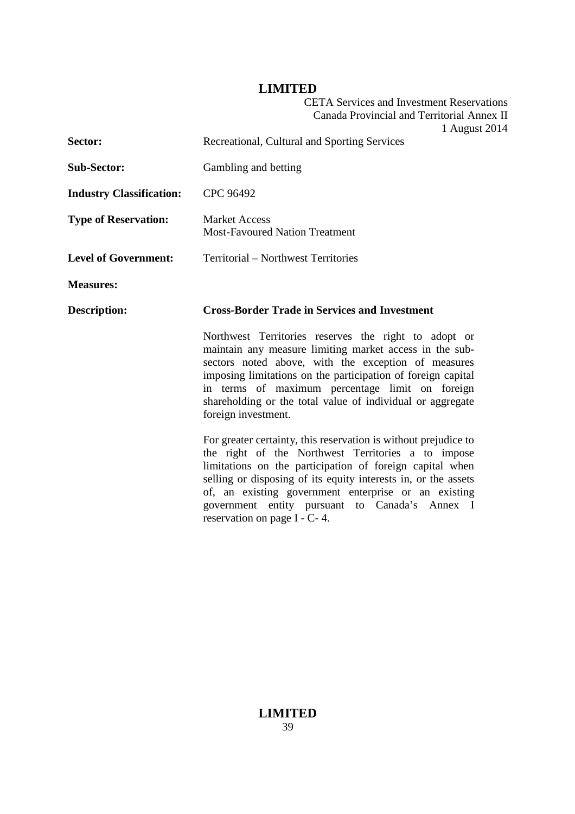| Sector:                         | 1 August $201$<br>Recreational, Cultural and Sporting Services                                                                                                                                                                                                                                                                                                                                |
|---------------------------------|-----------------------------------------------------------------------------------------------------------------------------------------------------------------------------------------------------------------------------------------------------------------------------------------------------------------------------------------------------------------------------------------------|
| <b>Sub-Sector:</b>              | Gambling and betting                                                                                                                                                                                                                                                                                                                                                                          |
| <b>Industry Classification:</b> | CPC 96492                                                                                                                                                                                                                                                                                                                                                                                     |
| <b>Type of Reservation:</b>     | <b>Market Access</b><br><b>Most-Favoured Nation Treatment</b>                                                                                                                                                                                                                                                                                                                                 |
| <b>Level of Government:</b>     | Territorial - Northwest Territories                                                                                                                                                                                                                                                                                                                                                           |
| <b>Measures:</b>                |                                                                                                                                                                                                                                                                                                                                                                                               |
| <b>Description:</b>             | <b>Cross-Border Trade in Services and Investment</b>                                                                                                                                                                                                                                                                                                                                          |
|                                 | Northwest Territories reserves the right to adopt or<br>maintain any measure limiting market access in the sub-<br>sectors noted above, with the exception of measures<br>imposing limitations on the participation of foreign capital<br>in terms of maximum percentage limit on foreign<br>shareholding or the total value of individual or aggregate<br>foreign investment.                |
|                                 | For greater certainty, this reservation is without prejudice to<br>the right of the Northwest Territories a to impose<br>limitations on the participation of foreign capital when<br>selling or disposing of its equity interests in, or the assets<br>of, an existing government enterprise or an existing<br>government entity pursuant to Canada's Annex I<br>reservation on page I - C-4. |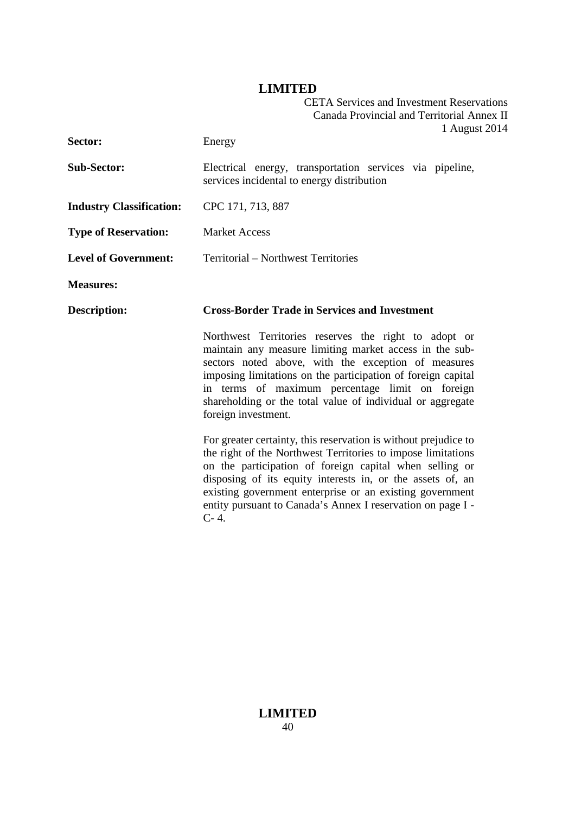CETA Services and Investment Reservations Canada Provincial and Territorial Annex II 1 August 2014

| Sector:                         | Energy                                                                                                                                                                                                                                                                                                                                                                         |
|---------------------------------|--------------------------------------------------------------------------------------------------------------------------------------------------------------------------------------------------------------------------------------------------------------------------------------------------------------------------------------------------------------------------------|
| <b>Sub-Sector:</b>              | Electrical energy, transportation services via pipeline,<br>services incidental to energy distribution                                                                                                                                                                                                                                                                         |
| <b>Industry Classification:</b> | CPC 171, 713, 887                                                                                                                                                                                                                                                                                                                                                              |
| <b>Type of Reservation:</b>     | <b>Market Access</b>                                                                                                                                                                                                                                                                                                                                                           |
| <b>Level of Government:</b>     | Territorial - Northwest Territories                                                                                                                                                                                                                                                                                                                                            |
| <b>Measures:</b>                |                                                                                                                                                                                                                                                                                                                                                                                |
| <b>Description:</b>             | <b>Cross-Border Trade in Services and Investment</b>                                                                                                                                                                                                                                                                                                                           |
|                                 |                                                                                                                                                                                                                                                                                                                                                                                |
|                                 | Northwest Territories reserves the right to adopt or<br>maintain any measure limiting market access in the sub-<br>sectors noted above, with the exception of measures<br>imposing limitations on the participation of foreign capital<br>in terms of maximum percentage limit on foreign<br>shareholding or the total value of individual or aggregate<br>foreign investment. |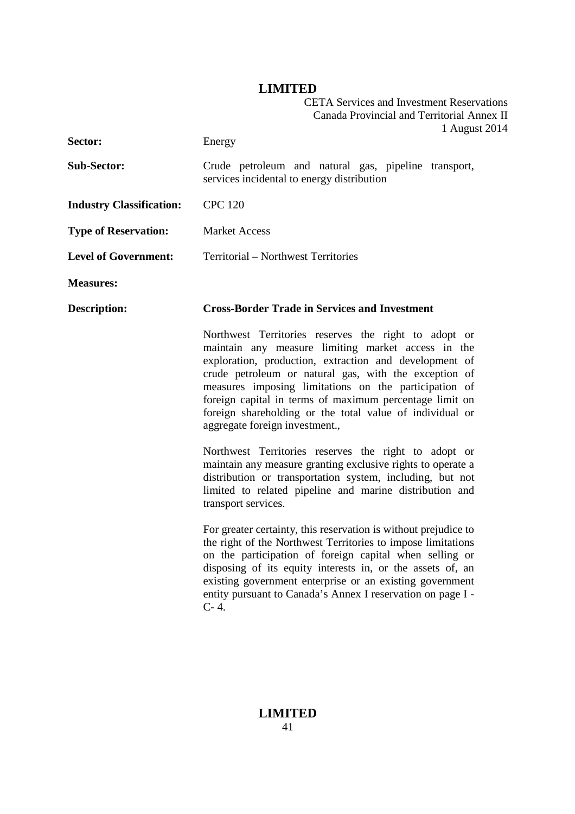| Sector:                         | Energy                                                                                                                                                                                                                                                                                                                                                                                                                                                                                                                                                                                                                                                                |
|---------------------------------|-----------------------------------------------------------------------------------------------------------------------------------------------------------------------------------------------------------------------------------------------------------------------------------------------------------------------------------------------------------------------------------------------------------------------------------------------------------------------------------------------------------------------------------------------------------------------------------------------------------------------------------------------------------------------|
| <b>Sub-Sector:</b>              | Crude petroleum and natural gas, pipeline transport,<br>services incidental to energy distribution                                                                                                                                                                                                                                                                                                                                                                                                                                                                                                                                                                    |
| <b>Industry Classification:</b> | <b>CPC 120</b>                                                                                                                                                                                                                                                                                                                                                                                                                                                                                                                                                                                                                                                        |
| <b>Type of Reservation:</b>     | <b>Market Access</b>                                                                                                                                                                                                                                                                                                                                                                                                                                                                                                                                                                                                                                                  |
| <b>Level of Government:</b>     | Territorial - Northwest Territories                                                                                                                                                                                                                                                                                                                                                                                                                                                                                                                                                                                                                                   |
| <b>Measures:</b>                |                                                                                                                                                                                                                                                                                                                                                                                                                                                                                                                                                                                                                                                                       |
| <b>Description:</b>             | <b>Cross-Border Trade in Services and Investment</b>                                                                                                                                                                                                                                                                                                                                                                                                                                                                                                                                                                                                                  |
|                                 | Northwest Territories reserves the right to adopt or<br>maintain any measure limiting market access in the<br>exploration, production, extraction and development of<br>crude petroleum or natural gas, with the exception of<br>measures imposing limitations on the participation of<br>foreign capital in terms of maximum percentage limit on<br>foreign shareholding or the total value of individual or<br>aggregate foreign investment.,                                                                                                                                                                                                                       |
|                                 | Northwest Territories reserves the right to adopt or<br>maintain any measure granting exclusive rights to operate a<br>distribution or transportation system, including, but not<br>limited to related pipeline and marine distribution and<br>transport services.<br>For greater certainty, this reservation is without prejudice to<br>the right of the Northwest Territories to impose limitations<br>on the participation of foreign capital when selling or<br>disposing of its equity interests in, or the assets of, an<br>existing government enterprise or an existing government<br>entity pursuant to Canada's Annex I reservation on page I -<br>$C - 4.$ |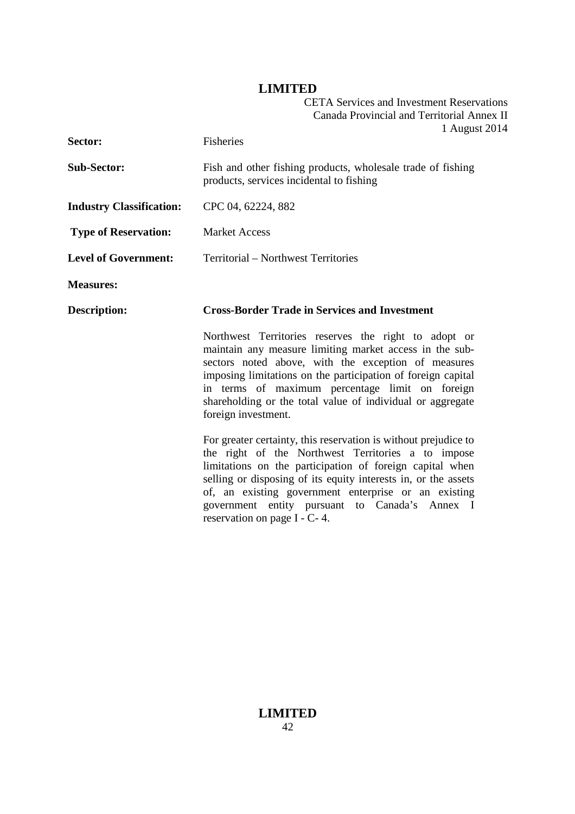| Sector:                         | Fisheries                                                                                                                                                                                                                                                                                                                                                                                      |
|---------------------------------|------------------------------------------------------------------------------------------------------------------------------------------------------------------------------------------------------------------------------------------------------------------------------------------------------------------------------------------------------------------------------------------------|
| <b>Sub-Sector:</b>              | Fish and other fishing products, wholesale trade of fishing<br>products, services incidental to fishing                                                                                                                                                                                                                                                                                        |
| <b>Industry Classification:</b> | CPC 04, 62224, 882                                                                                                                                                                                                                                                                                                                                                                             |
| <b>Type of Reservation:</b>     | <b>Market Access</b>                                                                                                                                                                                                                                                                                                                                                                           |
| <b>Level of Government:</b>     | Territorial – Northwest Territories                                                                                                                                                                                                                                                                                                                                                            |
| <b>Measures:</b>                |                                                                                                                                                                                                                                                                                                                                                                                                |
| <b>Description:</b>             | <b>Cross-Border Trade in Services and Investment</b>                                                                                                                                                                                                                                                                                                                                           |
|                                 | Northwest Territories reserves the right to adopt or<br>maintain any measure limiting market access in the sub-<br>sectors noted above, with the exception of measures<br>imposing limitations on the participation of foreign capital<br>in terms of maximum percentage limit on foreign<br>shareholding or the total value of individual or aggregate<br>foreign investment.                 |
|                                 | For greater certainty, this reservation is without prejudice to<br>the right of the Northwest Territories a to impose<br>limitations on the participation of foreign capital when<br>selling or disposing of its equity interests in, or the assets<br>of, an existing government enterprise or an existing<br>government entity pursuant to Canada's Annex I<br>reservation on page I - C- 4. |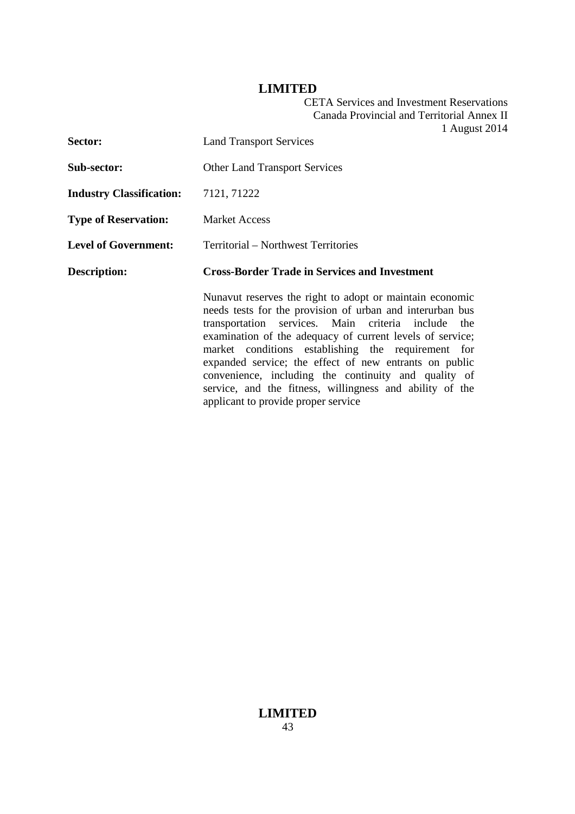| Sector:                         | <b>Land Transport Services</b>                                                                                                                                                                                                                                                                                                                                                                                                                                                                                         |
|---------------------------------|------------------------------------------------------------------------------------------------------------------------------------------------------------------------------------------------------------------------------------------------------------------------------------------------------------------------------------------------------------------------------------------------------------------------------------------------------------------------------------------------------------------------|
| Sub-sector:                     | <b>Other Land Transport Services</b>                                                                                                                                                                                                                                                                                                                                                                                                                                                                                   |
| <b>Industry Classification:</b> | 7121, 71222                                                                                                                                                                                                                                                                                                                                                                                                                                                                                                            |
| <b>Type of Reservation:</b>     | <b>Market Access</b>                                                                                                                                                                                                                                                                                                                                                                                                                                                                                                   |
| <b>Level of Government:</b>     | Territorial – Northwest Territories                                                                                                                                                                                                                                                                                                                                                                                                                                                                                    |
| <b>Description:</b>             | <b>Cross-Border Trade in Services and Investment</b>                                                                                                                                                                                                                                                                                                                                                                                                                                                                   |
|                                 | Nunavut reserves the right to adopt or maintain economic<br>needs tests for the provision of urban and interurban bus<br>transportation services. Main criteria include<br>the<br>examination of the adequacy of current levels of service;<br>market conditions establishing the requirement for<br>expanded service; the effect of new entrants on public<br>convenience, including the continuity and quality of<br>service, and the fitness, willingness and ability of the<br>applicant to provide proper service |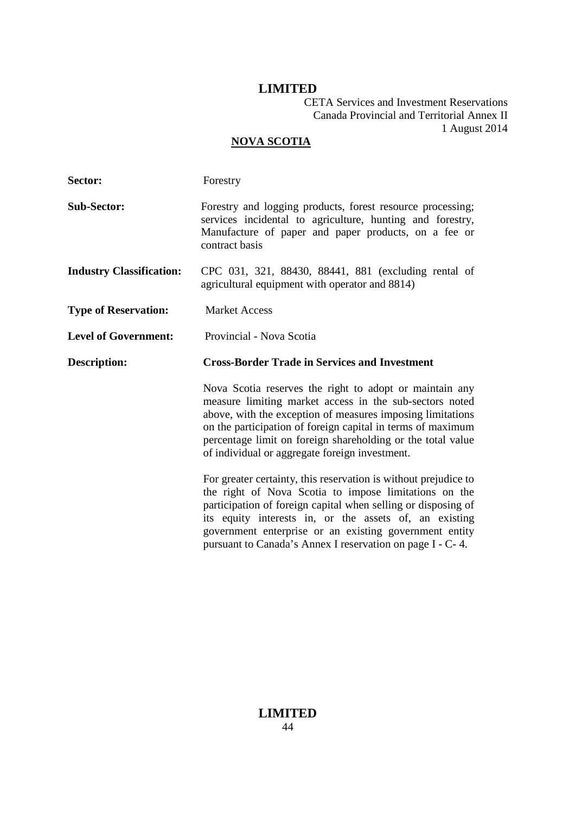CETA Services and Investment Reservations Canada Provincial and Territorial Annex II 1 August 2014

### **NOVA SCOTIA**

| Sector:                         | Forestry                                                                                                                                                                                                                                                                                                                                                                    |
|---------------------------------|-----------------------------------------------------------------------------------------------------------------------------------------------------------------------------------------------------------------------------------------------------------------------------------------------------------------------------------------------------------------------------|
| <b>Sub-Sector:</b>              | Forestry and logging products, forest resource processing;<br>services incidental to agriculture, hunting and forestry,<br>Manufacture of paper and paper products, on a fee or<br>contract basis                                                                                                                                                                           |
| <b>Industry Classification:</b> | CPC 031, 321, 88430, 88441, 881 (excluding rental of<br>agricultural equipment with operator and 8814)                                                                                                                                                                                                                                                                      |
| <b>Type of Reservation:</b>     | <b>Market Access</b>                                                                                                                                                                                                                                                                                                                                                        |
| <b>Level of Government:</b>     | Provincial - Nova Scotia                                                                                                                                                                                                                                                                                                                                                    |
| <b>Description:</b>             | <b>Cross-Border Trade in Services and Investment</b>                                                                                                                                                                                                                                                                                                                        |
|                                 | Nova Scotia reserves the right to adopt or maintain any<br>measure limiting market access in the sub-sectors noted<br>above, with the exception of measures imposing limitations<br>on the participation of foreign capital in terms of maximum<br>percentage limit on foreign shareholding or the total value<br>of individual or aggregate foreign investment.            |
|                                 | For greater certainty, this reservation is without prejudice to<br>the right of Nova Scotia to impose limitations on the<br>participation of foreign capital when selling or disposing of<br>its equity interests in, or the assets of, an existing<br>government enterprise or an existing government entity<br>pursuant to Canada's Annex I reservation on page I - C- 4. |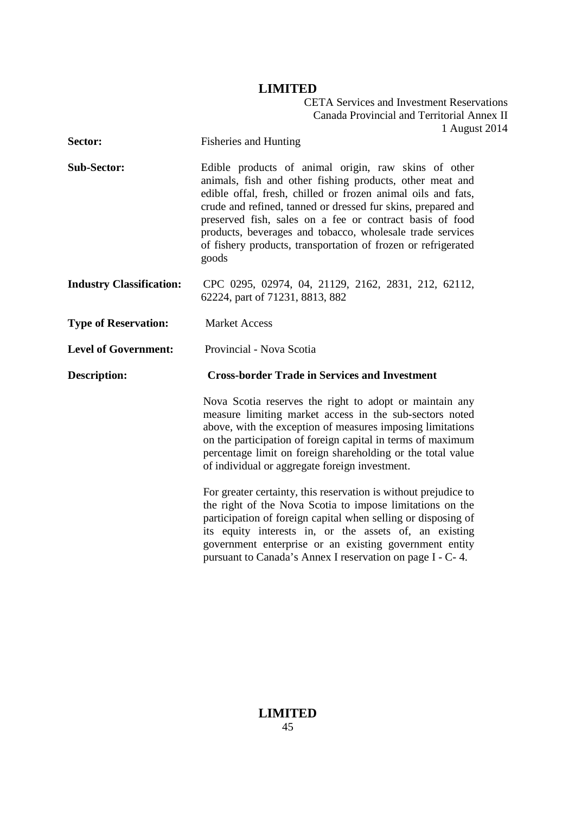| Sector:                         | $1.1$ $\mu$ sust $20.$<br><b>Fisheries and Hunting</b>                                                                                                                                                                                                                                                                                                                                                                                              |
|---------------------------------|-----------------------------------------------------------------------------------------------------------------------------------------------------------------------------------------------------------------------------------------------------------------------------------------------------------------------------------------------------------------------------------------------------------------------------------------------------|
| <b>Sub-Sector:</b>              | Edible products of animal origin, raw skins of other<br>animals, fish and other fishing products, other meat and<br>edible offal, fresh, chilled or frozen animal oils and fats,<br>crude and refined, tanned or dressed fur skins, prepared and<br>preserved fish, sales on a fee or contract basis of food<br>products, beverages and tobacco, wholesale trade services<br>of fishery products, transportation of frozen or refrigerated<br>goods |
| <b>Industry Classification:</b> | CPC 0295, 02974, 04, 21129, 2162, 2831, 212, 62112,<br>62224, part of 71231, 8813, 882                                                                                                                                                                                                                                                                                                                                                              |
| <b>Type of Reservation:</b>     | <b>Market Access</b>                                                                                                                                                                                                                                                                                                                                                                                                                                |
| <b>Level of Government:</b>     | Provincial - Nova Scotia                                                                                                                                                                                                                                                                                                                                                                                                                            |
| <b>Description:</b>             | <b>Cross-border Trade in Services and Investment</b>                                                                                                                                                                                                                                                                                                                                                                                                |
|                                 | Nova Scotia reserves the right to adopt or maintain any<br>measure limiting market access in the sub-sectors noted<br>above, with the exception of measures imposing limitations<br>on the participation of foreign capital in terms of maximum<br>percentage limit on foreign shareholding or the total value<br>of individual or aggregate foreign investment.                                                                                    |
|                                 | For greater certainty, this reservation is without prejudice to<br>the right of the Nova Scotia to impose limitations on the<br>participation of foreign capital when selling or disposing of<br>its equity interests in, or the assets of, an existing<br>government enterprise or an existing government entity<br>pursuant to Canada's Annex I reservation on page I - C-4.                                                                      |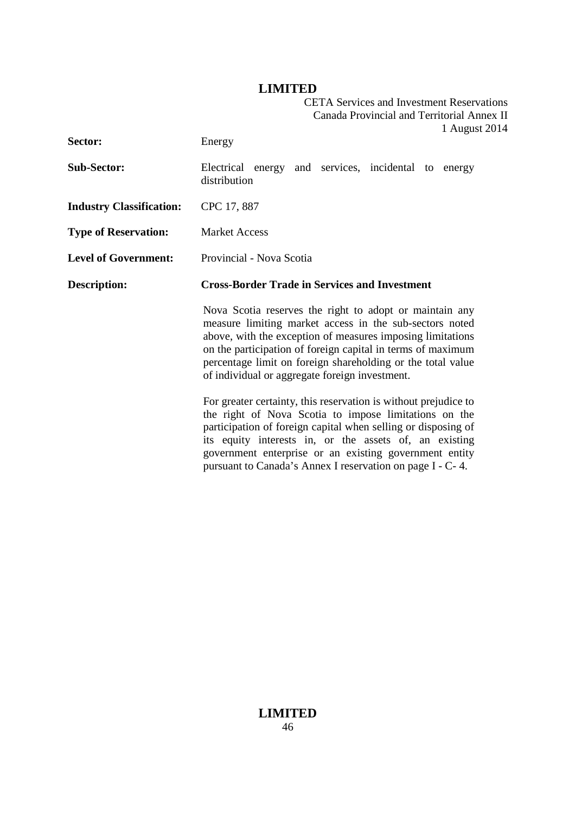CETA Services and Investment Reservations Canada Provincial and Territorial Annex II 1 August 2014

| Sector:                         | Energy                                                                                                                                                                                                                                                                                                                                                                      |
|---------------------------------|-----------------------------------------------------------------------------------------------------------------------------------------------------------------------------------------------------------------------------------------------------------------------------------------------------------------------------------------------------------------------------|
| <b>Sub-Sector:</b>              | Electrical energy and services, incidental to energy<br>distribution                                                                                                                                                                                                                                                                                                        |
| <b>Industry Classification:</b> | CPC 17, 887                                                                                                                                                                                                                                                                                                                                                                 |
| <b>Type of Reservation:</b>     | <b>Market Access</b>                                                                                                                                                                                                                                                                                                                                                        |
| <b>Level of Government:</b>     | Provincial - Nova Scotia                                                                                                                                                                                                                                                                                                                                                    |
| <b>Description:</b>             | <b>Cross-Border Trade in Services and Investment</b>                                                                                                                                                                                                                                                                                                                        |
|                                 | Nova Scotia reserves the right to adopt or maintain any<br>measure limiting market access in the sub-sectors noted<br>above, with the exception of measures imposing limitations<br>on the participation of foreign capital in terms of maximum<br>percentage limit on foreign shareholding or the total value<br>of individual or aggregate foreign investment.            |
|                                 | For greater certainty, this reservation is without prejudice to<br>the right of Nova Scotia to impose limitations on the<br>participation of foreign capital when selling or disposing of<br>its equity interests in, or the assets of, an existing<br>government enterprise or an existing government entity<br>pursuant to Canada's Annex I reservation on page I - C- 4. |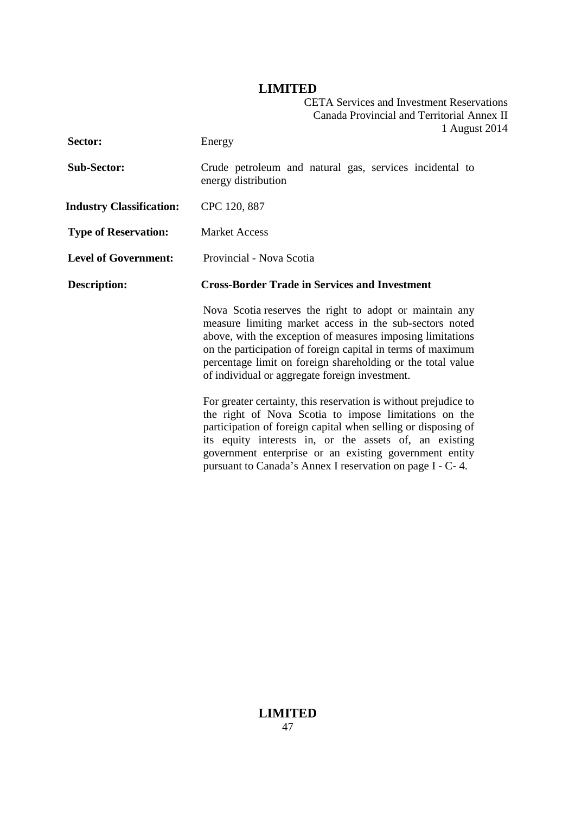| Sector:                         | Energy                                                                                                                                                                                                                                                                                                                                                                      |
|---------------------------------|-----------------------------------------------------------------------------------------------------------------------------------------------------------------------------------------------------------------------------------------------------------------------------------------------------------------------------------------------------------------------------|
| <b>Sub-Sector:</b>              | Crude petroleum and natural gas, services incidental to<br>energy distribution                                                                                                                                                                                                                                                                                              |
| <b>Industry Classification:</b> | CPC 120, 887                                                                                                                                                                                                                                                                                                                                                                |
| <b>Type of Reservation:</b>     | <b>Market Access</b>                                                                                                                                                                                                                                                                                                                                                        |
| <b>Level of Government:</b>     | Provincial - Nova Scotia                                                                                                                                                                                                                                                                                                                                                    |
| Description:                    | <b>Cross-Border Trade in Services and Investment</b>                                                                                                                                                                                                                                                                                                                        |
|                                 | Nova Scotia reserves the right to adopt or maintain any<br>measure limiting market access in the sub-sectors noted<br>above, with the exception of measures imposing limitations<br>on the participation of foreign capital in terms of maximum<br>percentage limit on foreign shareholding or the total value<br>of individual or aggregate foreign investment.            |
|                                 | For greater certainty, this reservation is without prejudice to<br>the right of Nova Scotia to impose limitations on the<br>participation of foreign capital when selling or disposing of<br>its equity interests in, or the assets of, an existing<br>government enterprise or an existing government entity<br>pursuant to Canada's Annex I reservation on page I - C- 4. |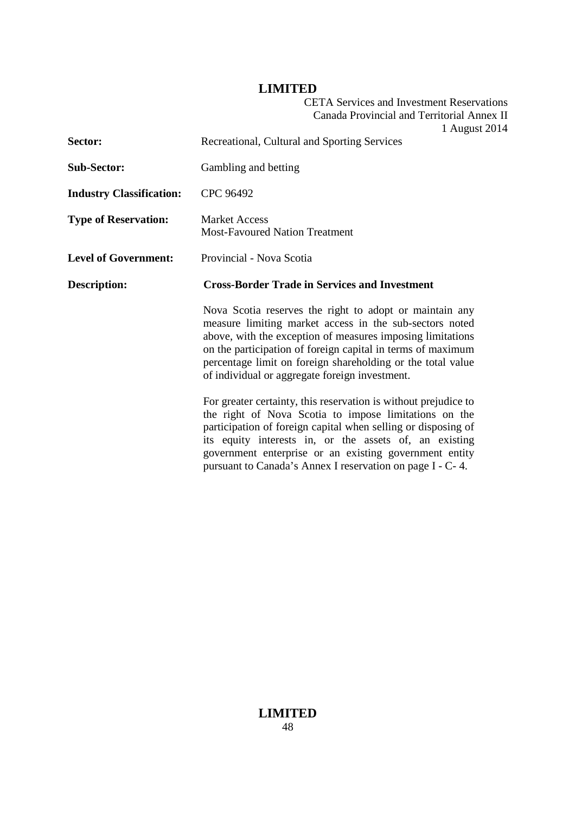| Sector:                         | $\frac{1}{2}$ August $\frac{1}{2}$<br>Recreational, Cultural and Sporting Services                                                                                                                                                                                                                                                                                          |
|---------------------------------|-----------------------------------------------------------------------------------------------------------------------------------------------------------------------------------------------------------------------------------------------------------------------------------------------------------------------------------------------------------------------------|
| <b>Sub-Sector:</b>              | Gambling and betting                                                                                                                                                                                                                                                                                                                                                        |
| <b>Industry Classification:</b> | CPC 96492                                                                                                                                                                                                                                                                                                                                                                   |
| <b>Type of Reservation:</b>     | <b>Market Access</b><br><b>Most-Favoured Nation Treatment</b>                                                                                                                                                                                                                                                                                                               |
| <b>Level of Government:</b>     | Provincial - Nova Scotia                                                                                                                                                                                                                                                                                                                                                    |
| Description:                    | <b>Cross-Border Trade in Services and Investment</b>                                                                                                                                                                                                                                                                                                                        |
|                                 | Nova Scotia reserves the right to adopt or maintain any<br>measure limiting market access in the sub-sectors noted<br>above, with the exception of measures imposing limitations<br>on the participation of foreign capital in terms of maximum<br>percentage limit on foreign shareholding or the total value<br>of individual or aggregate foreign investment.            |
|                                 | For greater certainty, this reservation is without prejudice to<br>the right of Nova Scotia to impose limitations on the<br>participation of foreign capital when selling or disposing of<br>its equity interests in, or the assets of, an existing<br>government enterprise or an existing government entity<br>pursuant to Canada's Annex I reservation on page I - C- 4. |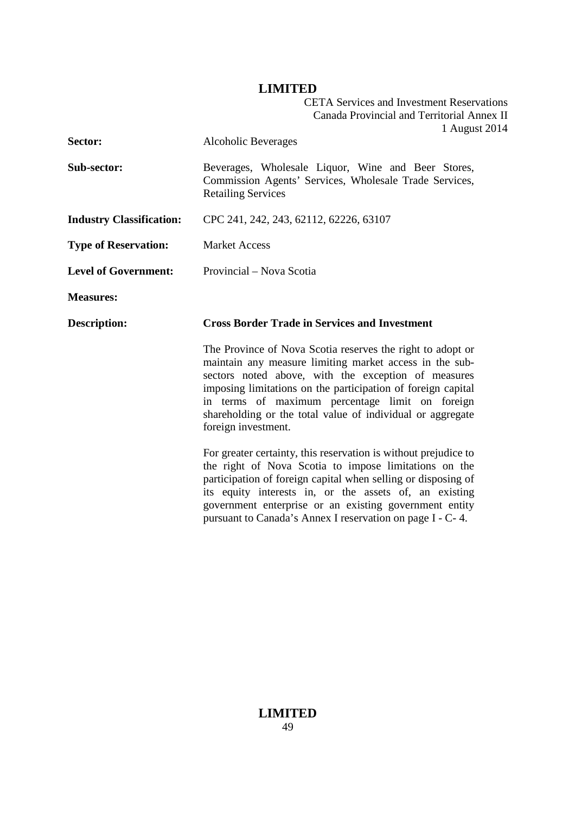| Sector:                         | Alcoholic Beverages                                                                                                                                                                                                                                                                                                                                                                  |
|---------------------------------|--------------------------------------------------------------------------------------------------------------------------------------------------------------------------------------------------------------------------------------------------------------------------------------------------------------------------------------------------------------------------------------|
| Sub-sector:                     | Beverages, Wholesale Liquor, Wine and Beer Stores,<br>Commission Agents' Services, Wholesale Trade Services,<br><b>Retailing Services</b>                                                                                                                                                                                                                                            |
| <b>Industry Classification:</b> | CPC 241, 242, 243, 62112, 62226, 63107                                                                                                                                                                                                                                                                                                                                               |
| <b>Type of Reservation:</b>     | <b>Market Access</b>                                                                                                                                                                                                                                                                                                                                                                 |
| <b>Level of Government:</b>     | Provincial – Nova Scotia                                                                                                                                                                                                                                                                                                                                                             |
| <b>Measures:</b>                |                                                                                                                                                                                                                                                                                                                                                                                      |
| <b>Description:</b>             | <b>Cross Border Trade in Services and Investment</b>                                                                                                                                                                                                                                                                                                                                 |
|                                 | The Province of Nova Scotia reserves the right to adopt or<br>maintain any measure limiting market access in the sub-<br>sectors noted above, with the exception of measures<br>imposing limitations on the participation of foreign capital<br>in terms of maximum percentage limit on foreign<br>shareholding or the total value of individual or aggregate<br>foreign investment. |
|                                 | For greater certainty, this reservation is without prejudice to<br>the right of Nova Scotia to impose limitations on the<br>participation of foreign capital when selling or disposing of<br>its equity interests in, or the assets of, an existing<br>government enterprise or an existing government entity<br>pursuant to Canada's Annex I reservation on page I - C- 4.          |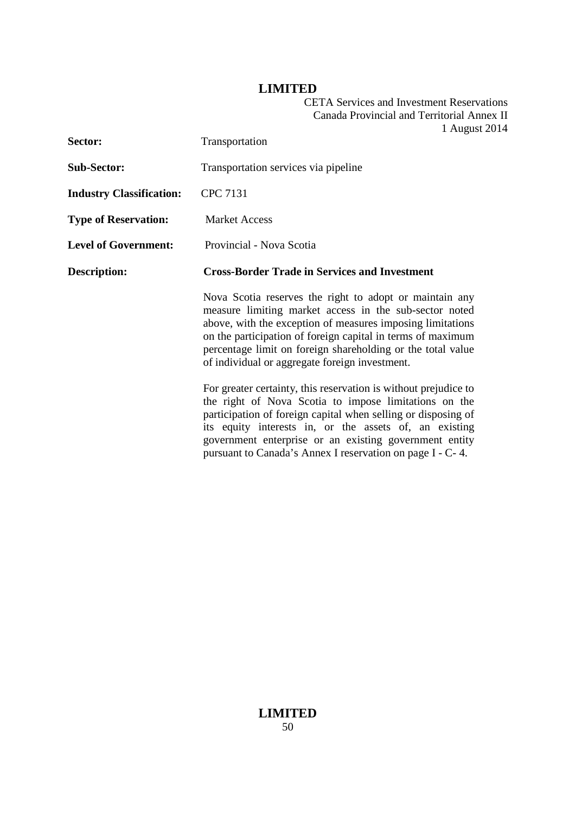| Sector:                         | Transportation                                                                                                                                                                                                                                                                                                                                                             |
|---------------------------------|----------------------------------------------------------------------------------------------------------------------------------------------------------------------------------------------------------------------------------------------------------------------------------------------------------------------------------------------------------------------------|
| <b>Sub-Sector:</b>              | Transportation services via pipeline                                                                                                                                                                                                                                                                                                                                       |
| <b>Industry Classification:</b> | CPC 7131                                                                                                                                                                                                                                                                                                                                                                   |
| <b>Type of Reservation:</b>     | <b>Market Access</b>                                                                                                                                                                                                                                                                                                                                                       |
| <b>Level of Government:</b>     | Provincial - Nova Scotia                                                                                                                                                                                                                                                                                                                                                   |
| Description:                    | <b>Cross-Border Trade in Services and Investment</b>                                                                                                                                                                                                                                                                                                                       |
|                                 | Nova Scotia reserves the right to adopt or maintain any<br>measure limiting market access in the sub-sector noted<br>above, with the exception of measures imposing limitations<br>on the participation of foreign capital in terms of maximum<br>percentage limit on foreign shareholding or the total value<br>of individual or aggregate foreign investment.            |
|                                 | For greater certainty, this reservation is without prejudice to<br>the right of Nova Scotia to impose limitations on the<br>participation of foreign capital when selling or disposing of<br>its equity interests in, or the assets of, an existing<br>government enterprise or an existing government entity<br>pursuant to Canada's Annex I reservation on page I - C-4. |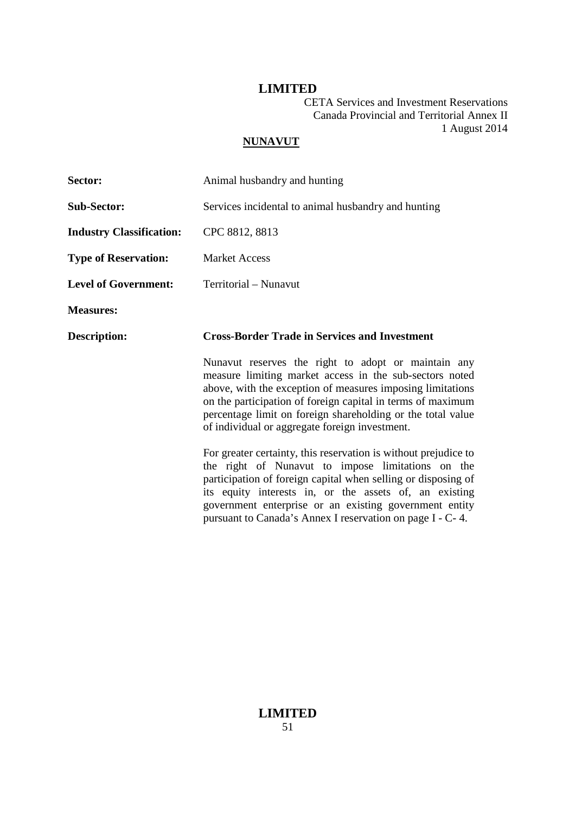CETA Services and Investment Reservations Canada Provincial and Territorial Annex II 1 August 2014

## **NUNAVUT**

| Sector:                         | Animal husbandry and hunting                                                                                                                                                                                                                                                                                                                                            |
|---------------------------------|-------------------------------------------------------------------------------------------------------------------------------------------------------------------------------------------------------------------------------------------------------------------------------------------------------------------------------------------------------------------------|
| <b>Sub-Sector:</b>              | Services incidental to animal husbandry and hunting                                                                                                                                                                                                                                                                                                                     |
| <b>Industry Classification:</b> | CPC 8812, 8813                                                                                                                                                                                                                                                                                                                                                          |
| <b>Type of Reservation:</b>     | <b>Market Access</b>                                                                                                                                                                                                                                                                                                                                                    |
| <b>Level of Government:</b>     | Territorial - Nunavut                                                                                                                                                                                                                                                                                                                                                   |
| <b>Measures:</b>                |                                                                                                                                                                                                                                                                                                                                                                         |
| <b>Description:</b>             | <b>Cross-Border Trade in Services and Investment</b>                                                                                                                                                                                                                                                                                                                    |
|                                 | Nunavut reserves the right to adopt or maintain any<br>measure limiting market access in the sub-sectors noted<br>above, with the exception of measures imposing limitations<br>on the participation of foreign capital in terms of maximum<br>percentage limit on foreign shareholding or the total value<br>of individual or aggregate foreign investment.            |
|                                 | For greater certainty, this reservation is without prejudice to<br>the right of Nunavut to impose limitations on the<br>participation of foreign capital when selling or disposing of<br>its equity interests in, or the assets of, an existing<br>government enterprise or an existing government entity<br>pursuant to Canada's Annex I reservation on page I - C- 4. |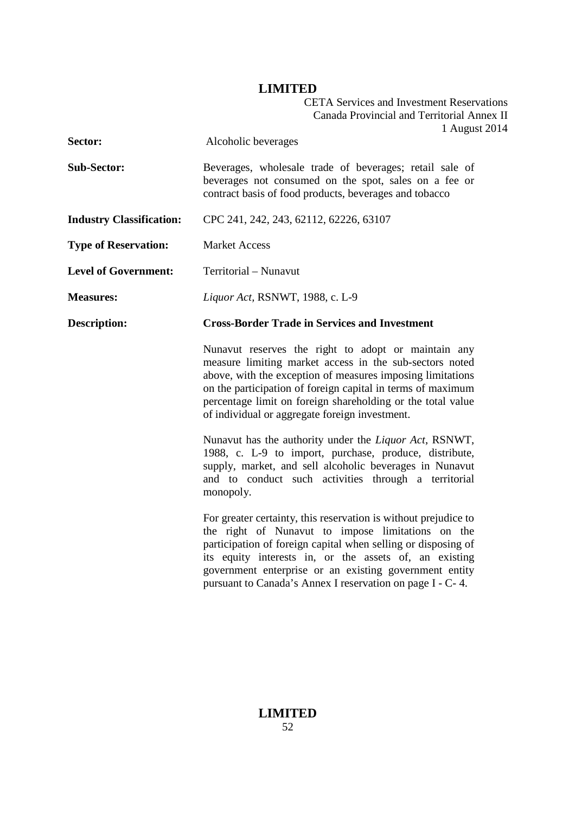CETA Services and Investment Reservations Canada Provincial and Territorial Annex II 1 August 2014

Sector: Alcoholic beverages **Sub-Sector:** Beverages, wholesale trade of beverages; retail sale of beverages not consumed on the spot, sales on a fee or contract basis of food products, beverages and tobacco **Industry Classification:** CPC 241, 242, 243, 62112, 62226, 63107 **Type of Reservation:** Market Access **Level of Government:** Territorial – Nunavut **Measures:** *Liquor Act,* RSNWT, 1988, c. L-9 **Description: Cross-Border Trade in Services and Investment** Nunavut reserves the right to adopt or maintain any measure limiting market access in the sub-sectors noted above, with the exception of measures imposing limitations on the participation of foreign capital in terms of maximum percentage limit on foreign shareholding or the total value of individual or aggregate foreign investment. Nunavut has the authority under the *Liquor Act*, RSNWT, 1988, c. L-9 to import, purchase, produce, distribute, supply, market, and sell alcoholic beverages in Nunavut and to conduct such activities through a territorial monopoly. For greater certainty, this reservation is without prejudice to the right of Nunavut to impose limitations on the participation of foreign capital when selling or disposing of its equity interests in, or the assets of, an existing government enterprise or an existing government entity pursuant to Canada's Annex I reservation on page I - C- 4.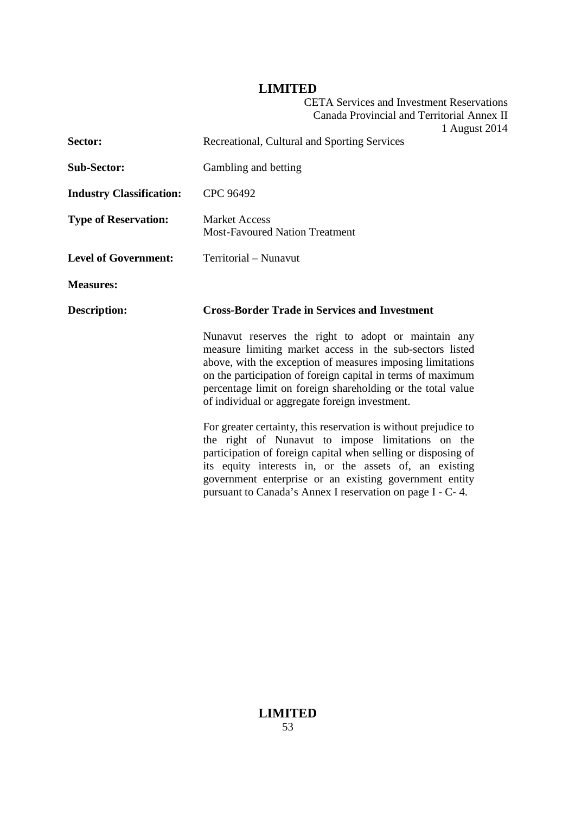| Sector:                         | 1 August 20<br>Recreational, Cultural and Sporting Services                                                                                                                                                                                                                                                                                                   |
|---------------------------------|---------------------------------------------------------------------------------------------------------------------------------------------------------------------------------------------------------------------------------------------------------------------------------------------------------------------------------------------------------------|
| <b>Sub-Sector:</b>              | Gambling and betting                                                                                                                                                                                                                                                                                                                                          |
| <b>Industry Classification:</b> | CPC 96492                                                                                                                                                                                                                                                                                                                                                     |
| <b>Type of Reservation:</b>     | <b>Market Access</b><br><b>Most-Favoured Nation Treatment</b>                                                                                                                                                                                                                                                                                                 |
| <b>Level of Government:</b>     | Territorial – Nunavut                                                                                                                                                                                                                                                                                                                                         |
| <b>Measures:</b>                |                                                                                                                                                                                                                                                                                                                                                               |
| <b>Description:</b>             | <b>Cross-Border Trade in Services and Investment</b>                                                                                                                                                                                                                                                                                                          |
|                                 | Nunavut reserves the right to adopt or maintain any<br>measure limiting market access in the sub-sectors listed<br>above, with the exception of measures imposing limitations<br>on the participation of foreign capital in terms of maximum<br>percentage limit on foreign shareholding or the total value<br>of individual or aggregate foreign investment. |
|                                 | For greater certainty, this reservation is without prejudice to<br>the right of Nunavut to impose limitations on the<br>participation of foreign capital when selling or disposing of<br>its equity interests in, or the assets of, an existing<br>government enterprise or an existing government entity                                                     |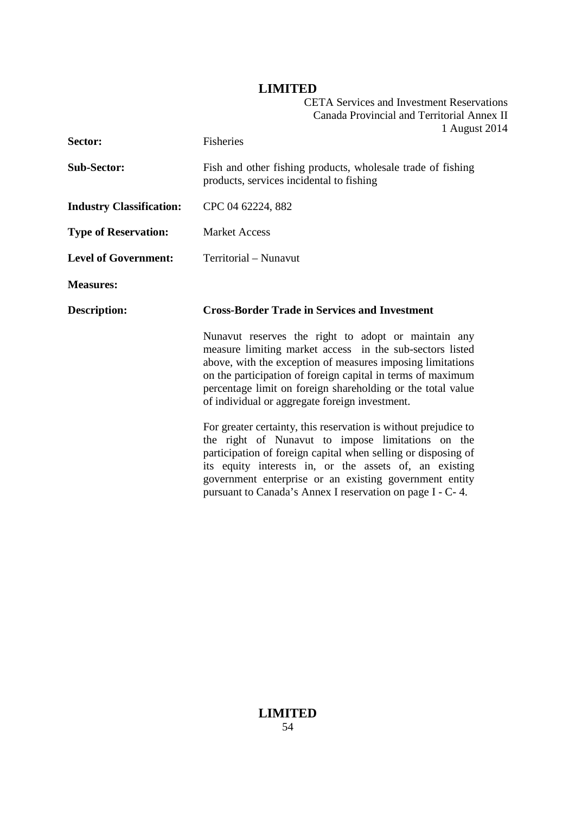| Sector:                         | Fisheries                                                                                                                                                                                                                                                                                                                                                     |
|---------------------------------|---------------------------------------------------------------------------------------------------------------------------------------------------------------------------------------------------------------------------------------------------------------------------------------------------------------------------------------------------------------|
| <b>Sub-Sector:</b>              | Fish and other fishing products, wholesale trade of fishing<br>products, services incidental to fishing                                                                                                                                                                                                                                                       |
| <b>Industry Classification:</b> | CPC 04 62224, 882                                                                                                                                                                                                                                                                                                                                             |
| <b>Type of Reservation:</b>     | <b>Market Access</b>                                                                                                                                                                                                                                                                                                                                          |
| <b>Level of Government:</b>     | Territorial - Nunavut                                                                                                                                                                                                                                                                                                                                         |
| <b>Measures:</b>                |                                                                                                                                                                                                                                                                                                                                                               |
| Description:                    | <b>Cross-Border Trade in Services and Investment</b>                                                                                                                                                                                                                                                                                                          |
|                                 | Nunavut reserves the right to adopt or maintain any<br>measure limiting market access in the sub-sectors listed<br>above, with the exception of measures imposing limitations<br>on the participation of foreign capital in terms of maximum<br>percentage limit on foreign shareholding or the total value<br>of individual or aggregate foreign investment. |
|                                 | For greater certainty, this reservation is without prejudice to<br>the right of Nunavut to impose limitations on the                                                                                                                                                                                                                                          |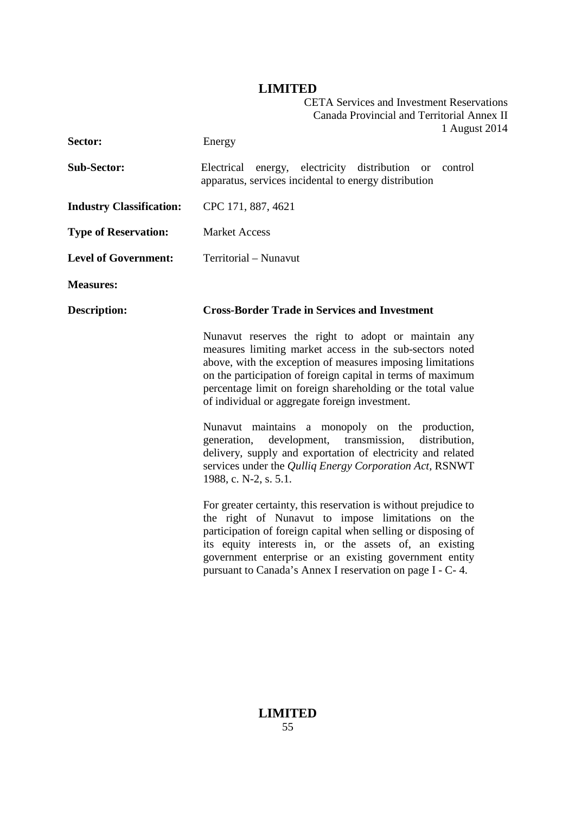| Sector:                         | Energy                                                                                                                                                                                                                                                                                                                                                                  |
|---------------------------------|-------------------------------------------------------------------------------------------------------------------------------------------------------------------------------------------------------------------------------------------------------------------------------------------------------------------------------------------------------------------------|
| <b>Sub-Sector:</b>              | Electrical energy, electricity distribution or<br>control<br>apparatus, services incidental to energy distribution                                                                                                                                                                                                                                                      |
| <b>Industry Classification:</b> | CPC 171, 887, 4621                                                                                                                                                                                                                                                                                                                                                      |
| <b>Type of Reservation:</b>     | <b>Market Access</b>                                                                                                                                                                                                                                                                                                                                                    |
| <b>Level of Government:</b>     | Territorial - Nunavut                                                                                                                                                                                                                                                                                                                                                   |
| <b>Measures:</b>                |                                                                                                                                                                                                                                                                                                                                                                         |
| Description:                    | <b>Cross-Border Trade in Services and Investment</b>                                                                                                                                                                                                                                                                                                                    |
|                                 | Nunavut reserves the right to adopt or maintain any<br>measures limiting market access in the sub-sectors noted<br>above, with the exception of measures imposing limitations<br>on the participation of foreign capital in terms of maximum<br>percentage limit on foreign shareholding or the total value<br>of individual or aggregate foreign investment.           |
|                                 | Nunavut maintains a monopoly on the production,<br>development, transmission,<br>generation,<br>distribution,<br>delivery, supply and exportation of electricity and related<br>services under the Qulliq Energy Corporation Act, RSNWT<br>1988, c. N-2, s. 5.1.                                                                                                        |
|                                 | For greater certainty, this reservation is without prejudice to<br>the right of Nunavut to impose limitations on the<br>participation of foreign capital when selling or disposing of<br>its equity interests in, or the assets of, an existing<br>government enterprise or an existing government entity<br>pursuant to Canada's Annex I reservation on page I - C- 4. |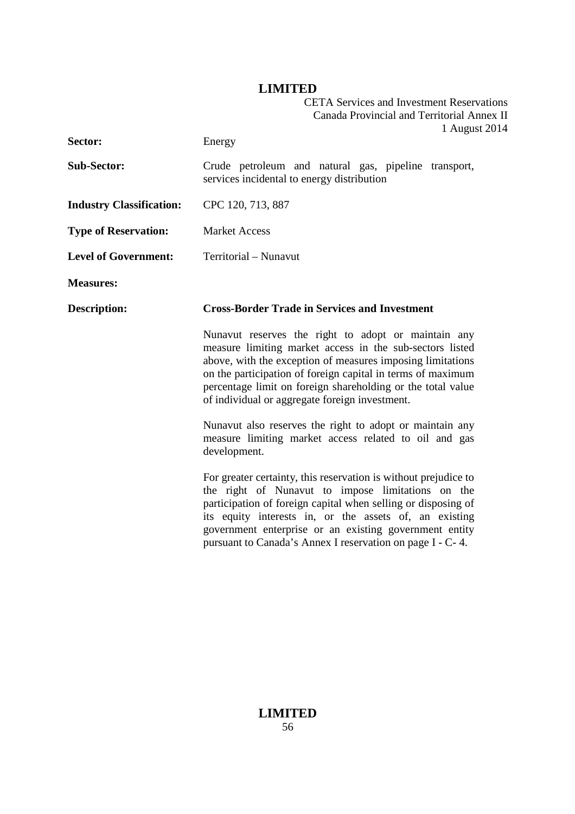CETA Services and Investment Reservations Canada Provincial and Territorial Annex II 1 August 2014

| Sector:                         | Energy                                                                                                                                                                                                                                                                                                                                                                  |
|---------------------------------|-------------------------------------------------------------------------------------------------------------------------------------------------------------------------------------------------------------------------------------------------------------------------------------------------------------------------------------------------------------------------|
| <b>Sub-Sector:</b>              | Crude petroleum and natural gas, pipeline transport,<br>services incidental to energy distribution                                                                                                                                                                                                                                                                      |
| <b>Industry Classification:</b> | CPC 120, 713, 887                                                                                                                                                                                                                                                                                                                                                       |
| <b>Type of Reservation:</b>     | <b>Market Access</b>                                                                                                                                                                                                                                                                                                                                                    |
| <b>Level of Government:</b>     | Territorial - Nunavut                                                                                                                                                                                                                                                                                                                                                   |
| <b>Measures:</b>                |                                                                                                                                                                                                                                                                                                                                                                         |
| <b>Description:</b>             | <b>Cross-Border Trade in Services and Investment</b>                                                                                                                                                                                                                                                                                                                    |
|                                 | Nunavut reserves the right to adopt or maintain any<br>measure limiting market access in the sub-sectors listed<br>above, with the exception of measures imposing limitations<br>on the participation of foreign capital in terms of maximum<br>percentage limit on foreign shareholding or the total value<br>of individual or aggregate foreign investment.           |
|                                 | Nunavut also reserves the right to adopt or maintain any<br>measure limiting market access related to oil and gas<br>development.                                                                                                                                                                                                                                       |
|                                 | For greater certainty, this reservation is without prejudice to<br>the right of Nunavut to impose limitations on the<br>participation of foreign capital when selling or disposing of<br>its equity interests in, or the assets of, an existing<br>government enterprise or an existing government entity<br>pursuant to Canada's Annex I reservation on page I - C- 4. |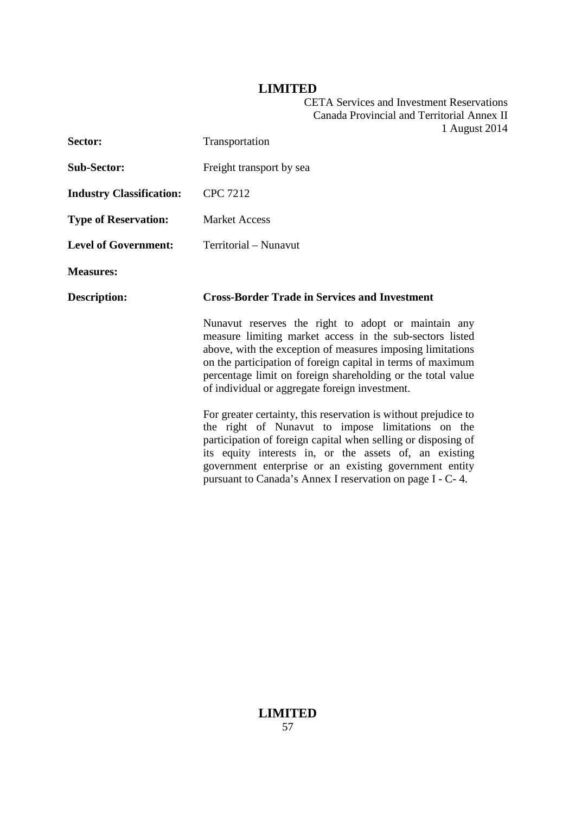| Sector:                         | Transportation                                                                                                                                                                                                                                                                                                                                                         |
|---------------------------------|------------------------------------------------------------------------------------------------------------------------------------------------------------------------------------------------------------------------------------------------------------------------------------------------------------------------------------------------------------------------|
| <b>Sub-Sector:</b>              | Freight transport by sea                                                                                                                                                                                                                                                                                                                                               |
| <b>Industry Classification:</b> | <b>CPC 7212</b>                                                                                                                                                                                                                                                                                                                                                        |
| <b>Type of Reservation:</b>     | <b>Market Access</b>                                                                                                                                                                                                                                                                                                                                                   |
| <b>Level of Government:</b>     | Territorial – Nunavut                                                                                                                                                                                                                                                                                                                                                  |
| <b>Measures:</b>                |                                                                                                                                                                                                                                                                                                                                                                        |
| <b>Description:</b>             | <b>Cross-Border Trade in Services and Investment</b>                                                                                                                                                                                                                                                                                                                   |
|                                 | Nunavut reserves the right to adopt or maintain any<br>measure limiting market access in the sub-sectors listed<br>above, with the exception of measures imposing limitations<br>on the participation of foreign capital in terms of maximum<br>percentage limit on foreign shareholding or the total value<br>of individual or aggregate foreign investment.          |
|                                 | For greater certainty, this reservation is without prejudice to<br>the right of Nunavut to impose limitations on the<br>participation of foreign capital when selling or disposing of<br>its equity interests in, or the assets of, an existing<br>government enterprise or an existing government entity<br>pursuant to Canada's Annex I reservation on page I - C-4. |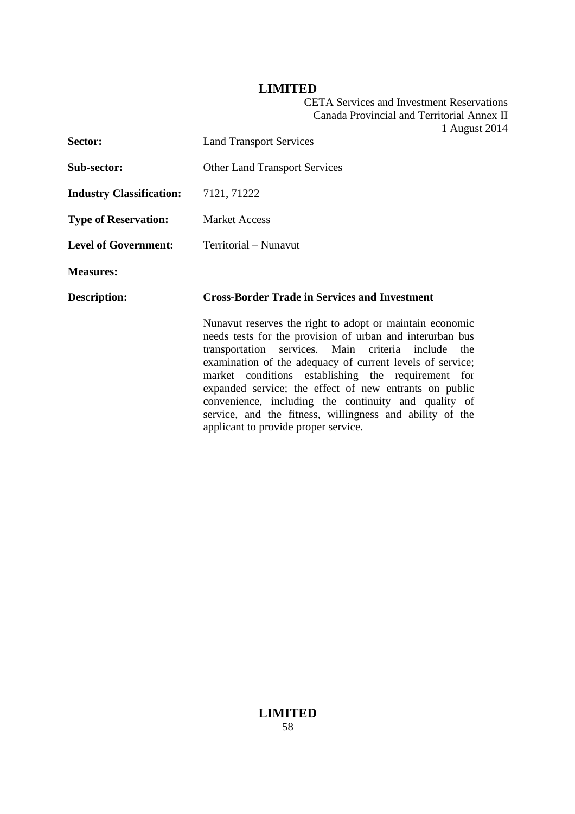| Sector:                         | <b>Land Transport Services</b>                                                                                                                                                                                                                                                                                                                           |
|---------------------------------|----------------------------------------------------------------------------------------------------------------------------------------------------------------------------------------------------------------------------------------------------------------------------------------------------------------------------------------------------------|
| Sub-sector:                     | <b>Other Land Transport Services</b>                                                                                                                                                                                                                                                                                                                     |
| <b>Industry Classification:</b> | 7121, 71222                                                                                                                                                                                                                                                                                                                                              |
| <b>Type of Reservation:</b>     | <b>Market Access</b>                                                                                                                                                                                                                                                                                                                                     |
| <b>Level of Government:</b>     | Territorial – Nunavut                                                                                                                                                                                                                                                                                                                                    |
| <b>Measures:</b>                |                                                                                                                                                                                                                                                                                                                                                          |
| Description:                    | <b>Cross-Border Trade in Services and Investment</b>                                                                                                                                                                                                                                                                                                     |
|                                 | Nunavut reserves the right to adopt or maintain economic<br>needs tests for the provision of urban and interurban bus<br>transportation services. Main criteria include the<br>examination of the adequacy of current levels of service;<br>market conditions establishing the requirement for<br>expanded service; the effect of new entrants on public |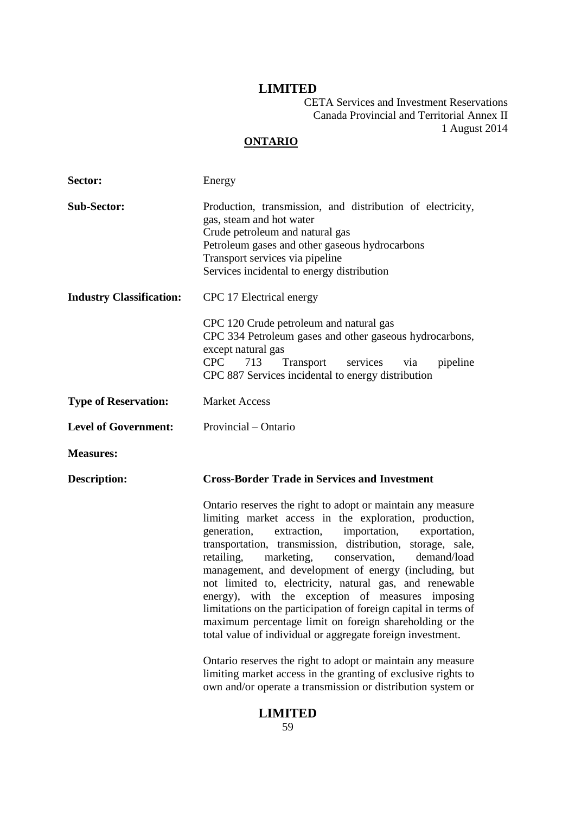CETA Services and Investment Reservations Canada Provincial and Territorial Annex II 1 August 2014

## **ONTARIO**

| Sector:                         | Energy                                                                                                                                                                                                                                                                                                                                                                                                                    |
|---------------------------------|---------------------------------------------------------------------------------------------------------------------------------------------------------------------------------------------------------------------------------------------------------------------------------------------------------------------------------------------------------------------------------------------------------------------------|
| <b>Sub-Sector:</b>              | Production, transmission, and distribution of electricity,<br>gas, steam and hot water<br>Crude petroleum and natural gas<br>Petroleum gases and other gaseous hydrocarbons<br>Transport services via pipeline<br>Services incidental to energy distribution                                                                                                                                                              |
| <b>Industry Classification:</b> | CPC 17 Electrical energy                                                                                                                                                                                                                                                                                                                                                                                                  |
|                                 | CPC 120 Crude petroleum and natural gas<br>CPC 334 Petroleum gases and other gaseous hydrocarbons,<br>except natural gas<br>CPC<br>Transport<br>713<br>services<br>pipeline<br>via<br>CPC 887 Services incidental to energy distribution                                                                                                                                                                                  |
| <b>Type of Reservation:</b>     | <b>Market Access</b>                                                                                                                                                                                                                                                                                                                                                                                                      |
| <b>Level of Government:</b>     | Provincial – Ontario                                                                                                                                                                                                                                                                                                                                                                                                      |
| <b>Measures:</b>                |                                                                                                                                                                                                                                                                                                                                                                                                                           |
| Description:                    | <b>Cross-Border Trade in Services and Investment</b>                                                                                                                                                                                                                                                                                                                                                                      |
|                                 | Ontario reserves the right to adopt or maintain any measure<br>limiting market access in the exploration, production,<br>generation,<br>extraction, importation,<br>exportation,<br>transportation, transmission, distribution, storage, sale,                                                                                                                                                                            |
|                                 | retailing,<br>marketing, conservation,<br>demand/load<br>management, and development of energy (including, but<br>not limited to, electricity, natural gas, and renewable<br>energy), with the exception of measures imposing<br>limitations on the participation of foreign capital in terms of<br>maximum percentage limit on foreign shareholding or the<br>total value of individual or aggregate foreign investment. |
|                                 | Ontario reserves the right to adopt or maintain any measure<br>limiting market access in the granting of exclusive rights to<br>own and/or operate a transmission or distribution system or                                                                                                                                                                                                                               |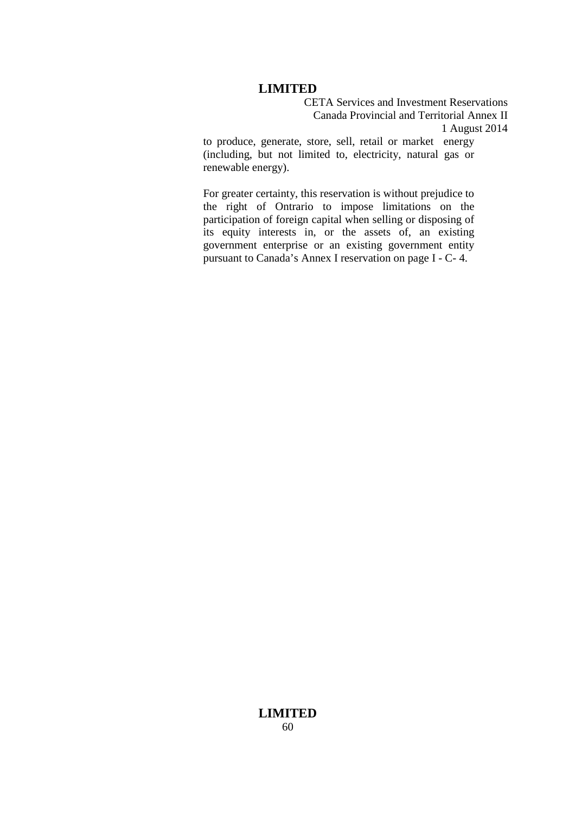CETA Services and Investment Reservations Canada Provincial and Territorial Annex II 1 August 2014

to produce, generate, store, sell, retail or market energy (including, but not limited to, electricity, natural gas or renewable energy).

For greater certainty, this reservation is without prejudice to the right of Ontrario to impose limitations on the participation of foreign capital when selling or disposing of its equity interests in, or the assets of, an existing government enterprise or an existing government entity pursuant to Canada's Annex I reservation on page I - C- 4.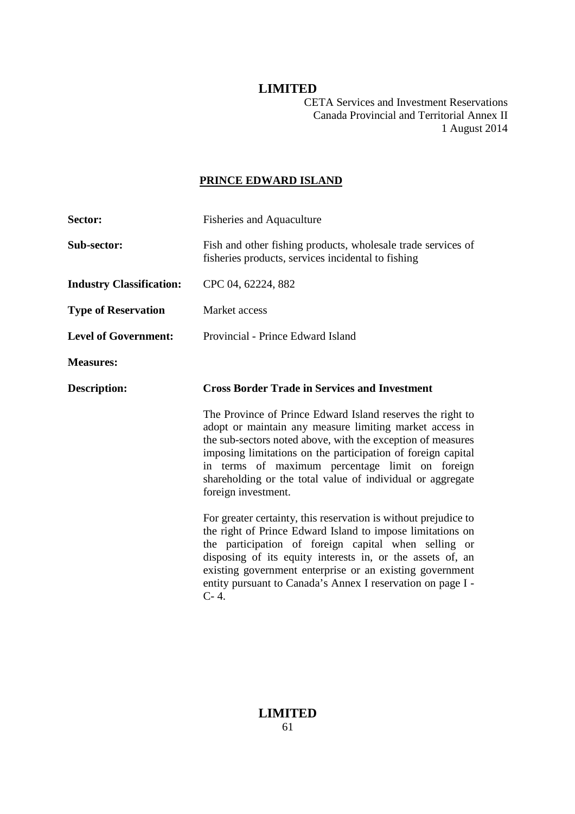CETA Services and Investment Reservations Canada Provincial and Territorial Annex II 1 August 2014

## **PRINCE EDWARD ISLAND**

| Sector:                         | <b>Fisheries and Aquaculture</b>                                                                                                                                                                                                                                                                                                                                                             |
|---------------------------------|----------------------------------------------------------------------------------------------------------------------------------------------------------------------------------------------------------------------------------------------------------------------------------------------------------------------------------------------------------------------------------------------|
| Sub-sector:                     | Fish and other fishing products, wholesale trade services of<br>fisheries products, services incidental to fishing                                                                                                                                                                                                                                                                           |
| <b>Industry Classification:</b> | CPC 04, 62224, 882                                                                                                                                                                                                                                                                                                                                                                           |
| <b>Type of Reservation</b>      | Market access                                                                                                                                                                                                                                                                                                                                                                                |
| <b>Level of Government:</b>     | Provincial - Prince Edward Island                                                                                                                                                                                                                                                                                                                                                            |
| <b>Measures:</b>                |                                                                                                                                                                                                                                                                                                                                                                                              |
| <b>Description:</b>             | <b>Cross Border Trade in Services and Investment</b>                                                                                                                                                                                                                                                                                                                                         |
|                                 | The Province of Prince Edward Island reserves the right to<br>adopt or maintain any measure limiting market access in<br>the sub-sectors noted above, with the exception of measures<br>imposing limitations on the participation of foreign capital<br>in terms of maximum percentage limit on foreign<br>shareholding or the total value of individual or aggregate<br>foreign investment. |
|                                 | For greater certainty, this reservation is without prejudice to<br>the right of Prince Edward Island to impose limitations on<br>the participation of foreign capital when selling or<br>disposing of its equity interests in, or the assets of, an<br>existing government enterprise or an existing government<br>entity pursuant to Canada's Annex I reservation on page I -<br>$C - 4.$   |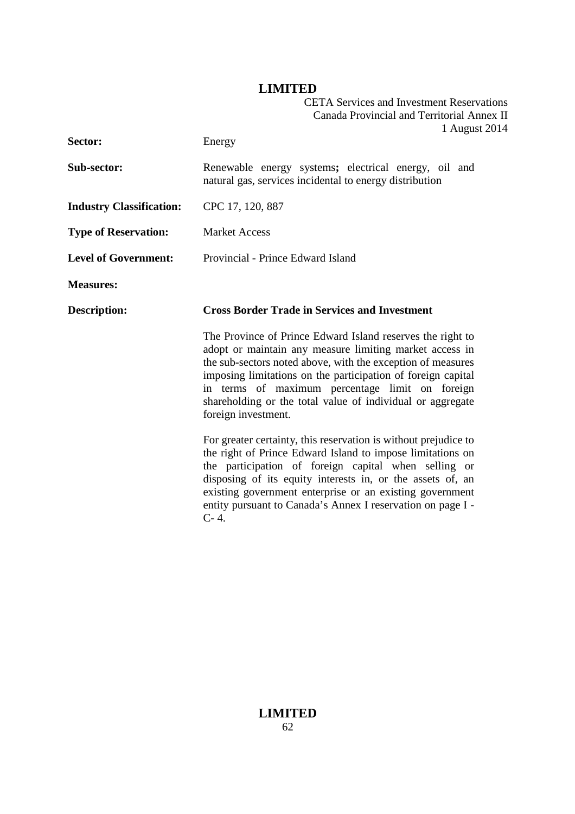| Sector:                         | Energy                                                                                                                                                                                                                                                                                                                                                                                       |
|---------------------------------|----------------------------------------------------------------------------------------------------------------------------------------------------------------------------------------------------------------------------------------------------------------------------------------------------------------------------------------------------------------------------------------------|
| Sub-sector:                     | Renewable energy systems; electrical energy, oil and<br>natural gas, services incidental to energy distribution                                                                                                                                                                                                                                                                              |
| <b>Industry Classification:</b> | CPC 17, 120, 887                                                                                                                                                                                                                                                                                                                                                                             |
| <b>Type of Reservation:</b>     | <b>Market Access</b>                                                                                                                                                                                                                                                                                                                                                                         |
| <b>Level of Government:</b>     | Provincial - Prince Edward Island                                                                                                                                                                                                                                                                                                                                                            |
| <b>Measures:</b>                |                                                                                                                                                                                                                                                                                                                                                                                              |
| Description:                    | <b>Cross Border Trade in Services and Investment</b>                                                                                                                                                                                                                                                                                                                                         |
|                                 | The Province of Prince Edward Island reserves the right to<br>adopt or maintain any measure limiting market access in<br>the sub-sectors noted above, with the exception of measures<br>imposing limitations on the participation of foreign capital<br>in terms of maximum percentage limit on foreign<br>shareholding or the total value of individual or aggregate<br>foreign investment. |
|                                 | For greater certainty, this reservation is without prejudice to<br>the right of Prince Edward Island to impose limitations on<br>the participation of foreign capital when selling or<br>disposing of its equity interests in, or the assets of, an<br>existing government enterprise or an existing government                                                                              |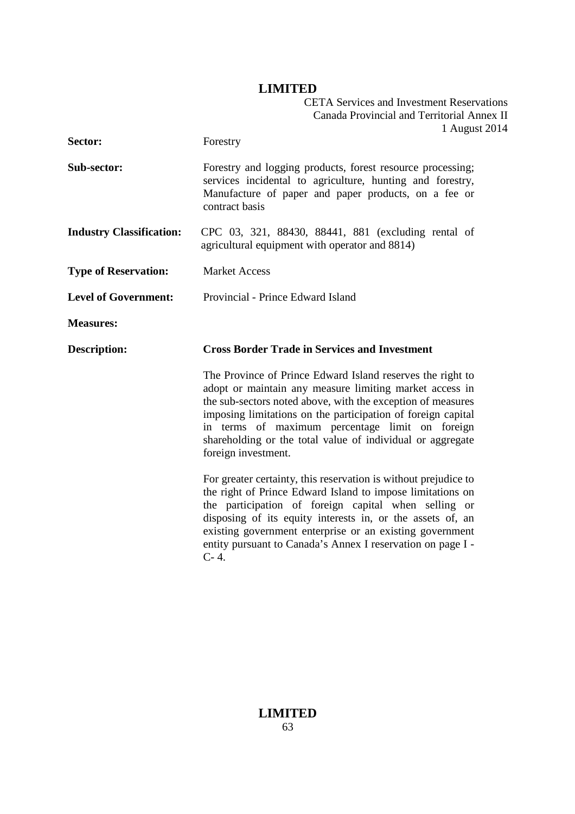| Sector:                         | Forestry                                                                                                                                                                                                                                                                                                                                                                                     |
|---------------------------------|----------------------------------------------------------------------------------------------------------------------------------------------------------------------------------------------------------------------------------------------------------------------------------------------------------------------------------------------------------------------------------------------|
| Sub-sector:                     | Forestry and logging products, forest resource processing;<br>services incidental to agriculture, hunting and forestry,<br>Manufacture of paper and paper products, on a fee or<br>contract basis                                                                                                                                                                                            |
| <b>Industry Classification:</b> | CPC 03, 321, 88430, 88441, 881 (excluding rental of<br>agricultural equipment with operator and 8814)                                                                                                                                                                                                                                                                                        |
| <b>Type of Reservation:</b>     | <b>Market Access</b>                                                                                                                                                                                                                                                                                                                                                                         |
| <b>Level of Government:</b>     | Provincial - Prince Edward Island                                                                                                                                                                                                                                                                                                                                                            |
| <b>Measures:</b>                |                                                                                                                                                                                                                                                                                                                                                                                              |
|                                 |                                                                                                                                                                                                                                                                                                                                                                                              |
| Description:                    | <b>Cross Border Trade in Services and Investment</b>                                                                                                                                                                                                                                                                                                                                         |
|                                 | The Province of Prince Edward Island reserves the right to<br>adopt or maintain any measure limiting market access in<br>the sub-sectors noted above, with the exception of measures<br>imposing limitations on the participation of foreign capital<br>in terms of maximum percentage limit on foreign<br>shareholding or the total value of individual or aggregate<br>foreign investment. |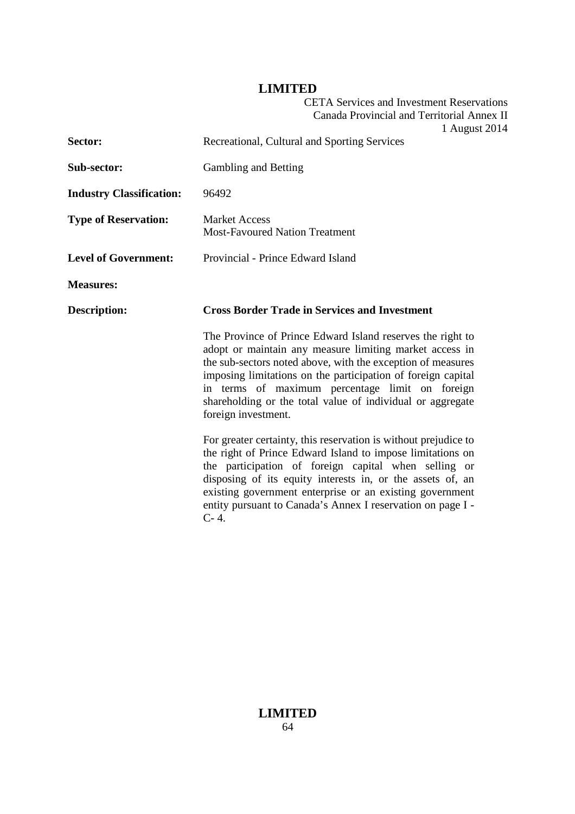CETA Services and Investment Reservations Canada Provincial and Territorial Annex II 1 August 2014 Sector: Recreational, Cultural and Sporting Services **Sub-sector:** Gambling and Betting **Industry Classification:** 96492 **Type of Reservation:** Market Access Most-Favoured Nation Treatment **Level of Government:** Provincial - Prince Edward Island **Measures: Description: Cross Border Trade in Services and Investment** The Province of Prince Edward Island reserves the right to adopt or maintain any measure limiting market access in the sub-sectors noted above, with the exception of measures imposing limitations on the participation of foreign capital in terms of maximum percentage limit on foreign shareholding or the total value of individual or aggregate foreign investment. For greater certainty, this reservation is without prejudice to the right of Prince Edward Island to impose limitations on the participation of foreign capital when selling or disposing of its equity interests in, or the assets of, an existing government enterprise or an existing government entity pursuant to Canada's Annex I reservation on page I - C- 4.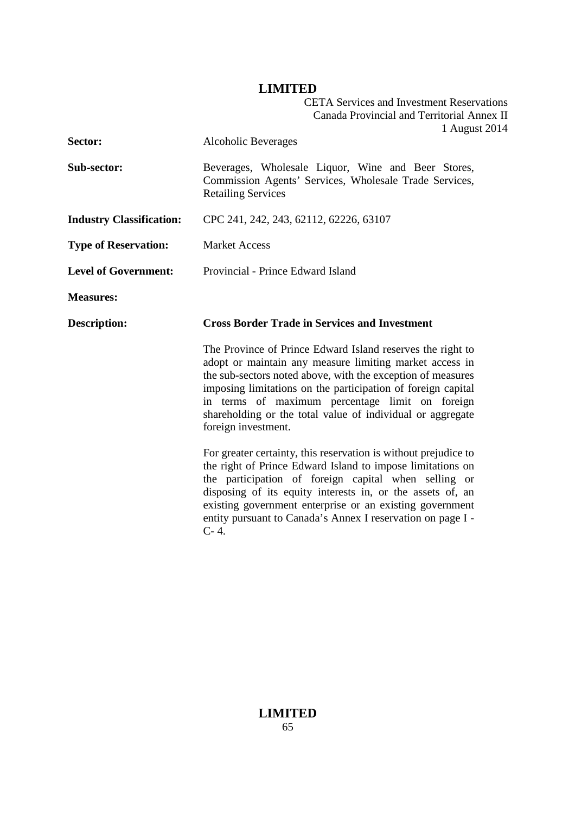| Sector:                         | Alcoholic Beverages                                                                                                                                                                                                                                                                                                                                                                          |
|---------------------------------|----------------------------------------------------------------------------------------------------------------------------------------------------------------------------------------------------------------------------------------------------------------------------------------------------------------------------------------------------------------------------------------------|
| Sub-sector:                     | Beverages, Wholesale Liquor, Wine and Beer Stores,<br>Commission Agents' Services, Wholesale Trade Services,<br><b>Retailing Services</b>                                                                                                                                                                                                                                                    |
| <b>Industry Classification:</b> | CPC 241, 242, 243, 62112, 62226, 63107                                                                                                                                                                                                                                                                                                                                                       |
| <b>Type of Reservation:</b>     | <b>Market Access</b>                                                                                                                                                                                                                                                                                                                                                                         |
| <b>Level of Government:</b>     | Provincial - Prince Edward Island                                                                                                                                                                                                                                                                                                                                                            |
| <b>Measures:</b>                |                                                                                                                                                                                                                                                                                                                                                                                              |
| <b>Description:</b>             | <b>Cross Border Trade in Services and Investment</b>                                                                                                                                                                                                                                                                                                                                         |
|                                 | The Province of Prince Edward Island reserves the right to<br>adopt or maintain any measure limiting market access in<br>the sub-sectors noted above, with the exception of measures<br>imposing limitations on the participation of foreign capital<br>in terms of maximum percentage limit on foreign<br>shareholding or the total value of individual or aggregate<br>foreign investment. |
|                                 | For greater certainty, this reservation is without prejudice to<br>the right of Prince Edward Island to impose limitations on<br>the participation of foreign capital when selling or<br>disposing of its equity interests in, or the assets of, an<br>existing government enterprise or an existing government<br>entity pursuant to Canada's Annex I reservation on page I -<br>$C - 4.$   |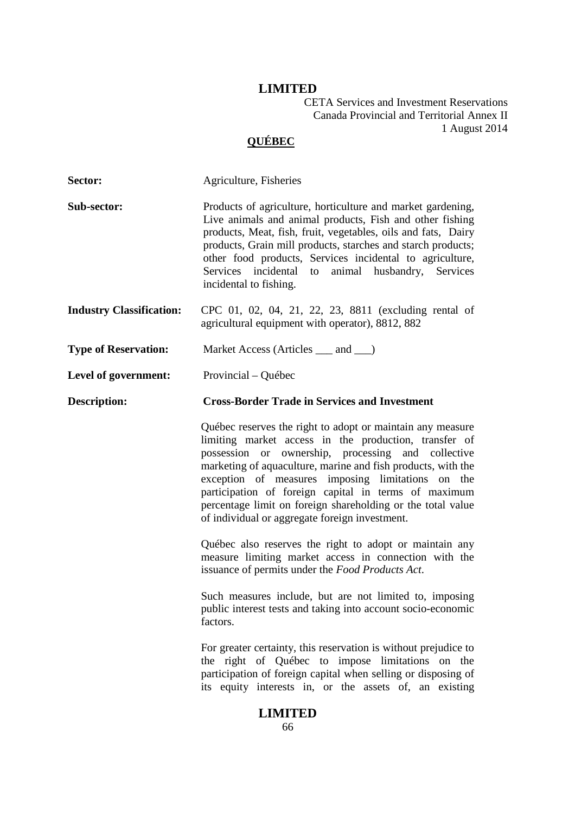CETA Services and Investment Reservations Canada Provincial and Territorial Annex II 1 August 2014

## **QUÉBEC**

| Sector:                         | Agriculture, Fisheries                                                                                                                                                                                                                                                                                                                                                                                                                                                  |
|---------------------------------|-------------------------------------------------------------------------------------------------------------------------------------------------------------------------------------------------------------------------------------------------------------------------------------------------------------------------------------------------------------------------------------------------------------------------------------------------------------------------|
| Sub-sector:                     | Products of agriculture, horticulture and market gardening,<br>Live animals and animal products, Fish and other fishing<br>products, Meat, fish, fruit, vegetables, oils and fats, Dairy<br>products, Grain mill products, starches and starch products;<br>other food products, Services incidental to agriculture,<br>Services incidental to animal husbandry, Services<br>incidental to fishing.                                                                     |
| <b>Industry Classification:</b> | CPC 01, 02, 04, 21, 22, 23, 8811 (excluding rental of<br>agricultural equipment with operator), 8812, 882                                                                                                                                                                                                                                                                                                                                                               |
| <b>Type of Reservation:</b>     | Market Access (Articles __ and __)                                                                                                                                                                                                                                                                                                                                                                                                                                      |
| Level of government:            | Provincial – Québec                                                                                                                                                                                                                                                                                                                                                                                                                                                     |
| <b>Description:</b>             | <b>Cross-Border Trade in Services and Investment</b>                                                                                                                                                                                                                                                                                                                                                                                                                    |
|                                 | Québec reserves the right to adopt or maintain any measure<br>limiting market access in the production, transfer of<br>possession or ownership, processing and collective<br>marketing of aquaculture, marine and fish products, with the<br>exception of measures imposing limitations on the<br>participation of foreign capital in terms of maximum<br>percentage limit on foreign shareholding or the total value<br>of individual or aggregate foreign investment. |
|                                 | Québec also reserves the right to adopt or maintain any<br>measure limiting market access in connection with the<br>issuance of permits under the Food Products Act.                                                                                                                                                                                                                                                                                                    |
|                                 | Such measures include, but are not limited to, imposing<br>public interest tests and taking into account socio-economic<br>factors.                                                                                                                                                                                                                                                                                                                                     |
|                                 | For greater certainty, this reservation is without prejudice to<br>the right of Québec to impose limitations on the<br>participation of foreign capital when selling or disposing of<br>its equity interests in, or the assets of, an existing                                                                                                                                                                                                                          |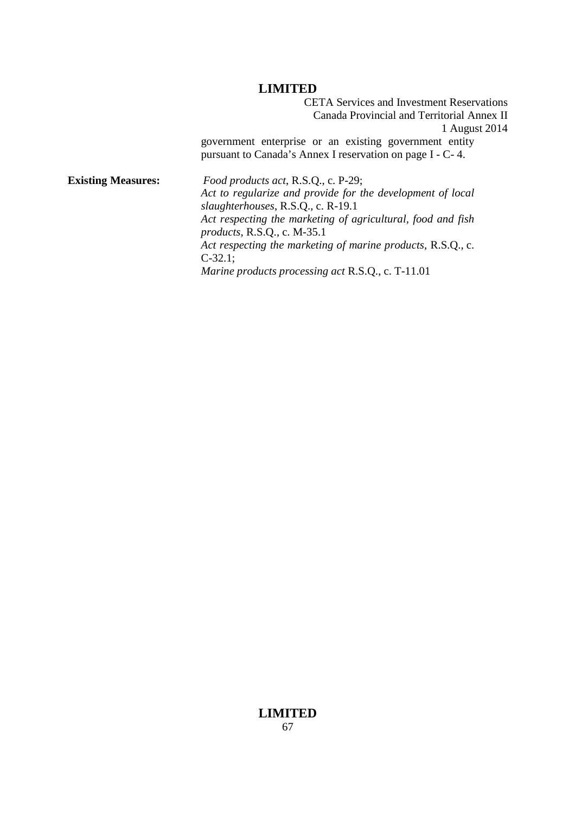CETA Services and Investment Reservations Canada Provincial and Territorial Annex II 1 August 2014 government enterprise or an existing government entity

pursuant to Canada's Annex I reservation on page I - C- 4.

**Existing Measures:** *Food products act*, R.S.Q., c. P-29; *Act to regularize and provide for the development of local slaughterhouses*, R.S.Q., c. R-19.1 *Act respecting the marketing of agricultural, food and fish products*, R.S.Q., c. M-35.1 *Act respecting the marketing of marine products*, R.S.Q., c. C-32.1; *Marine products processing act* R.S.Q., c. T-11.01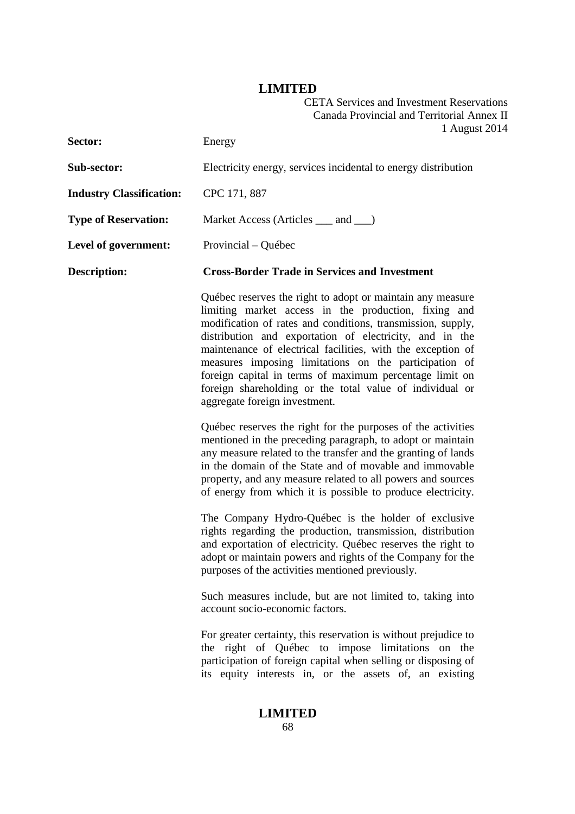CETA Services and Investment Reservations Canada Provincial and Territorial Annex II 1 August 2014

| Sector:                         | Energy                                                                                                                                                                                                                                                                                                                                                                                                                                                                                                                       |
|---------------------------------|------------------------------------------------------------------------------------------------------------------------------------------------------------------------------------------------------------------------------------------------------------------------------------------------------------------------------------------------------------------------------------------------------------------------------------------------------------------------------------------------------------------------------|
| Sub-sector:                     | Electricity energy, services incidental to energy distribution                                                                                                                                                                                                                                                                                                                                                                                                                                                               |
| <b>Industry Classification:</b> | CPC 171, 887                                                                                                                                                                                                                                                                                                                                                                                                                                                                                                                 |
| <b>Type of Reservation:</b>     | Market Access (Articles ___ and __)                                                                                                                                                                                                                                                                                                                                                                                                                                                                                          |
| Level of government:            | Provincial – Québec                                                                                                                                                                                                                                                                                                                                                                                                                                                                                                          |
| <b>Description:</b>             | <b>Cross-Border Trade in Services and Investment</b>                                                                                                                                                                                                                                                                                                                                                                                                                                                                         |
|                                 | Québec reserves the right to adopt or maintain any measure<br>limiting market access in the production, fixing and<br>modification of rates and conditions, transmission, supply,<br>distribution and exportation of electricity, and in the<br>maintenance of electrical facilities, with the exception of<br>measures imposing limitations on the participation of<br>foreign capital in terms of maximum percentage limit on<br>foreign shareholding or the total value of individual or<br>aggregate foreign investment. |
|                                 | Québec reserves the right for the purposes of the activities<br>mentioned in the preceding paragraph, to adopt or maintain<br>any measure related to the transfer and the granting of lands<br>in the domain of the State and of movable and immovable<br>property, and any measure related to all powers and sources<br>of energy from which it is possible to produce electricity.                                                                                                                                         |
|                                 | The Company Hydro-Québec is the holder of exclusive<br>rights regarding the production, transmission, distribution<br>and exportation of electricity. Québec reserves the right to<br>adopt or maintain powers and rights of the Company for the<br>purposes of the activities mentioned previously.                                                                                                                                                                                                                         |
|                                 | Such measures include, but are not limited to, taking into<br>account socio-economic factors.                                                                                                                                                                                                                                                                                                                                                                                                                                |
|                                 | For greater certainty, this reservation is without prejudice to<br>the right of Québec to impose limitations on the<br>participation of foreign capital when selling or disposing of<br>its equity interests in, or the assets of, an existing                                                                                                                                                                                                                                                                               |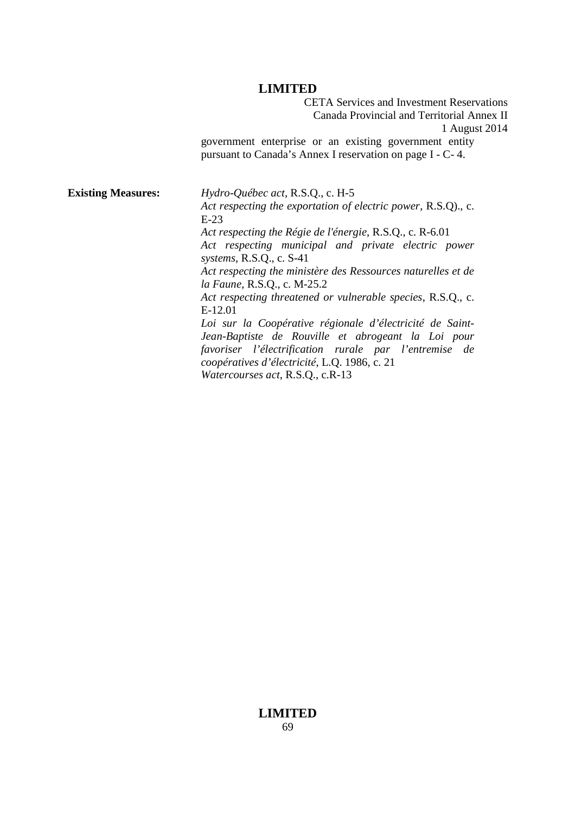CETA Services and Investment Reservations Canada Provincial and Territorial Annex II 1 August 2014

government enterprise or an existing government entity pursuant to Canada's Annex I reservation on page I - C- 4.

**Existing Measures:** *Hydro-Québec act*, R.S.Q., c. H-5 *Act respecting the exportation of electric power*, R.S.Q)., c. E-23 *Act respecting the Régie de l'énergie*, R.S.Q., c. R-6.01 *Act respecting municipal and private electric power systems*, R.S.Q., c. S-41 *Act respecting the ministère des Ressources naturelles et de la Faune*, R.S.Q., c. M-25.2 *Act respecting threatened or vulnerable species*, R.S.Q., c. E-12.01 *Loi sur la Coopérative régionale d'électricité de Saint-Jean-Baptiste de Rouville et abrogeant la Loi pour favoriser l'électrification rurale par l'entremise de coopératives d'électricité*, L.Q. 1986, c. 21

*Watercourses act*, R.S.Q., c.R-13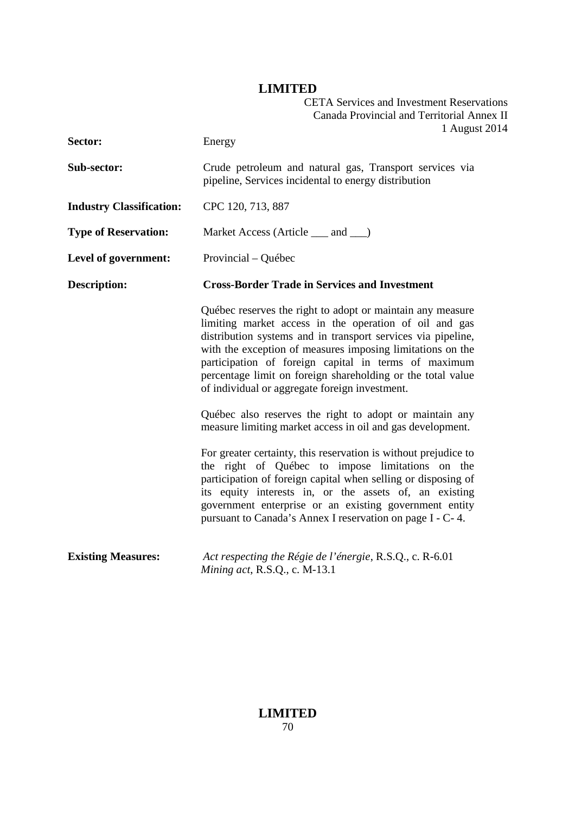| Sector:                         | Energy                                                                                                                                                                                                                                                                                                                                                                                                                      |
|---------------------------------|-----------------------------------------------------------------------------------------------------------------------------------------------------------------------------------------------------------------------------------------------------------------------------------------------------------------------------------------------------------------------------------------------------------------------------|
| Sub-sector:                     | Crude petroleum and natural gas, Transport services via<br>pipeline, Services incidental to energy distribution                                                                                                                                                                                                                                                                                                             |
| <b>Industry Classification:</b> | CPC 120, 713, 887                                                                                                                                                                                                                                                                                                                                                                                                           |
| <b>Type of Reservation:</b>     | Market Access (Article __ and __)                                                                                                                                                                                                                                                                                                                                                                                           |
| Level of government:            | Provincial – Québec                                                                                                                                                                                                                                                                                                                                                                                                         |
| <b>Description:</b>             | <b>Cross-Border Trade in Services and Investment</b>                                                                                                                                                                                                                                                                                                                                                                        |
|                                 | Québec reserves the right to adopt or maintain any measure<br>limiting market access in the operation of oil and gas<br>distribution systems and in transport services via pipeline,<br>with the exception of measures imposing limitations on the<br>participation of foreign capital in terms of maximum<br>percentage limit on foreign shareholding or the total value<br>of individual or aggregate foreign investment. |
|                                 | Québec also reserves the right to adopt or maintain any<br>measure limiting market access in oil and gas development.                                                                                                                                                                                                                                                                                                       |
|                                 | For greater certainty, this reservation is without prejudice to<br>the right of Québec to impose limitations on the<br>participation of foreign capital when selling or disposing of<br>its equity interests in, or the assets of, an existing<br>government enterprise or an existing government entity<br>pursuant to Canada's Annex I reservation on page I - C- 4.                                                      |
| <b>Existing Measures:</b>       | Act respecting the Régie de l'énergie, R.S.Q., c. R-6.01<br>Mining act, R.S.Q., c. M-13.1                                                                                                                                                                                                                                                                                                                                   |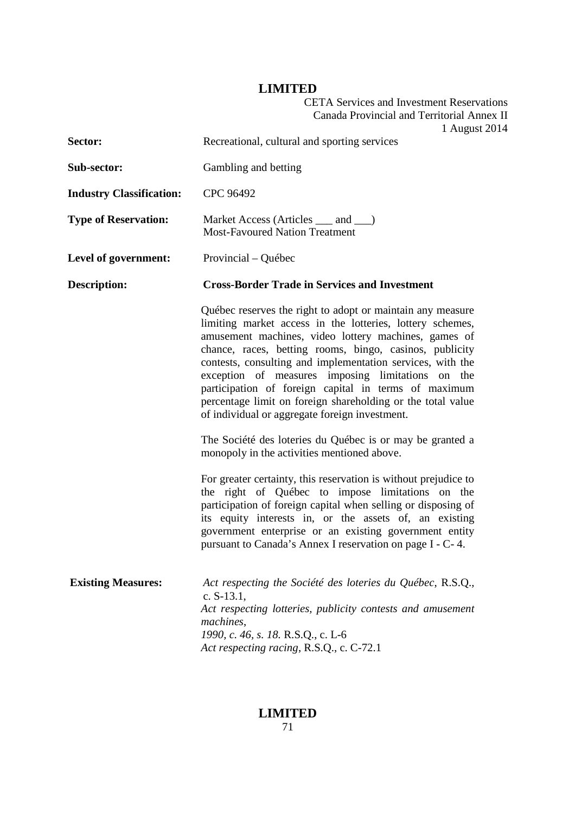CETA Services and Investment Reservations Canada Provincial and Territorial Annex II 1 August 2014

| Sector:                         | 1 August 20<br>Recreational, cultural and sporting services                                                                                                                                                                                                                                                                                                                                                                                                                                                                                                                                         |
|---------------------------------|-----------------------------------------------------------------------------------------------------------------------------------------------------------------------------------------------------------------------------------------------------------------------------------------------------------------------------------------------------------------------------------------------------------------------------------------------------------------------------------------------------------------------------------------------------------------------------------------------------|
| Sub-sector:                     | Gambling and betting                                                                                                                                                                                                                                                                                                                                                                                                                                                                                                                                                                                |
| <b>Industry Classification:</b> | CPC 96492                                                                                                                                                                                                                                                                                                                                                                                                                                                                                                                                                                                           |
| <b>Type of Reservation:</b>     | Market Access (Articles <u>__</u> and __)<br><b>Most-Favoured Nation Treatment</b>                                                                                                                                                                                                                                                                                                                                                                                                                                                                                                                  |
| Level of government:            | Provincial – Québec                                                                                                                                                                                                                                                                                                                                                                                                                                                                                                                                                                                 |
| <b>Description:</b>             | <b>Cross-Border Trade in Services and Investment</b>                                                                                                                                                                                                                                                                                                                                                                                                                                                                                                                                                |
|                                 | Québec reserves the right to adopt or maintain any measure<br>limiting market access in the lotteries, lottery schemes,<br>amusement machines, video lottery machines, games of<br>chance, races, betting rooms, bingo, casinos, publicity<br>contests, consulting and implementation services, with the<br>exception of measures imposing limitations on the<br>participation of foreign capital in terms of maximum<br>percentage limit on foreign shareholding or the total value<br>of individual or aggregate foreign investment.<br>The Société des loteries du Québec is or may be granted a |
|                                 | monopoly in the activities mentioned above.                                                                                                                                                                                                                                                                                                                                                                                                                                                                                                                                                         |
|                                 | For greater certainty, this reservation is without prejudice to<br>the right of Québec to impose limitations on the<br>participation of foreign capital when selling or disposing of<br>its equity interests in, or the assets of, an existing<br>government enterprise or an existing government entity<br>pursuant to Canada's Annex I reservation on page I - C-4.                                                                                                                                                                                                                               |
| <b>Existing Measures:</b>       | Act respecting the Société des loteries du Québec, R.S.Q.,<br>c. $S-13.1$ ,<br>Act respecting lotteries, publicity contests and amusement<br>machines,<br>1990, c. 46, s. 18. R.S.Q., c. L-6<br>Act respecting racing, R.S.Q., c. C-72.1                                                                                                                                                                                                                                                                                                                                                            |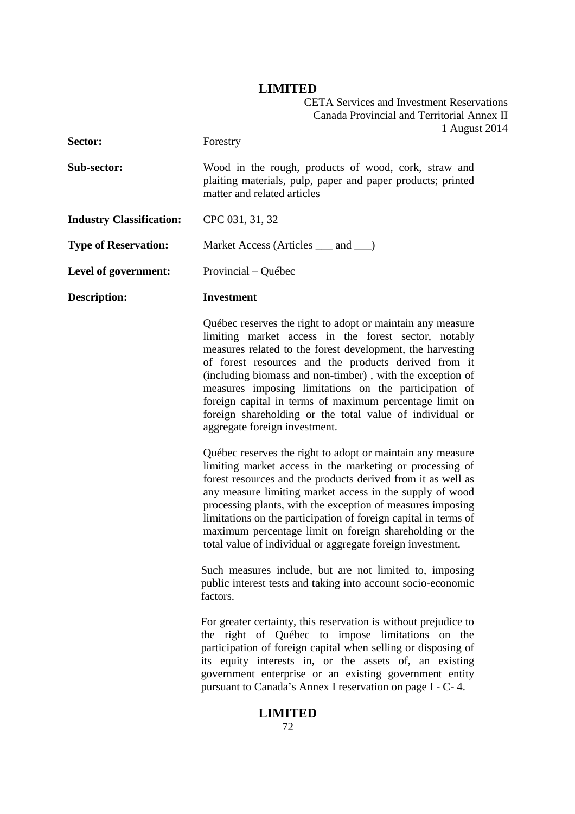| Sector:                         | $1.144$ , abe 20<br>Forestry                                                                                                                                                                                                                                                                                                                                                                                                                                                                                           |
|---------------------------------|------------------------------------------------------------------------------------------------------------------------------------------------------------------------------------------------------------------------------------------------------------------------------------------------------------------------------------------------------------------------------------------------------------------------------------------------------------------------------------------------------------------------|
| Sub-sector:                     | Wood in the rough, products of wood, cork, straw and<br>plaiting materials, pulp, paper and paper products; printed<br>matter and related articles                                                                                                                                                                                                                                                                                                                                                                     |
| <b>Industry Classification:</b> | CPC 031, 31, 32                                                                                                                                                                                                                                                                                                                                                                                                                                                                                                        |
| <b>Type of Reservation:</b>     | Market Access (Articles __ and __)                                                                                                                                                                                                                                                                                                                                                                                                                                                                                     |
| Level of government:            | Provincial – Québec                                                                                                                                                                                                                                                                                                                                                                                                                                                                                                    |
| <b>Description:</b>             | <b>Investment</b>                                                                                                                                                                                                                                                                                                                                                                                                                                                                                                      |
|                                 | Québec reserves the right to adopt or maintain any measure<br>limiting market access in the forest sector, notably<br>measures related to the forest development, the harvesting<br>of forest resources and the products derived from it<br>(including biomass and non-timber), with the exception of<br>measures imposing limitations on the participation of<br>foreign capital in terms of maximum percentage limit on<br>foreign shareholding or the total value of individual or<br>aggregate foreign investment. |
|                                 | Québec reserves the right to adopt or maintain any measure<br>limiting market access in the marketing or processing of<br>forest resources and the products derived from it as well as<br>any measure limiting market access in the supply of wood<br>processing plants, with the exception of measures imposing<br>limitations on the participation of foreign capital in terms of<br>maximum percentage limit on foreign shareholding or the<br>total value of individual or aggregate foreign investment.           |
|                                 | Such measures include, but are not limited to, imposing<br>public interest tests and taking into account socio-economic<br>factors.                                                                                                                                                                                                                                                                                                                                                                                    |
|                                 | For greater certainty, this reservation is without prejudice to<br>the right of Québec to impose limitations on the<br>participation of foreign capital when selling or disposing of<br>its equity interests in, or the assets of, an existing<br>government enterprise or an existing government entity<br>pursuant to Canada's Annex I reservation on page I - C-4.                                                                                                                                                  |
|                                 | <b>LIMITED</b>                                                                                                                                                                                                                                                                                                                                                                                                                                                                                                         |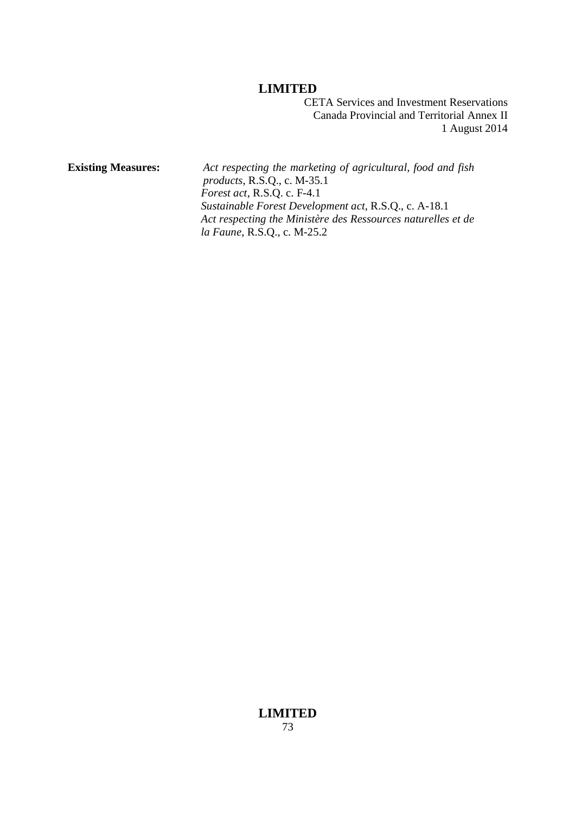CETA Services and Investment Reservations Canada Provincial and Territorial Annex II 1 August 2014

**Existing Measures:** *Act respecting the marketing of agricultural, food and fish products*, R.S.Q., c. M-35.1 *Forest act*, R.S.Q. c. F-4.1 *Sustainable Forest Development act*, R.S.Q., c. A-18.1 *Act respecting the Ministère des Ressources naturelles et de la Faune*, R.S.Q., c. M-25.2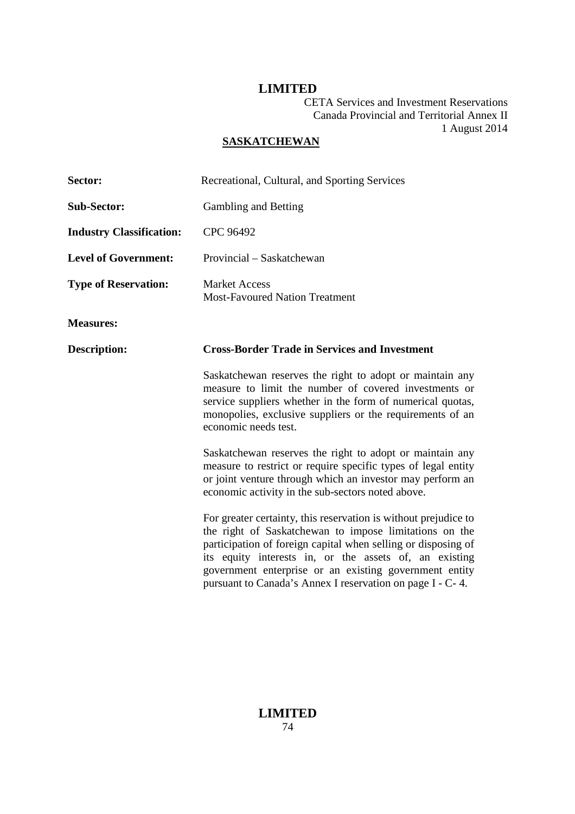CETA Services and Investment Reservations Canada Provincial and Territorial Annex II 1 August 2014

## **SASKATCHEWAN**

| Sector:                         | Recreational, Cultural, and Sporting Services                                                                                                                                                                                                                                                                                                                               |
|---------------------------------|-----------------------------------------------------------------------------------------------------------------------------------------------------------------------------------------------------------------------------------------------------------------------------------------------------------------------------------------------------------------------------|
| <b>Sub-Sector:</b>              | Gambling and Betting                                                                                                                                                                                                                                                                                                                                                        |
| <b>Industry Classification:</b> | CPC 96492                                                                                                                                                                                                                                                                                                                                                                   |
| <b>Level of Government:</b>     | Provincial – Saskatchewan                                                                                                                                                                                                                                                                                                                                                   |
| <b>Type of Reservation:</b>     | <b>Market Access</b><br><b>Most-Favoured Nation Treatment</b>                                                                                                                                                                                                                                                                                                               |
| <b>Measures:</b>                |                                                                                                                                                                                                                                                                                                                                                                             |
| <b>Description:</b>             | <b>Cross-Border Trade in Services and Investment</b>                                                                                                                                                                                                                                                                                                                        |
|                                 | Saskatchewan reserves the right to adopt or maintain any<br>measure to limit the number of covered investments or<br>service suppliers whether in the form of numerical quotas,<br>monopolies, exclusive suppliers or the requirements of an<br>economic needs test.                                                                                                        |
|                                 | Saskatchewan reserves the right to adopt or maintain any<br>measure to restrict or require specific types of legal entity<br>or joint venture through which an investor may perform an<br>economic activity in the sub-sectors noted above.                                                                                                                                 |
|                                 | For greater certainty, this reservation is without prejudice to<br>the right of Saskatchewan to impose limitations on the<br>participation of foreign capital when selling or disposing of<br>its equity interests in, or the assets of, an existing<br>government enterprise or an existing government entity<br>pursuant to Canada's Annex I reservation on page I - C-4. |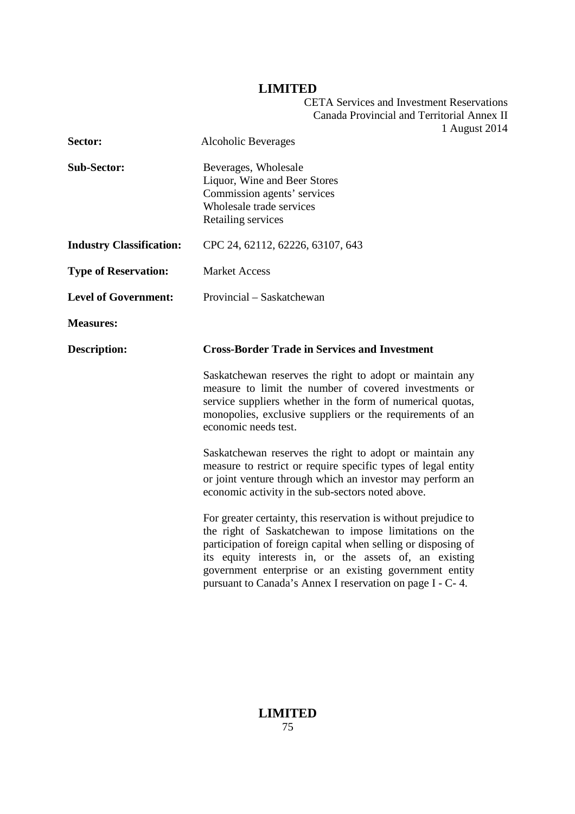|                                 | 1.114                                                                                                                                                                                                                                                                                                                                                                        |
|---------------------------------|------------------------------------------------------------------------------------------------------------------------------------------------------------------------------------------------------------------------------------------------------------------------------------------------------------------------------------------------------------------------------|
| Sector:                         | Alcoholic Beverages                                                                                                                                                                                                                                                                                                                                                          |
| <b>Sub-Sector:</b>              | Beverages, Wholesale<br>Liquor, Wine and Beer Stores<br>Commission agents' services<br>Wholesale trade services<br>Retailing services                                                                                                                                                                                                                                        |
| <b>Industry Classification:</b> | CPC 24, 62112, 62226, 63107, 643                                                                                                                                                                                                                                                                                                                                             |
| <b>Type of Reservation:</b>     | <b>Market Access</b>                                                                                                                                                                                                                                                                                                                                                         |
| <b>Level of Government:</b>     | Provincial - Saskatchewan                                                                                                                                                                                                                                                                                                                                                    |
| <b>Measures:</b>                |                                                                                                                                                                                                                                                                                                                                                                              |
| <b>Description:</b>             | <b>Cross-Border Trade in Services and Investment</b>                                                                                                                                                                                                                                                                                                                         |
|                                 | Saskatchewan reserves the right to adopt or maintain any<br>measure to limit the number of covered investments or<br>service suppliers whether in the form of numerical quotas,<br>monopolies, exclusive suppliers or the requirements of an<br>economic needs test.                                                                                                         |
|                                 | Saskatchewan reserves the right to adopt or maintain any<br>measure to restrict or require specific types of legal entity<br>or joint venture through which an investor may perform an<br>economic activity in the sub-sectors noted above.                                                                                                                                  |
|                                 | For greater certainty, this reservation is without prejudice to<br>the right of Saskatchewan to impose limitations on the<br>participation of foreign capital when selling or disposing of<br>its equity interests in, or the assets of, an existing<br>government enterprise or an existing government entity<br>pursuant to Canada's Annex I reservation on page I - C- 4. |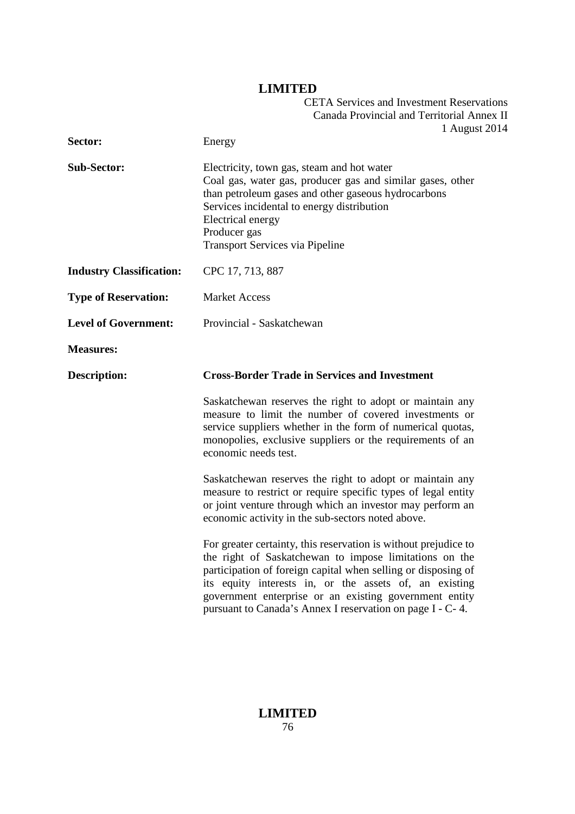CETA Services and Investment Reservations Canada Provincial and Territorial Annex II 1 August 2014

| Sector:                         | Energy                                                                                                                                                                                                                                                                                |
|---------------------------------|---------------------------------------------------------------------------------------------------------------------------------------------------------------------------------------------------------------------------------------------------------------------------------------|
| <b>Sub-Sector:</b>              | Electricity, town gas, steam and hot water<br>Coal gas, water gas, producer gas and similar gases, other<br>than petroleum gases and other gaseous hydrocarbons<br>Services incidental to energy distribution<br>Electrical energy<br>Producer gas<br>Transport Services via Pipeline |
| <b>Industry Classification:</b> | CPC 17, 713, 887                                                                                                                                                                                                                                                                      |
| <b>Type of Reservation:</b>     | <b>Market Access</b>                                                                                                                                                                                                                                                                  |
| <b>Level of Government:</b>     | Provincial - Saskatchewan                                                                                                                                                                                                                                                             |
| <b>Measures:</b>                |                                                                                                                                                                                                                                                                                       |
| <b>Description:</b>             | <b>Cross-Border Trade in Services and Investment</b>                                                                                                                                                                                                                                  |
|                                 |                                                                                                                                                                                                                                                                                       |
|                                 | Saskatchewan reserves the right to adopt or maintain any<br>measure to limit the number of covered investments or<br>service suppliers whether in the form of numerical quotas,<br>monopolies, exclusive suppliers or the requirements of an<br>economic needs test.                  |
|                                 | Saskatchewan reserves the right to adopt or maintain any<br>measure to restrict or require specific types of legal entity<br>or joint venture through which an investor may perform an<br>economic activity in the sub-sectors noted above.                                           |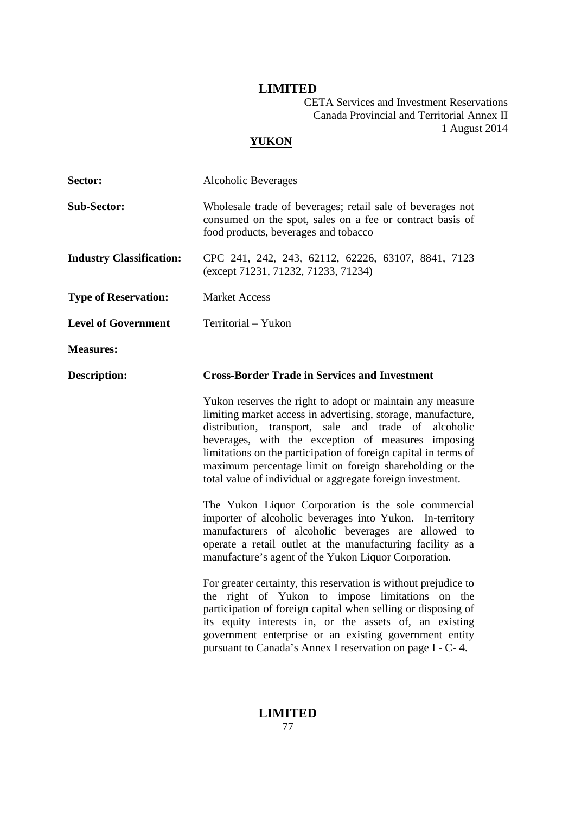CETA Services and Investment Reservations Canada Provincial and Territorial Annex II 1 August 2014

# **YUKON**

| Sector:                         | <b>Alcoholic Beverages</b>                                                                                                                                                                                                                                                                                                                                                                                                          |
|---------------------------------|-------------------------------------------------------------------------------------------------------------------------------------------------------------------------------------------------------------------------------------------------------------------------------------------------------------------------------------------------------------------------------------------------------------------------------------|
| <b>Sub-Sector:</b>              | Wholesale trade of beverages; retail sale of beverages not<br>consumed on the spot, sales on a fee or contract basis of<br>food products, beverages and tobacco                                                                                                                                                                                                                                                                     |
| <b>Industry Classification:</b> | CPC 241, 242, 243, 62112, 62226, 63107, 8841, 7123<br>(except 71231, 71232, 71233, 71234)                                                                                                                                                                                                                                                                                                                                           |
| <b>Type of Reservation:</b>     | <b>Market Access</b>                                                                                                                                                                                                                                                                                                                                                                                                                |
| <b>Level of Government</b>      | Territorial - Yukon                                                                                                                                                                                                                                                                                                                                                                                                                 |
| <b>Measures:</b>                |                                                                                                                                                                                                                                                                                                                                                                                                                                     |
| <b>Description:</b>             | <b>Cross-Border Trade in Services and Investment</b>                                                                                                                                                                                                                                                                                                                                                                                |
|                                 | Yukon reserves the right to adopt or maintain any measure<br>limiting market access in advertising, storage, manufacture,<br>distribution, transport, sale and trade of alcoholic<br>beverages, with the exception of measures imposing<br>limitations on the participation of foreign capital in terms of<br>maximum percentage limit on foreign shareholding or the<br>total value of individual or aggregate foreign investment. |
|                                 | The Yukon Liquor Corporation is the sole commercial<br>importer of alcoholic beverages into Yukon. In-territory<br>manufacturers of alcoholic beverages are allowed to<br>operate a retail outlet at the manufacturing facility as a<br>manufacture's agent of the Yukon Liquor Corporation.                                                                                                                                        |
|                                 | For greater certainty, this reservation is without prejudice to<br>the right of Yukon to impose limitations on the<br>participation of foreign capital when selling or disposing of<br>its equity interests in, or the assets of, an existing<br>government enterprise or an existing government entity<br>pursuant to Canada's Annex I reservation on page I - C- 4.                                                               |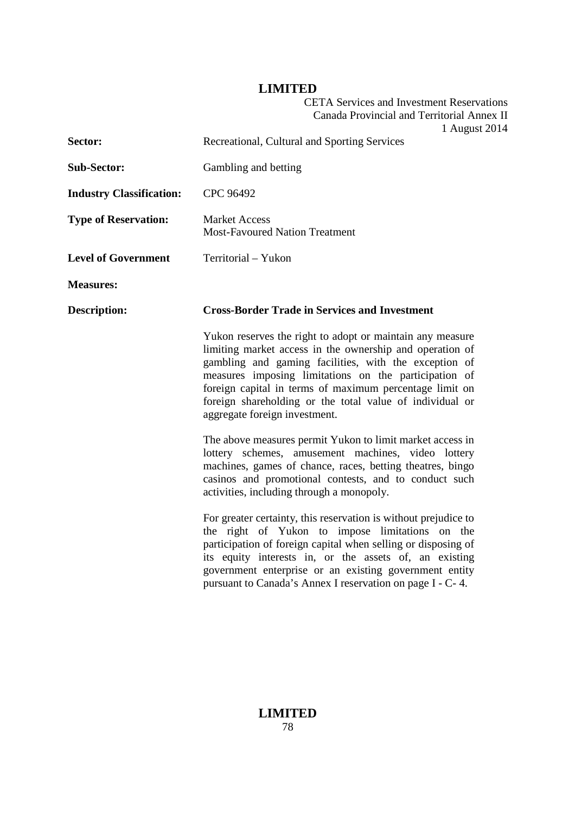| Sector:                         | 1 August 20<br>Recreational, Cultural and Sporting Services                                                                                                                                                                                                                                                                                                                                     |
|---------------------------------|-------------------------------------------------------------------------------------------------------------------------------------------------------------------------------------------------------------------------------------------------------------------------------------------------------------------------------------------------------------------------------------------------|
| <b>Sub-Sector:</b>              | Gambling and betting                                                                                                                                                                                                                                                                                                                                                                            |
| <b>Industry Classification:</b> | CPC 96492                                                                                                                                                                                                                                                                                                                                                                                       |
| <b>Type of Reservation:</b>     | <b>Market Access</b><br><b>Most-Favoured Nation Treatment</b>                                                                                                                                                                                                                                                                                                                                   |
| <b>Level of Government</b>      | Territorial - Yukon                                                                                                                                                                                                                                                                                                                                                                             |
| <b>Measures:</b>                |                                                                                                                                                                                                                                                                                                                                                                                                 |
| <b>Description:</b>             | <b>Cross-Border Trade in Services and Investment</b>                                                                                                                                                                                                                                                                                                                                            |
|                                 | Yukon reserves the right to adopt or maintain any measure<br>limiting market access in the ownership and operation of<br>gambling and gaming facilities, with the exception of<br>measures imposing limitations on the participation of<br>foreign capital in terms of maximum percentage limit on<br>foreign shareholding or the total value of individual or<br>aggregate foreign investment. |
|                                 | The above measures permit Yukon to limit market access in<br>lottery schemes, amusement machines, video lottery<br>machines, games of chance, races, betting theatres, bingo<br>casinos and promotional contests, and to conduct such<br>activities, including through a monopoly.                                                                                                              |
|                                 | For greater certainty, this reservation is without prejudice to<br>the right of Yukon to impose limitations on the<br>participation of foreign capital when selling or disposing of<br>its equity interests in, or the assets of, an existing<br>government enterprise or an existing government entity<br>pursuant to Canada's Annex I reservation on page I - C- 4.                           |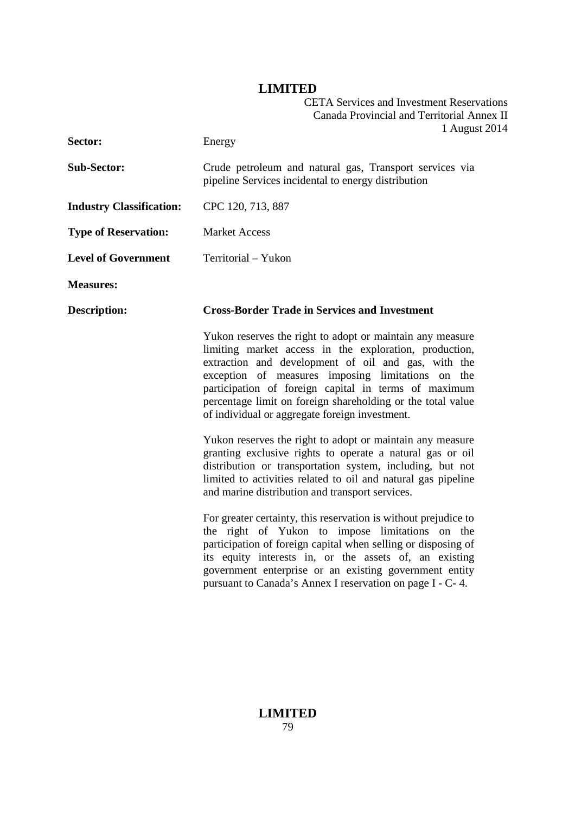| Sector:                         | Energy                                                                                                                                                                                                                                                                                                                                                                                                   |
|---------------------------------|----------------------------------------------------------------------------------------------------------------------------------------------------------------------------------------------------------------------------------------------------------------------------------------------------------------------------------------------------------------------------------------------------------|
| <b>Sub-Sector:</b>              | Crude petroleum and natural gas, Transport services via<br>pipeline Services incidental to energy distribution                                                                                                                                                                                                                                                                                           |
| <b>Industry Classification:</b> | CPC 120, 713, 887                                                                                                                                                                                                                                                                                                                                                                                        |
| <b>Type of Reservation:</b>     | <b>Market Access</b>                                                                                                                                                                                                                                                                                                                                                                                     |
| <b>Level of Government</b>      | Territorial - Yukon                                                                                                                                                                                                                                                                                                                                                                                      |
| <b>Measures:</b>                |                                                                                                                                                                                                                                                                                                                                                                                                          |
| <b>Description:</b>             | <b>Cross-Border Trade in Services and Investment</b>                                                                                                                                                                                                                                                                                                                                                     |
|                                 | Yukon reserves the right to adopt or maintain any measure<br>limiting market access in the exploration, production,<br>extraction and development of oil and gas, with the<br>exception of measures imposing limitations on the<br>participation of foreign capital in terms of maximum<br>percentage limit on foreign shareholding or the total value<br>of individual or aggregate foreign investment. |
|                                 | Yukon reserves the right to adopt or maintain any measure<br>granting exclusive rights to operate a natural gas or oil<br>distribution or transportation system, including, but not<br>limited to activities related to oil and natural gas pipeline<br>and marine distribution and transport services.                                                                                                  |
|                                 | For greater certainty, this reservation is without prejudice to<br>the right of Yukon to impose limitations on the<br>participation of foreign capital when selling or disposing of<br>its equity interests in, or the assets of, an existing<br>government enterprise or an existing government entity<br>pursuant to Canada's Annex I reservation on page I - C- 4.                                    |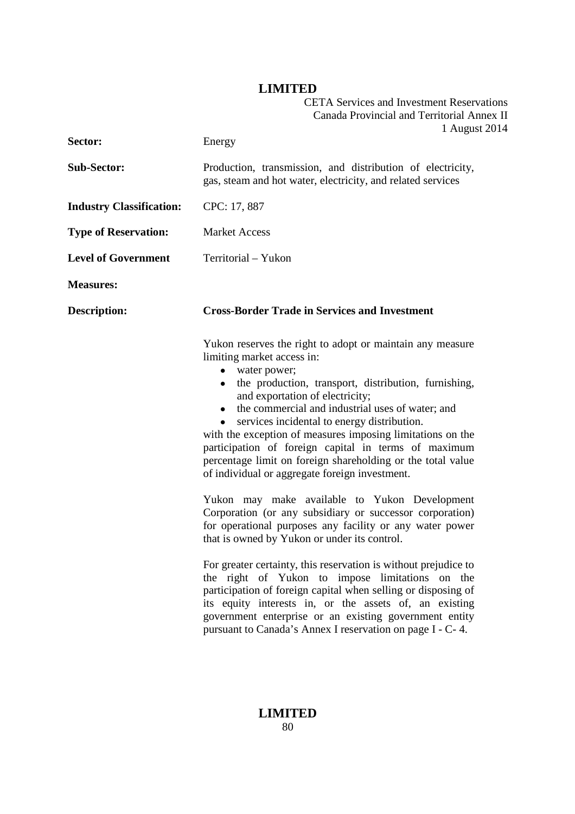| Sector:                         | Energy                                                                                                                                                                                                                                                                                                                                                                                                                                                                                                                                                                                                                                                                                                                                                                                                                                                                                                                                                                                                                                                                                                                                                                  |
|---------------------------------|-------------------------------------------------------------------------------------------------------------------------------------------------------------------------------------------------------------------------------------------------------------------------------------------------------------------------------------------------------------------------------------------------------------------------------------------------------------------------------------------------------------------------------------------------------------------------------------------------------------------------------------------------------------------------------------------------------------------------------------------------------------------------------------------------------------------------------------------------------------------------------------------------------------------------------------------------------------------------------------------------------------------------------------------------------------------------------------------------------------------------------------------------------------------------|
| <b>Sub-Sector:</b>              | Production, transmission, and distribution of electricity,<br>gas, steam and hot water, electricity, and related services                                                                                                                                                                                                                                                                                                                                                                                                                                                                                                                                                                                                                                                                                                                                                                                                                                                                                                                                                                                                                                               |
| <b>Industry Classification:</b> | CPC: 17, 887                                                                                                                                                                                                                                                                                                                                                                                                                                                                                                                                                                                                                                                                                                                                                                                                                                                                                                                                                                                                                                                                                                                                                            |
| <b>Type of Reservation:</b>     | <b>Market Access</b>                                                                                                                                                                                                                                                                                                                                                                                                                                                                                                                                                                                                                                                                                                                                                                                                                                                                                                                                                                                                                                                                                                                                                    |
| <b>Level of Government</b>      | Territorial - Yukon                                                                                                                                                                                                                                                                                                                                                                                                                                                                                                                                                                                                                                                                                                                                                                                                                                                                                                                                                                                                                                                                                                                                                     |
| <b>Measures:</b>                |                                                                                                                                                                                                                                                                                                                                                                                                                                                                                                                                                                                                                                                                                                                                                                                                                                                                                                                                                                                                                                                                                                                                                                         |
| Description:                    | <b>Cross-Border Trade in Services and Investment</b>                                                                                                                                                                                                                                                                                                                                                                                                                                                                                                                                                                                                                                                                                                                                                                                                                                                                                                                                                                                                                                                                                                                    |
|                                 | Yukon reserves the right to adopt or maintain any measure<br>limiting market access in:<br>water power;<br>$\bullet$<br>the production, transport, distribution, furnishing,<br>$\bullet$<br>and exportation of electricity;<br>the commercial and industrial uses of water; and<br>services incidental to energy distribution.<br>with the exception of measures imposing limitations on the<br>participation of foreign capital in terms of maximum<br>percentage limit on foreign shareholding or the total value<br>of individual or aggregate foreign investment.<br>Yukon may make available to Yukon Development<br>Corporation (or any subsidiary or successor corporation)<br>for operational purposes any facility or any water power<br>that is owned by Yukon or under its control.<br>For greater certainty, this reservation is without prejudice to<br>the right of Yukon to impose limitations on the<br>participation of foreign capital when selling or disposing of<br>its equity interests in, or the assets of, an existing<br>government enterprise or an existing government entity<br>pursuant to Canada's Annex I reservation on page I - C-4. |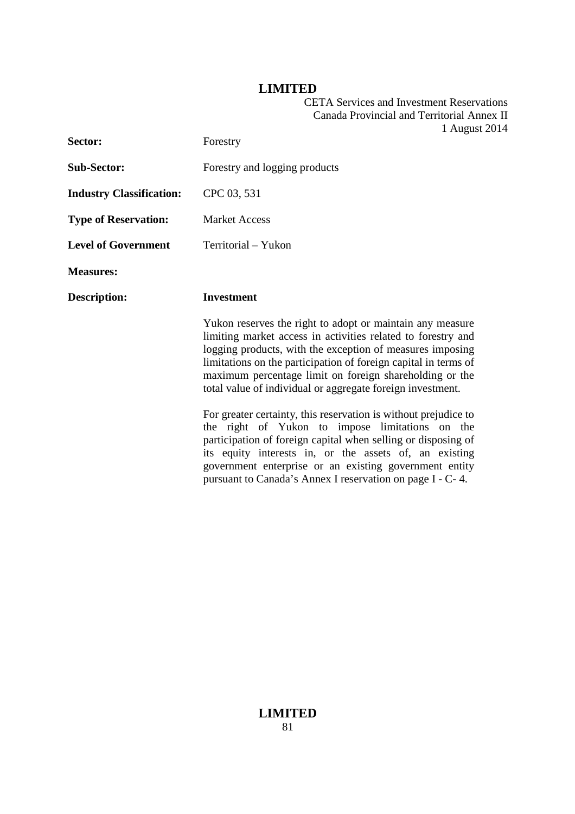| Sector:                         | Forestry                                                                                                                                                                                                                                                                                                                                                                                                                                                                                                                                                                  |
|---------------------------------|---------------------------------------------------------------------------------------------------------------------------------------------------------------------------------------------------------------------------------------------------------------------------------------------------------------------------------------------------------------------------------------------------------------------------------------------------------------------------------------------------------------------------------------------------------------------------|
| <b>Sub-Sector:</b>              | Forestry and logging products                                                                                                                                                                                                                                                                                                                                                                                                                                                                                                                                             |
| <b>Industry Classification:</b> | CPC 03, 531                                                                                                                                                                                                                                                                                                                                                                                                                                                                                                                                                               |
| <b>Type of Reservation:</b>     | <b>Market Access</b>                                                                                                                                                                                                                                                                                                                                                                                                                                                                                                                                                      |
| <b>Level of Government</b>      | Territorial – Yukon                                                                                                                                                                                                                                                                                                                                                                                                                                                                                                                                                       |
| <b>Measures:</b>                |                                                                                                                                                                                                                                                                                                                                                                                                                                                                                                                                                                           |
| Description:                    | <b>Investment</b>                                                                                                                                                                                                                                                                                                                                                                                                                                                                                                                                                         |
|                                 | Yukon reserves the right to adopt or maintain any measure<br>limiting market access in activities related to forestry and<br>logging products, with the exception of measures imposing<br>limitations on the participation of foreign capital in terms of<br>maximum percentage limit on foreign shareholding or the<br>total value of individual or aggregate foreign investment.<br>For greater certainty, this reservation is without prejudice to<br>the right of Yukon to impose limitations on the<br>participation of foreign capital when selling or disposing of |
|                                 | its equity interests in, or the assets of, an existing<br>government enterprise or an existing government entity                                                                                                                                                                                                                                                                                                                                                                                                                                                          |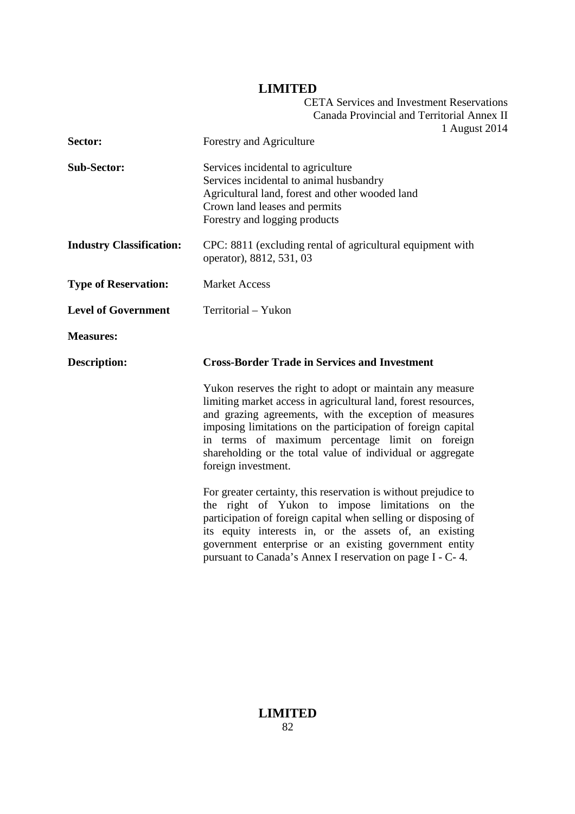|                                 | <b>CETA Services and Investment Reservations</b>                                                                                                                                                                                                                                                                                                                                              |
|---------------------------------|-----------------------------------------------------------------------------------------------------------------------------------------------------------------------------------------------------------------------------------------------------------------------------------------------------------------------------------------------------------------------------------------------|
|                                 | Canada Provincial and Territorial Annex II                                                                                                                                                                                                                                                                                                                                                    |
| Sector:                         | 1 August 2014<br>Forestry and Agriculture                                                                                                                                                                                                                                                                                                                                                     |
| <b>Sub-Sector:</b>              | Services incidental to agriculture<br>Services incidental to animal husbandry<br>Agricultural land, forest and other wooded land<br>Crown land leases and permits<br>Forestry and logging products                                                                                                                                                                                            |
| <b>Industry Classification:</b> | CPC: 8811 (excluding rental of agricultural equipment with<br>operator), 8812, 531, 03                                                                                                                                                                                                                                                                                                        |
| <b>Type of Reservation:</b>     | <b>Market Access</b>                                                                                                                                                                                                                                                                                                                                                                          |
| <b>Level of Government</b>      | Territorial - Yukon                                                                                                                                                                                                                                                                                                                                                                           |
| <b>Measures:</b>                |                                                                                                                                                                                                                                                                                                                                                                                               |
| <b>Description:</b>             | <b>Cross-Border Trade in Services and Investment</b>                                                                                                                                                                                                                                                                                                                                          |
|                                 | Yukon reserves the right to adopt or maintain any measure<br>limiting market access in agricultural land, forest resources,<br>and grazing agreements, with the exception of measures<br>imposing limitations on the participation of foreign capital<br>in terms of maximum percentage limit on foreign<br>shareholding or the total value of individual or aggregate<br>foreign investment. |
|                                 | For greater certainty, this reservation is without prejudice to<br>the right of Yukon to impose limitations on the<br>participation of foreign capital when selling or disposing of<br>its equity interests in, or the assets of, an existing<br>government enterprise or an existing government entity<br>pursuant to Canada's Annex I reservation on page I - C- 4.                         |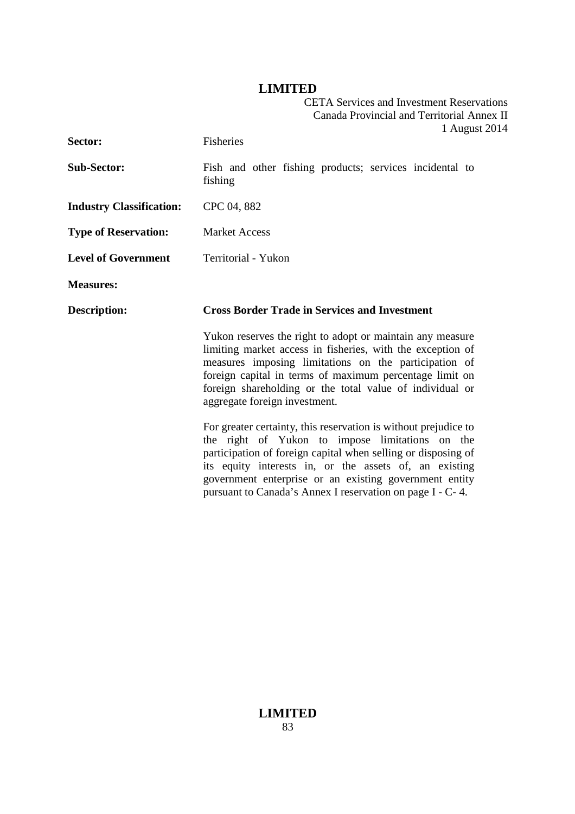| Sector:                         | Fisheries                                                                                                                                                                                                                                                                                                                                                                                                   |
|---------------------------------|-------------------------------------------------------------------------------------------------------------------------------------------------------------------------------------------------------------------------------------------------------------------------------------------------------------------------------------------------------------------------------------------------------------|
| <b>Sub-Sector:</b>              | Fish and other fishing products; services incidental to<br>fishing                                                                                                                                                                                                                                                                                                                                          |
| <b>Industry Classification:</b> | CPC 04, 882                                                                                                                                                                                                                                                                                                                                                                                                 |
| <b>Type of Reservation:</b>     | <b>Market Access</b>                                                                                                                                                                                                                                                                                                                                                                                        |
| <b>Level of Government</b>      | Territorial - Yukon                                                                                                                                                                                                                                                                                                                                                                                         |
| <b>Measures:</b>                |                                                                                                                                                                                                                                                                                                                                                                                                             |
| Description:                    | <b>Cross Border Trade in Services and Investment</b>                                                                                                                                                                                                                                                                                                                                                        |
|                                 |                                                                                                                                                                                                                                                                                                                                                                                                             |
|                                 | Yukon reserves the right to adopt or maintain any measure<br>limiting market access in fisheries, with the exception of<br>measures imposing limitations on the participation of<br>foreign capital in terms of maximum percentage limit on<br>foreign shareholding or the total value of individual or<br>aggregate foreign investment.<br>For greater certainty, this reservation is without prejudice to |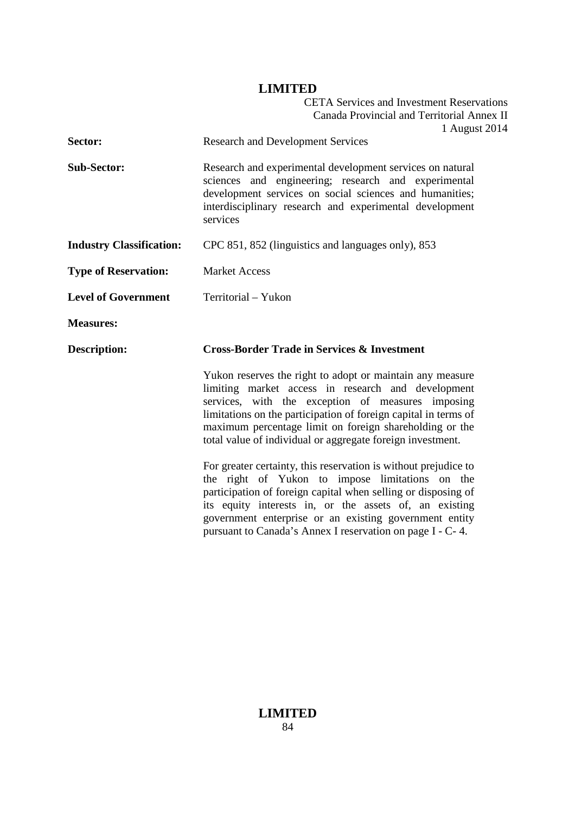|                                 | <b>CETA</b> Services and Investment Reservations                                                                                                                                                                                                                                                                                                                     |
|---------------------------------|----------------------------------------------------------------------------------------------------------------------------------------------------------------------------------------------------------------------------------------------------------------------------------------------------------------------------------------------------------------------|
|                                 | Canada Provincial and Territorial Annex II                                                                                                                                                                                                                                                                                                                           |
| Sector:                         | 1 August 2014<br><b>Research and Development Services</b>                                                                                                                                                                                                                                                                                                            |
| <b>Sub-Sector:</b>              | Research and experimental development services on natural<br>sciences and engineering; research and experimental<br>development services on social sciences and humanities;<br>interdisciplinary research and experimental development<br>services                                                                                                                   |
| <b>Industry Classification:</b> | CPC 851, 852 (linguistics and languages only), 853                                                                                                                                                                                                                                                                                                                   |
| <b>Type of Reservation:</b>     | <b>Market Access</b>                                                                                                                                                                                                                                                                                                                                                 |
| <b>Level of Government</b>      | Territorial - Yukon                                                                                                                                                                                                                                                                                                                                                  |
| <b>Measures:</b>                |                                                                                                                                                                                                                                                                                                                                                                      |
| <b>Description:</b>             | <b>Cross-Border Trade in Services &amp; Investment</b>                                                                                                                                                                                                                                                                                                               |
|                                 | Yukon reserves the right to adopt or maintain any measure<br>limiting market access in research and development<br>services, with the exception of measures imposing<br>limitations on the participation of foreign capital in terms of<br>maximum percentage limit on foreign shareholding or the<br>total value of individual or aggregate foreign investment.     |
|                                 | For greater certainty, this reservation is without prejudice to<br>the right of Yukon to impose limitations on the<br>participation of foreign capital when selling or disposing of<br>its equity interests in, or the assets of, an existing<br>government enterprise or an existing government entity<br>pursuant to Canada's Annex I reservation on page I - C-4. |